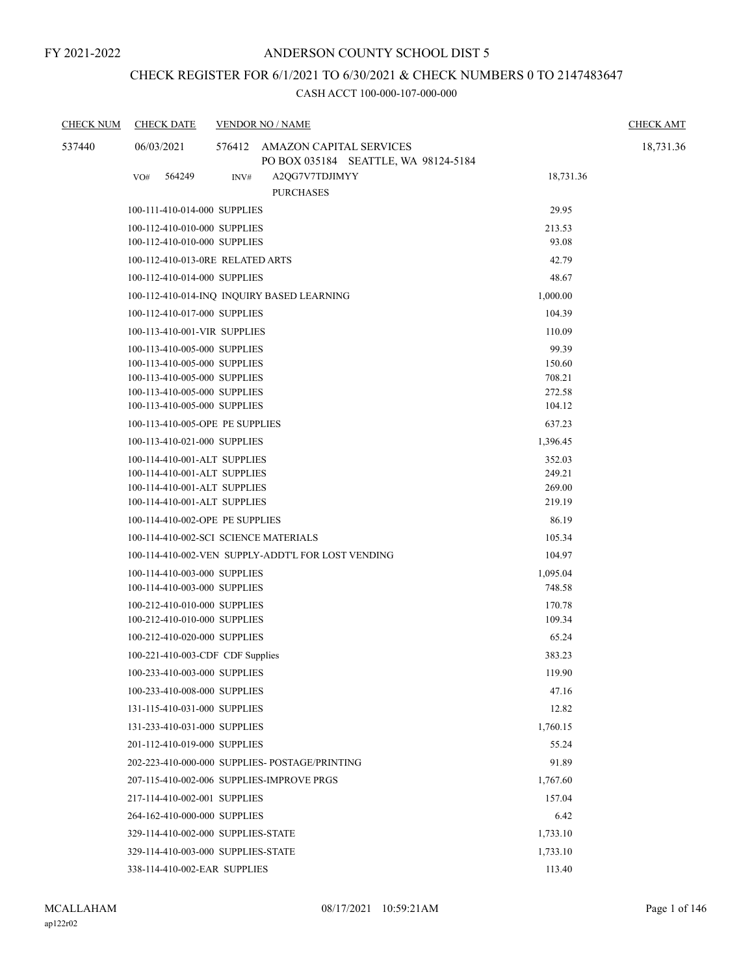# CHECK REGISTER FOR 6/1/2021 TO 6/30/2021 & CHECK NUMBERS 0 TO 2147483647

| <b>CHECK NUM</b> | <b>CHECK DATE</b>                | <b>VENDOR NO / NAME</b>                                                | <b>CHECK AMT</b> |  |
|------------------|----------------------------------|------------------------------------------------------------------------|------------------|--|
| 537440           | 06/03/2021                       | 576412 AMAZON CAPITAL SERVICES<br>PO BOX 035184 SEATTLE, WA 98124-5184 | 18,731.36        |  |
|                  | 564249<br>VO#                    | INV#<br>A2QG7V7TDJIMYY<br><b>PURCHASES</b>                             | 18,731.36        |  |
|                  | 100-111-410-014-000 SUPPLIES     |                                                                        | 29.95            |  |
|                  | 100-112-410-010-000 SUPPLIES     |                                                                        | 213.53           |  |
|                  | 100-112-410-010-000 SUPPLIES     |                                                                        | 93.08            |  |
|                  |                                  | 100-112-410-013-0RE RELATED ARTS                                       | 42.79            |  |
|                  | 100-112-410-014-000 SUPPLIES     |                                                                        | 48.67            |  |
|                  |                                  | 100-112-410-014-INQ INQUIRY BASED LEARNING                             | 1,000.00         |  |
|                  | 100-112-410-017-000 SUPPLIES     |                                                                        | 104.39           |  |
|                  | 100-113-410-001-VIR SUPPLIES     |                                                                        | 110.09           |  |
|                  | 100-113-410-005-000 SUPPLIES     |                                                                        | 99.39            |  |
|                  | 100-113-410-005-000 SUPPLIES     |                                                                        | 150.60           |  |
|                  | 100-113-410-005-000 SUPPLIES     |                                                                        | 708.21           |  |
|                  | 100-113-410-005-000 SUPPLIES     |                                                                        | 272.58           |  |
|                  | 100-113-410-005-000 SUPPLIES     |                                                                        | 104.12           |  |
|                  | 100-113-410-005-OPE PE SUPPLIES  |                                                                        | 637.23           |  |
|                  | 100-113-410-021-000 SUPPLIES     |                                                                        | 1,396.45         |  |
|                  | 100-114-410-001-ALT SUPPLIES     |                                                                        | 352.03           |  |
|                  | 100-114-410-001-ALT SUPPLIES     |                                                                        | 249.21           |  |
|                  | 100-114-410-001-ALT SUPPLIES     |                                                                        | 269.00<br>219.19 |  |
|                  | 100-114-410-001-ALT SUPPLIES     |                                                                        |                  |  |
|                  | 100-114-410-002-OPE PE SUPPLIES  |                                                                        | 86.19            |  |
|                  |                                  | 100-114-410-002-SCI SCIENCE MATERIALS                                  | 105.34           |  |
|                  |                                  | 100-114-410-002-VEN SUPPLY-ADDT'L FOR LOST VENDING                     | 104.97           |  |
|                  | 100-114-410-003-000 SUPPLIES     |                                                                        | 1,095.04         |  |
|                  | 100-114-410-003-000 SUPPLIES     |                                                                        | 748.58           |  |
|                  | 100-212-410-010-000 SUPPLIES     |                                                                        | 170.78           |  |
|                  | 100-212-410-010-000 SUPPLIES     |                                                                        | 109.34           |  |
|                  | 100-212-410-020-000 SUPPLIES     |                                                                        | 65.24            |  |
|                  | 100-221-410-003-CDF CDF Supplies |                                                                        | 383.23           |  |
|                  | 100-233-410-003-000 SUPPLIES     |                                                                        | 119.90           |  |
|                  | 100-233-410-008-000 SUPPLIES     |                                                                        | 47.16            |  |
|                  | 131-115-410-031-000 SUPPLIES     |                                                                        | 12.82            |  |
|                  | 131-233-410-031-000 SUPPLIES     |                                                                        | 1,760.15         |  |
|                  | 201-112-410-019-000 SUPPLIES     |                                                                        | 55.24            |  |
|                  |                                  | 202-223-410-000-000 SUPPLIES- POSTAGE/PRINTING                         | 91.89            |  |
|                  |                                  | 207-115-410-002-006 SUPPLIES-IMPROVE PRGS                              | 1,767.60         |  |
|                  | 217-114-410-002-001 SUPPLIES     |                                                                        | 157.04           |  |
|                  | 264-162-410-000-000 SUPPLIES     |                                                                        | 6.42             |  |
|                  |                                  | 329-114-410-002-000 SUPPLIES-STATE                                     | 1,733.10         |  |
|                  |                                  | 329-114-410-003-000 SUPPLIES-STATE                                     | 1,733.10         |  |
|                  | 338-114-410-002-EAR SUPPLIES     |                                                                        | 113.40           |  |
|                  |                                  |                                                                        |                  |  |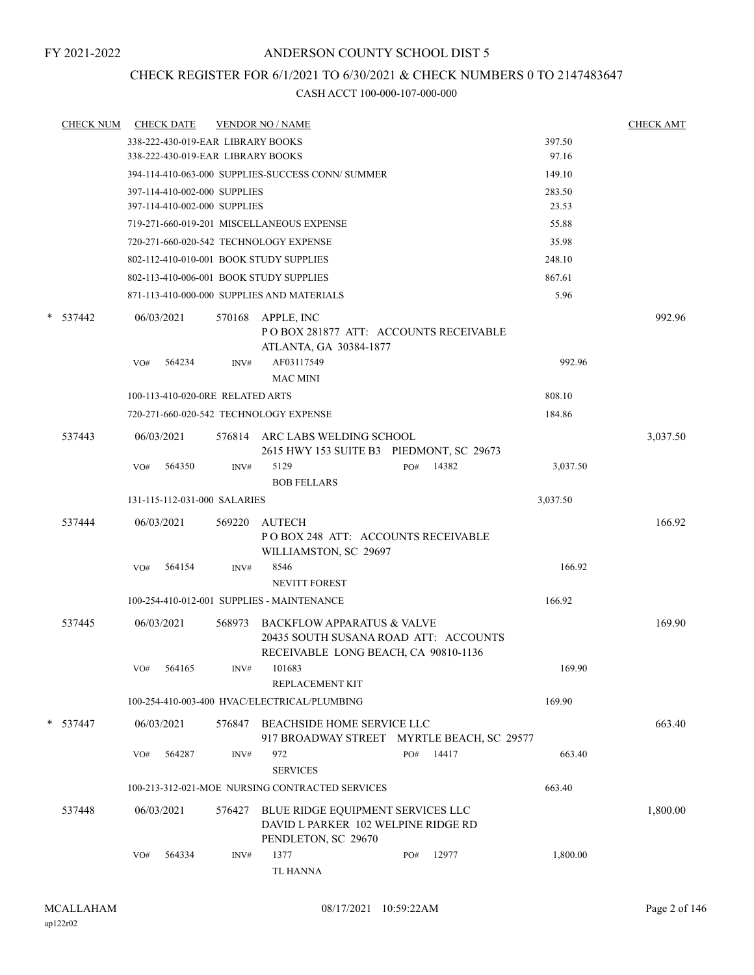# CHECK REGISTER FOR 6/1/2021 TO 6/30/2021 & CHECK NUMBERS 0 TO 2147483647

| <b>CHECK NUM</b> |     | <b>CHECK DATE</b>                 |        | <b>VENDOR NO / NAME</b>                                                                                            |     |       |          | <b>CHECK AMT</b> |
|------------------|-----|-----------------------------------|--------|--------------------------------------------------------------------------------------------------------------------|-----|-------|----------|------------------|
|                  |     | 338-222-430-019-EAR LIBRARY BOOKS |        |                                                                                                                    |     |       | 397.50   |                  |
|                  |     | 338-222-430-019-EAR LIBRARY BOOKS |        |                                                                                                                    |     |       | 97.16    |                  |
|                  |     |                                   |        | 394-114-410-063-000 SUPPLIES-SUCCESS CONN/SUMMER                                                                   |     |       | 149.10   |                  |
|                  |     | 397-114-410-002-000 SUPPLIES      |        |                                                                                                                    |     |       | 283.50   |                  |
|                  |     | 397-114-410-002-000 SUPPLIES      |        |                                                                                                                    |     |       | 23.53    |                  |
|                  |     |                                   |        | 719-271-660-019-201 MISCELLANEOUS EXPENSE                                                                          |     |       | 55.88    |                  |
|                  |     |                                   |        | 720-271-660-020-542 TECHNOLOGY EXPENSE                                                                             |     |       | 35.98    |                  |
|                  |     |                                   |        | 802-112-410-010-001 BOOK STUDY SUPPLIES                                                                            |     |       | 248.10   |                  |
|                  |     |                                   |        | 802-113-410-006-001 BOOK STUDY SUPPLIES                                                                            |     |       | 867.61   |                  |
|                  |     |                                   |        | 871-113-410-000-000 SUPPLIES AND MATERIALS                                                                         |     |       | 5.96     |                  |
| $* 537442$       |     | 06/03/2021                        |        | 570168 APPLE, INC<br>PO BOX 281877 ATT: ACCOUNTS RECEIVABLE<br>ATLANTA, GA 30384-1877                              |     |       |          | 992.96           |
|                  | VO# | 564234                            | INV#   | AF03117549<br><b>MAC MINI</b>                                                                                      |     |       | 992.96   |                  |
|                  |     | 100-113-410-020-0RE RELATED ARTS  |        |                                                                                                                    |     |       | 808.10   |                  |
|                  |     |                                   |        | 720-271-660-020-542 TECHNOLOGY EXPENSE                                                                             |     |       | 184.86   |                  |
| 537443           |     | 06/03/2021                        |        | 576814 ARC LABS WELDING SCHOOL<br>2615 HWY 153 SUITE B3 PIEDMONT, SC 29673                                         |     |       |          | 3,037.50         |
|                  | VO# | 564350                            | INV#   | 5129<br><b>BOB FELLARS</b>                                                                                         | PO# | 14382 | 3,037.50 |                  |
|                  |     | 131-115-112-031-000 SALARIES      |        |                                                                                                                    |     |       | 3,037.50 |                  |
| 537444           |     | 06/03/2021                        | 569220 | AUTECH<br>PO BOX 248 ATT: ACCOUNTS RECEIVABLE<br>WILLIAMSTON, SC 29697                                             |     |       |          | 166.92           |
|                  | VO# | 564154                            | INV#   | 8546<br><b>NEVITT FOREST</b>                                                                                       |     |       | 166.92   |                  |
|                  |     |                                   |        | 100-254-410-012-001 SUPPLIES - MAINTENANCE                                                                         |     |       | 166.92   |                  |
| 537445           |     | 06/03/2021                        |        | 568973 BACKFLOW APPARATUS & VALVE<br>20435 SOUTH SUSANA ROAD ATT: ACCOUNTS<br>RECEIVABLE LONG BEACH, CA 90810-1136 |     |       |          | 169.90           |
|                  |     | VO# 564165                        |        | INV# 101683<br>REPLACEMENT KIT                                                                                     |     |       | 169.90   |                  |
|                  |     |                                   |        | 100-254-410-003-400 HVAC/ELECTRICAL/PLUMBING                                                                       |     |       | 169.90   |                  |
| $* 537447$       |     | 06/03/2021                        | 576847 | BEACHSIDE HOME SERVICE LLC<br>917 BROADWAY STREET MYRTLE BEACH, SC 29577                                           |     |       |          | 663.40           |
|                  | VO# | 564287                            | INV#   | 972<br><b>SERVICES</b>                                                                                             | PO# | 14417 | 663.40   |                  |
|                  |     |                                   |        | 100-213-312-021-MOE NURSING CONTRACTED SERVICES                                                                    |     |       | 663.40   |                  |
| 537448           |     | 06/03/2021                        | 576427 | BLUE RIDGE EQUIPMENT SERVICES LLC<br>DAVID L PARKER 102 WELPINE RIDGE RD<br>PENDLETON, SC 29670                    |     |       |          | 1,800.00         |
|                  | VO# | 564334                            | INV#   | 1377<br><b>TL HANNA</b>                                                                                            | PO# | 12977 | 1,800.00 |                  |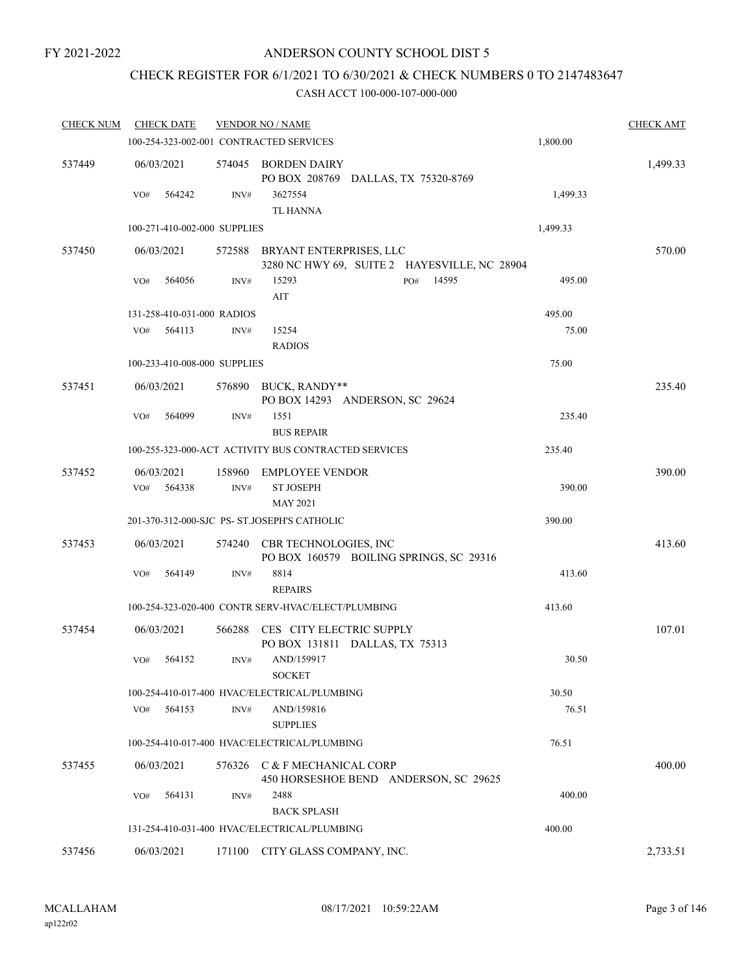# ANDERSON COUNTY SCHOOL DIST 5

# CHECK REGISTER FOR 6/1/2021 TO 6/30/2021 & CHECK NUMBERS 0 TO 2147483647

| <b>CHECK NUM</b> | <b>CHECK DATE</b>                       |                | <b>VENDOR NO / NAME</b>                                                 |          | <b>CHECK AMT</b> |
|------------------|-----------------------------------------|----------------|-------------------------------------------------------------------------|----------|------------------|
|                  | 100-254-323-002-001 CONTRACTED SERVICES |                |                                                                         | 1,800.00 |                  |
| 537449           | 06/03/2021                              | 574045         | BORDEN DAIRY<br>PO BOX 208769 DALLAS, TX 75320-8769                     |          | 1,499.33         |
|                  | 564242<br>VO#                           | INV#           | 3627554<br><b>TL HANNA</b>                                              | 1,499.33 |                  |
|                  | 100-271-410-002-000 SUPPLIES            |                |                                                                         | 1,499.33 |                  |
| 537450           | 06/03/2021                              | 572588         | BRYANT ENTERPRISES, LLC<br>3280 NC HWY 69, SUITE 2 HAYESVILLE, NC 28904 |          | 570.00           |
|                  | 564056<br>VO#                           | INV#           | 15293<br>14595<br>PO#<br>AIT                                            | 495.00   |                  |
|                  | 131-258-410-031-000 RADIOS              |                |                                                                         | 495.00   |                  |
|                  | 564113<br>VO#                           | INV#           | 15254<br><b>RADIOS</b>                                                  | 75.00    |                  |
|                  | 100-233-410-008-000 SUPPLIES            |                |                                                                         | 75.00    |                  |
| 537451           | 06/03/2021                              |                | 576890 BUCK, RANDY**<br>PO BOX 14293 ANDERSON, SC 29624                 |          | 235.40           |
|                  | 564099<br>VO#                           | $\text{INV}\#$ | 1551<br><b>BUS REPAIR</b>                                               | 235.40   |                  |
|                  |                                         |                | 100-255-323-000-ACT ACTIVITY BUS CONTRACTED SERVICES                    | 235.40   |                  |
| 537452           | 06/03/2021                              | 158960         | <b>EMPLOYEE VENDOR</b>                                                  |          | 390.00           |
|                  | 564338<br>VO#                           | INV#           | <b>ST JOSEPH</b><br><b>MAY 2021</b>                                     | 390.00   |                  |
|                  |                                         |                | 201-370-312-000-SJC PS- ST.JOSEPH'S CATHOLIC                            | 390.00   |                  |
| 537453           | 06/03/2021                              |                | 574240 CBR TECHNOLOGIES, INC<br>PO BOX 160579 BOILING SPRINGS, SC 29316 |          | 413.60           |
|                  | 564149<br>VO#                           | INV#           | 8814<br><b>REPAIRS</b>                                                  | 413.60   |                  |
|                  |                                         |                | 100-254-323-020-400 CONTR SERV-HVAC/ELECT/PLUMBING                      | 413.60   |                  |
| 537454           | 06/03/2021                              | 566288         | CES CITY ELECTRIC SUPPLY<br>PO BOX 131811 DALLAS, TX 75313              |          | 107.01           |
|                  | 564152<br>VO#                           | INV#           | AND/159917<br><b>SOCKET</b>                                             | 30.50    |                  |
|                  |                                         |                | 100-254-410-017-400 HVAC/ELECTRICAL/PLUMBING                            | 30.50    |                  |
|                  | VO#<br>564153                           | INV#           | AND/159816<br><b>SUPPLIES</b>                                           | 76.51    |                  |
|                  |                                         |                | 100-254-410-017-400 HVAC/ELECTRICAL/PLUMBING                            | 76.51    |                  |
| 537455           | 06/03/2021                              |                | 576326 C & F MECHANICAL CORP<br>450 HORSESHOE BEND ANDERSON, SC 29625   |          | 400.00           |
|                  | 564131<br>VO#                           | INV#           | 2488<br><b>BACK SPLASH</b>                                              | 400.00   |                  |
|                  |                                         |                | 131-254-410-031-400 HVAC/ELECTRICAL/PLUMBING                            | 400.00   |                  |
| 537456           | 06/03/2021                              |                | 171100 CITY GLASS COMPANY, INC.                                         |          | 2,733.51         |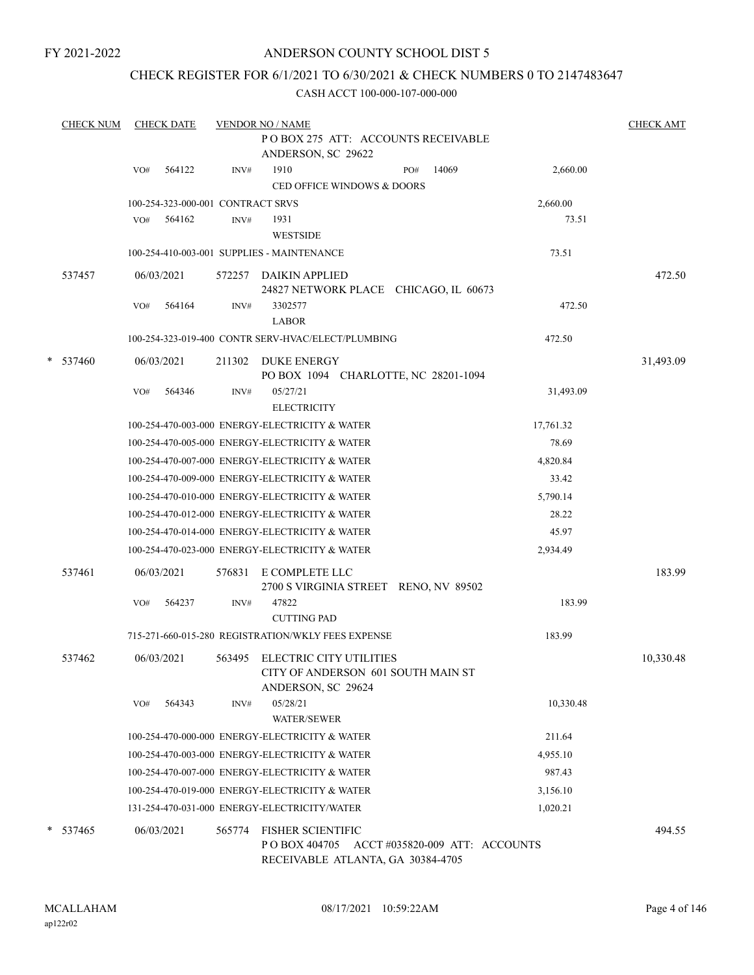# ANDERSON COUNTY SCHOOL DIST 5

# CHECK REGISTER FOR 6/1/2021 TO 6/30/2021 & CHECK NUMBERS 0 TO 2147483647

| <b>CHECK NUM</b> |     | <b>CHECK DATE</b>                 |        | <b>VENDOR NO / NAME</b>                                                                                 |     |       |           | <b>CHECK AMT</b> |
|------------------|-----|-----------------------------------|--------|---------------------------------------------------------------------------------------------------------|-----|-------|-----------|------------------|
|                  |     |                                   |        | POBOX 275 ATT: ACCOUNTS RECEIVABLE<br>ANDERSON, SC 29622                                                |     |       |           |                  |
|                  | VO# | 564122                            | INV#   | 1910<br><b>CED OFFICE WINDOWS &amp; DOORS</b>                                                           | PO# | 14069 | 2,660.00  |                  |
|                  |     | 100-254-323-000-001 CONTRACT SRVS |        |                                                                                                         |     |       | 2,660.00  |                  |
|                  | VO# | 564162                            | INV#   | 1931<br><b>WESTSIDE</b>                                                                                 |     |       | 73.51     |                  |
|                  |     |                                   |        | 100-254-410-003-001 SUPPLIES - MAINTENANCE                                                              |     |       | 73.51     |                  |
| 537457           |     | 06/03/2021                        | 572257 | <b>DAIKIN APPLIED</b><br>24827 NETWORK PLACE CHICAGO, IL 60673                                          |     |       |           | 472.50           |
|                  | VO# | 564164                            | INV#   | 3302577<br><b>LABOR</b>                                                                                 |     |       | 472.50    |                  |
|                  |     |                                   |        | 100-254-323-019-400 CONTR SERV-HVAC/ELECT/PLUMBING                                                      |     |       | 472.50    |                  |
| * 537460         |     | 06/03/2021                        | 211302 | <b>DUKE ENERGY</b><br>PO BOX 1094 CHARLOTTE, NC 28201-1094                                              |     |       |           | 31,493.09        |
|                  | VO# | 564346                            | INV#   | 05/27/21<br><b>ELECTRICITY</b>                                                                          |     |       | 31,493.09 |                  |
|                  |     |                                   |        | 100-254-470-003-000 ENERGY-ELECTRICITY & WATER                                                          |     |       | 17,761.32 |                  |
|                  |     |                                   |        | 100-254-470-005-000 ENERGY-ELECTRICITY & WATER                                                          |     |       | 78.69     |                  |
|                  |     |                                   |        | 100-254-470-007-000 ENERGY-ELECTRICITY & WATER                                                          |     |       | 4,820.84  |                  |
|                  |     |                                   |        | 100-254-470-009-000 ENERGY-ELECTRICITY & WATER                                                          |     |       | 33.42     |                  |
|                  |     |                                   |        | 100-254-470-010-000 ENERGY-ELECTRICITY & WATER                                                          |     |       | 5,790.14  |                  |
|                  |     |                                   |        | 100-254-470-012-000 ENERGY-ELECTRICITY & WATER                                                          |     |       | 28.22     |                  |
|                  |     |                                   |        | 100-254-470-014-000 ENERGY-ELECTRICITY & WATER                                                          |     |       | 45.97     |                  |
|                  |     |                                   |        | 100-254-470-023-000 ENERGY-ELECTRICITY & WATER                                                          |     |       | 2,934.49  |                  |
| 537461           |     | 06/03/2021                        | 576831 | E COMPLETE LLC<br>2700 S VIRGINIA STREET RENO, NV 89502                                                 |     |       |           | 183.99           |
|                  | VO# | 564237                            | INV#   | 47822                                                                                                   |     |       | 183.99    |                  |
|                  |     |                                   |        | <b>CUTTING PAD</b>                                                                                      |     |       |           |                  |
|                  |     |                                   |        | 715-271-660-015-280 REGISTRATION/WKLY FEES EXPENSE                                                      |     |       | 183.99    |                  |
| 537462           |     | 06/03/2021                        |        | 563495 ELECTRIC CITY UTILITIES<br>CITY OF ANDERSON 601 SOUTH MAIN ST<br>ANDERSON, SC 29624              |     |       |           | 10,330.48        |
|                  | VO# | 564343                            | INV#   | 05/28/21<br><b>WATER/SEWER</b>                                                                          |     |       | 10,330.48 |                  |
|                  |     |                                   |        | 100-254-470-000-000 ENERGY-ELECTRICITY & WATER                                                          |     |       | 211.64    |                  |
|                  |     |                                   |        | 100-254-470-003-000 ENERGY-ELECTRICITY & WATER                                                          |     |       | 4,955.10  |                  |
|                  |     |                                   |        | 100-254-470-007-000 ENERGY-ELECTRICITY & WATER                                                          |     |       | 987.43    |                  |
|                  |     |                                   |        | 100-254-470-019-000 ENERGY-ELECTRICITY & WATER                                                          |     |       | 3,156.10  |                  |
|                  |     |                                   |        | 131-254-470-031-000 ENERGY-ELECTRICITY/WATER                                                            |     |       | 1,020.21  |                  |
| * 537465         |     | 06/03/2021                        | 565774 | FISHER SCIENTIFIC<br>P O BOX 404705 ACCT #035820-009 ATT: ACCOUNTS<br>RECEIVABLE ATLANTA, GA 30384-4705 |     |       |           | 494.55           |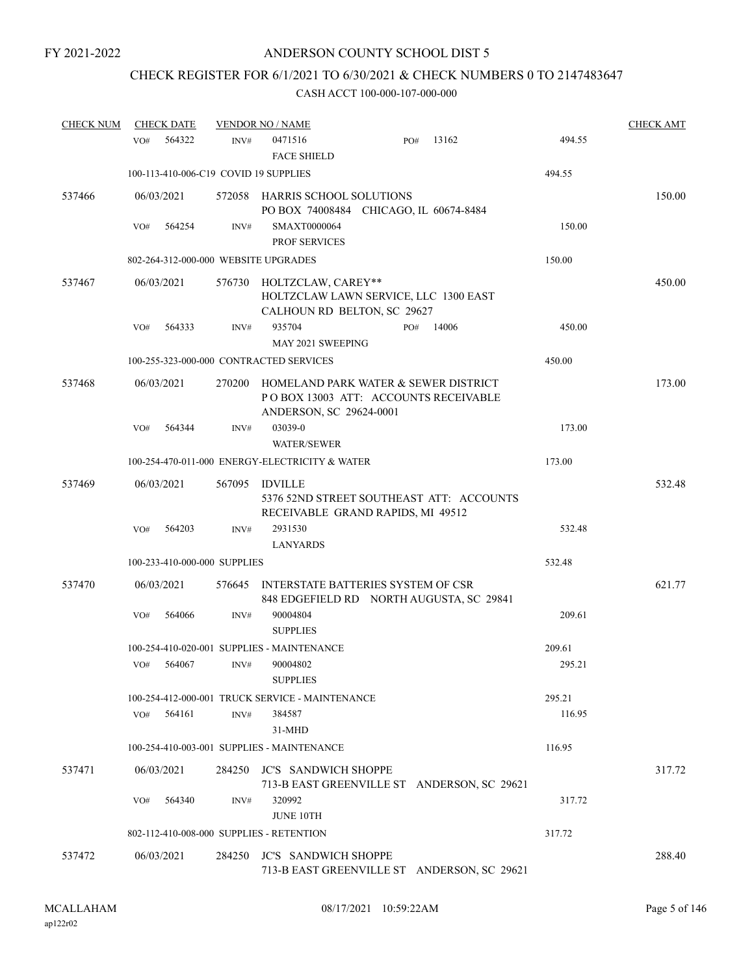# CHECK REGISTER FOR 6/1/2021 TO 6/30/2021 & CHECK NUMBERS 0 TO 2147483647

| <b>CHECK NUM</b> | <b>CHECK DATE</b>                        |        | <b>VENDOR NO / NAME</b>                                                                                 |       |        | <b>CHECK AMT</b> |
|------------------|------------------------------------------|--------|---------------------------------------------------------------------------------------------------------|-------|--------|------------------|
|                  | 564322<br>VO#                            | INV#   | 0471516<br>PO#<br><b>FACE SHIELD</b>                                                                    | 13162 | 494.55 |                  |
|                  | 100-113-410-006-C19 COVID 19 SUPPLIES    |        |                                                                                                         |       | 494.55 |                  |
| 537466           | 06/03/2021                               |        | 572058 HARRIS SCHOOL SOLUTIONS<br>PO BOX 74008484 CHICAGO, IL 60674-8484                                |       |        | 150.00           |
|                  | 564254<br>VO#                            | INV#   | SMAXT0000064<br><b>PROF SERVICES</b>                                                                    |       | 150.00 |                  |
|                  | 802-264-312-000-000 WEBSITE UPGRADES     |        |                                                                                                         |       | 150.00 |                  |
| 537467           | 06/03/2021                               | 576730 | HOLTZCLAW, CAREY**<br>HOLTZCLAW LAWN SERVICE, LLC 1300 EAST<br>CALHOUN RD BELTON, SC 29627              |       |        | 450.00           |
|                  | 564333<br>VO#                            | INV#   | 935704<br>PO#<br>MAY 2021 SWEEPING                                                                      | 14006 | 450.00 |                  |
|                  | 100-255-323-000-000 CONTRACTED SERVICES  |        |                                                                                                         |       | 450.00 |                  |
| 537468           | 06/03/2021                               | 270200 | HOMELAND PARK WATER & SEWER DISTRICT<br>POBOX 13003 ATT: ACCOUNTS RECEIVABLE<br>ANDERSON, SC 29624-0001 |       |        | 173.00           |
|                  | 564344<br>VO#                            | INV#   | 03039-0<br><b>WATER/SEWER</b>                                                                           |       | 173.00 |                  |
|                  |                                          |        | 100-254-470-011-000 ENERGY-ELECTRICITY & WATER                                                          |       | 173.00 |                  |
| 537469           | 06/03/2021                               | 567095 | <b>IDVILLE</b><br>5376 52ND STREET SOUTHEAST ATT: ACCOUNTS<br>RECEIVABLE GRAND RAPIDS, MI 49512         |       |        | 532.48           |
|                  | 564203<br>VO#                            | INV#   | 2931530<br><b>LANYARDS</b>                                                                              |       | 532.48 |                  |
|                  | 100-233-410-000-000 SUPPLIES             |        |                                                                                                         |       | 532.48 |                  |
| 537470           | 06/03/2021                               | 576645 | INTERSTATE BATTERIES SYSTEM OF CSR<br>848 EDGEFIELD RD NORTH AUGUSTA, SC 29841                          |       |        | 621.77           |
|                  | 564066<br>VO#                            | INV#   | 90004804<br><b>SUPPLIES</b>                                                                             |       | 209.61 |                  |
|                  |                                          |        | 100-254-410-020-001 SUPPLIES - MAINTENANCE                                                              |       | 209.61 |                  |
|                  | VO#<br>564067                            | INV#   | 90004802<br><b>SUPPLIES</b>                                                                             |       | 295.21 |                  |
|                  |                                          |        | 100-254-412-000-001 TRUCK SERVICE - MAINTENANCE                                                         |       | 295.21 |                  |
|                  | 564161<br>VO#                            | INV#   | 384587<br>31-MHD                                                                                        |       | 116.95 |                  |
|                  |                                          |        | 100-254-410-003-001 SUPPLIES - MAINTENANCE                                                              |       | 116.95 |                  |
| 537471           | 06/03/2021                               | 284250 | <b>JC'S SANDWICH SHOPPE</b><br>713-B EAST GREENVILLE ST ANDERSON, SC 29621                              |       |        | 317.72           |
|                  | 564340<br>VO#                            | INV#   | 320992<br><b>JUNE 10TH</b>                                                                              |       | 317.72 |                  |
|                  | 802-112-410-008-000 SUPPLIES - RETENTION |        |                                                                                                         |       | 317.72 |                  |
| 537472           | 06/03/2021                               | 284250 | <b>JC'S SANDWICH SHOPPE</b><br>713-B EAST GREENVILLE ST ANDERSON, SC 29621                              |       |        | 288.40           |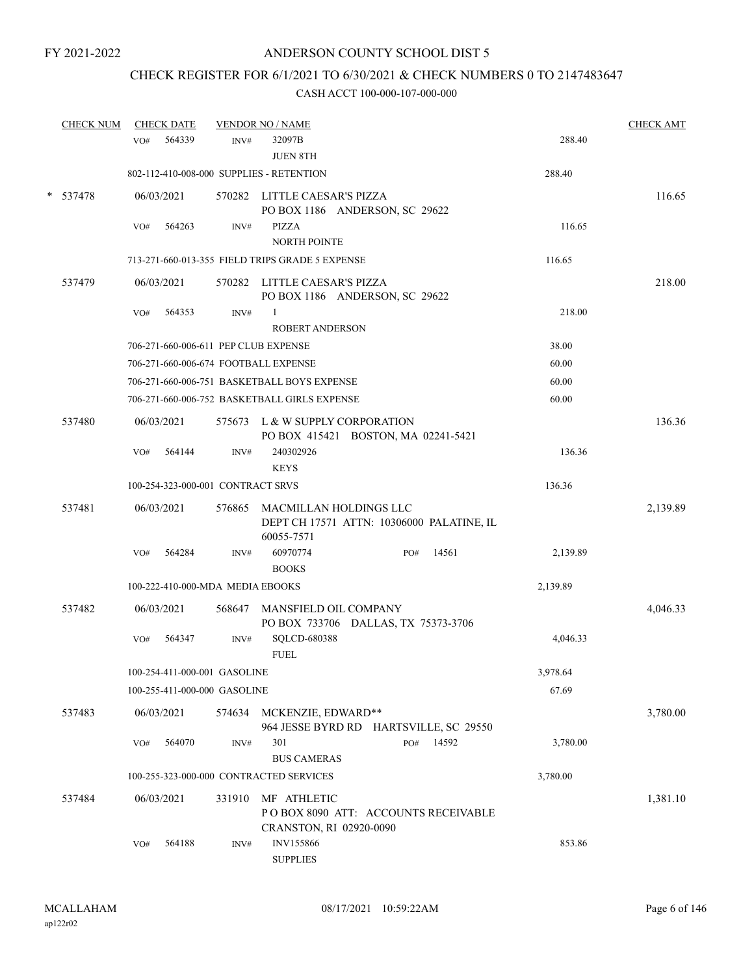# CHECK REGISTER FOR 6/1/2021 TO 6/30/2021 & CHECK NUMBERS 0 TO 2147483647

| <b>CHECK NUM</b> | <b>CHECK DATE</b>                        |        | <b>VENDOR NO / NAME</b>                         |                                           |          | <b>CHECK AMT</b> |
|------------------|------------------------------------------|--------|-------------------------------------------------|-------------------------------------------|----------|------------------|
|                  | 564339<br>VO#                            | INV#   | 32097B<br><b>JUEN 8TH</b>                       |                                           | 288.40   |                  |
|                  | 802-112-410-008-000 SUPPLIES - RETENTION |        |                                                 |                                           | 288.40   |                  |
| * 537478         | 06/03/2021                               |        | 570282 LITTLE CAESAR'S PIZZA                    | PO BOX 1186 ANDERSON, SC 29622            |          | 116.65           |
|                  | 564263<br>VO#                            | INV#   | <b>PIZZA</b><br>NORTH POINTE                    |                                           | 116.65   |                  |
|                  |                                          |        | 713-271-660-013-355 FIELD TRIPS GRADE 5 EXPENSE |                                           | 116.65   |                  |
| 537479           | 06/03/2021                               |        | 570282 LITTLE CAESAR'S PIZZA                    | PO BOX 1186 ANDERSON, SC 29622            |          | 218.00           |
|                  | VO#<br>564353                            | INV#   | 1<br><b>ROBERT ANDERSON</b>                     |                                           | 218.00   |                  |
|                  | 706-271-660-006-611 PEP CLUB EXPENSE     |        |                                                 |                                           | 38.00    |                  |
|                  | 706-271-660-006-674 FOOTBALL EXPENSE     |        |                                                 |                                           | 60.00    |                  |
|                  |                                          |        | 706-271-660-006-751 BASKETBALL BOYS EXPENSE     |                                           | 60.00    |                  |
|                  |                                          |        | 706-271-660-006-752 BASKETBALL GIRLS EXPENSE    |                                           | 60.00    |                  |
| 537480           | 06/03/2021                               |        | 575673 L & W SUPPLY CORPORATION                 | PO BOX 415421 BOSTON, MA 02241-5421       |          | 136.36           |
|                  | 564144<br>VO#                            | INV#   | 240302926<br><b>KEYS</b>                        |                                           | 136.36   |                  |
|                  | 100-254-323-000-001 CONTRACT SRVS        |        |                                                 |                                           | 136.36   |                  |
| 537481           | 06/03/2021                               | 576865 | MACMILLAN HOLDINGS LLC<br>60055-7571            | DEPT CH 17571 ATTN: 10306000 PALATINE, IL |          | 2,139.89         |
|                  | 564284<br>VO#                            | INV#   | 60970774<br><b>BOOKS</b>                        | 14561<br>PO#                              | 2,139.89 |                  |
|                  | 100-222-410-000-MDA MEDIA EBOOKS         |        |                                                 |                                           | 2,139.89 |                  |
| 537482           | 06/03/2021                               | 568647 | MANSFIELD OIL COMPANY                           | PO BOX 733706 DALLAS, TX 75373-3706       |          | 4,046.33         |
|                  | 564347<br>VO#                            | INV#   | SQLCD-680388<br><b>FUEL</b>                     |                                           | 4,046.33 |                  |
|                  | 100-254-411-000-001 GASOLINE             |        |                                                 |                                           | 3,978.64 |                  |
|                  | 100-255-411-000-000 GASOLINE             |        |                                                 |                                           | 67.69    |                  |
| 537483           | 06/03/2021                               | 574634 | MCKENZIE, EDWARD**                              | 964 JESSE BYRD RD HARTSVILLE, SC 29550    |          | 3,780.00         |
|                  | 564070<br>VO#                            | INV#   | 301<br><b>BUS CAMERAS</b>                       | 14592<br>PO#                              | 3,780.00 |                  |
|                  |                                          |        | 100-255-323-000-000 CONTRACTED SERVICES         |                                           | 3,780.00 |                  |
| 537484           | 06/03/2021                               | 331910 | MF ATHLETIC<br>CRANSTON, RI 02920-0090          | POBOX 8090 ATT: ACCOUNTS RECEIVABLE       |          | 1,381.10         |
|                  | 564188<br>VO#                            | INV#   | INV155866<br><b>SUPPLIES</b>                    |                                           | 853.86   |                  |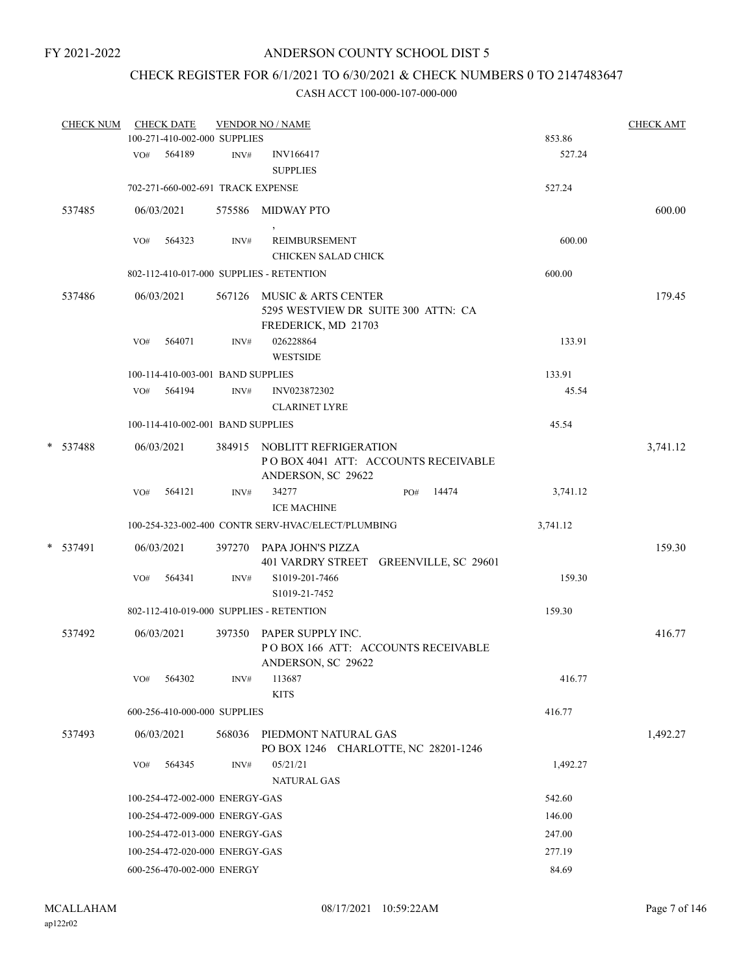# CHECK REGISTER FOR 6/1/2021 TO 6/30/2021 & CHECK NUMBERS 0 TO 2147483647

| <b>CHECK NUM</b> |     | <b>CHECK DATE</b><br>100-271-410-002-000 SUPPLIES |        | <b>VENDOR NO / NAME</b>                                                                  |                                        | <b>CHECK AMT</b><br>853.86 |          |  |
|------------------|-----|---------------------------------------------------|--------|------------------------------------------------------------------------------------------|----------------------------------------|----------------------------|----------|--|
|                  |     | VO# 564189                                        | INV#   | INV166417<br><b>SUPPLIES</b>                                                             |                                        | 527.24                     |          |  |
|                  |     | 702-271-660-002-691 TRACK EXPENSE                 |        |                                                                                          |                                        | 527.24                     |          |  |
| 537485           |     | 06/03/2021                                        |        | 575586 MIDWAY PTO                                                                        |                                        |                            | 600.00   |  |
|                  | VO# | 564323                                            | INV#   | <b>REIMBURSEMENT</b><br><b>CHICKEN SALAD CHICK</b>                                       |                                        | 600.00                     |          |  |
|                  |     |                                                   |        | 802-112-410-017-000 SUPPLIES - RETENTION                                                 |                                        | 600.00                     |          |  |
| 537486           |     | 06/03/2021                                        |        | 567126 MUSIC & ARTS CENTER<br>5295 WESTVIEW DR SUITE 300 ATTN: CA<br>FREDERICK, MD 21703 |                                        |                            | 179.45   |  |
|                  | VO# | 564071                                            | INV#   | 026228864<br><b>WESTSIDE</b>                                                             |                                        | 133.91                     |          |  |
|                  |     | 100-114-410-003-001 BAND SUPPLIES                 |        |                                                                                          |                                        | 133.91                     |          |  |
|                  |     | $VO#$ 564194                                      | INV#   | INV023872302<br><b>CLARINET LYRE</b>                                                     |                                        | 45.54                      |          |  |
|                  |     | 100-114-410-002-001 BAND SUPPLIES                 |        |                                                                                          |                                        | 45.54                      |          |  |
| * 537488         |     | 06/03/2021                                        |        | 384915 NOBLITT REFRIGERATION<br>ANDERSON, SC 29622                                       | POBOX 4041 ATT: ACCOUNTS RECEIVABLE    |                            | 3,741.12 |  |
|                  | VO# | 564121                                            | INV#   | 34277<br><b>ICE MACHINE</b>                                                              | 14474<br>PO#                           | 3,741.12                   |          |  |
|                  |     |                                                   |        | 100-254-323-002-400 CONTR SERV-HVAC/ELECT/PLUMBING                                       |                                        | 3,741.12                   |          |  |
| * 537491         |     | 06/03/2021                                        |        | 397270 PAPA JOHN'S PIZZA                                                                 | 401 VARDRY STREET GREENVILLE, SC 29601 |                            | 159.30   |  |
|                  | VO# | 564341                                            | INV#   | S1019-201-7466<br>S1019-21-7452                                                          |                                        | 159.30                     |          |  |
|                  |     |                                                   |        | 802-112-410-019-000 SUPPLIES - RETENTION                                                 |                                        | 159.30                     |          |  |
| 537492           |     | 06/03/2021                                        |        | 397350 PAPER SUPPLY INC.<br>ANDERSON, SC 29622                                           | POBOX 166 ATT: ACCOUNTS RECEIVABLE     |                            | 416.77   |  |
|                  | VO# | 564302                                            | INV#   | 113687<br><b>KITS</b>                                                                    |                                        | 416.77                     |          |  |
|                  |     | 600-256-410-000-000 SUPPLIES                      |        |                                                                                          |                                        | 416.77                     |          |  |
| 537493           |     | 06/03/2021                                        | 568036 | PIEDMONT NATURAL GAS                                                                     | PO BOX 1246 CHARLOTTE, NC 28201-1246   |                            | 1,492.27 |  |
|                  | VO# | 564345                                            | INV#   | 05/21/21<br>NATURAL GAS                                                                  |                                        | 1,492.27                   |          |  |
|                  |     | 100-254-472-002-000 ENERGY-GAS                    |        |                                                                                          |                                        | 542.60                     |          |  |
|                  |     | 100-254-472-009-000 ENERGY-GAS                    |        |                                                                                          |                                        | 146.00                     |          |  |
|                  |     | 100-254-472-013-000 ENERGY-GAS                    |        |                                                                                          |                                        | 247.00                     |          |  |
|                  |     | 100-254-472-020-000 ENERGY-GAS                    |        |                                                                                          |                                        | 277.19                     |          |  |
|                  |     | 600-256-470-002-000 ENERGY                        |        |                                                                                          |                                        | 84.69                      |          |  |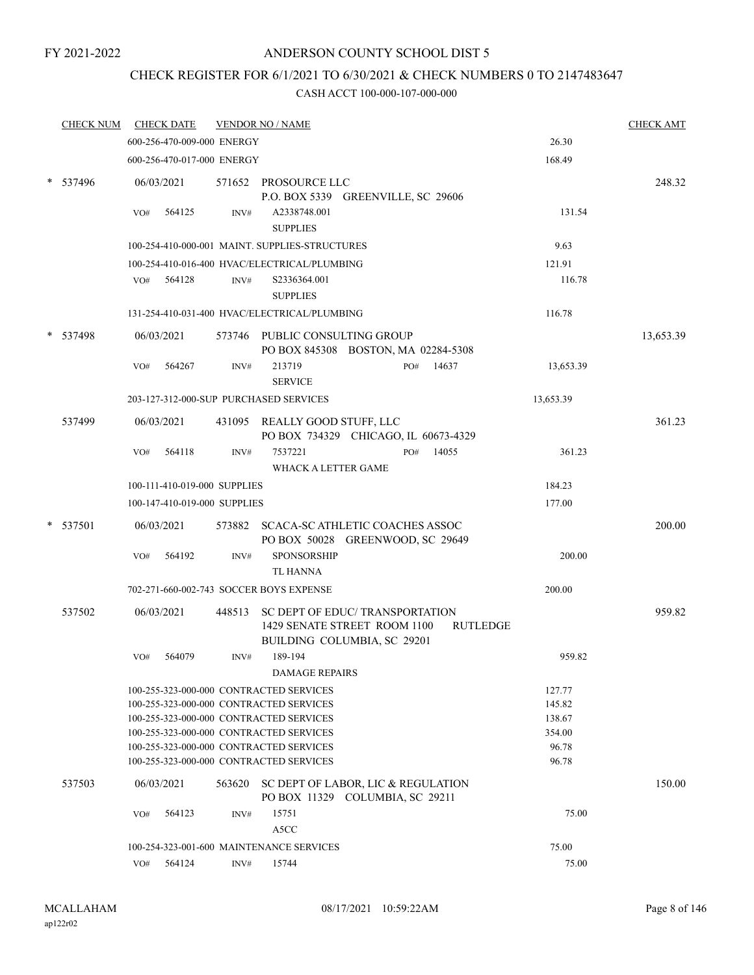# ANDERSON COUNTY SCHOOL DIST 5

# CHECK REGISTER FOR 6/1/2021 TO 6/30/2021 & CHECK NUMBERS 0 TO 2147483647

|   | <b>CHECK NUM</b> |     | <b>CHECK DATE</b>            |        | <b>VENDOR NO / NAME</b>                                                                        |     |                 |                 | <b>CHECK AMT</b> |
|---|------------------|-----|------------------------------|--------|------------------------------------------------------------------------------------------------|-----|-----------------|-----------------|------------------|
|   |                  |     | 600-256-470-009-000 ENERGY   |        |                                                                                                |     |                 | 26.30           |                  |
|   |                  |     | 600-256-470-017-000 ENERGY   |        |                                                                                                |     |                 | 168.49          |                  |
|   | $*$ 537496       |     | 06/03/2021                   |        | 571652 PROSOURCE LLC<br>P.O. BOX 5339 GREENVILLE, SC 29606                                     |     |                 |                 | 248.32           |
|   |                  | VO# | 564125                       | INV#   | A2338748.001<br><b>SUPPLIES</b>                                                                |     |                 | 131.54          |                  |
|   |                  |     |                              |        | 100-254-410-000-001 MAINT, SUPPLIES-STRUCTURES                                                 |     |                 | 9.63            |                  |
|   |                  |     |                              |        | 100-254-410-016-400 HVAC/ELECTRICAL/PLUMBING                                                   |     |                 | 121.91          |                  |
|   |                  |     | VO# 564128                   | INV#   | S2336364.001<br><b>SUPPLIES</b>                                                                |     |                 | 116.78          |                  |
|   |                  |     |                              |        | 131-254-410-031-400 HVAC/ELECTRICAL/PLUMBING                                                   |     |                 | 116.78          |                  |
| * | 537498           |     | 06/03/2021                   |        | 573746 PUBLIC CONSULTING GROUP<br>PO BOX 845308 BOSTON, MA 02284-5308                          |     |                 |                 | 13,653.39        |
|   |                  | VO# | 564267                       | INV#   | 213719<br><b>SERVICE</b>                                                                       | PO# | 14637           | 13,653.39       |                  |
|   |                  |     |                              |        | 203-127-312-000-SUP PURCHASED SERVICES                                                         |     |                 | 13,653.39       |                  |
|   | 537499           |     | 06/03/2021                   |        | 431095 REALLY GOOD STUFF, LLC<br>PO BOX 734329 CHICAGO, IL 60673-4329                          |     |                 |                 | 361.23           |
|   |                  | VO# | 564118                       | INV#   | 7537221<br><b>WHACK A LETTER GAME</b>                                                          | PO# | 14055           | 361.23          |                  |
|   |                  |     | 100-111-410-019-000 SUPPLIES |        |                                                                                                |     |                 | 184.23          |                  |
|   |                  |     | 100-147-410-019-000 SUPPLIES |        |                                                                                                |     |                 | 177.00          |                  |
|   | 537501           |     | 06/03/2021                   |        | 573882 SCACA-SC ATHLETIC COACHES ASSOC<br>PO BOX 50028 GREENWOOD, SC 29649                     |     |                 |                 | 200.00           |
|   |                  | VO# | 564192                       | INV#   | <b>SPONSORSHIP</b><br><b>TL HANNA</b>                                                          |     |                 | 200.00          |                  |
|   |                  |     |                              |        | 702-271-660-002-743 SOCCER BOYS EXPENSE                                                        |     |                 | 200.00          |                  |
|   | 537502           |     | 06/03/2021                   | 448513 | SC DEPT OF EDUC/ TRANSPORTATION<br>1429 SENATE STREET ROOM 1100<br>BUILDING COLUMBIA, SC 29201 |     | <b>RUTLEDGE</b> |                 | 959.82           |
|   |                  | VO# | 564079                       | INV#   | 189-194<br><b>DAMAGE REPAIRS</b>                                                               |     |                 | 959.82          |                  |
|   |                  |     |                              |        | 100-255-323-000-000 CONTRACTED SERVICES                                                        |     |                 | 127.77          |                  |
|   |                  |     |                              |        | 100-255-323-000-000 CONTRACTED SERVICES                                                        |     |                 | 145.82          |                  |
|   |                  |     |                              |        | 100-255-323-000-000 CONTRACTED SERVICES                                                        |     |                 | 138.67          |                  |
|   |                  |     |                              |        | 100-255-323-000-000 CONTRACTED SERVICES<br>100-255-323-000-000 CONTRACTED SERVICES             |     |                 | 354.00<br>96.78 |                  |
|   |                  |     |                              |        | 100-255-323-000-000 CONTRACTED SERVICES                                                        |     |                 | 96.78           |                  |
|   | 537503           |     | 06/03/2021                   | 563620 | SC DEPT OF LABOR, LIC & REGULATION<br>PO BOX 11329 COLUMBIA, SC 29211                          |     |                 |                 | 150.00           |
|   |                  | VO# | 564123                       | INV#   | 15751<br>A5CC                                                                                  |     |                 | 75.00           |                  |
|   |                  |     |                              |        | 100-254-323-001-600 MAINTENANCE SERVICES                                                       |     |                 | 75.00           |                  |
|   |                  | VO# | 564124                       | INV#   | 15744                                                                                          |     |                 | 75.00           |                  |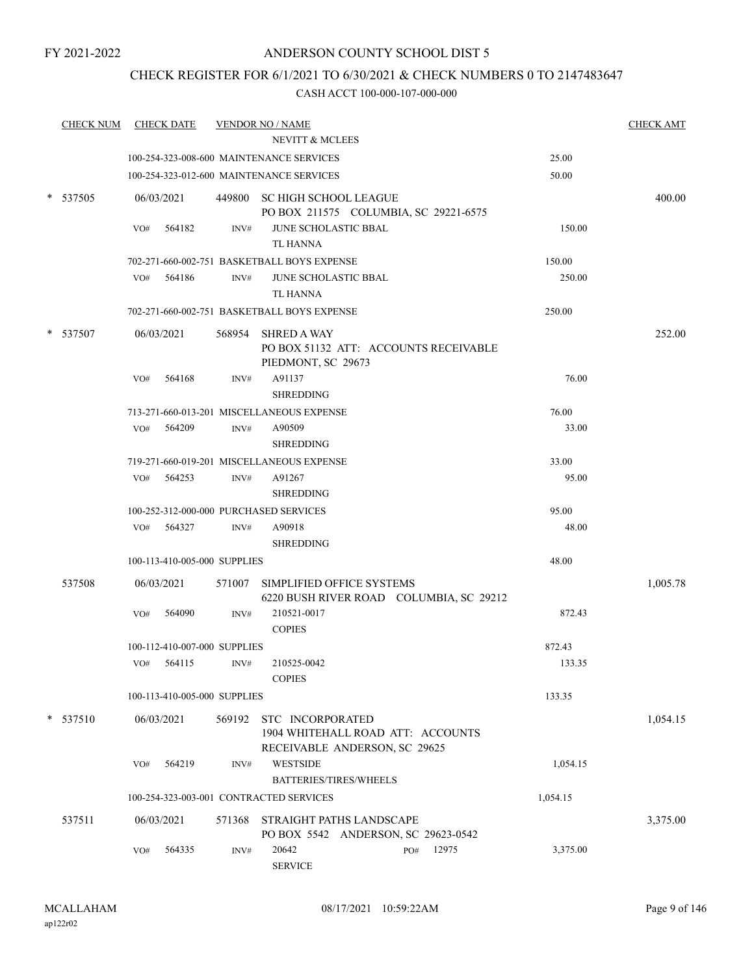# CHECK REGISTER FOR 6/1/2021 TO 6/30/2021 & CHECK NUMBERS 0 TO 2147483647

| <b>CHECK NUM</b> |     | <b>CHECK DATE</b>            |                | <b>VENDOR NO / NAME</b>                                                                |          | <b>CHECK AMT</b> |
|------------------|-----|------------------------------|----------------|----------------------------------------------------------------------------------------|----------|------------------|
|                  |     |                              |                | NEVITT & MCLEES                                                                        |          |                  |
|                  |     |                              |                | 100-254-323-008-600 MAINTENANCE SERVICES                                               | 25.00    |                  |
|                  |     |                              |                | 100-254-323-012-600 MAINTENANCE SERVICES                                               | 50.00    |                  |
| * 537505         |     | 06/03/2021                   |                | 449800 SC HIGH SCHOOL LEAGUE<br>PO BOX 211575 COLUMBIA, SC 29221-6575                  |          | 400.00           |
|                  | VO# | 564182                       | INV#           | JUNE SCHOLASTIC BBAL<br>TL HANNA                                                       | 150.00   |                  |
|                  |     |                              |                | 702-271-660-002-751 BASKETBALL BOYS EXPENSE                                            | 150.00   |                  |
|                  | VO# | 564186                       | $\text{INV}\#$ | JUNE SCHOLASTIC BBAL                                                                   | 250.00   |                  |
|                  |     |                              |                | <b>TL HANNA</b>                                                                        |          |                  |
|                  |     |                              |                | 702-271-660-002-751 BASKETBALL BOYS EXPENSE                                            | 250.00   |                  |
| 537507           |     | 06/03/2021                   |                | 568954 SHRED A WAY<br>PO BOX 51132 ATT: ACCOUNTS RECEIVABLE<br>PIEDMONT, SC 29673      |          | 252.00           |
|                  | VO# | 564168                       | INV#           | A91137<br><b>SHREDDING</b>                                                             | 76.00    |                  |
|                  |     |                              |                | 713-271-660-013-201 MISCELLANEOUS EXPENSE                                              | 76.00    |                  |
|                  |     | VO# 564209                   | INV#           | A90509<br><b>SHREDDING</b>                                                             | 33.00    |                  |
|                  |     |                              |                | 719-271-660-019-201 MISCELLANEOUS EXPENSE                                              | 33.00    |                  |
|                  |     | $VO#$ 564253                 | INV#           | A91267<br><b>SHREDDING</b>                                                             | 95.00    |                  |
|                  |     |                              |                | 100-252-312-000-000 PURCHASED SERVICES                                                 | 95.00    |                  |
|                  |     | VO# 564327                   | INV#           | A90918<br><b>SHREDDING</b>                                                             | 48.00    |                  |
|                  |     | 100-113-410-005-000 SUPPLIES |                |                                                                                        | 48.00    |                  |
|                  |     |                              |                |                                                                                        |          |                  |
| 537508           |     | 06/03/2021                   | 571007         | SIMPLIFIED OFFICE SYSTEMS<br>6220 BUSH RIVER ROAD COLUMBIA, SC 29212                   |          | 1,005.78         |
|                  | VO# | 564090                       | INV#           | 210521-0017<br><b>COPIES</b>                                                           | 872.43   |                  |
|                  |     | 100-112-410-007-000 SUPPLIES |                |                                                                                        | 872.43   |                  |
|                  |     | VO# 564115                   | INV#           | 210525-0042<br><b>COPIES</b>                                                           | 133.35   |                  |
|                  |     | 100-113-410-005-000 SUPPLIES |                |                                                                                        | 133.35   |                  |
| $*$ 537510       |     | 06/03/2021                   | 569192         | STC INCORPORATED<br>1904 WHITEHALL ROAD ATT: ACCOUNTS<br>RECEIVABLE ANDERSON, SC 29625 |          | 1,054.15         |
|                  | VO# | 564219                       | INV#           | <b>WESTSIDE</b><br><b>BATTERIES/TIRES/WHEELS</b>                                       | 1,054.15 |                  |
|                  |     |                              |                | 100-254-323-003-001 CONTRACTED SERVICES                                                | 1,054.15 |                  |
| 537511           |     | 06/03/2021                   | 571368         | STRAIGHT PATHS LANDSCAPE<br>PO BOX 5542 ANDERSON, SC 29623-0542                        |          | 3,375.00         |
|                  | VO# | 564335                       | INV#           | 20642<br>12975<br>PO#<br><b>SERVICE</b>                                                | 3,375.00 |                  |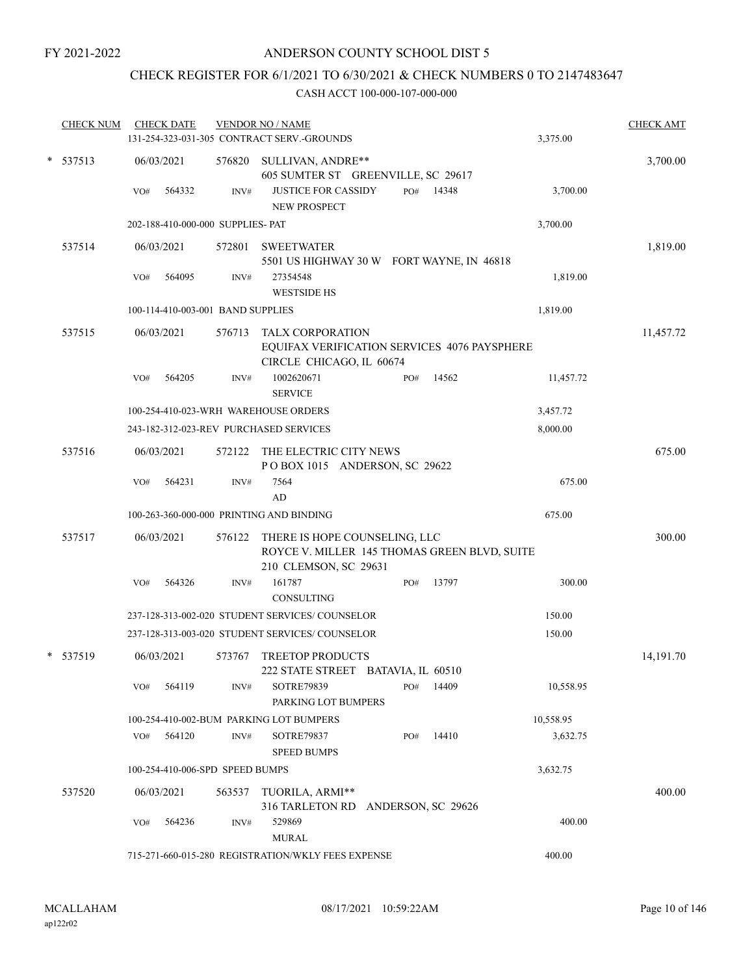# CHECK REGISTER FOR 6/1/2021 TO 6/30/2021 & CHECK NUMBERS 0 TO 2147483647

|        | <b>CHECK NUM</b> |     | <b>CHECK DATE</b> |                                   | <b>VENDOR NO / NAME</b><br>131-254-323-031-305 CONTRACT SERV.-GROUNDS                                  |     |       | 3,375.00  | <b>CHECK AMT</b> |
|--------|------------------|-----|-------------------|-----------------------------------|--------------------------------------------------------------------------------------------------------|-----|-------|-----------|------------------|
| $\ast$ | 537513           |     | 06/03/2021        | 576820                            | SULLIVAN, ANDRE**<br>605 SUMTER ST GREENVILLE, SC 29617                                                |     |       |           | 3,700.00         |
|        |                  | VO# | 564332            | INV#                              | <b>JUSTICE FOR CASSIDY</b><br><b>NEW PROSPECT</b>                                                      | PO# | 14348 | 3,700.00  |                  |
|        |                  |     |                   | 202-188-410-000-000 SUPPLIES- PAT |                                                                                                        |     |       | 3,700.00  |                  |
|        | 537514           |     | 06/03/2021        | 572801                            | <b>SWEETWATER</b><br>5501 US HIGHWAY 30 W FORT WAYNE, IN 46818                                         |     |       |           | 1,819.00         |
|        |                  | VO# | 564095            | INV#                              | 27354548<br><b>WESTSIDE HS</b>                                                                         |     |       | 1,819.00  |                  |
|        |                  |     |                   | 100-114-410-003-001 BAND SUPPLIES |                                                                                                        |     |       | 1,819.00  |                  |
|        | 537515           |     | 06/03/2021        | 576713                            | <b>TALX CORPORATION</b><br>EQUIFAX VERIFICATION SERVICES 4076 PAYSPHERE<br>CIRCLE CHICAGO, IL 60674    |     |       |           | 11,457.72        |
|        |                  | VO# | 564205            | INV#                              | 1002620671<br><b>SERVICE</b>                                                                           | PO# | 14562 | 11,457.72 |                  |
|        |                  |     |                   |                                   | 100-254-410-023-WRH WAREHOUSE ORDERS                                                                   |     |       | 3,457.72  |                  |
|        |                  |     |                   |                                   | 243-182-312-023-REV PURCHASED SERVICES                                                                 |     |       | 8,000.00  |                  |
|        | 537516           |     | 06/03/2021        | 572122                            | THE ELECTRIC CITY NEWS<br>POBOX 1015 ANDERSON, SC 29622                                                |     |       |           | 675.00           |
|        |                  | VO# | 564231            | INV#                              | 7564<br>AD                                                                                             |     |       | 675.00    |                  |
|        |                  |     |                   |                                   | 100-263-360-000-000 PRINTING AND BINDING                                                               |     |       | 675.00    |                  |
|        | 537517           |     | 06/03/2021        | 576122                            | THERE IS HOPE COUNSELING, LLC<br>ROYCE V. MILLER 145 THOMAS GREEN BLVD, SUITE<br>210 CLEMSON, SC 29631 |     |       |           | 300.00           |
|        |                  | VO# | 564326            | INV#                              | 161787<br>CONSULTING                                                                                   | PO# | 13797 | 300.00    |                  |
|        |                  |     |                   |                                   | 237-128-313-002-020 STUDENT SERVICES/ COUNSELOR                                                        |     |       | 150.00    |                  |
|        |                  |     |                   |                                   | 237-128-313-003-020 STUDENT SERVICES/ COUNSELOR                                                        |     |       | 150.00    |                  |
|        | * 537519         |     | 06/03/2021        | 573767                            | <b>TREETOP PRODUCTS</b><br>222 STATE STREET BATAVIA, IL 60510                                          |     |       |           | 14,191.70        |
|        |                  | VO# | 564119            | INV#                              | SOTRE79839<br>PARKING LOT BUMPERS                                                                      | PO# | 14409 | 10,558.95 |                  |
|        |                  |     |                   |                                   | 100-254-410-002-BUM PARKING LOT BUMPERS                                                                |     |       | 10,558.95 |                  |
|        |                  |     | VO# 564120        | INV#                              | SOTRE79837<br><b>SPEED BUMPS</b>                                                                       | PO# | 14410 | 3,632.75  |                  |
|        |                  |     |                   | 100-254-410-006-SPD SPEED BUMPS   |                                                                                                        |     |       | 3,632.75  |                  |
|        | 537520           |     | 06/03/2021        | 563537                            | TUORILA, ARMI**<br>316 TARLETON RD ANDERSON, SC 29626                                                  |     |       |           | 400.00           |
|        |                  | VO# | 564236            | INV#                              | 529869<br><b>MURAL</b>                                                                                 |     |       | 400.00    |                  |
|        |                  |     |                   |                                   | 715-271-660-015-280 REGISTRATION/WKLY FEES EXPENSE                                                     |     |       | 400.00    |                  |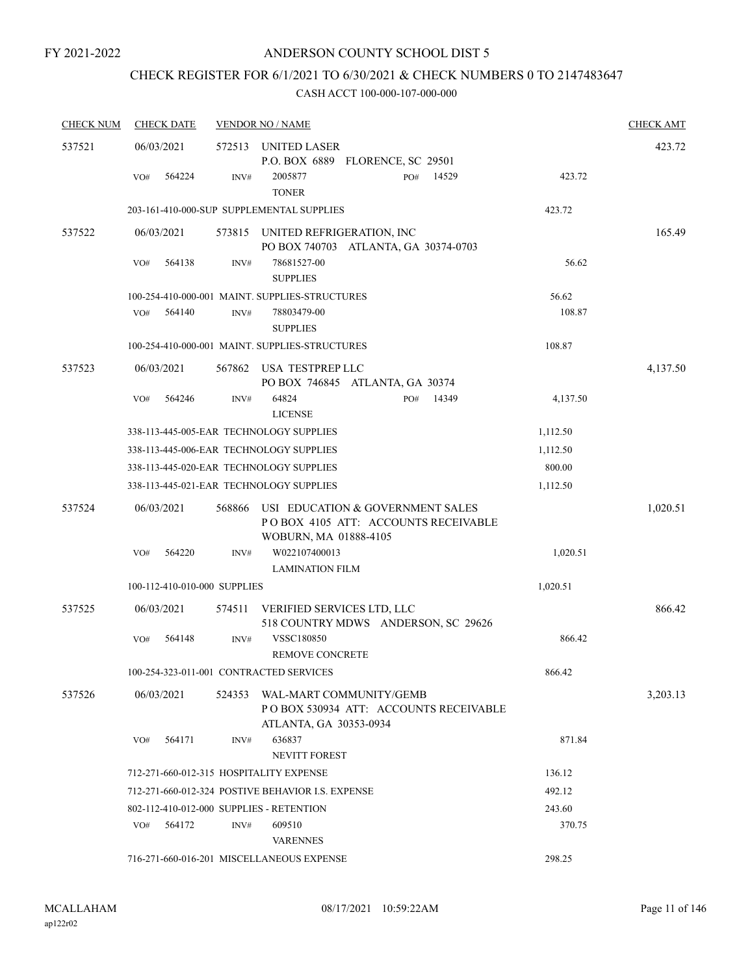# CHECK REGISTER FOR 6/1/2021 TO 6/30/2021 & CHECK NUMBERS 0 TO 2147483647

| <b>CHECK NUM</b> | <b>CHECK DATE</b>                        |        | <b>VENDOR NO / NAME</b>                                                                          |     |       |          | <b>CHECK AMT</b> |
|------------------|------------------------------------------|--------|--------------------------------------------------------------------------------------------------|-----|-------|----------|------------------|
| 537521           | 06/03/2021                               |        | 572513 UNITED LASER                                                                              |     |       |          | 423.72           |
|                  |                                          |        | P.O. BOX 6889 FLORENCE, SC 29501                                                                 |     |       |          |                  |
|                  | 564224<br>VO#                            | INV#   | 2005877<br><b>TONER</b>                                                                          | PO# | 14529 | 423.72   |                  |
|                  |                                          |        | 203-161-410-000-SUP SUPPLEMENTAL SUPPLIES                                                        |     |       | 423.72   |                  |
| 537522           | 06/03/2021                               |        | 573815 UNITED REFRIGERATION, INC                                                                 |     |       |          | 165.49           |
|                  |                                          |        | PO BOX 740703 ATLANTA, GA 30374-0703                                                             |     |       |          |                  |
|                  | 564138<br>VO#                            | INV#   | 78681527-00<br><b>SUPPLIES</b>                                                                   |     |       | 56.62    |                  |
|                  |                                          |        | 100-254-410-000-001 MAINT. SUPPLIES-STRUCTURES                                                   |     |       | 56.62    |                  |
|                  | VO#<br>564140                            | INV#   | 78803479-00<br><b>SUPPLIES</b>                                                                   |     |       | 108.87   |                  |
|                  |                                          |        | 100-254-410-000-001 MAINT. SUPPLIES-STRUCTURES                                                   |     |       | 108.87   |                  |
| 537523           | 06/03/2021                               | 567862 | USA TESTPREP LLC<br>PO BOX 746845 ATLANTA, GA 30374                                              |     |       |          | 4,137.50         |
|                  | 564246<br>VO#                            | INV#   | 64824<br><b>LICENSE</b>                                                                          | PO# | 14349 | 4,137.50 |                  |
|                  |                                          |        | 338-113-445-005-EAR TECHNOLOGY SUPPLIES                                                          |     |       | 1,112.50 |                  |
|                  |                                          |        | 338-113-445-006-EAR TECHNOLOGY SUPPLIES                                                          |     |       | 1,112.50 |                  |
|                  |                                          |        | 338-113-445-020-EAR TECHNOLOGY SUPPLIES                                                          |     |       | 800.00   |                  |
|                  |                                          |        | 338-113-445-021-EAR TECHNOLOGY SUPPLIES                                                          |     |       | 1,112.50 |                  |
| 537524           | 06/03/2021                               | 568866 | USI EDUCATION & GOVERNMENT SALES<br>POBOX 4105 ATT: ACCOUNTS RECEIVABLE<br>WOBURN, MA 01888-4105 |     |       |          | 1,020.51         |
|                  | VO#<br>564220                            | INV#   | W022107400013                                                                                    |     |       | 1,020.51 |                  |
|                  |                                          |        | <b>LAMINATION FILM</b>                                                                           |     |       |          |                  |
|                  | 100-112-410-010-000 SUPPLIES             |        |                                                                                                  |     |       | 1,020.51 |                  |
| 537525           | 06/03/2021                               | 574511 | VERIFIED SERVICES LTD, LLC<br>518 COUNTRY MDWS ANDERSON, SC 29626                                |     |       |          | 866.42           |
|                  | 564148<br>VO#                            | INV#   | <b>VSSC180850</b><br><b>REMOVE CONCRETE</b>                                                      |     |       | 866.42   |                  |
|                  | 100-254-323-011-001 CONTRACTED SERVICES  |        |                                                                                                  |     |       | 866.42   |                  |
| 537526           | 06/03/2021                               | 524353 | WAL-MART COMMUNITY/GEMB<br>PO BOX 530934 ATT: ACCOUNTS RECEIVABLE<br>ATLANTA, GA 30353-0934      |     |       |          | 3,203.13         |
|                  | 564171<br>VO#                            | INV#   | 636837                                                                                           |     |       | 871.84   |                  |
|                  |                                          |        | NEVITT FOREST                                                                                    |     |       |          |                  |
|                  | 712-271-660-012-315 HOSPITALITY EXPENSE  |        |                                                                                                  |     |       | 136.12   |                  |
|                  |                                          |        | 712-271-660-012-324 POSTIVE BEHAVIOR I.S. EXPENSE                                                |     |       | 492.12   |                  |
|                  | 802-112-410-012-000 SUPPLIES - RETENTION |        |                                                                                                  |     |       | 243.60   |                  |
|                  | 564172<br>VO#                            | INV#   | 609510<br><b>VARENNES</b>                                                                        |     |       | 370.75   |                  |
|                  |                                          |        | 716-271-660-016-201 MISCELLANEOUS EXPENSE                                                        |     |       | 298.25   |                  |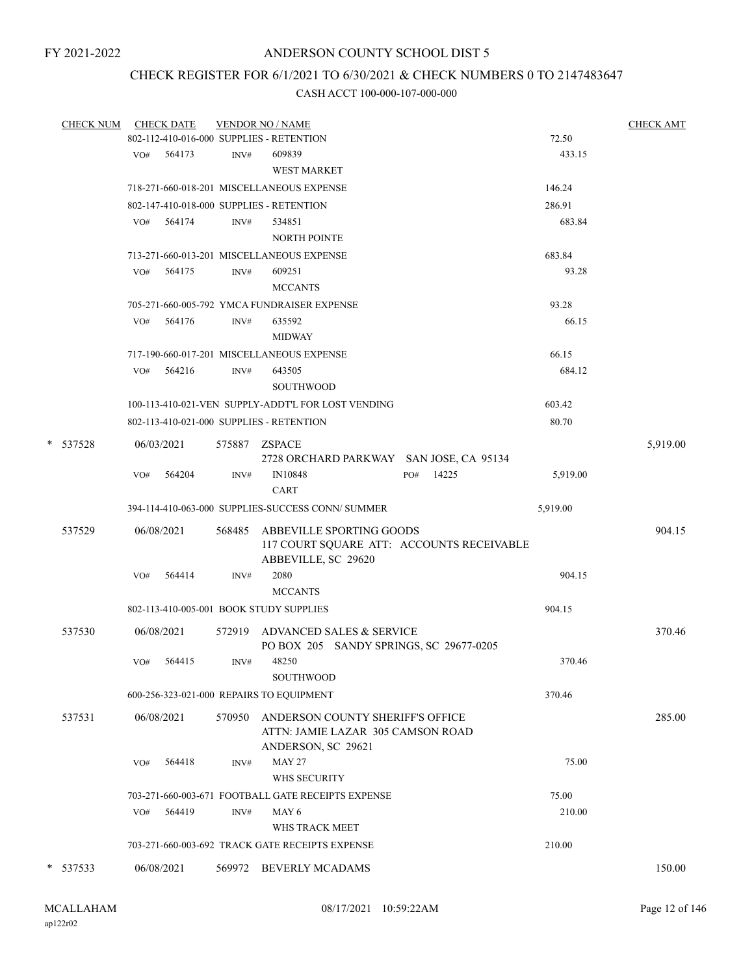# CHECK REGISTER FOR 6/1/2021 TO 6/30/2021 & CHECK NUMBERS 0 TO 2147483647

|   | <b>CHECK NUM</b> |     | <b>CHECK DATE</b> |               | <b>VENDOR NO / NAME</b>                            |     |       |          | <b>CHECK AMT</b> |
|---|------------------|-----|-------------------|---------------|----------------------------------------------------|-----|-------|----------|------------------|
|   |                  |     |                   |               | 802-112-410-016-000 SUPPLIES - RETENTION           |     |       | 72.50    |                  |
|   |                  |     | VO# 564173        | INV#          | 609839                                             |     |       | 433.15   |                  |
|   |                  |     |                   |               | <b>WEST MARKET</b>                                 |     |       |          |                  |
|   |                  |     |                   |               | 718-271-660-018-201 MISCELLANEOUS EXPENSE          |     |       | 146.24   |                  |
|   |                  |     |                   |               | 802-147-410-018-000 SUPPLIES - RETENTION           |     |       | 286.91   |                  |
|   |                  | VO# | 564174            | INV#          | 534851                                             |     |       | 683.84   |                  |
|   |                  |     |                   |               | <b>NORTH POINTE</b>                                |     |       |          |                  |
|   |                  |     |                   |               | 713-271-660-013-201 MISCELLANEOUS EXPENSE          |     |       | 683.84   |                  |
|   |                  | VO# | 564175            | INV#          | 609251                                             |     |       | 93.28    |                  |
|   |                  |     |                   |               | <b>MCCANTS</b>                                     |     |       |          |                  |
|   |                  |     |                   |               | 705-271-660-005-792 YMCA FUNDRAISER EXPENSE        |     |       | 93.28    |                  |
|   |                  | VO# | 564176            | INV#          | 635592                                             |     |       | 66.15    |                  |
|   |                  |     |                   |               | <b>MIDWAY</b>                                      |     |       |          |                  |
|   |                  |     |                   |               | 717-190-660-017-201 MISCELLANEOUS EXPENSE          |     |       | 66.15    |                  |
|   |                  | VO# | 564216            | INV#          | 643505                                             |     |       | 684.12   |                  |
|   |                  |     |                   |               | <b>SOUTHWOOD</b>                                   |     |       |          |                  |
|   |                  |     |                   |               | 100-113-410-021-VEN SUPPLY-ADDT'L FOR LOST VENDING |     |       | 603.42   |                  |
|   |                  |     |                   |               | 802-113-410-021-000 SUPPLIES - RETENTION           |     |       | 80.70    |                  |
| * | 537528           |     | 06/03/2021        | 575887 ZSPACE |                                                    |     |       |          | 5,919.00         |
|   |                  |     |                   |               | 2728 ORCHARD PARKWAY SAN JOSE, CA 95134            |     |       |          |                  |
|   |                  | VO# | 564204            | INV#          | IN10848                                            | PO# | 14225 | 5,919.00 |                  |
|   |                  |     |                   |               | <b>CART</b>                                        |     |       |          |                  |
|   |                  |     |                   |               | 394-114-410-063-000 SUPPLIES-SUCCESS CONN/ SUMMER  |     |       | 5,919.00 |                  |
|   | 537529           |     | 06/08/2021        | 568485        | ABBEVILLE SPORTING GOODS                           |     |       |          | 904.15           |
|   |                  |     |                   |               | 117 COURT SQUARE ATT: ACCOUNTS RECEIVABLE          |     |       |          |                  |
|   |                  |     |                   |               | ABBEVILLE, SC 29620                                |     |       |          |                  |
|   |                  | VO# | 564414            | INV#          | 2080                                               |     |       | 904.15   |                  |
|   |                  |     |                   |               | <b>MCCANTS</b>                                     |     |       |          |                  |
|   |                  |     |                   |               | 802-113-410-005-001 BOOK STUDY SUPPLIES            |     |       | 904.15   |                  |
|   | 537530           |     | 06/08/2021        |               | 572919 ADVANCED SALES & SERVICE                    |     |       |          | 370.46           |
|   |                  |     |                   |               | PO BOX 205 SANDY SPRINGS, SC 29677-0205            |     |       |          |                  |
|   |                  | VO# | 564415            | INV#          | 48250                                              |     |       | 370.46   |                  |
|   |                  |     |                   |               | SOUTHWOOD                                          |     |       |          |                  |
|   |                  |     |                   |               | 600-256-323-021-000 REPAIRS TO EQUIPMENT           |     |       | 370.46   |                  |
|   | 537531           |     | 06/08/2021        | 570950        | ANDERSON COUNTY SHERIFF'S OFFICE                   |     |       |          | 285.00           |
|   |                  |     |                   |               | ATTN: JAMIE LAZAR 305 CAMSON ROAD                  |     |       |          |                  |
|   |                  |     |                   |               | ANDERSON, SC 29621                                 |     |       |          |                  |
|   |                  | VO# | 564418            | INV#          | <b>MAY 27</b>                                      |     |       | 75.00    |                  |
|   |                  |     |                   |               | WHS SECURITY                                       |     |       |          |                  |
|   |                  |     |                   |               | 703-271-660-003-671 FOOTBALL GATE RECEIPTS EXPENSE |     |       | 75.00    |                  |
|   |                  | VO# | 564419            | INV#          | MAY 6                                              |     |       | 210.00   |                  |
|   |                  |     |                   |               | WHS TRACK MEET                                     |     |       |          |                  |
|   |                  |     |                   |               | 703-271-660-003-692 TRACK GATE RECEIPTS EXPENSE    |     |       | 210.00   |                  |
|   | * 537533         |     | 06/08/2021        |               | 569972 BEVERLY MCADAMS                             |     |       |          | 150.00           |
|   |                  |     |                   |               |                                                    |     |       |          |                  |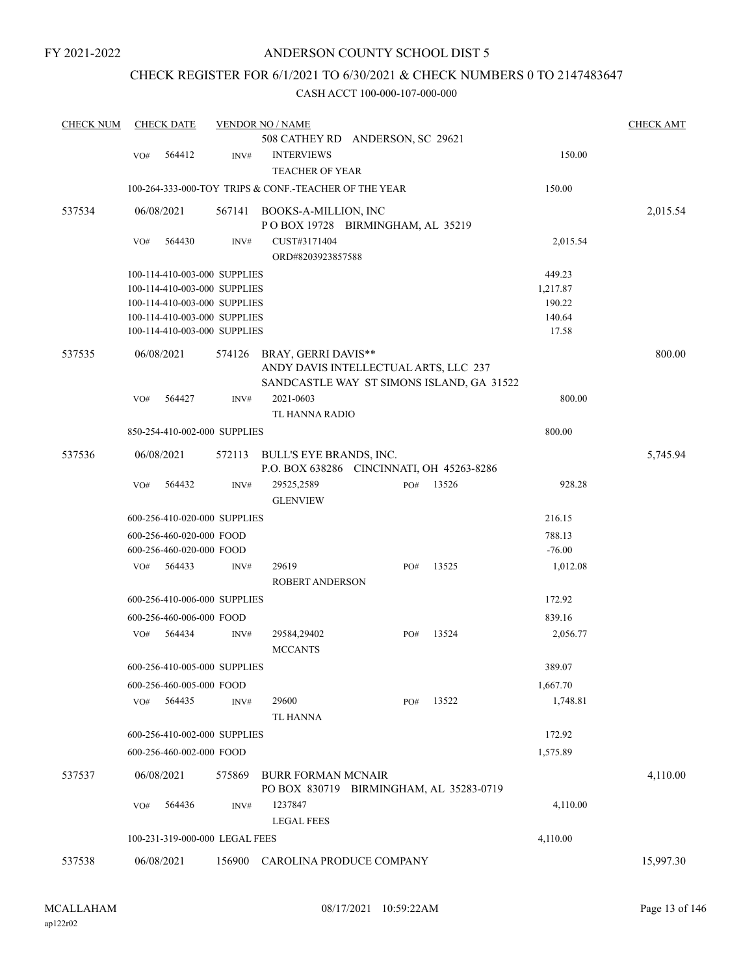# ANDERSON COUNTY SCHOOL DIST 5

# CHECK REGISTER FOR 6/1/2021 TO 6/30/2021 & CHECK NUMBERS 0 TO 2147483647

| <b>CHECK NUM</b> |     | <b>CHECK DATE</b>              |                | <b>VENDOR NO / NAME</b>                                              |     |       |          | <b>CHECK AMT</b> |
|------------------|-----|--------------------------------|----------------|----------------------------------------------------------------------|-----|-------|----------|------------------|
|                  |     |                                |                | 508 CATHEY RD ANDERSON, SC 29621                                     |     |       |          |                  |
|                  | VO# | 564412                         | INV#           | <b>INTERVIEWS</b>                                                    |     |       | 150.00   |                  |
|                  |     |                                |                | <b>TEACHER OF YEAR</b>                                               |     |       |          |                  |
|                  |     |                                |                | 100-264-333-000-TOY TRIPS & CONF.-TEACHER OF THE YEAR                |     |       | 150.00   |                  |
| 537534           |     | 06/08/2021                     | 567141         | BOOKS-A-MILLION, INC                                                 |     |       |          | 2,015.54         |
|                  |     |                                |                | POBOX 19728 BIRMINGHAM, AL 35219                                     |     |       |          |                  |
|                  | VO# | 564430                         | INV#           | CUST#3171404                                                         |     |       | 2,015.54 |                  |
|                  |     |                                |                | ORD#8203923857588                                                    |     |       |          |                  |
|                  |     | 100-114-410-003-000 SUPPLIES   |                |                                                                      |     |       | 449.23   |                  |
|                  |     | 100-114-410-003-000 SUPPLIES   |                |                                                                      |     |       | 1,217.87 |                  |
|                  |     | 100-114-410-003-000 SUPPLIES   |                |                                                                      |     |       | 190.22   |                  |
|                  |     | 100-114-410-003-000 SUPPLIES   |                |                                                                      |     |       | 140.64   |                  |
|                  |     | 100-114-410-003-000 SUPPLIES   |                |                                                                      |     |       | 17.58    |                  |
| 537535           |     | 06/08/2021                     | 574126         | BRAY, GERRI DAVIS**                                                  |     |       |          | 800.00           |
|                  |     |                                |                | ANDY DAVIS INTELLECTUAL ARTS, LLC 237                                |     |       |          |                  |
|                  |     |                                |                | SANDCASTLE WAY ST SIMONS ISLAND, GA 31522                            |     |       |          |                  |
|                  | VO# | 564427                         | INV#           | 2021-0603                                                            |     |       | 800.00   |                  |
|                  |     |                                |                | TL HANNA RADIO                                                       |     |       |          |                  |
|                  |     | 850-254-410-002-000 SUPPLIES   |                |                                                                      |     |       | 800.00   |                  |
|                  |     |                                |                |                                                                      |     |       |          |                  |
| 537536           |     | 06/08/2021                     | 572113         | BULL'S EYE BRANDS, INC.<br>P.O. BOX 638286 CINCINNATI, OH 45263-8286 |     |       |          | 5,745.94         |
|                  | VO# | 564432                         | $\text{INV}\#$ | 29525,2589                                                           | PO# | 13526 | 928.28   |                  |
|                  |     |                                |                | <b>GLENVIEW</b>                                                      |     |       |          |                  |
|                  |     | 600-256-410-020-000 SUPPLIES   |                |                                                                      |     |       | 216.15   |                  |
|                  |     | 600-256-460-020-000 FOOD       |                |                                                                      |     |       | 788.13   |                  |
|                  |     | 600-256-460-020-000 FOOD       |                |                                                                      |     |       | $-76.00$ |                  |
|                  | VO# | 564433                         | INV#           | 29619                                                                | PO# | 13525 | 1,012.08 |                  |
|                  |     |                                |                | <b>ROBERT ANDERSON</b>                                               |     |       |          |                  |
|                  |     | 600-256-410-006-000 SUPPLIES   |                |                                                                      |     |       | 172.92   |                  |
|                  |     | 600-256-460-006-000 FOOD       |                |                                                                      |     |       | 839.16   |                  |
|                  | VO# | 564434                         | INV#           | 29584,29402                                                          | PO# | 13524 | 2,056.77 |                  |
|                  |     |                                |                | <b>MCCANTS</b>                                                       |     |       |          |                  |
|                  |     | 600-256-410-005-000 SUPPLIES   |                |                                                                      |     |       | 389.07   |                  |
|                  |     | 600-256-460-005-000 FOOD       |                |                                                                      |     |       | 1,667.70 |                  |
|                  | VO# | 564435                         | INV#           | 29600                                                                | PO# | 13522 | 1,748.81 |                  |
|                  |     |                                |                | TL HANNA                                                             |     |       |          |                  |
|                  |     | 600-256-410-002-000 SUPPLIES   |                |                                                                      |     |       | 172.92   |                  |
|                  |     | 600-256-460-002-000 FOOD       |                |                                                                      |     |       | 1,575.89 |                  |
|                  |     |                                |                |                                                                      |     |       |          |                  |
| 537537           |     | 06/08/2021                     | 575869         | <b>BURR FORMAN MCNAIR</b><br>PO BOX 830719 BIRMINGHAM, AL 35283-0719 |     |       |          | 4,110.00         |
|                  | VO# | 564436                         | INV#           | 1237847                                                              |     |       | 4,110.00 |                  |
|                  |     |                                |                | <b>LEGAL FEES</b>                                                    |     |       |          |                  |
|                  |     | 100-231-319-000-000 LEGAL FEES |                |                                                                      |     |       | 4,110.00 |                  |
| 537538           |     | 06/08/2021                     | 156900         | CAROLINA PRODUCE COMPANY                                             |     |       |          | 15,997.30        |
|                  |     |                                |                |                                                                      |     |       |          |                  |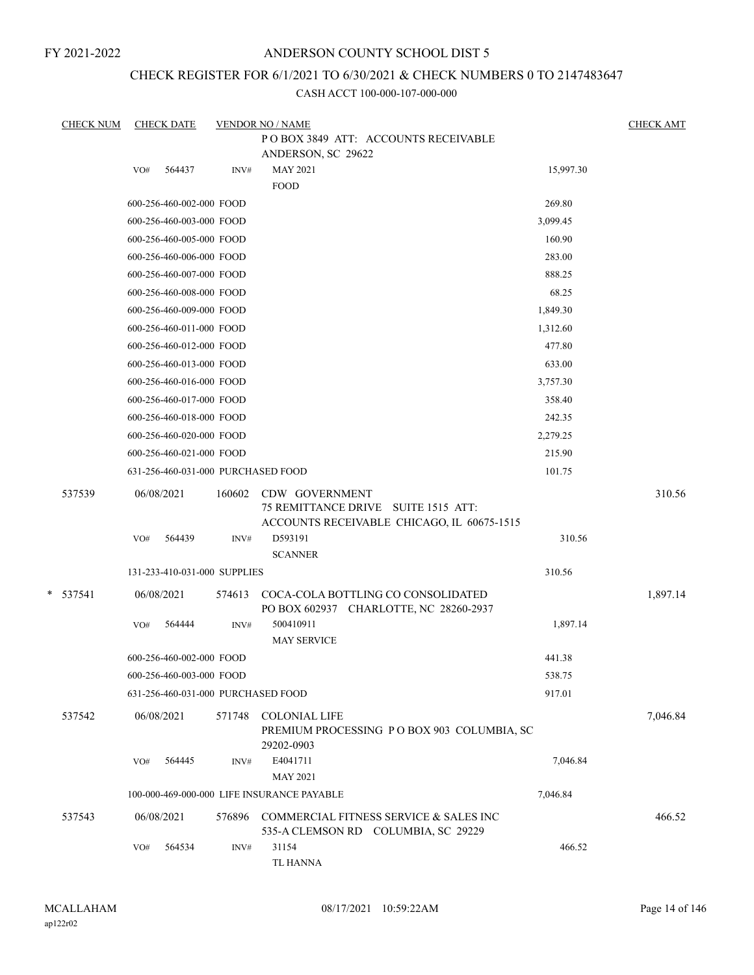# ANDERSON COUNTY SCHOOL DIST 5

# CHECK REGISTER FOR 6/1/2021 TO 6/30/2021 & CHECK NUMBERS 0 TO 2147483647

| <b>CHECK NUM</b> | <b>CHECK DATE</b>                  |                | <b>VENDOR NO / NAME</b>                                                                                        |           | <b>CHECK AMT</b> |
|------------------|------------------------------------|----------------|----------------------------------------------------------------------------------------------------------------|-----------|------------------|
|                  |                                    |                | POBOX 3849 ATT: ACCOUNTS RECEIVABLE                                                                            |           |                  |
|                  |                                    |                | ANDERSON, SC 29622                                                                                             |           |                  |
|                  | 564437<br>VO#                      | INV#           | <b>MAY 2021</b><br><b>FOOD</b>                                                                                 | 15,997.30 |                  |
|                  | 600-256-460-002-000 FOOD           |                |                                                                                                                | 269.80    |                  |
|                  | 600-256-460-003-000 FOOD           |                |                                                                                                                | 3,099.45  |                  |
|                  | 600-256-460-005-000 FOOD           |                |                                                                                                                | 160.90    |                  |
|                  | 600-256-460-006-000 FOOD           |                |                                                                                                                | 283.00    |                  |
|                  | 600-256-460-007-000 FOOD           |                |                                                                                                                | 888.25    |                  |
|                  | 600-256-460-008-000 FOOD           |                |                                                                                                                | 68.25     |                  |
|                  | 600-256-460-009-000 FOOD           |                |                                                                                                                | 1,849.30  |                  |
|                  | 600-256-460-011-000 FOOD           |                |                                                                                                                | 1,312.60  |                  |
|                  | 600-256-460-012-000 FOOD           |                |                                                                                                                | 477.80    |                  |
|                  | 600-256-460-013-000 FOOD           |                |                                                                                                                | 633.00    |                  |
|                  | 600-256-460-016-000 FOOD           |                |                                                                                                                | 3,757.30  |                  |
|                  | 600-256-460-017-000 FOOD           |                |                                                                                                                | 358.40    |                  |
|                  | 600-256-460-018-000 FOOD           |                |                                                                                                                | 242.35    |                  |
|                  | 600-256-460-020-000 FOOD           |                |                                                                                                                | 2,279.25  |                  |
|                  | 600-256-460-021-000 FOOD           |                |                                                                                                                | 215.90    |                  |
|                  | 631-256-460-031-000 PURCHASED FOOD |                |                                                                                                                | 101.75    |                  |
| 537539           | 06/08/2021<br>564439<br>VO#        | 160602<br>INV# | CDW GOVERNMENT<br>75 REMITTANCE DRIVE SUITE 1515 ATT:<br>ACCOUNTS RECEIVABLE CHICAGO, IL 60675-1515<br>D593191 | 310.56    | 310.56           |
|                  |                                    |                | <b>SCANNER</b>                                                                                                 |           |                  |
|                  | 131-233-410-031-000 SUPPLIES       |                |                                                                                                                | 310.56    |                  |
| $* 537541$       | 06/08/2021                         | 574613         | COCA-COLA BOTTLING CO CONSOLIDATED<br>PO BOX 602937 CHARLOTTE, NC 28260-2937                                   |           | 1,897.14         |
|                  | VO#<br>564444                      | INV#           | 500410911<br><b>MAY SERVICE</b>                                                                                | 1,897.14  |                  |
|                  | 600-256-460-002-000 FOOD           |                |                                                                                                                | 441.38    |                  |
|                  | 600-256-460-003-000 FOOD           |                |                                                                                                                | 538.75    |                  |
|                  | 631-256-460-031-000 PURCHASED FOOD |                |                                                                                                                | 917.01    |                  |
| 537542           | 06/08/2021                         | 571748         | <b>COLONIAL LIFE</b><br>PREMIUM PROCESSING PO BOX 903 COLUMBIA, SC<br>29202-0903                               |           | 7,046.84         |
|                  | 564445<br>VO#                      | INV#           | E4041711<br><b>MAY 2021</b>                                                                                    | 7,046.84  |                  |
|                  |                                    |                | 100-000-469-000-000 LIFE INSURANCE PAYABLE                                                                     | 7,046.84  |                  |
| 537543           | 06/08/2021                         | 576896         | COMMERCIAL FITNESS SERVICE & SALES INC<br>535-A CLEMSON RD COLUMBIA, SC 29229                                  |           | 466.52           |
|                  | 564534<br>VO#                      | INV#           | 31154<br>TL HANNA                                                                                              | 466.52    |                  |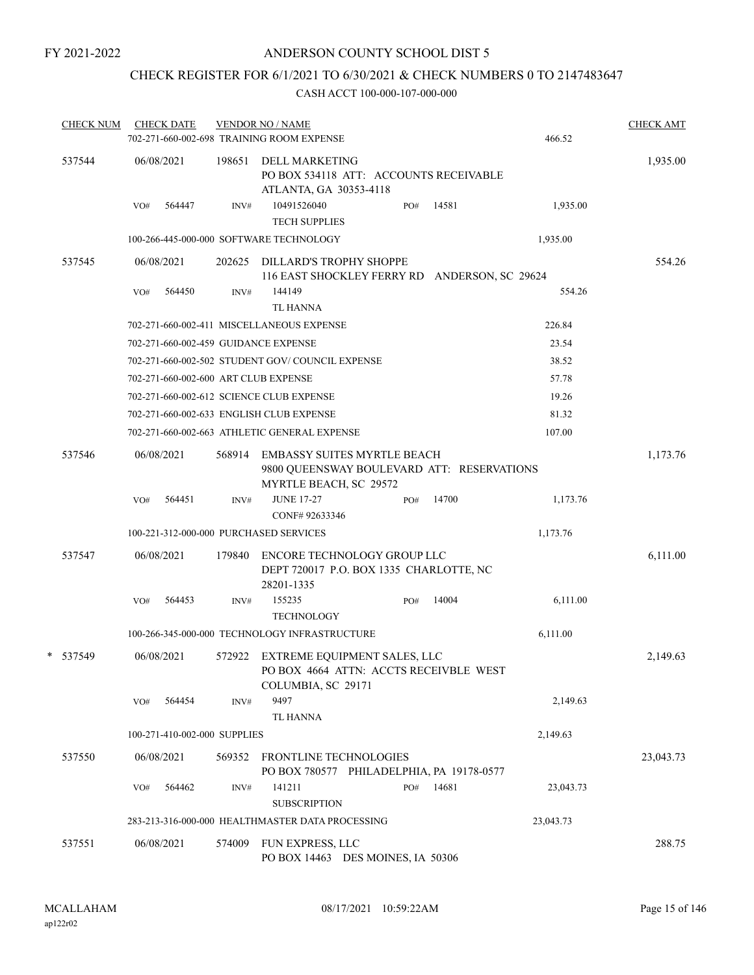# CHECK REGISTER FOR 6/1/2021 TO 6/30/2021 & CHECK NUMBERS 0 TO 2147483647

| <b>CHECK NUM</b> |     | <b>CHECK DATE</b>            |        | <b>VENDOR NO / NAME</b><br>702-271-660-002-698 TRAINING ROOM EXPENSE                                       |     |       | 466.52    | <b>CHECK AMT</b> |
|------------------|-----|------------------------------|--------|------------------------------------------------------------------------------------------------------------|-----|-------|-----------|------------------|
| 537544           |     | 06/08/2021                   | 198651 | <b>DELL MARKETING</b><br>PO BOX 534118 ATT: ACCOUNTS RECEIVABLE<br>ATLANTA, GA 30353-4118                  |     |       |           | 1,935.00         |
|                  | VO# | 564447                       | INV#   | 10491526040<br><b>TECH SUPPLIES</b>                                                                        | PO# | 14581 | 1,935.00  |                  |
|                  |     |                              |        | 100-266-445-000-000 SOFTWARE TECHNOLOGY                                                                    |     |       | 1,935.00  |                  |
| 537545           |     | 06/08/2021                   | 202625 | DILLARD'S TROPHY SHOPPE<br>116 EAST SHOCKLEY FERRY RD ANDERSON, SC 29624                                   |     |       |           | 554.26           |
|                  | VO# | 564450                       | INV#   | 144149<br><b>TL HANNA</b>                                                                                  |     |       | 554.26    |                  |
|                  |     |                              |        | 702-271-660-002-411 MISCELLANEOUS EXPENSE                                                                  |     |       | 226.84    |                  |
|                  |     |                              |        | 702-271-660-002-459 GUIDANCE EXPENSE                                                                       |     |       | 23.54     |                  |
|                  |     |                              |        | 702-271-660-002-502 STUDENT GOV/COUNCIL EXPENSE                                                            |     |       | 38.52     |                  |
|                  |     |                              |        | 702-271-660-002-600 ART CLUB EXPENSE                                                                       |     |       | 57.78     |                  |
|                  |     |                              |        | 702-271-660-002-612 SCIENCE CLUB EXPENSE                                                                   |     |       | 19.26     |                  |
|                  |     |                              |        | 702-271-660-002-633 ENGLISH CLUB EXPENSE                                                                   |     |       | 81.32     |                  |
|                  |     |                              |        | 702-271-660-002-663 ATHLETIC GENERAL EXPENSE                                                               |     |       | 107.00    |                  |
| 537546           |     | 06/08/2021                   | 568914 | <b>EMBASSY SUITES MYRTLE BEACH</b><br>9800 QUEENSWAY BOULEVARD ATT: RESERVATIONS<br>MYRTLE BEACH, SC 29572 |     |       |           | 1,173.76         |
|                  | VO# | 564451                       | INV#   | <b>JUNE 17-27</b><br>CONF# 92633346                                                                        | PO# | 14700 | 1,173.76  |                  |
|                  |     |                              |        | 100-221-312-000-000 PURCHASED SERVICES                                                                     |     |       | 1,173.76  |                  |
| 537547           |     | 06/08/2021                   | 179840 | ENCORE TECHNOLOGY GROUP LLC<br>DEPT 720017 P.O. BOX 1335 CHARLOTTE, NC<br>28201-1335                       |     |       |           | 6,111.00         |
|                  | VO# | 564453                       | INV#   | 155235                                                                                                     | PO# | 14004 | 6,111.00  |                  |
|                  |     |                              |        | <b>TECHNOLOGY</b>                                                                                          |     |       |           |                  |
|                  |     |                              |        | 100-266-345-000-000 TECHNOLOGY INFRASTRUCTURE                                                              |     |       | 6,111.00  |                  |
| * 537549         |     | 06/08/2021                   |        | 572922 EXTREME EQUIPMENT SALES, LLC<br>PO BOX 4664 ATTN: ACCTS RECEIVBLE WEST<br>COLUMBIA, SC 29171        |     |       |           | 2,149.63         |
|                  | VO# | 564454                       | INV#   | 9497<br><b>TL HANNA</b>                                                                                    |     |       | 2,149.63  |                  |
|                  |     | 100-271-410-002-000 SUPPLIES |        |                                                                                                            |     |       | 2,149.63  |                  |
|                  |     |                              |        |                                                                                                            |     |       |           |                  |
| 537550           |     | 06/08/2021                   | 569352 | <b>FRONTLINE TECHNOLOGIES</b><br>PO BOX 780577 PHILADELPHIA, PA 19178-0577                                 |     |       |           | 23,043.73        |
|                  | VO# | 564462                       | INV#   | 141211                                                                                                     | PO# | 14681 | 23,043.73 |                  |
|                  |     |                              |        | <b>SUBSCRIPTION</b><br>283-213-316-000-000 HEALTHMASTER DATA PROCESSING                                    |     |       |           |                  |
|                  |     |                              |        |                                                                                                            |     |       | 23,043.73 |                  |
| 537551           |     | 06/08/2021                   | 574009 | FUN EXPRESS, LLC<br>PO BOX 14463 DES MOINES, IA 50306                                                      |     |       |           | 288.75           |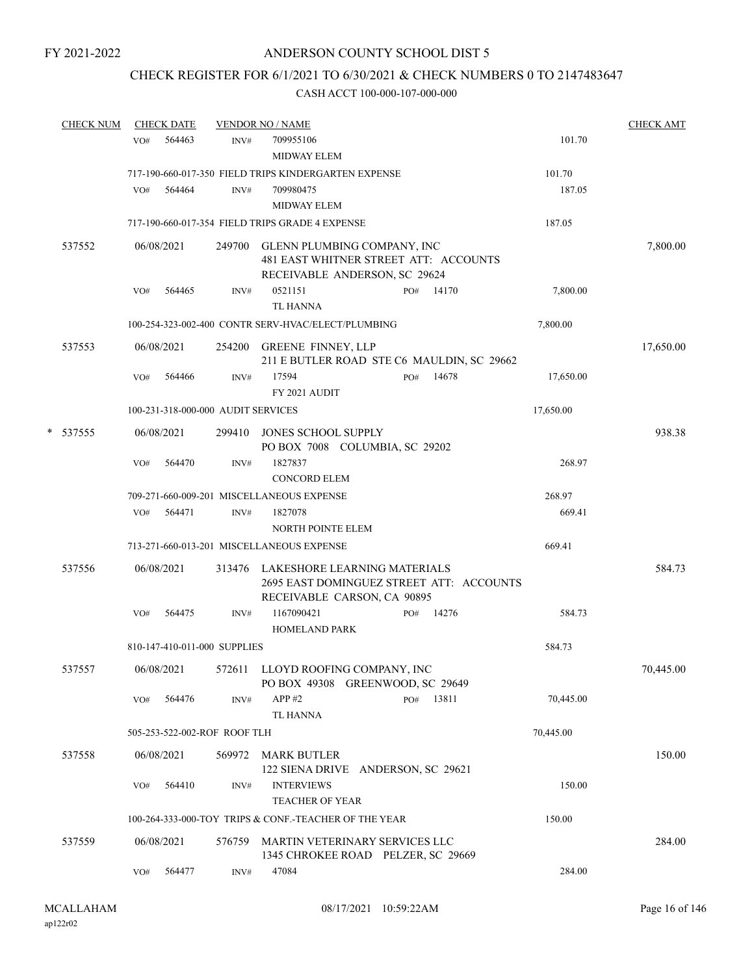# CHECK REGISTER FOR 6/1/2021 TO 6/30/2021 & CHECK NUMBERS 0 TO 2147483647

|   | <b>CHECK NUM</b> |     | <b>CHECK DATE</b> |                                    | <b>VENDOR NO / NAME</b>                                                                                        |           |       |           | <b>CHECK AMT</b> |
|---|------------------|-----|-------------------|------------------------------------|----------------------------------------------------------------------------------------------------------------|-----------|-------|-----------|------------------|
|   |                  | VO# | 564463            | INV#                               | 709955106                                                                                                      |           |       | 101.70    |                  |
|   |                  |     |                   |                                    | <b>MIDWAY ELEM</b>                                                                                             |           |       |           |                  |
|   |                  |     |                   |                                    | 717-190-660-017-350 FIELD TRIPS KINDERGARTEN EXPENSE                                                           |           |       | 101.70    |                  |
|   |                  | VO# | 564464            | INV#                               | 709980475                                                                                                      |           |       | 187.05    |                  |
|   |                  |     |                   |                                    | <b>MIDWAY ELEM</b>                                                                                             |           |       |           |                  |
|   |                  |     |                   |                                    | 717-190-660-017-354 FIELD TRIPS GRADE 4 EXPENSE                                                                |           |       | 187.05    |                  |
|   | 537552           |     | 06/08/2021        |                                    | 249700 GLENN PLUMBING COMPANY, INC<br>481 EAST WHITNER STREET ATT: ACCOUNTS<br>RECEIVABLE ANDERSON, SC 29624   |           |       |           | 7,800.00         |
|   |                  | VO# | 564465            | INV#                               | 0521151<br><b>TL HANNA</b>                                                                                     | PO# 14170 |       | 7,800.00  |                  |
|   |                  |     |                   |                                    | 100-254-323-002-400 CONTR SERV-HVAC/ELECT/PLUMBING                                                             |           |       | 7,800.00  |                  |
|   | 537553           |     | 06/08/2021        |                                    | 254200 GREENE FINNEY, LLP<br>211 E BUTLER ROAD STE C6 MAULDIN, SC 29662                                        |           |       |           | 17,650.00        |
|   |                  | VO# | 564466            | INV#                               | 17594<br>FY 2021 AUDIT                                                                                         | PO#       | 14678 | 17,650.00 |                  |
|   |                  |     |                   | 100-231-318-000-000 AUDIT SERVICES |                                                                                                                |           |       | 17,650.00 |                  |
| * | 537555           |     | 06/08/2021        |                                    | 299410 JONES SCHOOL SUPPLY<br>PO BOX 7008 COLUMBIA, SC 29202                                                   |           |       |           | 938.38           |
|   |                  | VO# | 564470            | INV#                               | 1827837<br><b>CONCORD ELEM</b>                                                                                 |           |       | 268.97    |                  |
|   |                  |     |                   |                                    | 709-271-660-009-201 MISCELLANEOUS EXPENSE                                                                      |           |       | 268.97    |                  |
|   |                  | VO# | 564471            | INV#                               | 1827078<br>NORTH POINTE ELEM                                                                                   |           |       | 669.41    |                  |
|   |                  |     |                   |                                    | 713-271-660-013-201 MISCELLANEOUS EXPENSE                                                                      |           |       | 669.41    |                  |
|   | 537556           |     | 06/08/2021        |                                    | 313476 LAKESHORE LEARNING MATERIALS<br>2695 EAST DOMINGUEZ STREET ATT: ACCOUNTS<br>RECEIVABLE CARSON, CA 90895 |           |       |           | 584.73           |
|   |                  | VO# | 564475            | INV#                               | 1167090421<br><b>HOMELAND PARK</b>                                                                             | PO# 14276 |       | 584.73    |                  |
|   |                  |     |                   | 810-147-410-011-000 SUPPLIES       |                                                                                                                |           |       | 584.73    |                  |
|   | 537557           |     | 06/08/2021        |                                    | 572611 LLOYD ROOFING COMPANY, INC<br>PO BOX 49308 GREENWOOD, SC 29649                                          |           |       |           | 70,445.00        |
|   |                  | VO# | 564476            | INV#                               | APP#2<br>TL HANNA                                                                                              | PO# 13811 |       | 70,445.00 |                  |
|   |                  |     |                   | 505-253-522-002-ROF ROOF TLH       |                                                                                                                |           |       | 70,445.00 |                  |
|   | 537558           |     | 06/08/2021        |                                    | 569972 MARK BUTLER<br>122 SIENA DRIVE ANDERSON, SC 29621                                                       |           |       |           | 150.00           |
|   |                  | VO# | 564410            | INV#                               | <b>INTERVIEWS</b><br><b>TEACHER OF YEAR</b>                                                                    |           |       | 150.00    |                  |
|   |                  |     |                   |                                    | 100-264-333-000-TOY TRIPS & CONF.-TEACHER OF THE YEAR                                                          |           |       | 150.00    |                  |
|   | 537559           |     | 06/08/2021        |                                    | 576759 MARTIN VETERINARY SERVICES LLC<br>1345 CHROKEE ROAD PELZER, SC 29669                                    |           |       |           | 284.00           |
|   |                  | VO# | 564477            | INV#                               | 47084                                                                                                          |           |       | 284.00    |                  |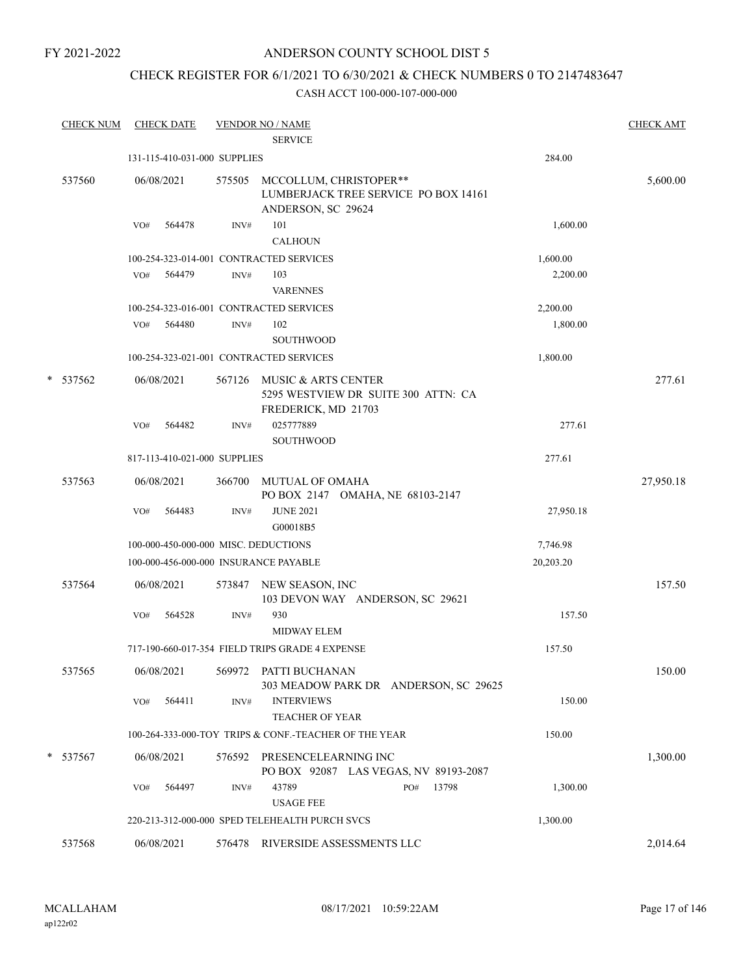# ANDERSON COUNTY SCHOOL DIST 5

# CHECK REGISTER FOR 6/1/2021 TO 6/30/2021 & CHECK NUMBERS 0 TO 2147483647

| <b>CHECK NUM</b> |     | <b>CHECK DATE</b>            |        | <b>VENDOR NO / NAME</b><br><b>SERVICE</b>                                            |           | <b>CHECK AMT</b> |
|------------------|-----|------------------------------|--------|--------------------------------------------------------------------------------------|-----------|------------------|
|                  |     | 131-115-410-031-000 SUPPLIES |        |                                                                                      | 284.00    |                  |
| 537560           |     | 06/08/2021                   | 575505 | MCCOLLUM, CHRISTOPER**<br>LUMBERJACK TREE SERVICE PO BOX 14161<br>ANDERSON, SC 29624 |           | 5,600.00         |
|                  | VO# | 564478                       | INV#   | 101<br><b>CALHOUN</b>                                                                | 1,600.00  |                  |
|                  |     |                              |        | 100-254-323-014-001 CONTRACTED SERVICES                                              | 1,600.00  |                  |
|                  | VO# | 564479                       | INV#   | 103<br><b>VARENNES</b>                                                               | 2,200.00  |                  |
|                  |     |                              |        | 100-254-323-016-001 CONTRACTED SERVICES                                              | 2,200.00  |                  |
|                  | VO# | 564480                       | INV#   | 102<br><b>SOUTHWOOD</b>                                                              | 1,800.00  |                  |
|                  |     |                              |        | 100-254-323-021-001 CONTRACTED SERVICES                                              | 1,800.00  |                  |
| * 537562         |     | 06/08/2021                   | 567126 | MUSIC & ARTS CENTER<br>5295 WESTVIEW DR SUITE 300 ATTN: CA<br>FREDERICK, MD 21703    |           | 277.61           |
|                  | VO# | 564482                       | INV#   | 025777889<br><b>SOUTHWOOD</b>                                                        | 277.61    |                  |
|                  |     | 817-113-410-021-000 SUPPLIES |        |                                                                                      | 277.61    |                  |
| 537563           |     | 06/08/2021                   | 366700 | MUTUAL OF OMAHA<br>PO BOX 2147 OMAHA, NE 68103-2147                                  |           | 27,950.18        |
|                  | VO# | 564483                       | INV#   | <b>JUNE 2021</b><br>G00018B5                                                         | 27,950.18 |                  |
|                  |     |                              |        | 100-000-450-000-000 MISC. DEDUCTIONS                                                 | 7,746.98  |                  |
|                  |     |                              |        | 100-000-456-000-000 INSURANCE PAYABLE                                                | 20,203.20 |                  |
| 537564           |     | 06/08/2021                   | 573847 | NEW SEASON, INC<br>103 DEVON WAY ANDERSON, SC 29621                                  |           | 157.50           |
|                  | VO# | 564528                       | INV#   | 930<br><b>MIDWAY ELEM</b>                                                            | 157.50    |                  |
|                  |     |                              |        | 717-190-660-017-354 FIELD TRIPS GRADE 4 EXPENSE                                      | 157.50    |                  |
| 537565           |     | 06/08/2021                   |        | 569972 PATTI BUCHANAN<br>303 MEADOW PARK DR ANDERSON, SC 29625                       |           | 150.00           |
|                  | VO# | 564411                       | INV#   | <b>INTERVIEWS</b><br>TEACHER OF YEAR                                                 | 150.00    |                  |
|                  |     |                              |        | 100-264-333-000-TOY TRIPS & CONF.-TEACHER OF THE YEAR                                | 150.00    |                  |
| * 537567         |     | 06/08/2021                   |        | 576592 PRESENCELEARNING INC<br>PO BOX 92087 LAS VEGAS, NV 89193-2087                 |           | 1,300.00         |
|                  | VO# | 564497                       | INV#   | 43789<br>13798<br>PO#<br><b>USAGE FEE</b>                                            | 1,300.00  |                  |
|                  |     |                              |        | 220-213-312-000-000 SPED TELEHEALTH PURCH SVCS                                       | 1,300.00  |                  |
| 537568           |     | 06/08/2021                   |        | 576478 RIVERSIDE ASSESSMENTS LLC                                                     |           | 2,014.64         |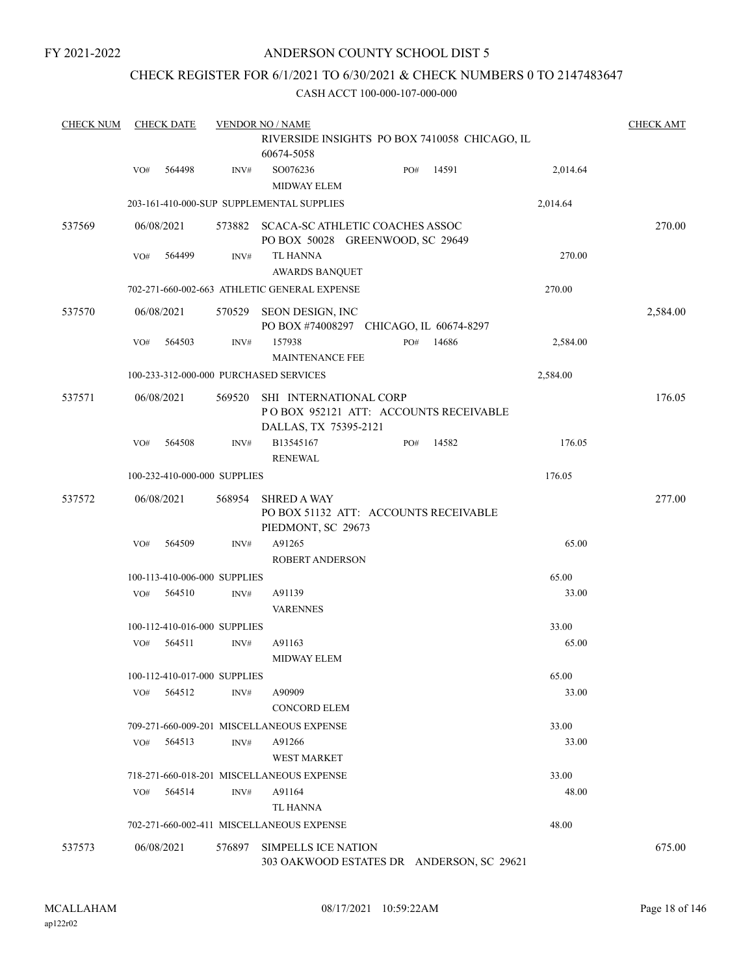# CHECK REGISTER FOR 6/1/2021 TO 6/30/2021 & CHECK NUMBERS 0 TO 2147483647

| <b>CHECK NUM</b> |     | <b>CHECK DATE</b>            |        | <b>VENDOR NO / NAME</b>                                                                  |     |       |          | <b>CHECK AMT</b> |
|------------------|-----|------------------------------|--------|------------------------------------------------------------------------------------------|-----|-------|----------|------------------|
|                  |     |                              |        | RIVERSIDE INSIGHTS PO BOX 7410058 CHICAGO, IL<br>60674-5058                              |     |       |          |                  |
|                  | VO# | 564498                       | INV#   | SO076236<br><b>MIDWAY ELEM</b>                                                           | PO# | 14591 | 2,014.64 |                  |
|                  |     |                              |        | 203-161-410-000-SUP SUPPLEMENTAL SUPPLIES                                                |     |       | 2,014.64 |                  |
| 537569           |     | 06/08/2021                   |        | 573882 SCACA-SC ATHLETIC COACHES ASSOC<br>PO BOX 50028 GREENWOOD, SC 29649               |     |       |          | 270.00           |
|                  | VO# | 564499                       | INV#   | <b>TL HANNA</b><br><b>AWARDS BANQUET</b>                                                 |     |       | 270.00   |                  |
|                  |     |                              |        | 702-271-660-002-663 ATHLETIC GENERAL EXPENSE                                             |     |       | 270.00   |                  |
| 537570           |     | 06/08/2021                   | 570529 | SEON DESIGN, INC<br>PO BOX #74008297 CHICAGO, IL 60674-8297                              |     |       |          | 2,584.00         |
|                  | VO# | 564503                       | INV#   | 157938<br><b>MAINTENANCE FEE</b>                                                         | PO# | 14686 | 2,584.00 |                  |
|                  |     |                              |        | 100-233-312-000-000 PURCHASED SERVICES                                                   |     |       | 2,584.00 |                  |
| 537571           |     | 06/08/2021                   | 569520 | SHI INTERNATIONAL CORP<br>POBOX 952121 ATT: ACCOUNTS RECEIVABLE<br>DALLAS, TX 75395-2121 |     |       |          | 176.05           |
|                  | VO# | 564508                       | INV#   | B13545167<br><b>RENEWAL</b>                                                              | PO# | 14582 | 176.05   |                  |
|                  |     | 100-232-410-000-000 SUPPLIES |        |                                                                                          |     |       | 176.05   |                  |
| 537572           |     | 06/08/2021                   | 568954 | <b>SHRED A WAY</b><br>PO BOX 51132 ATT: ACCOUNTS RECEIVABLE<br>PIEDMONT, SC 29673        |     |       |          | 277.00           |
|                  | VO# | 564509                       | INV#   | A91265<br><b>ROBERT ANDERSON</b>                                                         |     |       | 65.00    |                  |
|                  |     | 100-113-410-006-000 SUPPLIES |        |                                                                                          |     |       | 65.00    |                  |
|                  | VO# | 564510                       | INV#   | A91139<br><b>VARENNES</b>                                                                |     |       | 33.00    |                  |
|                  |     | 100-112-410-016-000 SUPPLIES |        |                                                                                          |     |       | 33.00    |                  |
|                  | VO# | 564511                       | INV#   | A91163<br><b>MIDWAY ELEM</b>                                                             |     |       | 65.00    |                  |
|                  |     | 100-112-410-017-000 SUPPLIES |        |                                                                                          |     |       | 65.00    |                  |
|                  | VO# | 564512                       | INV#   | A90909<br><b>CONCORD ELEM</b>                                                            |     |       | 33.00    |                  |
|                  |     |                              |        | 709-271-660-009-201 MISCELLANEOUS EXPENSE                                                |     |       | 33.00    |                  |
|                  | VO# | 564513                       | INV#   | A91266<br><b>WEST MARKET</b>                                                             |     |       | 33.00    |                  |
|                  |     |                              |        | 718-271-660-018-201 MISCELLANEOUS EXPENSE                                                |     |       | 33.00    |                  |
|                  | VO# | 564514                       | INV#   | A91164<br>TL HANNA                                                                       |     |       | 48.00    |                  |
|                  |     |                              |        | 702-271-660-002-411 MISCELLANEOUS EXPENSE                                                |     |       | 48.00    |                  |
| 537573           |     | 06/08/2021                   | 576897 | <b>SIMPELLS ICE NATION</b><br>303 OAKWOOD ESTATES DR ANDERSON, SC 29621                  |     |       |          | 675.00           |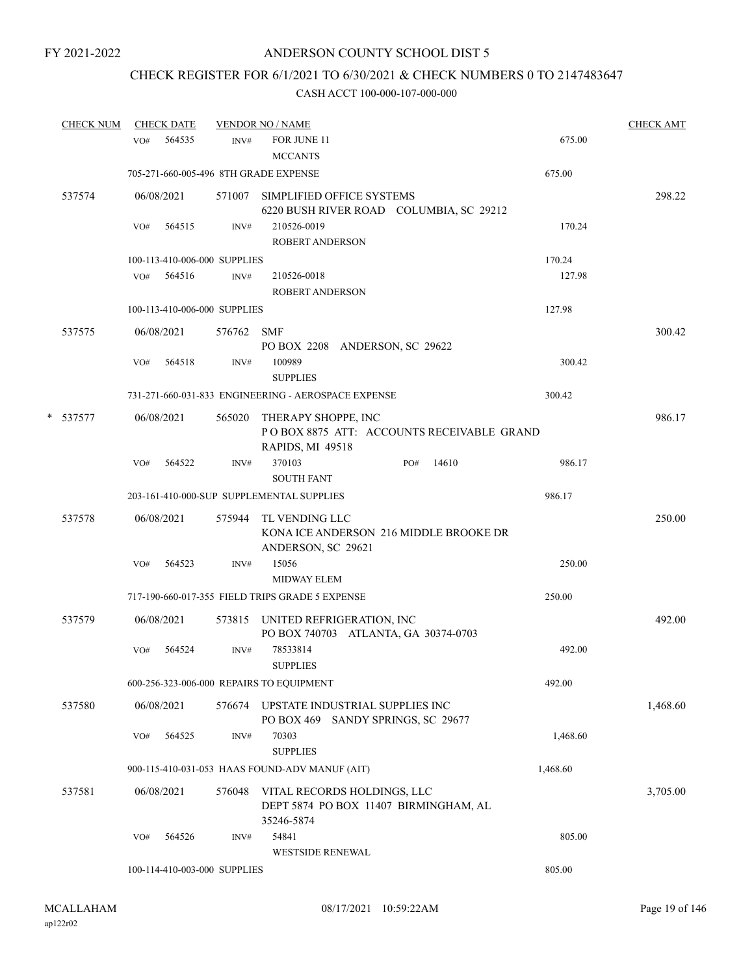# CHECK REGISTER FOR 6/1/2021 TO 6/30/2021 & CHECK NUMBERS 0 TO 2147483647

|   | <b>CHECK NUM</b> |     | <b>CHECK DATE</b> |                              | <b>VENDOR NO / NAME</b>                             |                                                                       |          | <b>CHECK AMT</b> |
|---|------------------|-----|-------------------|------------------------------|-----------------------------------------------------|-----------------------------------------------------------------------|----------|------------------|
|   |                  | VO# | 564535            | INV#                         | FOR JUNE 11<br><b>MCCANTS</b>                       |                                                                       | 675.00   |                  |
|   |                  |     |                   |                              | 705-271-660-005-496 8TH GRADE EXPENSE               |                                                                       | 675.00   |                  |
|   | 537574           |     | 06/08/2021        | 571007                       | SIMPLIFIED OFFICE SYSTEMS                           | 6220 BUSH RIVER ROAD COLUMBIA, SC 29212                               |          | 298.22           |
|   |                  | VO# | 564515            | INV#                         | 210526-0019                                         |                                                                       | 170.24   |                  |
|   |                  |     |                   |                              | <b>ROBERT ANDERSON</b>                              |                                                                       |          |                  |
|   |                  |     |                   | 100-113-410-006-000 SUPPLIES |                                                     |                                                                       | 170.24   |                  |
|   |                  | VO# | 564516            | INV#                         | 210526-0018                                         |                                                                       | 127.98   |                  |
|   |                  |     |                   |                              | <b>ROBERT ANDERSON</b>                              |                                                                       |          |                  |
|   |                  |     |                   | 100-113-410-006-000 SUPPLIES |                                                     |                                                                       | 127.98   |                  |
|   | 537575           |     | 06/08/2021        | 576762                       | <b>SMF</b>                                          | PO BOX 2208 ANDERSON, SC 29622                                        |          | 300.42           |
|   |                  | VO# | 564518            | INV#                         | 100989<br><b>SUPPLIES</b>                           |                                                                       | 300.42   |                  |
|   |                  |     |                   |                              | 731-271-660-031-833 ENGINEERING - AEROSPACE EXPENSE |                                                                       | 300.42   |                  |
| * | 537577           |     | 06/08/2021        | 565020                       | THERAPY SHOPPE, INC<br>RAPIDS, MI 49518             | POBOX 8875 ATT: ACCOUNTS RECEIVABLE GRAND                             |          | 986.17           |
|   |                  | VO# | 564522            | INV#                         | 370103<br><b>SOUTH FANT</b>                         | 14610<br>PO#                                                          | 986.17   |                  |
|   |                  |     |                   |                              | 203-161-410-000-SUP SUPPLEMENTAL SUPPLIES           |                                                                       | 986.17   |                  |
|   | 537578           |     | 06/08/2021        | 575944                       | TL VENDING LLC                                      | KONA ICE ANDERSON 216 MIDDLE BROOKE DR                                |          | 250.00           |
|   |                  | VO# | 564523            | INV#                         | ANDERSON, SC 29621<br>15056<br>MIDWAY ELEM          |                                                                       | 250.00   |                  |
|   |                  |     |                   |                              | 717-190-660-017-355 FIELD TRIPS GRADE 5 EXPENSE     |                                                                       | 250.00   |                  |
|   | 537579           |     | 06/08/2021        |                              | 573815 UNITED REFRIGERATION, INC                    | PO BOX 740703 ATLANTA, GA 30374-0703                                  |          | 492.00           |
|   |                  | VO# | 564524            | INV#                         | 78533814<br><b>SUPPLIES</b>                         |                                                                       | 492.00   |                  |
|   |                  |     |                   |                              | 600-256-323-006-000 REPAIRS TO EQUIPMENT            |                                                                       | 492.00   |                  |
|   | 537580           |     | 06/08/2021        | 576674                       |                                                     | UPSTATE INDUSTRIAL SUPPLIES INC<br>PO BOX 469 SANDY SPRINGS, SC 29677 |          | 1,468.60         |
|   |                  | VO# | 564525            | INV#                         | 70303<br><b>SUPPLIES</b>                            |                                                                       | 1,468.60 |                  |
|   |                  |     |                   |                              | 900-115-410-031-053 HAAS FOUND-ADV MANUF (AIT)      |                                                                       | 1,468.60 |                  |
|   | 537581           |     | 06/08/2021        | 576048                       |                                                     | VITAL RECORDS HOLDINGS, LLC<br>DEPT 5874 PO BOX 11407 BIRMINGHAM, AL  |          | 3,705.00         |
|   |                  | VO# | 564526            | INV#                         | 35246-5874<br>54841<br><b>WESTSIDE RENEWAL</b>      |                                                                       | 805.00   |                  |
|   |                  |     |                   | 100-114-410-003-000 SUPPLIES |                                                     |                                                                       | 805.00   |                  |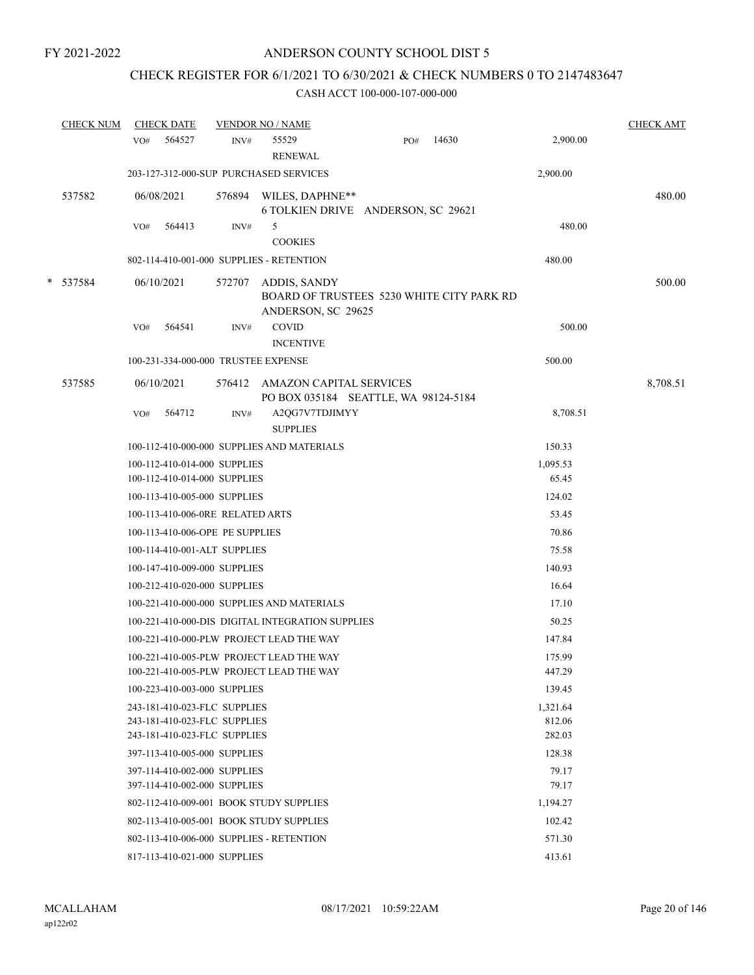# CHECK REGISTER FOR 6/1/2021 TO 6/30/2021 & CHECK NUMBERS 0 TO 2147483647

|   | <b>CHECK NUM</b> |     | <b>CHECK DATE</b> |                                                              | <b>VENDOR NO / NAME</b>                                                         |     |       |                  | <b>CHECK AMT</b> |
|---|------------------|-----|-------------------|--------------------------------------------------------------|---------------------------------------------------------------------------------|-----|-------|------------------|------------------|
|   |                  | VO# | 564527            | INV#                                                         | 55529<br><b>RENEWAL</b>                                                         | PO# | 14630 | 2,900.00         |                  |
|   |                  |     |                   |                                                              | 203-127-312-000-SUP PURCHASED SERVICES                                          |     |       | 2,900.00         |                  |
|   | 537582           |     | 06/08/2021        |                                                              | 576894 WILES, DAPHNE**<br>6 TOLKIEN DRIVE ANDERSON, SC 29621                    |     |       |                  | 480.00           |
|   |                  | VO# | 564413            | INV#                                                         | 5<br><b>COOKIES</b>                                                             |     |       | 480.00           |                  |
|   |                  |     |                   |                                                              | 802-114-410-001-000 SUPPLIES - RETENTION                                        |     |       | 480.00           |                  |
| * | 537584           |     | 06/10/2021        | 572707                                                       | ADDIS, SANDY<br>BOARD OF TRUSTEES 5230 WHITE CITY PARK RD<br>ANDERSON, SC 29625 |     |       |                  | 500.00           |
|   |                  | VO# | 564541            | INV#                                                         | <b>COVID</b><br><b>INCENTIVE</b>                                                |     |       | 500.00           |                  |
|   |                  |     |                   |                                                              | 100-231-334-000-000 TRUSTEE EXPENSE                                             |     |       | 500.00           |                  |
|   | 537585           |     | 06/10/2021        |                                                              | 576412 AMAZON CAPITAL SERVICES<br>PO BOX 035184 SEATTLE, WA 98124-5184          |     |       |                  | 8,708.51         |
|   |                  | VO# | 564712            | INV#                                                         | A2QG7V7TDJIMYY<br><b>SUPPLIES</b>                                               |     |       | 8,708.51         |                  |
|   |                  |     |                   |                                                              | 100-112-410-000-000 SUPPLIES AND MATERIALS                                      |     |       | 150.33           |                  |
|   |                  |     |                   | 100-112-410-014-000 SUPPLIES                                 |                                                                                 |     |       | 1,095.53         |                  |
|   |                  |     |                   | 100-112-410-014-000 SUPPLIES                                 |                                                                                 |     |       | 65.45            |                  |
|   |                  |     |                   | 100-113-410-005-000 SUPPLIES                                 |                                                                                 |     |       | 124.02           |                  |
|   |                  |     |                   | 100-113-410-006-0RE RELATED ARTS                             |                                                                                 |     |       | 53.45            |                  |
|   |                  |     |                   | 100-113-410-006-OPE PE SUPPLIES                              |                                                                                 |     |       | 70.86            |                  |
|   |                  |     |                   | 100-114-410-001-ALT SUPPLIES                                 |                                                                                 |     |       | 75.58            |                  |
|   |                  |     |                   | 100-147-410-009-000 SUPPLIES                                 |                                                                                 |     |       | 140.93           |                  |
|   |                  |     |                   | 100-212-410-020-000 SUPPLIES                                 |                                                                                 |     |       | 16.64            |                  |
|   |                  |     |                   |                                                              | 100-221-410-000-000 SUPPLIES AND MATERIALS                                      |     |       | 17.10            |                  |
|   |                  |     |                   |                                                              | 100-221-410-000-DIS DIGITAL INTEGRATION SUPPLIES                                |     |       | 50.25            |                  |
|   |                  |     |                   |                                                              | 100-221-410-000-PLW PROJECT LEAD THE WAY                                        |     |       | 147.84           |                  |
|   |                  |     |                   |                                                              | 100-221-410-005-PLW PROJECT LEAD THE WAY                                        |     |       | 175.99           |                  |
|   |                  |     |                   |                                                              | 100-221-410-005-PLW PROJECT LEAD THE WAY                                        |     |       | 447.29           |                  |
|   |                  |     |                   | 100-223-410-003-000 SUPPLIES                                 |                                                                                 |     |       | 139.45           |                  |
|   |                  |     |                   | 243-181-410-023-FLC SUPPLIES                                 |                                                                                 |     |       | 1,321.64         |                  |
|   |                  |     |                   | 243-181-410-023-FLC SUPPLIES<br>243-181-410-023-FLC SUPPLIES |                                                                                 |     |       | 812.06<br>282.03 |                  |
|   |                  |     |                   | 397-113-410-005-000 SUPPLIES                                 |                                                                                 |     |       | 128.38           |                  |
|   |                  |     |                   | 397-114-410-002-000 SUPPLIES                                 |                                                                                 |     |       | 79.17            |                  |
|   |                  |     |                   | 397-114-410-002-000 SUPPLIES                                 |                                                                                 |     |       | 79.17            |                  |
|   |                  |     |                   |                                                              | 802-112-410-009-001 BOOK STUDY SUPPLIES                                         |     |       | 1,194.27         |                  |
|   |                  |     |                   |                                                              | 802-113-410-005-001 BOOK STUDY SUPPLIES                                         |     |       | 102.42           |                  |
|   |                  |     |                   |                                                              | 802-113-410-006-000 SUPPLIES - RETENTION                                        |     |       | 571.30           |                  |
|   |                  |     |                   | 817-113-410-021-000 SUPPLIES                                 |                                                                                 |     |       | 413.61           |                  |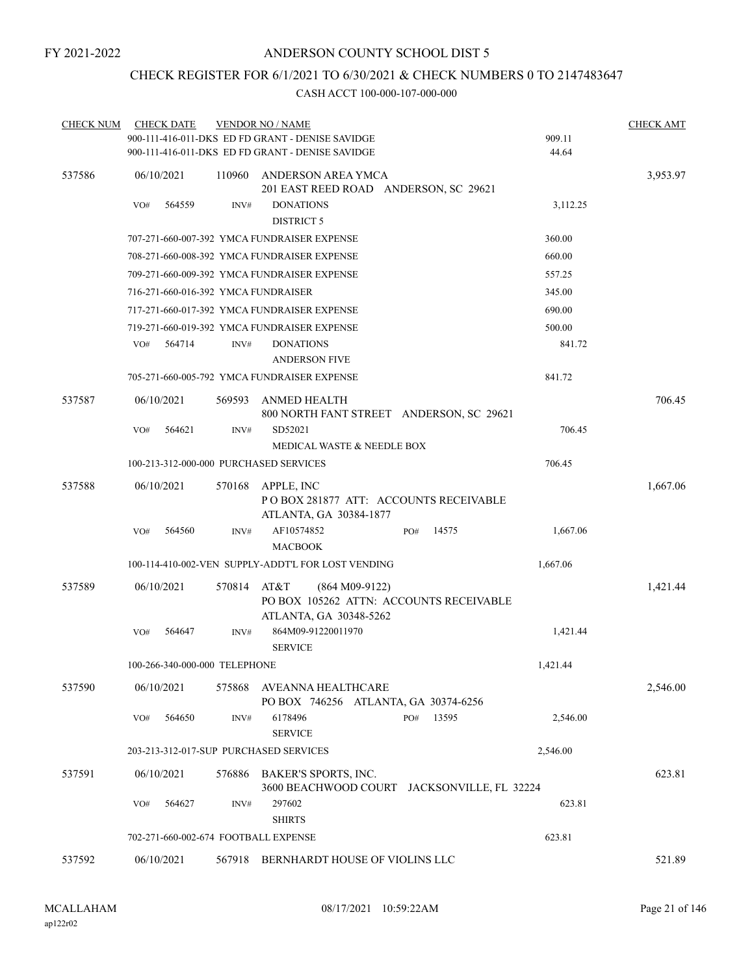# CHECK REGISTER FOR 6/1/2021 TO 6/30/2021 & CHECK NUMBERS 0 TO 2147483647

| <b>CHECK NUM</b> | <b>CHECK DATE</b> |                               |        | <b>VENDOR NO / NAME</b>                                                                       |     |       |          | <b>CHECK AMT</b> |
|------------------|-------------------|-------------------------------|--------|-----------------------------------------------------------------------------------------------|-----|-------|----------|------------------|
|                  |                   |                               |        | 900-111-416-011-DKS ED FD GRANT - DENISE SAVIDGE                                              |     |       | 909.11   |                  |
|                  |                   |                               |        | 900-111-416-011-DKS ED FD GRANT - DENISE SAVIDGE                                              |     |       | 44.64    |                  |
| 537586           | 06/10/2021        |                               | 110960 | ANDERSON AREA YMCA<br>201 EAST REED ROAD ANDERSON, SC 29621                                   |     |       |          | 3,953.97         |
|                  | VO#               | 564559                        | INV#   | <b>DONATIONS</b><br><b>DISTRICT 5</b>                                                         |     |       | 3,112.25 |                  |
|                  |                   |                               |        | 707-271-660-007-392 YMCA FUNDRAISER EXPENSE                                                   |     |       | 360.00   |                  |
|                  |                   |                               |        | 708-271-660-008-392 YMCA FUNDRAISER EXPENSE                                                   |     |       | 660.00   |                  |
|                  |                   |                               |        | 709-271-660-009-392 YMCA FUNDRAISER EXPENSE                                                   |     |       | 557.25   |                  |
|                  |                   |                               |        | 716-271-660-016-392 YMCA FUNDRAISER                                                           |     |       | 345.00   |                  |
|                  |                   |                               |        | 717-271-660-017-392 YMCA FUNDRAISER EXPENSE                                                   |     |       | 690.00   |                  |
|                  |                   |                               |        | 719-271-660-019-392 YMCA FUNDRAISER EXPENSE                                                   |     |       | 500.00   |                  |
|                  | VO#               | 564714                        | INV#   | <b>DONATIONS</b><br><b>ANDERSON FIVE</b>                                                      |     |       | 841.72   |                  |
|                  |                   |                               |        | 705-271-660-005-792 YMCA FUNDRAISER EXPENSE                                                   |     |       | 841.72   |                  |
| 537587           | 06/10/2021        |                               | 569593 | ANMED HEALTH<br>800 NORTH FANT STREET ANDERSON, SC 29621                                      |     |       |          | 706.45           |
|                  | VO#               | 564621                        | INV#   | SD52021<br>MEDICAL WASTE & NEEDLE BOX                                                         |     |       | 706.45   |                  |
|                  |                   |                               |        | 100-213-312-000-000 PURCHASED SERVICES                                                        |     |       | 706.45   |                  |
| 537588           | 06/10/2021        |                               | 570168 | APPLE, INC<br>POBOX 281877 ATT: ACCOUNTS RECEIVABLE<br>ATLANTA, GA 30384-1877                 |     |       |          | 1,667.06         |
|                  | VO#               | 564560                        | INV#   | AF10574852<br><b>MACBOOK</b>                                                                  | PO# | 14575 | 1,667.06 |                  |
|                  |                   |                               |        | 100-114-410-002-VEN SUPPLY-ADDT'L FOR LOST VENDING                                            |     |       | 1,667.06 |                  |
| 537589           | 06/10/2021        |                               | 570814 | AT&T<br>$(864 M09-9122)$<br>PO BOX 105262 ATTN: ACCOUNTS RECEIVABLE<br>ATLANTA, GA 30348-5262 |     |       |          | 1,421.44         |
|                  | VO#               | 564647                        | INV#   | 864M09-91220011970<br><b>SERVICE</b>                                                          |     |       | 1,421.44 |                  |
|                  |                   | 100-266-340-000-000 TELEPHONE |        |                                                                                               |     |       | 1,421.44 |                  |
| 537590           | 06/10/2021        |                               | 575868 | AVEANNA HEALTHCARE<br>PO BOX 746256 ATLANTA, GA 30374-6256                                    |     |       |          | 2,546.00         |
|                  | VO#               | 564650                        | INV#   | 6178496<br><b>SERVICE</b>                                                                     | PO# | 13595 | 2,546.00 |                  |
|                  |                   |                               |        | 203-213-312-017-SUP PURCHASED SERVICES                                                        |     |       | 2,546.00 |                  |
| 537591           | 06/10/2021        |                               | 576886 | BAKER'S SPORTS, INC.<br>3600 BEACHWOOD COURT JACKSONVILLE, FL 32224                           |     |       |          | 623.81           |
|                  | VO#               | 564627                        | INV#   | 297602<br><b>SHIRTS</b>                                                                       |     |       | 623.81   |                  |
|                  |                   |                               |        | 702-271-660-002-674 FOOTBALL EXPENSE                                                          |     |       | 623.81   |                  |
| 537592           | 06/10/2021        |                               |        | 567918 BERNHARDT HOUSE OF VIOLINS LLC                                                         |     |       |          | 521.89           |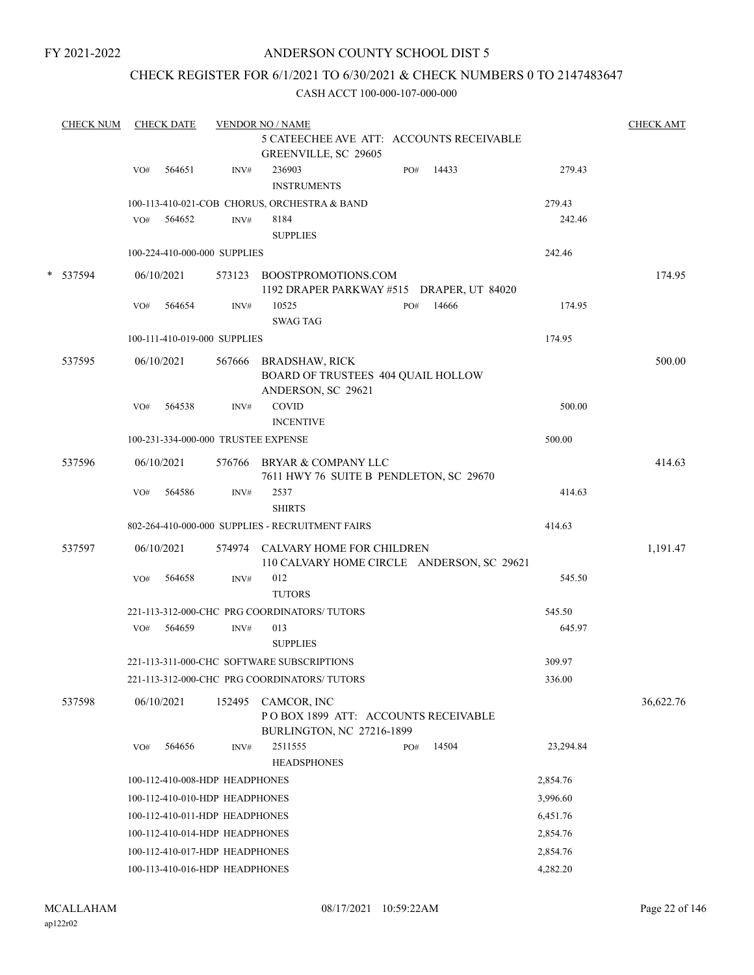# ANDERSON COUNTY SCHOOL DIST 5

# CHECK REGISTER FOR 6/1/2021 TO 6/30/2021 & CHECK NUMBERS 0 TO 2147483647

| <b>CHECK NUM</b> |     | <b>CHECK DATE</b> |                                     | <b>VENDOR NO / NAME</b>                                                           |     |       |           | <b>CHECK AMT</b> |
|------------------|-----|-------------------|-------------------------------------|-----------------------------------------------------------------------------------|-----|-------|-----------|------------------|
|                  |     |                   |                                     | 5 CATEECHEE AVE ATT: ACCOUNTS RECEIVABLE<br>GREENVILLE, SC 29605                  |     |       |           |                  |
|                  | VO# | 564651            | INV#                                | 236903<br><b>INSTRUMENTS</b>                                                      | PO# | 14433 | 279.43    |                  |
|                  |     |                   |                                     | 100-113-410-021-COB CHORUS, ORCHESTRA & BAND                                      |     |       | 279.43    |                  |
|                  | VO# | 564652            | INV#                                | 8184<br><b>SUPPLIES</b>                                                           |     |       | 242.46    |                  |
|                  |     |                   | 100-224-410-000-000 SUPPLIES        |                                                                                   |     |       | 242.46    |                  |
| * 537594         |     | 06/10/2021        |                                     | 573123 BOOSTPROMOTIONS.COM<br>1192 DRAPER PARKWAY #515 DRAPER, UT 84020           |     |       |           | 174.95           |
|                  | VO# | 564654            | INV#                                | 10525                                                                             | PO# | 14666 | 174.95    |                  |
|                  |     |                   |                                     | <b>SWAG TAG</b>                                                                   |     |       |           |                  |
|                  |     |                   | 100-111-410-019-000 SUPPLIES        |                                                                                   |     |       | 174.95    |                  |
| 537595           |     | 06/10/2021        |                                     | 567666 BRADSHAW, RICK<br>BOARD OF TRUSTEES 404 QUAIL HOLLOW<br>ANDERSON, SC 29621 |     |       |           | 500.00           |
|                  | VO# | 564538            | INV#                                | COVID<br><b>INCENTIVE</b>                                                         |     |       | 500.00    |                  |
|                  |     |                   | 100-231-334-000-000 TRUSTEE EXPENSE |                                                                                   |     |       | 500.00    |                  |
| 537596           |     | 06/10/2021        |                                     | 576766 BRYAR & COMPANY LLC<br>7611 HWY 76 SUITE B PENDLETON, SC 29670             |     |       |           | 414.63           |
|                  | VO# | 564586            | INV#                                | 2537<br><b>SHIRTS</b>                                                             |     |       | 414.63    |                  |
|                  |     |                   |                                     | 802-264-410-000-000 SUPPLIES - RECRUITMENT FAIRS                                  |     |       | 414.63    |                  |
| 537597           |     | 06/10/2021        |                                     | 574974 CALVARY HOME FOR CHILDREN<br>110 CALVARY HOME CIRCLE ANDERSON, SC 29621    |     |       |           | 1,191.47         |
|                  | VO# | 564658            | INV#                                | 012<br><b>TUTORS</b>                                                              |     |       | 545.50    |                  |
|                  |     |                   |                                     | 221-113-312-000-CHC PRG COORDINATORS/ TUTORS                                      |     |       | 545.50    |                  |
|                  | VO# | 564659            | INV#                                | 013<br><b>SUPPLIES</b>                                                            |     |       | 645.97    |                  |
|                  |     |                   |                                     | 221-113-311-000-CHC SOFTWARE SUBSCRIPTIONS                                        |     |       | 309.97    |                  |
|                  |     |                   |                                     | 221-113-312-000-CHC PRG COORDINATORS/ TUTORS                                      |     |       | 336.00    |                  |
| 537598           |     | 06/10/2021        | 152495                              | CAMCOR, INC<br>POBOX 1899 ATT: ACCOUNTS RECEIVABLE<br>BURLINGTON, NC 27216-1899   |     |       |           | 36,622.76        |
|                  | VO# | 564656            | INV#                                | 2511555<br><b>HEADSPHONES</b>                                                     | PO# | 14504 | 23,294.84 |                  |
|                  |     |                   | 100-112-410-008-HDP HEADPHONES      |                                                                                   |     |       | 2,854.76  |                  |
|                  |     |                   | 100-112-410-010-HDP HEADPHONES      |                                                                                   |     |       | 3,996.60  |                  |
|                  |     |                   | 100-112-410-011-HDP HEADPHONES      |                                                                                   |     |       | 6,451.76  |                  |
|                  |     |                   | 100-112-410-014-HDP HEADPHONES      |                                                                                   |     |       | 2,854.76  |                  |
|                  |     |                   | 100-112-410-017-HDP HEADPHONES      |                                                                                   |     |       | 2,854.76  |                  |
|                  |     |                   | 100-113-410-016-HDP HEADPHONES      |                                                                                   |     |       | 4,282.20  |                  |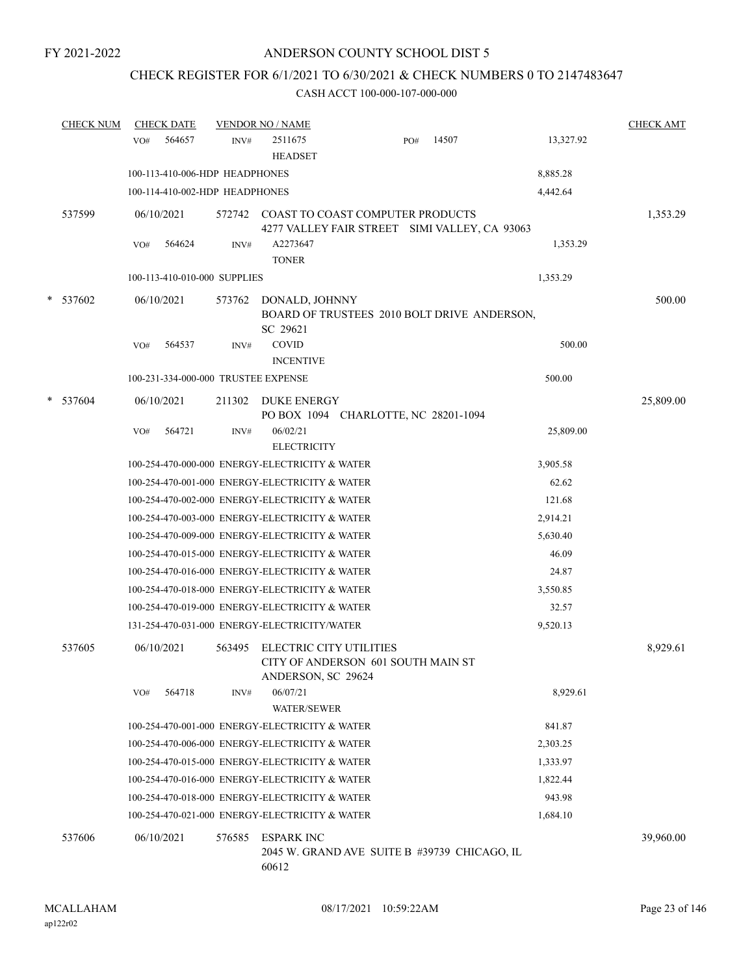# CHECK REGISTER FOR 6/1/2021 TO 6/30/2021 & CHECK NUMBERS 0 TO 2147483647

|   | <b>CHECK NUM</b> | <b>CHECK DATE</b>                   |        | <b>VENDOR NO / NAME</b>                        |                                         |                                               |           | <b>CHECK AMT</b> |
|---|------------------|-------------------------------------|--------|------------------------------------------------|-----------------------------------------|-----------------------------------------------|-----------|------------------|
|   |                  | 564657<br>VO#                       | INV#   | 2511675<br><b>HEADSET</b>                      | PO#                                     | 14507                                         | 13,327.92 |                  |
|   |                  | 100-113-410-006-HDP HEADPHONES      |        |                                                |                                         |                                               | 8,885.28  |                  |
|   |                  | 100-114-410-002-HDP HEADPHONES      |        |                                                |                                         |                                               | 4,442.64  |                  |
|   | 537599           | 06/10/2021                          |        |                                                | 572742 COAST TO COAST COMPUTER PRODUCTS | 4277 VALLEY FAIR STREET SIMI VALLEY, CA 93063 |           | 1,353.29         |
|   |                  | 564624<br>VO#                       | INV#   | A2273647<br><b>TONER</b>                       |                                         |                                               | 1,353.29  |                  |
|   |                  | 100-113-410-010-000 SUPPLIES        |        |                                                |                                         |                                               | 1,353.29  |                  |
| * | 537602           | 06/10/2021                          | 573762 | DONALD, JOHNNY<br>SC 29621                     |                                         | BOARD OF TRUSTEES 2010 BOLT DRIVE ANDERSON,   |           | 500.00           |
|   |                  | 564537<br>VO#                       | INV#   | <b>COVID</b><br><b>INCENTIVE</b>               |                                         |                                               | 500.00    |                  |
|   |                  | 100-231-334-000-000 TRUSTEE EXPENSE |        |                                                |                                         |                                               | 500.00    |                  |
| * | 537604           | 06/10/2021                          | 211302 | <b>DUKE ENERGY</b>                             | PO BOX 1094 CHARLOTTE, NC 28201-1094    |                                               |           | 25,809.00        |
|   |                  | VO#<br>564721                       | INV#   | 06/02/21                                       |                                         |                                               | 25,809.00 |                  |
|   |                  |                                     |        | <b>ELECTRICITY</b>                             |                                         |                                               |           |                  |
|   |                  |                                     |        | 100-254-470-000-000 ENERGY-ELECTRICITY & WATER |                                         |                                               | 3,905.58  |                  |
|   |                  |                                     |        | 100-254-470-001-000 ENERGY-ELECTRICITY & WATER |                                         |                                               | 62.62     |                  |
|   |                  |                                     |        | 100-254-470-002-000 ENERGY-ELECTRICITY & WATER |                                         |                                               | 121.68    |                  |
|   |                  |                                     |        | 100-254-470-003-000 ENERGY-ELECTRICITY & WATER |                                         |                                               | 2,914.21  |                  |
|   |                  |                                     |        | 100-254-470-009-000 ENERGY-ELECTRICITY & WATER |                                         |                                               | 5,630.40  |                  |
|   |                  |                                     |        | 100-254-470-015-000 ENERGY-ELECTRICITY & WATER |                                         |                                               | 46.09     |                  |
|   |                  |                                     |        | 100-254-470-016-000 ENERGY-ELECTRICITY & WATER |                                         |                                               | 24.87     |                  |
|   |                  |                                     |        | 100-254-470-018-000 ENERGY-ELECTRICITY & WATER |                                         |                                               | 3,550.85  |                  |
|   |                  |                                     |        | 100-254-470-019-000 ENERGY-ELECTRICITY & WATER |                                         |                                               | 32.57     |                  |
|   |                  |                                     |        | 131-254-470-031-000 ENERGY-ELECTRICITY/WATER   |                                         |                                               | 9,520.13  |                  |
|   | 537605           | 06/10/2021                          | 563495 | ELECTRIC CITY UTILITIES<br>ANDERSON, SC 29624  | CITY OF ANDERSON 601 SOUTH MAIN ST      |                                               |           | 8,929.61         |
|   |                  | 564718<br>VO#                       | INV#   | 06/07/21<br><b>WATER/SEWER</b>                 |                                         |                                               | 8,929.61  |                  |
|   |                  |                                     |        | 100-254-470-001-000 ENERGY-ELECTRICITY & WATER |                                         |                                               | 841.87    |                  |
|   |                  |                                     |        | 100-254-470-006-000 ENERGY-ELECTRICITY & WATER |                                         |                                               | 2,303.25  |                  |
|   |                  |                                     |        | 100-254-470-015-000 ENERGY-ELECTRICITY & WATER |                                         |                                               | 1,333.97  |                  |
|   |                  |                                     |        | 100-254-470-016-000 ENERGY-ELECTRICITY & WATER |                                         |                                               | 1,822.44  |                  |
|   |                  |                                     |        | 100-254-470-018-000 ENERGY-ELECTRICITY & WATER |                                         |                                               | 943.98    |                  |
|   |                  |                                     |        | 100-254-470-021-000 ENERGY-ELECTRICITY & WATER |                                         |                                               | 1,684.10  |                  |
|   | 537606           | 06/10/2021                          | 576585 | <b>ESPARK INC</b><br>60612                     |                                         | 2045 W. GRAND AVE SUITE B #39739 CHICAGO, IL  |           | 39,960.00        |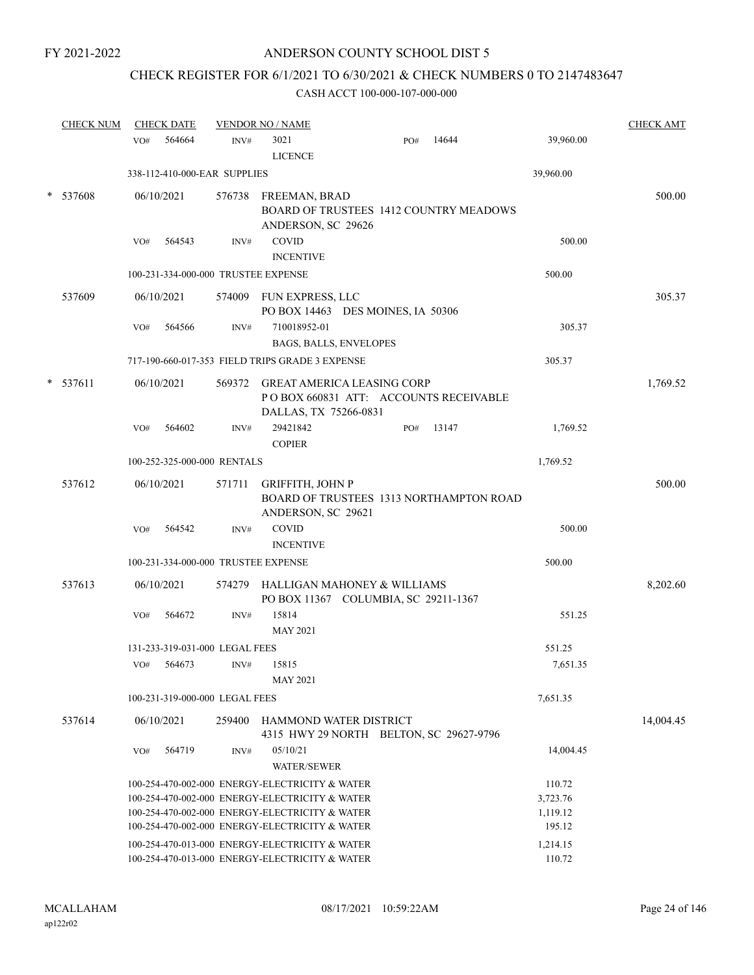# CHECK REGISTER FOR 6/1/2021 TO 6/30/2021 & CHECK NUMBERS 0 TO 2147483647

|   | <b>CHECK NUM</b> |     | <b>CHECK DATE</b>                   |        | <b>VENDOR NO / NAME</b>                                                                                                                                                                                                                                |     |       |                                                      | <b>CHECK AMT</b> |
|---|------------------|-----|-------------------------------------|--------|--------------------------------------------------------------------------------------------------------------------------------------------------------------------------------------------------------------------------------------------------------|-----|-------|------------------------------------------------------|------------------|
|   |                  | VO# | 564664                              | INV#   | 3021<br><b>LICENCE</b>                                                                                                                                                                                                                                 | PO# | 14644 | 39,960.00                                            |                  |
|   |                  |     | 338-112-410-000-EAR SUPPLIES        |        |                                                                                                                                                                                                                                                        |     |       | 39,960.00                                            |                  |
| * | 537608           |     | 06/10/2021                          | 576738 | <b>FREEMAN, BRAD</b><br>BOARD OF TRUSTEES 1412 COUNTRY MEADOWS<br>ANDERSON, SC 29626                                                                                                                                                                   |     |       |                                                      | 500.00           |
|   |                  | VO# | 564543                              | INV#   | <b>COVID</b><br><b>INCENTIVE</b>                                                                                                                                                                                                                       |     |       | 500.00                                               |                  |
|   |                  |     | 100-231-334-000-000 TRUSTEE EXPENSE |        |                                                                                                                                                                                                                                                        |     |       | 500.00                                               |                  |
|   | 537609           |     | 06/10/2021                          |        | 574009 FUN EXPRESS, LLC<br>PO BOX 14463 DES MOINES, IA 50306                                                                                                                                                                                           |     |       |                                                      | 305.37           |
|   |                  | VO# | 564566                              | INV#   | 710018952-01<br>BAGS, BALLS, ENVELOPES                                                                                                                                                                                                                 |     |       | 305.37                                               |                  |
|   |                  |     |                                     |        | 717-190-660-017-353 FIELD TRIPS GRADE 3 EXPENSE                                                                                                                                                                                                        |     |       | 305.37                                               |                  |
|   | $*$ 537611       |     | 06/10/2021                          |        | 569372 GREAT AMERICA LEASING CORP<br>POBOX 660831 ATT: ACCOUNTS RECEIVABLE<br>DALLAS, TX 75266-0831                                                                                                                                                    |     |       |                                                      | 1,769.52         |
|   |                  | VO# | 564602                              | INV#   | 29421842<br><b>COPIER</b>                                                                                                                                                                                                                              | PO# | 13147 | 1,769.52                                             |                  |
|   |                  |     | 100-252-325-000-000 RENTALS         |        |                                                                                                                                                                                                                                                        |     |       | 1,769.52                                             |                  |
|   | 537612           |     | 06/10/2021                          | 571711 | <b>GRIFFITH, JOHN P</b><br>BOARD OF TRUSTEES 1313 NORTHAMPTON ROAD<br>ANDERSON, SC 29621                                                                                                                                                               |     |       |                                                      | 500.00           |
|   |                  | VO# | 564542                              | INV#   | <b>COVID</b><br><b>INCENTIVE</b>                                                                                                                                                                                                                       |     |       | 500.00                                               |                  |
|   |                  |     | 100-231-334-000-000 TRUSTEE EXPENSE |        |                                                                                                                                                                                                                                                        |     |       | 500.00                                               |                  |
|   | 537613           |     | 06/10/2021                          | 574279 | HALLIGAN MAHONEY & WILLIAMS<br>PO BOX 11367 COLUMBIA, SC 29211-1367                                                                                                                                                                                    |     |       |                                                      | 8,202.60         |
|   |                  | VO# | 564672                              | INV#   | 15814<br><b>MAY 2021</b>                                                                                                                                                                                                                               |     |       | 551.25                                               |                  |
|   |                  |     | 131-233-319-031-000 LEGAL FEES      |        |                                                                                                                                                                                                                                                        |     |       | 551.25                                               |                  |
|   |                  | VO# | 564673                              | INV#   | 15815<br><b>MAY 2021</b>                                                                                                                                                                                                                               |     |       | 7,651.35                                             |                  |
|   |                  |     | 100-231-319-000-000 LEGAL FEES      |        |                                                                                                                                                                                                                                                        |     |       | 7,651.35                                             |                  |
|   | 537614           |     | 06/10/2021                          | 259400 | HAMMOND WATER DISTRICT<br>4315 HWY 29 NORTH BELTON, SC 29627-9796                                                                                                                                                                                      |     |       |                                                      | 14,004.45        |
|   |                  | VO# | 564719                              | INV#   | 05/10/21<br><b>WATER/SEWER</b>                                                                                                                                                                                                                         |     |       | 14,004.45                                            |                  |
|   |                  |     |                                     |        | 100-254-470-002-000 ENERGY-ELECTRICITY & WATER<br>100-254-470-002-000 ENERGY-ELECTRICITY & WATER<br>100-254-470-002-000 ENERGY-ELECTRICITY & WATER<br>100-254-470-002-000 ENERGY-ELECTRICITY & WATER<br>100-254-470-013-000 ENERGY-ELECTRICITY & WATER |     |       | 110.72<br>3,723.76<br>1,119.12<br>195.12<br>1,214.15 |                  |
|   |                  |     |                                     |        | 100-254-470-013-000 ENERGY-ELECTRICITY & WATER                                                                                                                                                                                                         |     |       | 110.72                                               |                  |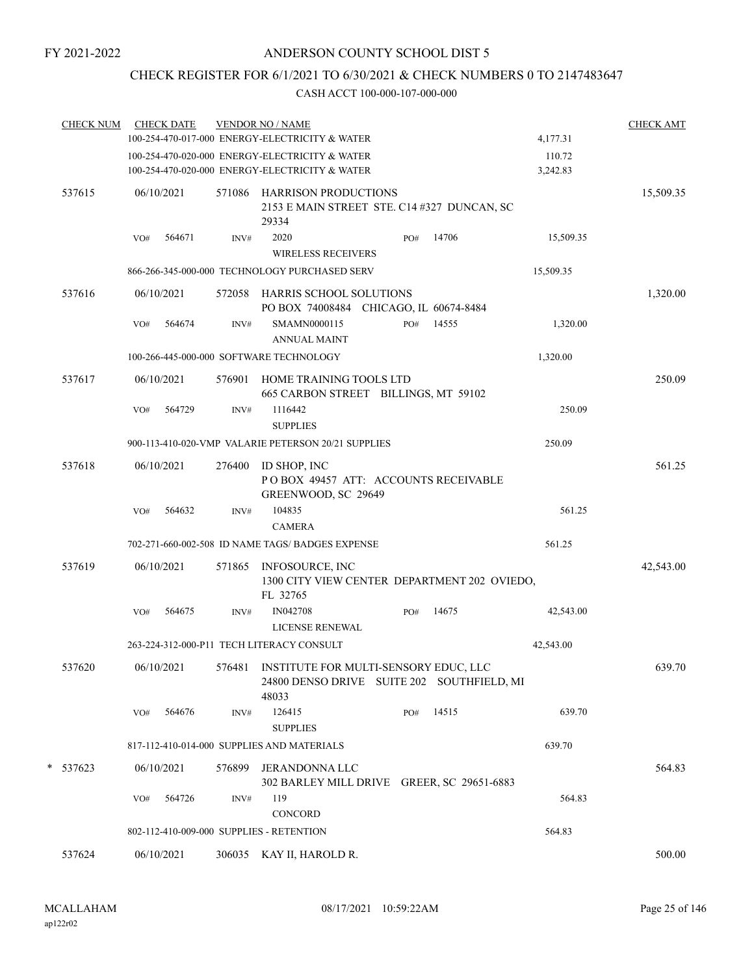# CHECK REGISTER FOR 6/1/2021 TO 6/30/2021 & CHECK NUMBERS 0 TO 2147483647

| <b>CHECK NUM</b> |     | <b>CHECK DATE</b> |        | <b>VENDOR NO / NAME</b><br>100-254-470-017-000 ENERGY-ELECTRICITY & WATER                           |     |       | 4,177.31           | <b>CHECK AMT</b> |
|------------------|-----|-------------------|--------|-----------------------------------------------------------------------------------------------------|-----|-------|--------------------|------------------|
|                  |     |                   |        | 100-254-470-020-000 ENERGY-ELECTRICITY & WATER<br>100-254-470-020-000 ENERGY-ELECTRICITY & WATER    |     |       | 110.72<br>3,242.83 |                  |
| 537615           |     | 06/10/2021        |        | 571086 HARRISON PRODUCTIONS<br>2153 E MAIN STREET STE. C14 #327 DUNCAN, SC<br>29334                 |     |       |                    | 15,509.35        |
|                  | VO# | 564671            | INV#   | 2020<br><b>WIRELESS RECEIVERS</b>                                                                   | PO# | 14706 | 15,509.35          |                  |
|                  |     |                   |        | 866-266-345-000-000 TECHNOLOGY PURCHASED SERV                                                       |     |       | 15,509.35          |                  |
| 537616           |     | 06/10/2021        |        | 572058 HARRIS SCHOOL SOLUTIONS<br>PO BOX 74008484 CHICAGO, IL 60674-8484                            |     |       |                    | 1,320.00         |
|                  | VO# | 564674            | INV#   | SMAMN0000115<br><b>ANNUAL MAINT</b>                                                                 | PO# | 14555 | 1,320.00           |                  |
|                  |     |                   |        | 100-266-445-000-000 SOFTWARE TECHNOLOGY                                                             |     |       | 1,320.00           |                  |
| 537617           |     | 06/10/2021        | 576901 | HOME TRAINING TOOLS LTD<br>665 CARBON STREET BILLINGS, MT 59102                                     |     |       |                    | 250.09           |
|                  | VO# | 564729            | INV#   | 1116442<br><b>SUPPLIES</b>                                                                          |     |       | 250.09             |                  |
|                  |     |                   |        | 900-113-410-020-VMP VALARIE PETERSON 20/21 SUPPLIES                                                 |     |       | 250.09             |                  |
| 537618           |     | 06/10/2021        | 276400 | ID SHOP, INC<br>POBOX 49457 ATT: ACCOUNTS RECEIVABLE<br>GREENWOOD, SC 29649                         |     |       |                    | 561.25           |
|                  | VO# | 564632            | INV#   | 104835<br><b>CAMERA</b>                                                                             |     |       | 561.25             |                  |
|                  |     |                   |        | 702-271-660-002-508 ID NAME TAGS/ BADGES EXPENSE                                                    |     |       | 561.25             |                  |
| 537619           |     | 06/10/2021        | 571865 | INFOSOURCE, INC<br>1300 CITY VIEW CENTER DEPARTMENT 202 OVIEDO,<br>FL 32765                         |     |       |                    | 42,543.00        |
|                  | VO# | 564675            | INV#   | IN042708<br><b>LICENSE RENEWAL</b>                                                                  | PO# | 14675 | 42,543.00          |                  |
|                  |     |                   |        | 263-224-312-000-P11 TECH LITERACY CONSULT                                                           |     |       | 42,543.00          |                  |
| 537620           |     | 06/10/2021        |        | 576481 INSTITUTE FOR MULTI-SENSORY EDUC, LLC<br>24800 DENSO DRIVE SUITE 202 SOUTHFIELD, MI<br>48033 |     |       |                    | 639.70           |
|                  | VO# | 564676            | INV#   | 126415<br><b>SUPPLIES</b>                                                                           | PO# | 14515 | 639.70             |                  |
|                  |     |                   |        | 817-112-410-014-000 SUPPLIES AND MATERIALS                                                          |     |       | 639.70             |                  |
| * 537623         |     | 06/10/2021        | 576899 | JERANDONNA LLC<br>302 BARLEY MILL DRIVE GREER, SC 29651-6883                                        |     |       |                    | 564.83           |
|                  | VO# | 564726            | INV#   | 119<br>CONCORD                                                                                      |     |       | 564.83             |                  |
|                  |     |                   |        | 802-112-410-009-000 SUPPLIES - RETENTION                                                            |     |       | 564.83             |                  |
| 537624           |     | 06/10/2021        |        | 306035 KAY II, HAROLD R.                                                                            |     |       |                    | 500.00           |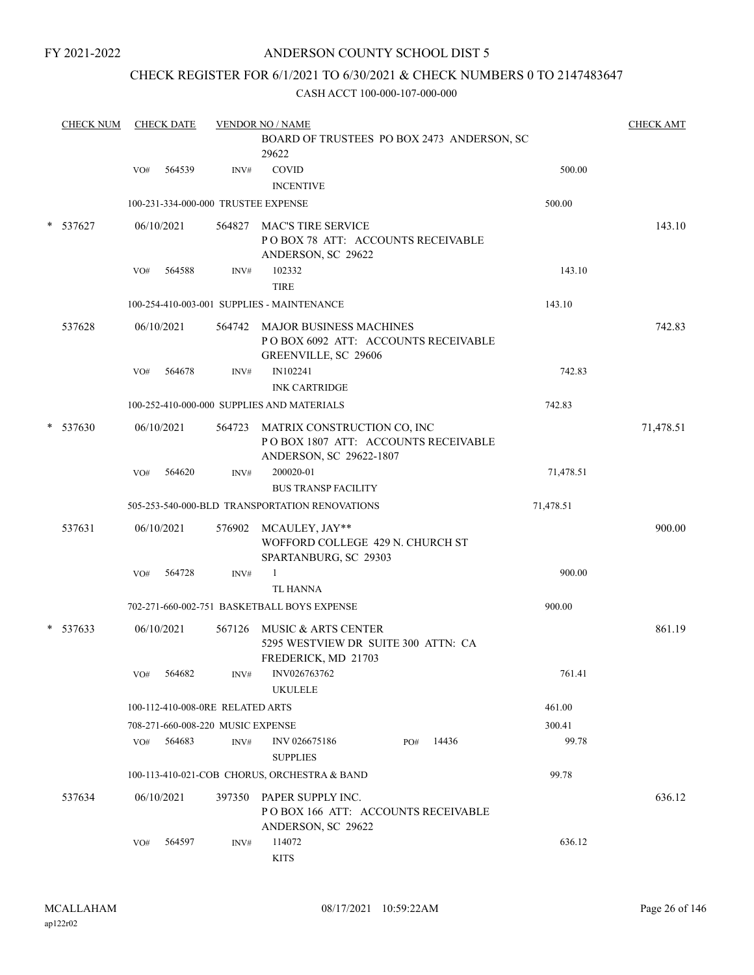# ANDERSON COUNTY SCHOOL DIST 5

# CHECK REGISTER FOR 6/1/2021 TO 6/30/2021 & CHECK NUMBERS 0 TO 2147483647

| <b>CHECK NUM</b> | <b>CHECK DATE</b>                   |      | <b>VENDOR NO / NAME</b>                                                                              |           | <b>CHECK AMT</b> |
|------------------|-------------------------------------|------|------------------------------------------------------------------------------------------------------|-----------|------------------|
|                  |                                     |      | BOARD OF TRUSTEES PO BOX 2473 ANDERSON, SC<br>29622                                                  |           |                  |
|                  | 564539<br>VO#                       | INV# | <b>COVID</b><br><b>INCENTIVE</b>                                                                     | 500.00    |                  |
|                  | 100-231-334-000-000 TRUSTEE EXPENSE |      |                                                                                                      | 500.00    |                  |
| $*$ 537627       | 06/10/2021                          |      | 564827 MAC'S TIRE SERVICE<br>POBOX 78 ATT: ACCOUNTS RECEIVABLE<br>ANDERSON, SC 29622                 |           | 143.10           |
|                  | 564588<br>VO#                       | INV# | 102332<br><b>TIRE</b>                                                                                | 143.10    |                  |
|                  |                                     |      | 100-254-410-003-001 SUPPLIES - MAINTENANCE                                                           | 143.10    |                  |
| 537628           | 06/10/2021                          |      | 564742 MAJOR BUSINESS MACHINES<br>POBOX 6092 ATT: ACCOUNTS RECEIVABLE<br>GREENVILLE, SC 29606        |           | 742.83           |
|                  | 564678<br>VO#                       | INV# | IN102241<br><b>INK CARTRIDGE</b>                                                                     | 742.83    |                  |
|                  |                                     |      | 100-252-410-000-000 SUPPLIES AND MATERIALS                                                           | 742.83    |                  |
| $*$ 537630       | 06/10/2021                          |      | 564723 MATRIX CONSTRUCTION CO, INC<br>POBOX 1807 ATT: ACCOUNTS RECEIVABLE<br>ANDERSON, SC 29622-1807 |           | 71,478.51        |
|                  | 564620<br>VO#                       | INV# | 200020-01<br><b>BUS TRANSP FACILITY</b>                                                              | 71,478.51 |                  |
|                  |                                     |      | 505-253-540-000-BLD TRANSPORTATION RENOVATIONS                                                       | 71,478.51 |                  |
| 537631           | 06/10/2021                          |      | 576902 MCAULEY, JAY**<br>WOFFORD COLLEGE 429 N. CHURCH ST<br>SPARTANBURG, SC 29303                   |           | 900.00           |
|                  | VO#<br>564728                       | INV# | $\mathbf{1}$<br><b>TL HANNA</b>                                                                      | 900.00    |                  |
|                  |                                     |      | 702-271-660-002-751 BASKETBALL BOYS EXPENSE                                                          | 900.00    |                  |
| $*$ 537633       | 06/10/2021                          |      | 567126 MUSIC & ARTS CENTER<br>5295 WESTVIEW DR SUITE 300 ATTN: CA<br>FREDERICK, MD 21703             |           | 861.19           |
|                  | 564682<br>VO#                       | INV# | INV026763762<br><b>UKULELE</b>                                                                       | 761.41    |                  |
|                  | 100-112-410-008-0RE RELATED ARTS    |      |                                                                                                      | 461.00    |                  |
|                  | 708-271-660-008-220 MUSIC EXPENSE   |      |                                                                                                      | 300.41    |                  |
|                  | 564683<br>VO#                       | INV# | 14436<br>INV 026675186<br>PO#<br><b>SUPPLIES</b>                                                     | 99.78     |                  |
|                  |                                     |      | 100-113-410-021-COB CHORUS, ORCHESTRA & BAND                                                         | 99.78     |                  |
| 537634           | 06/10/2021                          |      | 397350 PAPER SUPPLY INC.<br>POBOX 166 ATT: ACCOUNTS RECEIVABLE<br>ANDERSON, SC 29622                 |           | 636.12           |
|                  | 564597<br>VO#                       | INV# | 114072<br><b>KITS</b>                                                                                | 636.12    |                  |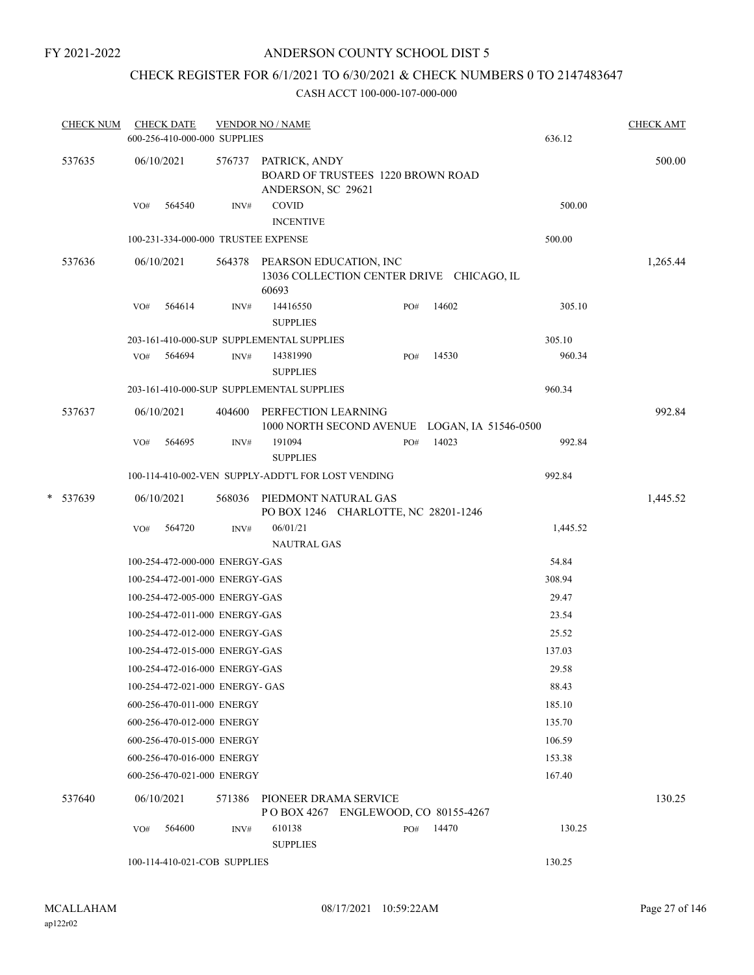# ANDERSON COUNTY SCHOOL DIST 5

# CHECK REGISTER FOR 6/1/2021 TO 6/30/2021 & CHECK NUMBERS 0 TO 2147483647

| <b>CHECK NUM</b> |     | <b>CHECK DATE</b> | 600-256-410-000-000 SUPPLIES        | <b>VENDOR NO / NAME</b>                                                                |     |       | 636.12   | <b>CHECK AMT</b> |
|------------------|-----|-------------------|-------------------------------------|----------------------------------------------------------------------------------------|-----|-------|----------|------------------|
| 537635           |     | 06/10/2021        |                                     | 576737 PATRICK, ANDY<br><b>BOARD OF TRUSTEES 1220 BROWN ROAD</b><br>ANDERSON, SC 29621 |     |       |          | 500.00           |
|                  | VO# | 564540            | INV#                                | COVID<br><b>INCENTIVE</b>                                                              |     |       | 500.00   |                  |
|                  |     |                   | 100-231-334-000-000 TRUSTEE EXPENSE |                                                                                        |     |       | 500.00   |                  |
| 537636           |     | 06/10/2021        |                                     | 564378 PEARSON EDUCATION, INC<br>13036 COLLECTION CENTER DRIVE CHICAGO, IL             |     |       |          | 1,265.44         |
|                  |     |                   |                                     | 60693                                                                                  |     |       |          |                  |
|                  | VO# | 564614            | INV#                                | 14416550<br><b>SUPPLIES</b>                                                            | PO# | 14602 | 305.10   |                  |
|                  |     |                   |                                     | 203-161-410-000-SUP SUPPLEMENTAL SUPPLIES                                              |     |       | 305.10   |                  |
|                  | VO# | 564694            | INV#                                | 14381990<br><b>SUPPLIES</b>                                                            | PO# | 14530 | 960.34   |                  |
|                  |     |                   |                                     | 203-161-410-000-SUP SUPPLEMENTAL SUPPLIES                                              |     |       | 960.34   |                  |
| 537637           |     | 06/10/2021        |                                     | 404600 PERFECTION LEARNING<br>1000 NORTH SECOND AVENUE LOGAN, IA 51546-0500            |     |       |          | 992.84           |
|                  | VO# | 564695            | INV#                                | 191094<br><b>SUPPLIES</b>                                                              | PO# | 14023 | 992.84   |                  |
|                  |     |                   |                                     | 100-114-410-002-VEN SUPPLY-ADDT'L FOR LOST VENDING                                     |     |       | 992.84   |                  |
| * 537639         |     | 06/10/2021        |                                     | 568036 PIEDMONT NATURAL GAS<br>PO BOX 1246 CHARLOTTE, NC 28201-1246                    |     |       |          | 1,445.52         |
|                  | VO# | 564720            | INV#                                | 06/01/21<br><b>NAUTRAL GAS</b>                                                         |     |       | 1,445.52 |                  |
|                  |     |                   | 100-254-472-000-000 ENERGY-GAS      |                                                                                        |     |       | 54.84    |                  |
|                  |     |                   | 100-254-472-001-000 ENERGY-GAS      |                                                                                        |     |       | 308.94   |                  |
|                  |     |                   | 100-254-472-005-000 ENERGY-GAS      |                                                                                        |     |       | 29.47    |                  |
|                  |     |                   | 100-254-472-011-000 ENERGY-GAS      |                                                                                        |     |       | 23.54    |                  |
|                  |     |                   | 100-254-472-012-000 ENERGY-GAS      |                                                                                        |     |       | 25.52    |                  |
|                  |     |                   | 100-254-472-015-000 ENERGY-GAS      |                                                                                        |     |       | 137.03   |                  |
|                  |     |                   | 100-254-472-016-000 ENERGY-GAS      |                                                                                        |     |       | 29.58    |                  |
|                  |     |                   | 100-254-472-021-000 ENERGY- GAS     |                                                                                        |     |       | 88.43    |                  |
|                  |     |                   | 600-256-470-011-000 ENERGY          |                                                                                        |     |       | 185.10   |                  |
|                  |     |                   | 600-256-470-012-000 ENERGY          |                                                                                        |     |       | 135.70   |                  |
|                  |     |                   | 600-256-470-015-000 ENERGY          |                                                                                        |     |       | 106.59   |                  |
|                  |     |                   | 600-256-470-016-000 ENERGY          |                                                                                        |     |       | 153.38   |                  |
|                  |     |                   | 600-256-470-021-000 ENERGY          |                                                                                        |     |       | 167.40   |                  |
| 537640           |     | 06/10/2021        | 571386                              | PIONEER DRAMA SERVICE<br>POBOX 4267 ENGLEWOOD, CO 80155-4267                           |     |       |          | 130.25           |
|                  | VO# | 564600            | INV#                                | 610138<br><b>SUPPLIES</b>                                                              | PO# | 14470 | 130.25   |                  |
|                  |     |                   | 100-114-410-021-COB SUPPLIES        |                                                                                        |     |       | 130.25   |                  |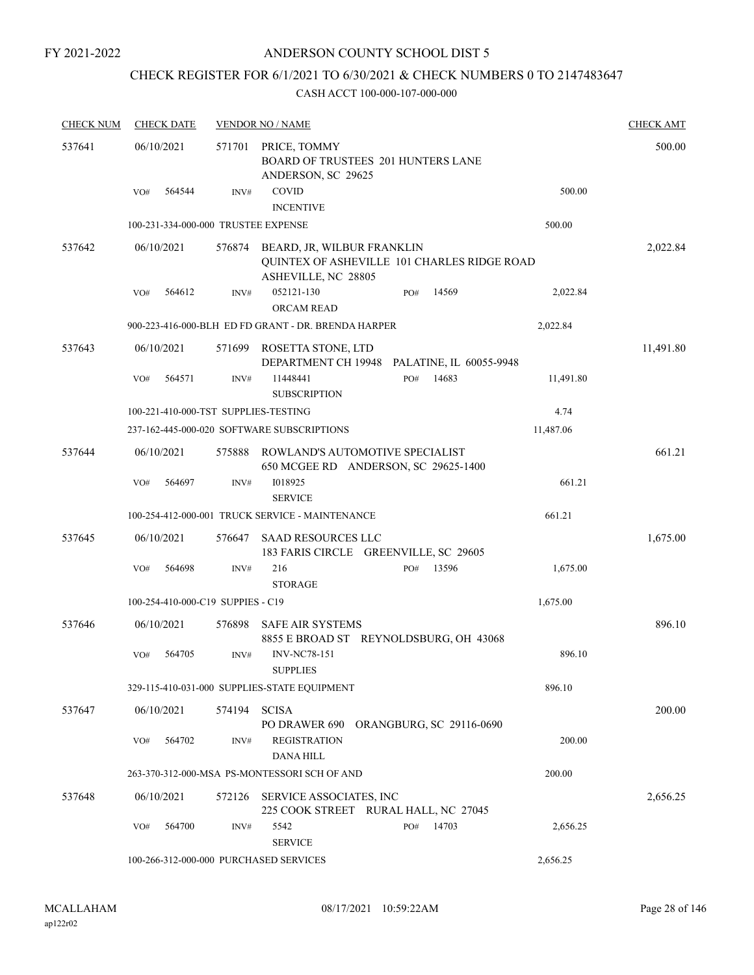# ANDERSON COUNTY SCHOOL DIST 5

# CHECK REGISTER FOR 6/1/2021 TO 6/30/2021 & CHECK NUMBERS 0 TO 2147483647

| <b>CHECK NUM</b> | <b>CHECK DATE</b>                      |        | <b>VENDOR NO / NAME</b>                                                  |                                             |           | <b>CHECK AMT</b> |
|------------------|----------------------------------------|--------|--------------------------------------------------------------------------|---------------------------------------------|-----------|------------------|
| 537641           | 06/10/2021                             | 571701 | PRICE, TOMMY<br>BOARD OF TRUSTEES 201 HUNTERS LANE<br>ANDERSON, SC 29625 |                                             |           | 500.00           |
|                  | 564544<br>VO#                          | INV#   | COVID<br><b>INCENTIVE</b>                                                |                                             | 500.00    |                  |
|                  | 100-231-334-000-000 TRUSTEE EXPENSE    |        |                                                                          |                                             | 500.00    |                  |
| 537642           | 06/10/2021                             |        | 576874 BEARD, JR, WILBUR FRANKLIN<br>ASHEVILLE, NC 28805                 | QUINTEX OF ASHEVILLE 101 CHARLES RIDGE ROAD |           | 2,022.84         |
|                  | 564612<br>VO#                          | INV#   | 052121-130<br><b>ORCAM READ</b>                                          | 14569<br>PO#                                | 2,022.84  |                  |
|                  |                                        |        | 900-223-416-000-BLH ED FD GRANT - DR. BRENDA HARPER                      |                                             | 2,022.84  |                  |
| 537643           | 06/10/2021                             | 571699 | ROSETTA STONE, LTD                                                       | DEPARTMENT CH 19948 PALATINE, IL 60055-9948 |           | 11,491.80        |
|                  | 564571<br>VO#                          | INV#   | 11448441<br><b>SUBSCRIPTION</b>                                          | PO#<br>14683                                | 11,491.80 |                  |
|                  | 100-221-410-000-TST SUPPLIES-TESTING   |        |                                                                          |                                             | 4.74      |                  |
|                  |                                        |        | 237-162-445-000-020 SOFTWARE SUBSCRIPTIONS                               |                                             | 11,487.06 |                  |
| 537644           | 06/10/2021                             | 575888 | ROWLAND'S AUTOMOTIVE SPECIALIST<br>650 MCGEE RD ANDERSON, SC 29625-1400  |                                             |           | 661.21           |
|                  | VO#<br>564697                          | INV#   | 1018925<br><b>SERVICE</b>                                                |                                             | 661.21    |                  |
|                  |                                        |        | 100-254-412-000-001 TRUCK SERVICE - MAINTENANCE                          |                                             | 661.21    |                  |
| 537645           | 06/10/2021                             | 576647 | <b>SAAD RESOURCES LLC</b><br>183 FARIS CIRCLE GREENVILLE, SC 29605       |                                             |           | 1,675.00         |
|                  | 564698<br>VO#                          | INV#   | 216<br><b>STORAGE</b>                                                    | 13596<br>PO#                                | 1,675.00  |                  |
|                  | 100-254-410-000-C19 SUPPIES - C19      |        |                                                                          |                                             | 1,675.00  |                  |
| 537646           | 06/10/2021                             | 576898 | <b>SAFE AIR SYSTEMS</b><br>8855 E BROAD ST REYNOLDSBURG, OH 43068        |                                             |           | 896.10           |
|                  | 564705<br>VO#                          | INV#   | <b>INV-NC78-151</b><br><b>SUPPLIES</b>                                   |                                             | 896.10    |                  |
|                  |                                        |        | 329-115-410-031-000 SUPPLIES-STATE EQUIPMENT                             |                                             | 896.10    |                  |
| 537647           | 06/10/2021                             | 574194 | <b>SCISA</b><br>PO DRAWER 690                                            | <b>ORANGBURG, SC 29116-0690</b>             |           | 200.00           |
|                  | 564702<br>VO#                          | INV#   | <b>REGISTRATION</b><br><b>DANA HILL</b>                                  |                                             | 200.00    |                  |
|                  |                                        |        | 263-370-312-000-MSA PS-MONTESSORI SCH OF AND                             |                                             | 200.00    |                  |
| 537648           | 06/10/2021                             | 572126 | SERVICE ASSOCIATES, INC<br>225 COOK STREET RURAL HALL, NC 27045          |                                             |           | 2,656.25         |
|                  | 564700<br>VO#                          | INV#   | 5542<br><b>SERVICE</b>                                                   | 14703<br>PO#                                | 2,656.25  |                  |
|                  | 100-266-312-000-000 PURCHASED SERVICES |        |                                                                          |                                             | 2,656.25  |                  |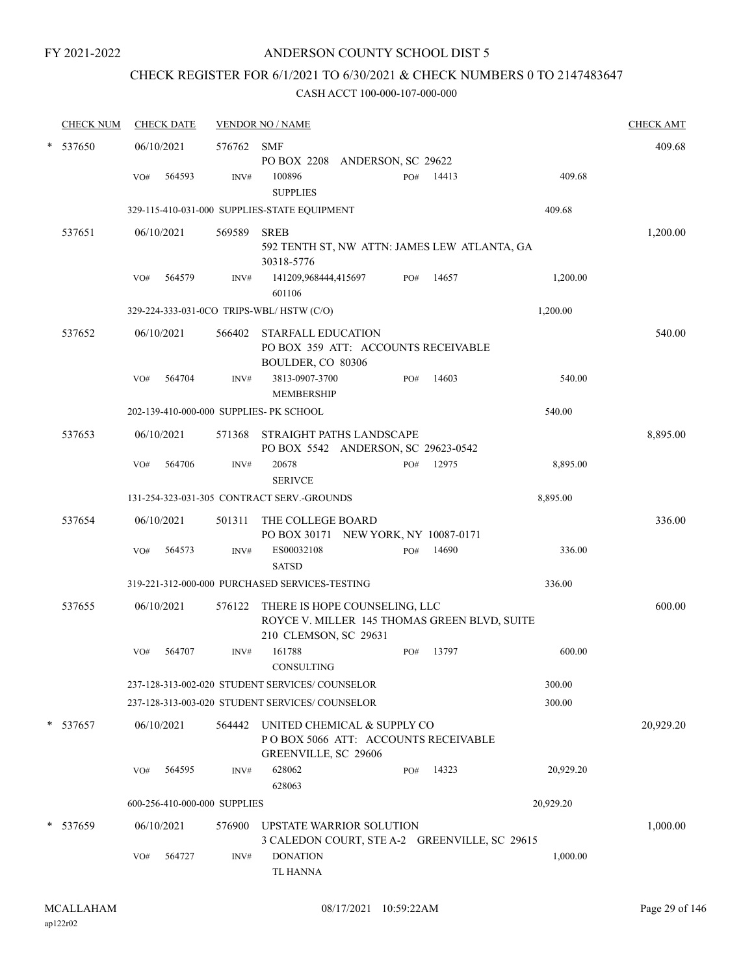# CHECK REGISTER FOR 6/1/2021 TO 6/30/2021 & CHECK NUMBERS 0 TO 2147483647

|   | <b>CHECK NUM</b> |     | <b>CHECK DATE</b>            |            | <b>VENDOR NO / NAME</b>                                                                                |     |       |           | <b>CHECK AMT</b> |
|---|------------------|-----|------------------------------|------------|--------------------------------------------------------------------------------------------------------|-----|-------|-----------|------------------|
| * | 537650           |     | 06/10/2021                   | 576762 SMF |                                                                                                        |     |       |           | 409.68           |
|   |                  | VO# | 564593                       | INV#       | PO BOX 2208 ANDERSON, SC 29622<br>100896<br><b>SUPPLIES</b>                                            | PO# | 14413 | 409.68    |                  |
|   |                  |     |                              |            | 329-115-410-031-000 SUPPLIES-STATE EQUIPMENT                                                           |     |       | 409.68    |                  |
|   | 537651           |     | 06/10/2021                   | 569589     | <b>SREB</b><br>592 TENTH ST, NW ATTN: JAMES LEW ATLANTA, GA<br>30318-5776                              |     |       |           | 1,200.00         |
|   |                  | VO# | 564579                       | INV#       | 141209,968444,415697<br>601106                                                                         | PO# | 14657 | 1,200.00  |                  |
|   |                  |     |                              |            | 329-224-333-031-0CO TRIPS-WBL/HSTW (C/O)                                                               |     |       | 1,200.00  |                  |
|   | 537652           |     | 06/10/2021                   | 566402     | STARFALL EDUCATION<br>PO BOX 359 ATT: ACCOUNTS RECEIVABLE<br>BOULDER, CO 80306                         |     |       |           | 540.00           |
|   |                  | VO# | 564704                       | INV#       | 3813-0907-3700<br><b>MEMBERSHIP</b>                                                                    | PO# | 14603 | 540.00    |                  |
|   |                  |     |                              |            | 202-139-410-000-000 SUPPLIES- PK SCHOOL                                                                |     |       | 540.00    |                  |
|   | 537653           |     | 06/10/2021                   |            | 571368 STRAIGHT PATHS LANDSCAPE<br>PO BOX 5542 ANDERSON, SC 29623-0542                                 |     |       |           | 8,895.00         |
|   |                  | VO# | 564706                       | INV#       | 20678<br><b>SERIVCE</b>                                                                                | PO# | 12975 | 8,895.00  |                  |
|   |                  |     |                              |            | 131-254-323-031-305 CONTRACT SERV.-GROUNDS                                                             |     |       | 8,895.00  |                  |
|   | 537654           |     | 06/10/2021                   | 501311     | THE COLLEGE BOARD<br>PO BOX 30171 NEW YORK, NY 10087-0171                                              |     |       |           | 336.00           |
|   |                  | VO# | 564573                       | INV#       | ES00032108<br><b>SATSD</b>                                                                             | PO# | 14690 | 336.00    |                  |
|   |                  |     |                              |            | 319-221-312-000-000 PURCHASED SERVICES-TESTING                                                         |     |       | 336.00    |                  |
|   | 537655           |     | 06/10/2021                   | 576122     | THERE IS HOPE COUNSELING, LLC<br>ROYCE V. MILLER 145 THOMAS GREEN BLVD, SUITE<br>210 CLEMSON, SC 29631 |     |       |           | 600.00           |
|   |                  | VO# | 564707                       | INV#       | 161788<br>CONSULTING                                                                                   | PO# | 13797 | 600.00    |                  |
|   |                  |     |                              |            | 237-128-313-002-020 STUDENT SERVICES/ COUNSELOR                                                        |     |       | 300.00    |                  |
|   |                  |     |                              |            | 237-128-313-003-020 STUDENT SERVICES/ COUNSELOR                                                        |     |       | 300.00    |                  |
|   | $*$ 537657       |     | 06/10/2021                   | 564442     | UNITED CHEMICAL & SUPPLY CO<br>PO BOX 5066 ATT: ACCOUNTS RECEIVABLE<br>GREENVILLE, SC 29606            |     |       |           | 20,929.20        |
|   |                  | VO# | 564595                       | INV#       | 628062<br>628063                                                                                       | PO# | 14323 | 20,929.20 |                  |
|   |                  |     | 600-256-410-000-000 SUPPLIES |            |                                                                                                        |     |       | 20,929.20 |                  |
|   | * 537659         |     | 06/10/2021                   | 576900     | UPSTATE WARRIOR SOLUTION<br>3 CALEDON COURT, STE A-2 GREENVILLE, SC 29615                              |     |       |           | 1,000.00         |
|   |                  | VO# | 564727                       | INV#       | <b>DONATION</b><br>TL HANNA                                                                            |     |       | 1,000.00  |                  |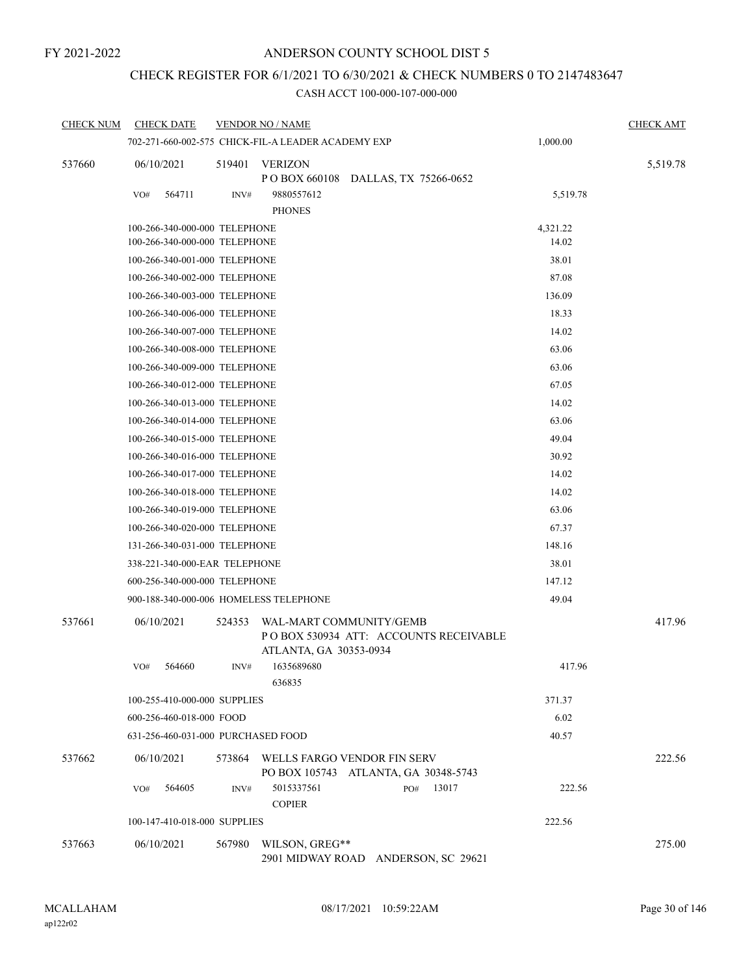# CHECK REGISTER FOR 6/1/2021 TO 6/30/2021 & CHECK NUMBERS 0 TO 2147483647

| <b>CHECK NUM</b> | <b>CHECK DATE</b>                      |        | <b>VENDOR NO / NAME</b>                                             |              |          | <b>CHECK AMT</b> |
|------------------|----------------------------------------|--------|---------------------------------------------------------------------|--------------|----------|------------------|
|                  |                                        |        | 702-271-660-002-575 CHICK-FIL-A LEADER ACADEMY EXP                  |              | 1,000.00 |                  |
| 537660           | 06/10/2021                             | 519401 | <b>VERIZON</b><br>P O BOX 660108 DALLAS, TX 75266-0652              |              |          | 5,519.78         |
|                  | 564711<br>VO#                          | INV#   | 9880557612<br><b>PHONES</b>                                         |              | 5,519.78 |                  |
|                  | 100-266-340-000-000 TELEPHONE          |        |                                                                     |              | 4,321.22 |                  |
|                  | 100-266-340-000-000 TELEPHONE          |        |                                                                     |              | 14.02    |                  |
|                  | 100-266-340-001-000 TELEPHONE          |        |                                                                     |              | 38.01    |                  |
|                  | 100-266-340-002-000 TELEPHONE          |        |                                                                     |              | 87.08    |                  |
|                  | 100-266-340-003-000 TELEPHONE          |        |                                                                     |              | 136.09   |                  |
|                  | 100-266-340-006-000 TELEPHONE          |        |                                                                     |              | 18.33    |                  |
|                  | 100-266-340-007-000 TELEPHONE          |        |                                                                     |              | 14.02    |                  |
|                  | 100-266-340-008-000 TELEPHONE          |        |                                                                     |              | 63.06    |                  |
|                  | 100-266-340-009-000 TELEPHONE          |        |                                                                     |              | 63.06    |                  |
|                  | 100-266-340-012-000 TELEPHONE          |        |                                                                     |              | 67.05    |                  |
|                  | 100-266-340-013-000 TELEPHONE          |        |                                                                     |              | 14.02    |                  |
|                  | 100-266-340-014-000 TELEPHONE          |        |                                                                     |              | 63.06    |                  |
|                  | 100-266-340-015-000 TELEPHONE          |        |                                                                     |              | 49.04    |                  |
|                  | 100-266-340-016-000 TELEPHONE          |        |                                                                     |              | 30.92    |                  |
|                  | 100-266-340-017-000 TELEPHONE          |        |                                                                     |              | 14.02    |                  |
|                  | 100-266-340-018-000 TELEPHONE          |        |                                                                     |              | 14.02    |                  |
|                  | 100-266-340-019-000 TELEPHONE          |        |                                                                     |              | 63.06    |                  |
|                  | 100-266-340-020-000 TELEPHONE          |        |                                                                     |              | 67.37    |                  |
|                  | 131-266-340-031-000 TELEPHONE          |        |                                                                     |              | 148.16   |                  |
|                  | 338-221-340-000-EAR TELEPHONE          |        |                                                                     |              | 38.01    |                  |
|                  | 600-256-340-000-000 TELEPHONE          |        |                                                                     |              | 147.12   |                  |
|                  | 900-188-340-000-006 HOMELESS TELEPHONE |        |                                                                     |              | 49.04    |                  |
| 537661           | 06/10/2021                             | 524353 | WAL-MART COMMUNITY/GEMB<br>PO BOX 530934 ATT: ACCOUNTS RECEIVABLE   |              |          | 417.96           |
|                  | 564660<br>VO#                          | INV#   | ATLANTA, GA 30353-0934<br>1635689680<br>636835                      |              | 417.96   |                  |
|                  | 100-255-410-000-000 SUPPLIES           |        |                                                                     |              | 371.37   |                  |
|                  | 600-256-460-018-000 FOOD               |        |                                                                     |              | 6.02     |                  |
|                  | 631-256-460-031-000 PURCHASED FOOD     |        |                                                                     |              | 40.57    |                  |
| 537662           | 06/10/2021                             | 573864 | WELLS FARGO VENDOR FIN SERV<br>PO BOX 105743 ATLANTA, GA 30348-5743 |              |          | 222.56           |
|                  | 564605<br>VO#                          | INV#   | 5015337561<br><b>COPIER</b>                                         | 13017<br>PO# | 222.56   |                  |
|                  | 100-147-410-018-000 SUPPLIES           |        |                                                                     |              | 222.56   |                  |
| 537663           | 06/10/2021                             | 567980 | WILSON, GREG**<br>2901 MIDWAY ROAD ANDERSON, SC 29621               |              |          | 275.00           |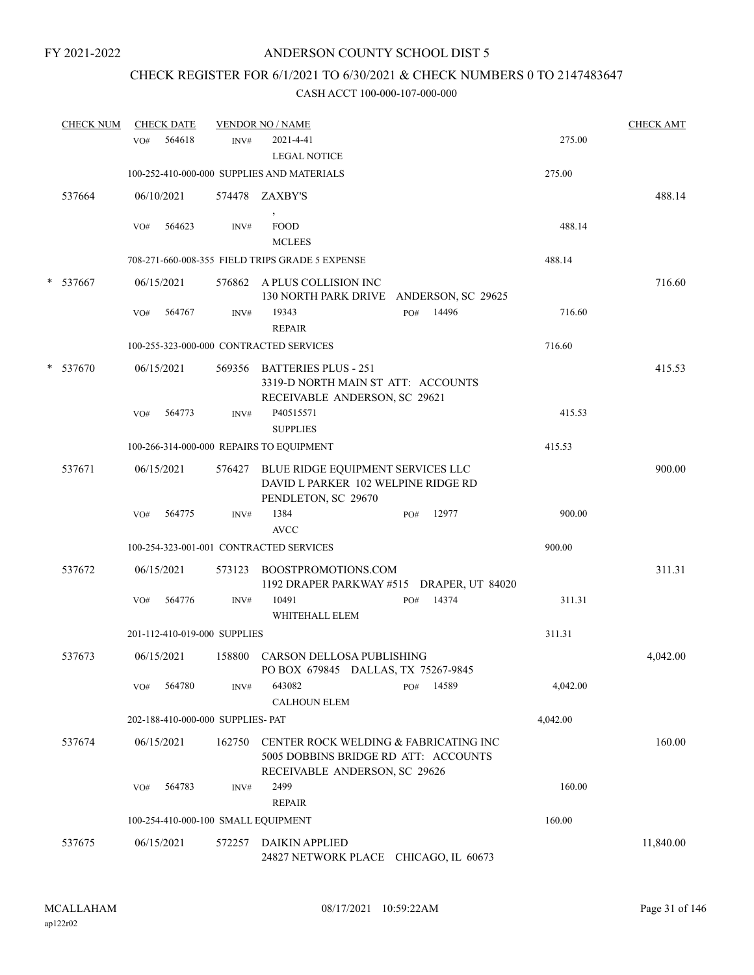# CHECK REGISTER FOR 6/1/2021 TO 6/30/2021 & CHECK NUMBERS 0 TO 2147483647

|   | <b>CHECK NUM</b> |     | <b>CHECK DATE</b> |                                   | <b>VENDOR NO / NAME</b>                                                                                        |     |       |          | <b>CHECK AMT</b> |
|---|------------------|-----|-------------------|-----------------------------------|----------------------------------------------------------------------------------------------------------------|-----|-------|----------|------------------|
|   |                  | VO# | 564618            | INV#                              | 2021-4-41<br><b>LEGAL NOTICE</b>                                                                               |     |       | 275.00   |                  |
|   |                  |     |                   |                                   | 100-252-410-000-000 SUPPLIES AND MATERIALS                                                                     |     |       | 275.00   |                  |
|   | 537664           |     | 06/10/2021        |                                   | 574478 ZAXBY'S                                                                                                 |     |       |          | 488.14           |
|   |                  | VO# | 564623            | INV#                              | $\,$<br><b>FOOD</b><br><b>MCLEES</b>                                                                           |     |       | 488.14   |                  |
|   |                  |     |                   |                                   | 708-271-660-008-355 FIELD TRIPS GRADE 5 EXPENSE                                                                |     |       | 488.14   |                  |
|   | * 537667         |     | 06/15/2021        |                                   | 576862 A PLUS COLLISION INC<br>130 NORTH PARK DRIVE ANDERSON, SC 29625                                         |     |       |          | 716.60           |
|   |                  | VO# | 564767            | INV#                              | 19343<br><b>REPAIR</b>                                                                                         | PO# | 14496 | 716.60   |                  |
|   |                  |     |                   |                                   | 100-255-323-000-000 CONTRACTED SERVICES                                                                        |     |       | 716.60   |                  |
| * | 537670           |     | 06/15/2021        |                                   | 569356 BATTERIES PLUS - 251<br>3319-D NORTH MAIN ST ATT: ACCOUNTS<br>RECEIVABLE ANDERSON, SC 29621             |     |       |          | 415.53           |
|   |                  | VO# | 564773            | INV#                              | P40515571<br><b>SUPPLIES</b>                                                                                   |     |       | 415.53   |                  |
|   |                  |     |                   |                                   | 100-266-314-000-000 REPAIRS TO EQUIPMENT                                                                       |     |       | 415.53   |                  |
|   | 537671           |     | 06/15/2021        |                                   | 576427 BLUE RIDGE EQUIPMENT SERVICES LLC<br>DAVID L PARKER 102 WELPINE RIDGE RD<br>PENDLETON, SC 29670         |     |       |          | 900.00           |
|   |                  | VO# | 564775            | INV#                              | 1384<br><b>AVCC</b>                                                                                            | PO# | 12977 | 900.00   |                  |
|   |                  |     |                   |                                   | 100-254-323-001-001 CONTRACTED SERVICES                                                                        |     |       | 900.00   |                  |
|   | 537672           |     | 06/15/2021        | 573123                            | BOOSTPROMOTIONS.COM<br>1192 DRAPER PARKWAY #515 DRAPER, UT 84020                                               |     |       |          | 311.31           |
|   |                  | VO# | 564776            | INV#                              | 10491<br>WHITEHALL ELEM                                                                                        | PO# | 14374 | 311.31   |                  |
|   |                  |     |                   | 201-112-410-019-000 SUPPLIES      |                                                                                                                |     |       | 311.31   |                  |
|   | 537673           |     | 06/15/2021        |                                   | 158800 CARSON DELLOSA PUBLISHING<br>PO BOX 679845 DALLAS, TX 75267-9845                                        |     |       |          | 4,042.00         |
|   |                  | VO# | 564780            | INV#                              | 643082<br><b>CALHOUN ELEM</b>                                                                                  | PO# | 14589 | 4,042.00 |                  |
|   |                  |     |                   | 202-188-410-000-000 SUPPLIES- PAT |                                                                                                                |     |       | 4,042.00 |                  |
|   | 537674           |     | 06/15/2021        | 162750                            | CENTER ROCK WELDING & FABRICATING INC<br>5005 DOBBINS BRIDGE RD ATT: ACCOUNTS<br>RECEIVABLE ANDERSON, SC 29626 |     |       |          | 160.00           |
|   |                  | VO# | 564783            | INV#                              | 2499                                                                                                           |     |       | 160.00   |                  |
|   |                  |     |                   |                                   | <b>REPAIR</b>                                                                                                  |     |       |          |                  |
|   |                  |     |                   |                                   | 100-254-410-000-100 SMALL EQUIPMENT                                                                            |     |       | 160.00   |                  |
|   | 537675           |     | 06/15/2021        | 572257                            | <b>DAIKIN APPLIED</b><br>24827 NETWORK PLACE CHICAGO, IL 60673                                                 |     |       |          | 11,840.00        |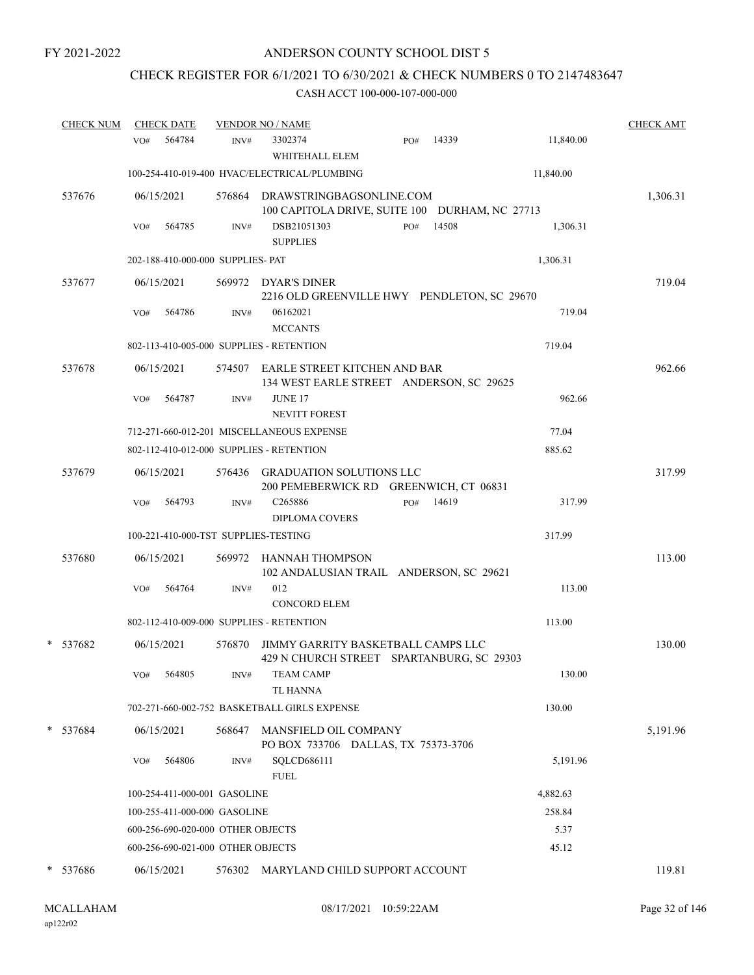# CHECK REGISTER FOR 6/1/2021 TO 6/30/2021 & CHECK NUMBERS 0 TO 2147483647

| <b>CHECK NUM</b> | <b>CHECK DATE</b>                        |                | <b>VENDOR NO / NAME</b>                                                           |              |           | <b>CHECK AMT</b> |
|------------------|------------------------------------------|----------------|-----------------------------------------------------------------------------------|--------------|-----------|------------------|
|                  | 564784<br>VO#                            | $\text{INV}\#$ | 3302374<br>WHITEHALL ELEM                                                         | 14339<br>PO# | 11,840.00 |                  |
|                  |                                          |                | 100-254-410-019-400 HVAC/ELECTRICAL/PLUMBING                                      |              | 11,840.00 |                  |
| 537676           | 06/15/2021                               |                | 576864 DRAWSTRINGBAGSONLINE.COM<br>100 CAPITOLA DRIVE, SUITE 100 DURHAM, NC 27713 |              |           | 1,306.31         |
|                  | 564785<br>VO#                            | INV#           | DSB21051303<br><b>SUPPLIES</b>                                                    | 14508<br>PO# | 1,306.31  |                  |
|                  | 202-188-410-000-000 SUPPLIES- PAT        |                |                                                                                   |              | 1,306.31  |                  |
| 537677           | 06/15/2021                               |                | 569972 DYAR'S DINER<br>2216 OLD GREENVILLE HWY PENDLETON, SC 29670                |              |           | 719.04           |
|                  | 564786<br>VO#                            | INV#           | 06162021<br><b>MCCANTS</b>                                                        |              | 719.04    |                  |
|                  | 802-113-410-005-000 SUPPLIES - RETENTION |                |                                                                                   |              | 719.04    |                  |
| 537678           | 06/15/2021                               |                | 574507 EARLE STREET KITCHEN AND BAR<br>134 WEST EARLE STREET ANDERSON, SC 29625   |              |           | 962.66           |
|                  | 564787<br>VO#                            | INV#           | JUNE 17<br><b>NEVITT FOREST</b>                                                   |              | 962.66    |                  |
|                  |                                          |                | 712-271-660-012-201 MISCELLANEOUS EXPENSE                                         |              | 77.04     |                  |
|                  | 802-112-410-012-000 SUPPLIES - RETENTION |                |                                                                                   |              | 885.62    |                  |
| 537679           | 06/15/2021                               |                | 576436 GRADUATION SOLUTIONS LLC<br>200 PEMEBERWICK RD GREENWICH, CT 06831         |              |           | 317.99           |
|                  | 564793<br>VO#                            | INV#           | C <sub>265886</sub>                                                               | 14619<br>PO# | 317.99    |                  |
|                  | 100-221-410-000-TST SUPPLIES-TESTING     |                | <b>DIPLOMA COVERS</b>                                                             |              | 317.99    |                  |
|                  |                                          |                |                                                                                   |              |           |                  |
| 537680           | 06/15/2021                               |                | 569972 HANNAH THOMPSON<br>102 ANDALUSIAN TRAIL ANDERSON, SC 29621                 |              |           | 113.00           |
|                  | 564764<br>VO#                            | INV#           | 012<br><b>CONCORD ELEM</b>                                                        |              | 113.00    |                  |
|                  | 802-112-410-009-000 SUPPLIES - RETENTION |                |                                                                                   |              | 113.00    |                  |
| * 537682         | 06/15/2021                               | 576870         | JIMMY GARRITY BASKETBALL CAMPS LLC<br>429 N CHURCH STREET SPARTANBURG, SC 29303   |              |           | 130.00           |
|                  | 564805<br>VO#                            | INV#           | <b>TEAM CAMP</b><br><b>TL HANNA</b>                                               |              | 130.00    |                  |
|                  |                                          |                | 702-271-660-002-752 BASKETBALL GIRLS EXPENSE                                      |              | 130.00    |                  |
| * 537684         | 06/15/2021                               | 568647         | MANSFIELD OIL COMPANY<br>PO BOX 733706 DALLAS, TX 75373-3706                      |              |           | 5,191.96         |
|                  | 564806<br>VO#                            | INV#           | SQLCD686111<br><b>FUEL</b>                                                        |              | 5,191.96  |                  |
|                  | 100-254-411-000-001 GASOLINE             |                |                                                                                   |              | 4,882.63  |                  |
|                  | 100-255-411-000-000 GASOLINE             |                |                                                                                   |              | 258.84    |                  |
|                  | 600-256-690-020-000 OTHER OBJECTS        |                |                                                                                   |              | 5.37      |                  |
|                  | 600-256-690-021-000 OTHER OBJECTS        |                |                                                                                   |              | 45.12     |                  |
| * 537686         | 06/15/2021                               |                | 576302 MARYLAND CHILD SUPPORT ACCOUNT                                             |              |           | 119.81           |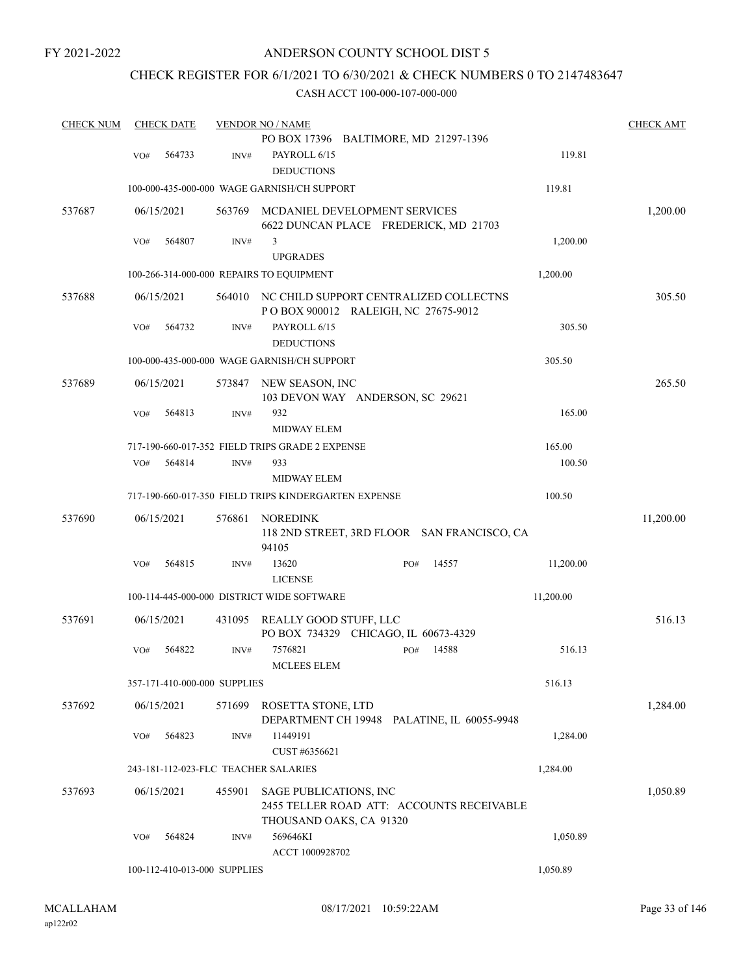# CHECK REGISTER FOR 6/1/2021 TO 6/30/2021 & CHECK NUMBERS 0 TO 2147483647

| <b>CHECK NUM</b> |     | <b>CHECK DATE</b>            |        | <b>VENDOR NO / NAME</b>                                                       | <b>CHECK AMT</b> |
|------------------|-----|------------------------------|--------|-------------------------------------------------------------------------------|------------------|
|                  |     |                              |        | PO BOX 17396 BALTIMORE, MD 21297-1396                                         |                  |
|                  | VO# | 564733                       | INV#   | PAYROLL 6/15<br>119.81                                                        |                  |
|                  |     |                              |        | <b>DEDUCTIONS</b>                                                             |                  |
|                  |     |                              |        | 100-000-435-000-000 WAGE GARNISH/CH SUPPORT<br>119.81                         |                  |
| 537687           |     | 06/15/2021                   | 563769 | MCDANIEL DEVELOPMENT SERVICES<br>6622 DUNCAN PLACE FREDERICK, MD 21703        | 1,200.00         |
|                  | VO# | 564807                       | INV#   | 3<br>1,200.00                                                                 |                  |
|                  |     |                              |        | <b>UPGRADES</b>                                                               |                  |
|                  |     |                              |        | 1,200.00<br>100-266-314-000-000 REPAIRS TO EQUIPMENT                          |                  |
| 537688           |     | 06/15/2021                   | 564010 | NC CHILD SUPPORT CENTRALIZED COLLECTNS<br>POBOX 900012 RALEIGH, NC 27675-9012 | 305.50           |
|                  | VO# | 564732                       | INV#   | PAYROLL 6/15<br>305.50                                                        |                  |
|                  |     |                              |        | <b>DEDUCTIONS</b>                                                             |                  |
|                  |     |                              |        | 100-000-435-000-000 WAGE GARNISH/CH SUPPORT<br>305.50                         |                  |
| 537689           |     | 06/15/2021                   | 573847 | NEW SEASON, INC<br>103 DEVON WAY ANDERSON, SC 29621                           | 265.50           |
|                  | VO# | 564813                       | INV#   | 932<br>165.00                                                                 |                  |
|                  |     |                              |        | MIDWAY ELEM                                                                   |                  |
|                  |     |                              |        | 717-190-660-017-352 FIELD TRIPS GRADE 2 EXPENSE<br>165.00                     |                  |
|                  | VO# | 564814                       | INV#   | 933<br>100.50<br><b>MIDWAY ELEM</b>                                           |                  |
|                  |     |                              |        | 717-190-660-017-350 FIELD TRIPS KINDERGARTEN EXPENSE<br>100.50                |                  |
| 537690           |     | 06/15/2021                   | 576861 | <b>NOREDINK</b>                                                               | 11,200.00        |
|                  |     |                              |        | 118 2ND STREET, 3RD FLOOR SAN FRANCISCO, CA<br>94105                          |                  |
|                  | VO# | 564815                       | INV#   | 13620<br>14557<br>11,200.00<br>PO#<br><b>LICENSE</b>                          |                  |
|                  |     |                              |        | 100-114-445-000-000 DISTRICT WIDE SOFTWARE<br>11,200.00                       |                  |
| 537691           |     | 06/15/2021                   | 431095 | REALLY GOOD STUFF, LLC                                                        | 516.13           |
|                  | VO# | 564822                       | INV#   | PO BOX 734329 CHICAGO, IL 60673-4329<br>7576821<br>14588<br>516.13<br>PO#     |                  |
|                  |     |                              |        | <b>MCLEES ELEM</b>                                                            |                  |
|                  |     | 357-171-410-000-000 SUPPLIES |        | 516.13                                                                        |                  |
| 537692           |     | 06/15/2021                   | 571699 | ROSETTA STONE, LTD<br>DEPARTMENT CH 19948 PALATINE, IL 60055-9948             | 1,284.00         |
|                  | VO# | 564823                       | INV#   | 11449191<br>1,284.00                                                          |                  |
|                  |     |                              |        | CUST #6356621                                                                 |                  |
|                  |     |                              |        | 243-181-112-023-FLC TEACHER SALARIES<br>1,284.00                              |                  |
| 537693           |     | 06/15/2021                   | 455901 | SAGE PUBLICATIONS, INC<br>2455 TELLER ROAD ATT: ACCOUNTS RECEIVABLE           | 1,050.89         |
|                  |     |                              |        | THOUSAND OAKS, CA 91320                                                       |                  |
|                  | VO# | 564824                       | INV#   | 569646KI<br>1,050.89<br>ACCT 1000928702                                       |                  |
|                  |     | 100-112-410-013-000 SUPPLIES |        | 1,050.89                                                                      |                  |
|                  |     |                              |        |                                                                               |                  |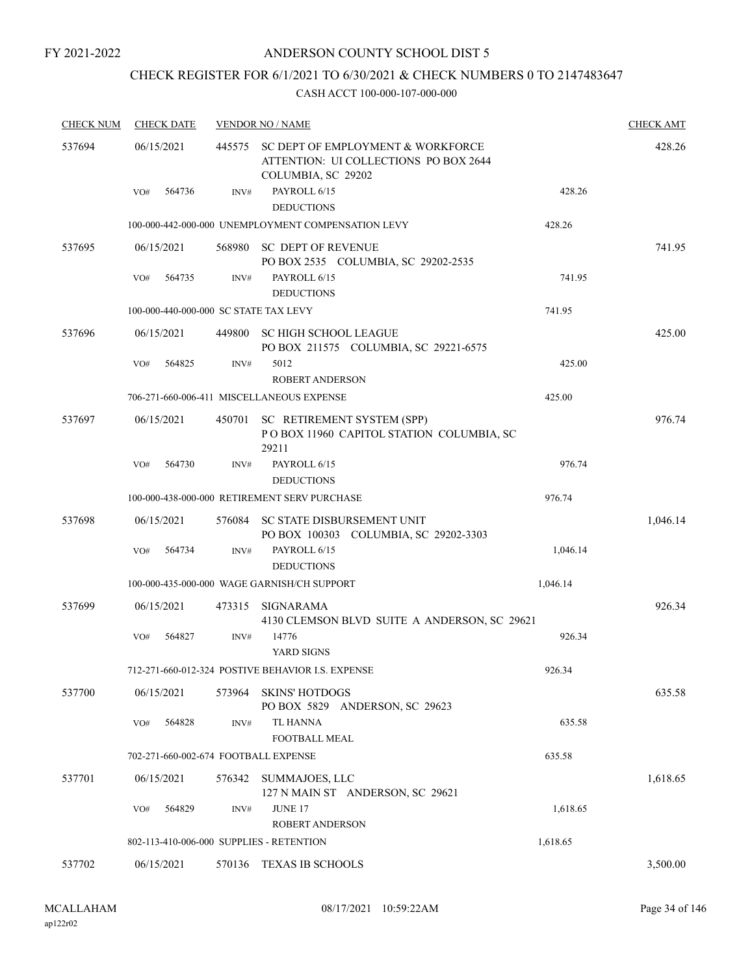# CHECK REGISTER FOR 6/1/2021 TO 6/30/2021 & CHECK NUMBERS 0 TO 2147483647

| <b>CHECK NUM</b> | <b>CHECK DATE</b>                        |        | <b>VENDOR NO / NAME</b>                                                                          |          | <b>CHECK AMT</b> |
|------------------|------------------------------------------|--------|--------------------------------------------------------------------------------------------------|----------|------------------|
| 537694           | 06/15/2021                               | 445575 | SC DEPT OF EMPLOYMENT & WORKFORCE<br>ATTENTION: UI COLLECTIONS PO BOX 2644<br>COLUMBIA, SC 29202 |          | 428.26           |
|                  | 564736<br>VO#                            | INV#   | PAYROLL 6/15<br><b>DEDUCTIONS</b>                                                                | 428.26   |                  |
|                  |                                          |        | 100-000-442-000-000 UNEMPLOYMENT COMPENSATION LEVY                                               | 428.26   |                  |
| 537695           | 06/15/2021                               | 568980 | <b>SC DEPT OF REVENUE</b><br>PO BOX 2535 COLUMBIA, SC 29202-2535                                 |          | 741.95           |
|                  | 564735<br>VO#                            | INV#   | PAYROLL 6/15<br><b>DEDUCTIONS</b>                                                                | 741.95   |                  |
|                  | 100-000-440-000-000 SC STATE TAX LEVY    |        |                                                                                                  | 741.95   |                  |
| 537696           | 06/15/2021                               | 449800 | <b>SC HIGH SCHOOL LEAGUE</b><br>PO BOX 211575 COLUMBIA, SC 29221-6575                            |          | 425.00           |
|                  | VO#<br>564825                            | INV#   | 5012<br><b>ROBERT ANDERSON</b>                                                                   | 425.00   |                  |
|                  |                                          |        | 706-271-660-006-411 MISCELLANEOUS EXPENSE                                                        | 425.00   |                  |
| 537697           | 06/15/2021                               | 450701 | SC RETIREMENT SYSTEM (SPP)<br>POBOX 11960 CAPITOL STATION COLUMBIA, SC<br>29211                  |          | 976.74           |
|                  | 564730<br>VO#                            | INV#   | PAYROLL 6/15<br><b>DEDUCTIONS</b>                                                                | 976.74   |                  |
|                  |                                          |        | 100-000-438-000-000 RETIREMENT SERV PURCHASE                                                     | 976.74   |                  |
| 537698           | 06/15/2021                               |        | 576084 SC STATE DISBURSEMENT UNIT<br>PO BOX 100303 COLUMBIA, SC 29202-3303                       |          | 1,046.14         |
|                  | 564734<br>VO#                            | INV#   | PAYROLL 6/15<br><b>DEDUCTIONS</b>                                                                | 1,046.14 |                  |
|                  |                                          |        | 100-000-435-000-000 WAGE GARNISH/CH SUPPORT                                                      | 1,046.14 |                  |
| 537699           | 06/15/2021                               | 473315 | <b>SIGNARAMA</b><br>4130 CLEMSON BLVD SUITE A ANDERSON, SC 29621                                 |          | 926.34           |
|                  | 564827<br>VO#                            | INV#   | 14776<br>YARD SIGNS                                                                              | 926.34   |                  |
|                  |                                          |        | 712-271-660-012-324 POSTIVE BEHAVIOR I.S. EXPENSE                                                | 926.34   |                  |
| 537700           | 06/15/2021                               | 573964 | <b>SKINS' HOTDOGS</b><br>PO BOX 5829 ANDERSON, SC 29623                                          |          | 635.58           |
|                  | 564828<br>VO#                            | INV#   | <b>TL HANNA</b><br><b>FOOTBALL MEAL</b>                                                          | 635.58   |                  |
|                  | 702-271-660-002-674 FOOTBALL EXPENSE     |        |                                                                                                  | 635.58   |                  |
| 537701           | 06/15/2021                               | 576342 | SUMMAJOES, LLC<br>127 N MAIN ST ANDERSON, SC 29621                                               |          | 1,618.65         |
|                  | VO#<br>564829                            | INV#   | <b>JUNE 17</b><br>ROBERT ANDERSON                                                                | 1,618.65 |                  |
|                  | 802-113-410-006-000 SUPPLIES - RETENTION |        |                                                                                                  | 1,618.65 |                  |
| 537702           | 06/15/2021                               | 570136 | TEXAS IB SCHOOLS                                                                                 |          | 3,500.00         |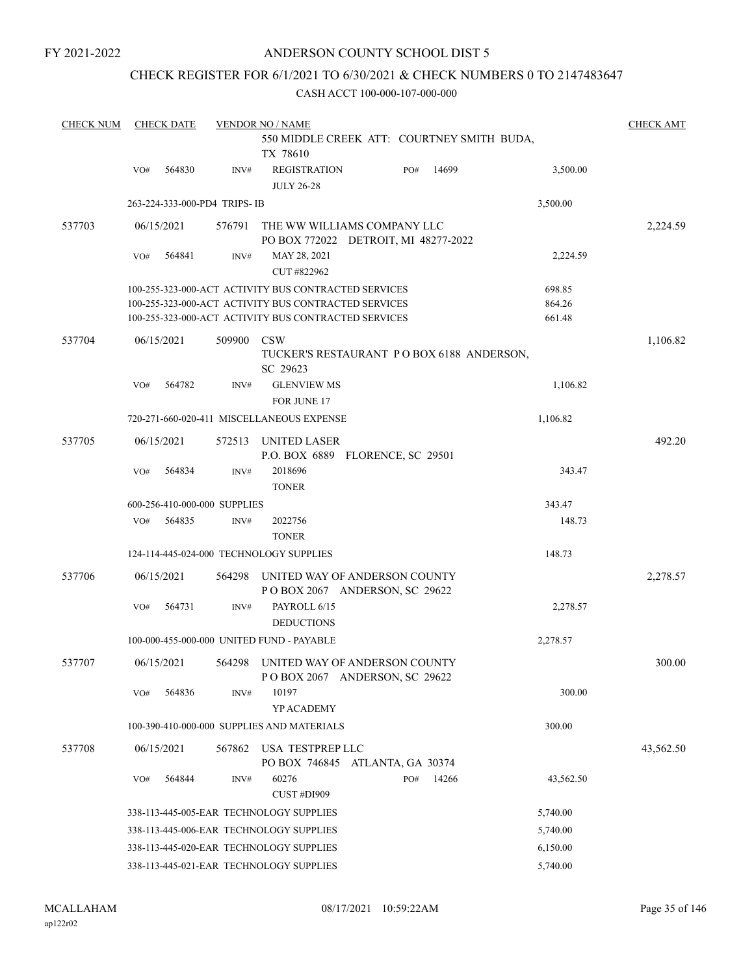# CHECK REGISTER FOR 6/1/2021 TO 6/30/2021 & CHECK NUMBERS 0 TO 2147483647

| <b>CHECK NUM</b> | <b>CHECK DATE</b>            |                | <b>VENDOR NO / NAME</b>                                             |     |       |           | <b>CHECK AMT</b> |
|------------------|------------------------------|----------------|---------------------------------------------------------------------|-----|-------|-----------|------------------|
|                  |                              |                | 550 MIDDLE CREEK ATT: COURTNEY SMITH BUDA,<br>TX 78610              |     |       |           |                  |
|                  | 564830<br>VO#                | INV#           | <b>REGISTRATION</b><br><b>JULY 26-28</b>                            | PO# | 14699 | 3,500.00  |                  |
|                  | 263-224-333-000-PD4 TRIPS-IB |                |                                                                     |     |       | 3,500.00  |                  |
| 537703           | 06/15/2021                   | 576791         | THE WW WILLIAMS COMPANY LLC<br>PO BOX 772022 DETROIT, MI 48277-2022 |     |       |           | 2,224.59         |
|                  | 564841<br>VO#                | INV#           | MAY 28, 2021<br>CUT #822962                                         |     |       | 2,224.59  |                  |
|                  |                              |                | 100-255-323-000-ACT ACTIVITY BUS CONTRACTED SERVICES                |     |       | 698.85    |                  |
|                  |                              |                | 100-255-323-000-ACT ACTIVITY BUS CONTRACTED SERVICES                |     |       | 864.26    |                  |
|                  |                              |                | 100-255-323-000-ACT ACTIVITY BUS CONTRACTED SERVICES                |     |       | 661.48    |                  |
| 537704           | 06/15/2021                   | 509900         | <b>CSW</b><br>TUCKER'S RESTAURANT PO BOX 6188 ANDERSON,<br>SC 29623 |     |       |           | 1,106.82         |
|                  | 564782<br>VO#                | INV#           | <b>GLENVIEW MS</b>                                                  |     |       | 1,106.82  |                  |
|                  |                              |                | FOR JUNE 17                                                         |     |       |           |                  |
|                  |                              |                | 720-271-660-020-411 MISCELLANEOUS EXPENSE                           |     |       | 1,106.82  |                  |
| 537705           | 06/15/2021                   | 572513         | UNITED LASER<br>P.O. BOX 6889 FLORENCE, SC 29501                    |     |       |           | 492.20           |
|                  | VO#<br>564834                | INV#           | 2018696<br><b>TONER</b>                                             |     |       | 343.47    |                  |
|                  | 600-256-410-000-000 SUPPLIES |                |                                                                     |     |       | 343.47    |                  |
|                  | 564835<br>VO#                | INV#           | 2022756<br><b>TONER</b>                                             |     |       | 148.73    |                  |
|                  |                              |                | 124-114-445-024-000 TECHNOLOGY SUPPLIES                             |     |       | 148.73    |                  |
| 537706           | 06/15/2021                   | 564298         | UNITED WAY OF ANDERSON COUNTY<br>POBOX 2067 ANDERSON, SC 29622      |     |       |           | 2,278.57         |
|                  | 564731<br>VO#                | $\text{INV}\#$ | PAYROLL 6/15<br><b>DEDUCTIONS</b>                                   |     |       | 2,278.57  |                  |
|                  |                              |                | 100-000-455-000-000 UNITED FUND - PAYABLE                           |     |       | 2,278.57  |                  |
| 537707           | 06/15/2021                   | 564298         | UNITED WAY OF ANDERSON COUNTY<br>POBOX 2067 ANDERSON, SC 29622      |     |       |           | 300.00           |
|                  | 564836<br>VO#                | INV#           | 10197<br>YP ACADEMY                                                 |     |       | 300.00    |                  |
|                  |                              |                | 100-390-410-000-000 SUPPLIES AND MATERIALS                          |     |       | 300.00    |                  |
| 537708           | 06/15/2021                   | 567862         | USA TESTPREP LLC<br>PO BOX 746845 ATLANTA, GA 30374                 |     |       |           | 43,562.50        |
|                  | 564844<br>VO#                | INV#           | 60276<br>CUST #DI909                                                | PO# | 14266 | 43,562.50 |                  |
|                  |                              |                | 338-113-445-005-EAR TECHNOLOGY SUPPLIES                             |     |       | 5,740.00  |                  |
|                  |                              |                | 338-113-445-006-EAR TECHNOLOGY SUPPLIES                             |     |       | 5,740.00  |                  |
|                  |                              |                | 338-113-445-020-EAR TECHNOLOGY SUPPLIES                             |     |       | 6,150.00  |                  |
|                  |                              |                | 338-113-445-021-EAR TECHNOLOGY SUPPLIES                             |     |       | 5,740.00  |                  |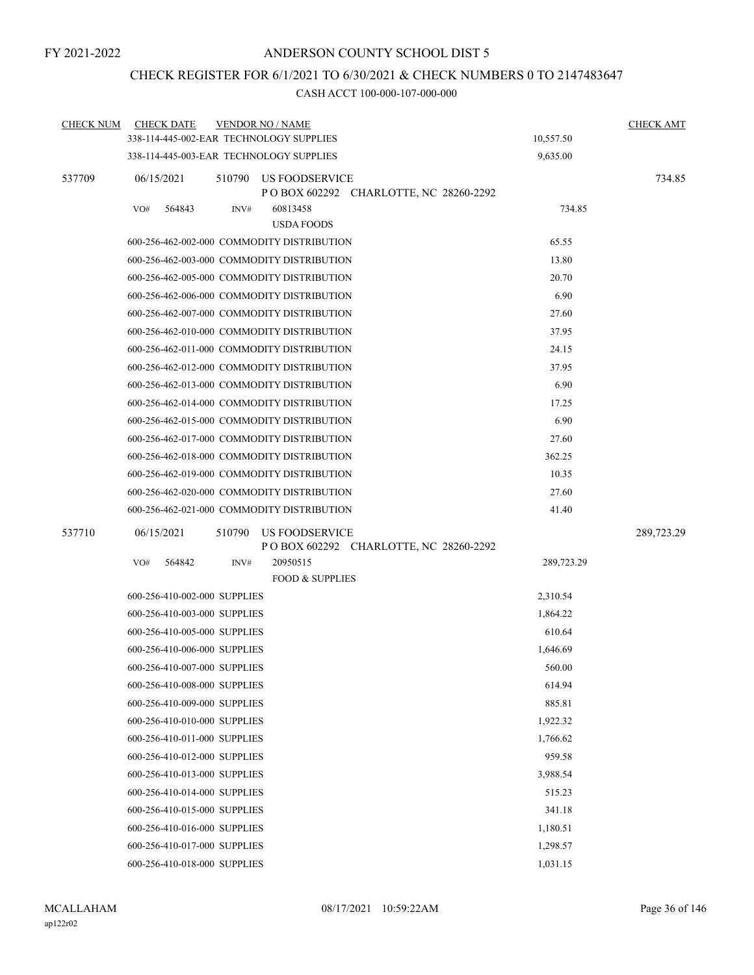# CHECK REGISTER FOR 6/1/2021 TO 6/30/2021 & CHECK NUMBERS 0 TO 2147483647

| <b>CHECK NUM</b> | <b>CHECK DATE</b><br><b>VENDOR NO / NAME</b>                                      |            | <b>CHECK AMT</b> |
|------------------|-----------------------------------------------------------------------------------|------------|------------------|
|                  | 338-114-445-002-EAR TECHNOLOGY SUPPLIES                                           | 10,557.50  |                  |
|                  | 338-114-445-003-EAR TECHNOLOGY SUPPLIES                                           | 9,635.00   |                  |
| 537709           | 06/15/2021<br>510790<br>US FOODSERVICE<br>P O BOX 602292 CHARLOTTE, NC 28260-2292 |            | 734.85           |
|                  | VO#<br>564843<br>INV#<br>60813458<br><b>USDA FOODS</b>                            | 734.85     |                  |
|                  | 600-256-462-002-000 COMMODITY DISTRIBUTION                                        | 65.55      |                  |
|                  | 600-256-462-003-000 COMMODITY DISTRIBUTION                                        | 13.80      |                  |
|                  | 600-256-462-005-000 COMMODITY DISTRIBUTION                                        | 20.70      |                  |
|                  | 600-256-462-006-000 COMMODITY DISTRIBUTION                                        | 6.90       |                  |
|                  | 600-256-462-007-000 COMMODITY DISTRIBUTION                                        | 27.60      |                  |
|                  | 600-256-462-010-000 COMMODITY DISTRIBUTION                                        | 37.95      |                  |
|                  | 600-256-462-011-000 COMMODITY DISTRIBUTION                                        | 24.15      |                  |
|                  | 600-256-462-012-000 COMMODITY DISTRIBUTION                                        | 37.95      |                  |
|                  | 600-256-462-013-000 COMMODITY DISTRIBUTION                                        | 6.90       |                  |
|                  | 600-256-462-014-000 COMMODITY DISTRIBUTION                                        | 17.25      |                  |
|                  | 600-256-462-015-000 COMMODITY DISTRIBUTION                                        | 6.90       |                  |
|                  | 600-256-462-017-000 COMMODITY DISTRIBUTION                                        | 27.60      |                  |
|                  | 600-256-462-018-000 COMMODITY DISTRIBUTION                                        | 362.25     |                  |
|                  | 600-256-462-019-000 COMMODITY DISTRIBUTION                                        | 10.35      |                  |
|                  | 600-256-462-020-000 COMMODITY DISTRIBUTION                                        | 27.60      |                  |
|                  | 600-256-462-021-000 COMMODITY DISTRIBUTION                                        | 41.40      |                  |
| 537710           | 06/15/2021<br>510790<br>US FOODSERVICE<br>P O BOX 602292 CHARLOTTE, NC 28260-2292 |            | 289,723.29       |
|                  | VO#<br>564842<br>20950515<br>INV#<br><b>FOOD &amp; SUPPLIES</b>                   | 289,723.29 |                  |
|                  | 600-256-410-002-000 SUPPLIES                                                      | 2,310.54   |                  |
|                  | 600-256-410-003-000 SUPPLIES                                                      | 1,864.22   |                  |
|                  | 600-256-410-005-000 SUPPLIES                                                      | 610.64     |                  |
|                  | 600-256-410-006-000 SUPPLIES                                                      | 1,646.69   |                  |
|                  | 600-256-410-007-000 SUPPLIES                                                      | 560.00     |                  |
|                  | 600-256-410-008-000 SUPPLIES                                                      | 614.94     |                  |
|                  | 600-256-410-009-000 SUPPLIES                                                      | 885.81     |                  |
|                  | 600-256-410-010-000 SUPPLIES                                                      | 1,922.32   |                  |
|                  | 600-256-410-011-000 SUPPLIES                                                      | 1,766.62   |                  |
|                  | 600-256-410-012-000 SUPPLIES                                                      | 959.58     |                  |
|                  | 600-256-410-013-000 SUPPLIES                                                      | 3,988.54   |                  |
|                  | 600-256-410-014-000 SUPPLIES                                                      | 515.23     |                  |
|                  | 600-256-410-015-000 SUPPLIES                                                      | 341.18     |                  |
|                  | 600-256-410-016-000 SUPPLIES                                                      | 1,180.51   |                  |
|                  | 600-256-410-017-000 SUPPLIES                                                      | 1,298.57   |                  |
|                  | 600-256-410-018-000 SUPPLIES                                                      | 1,031.15   |                  |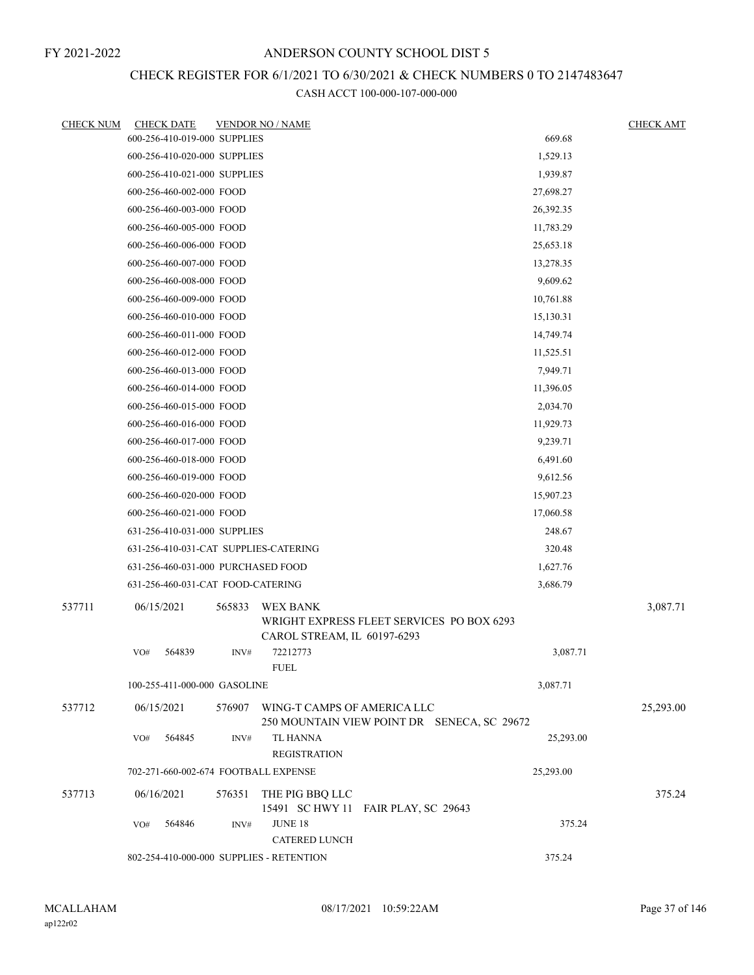## CHECK REGISTER FOR 6/1/2021 TO 6/30/2021 & CHECK NUMBERS 0 TO 2147483647

| <b>CHECK NUM</b> |            | <b>CHECK DATE</b>                  |        | <b>VENDOR NO / NAME</b>                  |                                             |           | <b>CHECK AMT</b> |
|------------------|------------|------------------------------------|--------|------------------------------------------|---------------------------------------------|-----------|------------------|
|                  |            | 600-256-410-019-000 SUPPLIES       |        |                                          |                                             | 669.68    |                  |
|                  |            | 600-256-410-020-000 SUPPLIES       |        |                                          |                                             | 1,529.13  |                  |
|                  |            | 600-256-410-021-000 SUPPLIES       |        |                                          |                                             | 1,939.87  |                  |
|                  |            | 600-256-460-002-000 FOOD           |        |                                          |                                             | 27,698.27 |                  |
|                  |            | 600-256-460-003-000 FOOD           |        |                                          |                                             | 26,392.35 |                  |
|                  |            | 600-256-460-005-000 FOOD           |        |                                          |                                             | 11,783.29 |                  |
|                  |            | 600-256-460-006-000 FOOD           |        |                                          |                                             | 25,653.18 |                  |
|                  |            | 600-256-460-007-000 FOOD           |        |                                          |                                             | 13,278.35 |                  |
|                  |            | 600-256-460-008-000 FOOD           |        |                                          |                                             | 9,609.62  |                  |
|                  |            | 600-256-460-009-000 FOOD           |        |                                          |                                             | 10,761.88 |                  |
|                  |            | 600-256-460-010-000 FOOD           |        |                                          |                                             | 15,130.31 |                  |
|                  |            | 600-256-460-011-000 FOOD           |        |                                          |                                             | 14,749.74 |                  |
|                  |            | 600-256-460-012-000 FOOD           |        |                                          |                                             | 11,525.51 |                  |
|                  |            | 600-256-460-013-000 FOOD           |        |                                          |                                             | 7,949.71  |                  |
|                  |            | 600-256-460-014-000 FOOD           |        |                                          |                                             | 11,396.05 |                  |
|                  |            | 600-256-460-015-000 FOOD           |        |                                          |                                             | 2,034.70  |                  |
|                  |            | 600-256-460-016-000 FOOD           |        |                                          |                                             | 11,929.73 |                  |
|                  |            | 600-256-460-017-000 FOOD           |        |                                          |                                             | 9,239.71  |                  |
|                  |            | 600-256-460-018-000 FOOD           |        |                                          |                                             | 6,491.60  |                  |
|                  |            | 600-256-460-019-000 FOOD           |        |                                          |                                             | 9,612.56  |                  |
|                  |            | 600-256-460-020-000 FOOD           |        |                                          |                                             | 15,907.23 |                  |
|                  |            | 600-256-460-021-000 FOOD           |        |                                          |                                             | 17,060.58 |                  |
|                  |            | 631-256-410-031-000 SUPPLIES       |        |                                          |                                             | 248.67    |                  |
|                  |            |                                    |        | 631-256-410-031-CAT SUPPLIES-CATERING    |                                             | 320.48    |                  |
|                  |            | 631-256-460-031-000 PURCHASED FOOD |        |                                          |                                             | 1,627.76  |                  |
|                  |            | 631-256-460-031-CAT FOOD-CATERING  |        |                                          |                                             | 3,686.79  |                  |
| 537711           | 06/15/2021 |                                    | 565833 | WEX BANK<br>CAROL STREAM, IL 60197-6293  | WRIGHT EXPRESS FLEET SERVICES PO BOX 6293   |           | 3,087.71         |
|                  | VO#        | 564839                             | INV#   | 72212773<br><b>FUEL</b>                  |                                             | 3,087.71  |                  |
|                  |            | 100-255-411-000-000 GASOLINE       |        |                                          |                                             | 3,087.71  |                  |
| 537712           | 06/15/2021 |                                    |        | 576907 WING-T CAMPS OF AMERICA LLC       | 250 MOUNTAIN VIEW POINT DR SENECA, SC 29672 |           | 25,293.00        |
|                  | VO#        | 564845                             | INV#   | TL HANNA<br><b>REGISTRATION</b>          |                                             | 25,293.00 |                  |
|                  |            |                                    |        | 702-271-660-002-674 FOOTBALL EXPENSE     |                                             | 25,293.00 |                  |
| 537713           | 06/16/2021 |                                    | 576351 | THE PIG BBQ LLC                          | 15491 SC HWY 11 FAIR PLAY, SC 29643         |           | 375.24           |
|                  | VO#        | 564846                             | INV#   | <b>JUNE 18</b><br>CATERED LUNCH          |                                             | 375.24    |                  |
|                  |            |                                    |        | 802-254-410-000-000 SUPPLIES - RETENTION |                                             | 375.24    |                  |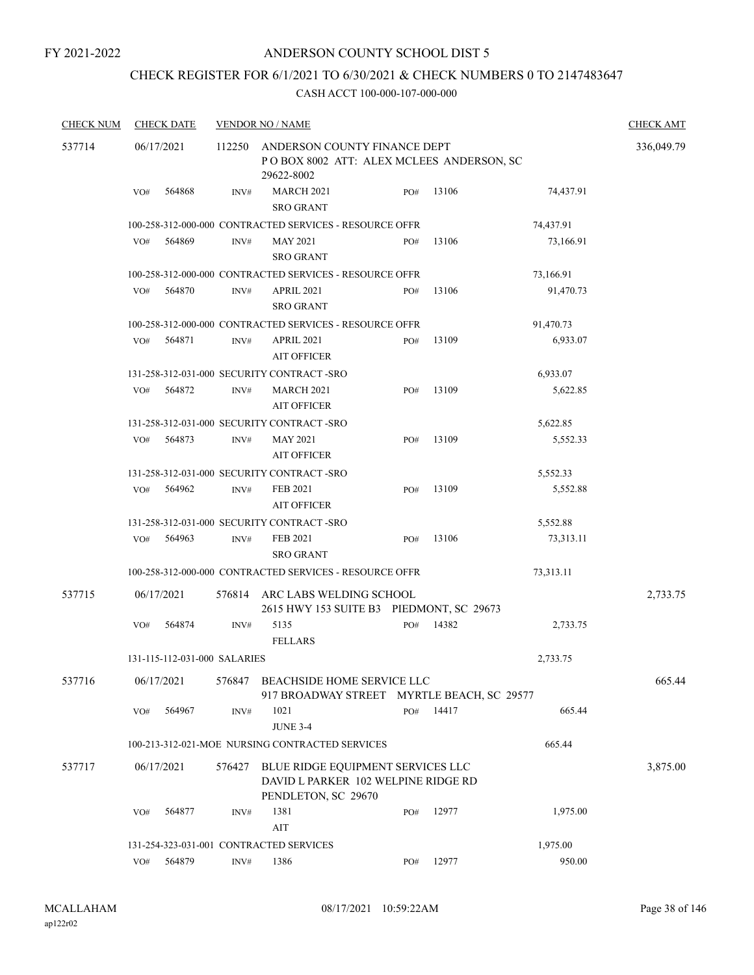## CHECK REGISTER FOR 6/1/2021 TO 6/30/2021 & CHECK NUMBERS 0 TO 2147483647

| <b>CHECK NUM</b> | <b>CHECK DATE</b><br><b>VENDOR NO / NAME</b> |                              |        |                                                                                                 |     |       |           | <b>CHECK AMT</b> |
|------------------|----------------------------------------------|------------------------------|--------|-------------------------------------------------------------------------------------------------|-----|-------|-----------|------------------|
| 537714           | 06/17/2021                                   |                              | 112250 | 336,049.79                                                                                      |     |       |           |                  |
|                  | VO#                                          | 564868                       | INV#   | 29622-8002<br><b>MARCH 2021</b><br><b>SRO GRANT</b>                                             | PO# | 13106 | 74,437.91 |                  |
|                  |                                              |                              |        | 100-258-312-000-000 CONTRACTED SERVICES - RESOURCE OFFR                                         |     |       | 74,437.91 |                  |
|                  | VO#                                          | 564869                       | INV#   | <b>MAY 2021</b><br><b>SRO GRANT</b>                                                             | PO# | 13106 | 73,166.91 |                  |
|                  |                                              |                              |        | 100-258-312-000-000 CONTRACTED SERVICES - RESOURCE OFFR                                         |     |       | 73,166.91 |                  |
|                  | VO#                                          | 564870                       | INV#   | <b>APRIL 2021</b><br><b>SRO GRANT</b>                                                           | PO# | 13106 | 91,470.73 |                  |
|                  |                                              |                              |        | 100-258-312-000-000 CONTRACTED SERVICES - RESOURCE OFFR                                         |     |       | 91,470.73 |                  |
|                  | VO#                                          | 564871                       | INV#   | <b>APRIL 2021</b><br><b>AIT OFFICER</b>                                                         | PO# | 13109 | 6,933.07  |                  |
|                  |                                              |                              |        | 131-258-312-031-000 SECURITY CONTRACT -SRO                                                      |     |       | 6,933.07  |                  |
|                  | VO#                                          | 564872                       | INV#   | <b>MARCH 2021</b><br><b>AIT OFFICER</b>                                                         | PO# | 13109 | 5,622.85  |                  |
|                  |                                              |                              |        | 131-258-312-031-000 SECURITY CONTRACT -SRO                                                      |     |       | 5,622.85  |                  |
|                  | VO#                                          | 564873                       | INV#   | <b>MAY 2021</b><br><b>AIT OFFICER</b>                                                           | PO# | 13109 | 5,552.33  |                  |
|                  |                                              |                              |        | 131-258-312-031-000 SECURITY CONTRACT-SRO                                                       |     |       | 5,552.33  |                  |
|                  | VO#                                          | 564962                       | INV#   | <b>FEB 2021</b><br><b>AIT OFFICER</b>                                                           | PO# | 13109 | 5,552.88  |                  |
|                  |                                              |                              |        | 131-258-312-031-000 SECURITY CONTRACT -SRO                                                      |     |       | 5,552.88  |                  |
|                  | VO#                                          | 564963                       | INV#   | <b>FEB 2021</b><br><b>SRO GRANT</b>                                                             | PO# | 13106 | 73,313.11 |                  |
|                  |                                              |                              |        | 100-258-312-000-000 CONTRACTED SERVICES - RESOURCE OFFR                                         |     |       | 73,313.11 |                  |
| 537715           | 06/17/2021                                   |                              | 576814 | ARC LABS WELDING SCHOOL<br>2615 HWY 153 SUITE B3 PIEDMONT, SC 29673                             |     |       |           | 2,733.75         |
|                  | VO#                                          | 564874                       | INV#   | 5135<br><b>FELLARS</b>                                                                          | PO# | 14382 | 2,733.75  |                  |
|                  |                                              | 131-115-112-031-000 SALARIES |        |                                                                                                 |     |       | 2,733.75  |                  |
| 537716           | 06/17/2021                                   |                              | 576847 | BEACHSIDE HOME SERVICE LLC<br>917 BROADWAY STREET MYRTLE BEACH, SC 29577                        |     |       |           | 665.44           |
|                  | VO#                                          | 564967                       | INV#   | 1021<br><b>JUNE 3-4</b>                                                                         | PO# | 14417 | 665.44    |                  |
|                  |                                              |                              |        | 100-213-312-021-MOE NURSING CONTRACTED SERVICES                                                 |     |       | 665.44    |                  |
| 537717           | 06/17/2021                                   |                              | 576427 | BLUE RIDGE EQUIPMENT SERVICES LLC<br>DAVID L PARKER 102 WELPINE RIDGE RD<br>PENDLETON, SC 29670 |     |       |           | 3,875.00         |
|                  | VO#                                          | 564877                       | INV#   | 1381<br>AIT                                                                                     | PO# | 12977 | 1,975.00  |                  |
|                  |                                              |                              |        | 131-254-323-031-001 CONTRACTED SERVICES                                                         |     |       | 1,975.00  |                  |
|                  | VO#                                          | 564879                       | INV#   | 1386                                                                                            | PO# | 12977 | 950.00    |                  |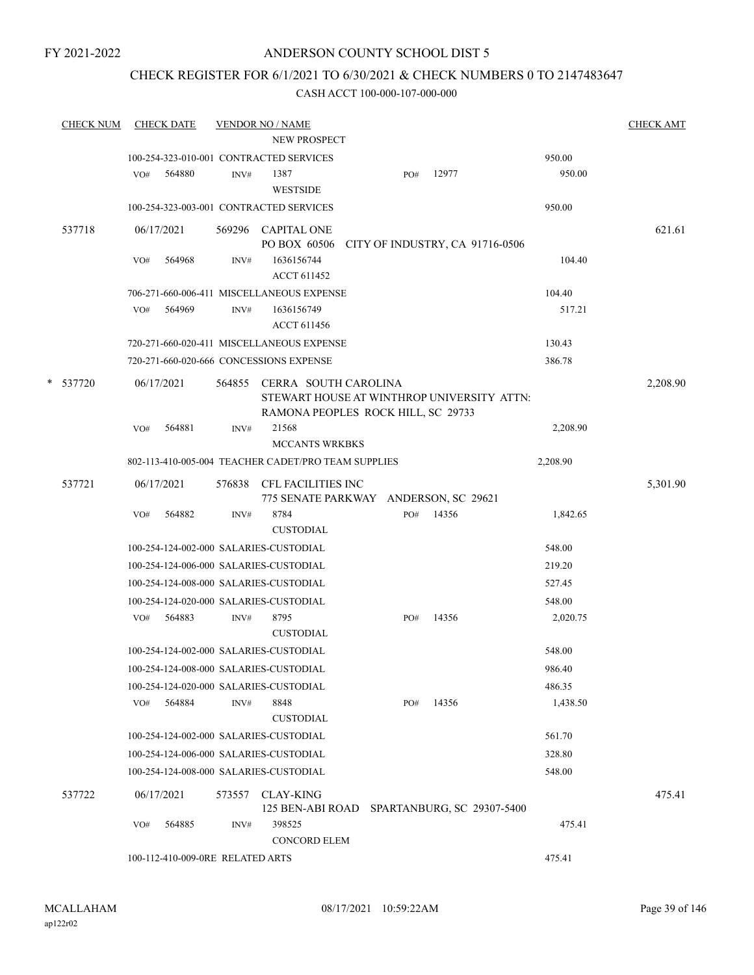## CHECK REGISTER FOR 6/1/2021 TO 6/30/2021 & CHECK NUMBERS 0 TO 2147483647

| <b>CHECK NUM</b> |            | <b>CHECK DATE</b>                |        | <b>VENDOR NO / NAME</b>                                                                                  |     |                                 |          | <b>CHECK AMT</b> |
|------------------|------------|----------------------------------|--------|----------------------------------------------------------------------------------------------------------|-----|---------------------------------|----------|------------------|
|                  |            |                                  |        | NEW PROSPECT                                                                                             |     |                                 |          |                  |
|                  |            |                                  |        | 100-254-323-010-001 CONTRACTED SERVICES                                                                  |     |                                 | 950.00   |                  |
|                  | VO#        | 564880                           | INV#   | 1387<br>WESTSIDE                                                                                         | PO# | 12977                           | 950.00   |                  |
|                  |            |                                  |        | 100-254-323-003-001 CONTRACTED SERVICES                                                                  |     |                                 | 950.00   |                  |
| 537718           | 06/17/2021 |                                  |        | 569296 CAPITAL ONE<br>PO BOX 60506                                                                       |     | CITY OF INDUSTRY, CA 91716-0506 |          | 621.61           |
|                  | VO#        | 564968                           | INV#   | 1636156744<br><b>ACCT 611452</b>                                                                         |     |                                 | 104.40   |                  |
|                  |            |                                  |        | 706-271-660-006-411 MISCELLANEOUS EXPENSE                                                                |     |                                 | 104.40   |                  |
|                  | VO#        | 564969                           | INV#   | 1636156749<br><b>ACCT 611456</b>                                                                         |     |                                 | 517.21   |                  |
|                  |            |                                  |        | 720-271-660-020-411 MISCELLANEOUS EXPENSE                                                                |     |                                 | 130.43   |                  |
|                  |            |                                  |        | 720-271-660-020-666 CONCESSIONS EXPENSE                                                                  |     |                                 | 386.78   |                  |
| * 537720         | 06/17/2021 |                                  | 564855 | CERRA SOUTH CAROLINA<br>STEWART HOUSE AT WINTHROP UNIVERSITY ATTN:<br>RAMONA PEOPLES ROCK HILL, SC 29733 |     |                                 |          | 2,208.90         |
|                  | VO#        | 564881                           | INV#   | 21568                                                                                                    |     |                                 | 2,208.90 |                  |
|                  |            |                                  |        | <b>MCCANTS WRKBKS</b>                                                                                    |     |                                 |          |                  |
|                  |            |                                  |        | 802-113-410-005-004 TEACHER CADET/PRO TEAM SUPPLIES                                                      |     |                                 | 2,208.90 |                  |
| 537721           |            | 06/17/2021                       |        | 576838 CFL FACILITIES INC<br>775 SENATE PARKWAY ANDERSON, SC 29621                                       |     |                                 |          | 5,301.90         |
|                  | VO#        | 564882                           | INV#   | 8784                                                                                                     | PO# | 14356                           | 1,842.65 |                  |
|                  |            |                                  |        | <b>CUSTODIAL</b>                                                                                         |     |                                 |          |                  |
|                  |            |                                  |        | 100-254-124-002-000 SALARIES-CUSTODIAL                                                                   |     |                                 | 548.00   |                  |
|                  |            |                                  |        | 100-254-124-006-000 SALARIES-CUSTODIAL                                                                   |     |                                 | 219.20   |                  |
|                  |            |                                  |        | 100-254-124-008-000 SALARIES-CUSTODIAL                                                                   |     |                                 | 527.45   |                  |
|                  |            |                                  |        | 100-254-124-020-000 SALARIES-CUSTODIAL                                                                   |     |                                 | 548.00   |                  |
|                  | VO#        | 564883                           | INV#   | 8795<br><b>CUSTODIAL</b>                                                                                 | PO# | 14356                           | 2,020.75 |                  |
|                  |            |                                  |        | 100-254-124-002-000 SALARIES-CUSTODIAL                                                                   |     |                                 | 548.00   |                  |
|                  |            |                                  |        | 100-254-124-008-000 SALARIES-CUSTODIAL                                                                   |     |                                 | 986.40   |                  |
|                  |            |                                  |        | 100-254-124-020-000 SALARIES-CUSTODIAL                                                                   |     |                                 | 486.35   |                  |
|                  | VO#        | 564884                           | INV#   | 8848<br><b>CUSTODIAL</b>                                                                                 | PO# | 14356                           | 1,438.50 |                  |
|                  |            |                                  |        | 100-254-124-002-000 SALARIES-CUSTODIAL                                                                   |     |                                 | 561.70   |                  |
|                  |            |                                  |        | 100-254-124-006-000 SALARIES-CUSTODIAL                                                                   |     |                                 | 328.80   |                  |
|                  |            |                                  |        | 100-254-124-008-000 SALARIES-CUSTODIAL                                                                   |     |                                 | 548.00   |                  |
| 537722           |            | 06/17/2021                       | 573557 | <b>CLAY-KING</b><br>125 BEN-ABI ROAD SPARTANBURG, SC 29307-5400                                          |     |                                 |          | 475.41           |
|                  | VO#        | 564885                           | INV#   | 398525<br><b>CONCORD ELEM</b>                                                                            |     |                                 | 475.41   |                  |
|                  |            | 100-112-410-009-0RE RELATED ARTS |        |                                                                                                          |     |                                 | 475.41   |                  |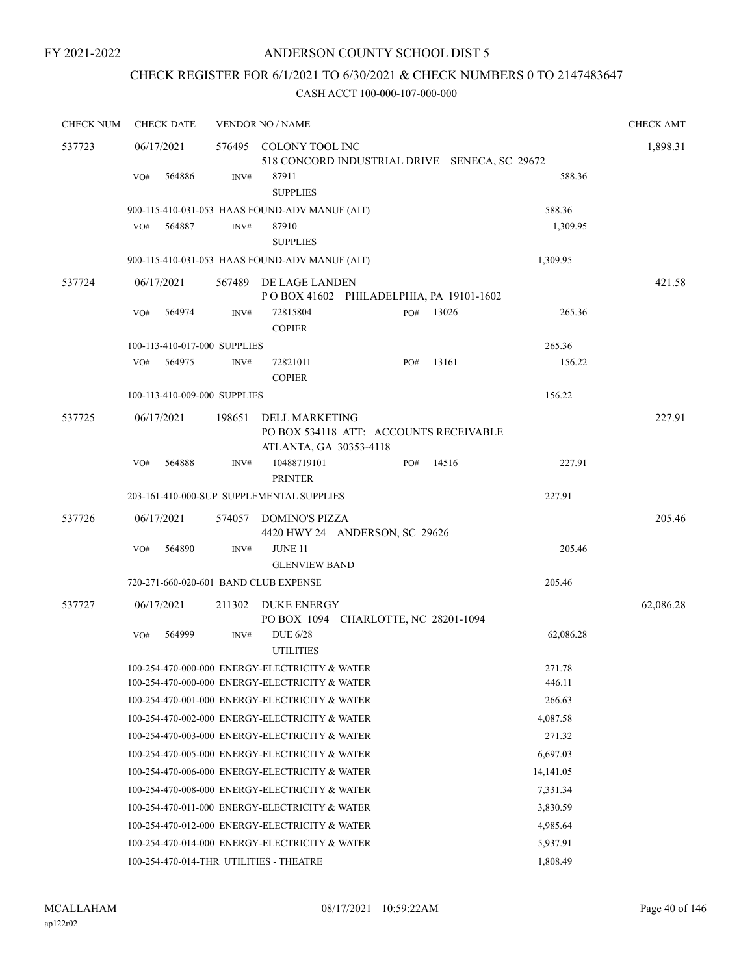# CHECK REGISTER FOR 6/1/2021 TO 6/30/2021 & CHECK NUMBERS 0 TO 2147483647

| <b>CHECK NUM</b> | <b>CHECK DATE</b>                                                                                |        | <b>VENDOR NO / NAME</b>                                                                   |     |       |                  | <b>CHECK AMT</b> |
|------------------|--------------------------------------------------------------------------------------------------|--------|-------------------------------------------------------------------------------------------|-----|-------|------------------|------------------|
| 537723           | 06/17/2021                                                                                       |        | 576495 COLONY TOOL INC<br>518 CONCORD INDUSTRIAL DRIVE SENECA, SC 29672                   |     |       |                  | 1,898.31         |
|                  | 564886<br>VO#                                                                                    | INV#   | 87911<br><b>SUPPLIES</b>                                                                  |     |       | 588.36           |                  |
|                  | 900-115-410-031-053 HAAS FOUND-ADV MANUF (AIT)                                                   |        |                                                                                           |     |       | 588.36           |                  |
|                  | 564887<br>VO#                                                                                    | INV#   | 87910<br><b>SUPPLIES</b>                                                                  |     |       | 1,309.95         |                  |
|                  | 900-115-410-031-053 HAAS FOUND-ADV MANUF (AIT)                                                   |        |                                                                                           |     |       | 1,309.95         |                  |
| 537724           | 06/17/2021                                                                                       | 567489 | DE LAGE LANDEN<br>POBOX 41602 PHILADELPHIA, PA 19101-1602                                 |     |       |                  | 421.58           |
|                  | 564974<br>VO#                                                                                    | INV#   | 72815804<br><b>COPIER</b>                                                                 | PO# | 13026 | 265.36           |                  |
|                  | 100-113-410-017-000 SUPPLIES                                                                     |        |                                                                                           |     |       | 265.36           |                  |
|                  | 564975<br>VO#                                                                                    | INV#   | 72821011<br><b>COPIER</b>                                                                 | PO# | 13161 | 156.22           |                  |
|                  | 100-113-410-009-000 SUPPLIES                                                                     |        |                                                                                           |     |       | 156.22           |                  |
| 537725           | 06/17/2021                                                                                       | 198651 | <b>DELL MARKETING</b><br>PO BOX 534118 ATT: ACCOUNTS RECEIVABLE<br>ATLANTA, GA 30353-4118 |     |       |                  | 227.91           |
|                  | 564888<br>VO#                                                                                    | INV#   | 10488719101<br><b>PRINTER</b>                                                             | PO# | 14516 | 227.91           |                  |
|                  | 203-161-410-000-SUP SUPPLEMENTAL SUPPLIES                                                        |        |                                                                                           |     |       | 227.91           |                  |
| 537726           | 06/17/2021                                                                                       | 574057 | DOMINO'S PIZZA<br>4420 HWY 24 ANDERSON, SC 29626                                          |     |       |                  | 205.46           |
|                  | 564890<br>VO#                                                                                    | INV#   | <b>JUNE 11</b><br><b>GLENVIEW BAND</b>                                                    |     |       | 205.46           |                  |
|                  | 720-271-660-020-601 BAND CLUB EXPENSE                                                            |        |                                                                                           |     |       | 205.46           |                  |
| 537727           | 06/17/2021                                                                                       | 211302 | DUKE ENERGY<br>PO BOX 1094 CHARLOTTE, NC 28201-1094                                       |     |       |                  | 62,086.28        |
|                  | VO#<br>564999                                                                                    | INV#   | <b>DUE 6/28</b><br><b>UTILITIES</b>                                                       |     |       | 62,086.28        |                  |
|                  | 100-254-470-000-000 ENERGY-ELECTRICITY & WATER<br>100-254-470-000-000 ENERGY-ELECTRICITY & WATER |        |                                                                                           |     |       | 271.78<br>446.11 |                  |
|                  | 100-254-470-001-000 ENERGY-ELECTRICITY & WATER                                                   |        |                                                                                           |     |       | 266.63           |                  |
|                  | 100-254-470-002-000 ENERGY-ELECTRICITY & WATER                                                   |        |                                                                                           |     |       | 4,087.58         |                  |
|                  | 100-254-470-003-000 ENERGY-ELECTRICITY & WATER                                                   |        |                                                                                           |     |       | 271.32           |                  |
|                  | 100-254-470-005-000 ENERGY-ELECTRICITY & WATER                                                   |        |                                                                                           |     |       | 6,697.03         |                  |
|                  | 100-254-470-006-000 ENERGY-ELECTRICITY & WATER                                                   |        |                                                                                           |     |       | 14, 141.05       |                  |
|                  | 100-254-470-008-000 ENERGY-ELECTRICITY & WATER                                                   |        |                                                                                           |     |       | 7,331.34         |                  |
|                  | 100-254-470-011-000 ENERGY-ELECTRICITY & WATER                                                   |        |                                                                                           |     |       | 3,830.59         |                  |
|                  | 100-254-470-012-000 ENERGY-ELECTRICITY & WATER                                                   |        |                                                                                           |     |       | 4,985.64         |                  |
|                  | 100-254-470-014-000 ENERGY-ELECTRICITY & WATER                                                   |        |                                                                                           |     |       | 5,937.91         |                  |
|                  | 100-254-470-014-THR UTILITIES - THEATRE                                                          |        |                                                                                           |     |       | 1,808.49         |                  |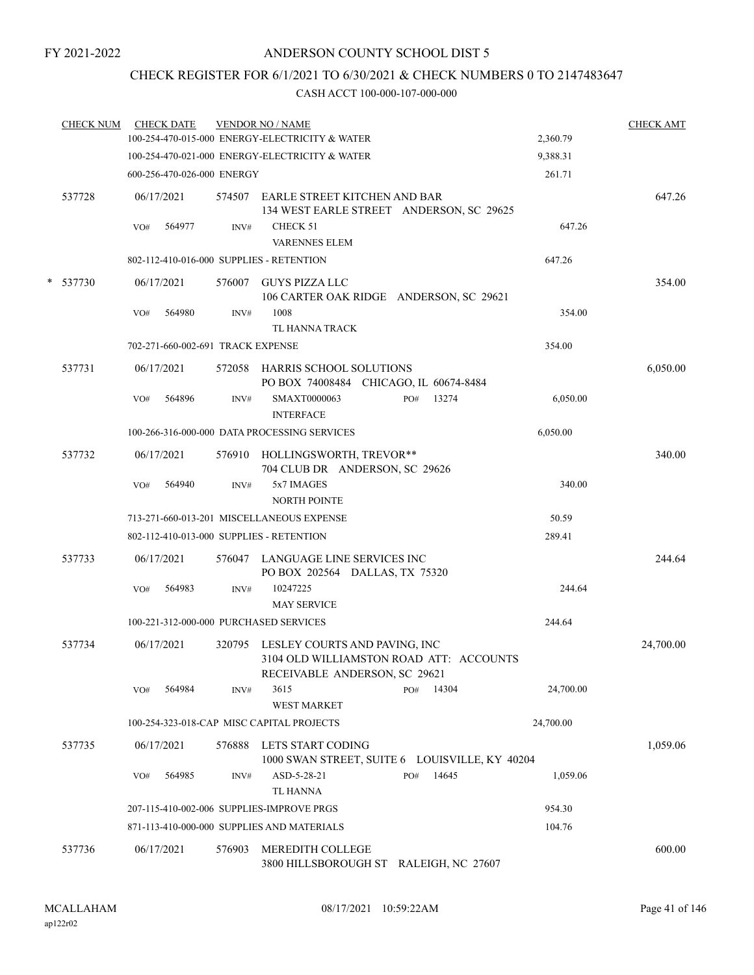## CHECK REGISTER FOR 6/1/2021 TO 6/30/2021 & CHECK NUMBERS 0 TO 2147483647

|   | <b>CHECK NUM</b> |     | <b>CHECK DATE</b>                 |        | <b>VENDOR NO / NAME</b>                                                                                          |              |           | <b>CHECK AMT</b> |
|---|------------------|-----|-----------------------------------|--------|------------------------------------------------------------------------------------------------------------------|--------------|-----------|------------------|
|   |                  |     |                                   |        | 100-254-470-015-000 ENERGY-ELECTRICITY & WATER                                                                   |              | 2,360.79  |                  |
|   |                  |     |                                   |        | 100-254-470-021-000 ENERGY-ELECTRICITY & WATER                                                                   |              | 9,388.31  |                  |
|   |                  |     | 600-256-470-026-000 ENERGY        |        |                                                                                                                  |              | 261.71    |                  |
|   | 537728           |     | 06/17/2021                        |        | 574507 EARLE STREET KITCHEN AND BAR<br>134 WEST EARLE STREET ANDERSON, SC 29625                                  |              |           | 647.26           |
|   |                  | VO# | 564977                            | INV#   | CHECK 51                                                                                                         |              | 647.26    |                  |
|   |                  |     |                                   |        | <b>VARENNES ELEM</b>                                                                                             |              |           |                  |
|   |                  |     |                                   |        | 802-112-410-016-000 SUPPLIES - RETENTION                                                                         |              | 647.26    |                  |
| * | 537730           |     | 06/17/2021                        |        | 576007 GUYS PIZZA LLC<br>106 CARTER OAK RIDGE ANDERSON, SC 29621                                                 |              |           | 354.00           |
|   |                  | VO# | 564980                            | INV#   | 1008<br>TL HANNA TRACK                                                                                           |              | 354.00    |                  |
|   |                  |     | 702-271-660-002-691 TRACK EXPENSE |        |                                                                                                                  |              | 354.00    |                  |
|   | 537731           |     | 06/17/2021                        |        | 572058 HARRIS SCHOOL SOLUTIONS<br>PO BOX 74008484 CHICAGO, IL 60674-8484                                         |              |           | 6,050.00         |
|   |                  | VO# | 564896                            | INV#   | SMAXT0000063<br><b>INTERFACE</b>                                                                                 | 13274<br>PO# | 6,050.00  |                  |
|   |                  |     |                                   |        | 100-266-316-000-000 DATA PROCESSING SERVICES                                                                     |              | 6,050.00  |                  |
|   | 537732           |     | 06/17/2021                        |        | 576910 HOLLINGSWORTH, TREVOR**<br>704 CLUB DR ANDERSON, SC 29626                                                 |              |           | 340.00           |
|   |                  | VO# | 564940                            | INV#   | 5x7 IMAGES<br><b>NORTH POINTE</b>                                                                                |              | 340.00    |                  |
|   |                  |     |                                   |        | 713-271-660-013-201 MISCELLANEOUS EXPENSE                                                                        |              | 50.59     |                  |
|   |                  |     |                                   |        | 802-112-410-013-000 SUPPLIES - RETENTION                                                                         |              | 289.41    |                  |
|   | 537733           |     | 06/17/2021                        |        | 576047 LANGUAGE LINE SERVICES INC<br>PO BOX 202564 DALLAS, TX 75320                                              |              |           | 244.64           |
|   |                  | VO# | 564983                            | INV#   | 10247225<br><b>MAY SERVICE</b>                                                                                   |              | 244.64    |                  |
|   |                  |     |                                   |        | 100-221-312-000-000 PURCHASED SERVICES                                                                           |              | 244.64    |                  |
|   | 537734           |     | 06/17/2021                        |        | 320795 LESLEY COURTS AND PAVING, INC<br>3104 OLD WILLIAMSTON ROAD ATT: ACCOUNTS<br>RECEIVABLE ANDERSON, SC 29621 |              |           | 24,700.00        |
|   |                  | VO# | 564984                            | INV#   | 3615<br><b>WEST MARKET</b>                                                                                       | PO#<br>14304 | 24,700.00 |                  |
|   |                  |     |                                   |        | 100-254-323-018-CAP MISC CAPITAL PROJECTS                                                                        |              | 24,700.00 |                  |
|   | 537735           |     | 06/17/2021                        | 576888 | LETS START CODING<br>1000 SWAN STREET, SUITE 6 LOUISVILLE, KY 40204                                              |              |           | 1,059.06         |
|   |                  | VO# | 564985                            | INV#   | ASD-5-28-21<br><b>TL HANNA</b>                                                                                   | 14645<br>PO# | 1,059.06  |                  |
|   |                  |     |                                   |        | 207-115-410-002-006 SUPPLIES-IMPROVE PRGS                                                                        |              | 954.30    |                  |
|   |                  |     |                                   |        | 871-113-410-000-000 SUPPLIES AND MATERIALS                                                                       |              | 104.76    |                  |
|   | 537736           |     | 06/17/2021                        | 576903 | MEREDITH COLLEGE<br>3800 HILLSBOROUGH ST RALEIGH, NC 27607                                                       |              |           | 600.00           |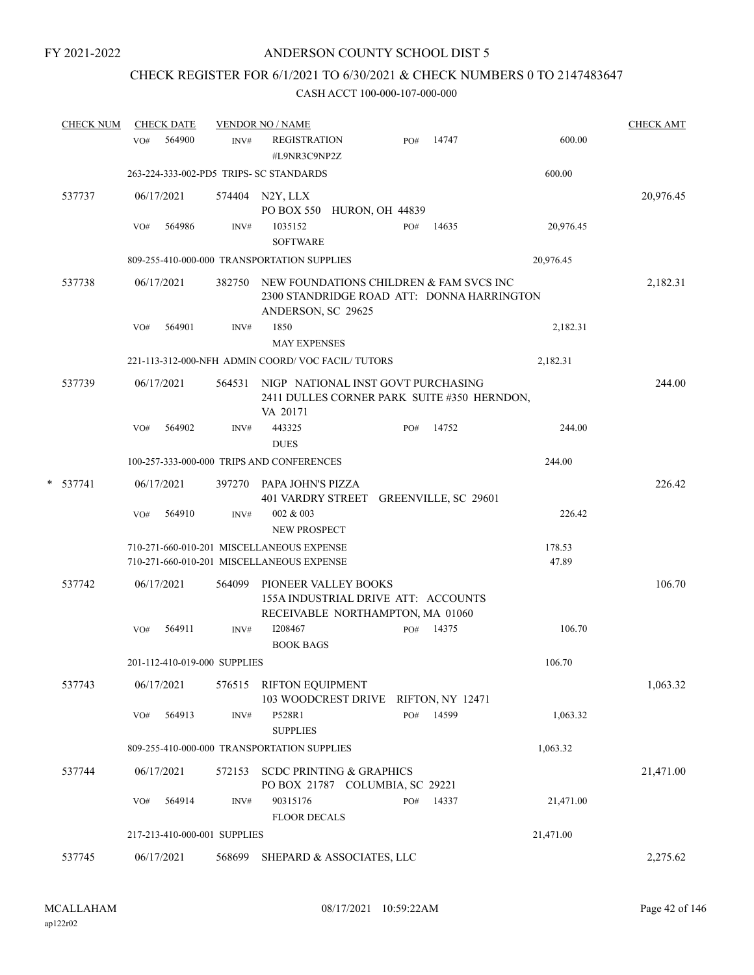## CHECK REGISTER FOR 6/1/2021 TO 6/30/2021 & CHECK NUMBERS 0 TO 2147483647

| <b>CHECK NUM</b> |     | <b>CHECK DATE</b> |                              | <b>VENDOR NO / NAME</b>                                                                                     |     |       |                 | <b>CHECK AMT</b> |
|------------------|-----|-------------------|------------------------------|-------------------------------------------------------------------------------------------------------------|-----|-------|-----------------|------------------|
|                  | VO# | 564900            | INV#                         | <b>REGISTRATION</b><br>#L9NR3C9NP2Z                                                                         | PO# | 14747 | 600.00          |                  |
|                  |     |                   |                              | 263-224-333-002-PD5 TRIPS- SC STANDARDS                                                                     |     |       | 600.00          |                  |
| 537737           |     | 06/17/2021        |                              | 574404 N2Y, LLX<br>PO BOX 550 HURON, OH 44839                                                               |     |       |                 | 20,976.45        |
|                  | VO# | 564986            | INV#                         | 1035152<br><b>SOFTWARE</b>                                                                                  | PO# | 14635 | 20,976.45       |                  |
|                  |     |                   |                              | 809-255-410-000-000 TRANSPORTATION SUPPLIES                                                                 |     |       | 20,976.45       |                  |
| 537738           |     | 06/17/2021        | 382750                       | NEW FOUNDATIONS CHILDREN & FAM SVCS INC<br>2300 STANDRIDGE ROAD ATT: DONNA HARRINGTON<br>ANDERSON, SC 29625 |     |       |                 | 2,182.31         |
|                  | VO# | 564901            | INV#                         | 1850                                                                                                        |     |       | 2,182.31        |                  |
|                  |     |                   |                              | <b>MAY EXPENSES</b>                                                                                         |     |       |                 |                  |
|                  |     |                   |                              | 221-113-312-000-NFH ADMIN COORD/VOC FACIL/TUTORS                                                            |     |       | 2,182.31        |                  |
| 537739           |     | 06/17/2021        | 564531                       | NIGP NATIONAL INST GOVT PURCHASING<br>2411 DULLES CORNER PARK SUITE #350 HERNDON,<br>VA 20171               |     |       |                 | 244.00           |
|                  | VO# | 564902            | INV#                         | 443325<br><b>DUES</b>                                                                                       | PO# | 14752 | 244.00          |                  |
|                  |     |                   |                              | 100-257-333-000-000 TRIPS AND CONFERENCES                                                                   |     |       | 244.00          |                  |
| $* 537741$       |     | 06/17/2021        | 397270                       | PAPA JOHN'S PIZZA<br>401 VARDRY STREET GREENVILLE, SC 29601                                                 |     |       |                 | 226.42           |
|                  | VO# | 564910            | INV#                         | 002 & 003<br>NEW PROSPECT                                                                                   |     |       | 226.42          |                  |
|                  |     |                   |                              | 710-271-660-010-201 MISCELLANEOUS EXPENSE<br>710-271-660-010-201 MISCELLANEOUS EXPENSE                      |     |       | 178.53<br>47.89 |                  |
| 537742           |     | 06/17/2021        | 564099                       | PIONEER VALLEY BOOKS<br>155A INDUSTRIAL DRIVE ATT: ACCOUNTS<br>RECEIVABLE NORTHAMPTON, MA 01060             |     |       |                 | 106.70           |
|                  | VO# | 564911            | INV#                         | I208467<br><b>BOOK BAGS</b>                                                                                 | PO# | 14375 | 106.70          |                  |
|                  |     |                   | 201-112-410-019-000 SUPPLIES |                                                                                                             |     |       | 106.70          |                  |
| 537743           |     | 06/17/2021        |                              | 576515 RIFTON EQUIPMENT<br>103 WOODCREST DRIVE RIFTON, NY 12471                                             |     |       |                 | 1,063.32         |
|                  | VO# | 564913            | INV#                         | P528R1<br><b>SUPPLIES</b>                                                                                   | PO# | 14599 | 1,063.32        |                  |
|                  |     |                   |                              | 809-255-410-000-000 TRANSPORTATION SUPPLIES                                                                 |     |       | 1,063.32        |                  |
| 537744           |     | 06/17/2021        | 572153                       | <b>SCDC PRINTING &amp; GRAPHICS</b><br>PO BOX 21787 COLUMBIA, SC 29221                                      |     |       |                 | 21,471.00        |
|                  | VO# | 564914            | INV#                         | 90315176<br><b>FLOOR DECALS</b>                                                                             | PO# | 14337 | 21,471.00       |                  |
|                  |     |                   | 217-213-410-000-001 SUPPLIES |                                                                                                             |     |       | 21,471.00       |                  |
| 537745           |     | 06/17/2021        | 568699                       | SHEPARD & ASSOCIATES, LLC                                                                                   |     |       |                 | 2,275.62         |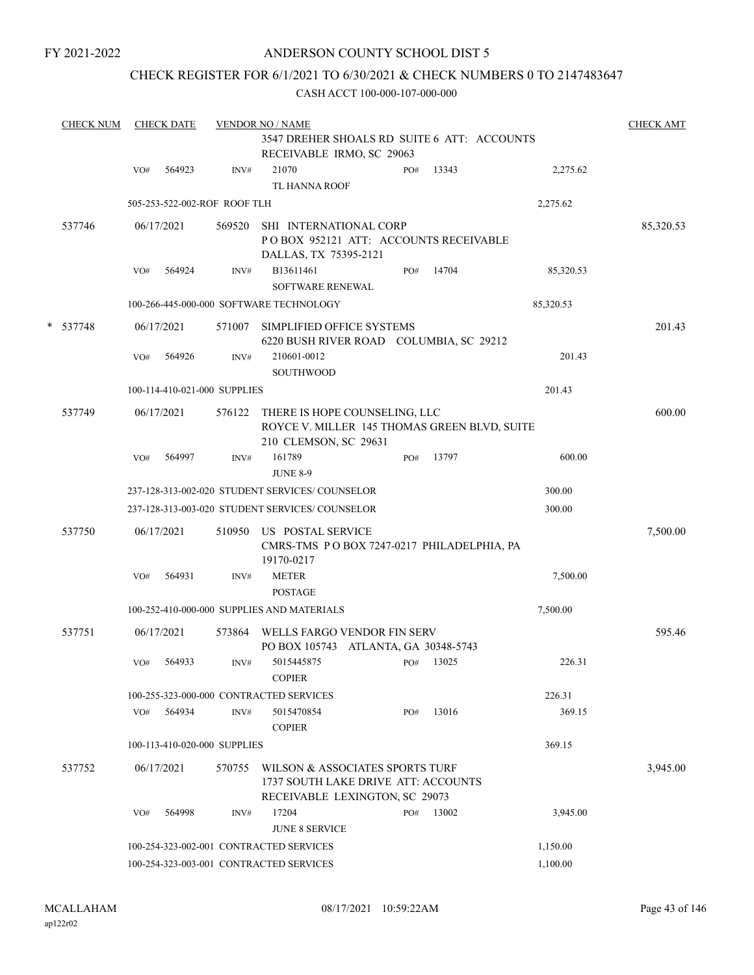## ANDERSON COUNTY SCHOOL DIST 5

## CHECK REGISTER FOR 6/1/2021 TO 6/30/2021 & CHECK NUMBERS 0 TO 2147483647

|   | <b>CHECK NUM</b> |     | <b>CHECK DATE</b> |                              | <b>VENDOR NO / NAME</b>                                                                                  |     |       |           |           |  |  |
|---|------------------|-----|-------------------|------------------------------|----------------------------------------------------------------------------------------------------------|-----|-------|-----------|-----------|--|--|
|   |                  |     |                   |                              | 3547 DREHER SHOALS RD SUITE 6 ATT: ACCOUNTS<br>RECEIVABLE IRMO, SC 29063                                 |     |       |           |           |  |  |
|   |                  | VO# | 564923            | INV#                         | 21070<br>TL HANNA ROOF                                                                                   | PO# | 13343 | 2,275.62  |           |  |  |
|   |                  |     |                   | 505-253-522-002-ROF ROOF TLH |                                                                                                          |     |       | 2,275.62  |           |  |  |
|   | 537746           |     | 06/17/2021        | 569520                       | SHI INTERNATIONAL CORP<br>POBOX 952121 ATT: ACCOUNTS RECEIVABLE<br>DALLAS, TX 75395-2121                 |     |       |           | 85,320.53 |  |  |
|   |                  | VO# | 564924            | INV#                         | B13611461<br><b>SOFTWARE RENEWAL</b>                                                                     | PO# | 14704 | 85,320.53 |           |  |  |
|   |                  |     |                   |                              | 100-266-445-000-000 SOFTWARE TECHNOLOGY                                                                  |     |       | 85,320.53 |           |  |  |
| * | 537748           |     | 06/17/2021        | 571007                       | SIMPLIFIED OFFICE SYSTEMS<br>6220 BUSH RIVER ROAD COLUMBIA, SC 29212                                     |     |       |           | 201.43    |  |  |
|   |                  | VO# | 564926            | INV#                         | 210601-0012<br><b>SOUTHWOOD</b>                                                                          |     |       | 201.43    |           |  |  |
|   |                  |     |                   | 100-114-410-021-000 SUPPLIES |                                                                                                          |     |       | 201.43    |           |  |  |
|   | 537749           |     | 06/17/2021        | 576122                       | THERE IS HOPE COUNSELING, LLC<br>ROYCE V. MILLER 145 THOMAS GREEN BLVD, SUITE<br>210 CLEMSON, SC 29631   |     |       |           | 600.00    |  |  |
|   |                  | VO# | 564997            | INV#                         | 161789<br><b>JUNE 8-9</b>                                                                                | PO# | 13797 | 600.00    |           |  |  |
|   |                  |     |                   |                              | 237-128-313-002-020 STUDENT SERVICES/ COUNSELOR                                                          |     |       | 300.00    |           |  |  |
|   |                  |     |                   |                              | 237-128-313-003-020 STUDENT SERVICES/ COUNSELOR                                                          |     |       | 300.00    |           |  |  |
|   | 537750           |     | 06/17/2021        | 510950                       | US POSTAL SERVICE<br>CMRS-TMS PO BOX 7247-0217 PHILADELPHIA, PA<br>19170-0217                            |     |       |           | 7,500.00  |  |  |
|   |                  | VO# | 564931            | INV#                         | <b>METER</b><br><b>POSTAGE</b>                                                                           |     |       | 7,500.00  |           |  |  |
|   |                  |     |                   |                              | 100-252-410-000-000 SUPPLIES AND MATERIALS                                                               |     |       | 7,500.00  |           |  |  |
|   | 537751           |     | 06/17/2021        | 573864                       | WELLS FARGO VENDOR FIN SERV<br>PO BOX 105743 ATLANTA, GA 30348-5743                                      |     |       |           | 595.46    |  |  |
|   |                  | VO# | 564933            | INV#                         | 5015445875<br><b>COPIER</b>                                                                              | PO# | 13025 | 226.31    |           |  |  |
|   |                  |     |                   |                              | 100-255-323-000-000 CONTRACTED SERVICES                                                                  |     |       | 226.31    |           |  |  |
|   |                  | VO# | 564934            | INV#                         | 5015470854<br><b>COPIER</b>                                                                              | PO# | 13016 | 369.15    |           |  |  |
|   |                  |     |                   | 100-113-410-020-000 SUPPLIES |                                                                                                          |     |       | 369.15    |           |  |  |
|   | 537752           |     | 06/17/2021        | 570755                       | WILSON & ASSOCIATES SPORTS TURF<br>1737 SOUTH LAKE DRIVE ATT: ACCOUNTS<br>RECEIVABLE LEXINGTON, SC 29073 |     |       |           | 3,945.00  |  |  |
|   |                  | VO# | 564998            | INV#                         | 17204<br><b>JUNE 8 SERVICE</b>                                                                           | PO# | 13002 | 3,945.00  |           |  |  |
|   |                  |     |                   |                              | 100-254-323-002-001 CONTRACTED SERVICES                                                                  |     |       | 1,150.00  |           |  |  |
|   |                  |     |                   |                              | 100-254-323-003-001 CONTRACTED SERVICES                                                                  |     |       | 1,100.00  |           |  |  |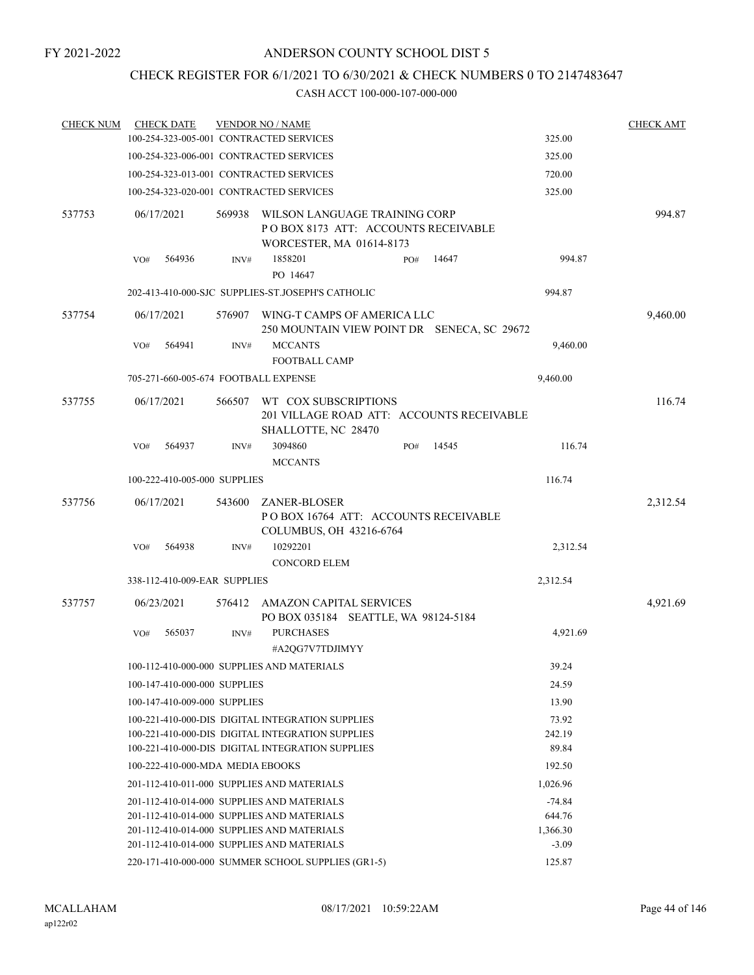## CHECK REGISTER FOR 6/1/2021 TO 6/30/2021 & CHECK NUMBERS 0 TO 2147483647

| <b>CHECK NUM</b> |            | <b>CHECK DATE</b>                |        | <b>VENDOR NO / NAME</b>                                                                  |  |     |        |          | <b>CHECK AMT</b> |
|------------------|------------|----------------------------------|--------|------------------------------------------------------------------------------------------|--|-----|--------|----------|------------------|
|                  |            |                                  |        | 100-254-323-005-001 CONTRACTED SERVICES                                                  |  |     |        | 325.00   |                  |
|                  |            |                                  |        | 100-254-323-006-001 CONTRACTED SERVICES                                                  |  |     |        | 325.00   |                  |
|                  |            |                                  |        | 100-254-323-013-001 CONTRACTED SERVICES                                                  |  |     |        | 720.00   |                  |
|                  |            |                                  |        | 100-254-323-020-001 CONTRACTED SERVICES                                                  |  |     |        | 325.00   |                  |
| 537753           | 06/17/2021 |                                  | 569938 | WILSON LANGUAGE TRAINING CORP<br>POBOX 8173 ATT: ACCOUNTS RECEIVABLE                     |  |     | 994.87 |          |                  |
|                  |            |                                  |        | WORCESTER, MA 01614-8173                                                                 |  |     |        |          |                  |
|                  | VO#        | 564936                           | INV#   | 1858201<br>PO 14647                                                                      |  | PO# | 14647  | 994.87   |                  |
|                  |            |                                  |        | 202-413-410-000-SJC SUPPLIES-ST.JOSEPH'S CATHOLIC                                        |  |     |        | 994.87   |                  |
| 537754           | 06/17/2021 |                                  |        | 576907 WING-T CAMPS OF AMERICA LLC<br>250 MOUNTAIN VIEW POINT DR SENECA, SC 29672        |  |     |        |          | 9,460.00         |
|                  | VO#        | 564941                           | INV#   | <b>MCCANTS</b><br><b>FOOTBALL CAMP</b>                                                   |  |     |        | 9,460.00 |                  |
|                  |            |                                  |        | 705-271-660-005-674 FOOTBALL EXPENSE                                                     |  |     |        | 9,460.00 |                  |
| 537755           | 06/17/2021 |                                  | 566507 | WT COX SUBSCRIPTIONS<br>201 VILLAGE ROAD ATT: ACCOUNTS RECEIVABLE<br>SHALLOTTE, NC 28470 |  |     |        |          | 116.74           |
|                  | VO#        | 564937                           | INV#   | 3094860<br><b>MCCANTS</b>                                                                |  | PO# | 14545  | 116.74   |                  |
|                  |            | 100-222-410-005-000 SUPPLIES     |        |                                                                                          |  |     |        | 116.74   |                  |
| 537756           | 06/17/2021 |                                  | 543600 | ZANER-BLOSER<br>POBOX 16764 ATT: ACCOUNTS RECEIVABLE<br>COLUMBUS, OH 43216-6764          |  |     |        |          | 2,312.54         |
|                  | VO#        | 564938                           | INV#   | 10292201<br><b>CONCORD ELEM</b>                                                          |  |     |        | 2,312.54 |                  |
|                  |            | 338-112-410-009-EAR SUPPLIES     |        |                                                                                          |  |     |        | 2,312.54 |                  |
| 537757           | 06/23/2021 |                                  |        | 576412 AMAZON CAPITAL SERVICES<br>PO BOX 035184 SEATTLE, WA 98124-5184                   |  |     |        |          | 4,921.69         |
|                  | VO#        | 565037                           | INV#   | <b>PURCHASES</b><br>#A2QG7V7TDJIMYY                                                      |  |     |        | 4,921.69 |                  |
|                  |            |                                  |        | 100-112-410-000-000 SUPPLIES AND MATERIALS                                               |  |     |        | 39.24    |                  |
|                  |            | 100-147-410-000-000 SUPPLIES     |        |                                                                                          |  |     |        | 24.59    |                  |
|                  |            | 100-147-410-009-000 SUPPLIES     |        |                                                                                          |  |     |        | 13.90    |                  |
|                  |            |                                  |        | 100-221-410-000-DIS DIGITAL INTEGRATION SUPPLIES                                         |  |     |        | 73.92    |                  |
|                  |            |                                  |        | 100-221-410-000-DIS DIGITAL INTEGRATION SUPPLIES                                         |  |     |        | 242.19   |                  |
|                  |            |                                  |        | 100-221-410-000-DIS DIGITAL INTEGRATION SUPPLIES                                         |  |     |        | 89.84    |                  |
|                  |            | 100-222-410-000-MDA MEDIA EBOOKS |        |                                                                                          |  |     |        | 192.50   |                  |
|                  |            |                                  |        | 201-112-410-011-000 SUPPLIES AND MATERIALS                                               |  |     |        | 1,026.96 |                  |
|                  |            |                                  |        | 201-112-410-014-000 SUPPLIES AND MATERIALS                                               |  |     |        | $-74.84$ |                  |
|                  |            |                                  |        | 201-112-410-014-000 SUPPLIES AND MATERIALS                                               |  |     |        | 644.76   |                  |
|                  |            |                                  |        | 201-112-410-014-000 SUPPLIES AND MATERIALS                                               |  |     |        | 1,366.30 |                  |
|                  |            |                                  |        | 201-112-410-014-000 SUPPLIES AND MATERIALS                                               |  |     |        | $-3.09$  |                  |
|                  |            |                                  |        | 220-171-410-000-000 SUMMER SCHOOL SUPPLIES (GR1-5)                                       |  |     |        | 125.87   |                  |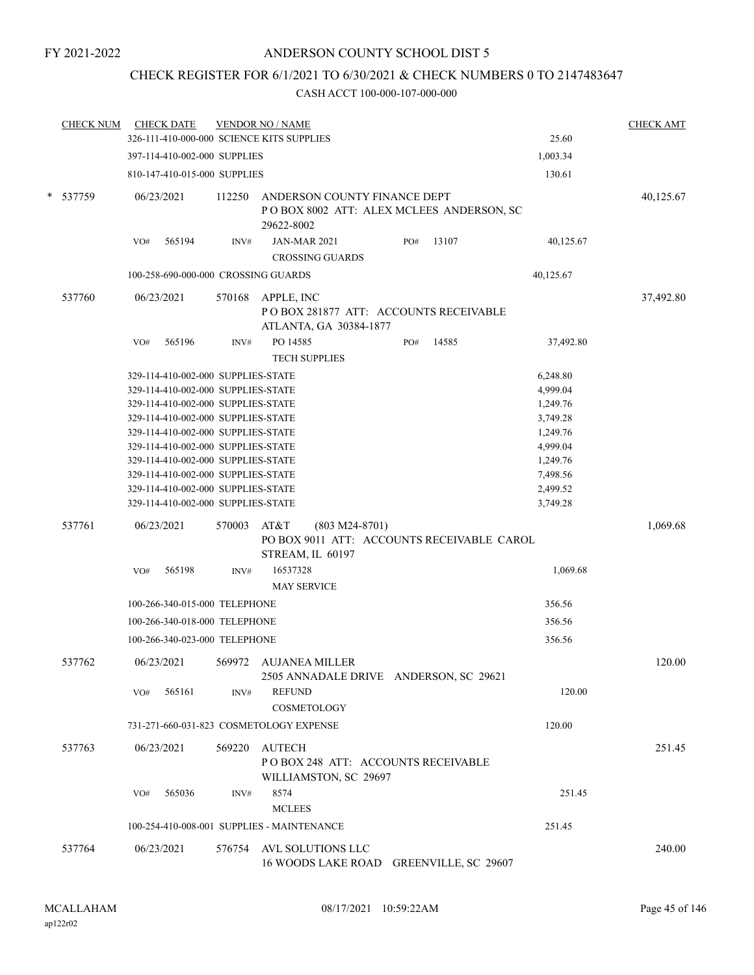## CHECK REGISTER FOR 6/1/2021 TO 6/30/2021 & CHECK NUMBERS 0 TO 2147483647

|   | <b>CHECK NUM</b> | <b>CHECK DATE</b> |                                    |        | <b>VENDOR NO / NAME</b><br>326-111-410-000-000 SCIENCE KITS SUPPLIES                       |     |       | 25.60     | <b>CHECK AMT</b> |
|---|------------------|-------------------|------------------------------------|--------|--------------------------------------------------------------------------------------------|-----|-------|-----------|------------------|
|   |                  |                   |                                    |        |                                                                                            |     |       |           |                  |
|   |                  |                   | 397-114-410-002-000 SUPPLIES       |        |                                                                                            |     |       | 1,003.34  |                  |
|   |                  |                   | 810-147-410-015-000 SUPPLIES       |        |                                                                                            |     |       | 130.61    |                  |
| * | 537759           | 06/23/2021        |                                    | 112250 | ANDERSON COUNTY FINANCE DEPT<br>POBOX 8002 ATT: ALEX MCLEES ANDERSON, SC<br>29622-8002     |     |       |           | 40,125.67        |
|   |                  | VO#               | 565194                             | INV#   | <b>JAN-MAR 2021</b><br><b>CROSSING GUARDS</b>                                              | PO# | 13107 | 40,125.67 |                  |
|   |                  |                   |                                    |        | 100-258-690-000-000 CROSSING GUARDS                                                        |     |       | 40,125.67 |                  |
|   | 537760           | 06/23/2021        |                                    | 570168 | APPLE, INC<br>POBOX 281877 ATT: ACCOUNTS RECEIVABLE<br>ATLANTA, GA 30384-1877              |     |       |           | 37,492.80        |
|   |                  | VO#               | 565196                             | INV#   | PO 14585<br><b>TECH SUPPLIES</b>                                                           | PO# | 14585 | 37,492.80 |                  |
|   |                  |                   | 329-114-410-002-000 SUPPLIES-STATE |        |                                                                                            |     |       | 6,248.80  |                  |
|   |                  |                   | 329-114-410-002-000 SUPPLIES-STATE |        |                                                                                            |     |       | 4,999.04  |                  |
|   |                  |                   | 329-114-410-002-000 SUPPLIES-STATE |        |                                                                                            |     |       | 1,249.76  |                  |
|   |                  |                   | 329-114-410-002-000 SUPPLIES-STATE |        |                                                                                            |     |       | 3,749.28  |                  |
|   |                  |                   | 329-114-410-002-000 SUPPLIES-STATE |        |                                                                                            |     |       | 1,249.76  |                  |
|   |                  |                   | 329-114-410-002-000 SUPPLIES-STATE |        |                                                                                            |     |       | 4,999.04  |                  |
|   |                  |                   | 329-114-410-002-000 SUPPLIES-STATE |        |                                                                                            |     |       | 1,249.76  |                  |
|   |                  |                   | 329-114-410-002-000 SUPPLIES-STATE |        |                                                                                            |     |       | 7,498.56  |                  |
|   |                  |                   | 329-114-410-002-000 SUPPLIES-STATE |        |                                                                                            |     |       | 2,499.52  |                  |
|   |                  |                   | 329-114-410-002-000 SUPPLIES-STATE |        |                                                                                            |     |       | 3,749.28  |                  |
|   | 537761           | 06/23/2021        |                                    | 570003 | AT&T<br>$(803 M24-8701)$<br>PO BOX 9011 ATT: ACCOUNTS RECEIVABLE CAROL<br>STREAM, IL 60197 |     |       |           | 1,069.68         |
|   |                  | VO#               | 565198                             | INV#   | 16537328<br><b>MAY SERVICE</b>                                                             |     |       | 1,069.68  |                  |
|   |                  |                   | 100-266-340-015-000 TELEPHONE      |        |                                                                                            |     |       | 356.56    |                  |
|   |                  |                   | 100-266-340-018-000 TELEPHONE      |        |                                                                                            |     |       | 356.56    |                  |
|   |                  |                   | 100-266-340-023-000 TELEPHONE      |        |                                                                                            |     |       | 356.56    |                  |
|   | 537762           | 06/23/2021        |                                    | 569972 | <b>AUJANEA MILLER</b><br>2505 ANNADALE DRIVE ANDERSON, SC 29621                            |     |       |           | 120.00           |
|   |                  | VO#               | 565161                             | INV#   | <b>REFUND</b><br>COSMETOLOGY                                                               |     |       | 120.00    |                  |
|   |                  |                   |                                    |        | 731-271-660-031-823 COSMETOLOGY EXPENSE                                                    |     |       | 120.00    |                  |
|   | 537763           | 06/23/2021        |                                    | 569220 | AUTECH<br>PO BOX 248 ATT: ACCOUNTS RECEIVABLE<br>WILLIAMSTON, SC 29697                     |     |       |           | 251.45           |
|   |                  | VO#               | 565036                             | INV#   | 8574<br><b>MCLEES</b>                                                                      |     |       | 251.45    |                  |
|   |                  |                   |                                    |        | 100-254-410-008-001 SUPPLIES - MAINTENANCE                                                 |     |       | 251.45    |                  |
|   | 537764           | 06/23/2021        |                                    | 576754 | AVL SOLUTIONS LLC<br>16 WOODS LAKE ROAD GREENVILLE, SC 29607                               |     |       |           | 240.00           |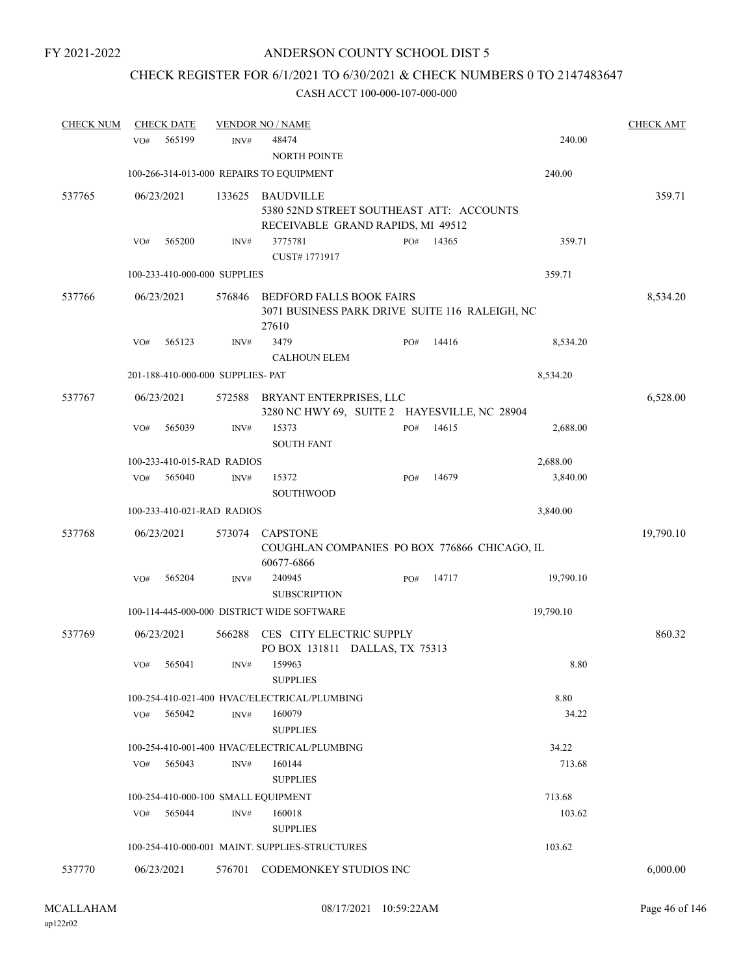# CHECK REGISTER FOR 6/1/2021 TO 6/30/2021 & CHECK NUMBERS 0 TO 2147483647

| <b>CHECK NUM</b> | <b>CHECK DATE</b> |                                     | <b>VENDOR NO / NAME</b>                                                 |     |       |           | <b>CHECK AMT</b> |
|------------------|-------------------|-------------------------------------|-------------------------------------------------------------------------|-----|-------|-----------|------------------|
|                  | 565199<br>VO#     | INV#                                | 48474                                                                   |     |       | 240.00    |                  |
|                  |                   |                                     | <b>NORTH POINTE</b>                                                     |     |       |           |                  |
|                  |                   |                                     | 100-266-314-013-000 REPAIRS TO EQUIPMENT                                |     |       | 240.00    |                  |
| 537765           | 06/23/2021        | 133625                              | <b>BAUDVILLE</b>                                                        |     |       |           | 359.71           |
|                  |                   |                                     | 5380 52ND STREET SOUTHEAST ATT: ACCOUNTS                                |     |       |           |                  |
|                  |                   |                                     | RECEIVABLE GRAND RAPIDS, MI 49512                                       |     |       |           |                  |
|                  | 565200<br>VO#     | INV#                                | 3775781                                                                 | PO# | 14365 | 359.71    |                  |
|                  |                   |                                     | CUST#1771917                                                            |     |       |           |                  |
|                  |                   | 100-233-410-000-000 SUPPLIES        |                                                                         |     |       | 359.71    |                  |
| 537766           | 06/23/2021        | 576846                              | <b>BEDFORD FALLS BOOK FAIRS</b>                                         |     |       |           | 8,534.20         |
|                  |                   |                                     | 3071 BUSINESS PARK DRIVE SUITE 116 RALEIGH, NC<br>27610                 |     |       |           |                  |
|                  | 565123<br>VO#     | INV#                                | 3479                                                                    | PO# | 14416 | 8,534.20  |                  |
|                  |                   |                                     | <b>CALHOUN ELEM</b>                                                     |     |       |           |                  |
|                  |                   | 201-188-410-000-000 SUPPLIES- PAT   |                                                                         |     |       | 8,534.20  |                  |
|                  |                   |                                     |                                                                         |     |       |           |                  |
| 537767           | 06/23/2021        | 572588                              | BRYANT ENTERPRISES, LLC<br>3280 NC HWY 69, SUITE 2 HAYESVILLE, NC 28904 |     |       |           | 6,528.00         |
|                  | 565039<br>VO#     | INV#                                | 15373                                                                   | PO# | 14615 | 2,688.00  |                  |
|                  |                   |                                     | <b>SOUTH FANT</b>                                                       |     |       |           |                  |
|                  |                   | 100-233-410-015-RAD RADIOS          |                                                                         |     |       | 2,688.00  |                  |
|                  | 565040<br>VO#     | INV#                                | 15372<br>SOUTHWOOD                                                      | PO# | 14679 | 3,840.00  |                  |
|                  |                   | 100-233-410-021-RAD RADIOS          |                                                                         |     |       | 3,840.00  |                  |
| 537768           | 06/23/2021        | 573074                              | <b>CAPSTONE</b>                                                         |     |       |           | 19,790.10        |
|                  |                   |                                     | COUGHLAN COMPANIES PO BOX 776866 CHICAGO, IL<br>60677-6866              |     |       |           |                  |
|                  | 565204<br>VO#     | INV#                                | 240945<br><b>SUBSCRIPTION</b>                                           | PO# | 14717 | 19,790.10 |                  |
|                  |                   |                                     | 100-114-445-000-000 DISTRICT WIDE SOFTWARE                              |     |       | 19,790.10 |                  |
| 537769           | 06/23/2021        | 566288                              | CES CITY ELECTRIC SUPPLY                                                |     |       |           | 860.32           |
|                  |                   |                                     | PO BOX 131811 DALLAS, TX 75313                                          |     |       |           |                  |
|                  | VO#<br>565041     | INV#                                | 159963                                                                  |     |       | 8.80      |                  |
|                  |                   |                                     | <b>SUPPLIES</b>                                                         |     |       |           |                  |
|                  |                   |                                     | 100-254-410-021-400 HVAC/ELECTRICAL/PLUMBING                            |     |       | 8.80      |                  |
|                  | 565042<br>VO#     | INV#                                | 160079<br><b>SUPPLIES</b>                                               |     |       | 34.22     |                  |
|                  |                   |                                     | 100-254-410-001-400 HVAC/ELECTRICAL/PLUMBING                            |     |       | 34.22     |                  |
|                  | 565043<br>VO#     | INV#                                | 160144<br><b>SUPPLIES</b>                                               |     |       | 713.68    |                  |
|                  |                   | 100-254-410-000-100 SMALL EQUIPMENT |                                                                         |     |       | 713.68    |                  |
|                  | 565044<br>VO#     | INV#                                | 160018                                                                  |     |       | 103.62    |                  |
|                  |                   |                                     |                                                                         |     |       |           |                  |
|                  |                   |                                     | <b>SUPPLIES</b>                                                         |     |       |           |                  |
|                  |                   |                                     | 100-254-410-000-001 MAINT. SUPPLIES-STRUCTURES                          |     |       | 103.62    |                  |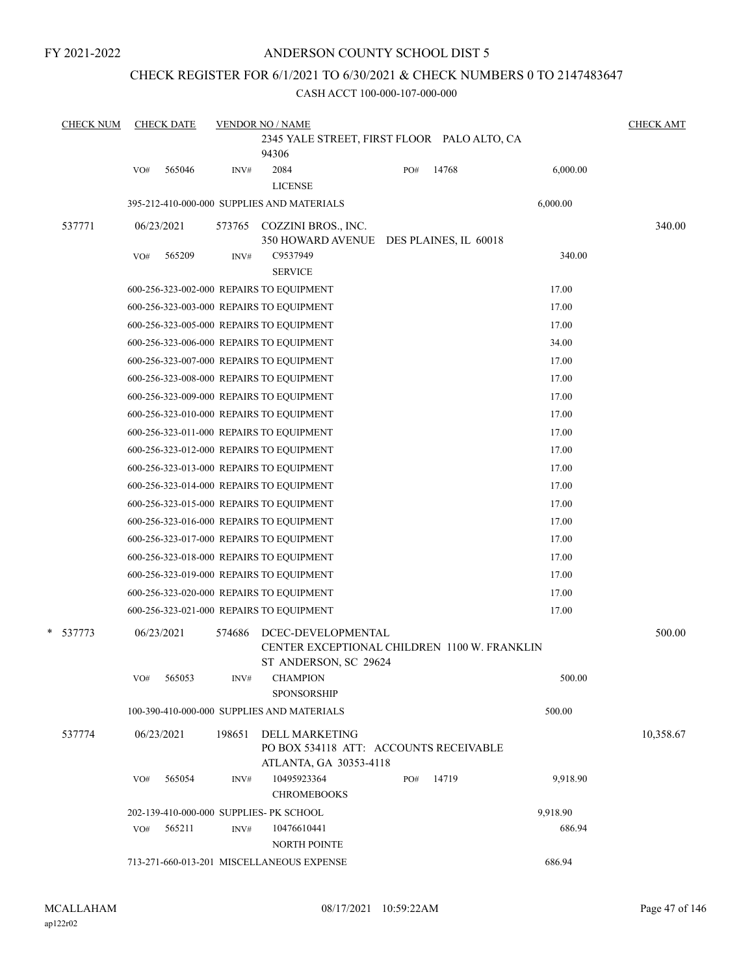## ANDERSON COUNTY SCHOOL DIST 5

## CHECK REGISTER FOR 6/1/2021 TO 6/30/2021 & CHECK NUMBERS 0 TO 2147483647

| <b>CHECK NUM</b> | <b>CHECK DATE</b>                        |        | <b>VENDOR NO / NAME</b><br>2345 YALE STREET, FIRST FLOOR PALO ALTO, CA                      |     |       |          | <b>CHECK AMT</b> |
|------------------|------------------------------------------|--------|---------------------------------------------------------------------------------------------|-----|-------|----------|------------------|
|                  |                                          |        | 94306                                                                                       |     |       |          |                  |
|                  | 565046<br>VO#                            | INV#   | 2084                                                                                        | PO# | 14768 | 6,000.00 |                  |
|                  |                                          |        | <b>LICENSE</b>                                                                              |     |       |          |                  |
|                  |                                          |        | 395-212-410-000-000 SUPPLIES AND MATERIALS                                                  |     |       | 6,000.00 |                  |
| 537771           | 06/23/2021                               | 573765 | COZZINI BROS., INC.<br>350 HOWARD AVENUE DES PLAINES, IL 60018                              |     |       |          | 340.00           |
|                  | 565209<br>VO#                            | INV#   | C9537949<br><b>SERVICE</b>                                                                  |     |       | 340.00   |                  |
|                  | 600-256-323-002-000 REPAIRS TO EQUIPMENT |        |                                                                                             |     |       | 17.00    |                  |
|                  | 600-256-323-003-000 REPAIRS TO EQUIPMENT |        |                                                                                             |     |       | 17.00    |                  |
|                  | 600-256-323-005-000 REPAIRS TO EQUIPMENT |        |                                                                                             |     |       | 17.00    |                  |
|                  | 600-256-323-006-000 REPAIRS TO EQUIPMENT |        |                                                                                             |     |       | 34.00    |                  |
|                  | 600-256-323-007-000 REPAIRS TO EQUIPMENT |        |                                                                                             |     |       | 17.00    |                  |
|                  | 600-256-323-008-000 REPAIRS TO EQUIPMENT |        |                                                                                             |     |       | 17.00    |                  |
|                  | 600-256-323-009-000 REPAIRS TO EQUIPMENT |        |                                                                                             |     |       | 17.00    |                  |
|                  | 600-256-323-010-000 REPAIRS TO EQUIPMENT |        |                                                                                             |     |       | 17.00    |                  |
|                  | 600-256-323-011-000 REPAIRS TO EQUIPMENT |        |                                                                                             |     |       | 17.00    |                  |
|                  | 600-256-323-012-000 REPAIRS TO EQUIPMENT |        |                                                                                             |     |       | 17.00    |                  |
|                  | 600-256-323-013-000 REPAIRS TO EQUIPMENT |        |                                                                                             |     |       | 17.00    |                  |
|                  | 600-256-323-014-000 REPAIRS TO EQUIPMENT |        |                                                                                             |     |       | 17.00    |                  |
|                  | 600-256-323-015-000 REPAIRS TO EQUIPMENT |        |                                                                                             |     |       | 17.00    |                  |
|                  | 600-256-323-016-000 REPAIRS TO EQUIPMENT |        |                                                                                             |     |       | 17.00    |                  |
|                  | 600-256-323-017-000 REPAIRS TO EQUIPMENT |        |                                                                                             |     |       | 17.00    |                  |
|                  | 600-256-323-018-000 REPAIRS TO EQUIPMENT |        |                                                                                             |     |       | 17.00    |                  |
|                  | 600-256-323-019-000 REPAIRS TO EQUIPMENT |        |                                                                                             |     |       | 17.00    |                  |
|                  | 600-256-323-020-000 REPAIRS TO EQUIPMENT |        |                                                                                             |     |       | 17.00    |                  |
|                  | 600-256-323-021-000 REPAIRS TO EQUIPMENT |        |                                                                                             |     |       | 17.00    |                  |
|                  |                                          |        |                                                                                             |     |       |          |                  |
| * 537773         | 06/23/2021                               | 574686 | DCEC-DEVELOPMENTAL<br>CENTER EXCEPTIONAL CHILDREN 1100 W. FRANKLIN<br>ST ANDERSON, SC 29624 |     |       |          | 500.00           |
|                  | 565053<br>VO#                            | INV#   | <b>CHAMPION</b>                                                                             |     |       | 500.00   |                  |
|                  |                                          |        | <b>SPONSORSHIP</b>                                                                          |     |       |          |                  |
|                  |                                          |        | 100-390-410-000-000 SUPPLIES AND MATERIALS                                                  |     |       | 500.00   |                  |
| 537774           | 06/23/2021                               | 198651 | <b>DELL MARKETING</b><br>PO BOX 534118 ATT: ACCOUNTS RECEIVABLE                             |     |       |          | 10,358.67        |
|                  |                                          |        | ATLANTA, GA 30353-4118                                                                      |     | 14719 |          |                  |
|                  | 565054<br>VO#                            | INV#   | 10495923364<br><b>CHROMEBOOKS</b>                                                           | PO# |       | 9,918.90 |                  |
|                  | 202-139-410-000-000 SUPPLIES- PK SCHOOL  |        |                                                                                             |     |       | 9,918.90 |                  |
|                  | 565211<br>VO#                            | INV#   | 10476610441                                                                                 |     |       | 686.94   |                  |
|                  |                                          |        | <b>NORTH POINTE</b>                                                                         |     |       |          |                  |
|                  |                                          |        | 713-271-660-013-201 MISCELLANEOUS EXPENSE                                                   |     |       | 686.94   |                  |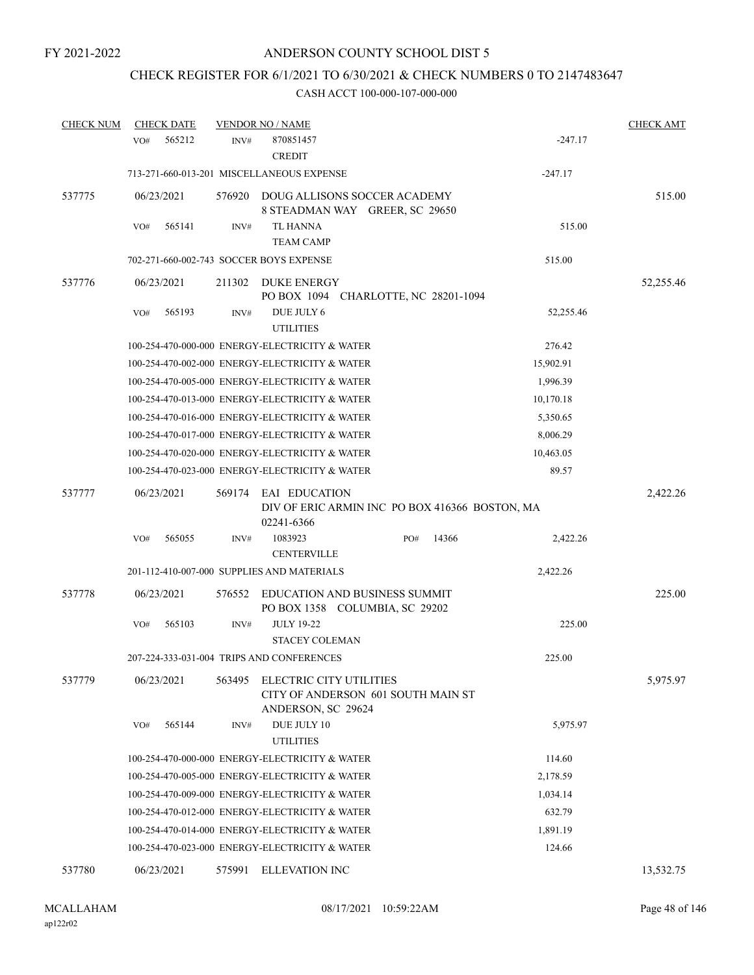# CHECK REGISTER FOR 6/1/2021 TO 6/30/2021 & CHECK NUMBERS 0 TO 2147483647

| <b>CHECK NUM</b> | <b>CHECK DATE</b>                       |        | <b>VENDOR NO / NAME</b>                                                             |     |       |           | <b>CHECK AMT</b> |
|------------------|-----------------------------------------|--------|-------------------------------------------------------------------------------------|-----|-------|-----------|------------------|
|                  | 565212<br>VO#                           | INV#   | 870851457<br><b>CREDIT</b>                                                          |     |       | $-247.17$ |                  |
|                  |                                         |        | 713-271-660-013-201 MISCELLANEOUS EXPENSE                                           |     |       | $-247.17$ |                  |
| 537775           | 06/23/2021                              | 576920 | DOUG ALLISONS SOCCER ACADEMY<br>8 STEADMAN WAY GREER, SC 29650                      |     |       |           | 515.00           |
|                  | 565141<br>VO#                           | INV#   | <b>TL HANNA</b><br><b>TEAM CAMP</b>                                                 |     |       | 515.00    |                  |
|                  | 702-271-660-002-743 SOCCER BOYS EXPENSE |        |                                                                                     |     |       | 515.00    |                  |
| 537776           | 06/23/2021                              | 211302 | DUKE ENERGY<br>PO BOX 1094 CHARLOTTE, NC 28201-1094                                 |     |       |           | 52,255.46        |
|                  | 565193<br>VO#                           | INV#   | DUE JULY 6<br><b>UTILITIES</b>                                                      |     |       | 52,255.46 |                  |
|                  |                                         |        | 100-254-470-000-000 ENERGY-ELECTRICITY & WATER                                      |     |       | 276.42    |                  |
|                  |                                         |        | 100-254-470-002-000 ENERGY-ELECTRICITY & WATER                                      |     |       | 15,902.91 |                  |
|                  |                                         |        | 100-254-470-005-000 ENERGY-ELECTRICITY & WATER                                      |     |       | 1,996.39  |                  |
|                  |                                         |        | 100-254-470-013-000 ENERGY-ELECTRICITY & WATER                                      |     |       | 10,170.18 |                  |
|                  |                                         |        | 100-254-470-016-000 ENERGY-ELECTRICITY & WATER                                      |     |       | 5,350.65  |                  |
|                  |                                         |        | 100-254-470-017-000 ENERGY-ELECTRICITY & WATER                                      |     |       | 8,006.29  |                  |
|                  |                                         |        | 100-254-470-020-000 ENERGY-ELECTRICITY & WATER                                      |     |       | 10,463.05 |                  |
|                  |                                         |        | 100-254-470-023-000 ENERGY-ELECTRICITY & WATER                                      |     |       | 89.57     |                  |
| 537777           | 06/23/2021                              | 569174 | EAI EDUCATION<br>DIV OF ERIC ARMIN INC PO BOX 416366 BOSTON, MA<br>02241-6366       |     |       |           | 2,422.26         |
|                  | 565055<br>VO#                           | INV#   | 1083923<br><b>CENTERVILLE</b>                                                       | PO# | 14366 | 2,422.26  |                  |
|                  |                                         |        | 201-112-410-007-000 SUPPLIES AND MATERIALS                                          |     |       | 2,422.26  |                  |
| 537778           | 06/23/2021                              | 576552 | <b>EDUCATION AND BUSINESS SUMMIT</b><br>PO BOX 1358 COLUMBIA, SC 29202              |     |       |           | 225.00           |
|                  | 565103<br>VO#                           | INV#   | <b>JULY 19-22</b><br><b>STACEY COLEMAN</b>                                          |     |       | 225.00    |                  |
|                  |                                         |        | 207-224-333-031-004 TRIPS AND CONFERENCES                                           |     |       | 225.00    |                  |
| 537779           | 06/23/2021                              | 563495 | ELECTRIC CITY UTILITIES<br>CITY OF ANDERSON 601 SOUTH MAIN ST<br>ANDERSON, SC 29624 |     |       |           | 5,975.97         |
|                  | 565144<br>VO#                           | INV#   | DUE JULY 10<br><b>UTILITIES</b>                                                     |     |       | 5,975.97  |                  |
|                  |                                         |        | 100-254-470-000-000 ENERGY-ELECTRICITY & WATER                                      |     |       | 114.60    |                  |
|                  |                                         |        | 100-254-470-005-000 ENERGY-ELECTRICITY & WATER                                      |     |       | 2,178.59  |                  |
|                  |                                         |        | 100-254-470-009-000 ENERGY-ELECTRICITY & WATER                                      |     |       | 1,034.14  |                  |
|                  |                                         |        | 100-254-470-012-000 ENERGY-ELECTRICITY & WATER                                      |     |       | 632.79    |                  |
|                  |                                         |        | 100-254-470-014-000 ENERGY-ELECTRICITY & WATER                                      |     |       | 1,891.19  |                  |
|                  |                                         |        | 100-254-470-023-000 ENERGY-ELECTRICITY & WATER                                      |     |       | 124.66    |                  |
| 537780           | 06/23/2021                              | 575991 | ELLEVATION INC                                                                      |     |       |           | 13,532.75        |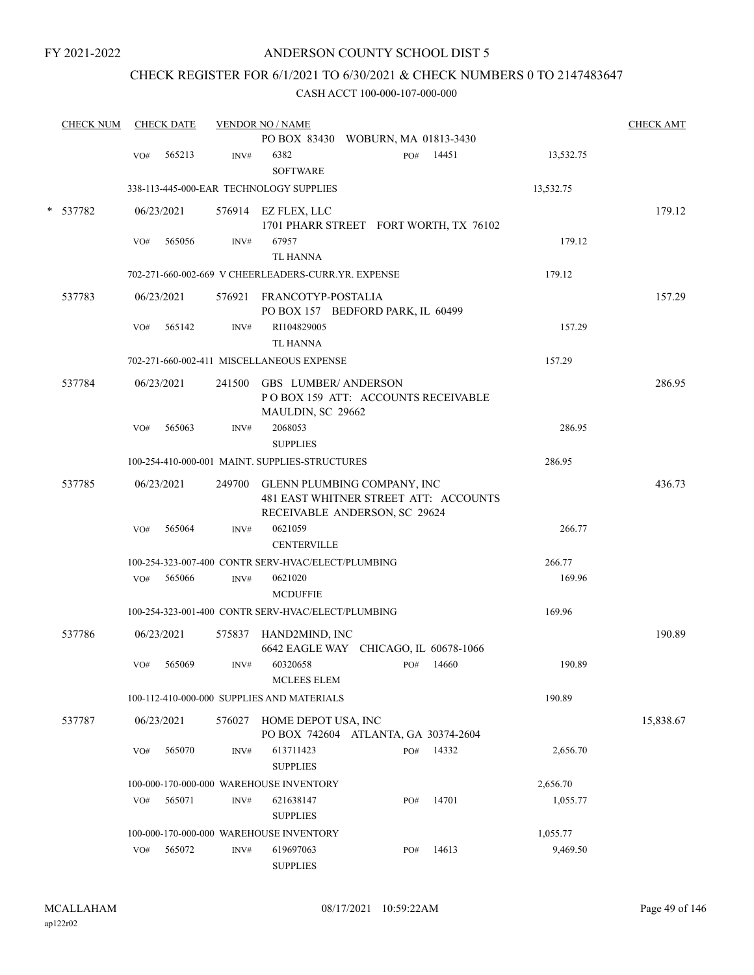## ANDERSON COUNTY SCHOOL DIST 5

## CHECK REGISTER FOR 6/1/2021 TO 6/30/2021 & CHECK NUMBERS 0 TO 2147483647

| <b>CHECK NUM</b> |     | <b>CHECK DATE</b> |        | <b>VENDOR NO / NAME</b>                                                                                      | <b>CHECK AMT</b> |
|------------------|-----|-------------------|--------|--------------------------------------------------------------------------------------------------------------|------------------|
|                  |     |                   |        | PO BOX 83430 WOBURN, MA 01813-3430                                                                           |                  |
|                  | VO# | 565213            | INV#   | 6382<br>14451<br>PO#<br>13,532.75<br><b>SOFTWARE</b>                                                         |                  |
|                  |     |                   |        | 338-113-445-000-EAR TECHNOLOGY SUPPLIES<br>13,532.75                                                         |                  |
| * 537782         |     | 06/23/2021        |        | 576914 EZ FLEX, LLC<br>1701 PHARR STREET FORT WORTH, TX 76102                                                | 179.12           |
|                  | VO# | 565056            | INV#   | 67957<br>179.12<br><b>TL HANNA</b>                                                                           |                  |
|                  |     |                   |        | 702-271-660-002-669 V CHEERLEADERS-CURR.YR. EXPENSE<br>179.12                                                |                  |
| 537783           |     | 06/23/2021        |        | 576921 FRANCOTYP-POSTALIA<br>PO BOX 157 BEDFORD PARK, IL 60499                                               | 157.29           |
|                  | VO# | 565142            | INV#   | RI104829005<br>157.29<br><b>TL HANNA</b>                                                                     |                  |
|                  |     |                   |        | 702-271-660-002-411 MISCELLANEOUS EXPENSE<br>157.29                                                          |                  |
| 537784           |     | 06/23/2021        |        | 241500 GBS LUMBER/ANDERSON<br>POBOX 159 ATT: ACCOUNTS RECEIVABLE<br>MAULDIN, SC 29662                        | 286.95           |
|                  | VO# | 565063            | INV#   | 2068053<br>286.95<br><b>SUPPLIES</b>                                                                         |                  |
|                  |     |                   |        | 100-254-410-000-001 MAINT. SUPPLIES-STRUCTURES<br>286.95                                                     |                  |
| 537785           |     | 06/23/2021        |        | 249700 GLENN PLUMBING COMPANY, INC<br>481 EAST WHITNER STREET ATT: ACCOUNTS<br>RECEIVABLE ANDERSON, SC 29624 | 436.73           |
|                  | VO# | 565064            | INV#   | 0621059<br>266.77<br><b>CENTERVILLE</b>                                                                      |                  |
|                  |     |                   |        | 100-254-323-007-400 CONTR SERV-HVAC/ELECT/PLUMBING<br>266.77                                                 |                  |
|                  | VO# | 565066            | INV#   | 169.96<br>0621020<br><b>MCDUFFIE</b>                                                                         |                  |
|                  |     |                   |        | 100-254-323-001-400 CONTR SERV-HVAC/ELECT/PLUMBING<br>169.96                                                 |                  |
| 537786           |     | 06/23/2021        | 575837 | HAND2MIND, INC<br>6642 EAGLE WAY CHICAGO, IL 60678-1066                                                      | 190.89           |
|                  | VO# | 565069            | INV#   | 60320658<br>190.89<br>14660<br>PO#<br><b>MCLEES ELEM</b>                                                     |                  |
|                  |     |                   |        | 190.89<br>100-112-410-000-000 SUPPLIES AND MATERIALS                                                         |                  |
| 537787           |     | 06/23/2021        | 576027 | HOME DEPOT USA, INC<br>PO BOX 742604 ATLANTA, GA 30374-2604                                                  | 15,838.67        |
|                  | VO# | 565070            | INV#   | 613711423<br>14332<br>PO#<br>2,656.70<br><b>SUPPLIES</b>                                                     |                  |
|                  |     |                   |        | 100-000-170-000-000 WAREHOUSE INVENTORY<br>2,656.70                                                          |                  |
|                  | VO# | 565071            | INV#   | 621638147<br>14701<br>1,055.77<br>PO#<br><b>SUPPLIES</b>                                                     |                  |
|                  |     |                   |        | 100-000-170-000-000 WAREHOUSE INVENTORY<br>1,055.77                                                          |                  |
|                  | VO# | 565072            | INV#   | 619697063<br>14613<br>9,469.50<br>PO#<br><b>SUPPLIES</b>                                                     |                  |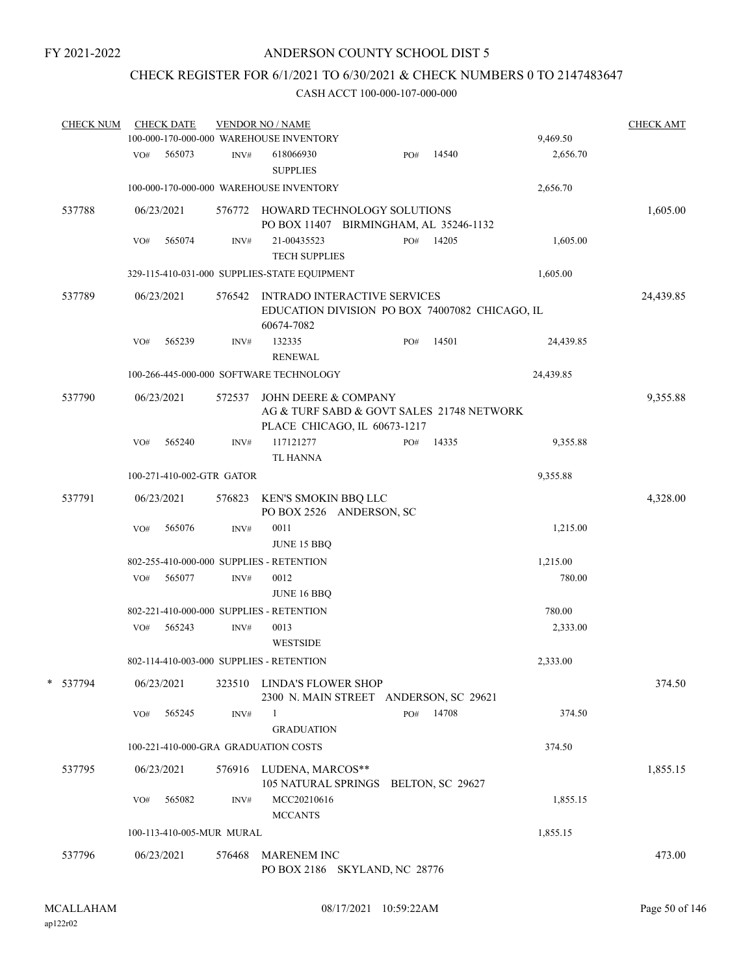# CHECK REGISTER FOR 6/1/2021 TO 6/30/2021 & CHECK NUMBERS 0 TO 2147483647

| <b>CHECK NUM</b> |     | <b>CHECK DATE</b> |                           | <b>VENDOR NO / NAME</b><br>100-000-170-000-000 WAREHOUSE INVENTORY                                  |     |       | 9,469.50  | <b>CHECK AMT</b> |
|------------------|-----|-------------------|---------------------------|-----------------------------------------------------------------------------------------------------|-----|-------|-----------|------------------|
|                  | VO# | 565073            | INV#                      | 618066930<br><b>SUPPLIES</b>                                                                        | PO# | 14540 | 2,656.70  |                  |
|                  |     |                   |                           | 100-000-170-000-000 WAREHOUSE INVENTORY                                                             |     |       | 2,656.70  |                  |
| 537788           |     | 06/23/2021        | 576772                    | HOWARD TECHNOLOGY SOLUTIONS<br>PO BOX 11407 BIRMINGHAM, AL 35246-1132                               |     |       |           | 1,605.00         |
|                  | VO# | 565074            | INV#                      | 21-00435523<br><b>TECH SUPPLIES</b>                                                                 | PO# | 14205 | 1,605.00  |                  |
|                  |     |                   |                           | 329-115-410-031-000 SUPPLIES-STATE EQUIPMENT                                                        |     |       | 1,605.00  |                  |
| 537789           |     | 06/23/2021        | 576542                    | <b>INTRADO INTERACTIVE SERVICES</b><br>EDUCATION DIVISION PO BOX 74007082 CHICAGO, IL<br>60674-7082 |     |       |           | 24,439.85        |
|                  | VO# | 565239            | INV#                      | 132335<br><b>RENEWAL</b>                                                                            | PO# | 14501 | 24,439.85 |                  |
|                  |     |                   |                           | 100-266-445-000-000 SOFTWARE TECHNOLOGY                                                             |     |       | 24,439.85 |                  |
| 537790           |     | 06/23/2021        | 572537                    | JOHN DEERE & COMPANY<br>AG & TURF SABD & GOVT SALES 21748 NETWORK<br>PLACE CHICAGO, IL 60673-1217   |     |       |           | 9,355.88         |
|                  | VO# | 565240            | INV#                      | 117121277<br><b>TL HANNA</b>                                                                        | PO# | 14335 | 9,355.88  |                  |
|                  |     |                   | 100-271-410-002-GTR GATOR |                                                                                                     |     |       | 9,355.88  |                  |
| 537791           |     | 06/23/2021        | 576823                    | KEN'S SMOKIN BBQ LLC<br>PO BOX 2526 ANDERSON, SC                                                    |     |       |           | 4,328.00         |
|                  | VO# | 565076            | INV#                      | 0011<br>JUNE 15 BBQ                                                                                 |     |       | 1,215.00  |                  |
|                  |     |                   |                           | 802-255-410-000-000 SUPPLIES - RETENTION                                                            |     |       | 1,215.00  |                  |
|                  | VO# | 565077            | INV#                      | 0012<br>JUNE 16 BBQ                                                                                 |     |       | 780.00    |                  |
|                  |     |                   |                           | 802-221-410-000-000 SUPPLIES - RETENTION                                                            |     |       | 780.00    |                  |
|                  | VO# | 565243            | INV#                      | 0013<br><b>WESTSIDE</b>                                                                             |     |       | 2,333.00  |                  |
|                  |     |                   |                           | 802-114-410-003-000 SUPPLIES - RETENTION                                                            |     |       | 2,333.00  |                  |
| * 537794         |     | 06/23/2021        |                           | 323510 LINDA'S FLOWER SHOP<br>2300 N. MAIN STREET ANDERSON, SC 29621                                |     |       |           | 374.50           |
|                  | VO# | 565245            | INV#                      | 1<br><b>GRADUATION</b>                                                                              | PO# | 14708 | 374.50    |                  |
|                  |     |                   |                           | 100-221-410-000-GRA GRADUATION COSTS                                                                |     |       | 374.50    |                  |
| 537795           |     | 06/23/2021        |                           | 576916 LUDENA, MARCOS**<br>105 NATURAL SPRINGS BELTON, SC 29627                                     |     |       |           | 1,855.15         |
|                  | VO# | 565082            | INV#                      | MCC20210616<br><b>MCCANTS</b>                                                                       |     |       | 1,855.15  |                  |
|                  |     |                   | 100-113-410-005-MUR MURAL |                                                                                                     |     |       | 1,855.15  |                  |
| 537796           |     | 06/23/2021        | 576468                    | <b>MARENEM INC</b><br>PO BOX 2186 SKYLAND, NC 28776                                                 |     |       |           | 473.00           |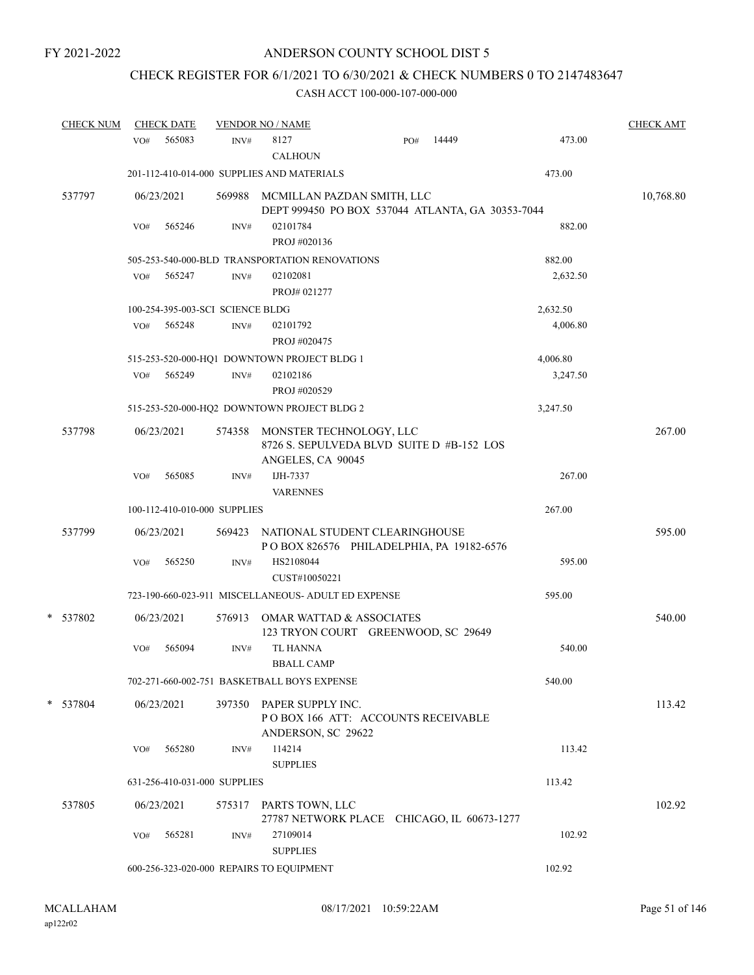## CHECK REGISTER FOR 6/1/2021 TO 6/30/2021 & CHECK NUMBERS 0 TO 2147483647

| <b>CHECK NUM</b> |     | <b>CHECK DATE</b> |                                  | <b>VENDOR NO / NAME</b>                             |                                                  |       |          | <b>CHECK AMT</b> |
|------------------|-----|-------------------|----------------------------------|-----------------------------------------------------|--------------------------------------------------|-------|----------|------------------|
|                  | VO# | 565083            | INV#                             | 8127<br><b>CALHOUN</b>                              | PO#                                              | 14449 | 473.00   |                  |
|                  |     |                   |                                  | 201-112-410-014-000 SUPPLIES AND MATERIALS          |                                                  |       | 473.00   |                  |
| 537797           |     | 06/23/2021        |                                  | 569988 MCMILLAN PAZDAN SMITH, LLC                   | DEPT 999450 PO BOX 537044 ATLANTA, GA 30353-7044 |       |          | 10,768.80        |
|                  | VO# | 565246            | INV#                             | 02101784<br>PROJ #020136                            |                                                  |       | 882.00   |                  |
|                  |     |                   |                                  | 505-253-540-000-BLD TRANSPORTATION RENOVATIONS      |                                                  |       | 882.00   |                  |
|                  | VO# | 565247            | INV#                             | 02102081<br>PROJ#021277                             |                                                  |       | 2,632.50 |                  |
|                  |     |                   | 100-254-395-003-SCI SCIENCE BLDG |                                                     |                                                  |       | 2,632.50 |                  |
|                  | VO# | 565248            | INV#                             | 02101792<br>PROJ #020475                            |                                                  |       | 4,006.80 |                  |
|                  |     |                   |                                  | 515-253-520-000-HQ1 DOWNTOWN PROJECT BLDG 1         |                                                  |       | 4,006.80 |                  |
|                  | VO# | 565249            | INV#                             | 02102186<br>PROJ #020529                            |                                                  |       | 3,247.50 |                  |
|                  |     |                   |                                  | 515-253-520-000-HQ2 DOWNTOWN PROJECT BLDG 2         |                                                  |       | 3,247.50 |                  |
| 537798           |     | 06/23/2021        |                                  | 574358 MONSTER TECHNOLOGY, LLC<br>ANGELES, CA 90045 | 8726 S. SEPULVEDA BLVD SUITE D #B-152 LOS        |       |          | 267.00           |
|                  | VO# | 565085            | INV#                             | IJH-7337<br><b>VARENNES</b>                         |                                                  |       | 267.00   |                  |
|                  |     |                   | 100-112-410-010-000 SUPPLIES     |                                                     |                                                  |       | 267.00   |                  |
| 537799           |     | 06/23/2021        |                                  | 569423 NATIONAL STUDENT CLEARINGHOUSE               | POBOX 826576 PHILADELPHIA, PA 19182-6576         |       |          | 595.00           |
|                  | VO# | 565250            | INV#                             | HS2108044<br>CUST#10050221                          |                                                  |       | 595.00   |                  |
|                  |     |                   |                                  | 723-190-660-023-911 MISCELLANEOUS- ADULT ED EXPENSE |                                                  |       | 595.00   |                  |
| * 537802         |     | 06/23/2021        |                                  | 576913 OMAR WATTAD & ASSOCIATES                     | 123 TRYON COURT GREENWOOD, SC 29649              |       |          | 540.00           |
|                  | VO# | 565094            | INV#                             | TL HANNA<br><b>BBALL CAMP</b>                       |                                                  |       | 540.00   |                  |
|                  |     |                   |                                  | 702-271-660-002-751 BASKETBALL BOYS EXPENSE         |                                                  |       | 540.00   |                  |
| * 537804         |     | 06/23/2021        |                                  | 397350 PAPER SUPPLY INC.                            |                                                  |       |          | 113.42           |
|                  |     |                   |                                  | ANDERSON, SC 29622                                  | POBOX 166 ATT: ACCOUNTS RECEIVABLE               |       |          |                  |
|                  | VO# | 565280            | INV#                             | 114214<br><b>SUPPLIES</b>                           |                                                  |       | 113.42   |                  |
|                  |     |                   | 631-256-410-031-000 SUPPLIES     |                                                     |                                                  |       | 113.42   |                  |
| 537805           |     | 06/23/2021        |                                  | 575317 PARTS TOWN, LLC                              | 27787 NETWORK PLACE CHICAGO, IL 60673-1277       |       |          | 102.92           |
|                  | VO# | 565281            | INV#                             | 27109014<br><b>SUPPLIES</b>                         |                                                  |       | 102.92   |                  |
|                  |     |                   |                                  | 600-256-323-020-000 REPAIRS TO EQUIPMENT            |                                                  |       | 102.92   |                  |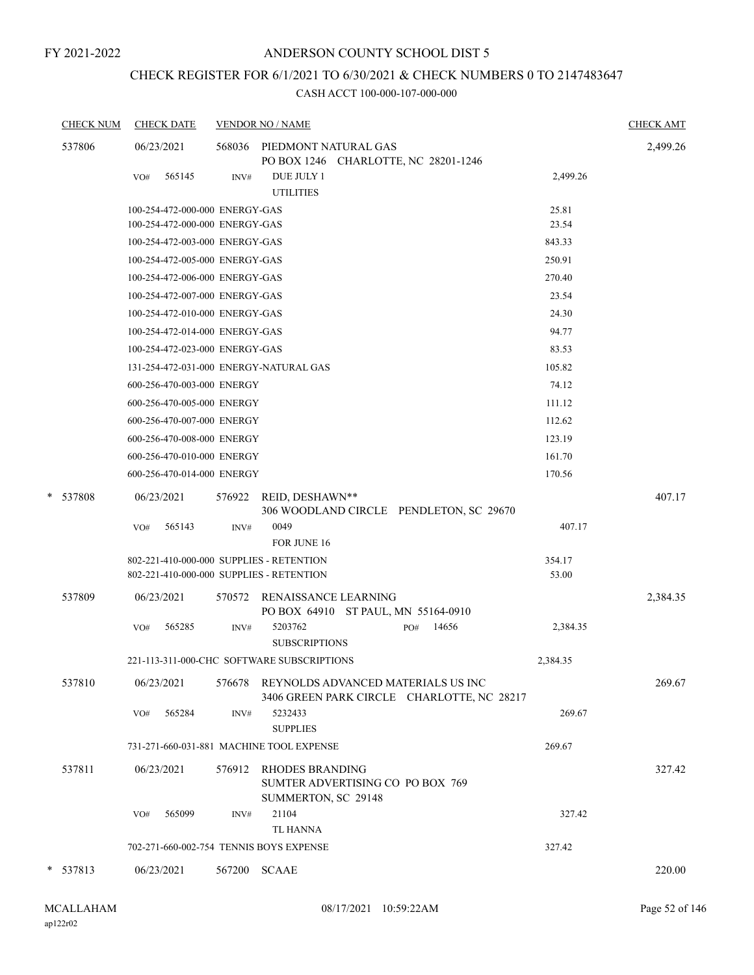# CHECK REGISTER FOR 6/1/2021 TO 6/30/2021 & CHECK NUMBERS 0 TO 2147483647

| <b>CHECK NUM</b> | <b>CHECK DATE</b>                        |        | <b>VENDOR NO / NAME</b>                                                           |              |          | <b>CHECK AMT</b> |
|------------------|------------------------------------------|--------|-----------------------------------------------------------------------------------|--------------|----------|------------------|
| 537806           | 06/23/2021                               |        | 568036 PIEDMONT NATURAL GAS<br>PO BOX 1246 CHARLOTTE, NC 28201-1246               |              |          | 2,499.26         |
|                  | 565145<br>VO#                            | INV#   | DUE JULY 1<br><b>UTILITIES</b>                                                    |              | 2,499.26 |                  |
|                  | 100-254-472-000-000 ENERGY-GAS           |        |                                                                                   |              | 25.81    |                  |
|                  | 100-254-472-000-000 ENERGY-GAS           |        |                                                                                   |              | 23.54    |                  |
|                  | 100-254-472-003-000 ENERGY-GAS           |        |                                                                                   |              | 843.33   |                  |
|                  | 100-254-472-005-000 ENERGY-GAS           |        |                                                                                   |              | 250.91   |                  |
|                  | 100-254-472-006-000 ENERGY-GAS           |        |                                                                                   |              | 270.40   |                  |
|                  | 100-254-472-007-000 ENERGY-GAS           |        |                                                                                   |              | 23.54    |                  |
|                  | 100-254-472-010-000 ENERGY-GAS           |        |                                                                                   |              | 24.30    |                  |
|                  | 100-254-472-014-000 ENERGY-GAS           |        |                                                                                   |              | 94.77    |                  |
|                  | 100-254-472-023-000 ENERGY-GAS           |        |                                                                                   |              | 83.53    |                  |
|                  |                                          |        | 131-254-472-031-000 ENERGY-NATURAL GAS                                            |              | 105.82   |                  |
|                  | 600-256-470-003-000 ENERGY               |        |                                                                                   |              | 74.12    |                  |
|                  | 600-256-470-005-000 ENERGY               |        |                                                                                   |              | 111.12   |                  |
|                  | 600-256-470-007-000 ENERGY               |        |                                                                                   |              | 112.62   |                  |
|                  | 600-256-470-008-000 ENERGY               |        |                                                                                   |              | 123.19   |                  |
|                  | 600-256-470-010-000 ENERGY               |        |                                                                                   |              | 161.70   |                  |
|                  | 600-256-470-014-000 ENERGY               |        |                                                                                   |              | 170.56   |                  |
| * 537808         | 06/23/2021                               | 576922 | REID, DESHAWN**<br>306 WOODLAND CIRCLE PENDLETON, SC 29670                        |              |          | 407.17           |
|                  | 565143<br>VO#                            | INV#   | 0049<br>FOR JUNE 16                                                               |              | 407.17   |                  |
|                  | 802-221-410-000-000 SUPPLIES - RETENTION |        |                                                                                   |              | 354.17   |                  |
|                  | 802-221-410-000-000 SUPPLIES - RETENTION |        |                                                                                   |              | 53.00    |                  |
| 537809           | 06/23/2021                               | 570572 | RENAISSANCE LEARNING<br>PO BOX 64910 ST PAUL, MN 55164-0910                       |              |          | 2,384.35         |
|                  | 565285<br>VO#                            | INV#   | 5203762<br><b>SUBSCRIPTIONS</b>                                                   | 14656<br>PO# | 2,384.35 |                  |
|                  |                                          |        | 221-113-311-000-CHC SOFTWARE SUBSCRIPTIONS                                        |              | 2,384.35 |                  |
| 537810           | 06/23/2021                               | 576678 | REYNOLDS ADVANCED MATERIALS US INC<br>3406 GREEN PARK CIRCLE CHARLOTTE, NC 28217  |              |          | 269.67           |
|                  | VO#<br>565284                            | INV#   | 5232433<br><b>SUPPLIES</b>                                                        |              | 269.67   |                  |
|                  |                                          |        | 731-271-660-031-881 MACHINE TOOL EXPENSE                                          |              | 269.67   |                  |
| 537811           | 06/23/2021                               | 576912 | <b>RHODES BRANDING</b><br>SUMTER ADVERTISING CO PO BOX 769<br>SUMMERTON, SC 29148 |              |          | 327.42           |
|                  | 565099<br>VO#                            | INV#   | 21104                                                                             |              | 327.42   |                  |
|                  |                                          |        | <b>TL HANNA</b>                                                                   |              |          |                  |
|                  |                                          |        | 702-271-660-002-754 TENNIS BOYS EXPENSE                                           |              | 327.42   |                  |
| * 537813         | 06/23/2021                               | 567200 | <b>SCAAE</b>                                                                      |              |          | 220.00           |
|                  |                                          |        |                                                                                   |              |          |                  |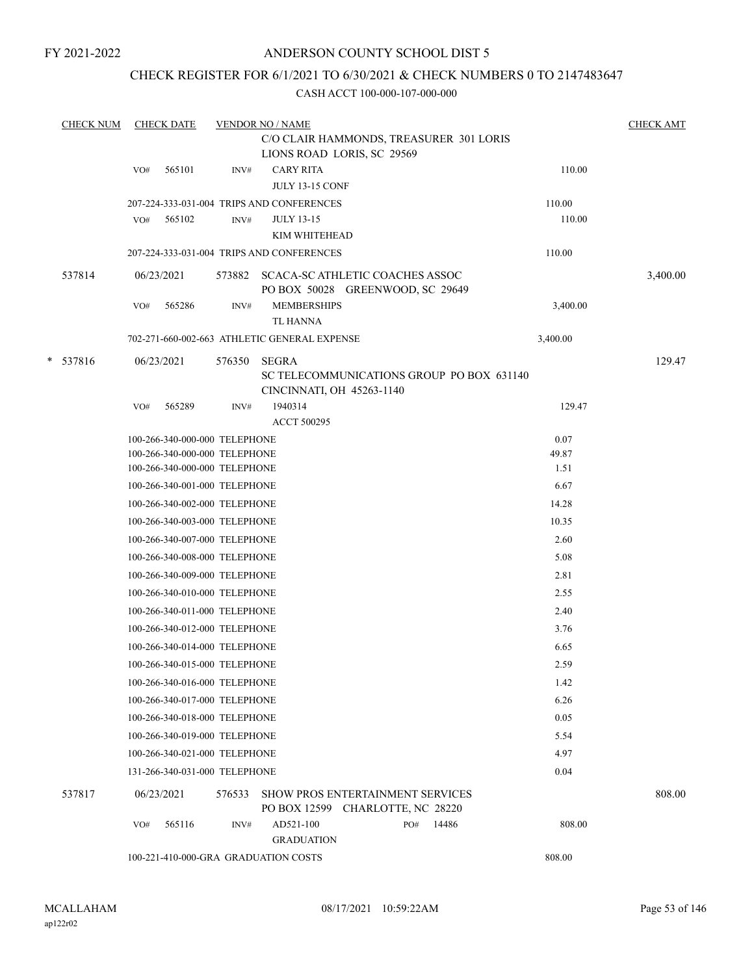## ANDERSON COUNTY SCHOOL DIST 5

## CHECK REGISTER FOR 6/1/2021 TO 6/30/2021 & CHECK NUMBERS 0 TO 2147483647

| <b>CHECK NUM</b> |     | <b>CHECK DATE</b>                                              |        | <b>VENDOR NO / NAME</b>                                                     |     |       |               | <b>CHECK AMT</b> |
|------------------|-----|----------------------------------------------------------------|--------|-----------------------------------------------------------------------------|-----|-------|---------------|------------------|
|                  |     |                                                                |        | C/O CLAIR HAMMONDS, TREASURER 301 LORIS<br>LIONS ROAD LORIS, SC 29569       |     |       |               |                  |
|                  | VO# | 565101                                                         | INV#   | <b>CARY RITA</b><br><b>JULY 13-15 CONF</b>                                  |     |       | 110.00        |                  |
|                  |     |                                                                |        | 207-224-333-031-004 TRIPS AND CONFERENCES                                   |     |       | 110.00        |                  |
|                  | VO# | 565102                                                         | INV#   | <b>JULY 13-15</b>                                                           |     |       | 110.00        |                  |
|                  |     |                                                                |        | KIM WHITEHEAD                                                               |     |       |               |                  |
|                  |     |                                                                |        | 207-224-333-031-004 TRIPS AND CONFERENCES                                   |     |       | 110.00        |                  |
| 537814           |     | 06/23/2021                                                     | 573882 | SCACA-SC ATHLETIC COACHES ASSOC<br>PO BOX 50028 GREENWOOD, SC 29649         |     |       |               | 3,400.00         |
|                  | VO# | 565286                                                         | INV#   | <b>MEMBERSHIPS</b>                                                          |     |       | 3,400.00      |                  |
|                  |     |                                                                |        | <b>TL HANNA</b>                                                             |     |       |               |                  |
|                  |     |                                                                |        | 702-271-660-002-663 ATHLETIC GENERAL EXPENSE                                |     |       | 3,400.00      |                  |
| $*$ 537816       |     | 06/23/2021                                                     | 576350 | <b>SEGRA</b><br>SC TELECOMMUNICATIONS GROUP PO BOX 631140                   |     |       |               | 129.47           |
|                  |     |                                                                |        | CINCINNATI, OH 45263-1140                                                   |     |       |               |                  |
|                  | VO# | 565289                                                         | INV#   | 1940314                                                                     |     |       | 129.47        |                  |
|                  |     |                                                                |        | <b>ACCT 500295</b>                                                          |     |       |               |                  |
|                  |     | 100-266-340-000-000 TELEPHONE<br>100-266-340-000-000 TELEPHONE |        |                                                                             |     |       | 0.07<br>49.87 |                  |
|                  |     | 100-266-340-000-000 TELEPHONE                                  |        |                                                                             |     |       | 1.51          |                  |
|                  |     | 100-266-340-001-000 TELEPHONE                                  |        |                                                                             |     |       | 6.67          |                  |
|                  |     | 100-266-340-002-000 TELEPHONE                                  |        |                                                                             |     |       | 14.28         |                  |
|                  |     | 100-266-340-003-000 TELEPHONE                                  |        |                                                                             |     |       | 10.35         |                  |
|                  |     | 100-266-340-007-000 TELEPHONE                                  |        |                                                                             |     |       | 2.60          |                  |
|                  |     | 100-266-340-008-000 TELEPHONE                                  |        |                                                                             |     |       | 5.08          |                  |
|                  |     | 100-266-340-009-000 TELEPHONE                                  |        |                                                                             |     |       | 2.81          |                  |
|                  |     | 100-266-340-010-000 TELEPHONE                                  |        |                                                                             |     |       | 2.55          |                  |
|                  |     | 100-266-340-011-000 TELEPHONE                                  |        |                                                                             |     |       | 2.40          |                  |
|                  |     | 100-266-340-012-000 TELEPHONE                                  |        |                                                                             |     |       | 3.76          |                  |
|                  |     | 100-266-340-014-000 TELEPHONE                                  |        |                                                                             |     |       | 6.65          |                  |
|                  |     | 100-266-340-015-000 TELEPHONE                                  |        |                                                                             |     |       | 2.59          |                  |
|                  |     | 100-266-340-016-000 TELEPHONE                                  |        |                                                                             |     |       | 1.42          |                  |
|                  |     | 100-266-340-017-000 TELEPHONE                                  |        |                                                                             |     |       | 6.26          |                  |
|                  |     | 100-266-340-018-000 TELEPHONE                                  |        |                                                                             |     |       | 0.05          |                  |
|                  |     | 100-266-340-019-000 TELEPHONE                                  |        |                                                                             |     |       | 5.54          |                  |
|                  |     | 100-266-340-021-000 TELEPHONE                                  |        |                                                                             |     |       | 4.97          |                  |
|                  |     | 131-266-340-031-000 TELEPHONE                                  |        |                                                                             |     |       | 0.04          |                  |
| 537817           |     | 06/23/2021                                                     | 576533 | <b>SHOW PROS ENTERTAINMENT SERVICES</b><br>PO BOX 12599 CHARLOTTE, NC 28220 |     |       |               | 808.00           |
|                  | VO# | 565116                                                         | INV#   | AD521-100                                                                   | PO# | 14486 | 808.00        |                  |
|                  |     |                                                                |        | <b>GRADUATION</b>                                                           |     |       |               |                  |
|                  |     |                                                                |        | 100-221-410-000-GRA GRADUATION COSTS                                        |     |       | 808.00        |                  |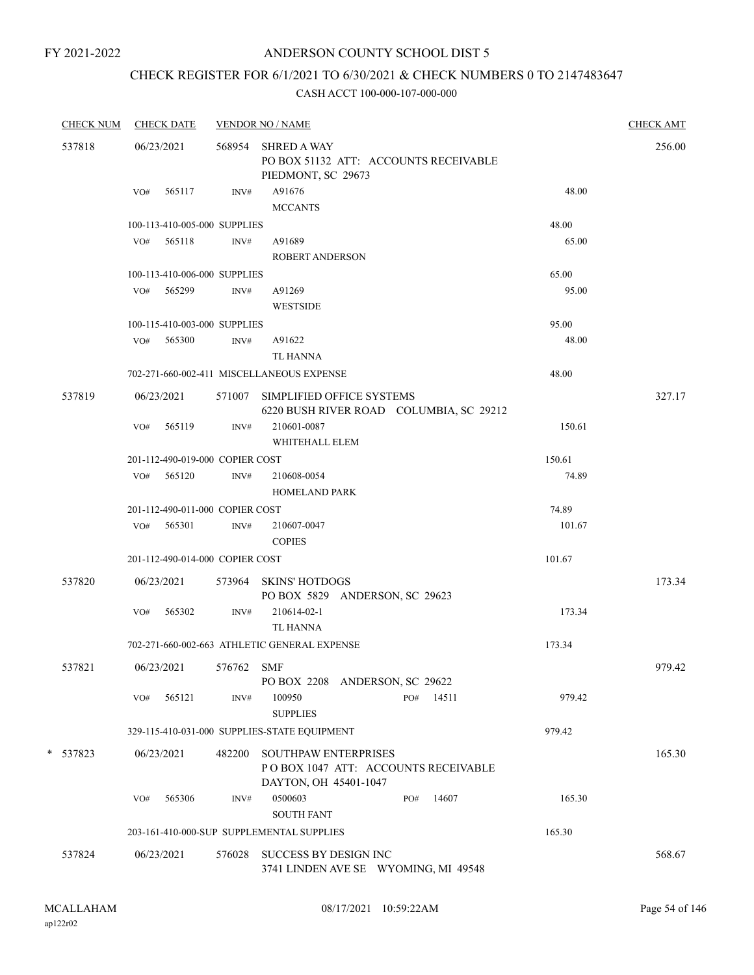## ANDERSON COUNTY SCHOOL DIST 5

# CHECK REGISTER FOR 6/1/2021 TO 6/30/2021 & CHECK NUMBERS 0 TO 2147483647

| <b>CHECK NUM</b> |     | <b>CHECK DATE</b>               |            | <b>VENDOR NO / NAME</b>                                                               | <b>CHECK AMT</b> |
|------------------|-----|---------------------------------|------------|---------------------------------------------------------------------------------------|------------------|
| 537818           |     | 06/23/2021                      |            | 568954 SHRED A WAY<br>PO BOX 51132 ATT: ACCOUNTS RECEIVABLE<br>PIEDMONT, SC 29673     | 256.00           |
|                  | VO# | 565117                          | INV#       | 48.00<br>A91676<br><b>MCCANTS</b>                                                     |                  |
|                  |     | 100-113-410-005-000 SUPPLIES    |            | 48.00                                                                                 |                  |
|                  |     | VO# 565118                      | INV#       | A91689<br>65.00                                                                       |                  |
|                  |     |                                 |            | <b>ROBERT ANDERSON</b>                                                                |                  |
|                  |     | 100-113-410-006-000 SUPPLIES    |            | 65.00                                                                                 |                  |
|                  | VO# | 565299                          | INV#       | A91269<br>95.00<br><b>WESTSIDE</b>                                                    |                  |
|                  |     | 100-115-410-003-000 SUPPLIES    |            | 95.00                                                                                 |                  |
|                  | VO# | 565300                          | INV#       | 48.00<br>A91622<br>TL HANNA                                                           |                  |
|                  |     |                                 |            | 702-271-660-002-411 MISCELLANEOUS EXPENSE<br>48.00                                    |                  |
| 537819           |     | 06/23/2021                      |            | 571007 SIMPLIFIED OFFICE SYSTEMS<br>6220 BUSH RIVER ROAD COLUMBIA, SC 29212           | 327.17           |
|                  | VO# | 565119                          | INV#       | 210601-0087<br>150.61<br>WHITEHALL ELEM                                               |                  |
|                  |     | 201-112-490-019-000 COPIER COST |            | 150.61                                                                                |                  |
|                  |     | VO# 565120                      | INV#       | 210608-0054<br>74.89<br><b>HOMELAND PARK</b>                                          |                  |
|                  |     | 201-112-490-011-000 COPIER COST |            | 74.89                                                                                 |                  |
|                  |     | VO# 565301                      | INV#       | 210607-0047<br>101.67<br><b>COPIES</b>                                                |                  |
|                  |     | 201-112-490-014-000 COPIER COST |            | 101.67                                                                                |                  |
| 537820           |     | 06/23/2021                      |            | 573964 SKINS' HOTDOGS<br>PO BOX 5829 ANDERSON, SC 29623                               | 173.34           |
|                  | VO# | 565302                          | INV#       | 173.34<br>210614-02-1<br>TL HANNA                                                     |                  |
|                  |     |                                 |            | 702-271-660-002-663 ATHLETIC GENERAL EXPENSE<br>173.34                                |                  |
| 537821           |     | 06/23/2021                      | 576762 SMF | PO BOX 2208 ANDERSON, SC 29622                                                        | 979.42           |
|                  | VO# | 565121                          | INV#       | 100950<br>14511<br>979.42<br>PO#<br><b>SUPPLIES</b>                                   |                  |
|                  |     |                                 |            | 979.42<br>329-115-410-031-000 SUPPLIES-STATE EQUIPMENT                                |                  |
| * 537823         |     | 06/23/2021                      | 482200     | SOUTHPAW ENTERPRISES<br>PO BOX 1047 ATT: ACCOUNTS RECEIVABLE<br>DAYTON, OH 45401-1047 | 165.30           |
|                  | VO# | 565306                          | INV#       | 0500603<br>14607<br>165.30<br>PO#<br><b>SOUTH FANT</b>                                |                  |
|                  |     |                                 |            | 203-161-410-000-SUP SUPPLEMENTAL SUPPLIES<br>165.30                                   |                  |
| 537824           |     | 06/23/2021                      | 576028     | SUCCESS BY DESIGN INC<br>3741 LINDEN AVE SE WYOMING, MI 49548                         | 568.67           |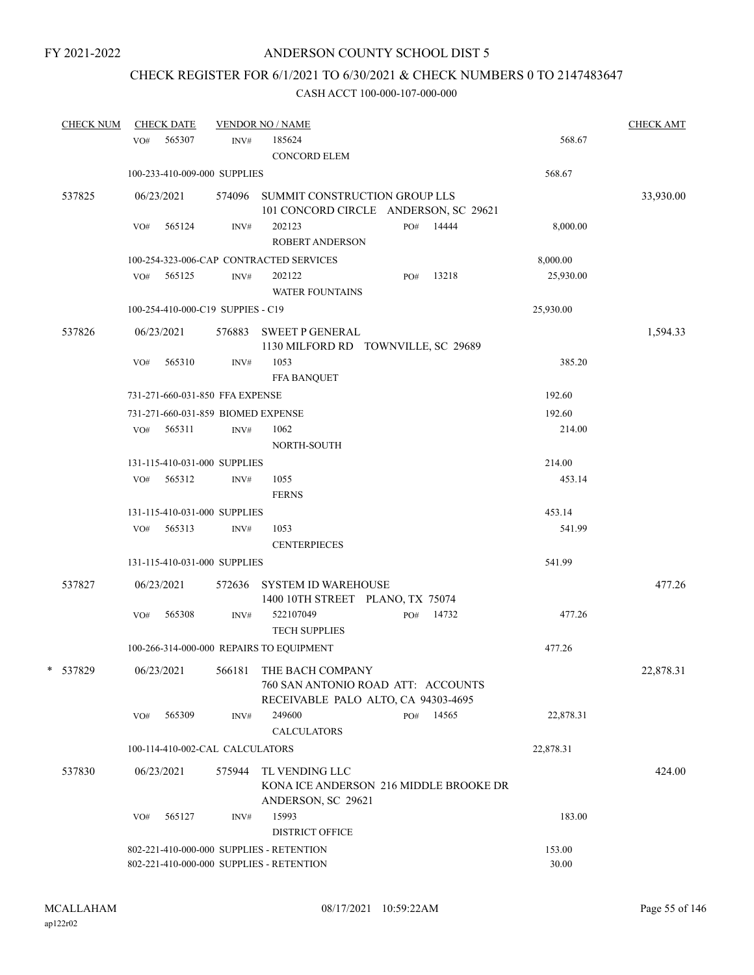# CHECK REGISTER FOR 6/1/2021 TO 6/30/2021 & CHECK NUMBERS 0 TO 2147483647

| <b>CHECK NUM</b> |     | <b>CHECK DATE</b> |                                    | <b>VENDOR NO / NAME</b>                                                                                         |     |       |           | <b>CHECK AMT</b> |
|------------------|-----|-------------------|------------------------------------|-----------------------------------------------------------------------------------------------------------------|-----|-------|-----------|------------------|
|                  | VO# | 565307            | INV#                               | 185624<br><b>CONCORD ELEM</b>                                                                                   |     |       | 568.67    |                  |
|                  |     |                   | 100-233-410-009-000 SUPPLIES       |                                                                                                                 |     |       | 568.67    |                  |
| 537825           |     | 06/23/2021        |                                    | 574096 SUMMIT CONSTRUCTION GROUP LLS<br>101 CONCORD CIRCLE ANDERSON, SC 29621                                   |     |       |           | 33,930.00        |
|                  | VO# | 565124            | INV#                               | 202123<br><b>ROBERT ANDERSON</b>                                                                                | PO# | 14444 | 8,000.00  |                  |
|                  |     |                   |                                    | 100-254-323-006-CAP CONTRACTED SERVICES                                                                         |     |       | 8,000.00  |                  |
|                  | VO# | 565125            | INV#                               | 202122<br>WATER FOUNTAINS                                                                                       | PO# | 13218 | 25,930.00 |                  |
|                  |     |                   | 100-254-410-000-C19 SUPPIES - C19  |                                                                                                                 |     |       | 25,930.00 |                  |
| 537826           |     | 06/23/2021        |                                    | 576883 SWEET P GENERAL<br>1130 MILFORD RD TOWNVILLE, SC 29689                                                   |     |       |           | 1,594.33         |
|                  | VO# | 565310            | INV#                               | 1053<br><b>FFA BANQUET</b>                                                                                      |     |       | 385.20    |                  |
|                  |     |                   | 731-271-660-031-850 FFA EXPENSE    |                                                                                                                 |     |       | 192.60    |                  |
|                  |     |                   | 731-271-660-031-859 BIOMED EXPENSE |                                                                                                                 |     |       | 192.60    |                  |
|                  | VO# | 565311            | INV#                               | 1062<br>NORTH-SOUTH                                                                                             |     |       | 214.00    |                  |
|                  |     |                   | 131-115-410-031-000 SUPPLIES       |                                                                                                                 |     |       | 214.00    |                  |
|                  | VO# | 565312            | INV#                               | 1055<br><b>FERNS</b>                                                                                            |     |       | 453.14    |                  |
|                  |     |                   | 131-115-410-031-000 SUPPLIES       |                                                                                                                 |     |       | 453.14    |                  |
|                  |     | VO# 565313        | INV#                               | 1053<br><b>CENTERPIECES</b>                                                                                     |     |       | 541.99    |                  |
|                  |     |                   | 131-115-410-031-000 SUPPLIES       |                                                                                                                 |     |       | 541.99    |                  |
| 537827           |     | 06/23/2021        |                                    | 572636 SYSTEM ID WAREHOUSE<br>1400 10TH STREET PLANO, TX 75074                                                  |     |       |           | 477.26           |
|                  | VO# | 565308            | INV#                               | 522107049<br><b>TECH SUPPLIES</b>                                                                               | PO# | 14732 | 477.26    |                  |
|                  |     |                   |                                    | 100-266-314-000-000 REPAIRS TO EQUIPMENT                                                                        |     |       | 477.26    |                  |
| * 537829         |     |                   |                                    | 06/23/2021 566181 THE BACH COMPANY<br>760 SAN ANTONIO ROAD ATT: ACCOUNTS<br>RECEIVABLE PALO ALTO, CA 94303-4695 |     |       |           | 22,878.31        |
|                  | VO# | 565309            | INV#                               | 249600<br><b>CALCULATORS</b>                                                                                    | PO# | 14565 | 22,878.31 |                  |
|                  |     |                   | 100-114-410-002-CAL CALCULATORS    |                                                                                                                 |     |       | 22,878.31 |                  |
| 537830           |     | 06/23/2021        | 575944                             | TL VENDING LLC<br>KONA ICE ANDERSON 216 MIDDLE BROOKE DR<br>ANDERSON, SC 29621                                  |     |       |           | 424.00           |
|                  | VO# | 565127            | INV#                               | 15993<br><b>DISTRICT OFFICE</b>                                                                                 |     |       | 183.00    |                  |
|                  |     |                   |                                    | 802-221-410-000-000 SUPPLIES - RETENTION                                                                        |     |       | 153.00    |                  |
|                  |     |                   |                                    | 802-221-410-000-000 SUPPLIES - RETENTION                                                                        |     |       | 30.00     |                  |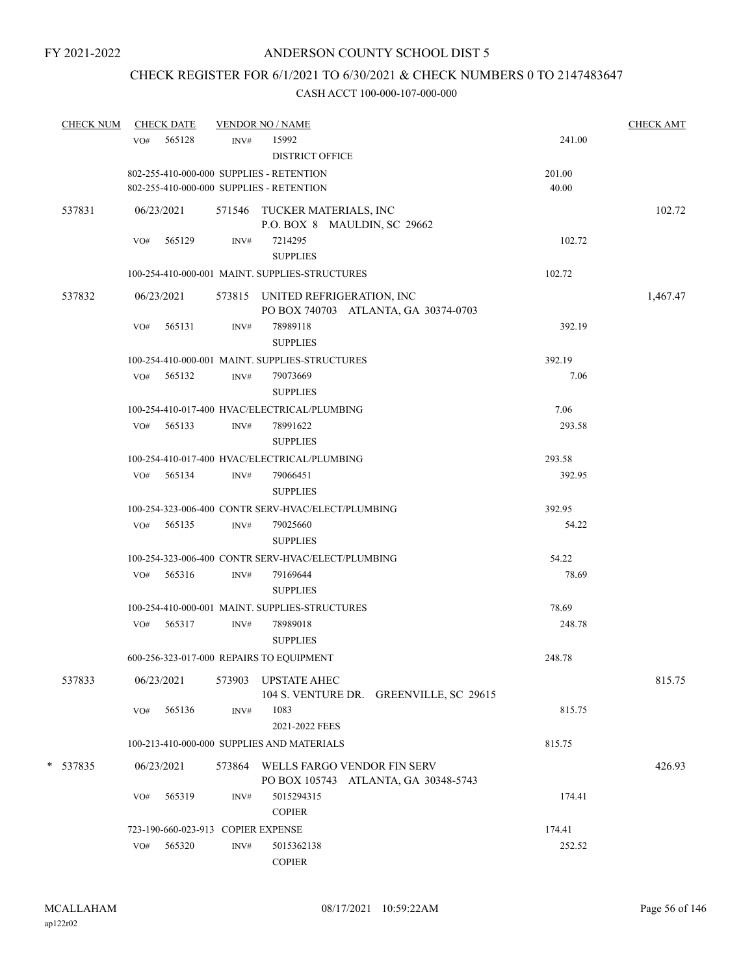# CHECK REGISTER FOR 6/1/2021 TO 6/30/2021 & CHECK NUMBERS 0 TO 2147483647

| <b>CHECK NUM</b> | <b>CHECK DATE</b>                                                                    |        | <b>VENDOR NO / NAME</b>                                                  |                 | <b>CHECK AMT</b> |
|------------------|--------------------------------------------------------------------------------------|--------|--------------------------------------------------------------------------|-----------------|------------------|
|                  | VO# 565128                                                                           | INV#   | 15992<br><b>DISTRICT OFFICE</b>                                          | 241.00          |                  |
|                  |                                                                                      |        |                                                                          |                 |                  |
|                  | 802-255-410-000-000 SUPPLIES - RETENTION<br>802-255-410-000-000 SUPPLIES - RETENTION |        |                                                                          | 201.00<br>40.00 |                  |
| 537831           | 06/23/2021                                                                           |        | 571546 TUCKER MATERIALS, INC<br>P.O. BOX 8 MAULDIN, SC 29662             |                 | 102.72           |
|                  | 565129<br>VO#                                                                        | INV#   | 7214295<br><b>SUPPLIES</b>                                               | 102.72          |                  |
|                  |                                                                                      |        | 100-254-410-000-001 MAINT. SUPPLIES-STRUCTURES                           | 102.72          |                  |
| 537832           | 06/23/2021                                                                           |        | 573815 UNITED REFRIGERATION, INC<br>PO BOX 740703 ATLANTA, GA 30374-0703 |                 | 1,467.47         |
|                  | 565131<br>VO#                                                                        | INV#   | 78989118<br><b>SUPPLIES</b>                                              | 392.19          |                  |
|                  |                                                                                      |        | 100-254-410-000-001 MAINT. SUPPLIES-STRUCTURES                           | 392.19          |                  |
|                  | $VO#$ 565132                                                                         | INV#   | 79073669<br><b>SUPPLIES</b>                                              | 7.06            |                  |
|                  |                                                                                      |        | 100-254-410-017-400 HVAC/ELECTRICAL/PLUMBING                             | 7.06            |                  |
|                  | VO# 565133                                                                           | INV#   | 78991622                                                                 | 293.58          |                  |
|                  |                                                                                      |        | <b>SUPPLIES</b>                                                          |                 |                  |
|                  |                                                                                      |        | 100-254-410-017-400 HVAC/ELECTRICAL/PLUMBING                             | 293.58          |                  |
|                  | VO# 565134                                                                           | INV#   | 79066451<br><b>SUPPLIES</b>                                              | 392.95          |                  |
|                  |                                                                                      |        | 100-254-323-006-400 CONTR SERV-HVAC/ELECT/PLUMBING                       | 392.95          |                  |
|                  | VO# 565135                                                                           | INV#   | 79025660<br><b>SUPPLIES</b>                                              | 54.22           |                  |
|                  |                                                                                      |        | 100-254-323-006-400 CONTR SERV-HVAC/ELECT/PLUMBING                       | 54.22           |                  |
|                  | VO# 565316                                                                           |        |                                                                          | 78.69           |                  |
|                  |                                                                                      | INV#   | 79169644<br><b>SUPPLIES</b>                                              |                 |                  |
|                  |                                                                                      |        | 100-254-410-000-001 MAINT. SUPPLIES-STRUCTURES                           | 78.69           |                  |
|                  | VO# 565317                                                                           | INV#   | 78989018<br><b>SUPPLIES</b>                                              | 248.78          |                  |
|                  | 600-256-323-017-000 REPAIRS TO EQUIPMENT                                             |        |                                                                          | 248.78          |                  |
| 537833           | 06/23/2021                                                                           | 573903 | <b>UPSTATE AHEC</b><br>104 S. VENTURE DR. GREENVILLE, SC 29615           |                 | 815.75           |
|                  | VO#<br>565136                                                                        | INV#   | 1083<br>2021-2022 FEES                                                   | 815.75          |                  |
|                  |                                                                                      |        | 100-213-410-000-000 SUPPLIES AND MATERIALS                               | 815.75          |                  |
| *<br>537835      | 06/23/2021                                                                           | 573864 | WELLS FARGO VENDOR FIN SERV<br>PO BOX 105743 ATLANTA, GA 30348-5743      |                 | 426.93           |
|                  | 565319<br>VO#                                                                        | INV#   | 5015294315<br><b>COPIER</b>                                              | 174.41          |                  |
|                  | 723-190-660-023-913 COPIER EXPENSE                                                   |        |                                                                          | 174.41          |                  |
|                  | 565320<br>VO#                                                                        | INV#   | 5015362138<br><b>COPIER</b>                                              | 252.52          |                  |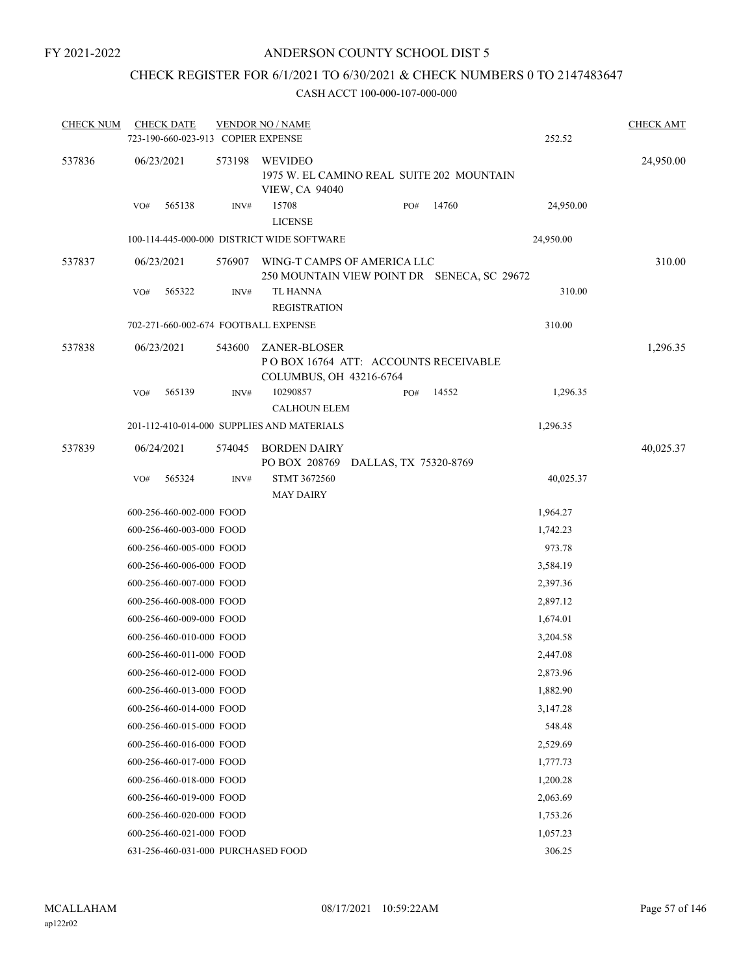## CHECK REGISTER FOR 6/1/2021 TO 6/30/2021 & CHECK NUMBERS 0 TO 2147483647

| <b>CHECK NUM</b> |     | <b>CHECK DATE</b><br>723-190-660-023-913 COPIER EXPENSE |        | <b>VENDOR NO / NAME</b>                                                         |     |                       | 252.52    | <b>CHECK AMT</b> |
|------------------|-----|---------------------------------------------------------|--------|---------------------------------------------------------------------------------|-----|-----------------------|-----------|------------------|
| 537836           |     | 06/23/2021                                              | 573198 | WEVIDEO<br>1975 W. EL CAMINO REAL SUITE 202 MOUNTAIN<br><b>VIEW, CA 94040</b>   |     |                       |           | 24,950.00        |
|                  | VO# | 565138                                                  | INV#   | 15708<br><b>LICENSE</b>                                                         | PO# | 14760                 | 24,950.00 |                  |
|                  |     |                                                         |        | 100-114-445-000-000 DISTRICT WIDE SOFTWARE                                      |     |                       | 24,950.00 |                  |
| 537837           |     | 06/23/2021                                              | 576907 | WING-T CAMPS OF AMERICA LLC<br>250 MOUNTAIN VIEW POINT DR SENECA, SC 29672      |     |                       |           | 310.00           |
|                  | VO# | 565322                                                  | INV#   | <b>TL HANNA</b><br><b>REGISTRATION</b>                                          |     |                       | 310.00    |                  |
|                  |     |                                                         |        | 702-271-660-002-674 FOOTBALL EXPENSE                                            |     |                       | 310.00    |                  |
| 537838           |     | 06/23/2021                                              | 543600 | ZANER-BLOSER<br>POBOX 16764 ATT: ACCOUNTS RECEIVABLE<br>COLUMBUS, OH 43216-6764 |     |                       |           | 1,296.35         |
|                  | VO# | 565139                                                  | INV#   | 10290857<br><b>CALHOUN ELEM</b>                                                 | PO# | 14552                 | 1,296.35  |                  |
|                  |     |                                                         |        | 201-112-410-014-000 SUPPLIES AND MATERIALS                                      |     |                       | 1,296.35  |                  |
| 537839           |     | 06/24/2021                                              | 574045 | <b>BORDEN DAIRY</b>                                                             |     |                       |           | 40,025.37        |
|                  |     |                                                         |        | PO BOX 208769                                                                   |     | DALLAS, TX 75320-8769 |           |                  |
|                  | VO# | 565324                                                  | INV#   | STMT 3672560<br><b>MAY DAIRY</b>                                                |     |                       | 40,025.37 |                  |
|                  |     | 600-256-460-002-000 FOOD                                |        |                                                                                 |     |                       | 1,964.27  |                  |
|                  |     | 600-256-460-003-000 FOOD                                |        |                                                                                 |     |                       | 1,742.23  |                  |
|                  |     | 600-256-460-005-000 FOOD                                |        |                                                                                 |     |                       | 973.78    |                  |
|                  |     | 600-256-460-006-000 FOOD                                |        |                                                                                 |     |                       | 3,584.19  |                  |
|                  |     | 600-256-460-007-000 FOOD                                |        |                                                                                 |     |                       | 2,397.36  |                  |
|                  |     | 600-256-460-008-000 FOOD                                |        |                                                                                 |     |                       | 2,897.12  |                  |
|                  |     | 600-256-460-009-000 FOOD                                |        |                                                                                 |     |                       | 1,674.01  |                  |
|                  |     | 600-256-460-010-000 FOOD                                |        |                                                                                 |     |                       | 3,204.58  |                  |
|                  |     | 600-256-460-011-000 FOOD                                |        |                                                                                 |     |                       | 2,447.08  |                  |
|                  |     | 600-256-460-012-000 FOOD                                |        |                                                                                 |     |                       | 2,873.96  |                  |
|                  |     | 600-256-460-013-000 FOOD                                |        |                                                                                 |     |                       | 1,882.90  |                  |
|                  |     | 600-256-460-014-000 FOOD                                |        |                                                                                 |     |                       | 3,147.28  |                  |
|                  |     | 600-256-460-015-000 FOOD                                |        |                                                                                 |     |                       | 548.48    |                  |
|                  |     | 600-256-460-016-000 FOOD                                |        |                                                                                 |     |                       | 2,529.69  |                  |
|                  |     | 600-256-460-017-000 FOOD                                |        |                                                                                 |     |                       | 1,777.73  |                  |
|                  |     | 600-256-460-018-000 FOOD                                |        |                                                                                 |     |                       | 1,200.28  |                  |
|                  |     | 600-256-460-019-000 FOOD                                |        |                                                                                 |     |                       | 2,063.69  |                  |
|                  |     | 600-256-460-020-000 FOOD                                |        |                                                                                 |     |                       | 1,753.26  |                  |
|                  |     | 600-256-460-021-000 FOOD                                |        |                                                                                 |     |                       | 1,057.23  |                  |
|                  |     | 631-256-460-031-000 PURCHASED FOOD                      |        |                                                                                 |     |                       | 306.25    |                  |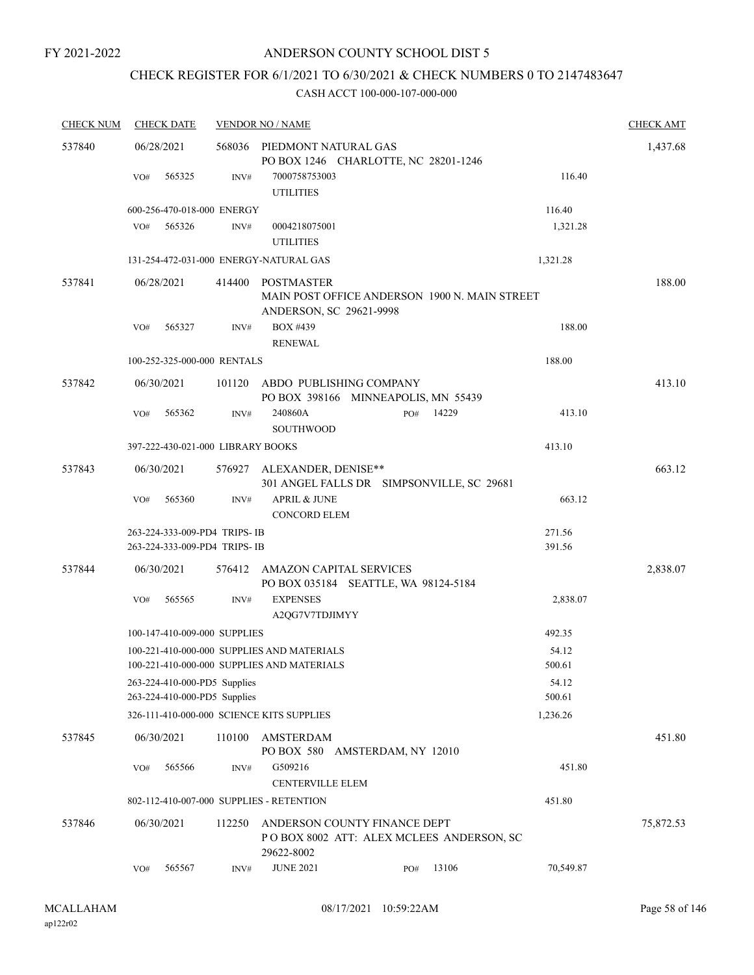## ANDERSON COUNTY SCHOOL DIST 5

# CHECK REGISTER FOR 6/1/2021 TO 6/30/2021 & CHECK NUMBERS 0 TO 2147483647

| <b>CHECK NUM</b> | <b>CHECK DATE</b> |                                                              | <b>VENDOR NO / NAME</b>                                                                  |                                                                          |       |                 | <b>CHECK AMT</b> |
|------------------|-------------------|--------------------------------------------------------------|------------------------------------------------------------------------------------------|--------------------------------------------------------------------------|-------|-----------------|------------------|
| 537840           | 06/28/2021        |                                                              | 568036 PIEDMONT NATURAL GAS                                                              |                                                                          |       |                 | 1,437.68         |
|                  |                   |                                                              |                                                                                          | PO BOX 1246 CHARLOTTE, NC 28201-1246                                     |       |                 |                  |
|                  | VO#               | 565325<br>INV#                                               | 7000758753003<br><b>UTILITIES</b>                                                        |                                                                          |       | 116.40          |                  |
|                  |                   | 600-256-470-018-000 ENERGY                                   |                                                                                          |                                                                          |       | 116.40          |                  |
|                  | VO#               | 565326<br>INV#                                               | 0004218075001<br><b>UTILITIES</b>                                                        |                                                                          |       | 1,321.28        |                  |
|                  |                   |                                                              | 131-254-472-031-000 ENERGY-NATURAL GAS                                                   |                                                                          |       | 1,321.28        |                  |
| 537841           | 06/28/2021        | 414400                                                       | POSTMASTER                                                                               | MAIN POST OFFICE ANDERSON 1900 N. MAIN STREET                            |       |                 | 188.00           |
|                  | VO#               | 565327<br>INV#                                               | <b>BOX #439</b><br><b>RENEWAL</b>                                                        | ANDERSON, SC 29621-9998                                                  |       | 188.00          |                  |
|                  |                   | 100-252-325-000-000 RENTALS                                  |                                                                                          |                                                                          |       | 188.00          |                  |
| 537842           | 06/30/2021        | 101120                                                       |                                                                                          | ABDO PUBLISHING COMPANY<br>PO BOX 398166 MINNEAPOLIS, MN 55439           |       |                 | 413.10           |
|                  | VO#               | 565362<br>INV#                                               | 240860A<br><b>SOUTHWOOD</b>                                                              | PO#                                                                      | 14229 | 413.10          |                  |
|                  |                   | 397-222-430-021-000 LIBRARY BOOKS                            |                                                                                          |                                                                          |       | 413.10          |                  |
| 537843           | 06/30/2021        |                                                              | 576927 ALEXANDER, DENISE**                                                               | 301 ANGEL FALLS DR SIMPSONVILLE, SC 29681                                |       |                 | 663.12           |
|                  | VO#               | 565360<br>INV#                                               | <b>APRIL &amp; JUNE</b><br><b>CONCORD ELEM</b>                                           |                                                                          |       | 663.12          |                  |
|                  |                   | 263-224-333-009-PD4 TRIPS- IB                                |                                                                                          |                                                                          |       | 271.56          |                  |
|                  |                   | 263-224-333-009-PD4 TRIPS- IB                                |                                                                                          |                                                                          |       | 391.56          |                  |
| 537844           | 06/30/2021        | 576412                                                       |                                                                                          | AMAZON CAPITAL SERVICES<br>PO BOX 035184 SEATTLE, WA 98124-5184          |       |                 | 2,838.07         |
|                  | VO#               | 565565<br>INV#                                               | <b>EXPENSES</b><br>A2QG7V7TDJIMYY                                                        |                                                                          |       | 2,838.07        |                  |
|                  |                   | 100-147-410-009-000 SUPPLIES                                 |                                                                                          |                                                                          |       | 492.35          |                  |
|                  |                   |                                                              | 100-221-410-000-000 SUPPLIES AND MATERIALS<br>100-221-410-000-000 SUPPLIES AND MATERIALS |                                                                          |       | 54.12<br>500.61 |                  |
|                  |                   | 263-224-410-000-PD5 Supplies<br>263-224-410-000-PD5 Supplies |                                                                                          |                                                                          |       | 54.12<br>500.61 |                  |
|                  |                   |                                                              | 326-111-410-000-000 SCIENCE KITS SUPPLIES                                                |                                                                          |       | 1,236.26        |                  |
| 537845           | 06/30/2021        | 110100                                                       | AMSTERDAM                                                                                | PO BOX 580 AMSTERDAM, NY 12010                                           |       |                 | 451.80           |
|                  | VO#               | 565566<br>INV#                                               | G509216<br><b>CENTERVILLE ELEM</b>                                                       |                                                                          |       | 451.80          |                  |
|                  |                   |                                                              | 802-112-410-007-000 SUPPLIES - RETENTION                                                 |                                                                          |       | 451.80          |                  |
| 537846           | 06/30/2021        | 112250                                                       | 29622-8002                                                                               | ANDERSON COUNTY FINANCE DEPT<br>POBOX 8002 ATT: ALEX MCLEES ANDERSON, SC |       |                 | 75,872.53        |
|                  | VO#               | 565567<br>INV#                                               | <b>JUNE 2021</b>                                                                         | PO#                                                                      | 13106 | 70,549.87       |                  |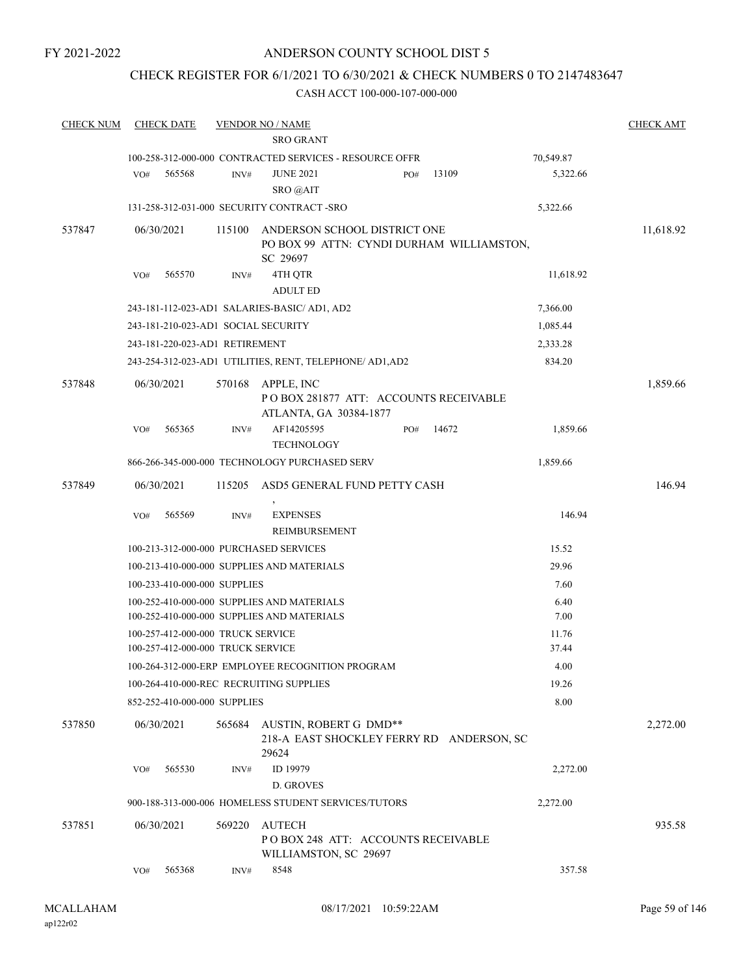## ANDERSON COUNTY SCHOOL DIST 5

## CHECK REGISTER FOR 6/1/2021 TO 6/30/2021 & CHECK NUMBERS 0 TO 2147483647

| <b>CHECK NUM</b> | <b>CHECK DATE</b>                                                       |        | <b>VENDOR NO / NAME</b>                                                                  |     |       |               | <b>CHECK AMT</b> |
|------------------|-------------------------------------------------------------------------|--------|------------------------------------------------------------------------------------------|-----|-------|---------------|------------------|
|                  |                                                                         |        | <b>SRO GRANT</b>                                                                         |     |       |               |                  |
|                  |                                                                         |        | 100-258-312-000-000 CONTRACTED SERVICES - RESOURCE OFFR                                  |     |       | 70,549.87     |                  |
|                  | VO#<br>565568                                                           | INV#   | <b>JUNE 2021</b><br>SRO @AIT                                                             | PO# | 13109 | 5,322.66      |                  |
|                  |                                                                         |        | 131-258-312-031-000 SECURITY CONTRACT -SRO                                               |     |       | 5,322.66      |                  |
| 537847           | 06/30/2021                                                              | 115100 | ANDERSON SCHOOL DISTRICT ONE<br>PO BOX 99 ATTN: CYNDI DURHAM WILLIAMSTON,<br>SC 29697    |     |       |               | 11,618.92        |
|                  | 565570<br>VO#                                                           | INV#   | 4TH QTR<br><b>ADULT ED</b>                                                               |     |       | 11,618.92     |                  |
|                  |                                                                         |        | 243-181-112-023-AD1 SALARIES-BASIC/ AD1, AD2                                             |     |       | 7,366.00      |                  |
|                  | 243-181-210-023-AD1_SOCIAL SECURITY                                     |        |                                                                                          |     |       | 1,085.44      |                  |
|                  | 243-181-220-023-AD1 RETIREMENT                                          |        |                                                                                          |     |       | 2,333.28      |                  |
|                  |                                                                         |        | 243-254-312-023-AD1 UTILITIES, RENT, TELEPHONE/ AD1, AD2                                 |     |       | 834.20        |                  |
| 537848           | 06/30/2021                                                              | 570168 | APPLE, INC<br>PO BOX 281877 ATT: ACCOUNTS RECEIVABLE<br>ATLANTA, GA 30384-1877           |     |       |               | 1,859.66         |
|                  | 565365<br>VO#                                                           | INV#   | AF14205595<br><b>TECHNOLOGY</b>                                                          | PO# | 14672 | 1,859.66      |                  |
|                  |                                                                         |        | 866-266-345-000-000 TECHNOLOGY PURCHASED SERV                                            |     |       | 1,859.66      |                  |
| 537849           | 06/30/2021                                                              | 115205 | ASD5 GENERAL FUND PETTY CASH                                                             |     |       |               | 146.94           |
|                  |                                                                         |        |                                                                                          |     |       |               |                  |
|                  | 565569<br>VO#                                                           | INV#   | <b>EXPENSES</b><br>REIMBURSEMENT                                                         |     |       | 146.94        |                  |
|                  | 100-213-312-000-000 PURCHASED SERVICES                                  |        |                                                                                          |     |       | 15.52         |                  |
|                  |                                                                         |        | 100-213-410-000-000 SUPPLIES AND MATERIALS                                               |     |       | 29.96         |                  |
|                  | 100-233-410-000-000 SUPPLIES                                            |        |                                                                                          |     |       | 7.60          |                  |
|                  |                                                                         |        | 100-252-410-000-000 SUPPLIES AND MATERIALS<br>100-252-410-000-000 SUPPLIES AND MATERIALS |     |       | 6.40<br>7.00  |                  |
|                  | 100-257-412-000-000 TRUCK SERVICE                                       |        |                                                                                          |     |       | 11.76         |                  |
|                  | 100-257-412-000-000 TRUCK SERVICE                                       |        |                                                                                          |     |       | 37.44<br>4.00 |                  |
|                  |                                                                         |        | 100-264-312-000-ERP EMPLOYEE RECOGNITION PROGRAM                                         |     |       | 19.26         |                  |
|                  | 100-264-410-000-REC RECRUITING SUPPLIES<br>852-252-410-000-000 SUPPLIES |        |                                                                                          |     |       | 8.00          |                  |
| 537850           | 06/30/2021                                                              |        | 565684 AUSTIN, ROBERT G DMD**<br>218-A EAST SHOCKLEY FERRY RD ANDERSON, SC<br>29624      |     |       |               | 2,272.00         |
|                  | 565530<br>VO#                                                           | INV#   | ID 19979<br><b>D. GROVES</b>                                                             |     |       | 2,272.00      |                  |
|                  |                                                                         |        | 900-188-313-000-006 HOMELESS STUDENT SERVICES/TUTORS                                     |     |       | 2,272.00      |                  |
| 537851           | 06/30/2021                                                              | 569220 | <b>AUTECH</b><br>POBOX 248 ATT: ACCOUNTS RECEIVABLE<br>WILLIAMSTON, SC 29697             |     |       |               | 935.58           |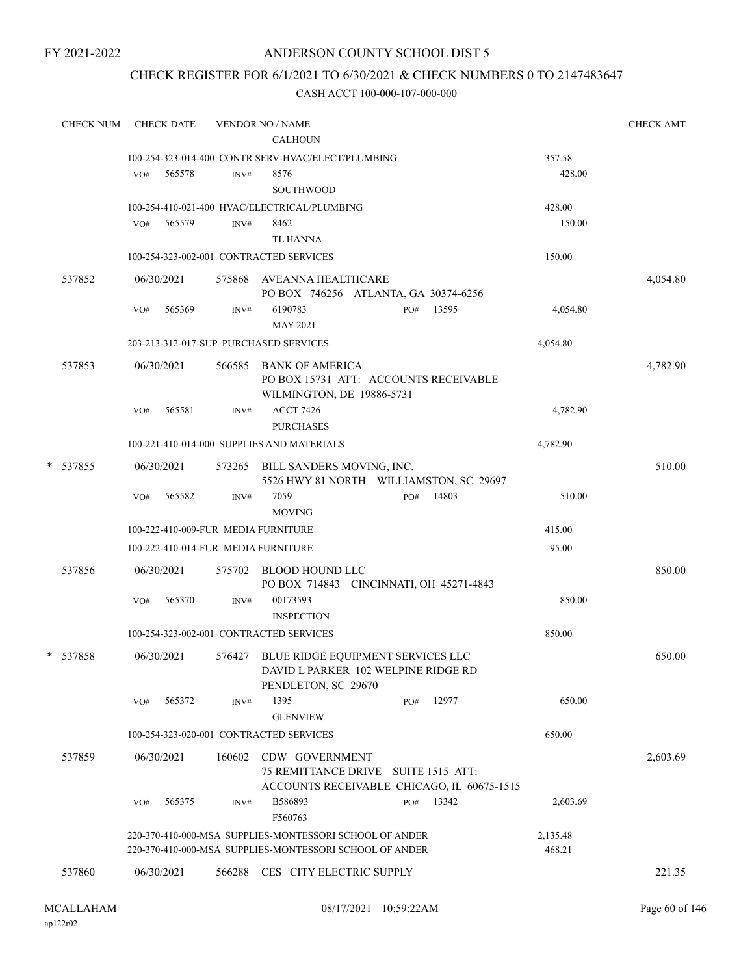## ANDERSON COUNTY SCHOOL DIST 5

## CHECK REGISTER FOR 6/1/2021 TO 6/30/2021 & CHECK NUMBERS 0 TO 2147483647

| <b>CHECK NUM</b> |            | <b>CHECK DATE</b> |        | <b>VENDOR NO / NAME</b>                                                                                                                  | <b>CHECK AMT</b> |
|------------------|------------|-------------------|--------|------------------------------------------------------------------------------------------------------------------------------------------|------------------|
|                  |            |                   |        | <b>CALHOUN</b>                                                                                                                           |                  |
|                  |            |                   |        | 100-254-323-014-400 CONTR SERV-HVAC/ELECT/PLUMBING<br>357.58                                                                             |                  |
|                  | VO#        | 565578            | INV#   | 8576<br>428.00<br><b>SOUTHWOOD</b>                                                                                                       |                  |
|                  |            |                   |        | 100-254-410-021-400 HVAC/ELECTRICAL/PLUMBING<br>428.00                                                                                   |                  |
|                  | VO#        | 565579            | INV#   | 8462<br>150.00<br><b>TL HANNA</b>                                                                                                        |                  |
|                  |            |                   |        | 100-254-323-002-001 CONTRACTED SERVICES<br>150.00                                                                                        |                  |
| 537852           | 06/30/2021 |                   |        | 575868 AVEANNA HEALTHCARE<br>PO BOX 746256 ATLANTA, GA 30374-6256                                                                        | 4,054.80         |
|                  | VO#        | 565369            | INV#   | 6190783<br>13595<br>4,054.80<br>PO#<br><b>MAY 2021</b>                                                                                   |                  |
|                  |            |                   |        | 4,054.80<br>203-213-312-017-SUP PURCHASED SERVICES                                                                                       |                  |
| 537853           |            | 06/30/2021        |        | 566585 BANK OF AMERICA<br>PO BOX 15731 ATT: ACCOUNTS RECEIVABLE<br>WILMINGTON, DE 19886-5731                                             | 4,782.90         |
|                  | VO#        | 565581            | INV#   | <b>ACCT 7426</b><br>4,782.90<br><b>PURCHASES</b>                                                                                         |                  |
|                  |            |                   |        | 100-221-410-014-000 SUPPLIES AND MATERIALS<br>4,782.90                                                                                   |                  |
| * 537855         |            | 06/30/2021        |        | 573265 BILL SANDERS MOVING, INC.<br>5526 HWY 81 NORTH WILLIAMSTON, SC 29697                                                              | 510.00           |
|                  | VO#        | 565582            | INV#   | 14803<br>7059<br>PO#<br>510.00<br><b>MOVING</b>                                                                                          |                  |
|                  |            |                   |        | 415.00<br>100-222-410-009-FUR MEDIA FURNITURE                                                                                            |                  |
|                  |            |                   |        | 100-222-410-014-FUR MEDIA FURNITURE<br>95.00                                                                                             |                  |
| 537856           |            | 06/30/2021        |        | 575702 BLOOD HOUND LLC<br>PO BOX 714843 CINCINNATI, OH 45271-4843                                                                        | 850.00           |
|                  | VO#        | 565370            | INV#   | 00173593<br>850.00<br><b>INSPECTION</b>                                                                                                  |                  |
|                  |            |                   |        | 100-254-323-002-001 CONTRACTED SERVICES<br>850.00                                                                                        |                  |
| * 537858         | 06/30/2021 |                   |        | 576427 BLUE RIDGE EQUIPMENT SERVICES LLC<br>DAVID L PARKER 102 WELPINE RIDGE RD<br>PENDLETON, SC 29670                                   | 650.00           |
|                  | VO#        | 565372            | INV#   | 1395<br>12977<br>650.00<br>PO#<br><b>GLENVIEW</b>                                                                                        |                  |
|                  |            |                   |        | 100-254-323-020-001 CONTRACTED SERVICES<br>650.00                                                                                        |                  |
| 537859           |            | 06/30/2021        | 160602 | CDW GOVERNMENT<br>75 REMITTANCE DRIVE SUITE 1515 ATT:<br>ACCOUNTS RECEIVABLE CHICAGO, IL 60675-1515                                      | 2,603.69         |
|                  | VO#        | 565375            | INV#   | 13342<br>B586893<br>2,603.69<br>PO#<br>F560763                                                                                           |                  |
|                  |            |                   |        | 220-370-410-000-MSA SUPPLIES-MONTESSORI SCHOOL OF ANDER<br>2,135.48<br>220-370-410-000-MSA SUPPLIES-MONTESSORI SCHOOL OF ANDER<br>468.21 |                  |
| 537860           | 06/30/2021 |                   |        | 566288 CES CITY ELECTRIC SUPPLY                                                                                                          | 221.35           |
|                  |            |                   |        |                                                                                                                                          |                  |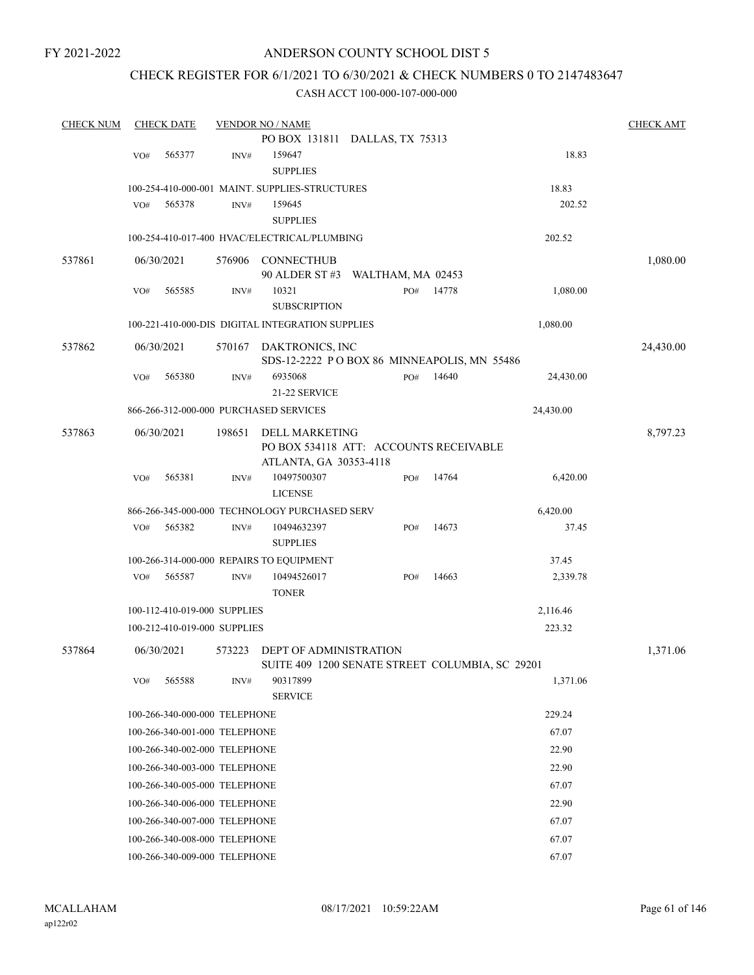## ANDERSON COUNTY SCHOOL DIST 5

## CHECK REGISTER FOR 6/1/2021 TO 6/30/2021 & CHECK NUMBERS 0 TO 2147483647

| <b>CHECK NUM</b> |     | <b>CHECK DATE</b> |                               | <b>VENDOR NO / NAME</b>                               |     |       |           | <b>CHECK AMT</b> |
|------------------|-----|-------------------|-------------------------------|-------------------------------------------------------|-----|-------|-----------|------------------|
|                  |     |                   |                               | PO BOX 131811 DALLAS, TX 75313                        |     |       |           |                  |
|                  | VO# | 565377            | INV#                          | 159647                                                |     |       | 18.83     |                  |
|                  |     |                   |                               | <b>SUPPLIES</b>                                       |     |       |           |                  |
|                  |     |                   |                               | 100-254-410-000-001 MAINT. SUPPLIES-STRUCTURES        |     |       | 18.83     |                  |
|                  | VO# | 565378            | INV#                          | 159645                                                |     |       | 202.52    |                  |
|                  |     |                   |                               | <b>SUPPLIES</b>                                       |     |       |           |                  |
|                  |     |                   |                               | 100-254-410-017-400 HVAC/ELECTRICAL/PLUMBING          |     |       | 202.52    |                  |
| 537861           |     | 06/30/2021        | 576906                        | <b>CONNECTHUB</b><br>90 ALDER ST #3 WALTHAM, MA 02453 |     |       |           | 1,080.00         |
|                  | VO# | 565585            | INV#                          | 10321                                                 | PO# | 14778 | 1,080.00  |                  |
|                  |     |                   |                               | <b>SUBSCRIPTION</b>                                   |     |       |           |                  |
|                  |     |                   |                               | 100-221-410-000-DIS DIGITAL INTEGRATION SUPPLIES      |     |       | 1,080.00  |                  |
| 537862           |     | 06/30/2021        | 570167                        | DAKTRONICS, INC                                       |     |       |           | 24,430.00        |
|                  |     |                   |                               | SDS-12-2222 POBOX 86 MINNEAPOLIS, MN 55486            |     |       |           |                  |
|                  | VO# | 565380            | INV#                          | 6935068                                               | PO# | 14640 | 24,430.00 |                  |
|                  |     |                   |                               | 21-22 SERVICE                                         |     |       |           |                  |
|                  |     |                   |                               | 866-266-312-000-000 PURCHASED SERVICES                |     |       | 24,430.00 |                  |
| 537863           |     | 06/30/2021        | 198651                        | <b>DELL MARKETING</b>                                 |     |       |           | 8,797.23         |
|                  |     |                   |                               | PO BOX 534118 ATT: ACCOUNTS RECEIVABLE                |     |       |           |                  |
|                  |     |                   |                               | ATLANTA, GA 30353-4118                                |     |       |           |                  |
|                  | VO# | 565381            | INV#                          | 10497500307                                           | PO# | 14764 | 6,420.00  |                  |
|                  |     |                   |                               | <b>LICENSE</b>                                        |     |       |           |                  |
|                  |     |                   |                               | 866-266-345-000-000 TECHNOLOGY PURCHASED SERV         |     |       | 6,420.00  |                  |
|                  | VO# | 565382            | INV#                          | 10494632397<br><b>SUPPLIES</b>                        | PO# | 14673 | 37.45     |                  |
|                  |     |                   |                               | 100-266-314-000-000 REPAIRS TO EQUIPMENT              |     |       | 37.45     |                  |
|                  | VO# | 565587            | INV#                          | 10494526017                                           | PO# | 14663 | 2,339.78  |                  |
|                  |     |                   |                               | <b>TONER</b>                                          |     |       |           |                  |
|                  |     |                   | 100-112-410-019-000 SUPPLIES  |                                                       |     |       | 2,116.46  |                  |
|                  |     |                   | 100-212-410-019-000 SUPPLIES  |                                                       |     |       | 223.32    |                  |
| 537864           |     | 06/30/2021        | 573223                        | <b>DEPT OF ADMINISTRATION</b>                         |     |       |           | 1,371.06         |
|                  |     |                   |                               | SUITE 409 1200 SENATE STREET COLUMBIA, SC 29201       |     |       |           |                  |
|                  | VO# | 565588            | INV#                          | 90317899                                              |     |       | 1,371.06  |                  |
|                  |     |                   |                               | <b>SERVICE</b>                                        |     |       |           |                  |
|                  |     |                   | 100-266-340-000-000 TELEPHONE |                                                       |     |       | 229.24    |                  |
|                  |     |                   | 100-266-340-001-000 TELEPHONE |                                                       |     |       | 67.07     |                  |
|                  |     |                   | 100-266-340-002-000 TELEPHONE |                                                       |     |       | 22.90     |                  |
|                  |     |                   | 100-266-340-003-000 TELEPHONE |                                                       |     |       | 22.90     |                  |
|                  |     |                   | 100-266-340-005-000 TELEPHONE |                                                       |     |       | 67.07     |                  |
|                  |     |                   | 100-266-340-006-000 TELEPHONE |                                                       |     |       | 22.90     |                  |
|                  |     |                   | 100-266-340-007-000 TELEPHONE |                                                       |     |       | 67.07     |                  |
|                  |     |                   | 100-266-340-008-000 TELEPHONE |                                                       |     |       | 67.07     |                  |
|                  |     |                   | 100-266-340-009-000 TELEPHONE |                                                       |     |       | 67.07     |                  |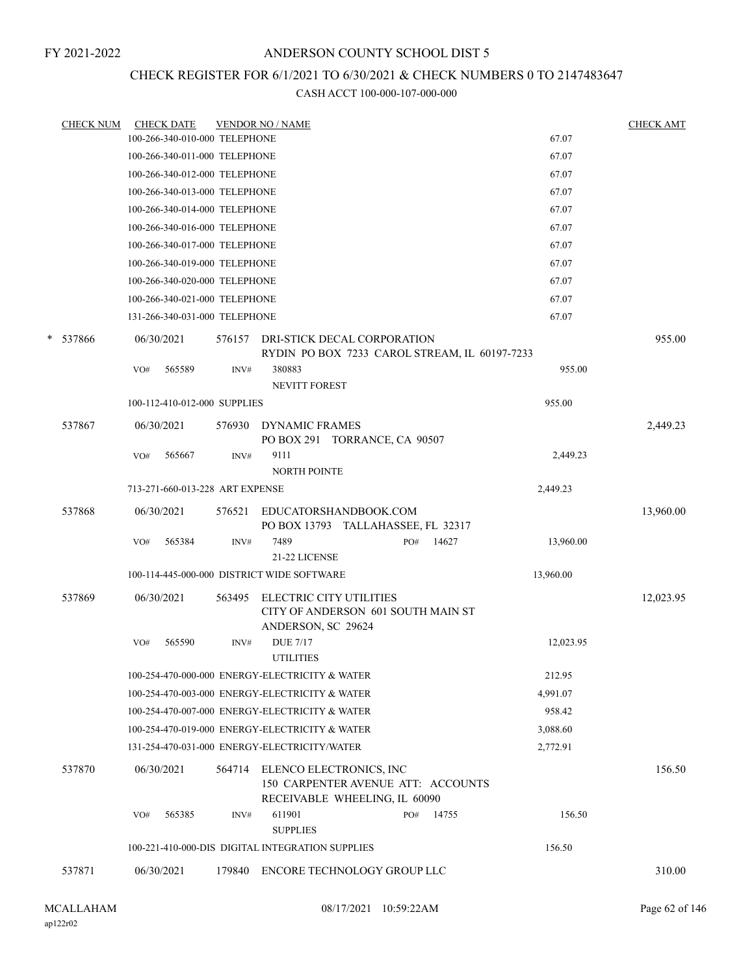## CHECK REGISTER FOR 6/1/2021 TO 6/30/2021 & CHECK NUMBERS 0 TO 2147483647

|   | <b>CHECK NUM</b> | <b>CHECK DATE</b>                          |        | <b>VENDOR NO / NAME</b>                                                                        |              |           | <b>CHECK AMT</b> |
|---|------------------|--------------------------------------------|--------|------------------------------------------------------------------------------------------------|--------------|-----------|------------------|
|   |                  | 100-266-340-010-000 TELEPHONE              |        |                                                                                                |              | 67.07     |                  |
|   |                  | 100-266-340-011-000 TELEPHONE              |        |                                                                                                |              | 67.07     |                  |
|   |                  | 100-266-340-012-000 TELEPHONE              |        |                                                                                                |              | 67.07     |                  |
|   |                  | 100-266-340-013-000 TELEPHONE              |        |                                                                                                |              | 67.07     |                  |
|   |                  | 100-266-340-014-000 TELEPHONE              |        |                                                                                                |              | 67.07     |                  |
|   |                  | 100-266-340-016-000 TELEPHONE              |        |                                                                                                |              | 67.07     |                  |
|   |                  | 100-266-340-017-000 TELEPHONE              |        |                                                                                                |              | 67.07     |                  |
|   |                  | 100-266-340-019-000 TELEPHONE              |        |                                                                                                |              | 67.07     |                  |
|   |                  | 100-266-340-020-000 TELEPHONE              |        |                                                                                                |              | 67.07     |                  |
|   |                  | 100-266-340-021-000 TELEPHONE              |        |                                                                                                |              | 67.07     |                  |
|   |                  | 131-266-340-031-000 TELEPHONE              |        |                                                                                                |              | 67.07     |                  |
| * | 537866           | 06/30/2021                                 | 576157 | DRI-STICK DECAL CORPORATION                                                                    |              |           | 955.00           |
|   |                  | 565589                                     |        | RYDIN PO BOX 7233 CAROL STREAM, IL 60197-7233<br>380883                                        |              | 955.00    |                  |
|   |                  | VO#                                        | INV#   | NEVITT FOREST                                                                                  |              |           |                  |
|   |                  | 100-112-410-012-000 SUPPLIES               |        |                                                                                                |              | 955.00    |                  |
|   | 537867           | 06/30/2021                                 | 576930 | <b>DYNAMIC FRAMES</b><br>PO BOX 291 TORRANCE, CA 90507                                         |              |           | 2,449.23         |
|   |                  | VO#<br>565667                              | INV#   | 9111<br>NORTH POINTE                                                                           |              | 2,449.23  |                  |
|   |                  | 713-271-660-013-228 ART EXPENSE            |        |                                                                                                |              | 2,449.23  |                  |
|   | 537868           | 06/30/2021                                 | 576521 | EDUCATORSHANDBOOK.COM<br>PO BOX 13793 TALLAHASSEE, FL 32317                                    |              |           | 13,960.00        |
|   |                  | 565384<br>VO#                              | INV#   | 7489                                                                                           | 14627<br>PO# | 13,960.00 |                  |
|   |                  |                                            |        | 21-22 LICENSE                                                                                  |              |           |                  |
|   |                  | 100-114-445-000-000 DISTRICT WIDE SOFTWARE |        |                                                                                                |              | 13,960.00 |                  |
|   | 537869           | 06/30/2021                                 | 563495 | ELECTRIC CITY UTILITIES<br>CITY OF ANDERSON 601 SOUTH MAIN ST<br>ANDERSON, SC 29624            |              |           | 12,023.95        |
|   |                  | 565590<br>VO#                              | INV#   | <b>DUE 7/17</b><br><b>UTILITIES</b>                                                            |              | 12,023.95 |                  |
|   |                  |                                            |        | 100-254-470-000-000 ENERGY-ELECTRICITY & WATER                                                 |              | 212.95    |                  |
|   |                  |                                            |        | 100-254-470-003-000 ENERGY-ELECTRICITY & WATER                                                 |              | 4,991.07  |                  |
|   |                  |                                            |        | 100-254-470-007-000 ENERGY-ELECTRICITY & WATER                                                 |              | 958.42    |                  |
|   |                  |                                            |        | 100-254-470-019-000 ENERGY-ELECTRICITY & WATER                                                 |              | 3,088.60  |                  |
|   |                  |                                            |        | 131-254-470-031-000 ENERGY-ELECTRICITY/WATER                                                   |              | 2,772.91  |                  |
|   | 537870           | 06/30/2021                                 | 564714 | ELENCO ELECTRONICS, INC<br>150 CARPENTER AVENUE ATT: ACCOUNTS<br>RECEIVABLE WHEELING, IL 60090 |              |           | 156.50           |
|   |                  | 565385<br>VO#                              | INV#   | 611901<br><b>SUPPLIES</b>                                                                      | 14755<br>PO# | 156.50    |                  |
|   |                  |                                            |        | 100-221-410-000-DIS DIGITAL INTEGRATION SUPPLIES                                               |              | 156.50    |                  |
|   | 537871           | 06/30/2021                                 | 179840 | ENCORE TECHNOLOGY GROUP LLC                                                                    |              |           | 310.00           |
|   |                  |                                            |        |                                                                                                |              |           |                  |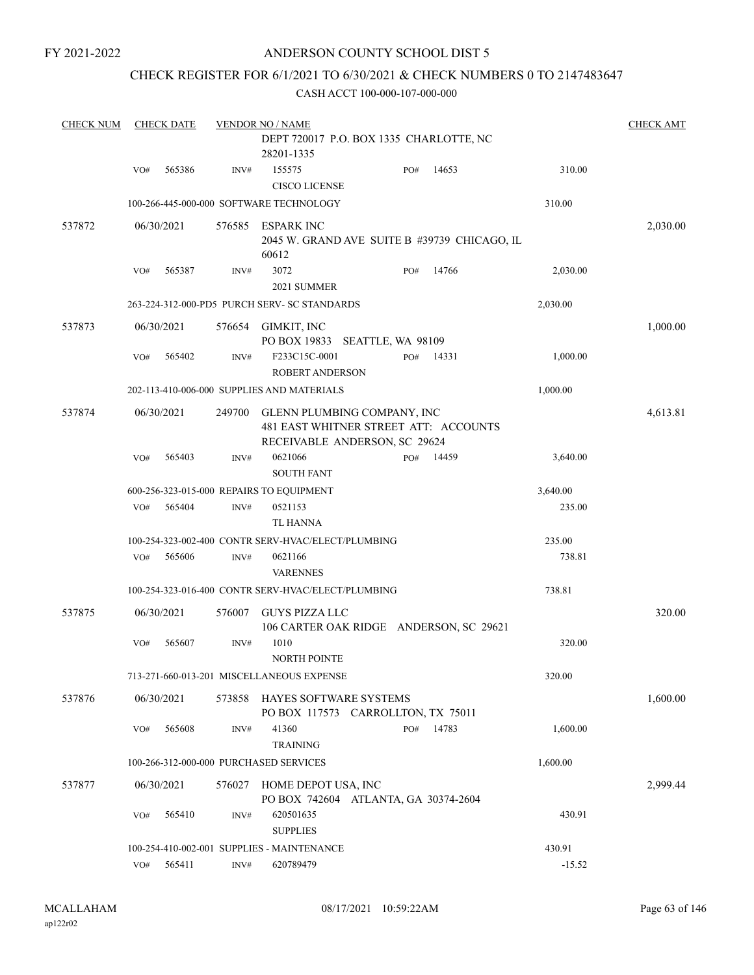## ANDERSON COUNTY SCHOOL DIST 5

#### CHECK REGISTER FOR 6/1/2021 TO 6/30/2021 & CHECK NUMBERS 0 TO 2147483647

| <b>CHECK NUM</b> |     | <b>CHECK DATE</b> |        | <b>VENDOR NO / NAME</b><br>DEPT 720017 P.O. BOX 1335 CHARLOTTE, NC                                    |     |       |          | <b>CHECK AMT</b> |
|------------------|-----|-------------------|--------|-------------------------------------------------------------------------------------------------------|-----|-------|----------|------------------|
|                  |     |                   |        | 28201-1335                                                                                            |     |       |          |                  |
|                  | VO# | 565386            | INV#   | 155575<br><b>CISCO LICENSE</b>                                                                        | PO# | 14653 | 310.00   |                  |
|                  |     |                   |        | 100-266-445-000-000 SOFTWARE TECHNOLOGY                                                               |     |       | 310.00   |                  |
| 537872           |     | 06/30/2021        |        | 576585 ESPARK INC<br>2045 W. GRAND AVE SUITE B #39739 CHICAGO, IL<br>60612                            |     |       |          | 2,030.00         |
|                  | VO# | 565387            | INV#   | 3072<br>2021 SUMMER                                                                                   | PO# | 14766 | 2,030.00 |                  |
|                  |     |                   |        | 263-224-312-000-PD5 PURCH SERV- SC STANDARDS                                                          |     |       | 2,030.00 |                  |
| 537873           |     | 06/30/2021        | 576654 | GIMKIT, INC<br>PO BOX 19833 SEATTLE, WA 98109                                                         |     |       |          | 1,000.00         |
|                  | VO# | 565402            | INV#   | F233C15C-0001<br><b>ROBERT ANDERSON</b>                                                               | PO# | 14331 | 1,000.00 |                  |
|                  |     |                   |        | 202-113-410-006-000 SUPPLIES AND MATERIALS                                                            |     |       | 1,000.00 |                  |
| 537874           |     | 06/30/2021        | 249700 | GLENN PLUMBING COMPANY, INC<br>481 EAST WHITNER STREET ATT: ACCOUNTS<br>RECEIVABLE ANDERSON, SC 29624 |     |       |          | 4,613.81         |
|                  | VO# | 565403            | INV#   | 0621066<br><b>SOUTH FANT</b>                                                                          | PO# | 14459 | 3,640.00 |                  |
|                  |     |                   |        | 600-256-323-015-000 REPAIRS TO EQUIPMENT                                                              |     |       | 3,640.00 |                  |
|                  | VO# | 565404            | INV#   | 0521153<br><b>TL HANNA</b>                                                                            |     |       | 235.00   |                  |
|                  |     |                   |        | 100-254-323-002-400 CONTR SERV-HVAC/ELECT/PLUMBING                                                    |     |       | 235.00   |                  |
|                  | VO# | 565606            | INV#   | 0621166<br><b>VARENNES</b>                                                                            |     |       | 738.81   |                  |
|                  |     |                   |        | 100-254-323-016-400 CONTR SERV-HVAC/ELECT/PLUMBING                                                    |     |       | 738.81   |                  |
| 537875           |     | 06/30/2021        | 576007 | <b>GUYS PIZZA LLC</b><br>106 CARTER OAK RIDGE ANDERSON, SC 29621                                      |     |       |          | 320.00           |
|                  | VO# | 565607            | INV#   | 1010<br>NORTH POINTE                                                                                  |     |       | 320.00   |                  |
|                  |     |                   |        | 713-271-660-013-201 MISCELLANEOUS EXPENSE                                                             |     |       | 320.00   |                  |
| 537876           |     | 06/30/2021        | 573858 | HAYES SOFTWARE SYSTEMS<br>PO BOX 117573 CARROLLTON, TX 75011                                          |     |       |          | 1,600.00         |
|                  | VO# | 565608            | INV#   | 41360<br><b>TRAINING</b>                                                                              | PO# | 14783 | 1,600.00 |                  |
|                  |     |                   |        | 100-266-312-000-000 PURCHASED SERVICES                                                                |     |       | 1,600.00 |                  |
| 537877           |     | 06/30/2021        | 576027 | HOME DEPOT USA, INC<br>PO BOX 742604 ATLANTA, GA 30374-2604                                           |     |       |          | 2,999.44         |
|                  | VO# | 565410            | INV#   | 620501635<br><b>SUPPLIES</b>                                                                          |     |       | 430.91   |                  |
|                  |     |                   |        | 100-254-410-002-001 SUPPLIES - MAINTENANCE                                                            |     |       | 430.91   |                  |
|                  | VO# | 565411            | INV#   | 620789479                                                                                             |     |       | $-15.52$ |                  |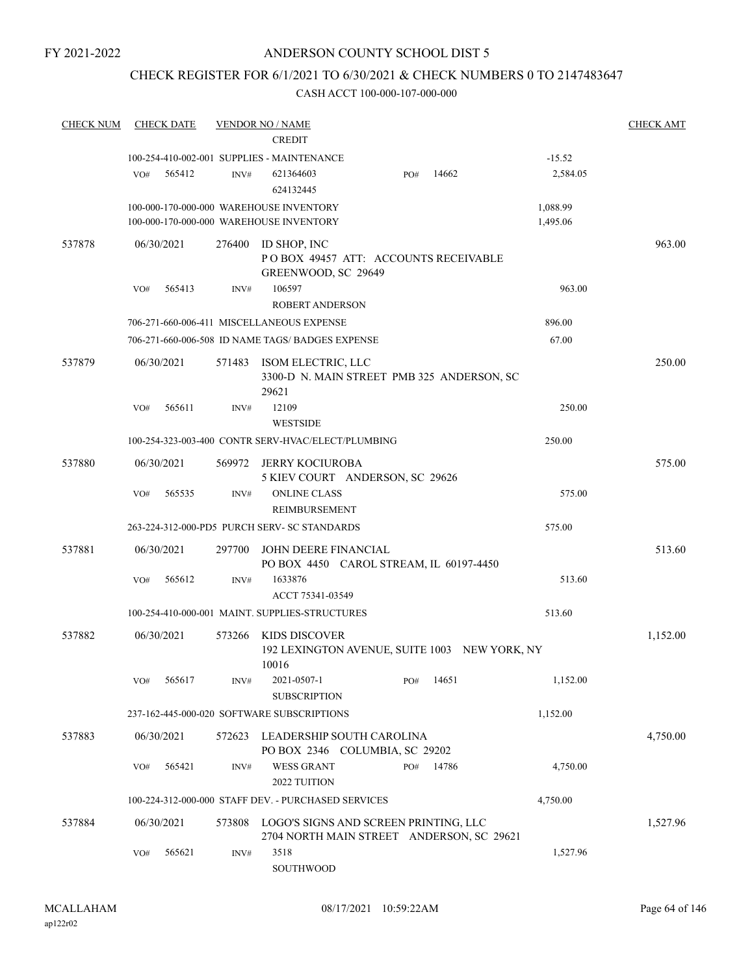## CHECK REGISTER FOR 6/1/2021 TO 6/30/2021 & CHECK NUMBERS 0 TO 2147483647

| <b>CHECK NUM</b> | <b>CHECK DATE</b>                              |        | <b>VENDOR NO / NAME</b>                             |                                                                                    |       |                      | <b>CHECK AMT</b> |
|------------------|------------------------------------------------|--------|-----------------------------------------------------|------------------------------------------------------------------------------------|-------|----------------------|------------------|
|                  |                                                |        | <b>CREDIT</b>                                       |                                                                                    |       |                      |                  |
|                  | 100-254-410-002-001 SUPPLIES - MAINTENANCE     |        |                                                     |                                                                                    |       | $-15.52$             |                  |
|                  | VO#<br>565412                                  | INV#   | 621364603<br>624132445                              | PO#                                                                                | 14662 | 2,584.05             |                  |
|                  | 100-000-170-000-000 WAREHOUSE INVENTORY        |        | 100-000-170-000-000 WAREHOUSE INVENTORY             |                                                                                    |       | 1,088.99<br>1,495.06 |                  |
| 537878           | 06/30/2021                                     | 276400 | ID SHOP, INC<br>GREENWOOD, SC 29649                 | POBOX 49457 ATT: ACCOUNTS RECEIVABLE                                               |       |                      | 963.00           |
|                  | 565413<br>VO#                                  | INV#   | 106597<br><b>ROBERT ANDERSON</b>                    |                                                                                    |       | 963.00               |                  |
|                  |                                                |        | 706-271-660-006-411 MISCELLANEOUS EXPENSE           |                                                                                    |       | 896.00               |                  |
|                  |                                                |        | 706-271-660-006-508 ID NAME TAGS/ BADGES EXPENSE    |                                                                                    |       | 67.00                |                  |
| 537879           | 06/30/2021                                     | 571483 | ISOM ELECTRIC, LLC<br>29621                         | 3300-D N. MAIN STREET PMB 325 ANDERSON, SC                                         |       |                      | 250.00           |
|                  | 565611<br>VO#                                  | INV#   | 12109<br><b>WESTSIDE</b>                            |                                                                                    |       | 250.00               |                  |
|                  |                                                |        | 100-254-323-003-400 CONTR SERV-HVAC/ELECT/PLUMBING  |                                                                                    |       | 250.00               |                  |
| 537880           | 06/30/2021                                     | 569972 | JERRY KOCIUROBA                                     | 5 KIEV COURT ANDERSON, SC 29626                                                    |       |                      | 575.00           |
|                  | 565535<br>VO#                                  | INV#   | <b>ONLINE CLASS</b><br>REIMBURSEMENT                |                                                                                    |       | 575.00               |                  |
|                  | 263-224-312-000-PD5 PURCH SERV- SC STANDARDS   |        |                                                     |                                                                                    |       | 575.00               |                  |
| 537881           | 06/30/2021                                     | 297700 | JOHN DEERE FINANCIAL                                | PO BOX 4450 CAROL STREAM, IL 60197-4450                                            |       |                      | 513.60           |
|                  | VO#<br>565612                                  | INV#   | 1633876<br>ACCT 75341-03549                         |                                                                                    |       | 513.60               |                  |
|                  | 100-254-410-000-001 MAINT. SUPPLIES-STRUCTURES |        |                                                     |                                                                                    |       | 513.60               |                  |
| 537882           | 06/30/2021                                     |        | 573266 KIDS DISCOVER                                | 192 LEXINGTON AVENUE, SUITE 1003 NEW YORK, NY                                      |       |                      | 1,152.00         |
|                  | 565617<br>VO#                                  | INV#   | 10016<br>2021-0507-1<br><b>SUBSCRIPTION</b>         | PO#                                                                                | 14651 | 1,152.00             |                  |
|                  | 237-162-445-000-020 SOFTWARE SUBSCRIPTIONS     |        |                                                     |                                                                                    |       | 1,152.00             |                  |
| 537883           | 06/30/2021                                     | 572623 |                                                     | LEADERSHIP SOUTH CAROLINA<br>PO BOX 2346 COLUMBIA, SC 29202                        |       |                      | 4,750.00         |
|                  | 565421<br>VO#                                  | INV#   | <b>WESS GRANT</b><br>2022 TUITION                   | PO#                                                                                | 14786 | 4,750.00             |                  |
|                  |                                                |        | 100-224-312-000-000 STAFF DEV. - PURCHASED SERVICES |                                                                                    |       | 4,750.00             |                  |
| 537884           | 06/30/2021                                     | 573808 |                                                     | LOGO'S SIGNS AND SCREEN PRINTING, LLC<br>2704 NORTH MAIN STREET ANDERSON, SC 29621 |       |                      | 1,527.96         |
|                  | 565621<br>VO#                                  | INV#   | 3518<br>SOUTHWOOD                                   |                                                                                    |       | 1,527.96             |                  |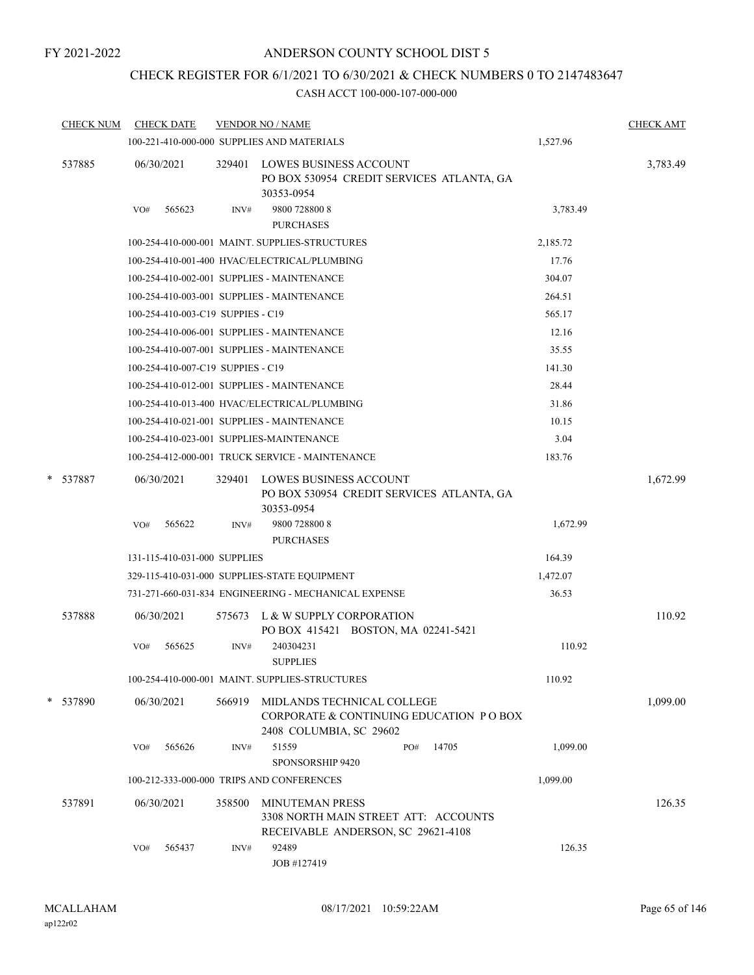## ANDERSON COUNTY SCHOOL DIST 5

## CHECK REGISTER FOR 6/1/2021 TO 6/30/2021 & CHECK NUMBERS 0 TO 2147483647

| <b>CHECK NUM</b> | <b>CHECK DATE</b>                        |        | <b>VENDOR NO / NAME</b>                                                                              |          | <b>CHECK AMT</b> |
|------------------|------------------------------------------|--------|------------------------------------------------------------------------------------------------------|----------|------------------|
|                  |                                          |        | 100-221-410-000-000 SUPPLIES AND MATERIALS                                                           | 1,527.96 |                  |
| 537885           | 06/30/2021                               | 329401 | <b>LOWES BUSINESS ACCOUNT</b><br>PO BOX 530954 CREDIT SERVICES ATLANTA, GA<br>30353-0954             |          | 3,783.49         |
|                  | 565623<br>VO#                            | INV#   | 9800 728800 8<br><b>PURCHASES</b>                                                                    | 3,783.49 |                  |
|                  |                                          |        | 100-254-410-000-001 MAINT. SUPPLIES-STRUCTURES                                                       | 2,185.72 |                  |
|                  |                                          |        | 100-254-410-001-400 HVAC/ELECTRICAL/PLUMBING                                                         | 17.76    |                  |
|                  |                                          |        | 100-254-410-002-001 SUPPLIES - MAINTENANCE                                                           | 304.07   |                  |
|                  |                                          |        | 100-254-410-003-001 SUPPLIES - MAINTENANCE                                                           | 264.51   |                  |
|                  | 100-254-410-003-C19 SUPPIES - C19        |        |                                                                                                      | 565.17   |                  |
|                  |                                          |        | 100-254-410-006-001 SUPPLIES - MAINTENANCE                                                           | 12.16    |                  |
|                  |                                          |        | 100-254-410-007-001 SUPPLIES - MAINTENANCE                                                           | 35.55    |                  |
|                  | 100-254-410-007-C19 SUPPIES - C19        |        |                                                                                                      | 141.30   |                  |
|                  |                                          |        | 100-254-410-012-001 SUPPLIES - MAINTENANCE                                                           | 28.44    |                  |
|                  |                                          |        | 100-254-410-013-400 HVAC/ELECTRICAL/PLUMBING                                                         | 31.86    |                  |
|                  |                                          |        | 100-254-410-021-001 SUPPLIES - MAINTENANCE                                                           | 10.15    |                  |
|                  | 100-254-410-023-001 SUPPLIES-MAINTENANCE |        |                                                                                                      | 3.04     |                  |
|                  |                                          |        | 100-254-412-000-001 TRUCK SERVICE - MAINTENANCE                                                      | 183.76   |                  |
| * 537887         | 06/30/2021                               | 329401 | <b>LOWES BUSINESS ACCOUNT</b><br>PO BOX 530954 CREDIT SERVICES ATLANTA, GA<br>30353-0954             |          | 1,672.99         |
|                  | 565622<br>VO#                            | INV#   | 9800 728800 8<br><b>PURCHASES</b>                                                                    | 1,672.99 |                  |
|                  | 131-115-410-031-000 SUPPLIES             |        |                                                                                                      | 164.39   |                  |
|                  |                                          |        | 329-115-410-031-000 SUPPLIES-STATE EQUIPMENT                                                         | 1,472.07 |                  |
|                  |                                          |        | 731-271-660-031-834 ENGINEERING - MECHANICAL EXPENSE                                                 | 36.53    |                  |
| 537888           | 06/30/2021                               | 575673 | L & W SUPPLY CORPORATION<br>PO BOX 415421 BOSTON, MA 02241-5421                                      |          | 110.92           |
|                  | 565625<br>VO#                            | INV#   | 240304231<br><b>SUPPLIES</b>                                                                         | 110.92   |                  |
|                  |                                          |        | 100-254-410-000-001 MAINT. SUPPLIES-STRUCTURES                                                       | 110.92   |                  |
| * 537890         | 06/30/2021                               | 566919 | MIDLANDS TECHNICAL COLLEGE<br>CORPORATE & CONTINUING EDUCATION PO BOX<br>2408 COLUMBIA, SC 29602     |          | 1,099.00         |
|                  | 565626<br>VO#                            | INV#   | 51559<br>14705<br>PO#<br>SPONSORSHIP 9420                                                            | 1,099.00 |                  |
|                  |                                          |        | 100-212-333-000-000 TRIPS AND CONFERENCES                                                            | 1,099.00 |                  |
| 537891           | 06/30/2021                               | 358500 | <b>MINUTEMAN PRESS</b><br>3308 NORTH MAIN STREET ATT: ACCOUNTS<br>RECEIVABLE ANDERSON, SC 29621-4108 |          | 126.35           |
|                  | 565437<br>VO#                            | INV#   | 92489<br>JOB #127419                                                                                 | 126.35   |                  |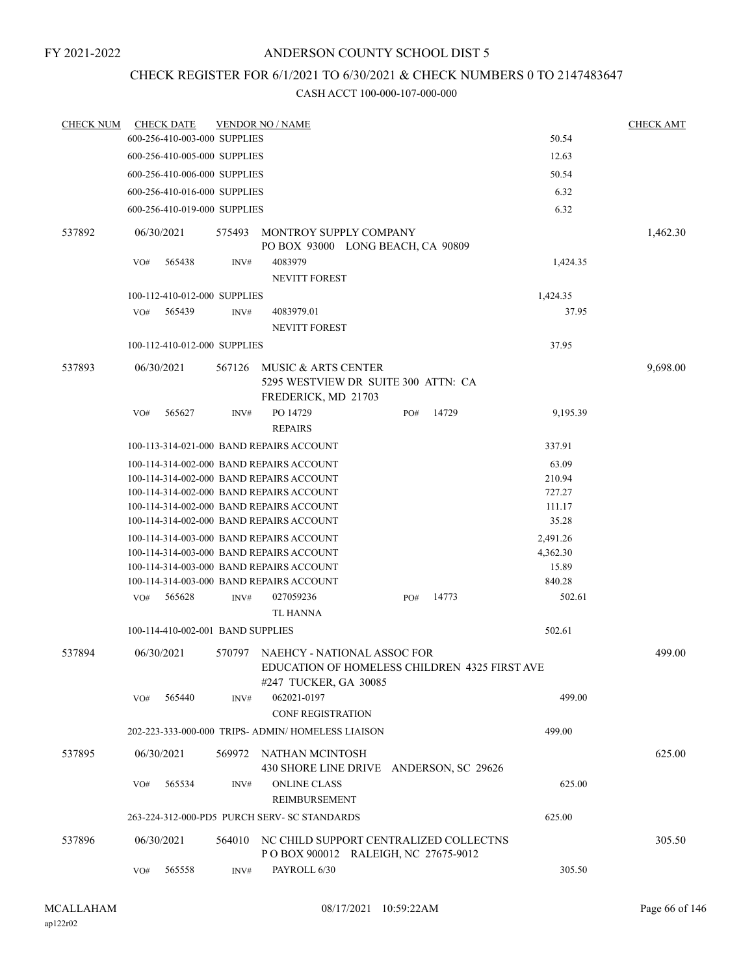## CHECK REGISTER FOR 6/1/2021 TO 6/30/2021 & CHECK NUMBERS 0 TO 2147483647

| <b>CHECK NUM</b> |            | <b>CHECK DATE</b>                 |        | <b>VENDOR NO / NAME</b>                                                                               |     |       |          | <b>CHECK AMT</b> |
|------------------|------------|-----------------------------------|--------|-------------------------------------------------------------------------------------------------------|-----|-------|----------|------------------|
|                  |            | 600-256-410-003-000 SUPPLIES      |        |                                                                                                       |     |       | 50.54    |                  |
|                  |            | 600-256-410-005-000 SUPPLIES      |        |                                                                                                       |     |       | 12.63    |                  |
|                  |            | 600-256-410-006-000 SUPPLIES      |        |                                                                                                       |     |       | 50.54    |                  |
|                  |            | 600-256-410-016-000 SUPPLIES      |        |                                                                                                       |     |       | 6.32     |                  |
|                  |            | 600-256-410-019-000 SUPPLIES      |        |                                                                                                       |     |       | 6.32     |                  |
| 537892           | 06/30/2021 |                                   | 575493 | MONTROY SUPPLY COMPANY<br>PO BOX 93000 LONG BEACH, CA 90809                                           |     |       |          | 1,462.30         |
|                  | VO#        | 565438                            | INV#   | 4083979                                                                                               |     |       | 1,424.35 |                  |
|                  |            |                                   |        | <b>NEVITT FOREST</b>                                                                                  |     |       |          |                  |
|                  |            | 100-112-410-012-000 SUPPLIES      |        |                                                                                                       |     |       | 1,424.35 |                  |
|                  | VO#        | 565439                            | INV#   | 4083979.01                                                                                            |     |       | 37.95    |                  |
|                  |            |                                   |        | <b>NEVITT FOREST</b>                                                                                  |     |       |          |                  |
|                  |            | 100-112-410-012-000 SUPPLIES      |        |                                                                                                       |     |       | 37.95    |                  |
| 537893           | 06/30/2021 |                                   | 567126 | MUSIC & ARTS CENTER                                                                                   |     |       |          | 9,698.00         |
|                  |            |                                   |        | 5295 WESTVIEW DR SUITE 300 ATTN: CA<br>FREDERICK, MD 21703                                            |     |       |          |                  |
|                  | VO#        | 565627                            | INV#   | PO 14729                                                                                              | PO# | 14729 | 9,195.39 |                  |
|                  |            |                                   |        | <b>REPAIRS</b>                                                                                        |     |       |          |                  |
|                  |            |                                   |        | 100-113-314-021-000 BAND REPAIRS ACCOUNT                                                              |     |       | 337.91   |                  |
|                  |            |                                   |        | 100-114-314-002-000 BAND REPAIRS ACCOUNT                                                              |     |       | 63.09    |                  |
|                  |            |                                   |        | 100-114-314-002-000 BAND REPAIRS ACCOUNT                                                              |     |       | 210.94   |                  |
|                  |            |                                   |        | 100-114-314-002-000 BAND REPAIRS ACCOUNT                                                              |     |       | 727.27   |                  |
|                  |            |                                   |        | 100-114-314-002-000 BAND REPAIRS ACCOUNT                                                              |     |       | 111.17   |                  |
|                  |            |                                   |        | 100-114-314-002-000 BAND REPAIRS ACCOUNT                                                              |     |       | 35.28    |                  |
|                  |            |                                   |        | 100-114-314-003-000 BAND REPAIRS ACCOUNT                                                              |     |       | 2,491.26 |                  |
|                  |            |                                   |        | 100-114-314-003-000 BAND REPAIRS ACCOUNT                                                              |     |       | 4,362.30 |                  |
|                  |            |                                   |        | 100-114-314-003-000 BAND REPAIRS ACCOUNT                                                              |     |       | 15.89    |                  |
|                  |            |                                   |        | 100-114-314-003-000 BAND REPAIRS ACCOUNT                                                              |     |       | 840.28   |                  |
|                  | VO#        | 565628                            | INV#   | 027059236<br>TL HANNA                                                                                 | PO# | 14773 | 502.61   |                  |
|                  |            | 100-114-410-002-001 BAND SUPPLIES |        |                                                                                                       |     |       | 502.61   |                  |
|                  |            |                                   |        |                                                                                                       |     |       |          |                  |
| 537894           | 06/30/2021 |                                   | 570797 | NAEHCY - NATIONAL ASSOC FOR<br>EDUCATION OF HOMELESS CHILDREN 4325 FIRST AVE<br>#247 TUCKER, GA 30085 |     |       |          | 499.00           |
|                  | VO#        | 565440                            | INV#   | 062021-0197                                                                                           |     |       | 499.00   |                  |
|                  |            |                                   |        | CONF REGISTRATION                                                                                     |     |       |          |                  |
|                  |            |                                   |        | 202-223-333-000-000 TRIPS- ADMIN/ HOMELESS LIAISON                                                    |     |       | 499.00   |                  |
| 537895           | 06/30/2021 |                                   | 569972 | NATHAN MCINTOSH<br>430 SHORE LINE DRIVE ANDERSON, SC 29626                                            |     |       |          | 625.00           |
|                  | VO#        | 565534                            | INV#   | <b>ONLINE CLASS</b><br><b>REIMBURSEMENT</b>                                                           |     |       | 625.00   |                  |
|                  |            |                                   |        | 263-224-312-000-PD5 PURCH SERV- SC STANDARDS                                                          |     |       | 625.00   |                  |
| 537896           |            | 06/30/2021                        |        | 564010 NC CHILD SUPPORT CENTRALIZED COLLECTNS                                                         |     |       |          | 305.50           |
|                  |            |                                   |        | POBOX 900012 RALEIGH, NC 27675-9012                                                                   |     |       |          |                  |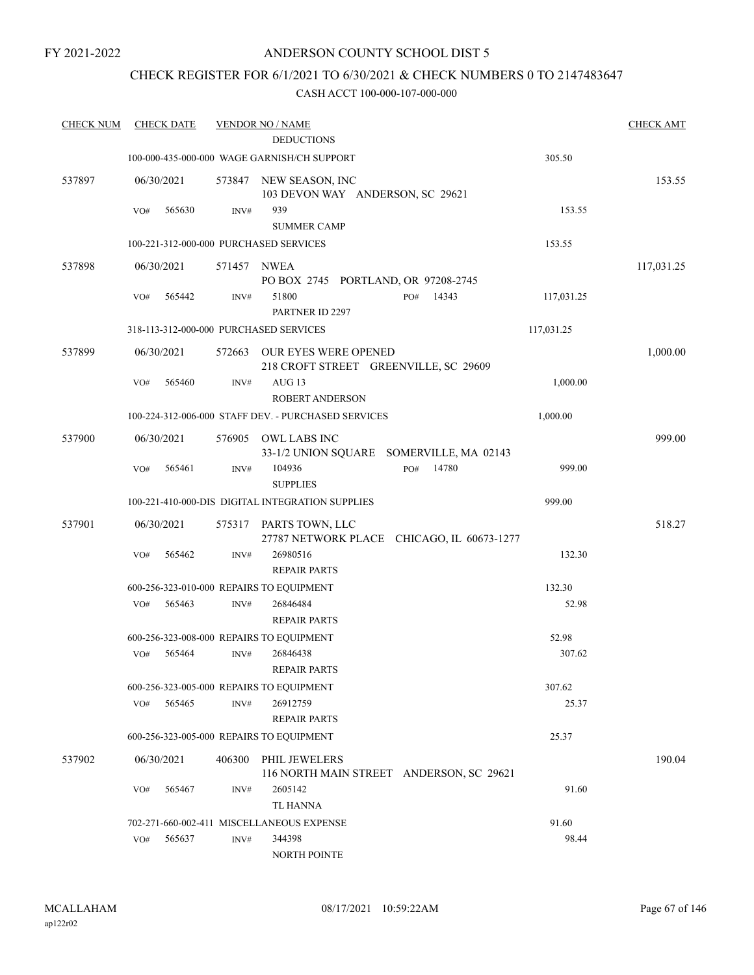## ANDERSON COUNTY SCHOOL DIST 5

## CHECK REGISTER FOR 6/1/2021 TO 6/30/2021 & CHECK NUMBERS 0 TO 2147483647

| <b>CHECK NUM</b> | <b>CHECK DATE</b>                        |             | <b>VENDOR NO / NAME</b><br><b>DEDUCTIONS</b>                         |            | <b>CHECK AMT</b> |
|------------------|------------------------------------------|-------------|----------------------------------------------------------------------|------------|------------------|
|                  |                                          |             | 100-000-435-000-000 WAGE GARNISH/CH SUPPORT                          | 305.50     |                  |
| 537897           | 06/30/2021                               |             | 573847 NEW SEASON, INC<br>103 DEVON WAY ANDERSON, SC 29621           |            | 153.55           |
|                  | 565630<br>VO#                            | INV#        | 939<br><b>SUMMER CAMP</b>                                            | 153.55     |                  |
|                  | 100-221-312-000-000 PURCHASED SERVICES   |             |                                                                      | 153.55     |                  |
| 537898           | 06/30/2021                               | 571457 NWEA | PO BOX 2745 PORTLAND, OR 97208-2745                                  |            | 117,031.25       |
|                  | 565442<br>VO#                            | INV#        | 51800<br>14343<br>PO#<br>PARTNER ID 2297                             | 117,031.25 |                  |
|                  | 318-113-312-000-000 PURCHASED SERVICES   |             |                                                                      | 117,031.25 |                  |
| 537899           | 06/30/2021                               | 572663      | OUR EYES WERE OPENED<br>218 CROFT STREET GREENVILLE, SC 29609        |            | 1,000.00         |
|                  | VO#<br>565460                            | INV#        | $AUG$ 13<br><b>ROBERT ANDERSON</b>                                   | 1,000.00   |                  |
|                  |                                          |             | 100-224-312-006-000 STAFF DEV. - PURCHASED SERVICES                  | 1,000.00   |                  |
| 537900           | 06/30/2021                               | 576905      | OWL LABS INC<br>33-1/2 UNION SQUARE SOMERVILLE, MA 02143             |            | 999.00           |
|                  | 565461<br>VO#                            | INV#        | 14780<br>104936<br>PO#<br><b>SUPPLIES</b>                            | 999.00     |                  |
|                  |                                          |             | 100-221-410-000-DIS DIGITAL INTEGRATION SUPPLIES                     | 999.00     |                  |
| 537901           | 06/30/2021                               |             | 575317 PARTS TOWN, LLC<br>27787 NETWORK PLACE CHICAGO, IL 60673-1277 |            | 518.27           |
|                  | 565462<br>VO#                            | INV#        | 26980516<br><b>REPAIR PARTS</b>                                      | 132.30     |                  |
|                  | 600-256-323-010-000 REPAIRS TO EQUIPMENT |             |                                                                      | 132.30     |                  |
|                  | 565463<br>VO#                            | INV#        | 26846484<br><b>REPAIR PARTS</b>                                      | 52.98      |                  |
|                  | 600-256-323-008-000 REPAIRS TO EQUIPMENT |             |                                                                      | 52.98      |                  |
|                  | 565464<br>VO#                            | INV#        | 26846438<br><b>REPAIR PARTS</b>                                      | 307.62     |                  |
|                  | 600-256-323-005-000 REPAIRS TO EQUIPMENT |             |                                                                      | 307.62     |                  |
|                  | VO#<br>565465                            | INV#        | 26912759<br><b>REPAIR PARTS</b>                                      | 25.37      |                  |
|                  | 600-256-323-005-000 REPAIRS TO EQUIPMENT |             |                                                                      | 25.37      |                  |
| 537902           | 06/30/2021                               | 406300      | <b>PHIL JEWELERS</b><br>116 NORTH MAIN STREET ANDERSON, SC 29621     |            | 190.04           |
|                  | 565467<br>VO#                            | INV#        | 2605142<br>TL HANNA                                                  | 91.60      |                  |
|                  |                                          |             | 702-271-660-002-411 MISCELLANEOUS EXPENSE                            | 91.60      |                  |
|                  | 565637<br>VO#                            | INV#        | 344398<br><b>NORTH POINTE</b>                                        | 98.44      |                  |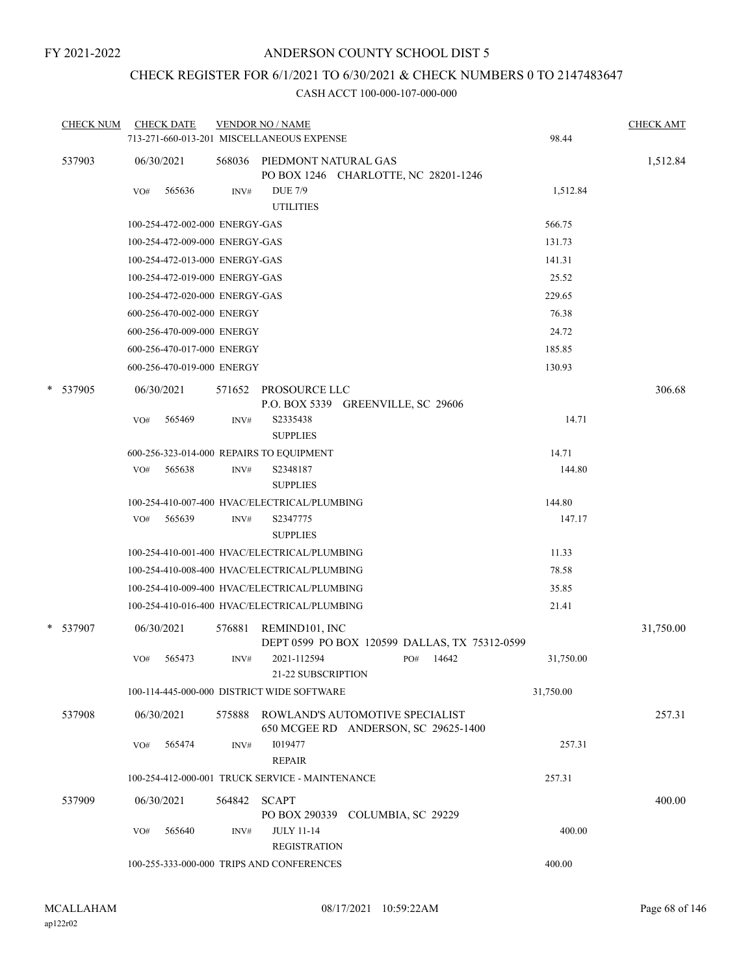## CHECK REGISTER FOR 6/1/2021 TO 6/30/2021 & CHECK NUMBERS 0 TO 2147483647

|        | <b>CHECK NUM</b> |     | <b>CHECK DATE</b>              |        | <b>VENDOR NO / NAME</b><br>713-271-660-013-201 MISCELLANEOUS EXPENSE    |              | 98.44     | <b>CHECK AMT</b> |
|--------|------------------|-----|--------------------------------|--------|-------------------------------------------------------------------------|--------------|-----------|------------------|
|        | 537903           |     | 06/30/2021                     |        | 568036 PIEDMONT NATURAL GAS<br>PO BOX 1246 CHARLOTTE, NC 28201-1246     |              |           | 1,512.84         |
|        |                  | VO# | 565636                         | INV#   | <b>DUE 7/9</b><br><b>UTILITIES</b>                                      |              | 1,512.84  |                  |
|        |                  |     | 100-254-472-002-000 ENERGY-GAS |        |                                                                         |              | 566.75    |                  |
|        |                  |     | 100-254-472-009-000 ENERGY-GAS |        |                                                                         |              | 131.73    |                  |
|        |                  |     | 100-254-472-013-000 ENERGY-GAS |        |                                                                         |              | 141.31    |                  |
|        |                  |     | 100-254-472-019-000 ENERGY-GAS |        |                                                                         |              | 25.52     |                  |
|        |                  |     | 100-254-472-020-000 ENERGY-GAS |        |                                                                         |              | 229.65    |                  |
|        |                  |     | 600-256-470-002-000 ENERGY     |        |                                                                         |              | 76.38     |                  |
|        |                  |     | 600-256-470-009-000 ENERGY     |        |                                                                         |              | 24.72     |                  |
|        |                  |     | 600-256-470-017-000 ENERGY     |        |                                                                         |              | 185.85    |                  |
|        |                  |     | 600-256-470-019-000 ENERGY     |        |                                                                         |              | 130.93    |                  |
| $\ast$ | 537905           |     | 06/30/2021                     | 571652 | PROSOURCE LLC<br>P.O. BOX 5339 GREENVILLE, SC 29606                     |              |           | 306.68           |
|        |                  | VO# | 565469                         | INV#   | S2335438<br><b>SUPPLIES</b>                                             |              | 14.71     |                  |
|        |                  |     |                                |        | 600-256-323-014-000 REPAIRS TO EQUIPMENT                                |              | 14.71     |                  |
|        |                  | VO# | 565638                         | INV#   | S2348187<br><b>SUPPLIES</b>                                             |              | 144.80    |                  |
|        |                  |     |                                |        | 100-254-410-007-400 HVAC/ELECTRICAL/PLUMBING                            |              | 144.80    |                  |
|        |                  | VO# | 565639                         | INV#   | S2347775<br><b>SUPPLIES</b>                                             |              | 147.17    |                  |
|        |                  |     |                                |        | 100-254-410-001-400 HVAC/ELECTRICAL/PLUMBING                            |              | 11.33     |                  |
|        |                  |     |                                |        | 100-254-410-008-400 HVAC/ELECTRICAL/PLUMBING                            |              | 78.58     |                  |
|        |                  |     |                                |        | 100-254-410-009-400 HVAC/ELECTRICAL/PLUMBING                            |              | 35.85     |                  |
|        |                  |     |                                |        | 100-254-410-016-400 HVAC/ELECTRICAL/PLUMBING                            |              | 21.41     |                  |
|        | * 537907         |     | 06/30/2021                     | 576881 | REMIND101, INC<br>DEPT 0599 PO BOX 120599 DALLAS, TX 75312-0599         |              |           | 31,750.00        |
|        |                  | VO# | 565473                         | INV#   | 2021-112594<br>21-22 SUBSCRIPTION                                       | 14642<br>PO# | 31,750.00 |                  |
|        |                  |     |                                |        | 100-114-445-000-000 DISTRICT WIDE SOFTWARE                              |              | 31,750.00 |                  |
|        | 537908           |     | 06/30/2021                     | 575888 | ROWLAND'S AUTOMOTIVE SPECIALIST<br>650 MCGEE RD ANDERSON, SC 29625-1400 |              |           | 257.31           |
|        |                  | VO# | 565474                         | INV#   | 1019477<br><b>REPAIR</b>                                                |              | 257.31    |                  |
|        |                  |     |                                |        | 100-254-412-000-001 TRUCK SERVICE - MAINTENANCE                         |              | 257.31    |                  |
|        | 537909           |     | 06/30/2021                     | 564842 | <b>SCAPT</b><br>PO BOX 290339 COLUMBIA, SC 29229                        |              |           | 400.00           |
|        |                  | VO# | 565640                         | INV#   | <b>JULY 11-14</b><br><b>REGISTRATION</b>                                |              | 400.00    |                  |
|        |                  |     |                                |        | 100-255-333-000-000 TRIPS AND CONFERENCES                               |              | 400.00    |                  |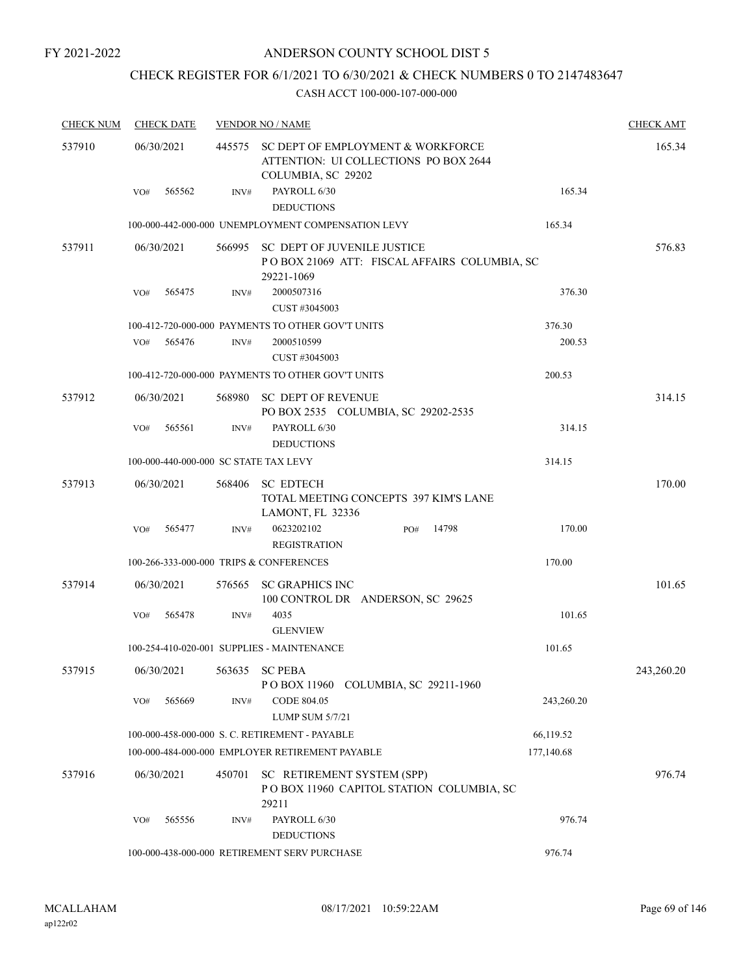## CHECK REGISTER FOR 6/1/2021 TO 6/30/2021 & CHECK NUMBERS 0 TO 2147483647

| <b>CHECK NUM</b> | <b>CHECK DATE</b>                       |        | <b>VENDOR NO / NAME</b>                                                                                 |            | <b>CHECK AMT</b> |
|------------------|-----------------------------------------|--------|---------------------------------------------------------------------------------------------------------|------------|------------------|
| 537910           | 06/30/2021                              |        | 445575 SC DEPT OF EMPLOYMENT & WORKFORCE<br>ATTENTION: UI COLLECTIONS PO BOX 2644<br>COLUMBIA, SC 29202 |            | 165.34           |
|                  | 565562<br>VO#                           | INV#   | PAYROLL 6/30<br><b>DEDUCTIONS</b>                                                                       | 165.34     |                  |
|                  |                                         |        | 100-000-442-000-000 UNEMPLOYMENT COMPENSATION LEVY                                                      | 165.34     |                  |
| 537911           | 06/30/2021                              |        | 566995 SC DEPT OF JUVENILE JUSTICE<br>POBOX 21069 ATT: FISCAL AFFAIRS COLUMBIA, SC<br>29221-1069        |            | 576.83           |
|                  | 565475<br>VO#                           | INV#   | 2000507316<br>CUST #3045003                                                                             | 376.30     |                  |
|                  |                                         |        | 100-412-720-000-000 PAYMENTS TO OTHER GOV'T UNITS                                                       | 376.30     |                  |
|                  | VO#<br>565476                           | INV#   | 2000510599<br>CUST #3045003                                                                             | 200.53     |                  |
|                  |                                         |        | 100-412-720-000-000 PAYMENTS TO OTHER GOV'T UNITS                                                       | 200.53     |                  |
| 537912           | 06/30/2021                              | 568980 | <b>SC DEPT OF REVENUE</b><br>PO BOX 2535 COLUMBIA, SC 29202-2535                                        |            | 314.15           |
|                  | 565561<br>VO#                           | INV#   | PAYROLL 6/30<br><b>DEDUCTIONS</b>                                                                       | 314.15     |                  |
|                  | 100-000-440-000-000 SC STATE TAX LEVY   |        |                                                                                                         | 314.15     |                  |
| 537913           | 06/30/2021                              | 568406 | <b>SC EDTECH</b><br>TOTAL MEETING CONCEPTS 397 KIM'S LANE<br>LAMONT, FL 32336                           |            | 170.00           |
|                  | VO#<br>565477                           | INV#   | 0623202102<br>14798<br>PO#<br><b>REGISTRATION</b>                                                       | 170.00     |                  |
|                  | 100-266-333-000-000 TRIPS & CONFERENCES |        |                                                                                                         | 170.00     |                  |
| 537914           | 06/30/2021                              |        | 576565 SC GRAPHICS INC<br>100 CONTROL DR ANDERSON, SC 29625                                             |            | 101.65           |
|                  | 565478<br>VO#                           | INV#   | 4035<br><b>GLENVIEW</b>                                                                                 | 101.65     |                  |
|                  |                                         |        | 100-254-410-020-001 SUPPLIES - MAINTENANCE                                                              | 101.65     |                  |
| 537915           | 06/30/2021                              |        | 563635 SC PEBA<br>POBOX 11960 COLUMBIA, SC 29211-1960                                                   |            | 243,260.20       |
|                  | 565669<br>VO#                           | INV#   | CODE 804.05<br><b>LUMP SUM 5/7/21</b>                                                                   | 243,260.20 |                  |
|                  |                                         |        | 100-000-458-000-000 S. C. RETIREMENT - PAYABLE                                                          | 66,119.52  |                  |
|                  |                                         |        | 100-000-484-000-000 EMPLOYER RETIREMENT PAYABLE                                                         | 177,140.68 |                  |
| 537916           | 06/30/2021                              | 450701 | SC RETIREMENT SYSTEM (SPP)<br>POBOX 11960 CAPITOL STATION COLUMBIA, SC<br>29211                         |            | 976.74           |
|                  | VO#<br>565556                           | INV#   | PAYROLL 6/30<br><b>DEDUCTIONS</b>                                                                       | 976.74     |                  |
|                  |                                         |        | 100-000-438-000-000 RETIREMENT SERV PURCHASE                                                            | 976.74     |                  |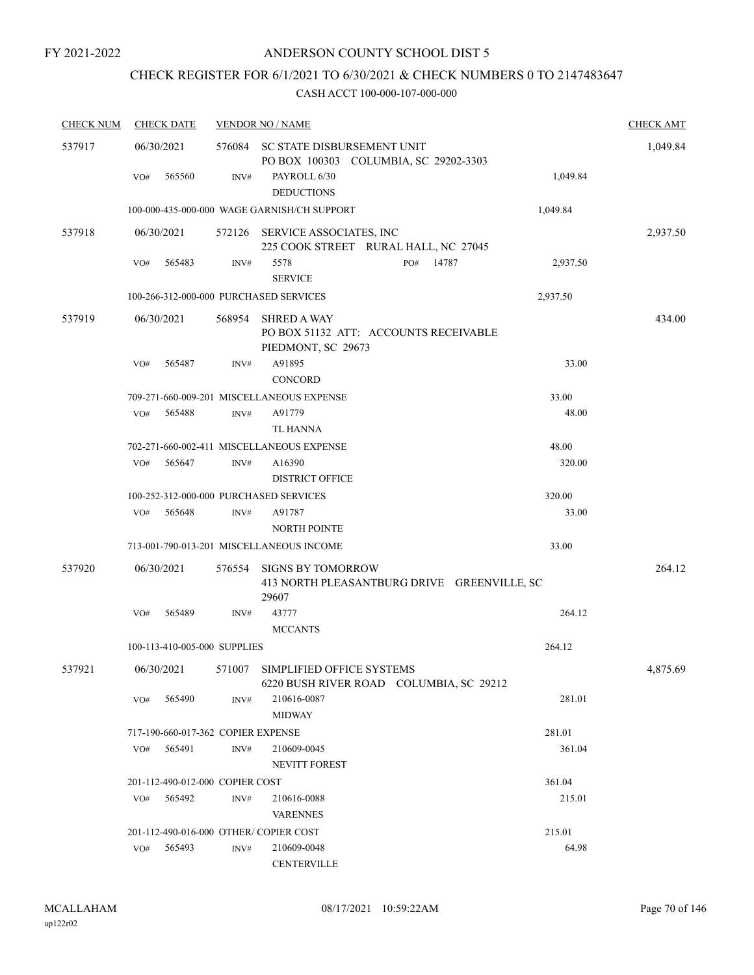# CHECK REGISTER FOR 6/1/2021 TO 6/30/2021 & CHECK NUMBERS 0 TO 2147483647

| <b>CHECK NUM</b> | <b>CHECK DATE</b>                      |        | <b>VENDOR NO / NAME</b>                                                           |          | <b>CHECK AMT</b> |
|------------------|----------------------------------------|--------|-----------------------------------------------------------------------------------|----------|------------------|
| 537917           | 06/30/2021                             |        | 576084 SC STATE DISBURSEMENT UNIT<br>PO BOX 100303 COLUMBIA, SC 29202-3303        |          | 1,049.84         |
|                  | 565560<br>VO#                          | INV#   | PAYROLL 6/30<br><b>DEDUCTIONS</b>                                                 | 1,049.84 |                  |
|                  |                                        |        | 100-000-435-000-000 WAGE GARNISH/CH SUPPORT                                       | 1,049.84 |                  |
| 537918           | 06/30/2021                             | 572126 | SERVICE ASSOCIATES, INC<br>225 COOK STREET RURAL HALL, NC 27045                   |          | 2,937.50         |
|                  | 565483<br>VO#                          | INV#   | 5578<br>PO# 14787<br><b>SERVICE</b>                                               | 2,937.50 |                  |
|                  | 100-266-312-000-000 PURCHASED SERVICES |        |                                                                                   | 2,937.50 |                  |
| 537919           | 06/30/2021                             | 568954 | <b>SHRED A WAY</b><br>PO BOX 51132 ATT: ACCOUNTS RECEIVABLE<br>PIEDMONT, SC 29673 |          | 434.00           |
|                  | VO#<br>565487                          | INV#   | A91895<br><b>CONCORD</b>                                                          | 33.00    |                  |
|                  |                                        |        | 709-271-660-009-201 MISCELLANEOUS EXPENSE                                         | 33.00    |                  |
|                  | 565488<br>VO#                          | INV#   | A91779<br><b>TL HANNA</b>                                                         | 48.00    |                  |
|                  |                                        |        | 702-271-660-002-411 MISCELLANEOUS EXPENSE                                         | 48.00    |                  |
|                  | 565647<br>VO#                          | INV#   | A16390<br><b>DISTRICT OFFICE</b>                                                  | 320.00   |                  |
|                  | 100-252-312-000-000 PURCHASED SERVICES |        |                                                                                   | 320.00   |                  |
|                  | VO#<br>565648                          | INV#   | A91787<br><b>NORTH POINTE</b>                                                     | 33.00    |                  |
|                  |                                        |        | 713-001-790-013-201 MISCELLANEOUS INCOME                                          | 33.00    |                  |
| 537920           | 06/30/2021                             | 576554 | <b>SIGNS BY TOMORROW</b><br>413 NORTH PLEASANTBURG DRIVE GREENVILLE, SC<br>29607  |          | 264.12           |
|                  | 565489<br>VO#                          | INV#   | 43777<br><b>MCCANTS</b>                                                           | 264.12   |                  |
|                  | 100-113-410-005-000 SUPPLIES           |        |                                                                                   | 264.12   |                  |
| 537921           | 06/30/2021                             |        | 571007 SIMPLIFIED OFFICE SYSTEMS<br>6220 BUSH RIVER ROAD COLUMBIA, SC 29212       |          | 4,875.69         |
|                  | 565490<br>VO#                          | INV#   | 210616-0087<br><b>MIDWAY</b>                                                      | 281.01   |                  |
|                  | 717-190-660-017-362 COPIER EXPENSE     |        |                                                                                   | 281.01   |                  |
|                  | 565491<br>VO#                          | INV#   | 210609-0045<br>NEVITT FOREST                                                      | 361.04   |                  |
|                  | 201-112-490-012-000 COPIER COST        |        |                                                                                   | 361.04   |                  |
|                  | VO#<br>565492                          | INV#   | 210616-0088<br><b>VARENNES</b>                                                    | 215.01   |                  |
|                  | 201-112-490-016-000 OTHER/ COPIER COST |        |                                                                                   | 215.01   |                  |
|                  | 565493<br>VO#                          | INV#   | 210609-0048<br><b>CENTERVILLE</b>                                                 | 64.98    |                  |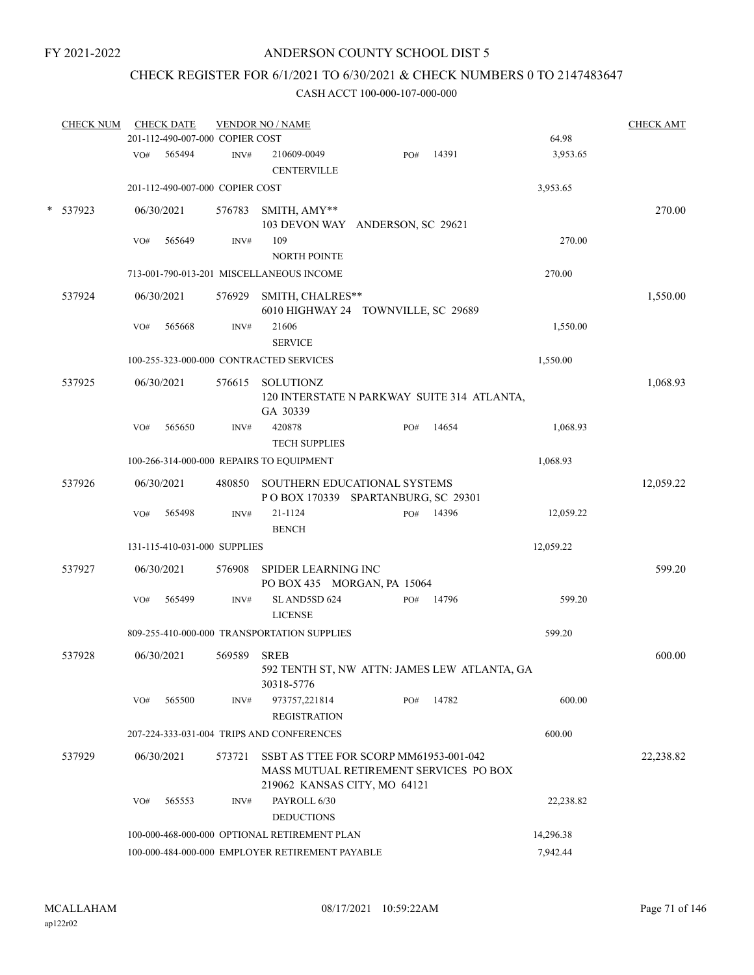## CHECK REGISTER FOR 6/1/2021 TO 6/30/2021 & CHECK NUMBERS 0 TO 2147483647

|        | <b>CHECK NUM</b> |     | <b>CHECK DATE</b> | 201-112-490-007-000 COPIER COST | <b>VENDOR NO / NAME</b>                                                                                          |     |       | 64.98     | <b>CHECK AMT</b> |
|--------|------------------|-----|-------------------|---------------------------------|------------------------------------------------------------------------------------------------------------------|-----|-------|-----------|------------------|
|        |                  | VO# | 565494            | INV#                            | 210609-0049<br><b>CENTERVILLE</b>                                                                                | PO# | 14391 | 3,953.65  |                  |
|        |                  |     |                   | 201-112-490-007-000 COPIER COST |                                                                                                                  |     |       | 3,953.65  |                  |
| $\ast$ | 537923           |     | 06/30/2021        | 576783                          | SMITH, AMY**<br>103 DEVON WAY ANDERSON, SC 29621                                                                 |     |       |           | 270.00           |
|        |                  | VO# | 565649            | INV#                            | 109<br><b>NORTH POINTE</b>                                                                                       |     |       | 270.00    |                  |
|        |                  |     |                   |                                 | 713-001-790-013-201 MISCELLANEOUS INCOME                                                                         |     |       | 270.00    |                  |
|        | 537924           |     | 06/30/2021        | 576929                          | SMITH, CHALRES**<br>6010 HIGHWAY 24 TOWNVILLE, SC 29689                                                          |     |       |           | 1,550.00         |
|        |                  | VO# | 565668            | INV#                            | 21606<br><b>SERVICE</b>                                                                                          |     |       | 1,550.00  |                  |
|        |                  |     |                   |                                 | 100-255-323-000-000 CONTRACTED SERVICES                                                                          |     |       | 1,550.00  |                  |
|        | 537925           |     | 06/30/2021        | 576615                          | SOLUTIONZ<br>120 INTERSTATE N PARKWAY SUITE 314 ATLANTA,<br>GA 30339                                             |     |       |           | 1,068.93         |
|        |                  | VO# | 565650            | INV#                            | 420878<br><b>TECH SUPPLIES</b>                                                                                   | PO# | 14654 | 1,068.93  |                  |
|        |                  |     |                   |                                 | 100-266-314-000-000 REPAIRS TO EQUIPMENT                                                                         |     |       | 1,068.93  |                  |
|        | 537926           |     | 06/30/2021        | 480850                          | SOUTHERN EDUCATIONAL SYSTEMS<br>POBOX 170339 SPARTANBURG, SC 29301                                               |     |       |           | 12,059.22        |
|        |                  | VO# | 565498            | INV#                            | 21-1124<br><b>BENCH</b>                                                                                          | PO# | 14396 | 12,059.22 |                  |
|        |                  |     |                   | 131-115-410-031-000 SUPPLIES    |                                                                                                                  |     |       | 12,059.22 |                  |
|        | 537927           |     | 06/30/2021        | 576908                          | SPIDER LEARNING INC<br>PO BOX 435 MORGAN, PA 15064                                                               |     |       |           | 599.20           |
|        |                  | VO# | 565499            | INV#                            | SLAND5SD 624<br><b>LICENSE</b>                                                                                   | PO# | 14796 | 599.20    |                  |
|        |                  |     |                   |                                 | 809-255-410-000-000 TRANSPORTATION SUPPLIES                                                                      |     |       | 599.20    |                  |
|        | 537928           |     | 06/30/2021        | 569589 SREB                     | 592 TENTH ST, NW ATTN: JAMES LEW ATLANTA, GA<br>30318-5776                                                       |     |       |           | 600.00           |
|        |                  | VO# | 565500            | INV#                            | 973757,221814<br><b>REGISTRATION</b>                                                                             | PO# | 14782 | 600.00    |                  |
|        |                  |     |                   |                                 | 207-224-333-031-004 TRIPS AND CONFERENCES                                                                        |     |       | 600.00    |                  |
|        | 537929           |     | 06/30/2021        | 573721                          | SSBT AS TTEE FOR SCORP MM61953-001-042<br>MASS MUTUAL RETIREMENT SERVICES PO BOX<br>219062 KANSAS CITY, MO 64121 |     |       |           | 22,238.82        |
|        |                  | VO# | 565553            | INV#                            | PAYROLL 6/30<br><b>DEDUCTIONS</b>                                                                                |     |       | 22,238.82 |                  |
|        |                  |     |                   |                                 | 100-000-468-000-000 OPTIONAL RETIREMENT PLAN                                                                     |     |       | 14,296.38 |                  |
|        |                  |     |                   |                                 | 100-000-484-000-000 EMPLOYER RETIREMENT PAYABLE                                                                  |     |       | 7,942.44  |                  |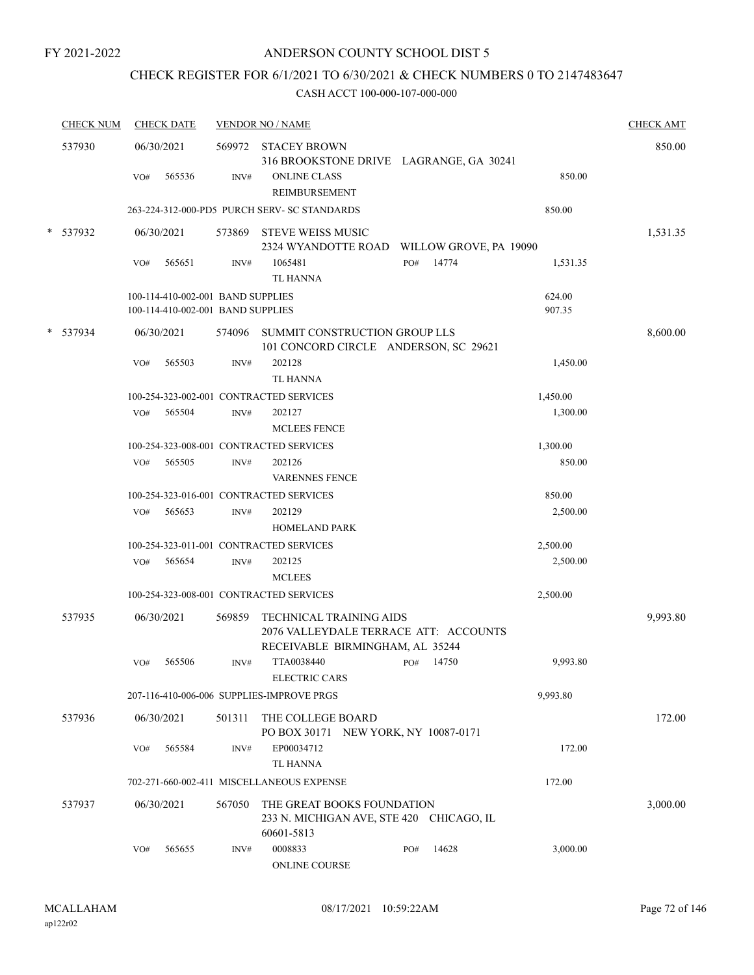## CHECK REGISTER FOR 6/1/2021 TO 6/30/2021 & CHECK NUMBERS 0 TO 2147483647

|        | <b>CHECK NUM</b> |     | <b>CHECK DATE</b>                                                      |        | <b>VENDOR NO / NAME</b>                                                                                       |     |       |                  | <b>CHECK AMT</b> |
|--------|------------------|-----|------------------------------------------------------------------------|--------|---------------------------------------------------------------------------------------------------------------|-----|-------|------------------|------------------|
|        | 537930           | VO# | 06/30/2021<br>565536                                                   | INV#   | 569972 STACEY BROWN<br>316 BROOKSTONE DRIVE LAGRANGE, GA 30241<br><b>ONLINE CLASS</b><br><b>REIMBURSEMENT</b> |     |       | 850.00           | 850.00           |
|        |                  |     |                                                                        |        | 263-224-312-000-PD5 PURCH SERV- SC STANDARDS                                                                  |     |       | 850.00           |                  |
|        | * 537932         |     | 06/30/2021                                                             |        | 573869 STEVE WEISS MUSIC<br>2324 WYANDOTTE ROAD WILLOW GROVE, PA 19090                                        |     |       |                  | 1,531.35         |
|        |                  | VO# | 565651                                                                 | INV#   | 1065481<br><b>TL HANNA</b>                                                                                    | PO# | 14774 | 1,531.35         |                  |
|        |                  |     | 100-114-410-002-001 BAND SUPPLIES<br>100-114-410-002-001 BAND SUPPLIES |        |                                                                                                               |     |       | 624.00<br>907.35 |                  |
| $\ast$ | 537934           |     | 06/30/2021                                                             | 574096 | SUMMIT CONSTRUCTION GROUP LLS<br>101 CONCORD CIRCLE ANDERSON, SC 29621                                        |     |       |                  | 8,600.00         |
|        |                  | VO# | 565503                                                                 | INV#   | 202128<br><b>TL HANNA</b>                                                                                     |     |       | 1,450.00         |                  |
|        |                  |     |                                                                        |        | 100-254-323-002-001 CONTRACTED SERVICES                                                                       |     |       | 1,450.00         |                  |
|        |                  | VO# | 565504                                                                 | INV#   | 202127<br><b>MCLEES FENCE</b>                                                                                 |     |       | 1,300.00         |                  |
|        |                  |     |                                                                        |        | 100-254-323-008-001 CONTRACTED SERVICES                                                                       |     |       | 1,300.00         |                  |
|        |                  | VO# | 565505                                                                 | INV#   | 202126<br><b>VARENNES FENCE</b>                                                                               |     |       | 850.00           |                  |
|        |                  |     |                                                                        |        | 100-254-323-016-001 CONTRACTED SERVICES                                                                       |     |       | 850.00           |                  |
|        |                  | VO# | 565653                                                                 | INV#   | 202129<br><b>HOMELAND PARK</b>                                                                                |     |       | 2,500.00         |                  |
|        |                  |     |                                                                        |        | 100-254-323-011-001 CONTRACTED SERVICES                                                                       |     |       | 2,500.00         |                  |
|        |                  | VO# | 565654                                                                 | INV#   | 202125<br><b>MCLEES</b>                                                                                       |     |       | 2,500.00         |                  |
|        |                  |     |                                                                        |        | 100-254-323-008-001 CONTRACTED SERVICES                                                                       |     |       | 2,500.00         |                  |
|        | 537935           |     | 06/30/2021                                                             | 569859 | <b>TECHNICAL TRAINING AIDS</b><br>2076 VALLEYDALE TERRACE ATT: ACCOUNTS<br>RECEIVABLE BIRMINGHAM, AL 35244    |     |       |                  | 9,993.80         |
|        |                  | VO# | 565506                                                                 | INV#   | TTA0038440<br><b>ELECTRIC CARS</b>                                                                            | PO# | 14750 | 9,993.80         |                  |
|        |                  |     |                                                                        |        | 207-116-410-006-006 SUPPLIES-IMPROVE PRGS                                                                     |     |       | 9,993.80         |                  |
|        | 537936           |     | 06/30/2021                                                             | 501311 | THE COLLEGE BOARD<br>PO BOX 30171 NEW YORK, NY 10087-0171                                                     |     |       |                  | 172.00           |
|        |                  | VO# | 565584                                                                 | INV#   | EP00034712<br><b>TL HANNA</b>                                                                                 |     |       | 172.00           |                  |
|        |                  |     |                                                                        |        | 702-271-660-002-411 MISCELLANEOUS EXPENSE                                                                     |     |       | 172.00           |                  |
|        | 537937           |     | 06/30/2021                                                             | 567050 | THE GREAT BOOKS FOUNDATION<br>233 N. MICHIGAN AVE, STE 420 CHICAGO, IL<br>60601-5813                          |     |       |                  | 3,000.00         |
|        |                  | VO# | 565655                                                                 | INV#   | 0008833<br><b>ONLINE COURSE</b>                                                                               | PO# | 14628 | 3,000.00         |                  |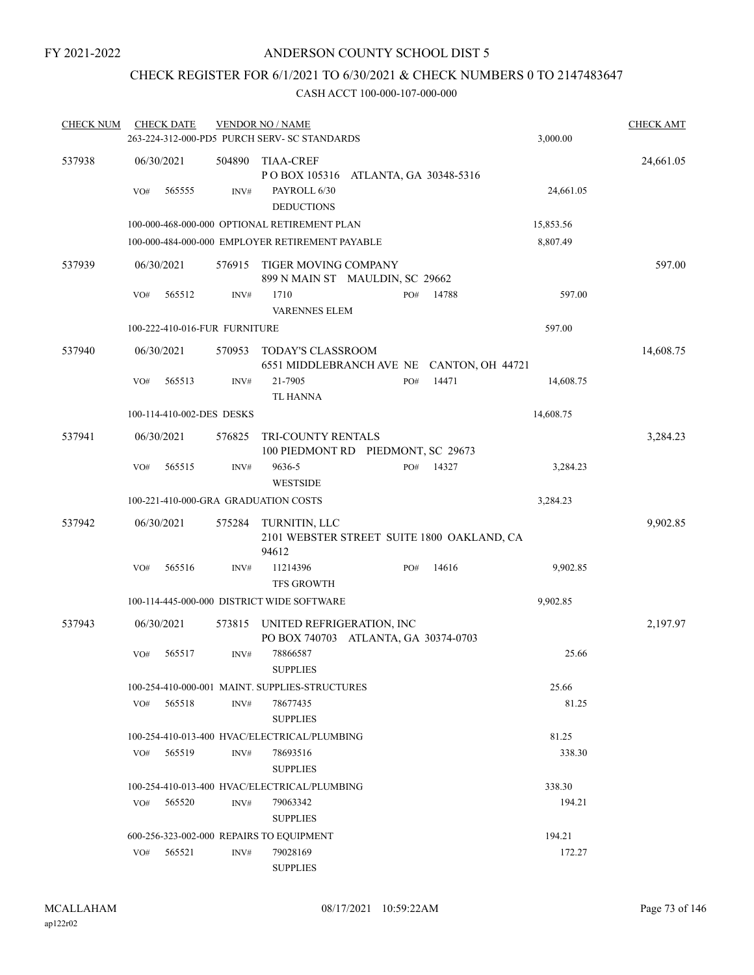# CHECK REGISTER FOR 6/1/2021 TO 6/30/2021 & CHECK NUMBERS 0 TO 2147483647

| <b>CHECK NUM</b> |            | <b>CHECK DATE</b>             |                | <b>VENDOR NO / NAME</b><br>263-224-312-000-PD5 PURCH SERV- SC STANDARDS                      |     |       | 3,000.00  | <b>CHECK AMT</b> |
|------------------|------------|-------------------------------|----------------|----------------------------------------------------------------------------------------------|-----|-------|-----------|------------------|
| 537938           | VO#        | 06/30/2021<br>565555          | 504890<br>INV# | <b>TIAA-CREF</b><br>POBOX 105316 ATLANTA, GA 30348-5316<br>PAYROLL 6/30<br><b>DEDUCTIONS</b> |     |       | 24,661.05 | 24,661.05        |
|                  |            |                               |                | 100-000-468-000-000 OPTIONAL RETIREMENT PLAN                                                 |     |       | 15,853.56 |                  |
|                  |            |                               |                | 100-000-484-000-000 EMPLOYER RETIREMENT PAYABLE                                              |     |       | 8,807.49  |                  |
| 537939           |            | 06/30/2021                    | 576915         | TIGER MOVING COMPANY<br>899 N MAIN ST MAULDIN, SC 29662                                      |     |       |           | 597.00           |
|                  | VO#        | 565512                        | INV#           | 1710<br><b>VARENNES ELEM</b>                                                                 | PO# | 14788 | 597.00    |                  |
|                  |            | 100-222-410-016-FUR FURNITURE |                |                                                                                              |     |       | 597.00    |                  |
| 537940           |            | 06/30/2021                    | 570953         | TODAY'S CLASSROOM<br>6551 MIDDLEBRANCH AVE NE CANTON, OH 44721                               |     |       |           | 14,608.75        |
|                  | VO#        | 565513                        | INV#           | 21-7905<br><b>TL HANNA</b>                                                                   | PO# | 14471 | 14,608.75 |                  |
|                  |            | 100-114-410-002-DES DESKS     |                |                                                                                              |     |       | 14,608.75 |                  |
| 537941           | 06/30/2021 |                               | 576825         | TRI-COUNTY RENTALS<br>100 PIEDMONT RD PIEDMONT, SC 29673                                     |     |       |           | 3,284.23         |
|                  | VO#        | 565515                        | INV#           | 9636-5<br><b>WESTSIDE</b>                                                                    | PO# | 14327 | 3,284.23  |                  |
|                  |            |                               |                | 100-221-410-000-GRA GRADUATION COSTS                                                         |     |       | 3,284.23  |                  |
| 537942           | 06/30/2021 |                               | 575284         | TURNITIN, LLC<br>2101 WEBSTER STREET SUITE 1800 OAKLAND, CA<br>94612                         |     |       |           | 9,902.85         |
|                  | VO#        | 565516                        | INV#           | 11214396<br><b>TFS GROWTH</b>                                                                | PO# | 14616 | 9,902.85  |                  |
|                  |            |                               |                | 100-114-445-000-000 DISTRICT WIDE SOFTWARE                                                   |     |       | 9,902.85  |                  |
| 537943           |            | 06/30/2021                    | 573815         | UNITED REFRIGERATION, INC<br>PO BOX 740703 ATLANTA, GA 30374-0703                            |     |       |           | 2,197.97         |
|                  | VO#        | 565517                        | INV#           | 78866587<br><b>SUPPLIES</b>                                                                  |     |       | 25.66     |                  |
|                  |            |                               |                | 100-254-410-000-001 MAINT. SUPPLIES-STRUCTURES                                               |     |       | 25.66     |                  |
|                  | VO#        | 565518                        | INV#           | 78677435<br><b>SUPPLIES</b>                                                                  |     |       | 81.25     |                  |
|                  |            |                               |                | 100-254-410-013-400 HVAC/ELECTRICAL/PLUMBING                                                 |     |       | 81.25     |                  |
|                  | VO#        | 565519                        | INV#           | 78693516<br><b>SUPPLIES</b>                                                                  |     |       | 338.30    |                  |
|                  |            |                               |                | 100-254-410-013-400 HVAC/ELECTRICAL/PLUMBING                                                 |     |       | 338.30    |                  |
|                  | VO#        | 565520                        | INV#           | 79063342<br><b>SUPPLIES</b>                                                                  |     |       | 194.21    |                  |
|                  |            |                               |                | 600-256-323-002-000 REPAIRS TO EQUIPMENT                                                     |     |       | 194.21    |                  |
|                  | VO#        | 565521                        | INV#           | 79028169<br><b>SUPPLIES</b>                                                                  |     |       | 172.27    |                  |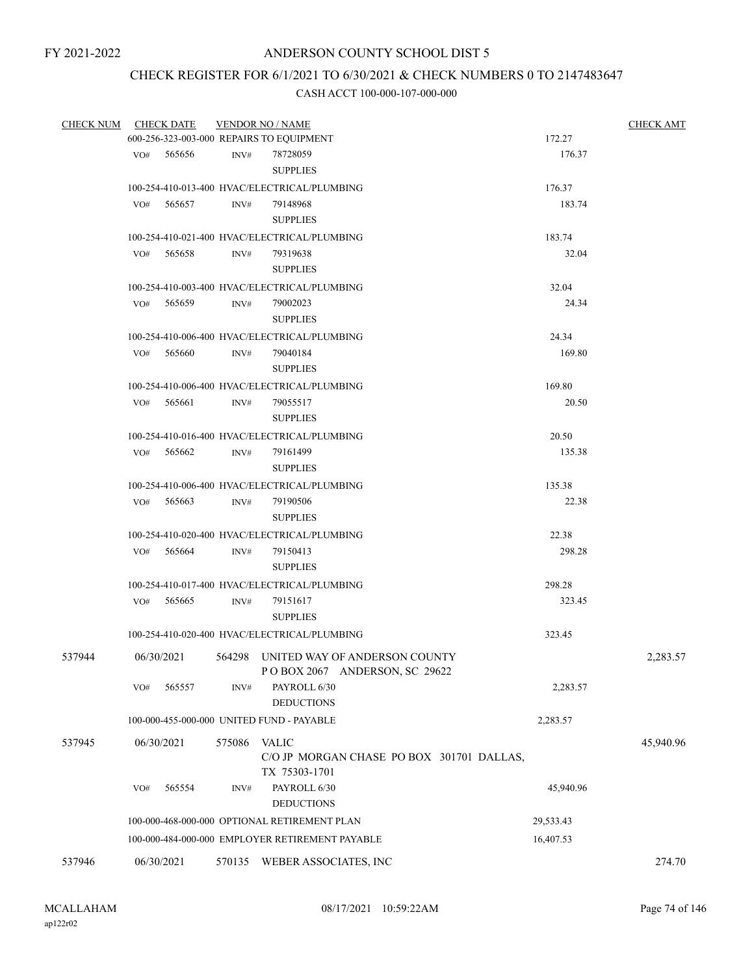## CHECK REGISTER FOR 6/1/2021 TO 6/30/2021 & CHECK NUMBERS 0 TO 2147483647

| <b>CHECK NUM</b> |     | <b>CHECK DATE</b> |        | <b>VENDOR NO / NAME</b>                         |           | <b>CHECK AMT</b> |
|------------------|-----|-------------------|--------|-------------------------------------------------|-----------|------------------|
|                  |     |                   |        | 600-256-323-003-000 REPAIRS TO EQUIPMENT        | 172.27    |                  |
|                  |     | VO# 565656        | INV#   | 78728059                                        | 176.37    |                  |
|                  |     |                   |        | <b>SUPPLIES</b>                                 |           |                  |
|                  |     |                   |        | 100-254-410-013-400 HVAC/ELECTRICAL/PLUMBING    | 176.37    |                  |
|                  |     | $VO#$ 565657      | INV#   | 79148968                                        | 183.74    |                  |
|                  |     |                   |        | <b>SUPPLIES</b>                                 |           |                  |
|                  |     |                   |        | 100-254-410-021-400 HVAC/ELECTRICAL/PLUMBING    | 183.74    |                  |
|                  | VO# | 565658            | INV#   | 79319638                                        | 32.04     |                  |
|                  |     |                   |        | <b>SUPPLIES</b>                                 |           |                  |
|                  |     |                   |        | 100-254-410-003-400 HVAC/ELECTRICAL/PLUMBING    | 32.04     |                  |
|                  |     | $VO#$ 565659      | INV#   | 79002023                                        | 24.34     |                  |
|                  |     |                   |        | <b>SUPPLIES</b>                                 |           |                  |
|                  |     |                   |        | 100-254-410-006-400 HVAC/ELECTRICAL/PLUMBING    | 24.34     |                  |
|                  | VO# | 565660            | INV#   | 79040184                                        | 169.80    |                  |
|                  |     |                   |        | <b>SUPPLIES</b>                                 |           |                  |
|                  |     |                   |        | 100-254-410-006-400 HVAC/ELECTRICAL/PLUMBING    | 169.80    |                  |
|                  |     | VO# 565661        | INV#   | 79055517                                        | 20.50     |                  |
|                  |     |                   |        | <b>SUPPLIES</b>                                 |           |                  |
|                  |     |                   |        | 100-254-410-016-400 HVAC/ELECTRICAL/PLUMBING    | 20.50     |                  |
|                  |     | VO# 565662        | INV#   | 79161499                                        | 135.38    |                  |
|                  |     |                   |        | <b>SUPPLIES</b>                                 |           |                  |
|                  |     |                   |        | 100-254-410-006-400 HVAC/ELECTRICAL/PLUMBING    | 135.38    |                  |
|                  |     | $VO#$ 565663      | INV#   | 79190506                                        | 22.38     |                  |
|                  |     |                   |        | <b>SUPPLIES</b>                                 |           |                  |
|                  |     |                   |        |                                                 |           |                  |
|                  |     |                   |        | 100-254-410-020-400 HVAC/ELECTRICAL/PLUMBING    | 22.38     |                  |
|                  |     | $VO#$ 565664      | INV#   | 79150413                                        | 298.28    |                  |
|                  |     |                   |        | <b>SUPPLIES</b>                                 |           |                  |
|                  |     |                   |        | 100-254-410-017-400 HVAC/ELECTRICAL/PLUMBING    | 298.28    |                  |
|                  | VO# | 565665            | INV#   | 79151617                                        | 323.45    |                  |
|                  |     |                   |        | <b>SUPPLIES</b>                                 |           |                  |
|                  |     |                   |        | 100-254-410-020-400 HVAC/ELECTRICAL/PLUMBING    | 323.45    |                  |
| 537944           |     | 06/30/2021        |        | 564298 UNITED WAY OF ANDERSON COUNTY            |           | 2,283.57         |
|                  |     |                   |        | POBOX 2067 ANDERSON, SC 29622                   |           |                  |
|                  | VO# | 565557            | INV#   | PAYROLL 6/30                                    | 2,283.57  |                  |
|                  |     |                   |        | <b>DEDUCTIONS</b>                               |           |                  |
|                  |     |                   |        | 100-000-455-000-000 UNITED FUND - PAYABLE       | 2,283.57  |                  |
| 537945           |     | 06/30/2021        | 575086 | <b>VALIC</b>                                    |           | 45,940.96        |
|                  |     |                   |        | C/O JP MORGAN CHASE PO BOX 301701 DALLAS,       |           |                  |
|                  |     |                   |        | TX 75303-1701                                   |           |                  |
|                  | VO# | 565554            | INV#   | PAYROLL 6/30                                    | 45,940.96 |                  |
|                  |     |                   |        | <b>DEDUCTIONS</b>                               |           |                  |
|                  |     |                   |        | 100-000-468-000-000 OPTIONAL RETIREMENT PLAN    | 29,533.43 |                  |
|                  |     |                   |        | 100-000-484-000-000 EMPLOYER RETIREMENT PAYABLE | 16,407.53 |                  |
|                  |     |                   |        |                                                 |           |                  |
| 537946           |     | 06/30/2021        |        | 570135 WEBER ASSOCIATES, INC                    |           | 274.70           |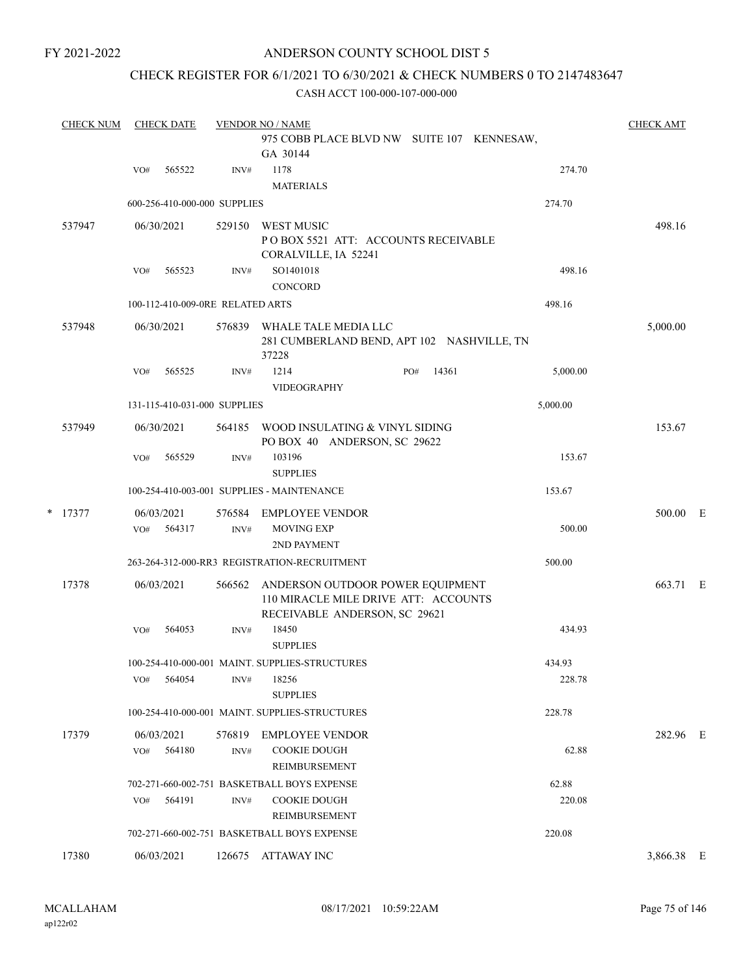# ANDERSON COUNTY SCHOOL DIST 5

# CHECK REGISTER FOR 6/1/2021 TO 6/30/2021 & CHECK NUMBERS 0 TO 2147483647

|   | <b>CHECK NUM</b> | <b>CHECK DATE</b>                |                | <b>VENDOR NO / NAME</b>                                                                                   |       |                 | <b>CHECK AMT</b> |  |
|---|------------------|----------------------------------|----------------|-----------------------------------------------------------------------------------------------------------|-------|-----------------|------------------|--|
|   |                  |                                  |                | 975 COBB PLACE BLVD NW SUITE 107 KENNESAW,<br>GA 30144                                                    |       |                 |                  |  |
|   |                  | 565522<br>VO#                    | INV#           | 1178<br><b>MATERIALS</b>                                                                                  |       | 274.70          |                  |  |
|   |                  | 600-256-410-000-000 SUPPLIES     |                |                                                                                                           |       | 274.70          |                  |  |
|   | 537947           | 06/30/2021                       | 529150         | <b>WEST MUSIC</b><br>PO BOX 5521 ATT: ACCOUNTS RECEIVABLE<br>CORALVILLE, IA 52241                         |       |                 | 498.16           |  |
|   |                  | 565523<br>VO#                    | INV#           | SO1401018<br><b>CONCORD</b>                                                                               |       | 498.16          |                  |  |
|   |                  | 100-112-410-009-0RE RELATED ARTS |                |                                                                                                           |       | 498.16          |                  |  |
|   | 537948           | 06/30/2021                       |                | 576839 WHALE TALE MEDIA LLC<br>281 CUMBERLAND BEND, APT 102 NASHVILLE, TN<br>37228                        |       |                 | 5,000.00         |  |
|   |                  | 565525<br>VO#                    | INV#           | 1214<br>PO#<br><b>VIDEOGRAPHY</b>                                                                         | 14361 | 5,000.00        |                  |  |
|   |                  | 131-115-410-031-000 SUPPLIES     |                |                                                                                                           |       | 5,000.00        |                  |  |
|   | 537949           | 06/30/2021                       | 564185         | WOOD INSULATING & VINYL SIDING<br>PO BOX 40 ANDERSON, SC 29622                                            |       |                 | 153.67           |  |
|   |                  | 565529<br>VO#                    | INV#           | 103196<br><b>SUPPLIES</b>                                                                                 |       | 153.67          |                  |  |
|   |                  |                                  |                | 100-254-410-003-001 SUPPLIES - MAINTENANCE                                                                |       | 153.67          |                  |  |
| * | 17377            | 06/03/2021<br>564317<br>VO#      | 576584<br>INV# | <b>EMPLOYEE VENDOR</b><br>MOVING EXP<br>2ND PAYMENT                                                       |       | 500.00          | 500.00 E         |  |
|   |                  |                                  |                | 263-264-312-000-RR3 REGISTRATION-RECRUITMENT                                                              |       | 500.00          |                  |  |
|   | 17378            | 06/03/2021                       | 566562         | ANDERSON OUTDOOR POWER EQUIPMENT<br>110 MIRACLE MILE DRIVE ATT: ACCOUNTS<br>RECEIVABLE ANDERSON, SC 29621 |       |                 | 663.71 E         |  |
|   |                  | 564053<br>VO#                    | INV#           | 18450<br><b>SUPPLIES</b>                                                                                  |       | 434.93          |                  |  |
|   |                  |                                  |                | 100-254-410-000-001 MAINT. SUPPLIES-STRUCTURES                                                            |       | 434.93          |                  |  |
|   |                  | 564054<br>VO#                    | INV#           | 18256<br><b>SUPPLIES</b>                                                                                  |       | 228.78          |                  |  |
|   |                  |                                  |                | 100-254-410-000-001 MAINT. SUPPLIES-STRUCTURES                                                            |       | 228.78          |                  |  |
|   | 17379            | 06/03/2021<br>564180<br>VO#      | 576819<br>INV# | <b>EMPLOYEE VENDOR</b><br><b>COOKIE DOUGH</b><br>REIMBURSEMENT                                            |       | 62.88           | 282.96 E         |  |
|   |                  | 564191<br>VO#                    | INV#           | 702-271-660-002-751 BASKETBALL BOYS EXPENSE<br><b>COOKIE DOUGH</b><br>REIMBURSEMENT                       |       | 62.88<br>220.08 |                  |  |
|   |                  |                                  |                | 702-271-660-002-751 BASKETBALL BOYS EXPENSE                                                               |       | 220.08          |                  |  |
|   | 17380            | 06/03/2021                       |                | 126675 ATTAWAY INC                                                                                        |       |                 | 3,866.38 E       |  |
|   |                  |                                  |                |                                                                                                           |       |                 |                  |  |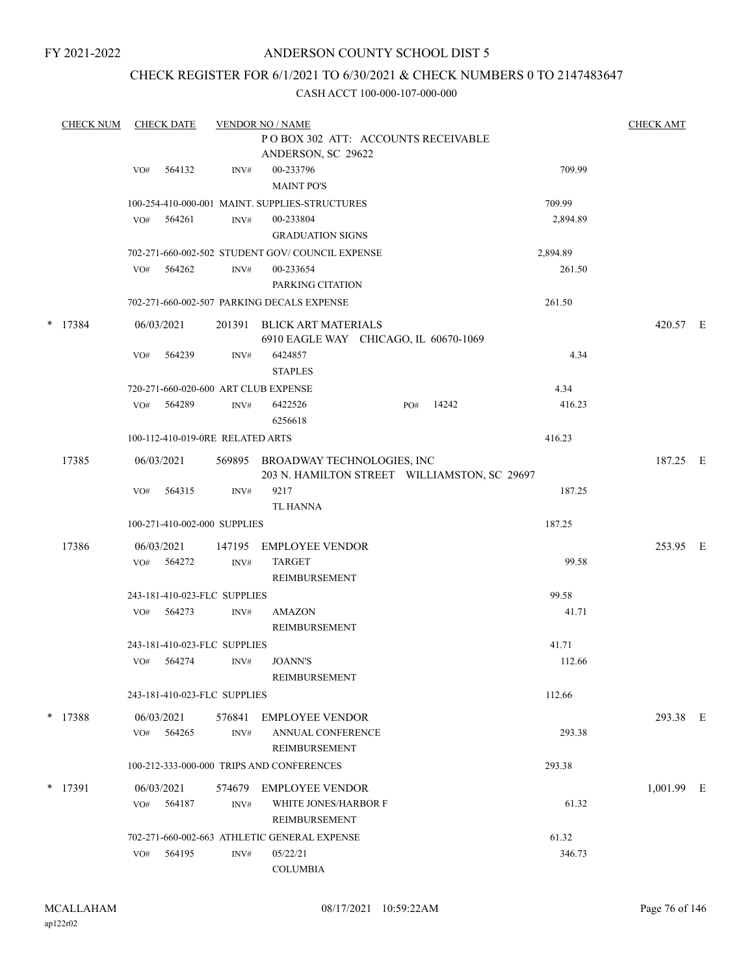## ANDERSON COUNTY SCHOOL DIST 5

## CHECK REGISTER FOR 6/1/2021 TO 6/30/2021 & CHECK NUMBERS 0 TO 2147483647

| <b>CHECK NUM</b> |     | <b>CHECK DATE</b> |                                  | <b>VENDOR NO / NAME</b>                                                           |     |       |          | <b>CHECK AMT</b> |  |
|------------------|-----|-------------------|----------------------------------|-----------------------------------------------------------------------------------|-----|-------|----------|------------------|--|
|                  |     |                   |                                  | POBOX 302 ATT: ACCOUNTS RECEIVABLE<br>ANDERSON, SC 29622                          |     |       |          |                  |  |
|                  | VO# | 564132            | INV#                             | 00-233796<br><b>MAINT PO'S</b>                                                    |     |       | 709.99   |                  |  |
|                  |     |                   |                                  | 100-254-410-000-001 MAINT. SUPPLIES-STRUCTURES                                    |     |       | 709.99   |                  |  |
|                  | VO# | 564261            | INV#                             | 00-233804<br><b>GRADUATION SIGNS</b>                                              |     |       | 2,894.89 |                  |  |
|                  |     |                   |                                  | 702-271-660-002-502 STUDENT GOV/COUNCIL EXPENSE                                   |     |       | 2,894.89 |                  |  |
|                  | VO# | 564262            | INV#                             | 00-233654<br>PARKING CITATION                                                     |     |       | 261.50   |                  |  |
|                  |     |                   |                                  | 702-271-660-002-507 PARKING DECALS EXPENSE                                        |     |       | 261.50   |                  |  |
| $*$ 17384        |     | 06/03/2021        | 201391                           | BLICK ART MATERIALS<br>6910 EAGLE WAY CHICAGO, IL 60670-1069                      |     |       |          | 420.57 E         |  |
|                  | VO# | 564239            | INV#                             | 6424857<br><b>STAPLES</b>                                                         |     |       | 4.34     |                  |  |
|                  |     |                   |                                  | 720-271-660-020-600 ART CLUB EXPENSE                                              |     |       | 4.34     |                  |  |
|                  | VO# | 564289            | INV#                             | 6422526<br>6256618                                                                | PO# | 14242 | 416.23   |                  |  |
|                  |     |                   | 100-112-410-019-0RE RELATED ARTS |                                                                                   |     |       | 416.23   |                  |  |
| 17385            |     | 06/03/2021        |                                  | 569895 BROADWAY TECHNOLOGIES, INC<br>203 N. HAMILTON STREET WILLIAMSTON, SC 29697 |     |       |          | 187.25 E         |  |
|                  | VO# | 564315            | INV#                             | 9217<br><b>TL HANNA</b>                                                           |     |       | 187.25   |                  |  |
|                  |     |                   | 100-271-410-002-000 SUPPLIES     |                                                                                   |     |       | 187.25   |                  |  |
| 17386            |     | 06/03/2021        | 147195                           | <b>EMPLOYEE VENDOR</b>                                                            |     |       |          | 253.95 E         |  |
|                  | VO# | 564272            | INV#                             | <b>TARGET</b><br>REIMBURSEMENT                                                    |     |       | 99.58    |                  |  |
|                  |     |                   | 243-181-410-023-FLC SUPPLIES     |                                                                                   |     |       | 99.58    |                  |  |
|                  | VO# | 564273            | INV#                             | <b>AMAZON</b><br>REIMBURSEMENT                                                    |     |       | 41.71    |                  |  |
|                  |     |                   | 243-181-410-023-FLC SUPPLIES     |                                                                                   |     |       | 41.71    |                  |  |
|                  | VO# | 564274            | INV#                             | <b>JOANN'S</b><br>REIMBURSEMENT                                                   |     |       | 112.66   |                  |  |
|                  |     |                   | 243-181-410-023-FLC SUPPLIES     |                                                                                   |     |       | 112.66   |                  |  |
| * 17388          |     | 06/03/2021        | 576841                           | <b>EMPLOYEE VENDOR</b>                                                            |     |       |          | 293.38 E         |  |
|                  | VO# | 564265            | INV#                             | ANNUAL CONFERENCE<br>REIMBURSEMENT                                                |     |       | 293.38   |                  |  |
|                  |     |                   |                                  | 100-212-333-000-000 TRIPS AND CONFERENCES                                         |     |       | 293.38   |                  |  |
| * 17391          |     | 06/03/2021        | 574679                           | EMPLOYEE VENDOR                                                                   |     |       |          | $1,001.99$ E     |  |
|                  | VO# | 564187            | INV#                             | WHITE JONES/HARBOR F<br>REIMBURSEMENT                                             |     |       | 61.32    |                  |  |
|                  |     |                   |                                  | 702-271-660-002-663 ATHLETIC GENERAL EXPENSE                                      |     |       | 61.32    |                  |  |
|                  | VO# | 564195            | INV#                             | 05/22/21<br><b>COLUMBIA</b>                                                       |     |       | 346.73   |                  |  |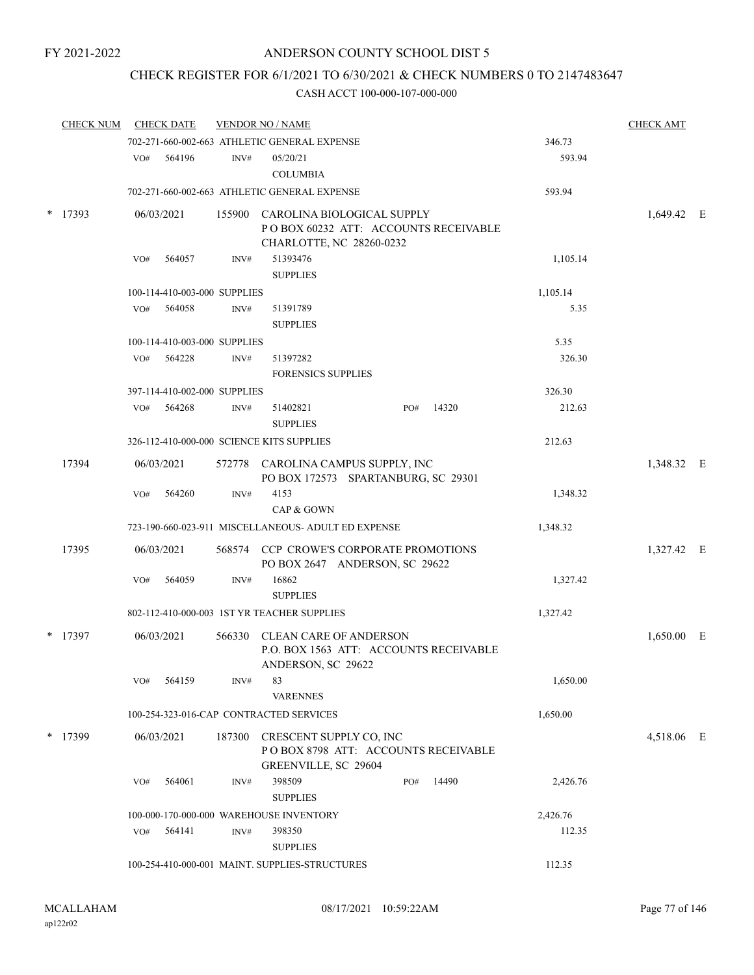## CHECK REGISTER FOR 6/1/2021 TO 6/30/2021 & CHECK NUMBERS 0 TO 2147483647

|        | <b>CHECK NUM</b> |            | <b>CHECK DATE</b>            |                                                                           | <b>VENDOR NO / NAME</b>                                                   |     |       |            | <b>CHECK AMT</b> |  |
|--------|------------------|------------|------------------------------|---------------------------------------------------------------------------|---------------------------------------------------------------------------|-----|-------|------------|------------------|--|
|        |                  |            |                              |                                                                           | 702-271-660-002-663 ATHLETIC GENERAL EXPENSE                              |     |       | 346.73     |                  |  |
|        |                  | VO#        | 564196                       | INV#                                                                      | 05/20/21                                                                  |     |       | 593.94     |                  |  |
|        |                  |            |                              |                                                                           | <b>COLUMBIA</b>                                                           |     |       |            |                  |  |
|        |                  |            |                              |                                                                           | 702-271-660-002-663 ATHLETIC GENERAL EXPENSE                              |     |       | 593.94     |                  |  |
| $\ast$ | 17393            |            | 06/03/2021                   |                                                                           | 155900 CAROLINA BIOLOGICAL SUPPLY                                         |     |       |            | 1,649.42 E       |  |
|        |                  |            |                              |                                                                           | POBOX 60232 ATT: ACCOUNTS RECEIVABLE                                      |     |       |            |                  |  |
|        |                  |            |                              |                                                                           | CHARLOTTE, NC 28260-0232                                                  |     |       |            |                  |  |
|        |                  | VO#        | 564057                       | INV#                                                                      | 51393476                                                                  |     |       | 1,105.14   |                  |  |
|        |                  |            |                              |                                                                           | <b>SUPPLIES</b>                                                           |     |       |            |                  |  |
|        |                  |            | 100-114-410-003-000 SUPPLIES |                                                                           |                                                                           |     |       | 1,105.14   |                  |  |
|        |                  | VO#        | 564058                       | INV#                                                                      | 51391789                                                                  |     |       | 5.35       |                  |  |
|        |                  |            |                              |                                                                           | <b>SUPPLIES</b>                                                           |     |       |            |                  |  |
|        |                  |            | 100-114-410-003-000 SUPPLIES |                                                                           |                                                                           |     |       | 5.35       |                  |  |
|        |                  | VO#        | 564228                       | INV#                                                                      | 51397282                                                                  |     |       | 326.30     |                  |  |
|        |                  |            |                              |                                                                           | <b>FORENSICS SUPPLIES</b>                                                 |     |       |            |                  |  |
|        |                  |            | 397-114-410-002-000 SUPPLIES |                                                                           |                                                                           |     |       | 326.30     |                  |  |
|        |                  | VO#        | 564268                       | INV#                                                                      | 51402821                                                                  | PO# | 14320 | 212.63     |                  |  |
|        |                  |            |                              |                                                                           | <b>SUPPLIES</b>                                                           |     |       |            |                  |  |
|        |                  |            |                              |                                                                           | 326-112-410-000-000 SCIENCE KITS SUPPLIES                                 |     |       | 212.63     |                  |  |
| 17394  |                  | 06/03/2021 |                              | 572778 CAROLINA CAMPUS SUPPLY, INC<br>PO BOX 172573 SPARTANBURG, SC 29301 |                                                                           |     |       | 1,348.32 E |                  |  |
|        |                  | VO#        | 564260                       | INV#                                                                      | 4153                                                                      |     |       | 1,348.32   |                  |  |
|        |                  |            |                              |                                                                           | CAP & GOWN                                                                |     |       |            |                  |  |
|        |                  |            |                              |                                                                           | 723-190-660-023-911 MISCELLANEOUS- ADULT ED EXPENSE                       |     |       | 1,348.32   |                  |  |
|        | 17395            |            | 06/03/2021                   |                                                                           | 568574 CCP CROWE'S CORPORATE PROMOTIONS<br>PO BOX 2647 ANDERSON, SC 29622 |     |       |            | 1,327.42 E       |  |
|        |                  | VO#        | 564059                       | INV#                                                                      | 16862                                                                     |     |       | 1,327.42   |                  |  |
|        |                  |            |                              |                                                                           | <b>SUPPLIES</b>                                                           |     |       |            |                  |  |
|        |                  |            |                              |                                                                           | 802-112-410-000-003 1ST YR TEACHER SUPPLIES                               |     |       | 1,327.42   |                  |  |
|        | $*$ 17397        |            | 06/03/2021                   |                                                                           | 566330 CLEAN CARE OF ANDERSON                                             |     |       |            | 1,650.00 E       |  |
|        |                  |            |                              |                                                                           | P.O. BOX 1563 ATT: ACCOUNTS RECEIVABLE<br>ANDERSON, SC 29622              |     |       |            |                  |  |
|        |                  | VO#        | 564159                       | INV#                                                                      | 83<br><b>VARENNES</b>                                                     |     |       | 1,650.00   |                  |  |
|        |                  |            |                              |                                                                           | 100-254-323-016-CAP CONTRACTED SERVICES                                   |     |       | 1,650.00   |                  |  |
| $\ast$ | 17399            |            | 06/03/2021                   | 187300                                                                    | CRESCENT SUPPLY CO, INC                                                   |     |       |            | 4,518.06 E       |  |
|        |                  |            |                              |                                                                           | POBOX 8798 ATT: ACCOUNTS RECEIVABLE<br>GREENVILLE, SC 29604               |     |       |            |                  |  |
|        |                  | VO#        | 564061                       | INV#                                                                      | 398509                                                                    | PO# | 14490 | 2,426.76   |                  |  |
|        |                  |            |                              |                                                                           | <b>SUPPLIES</b>                                                           |     |       |            |                  |  |
|        |                  |            |                              |                                                                           | 100-000-170-000-000 WAREHOUSE INVENTORY                                   |     |       | 2,426.76   |                  |  |
|        |                  | VO#        | 564141                       | INV#                                                                      | 398350                                                                    |     |       | 112.35     |                  |  |
|        |                  |            |                              |                                                                           | <b>SUPPLIES</b>                                                           |     |       |            |                  |  |
|        |                  |            |                              |                                                                           | 100-254-410-000-001 MAINT. SUPPLIES-STRUCTURES                            |     |       | 112.35     |                  |  |
|        |                  |            |                              |                                                                           |                                                                           |     |       |            |                  |  |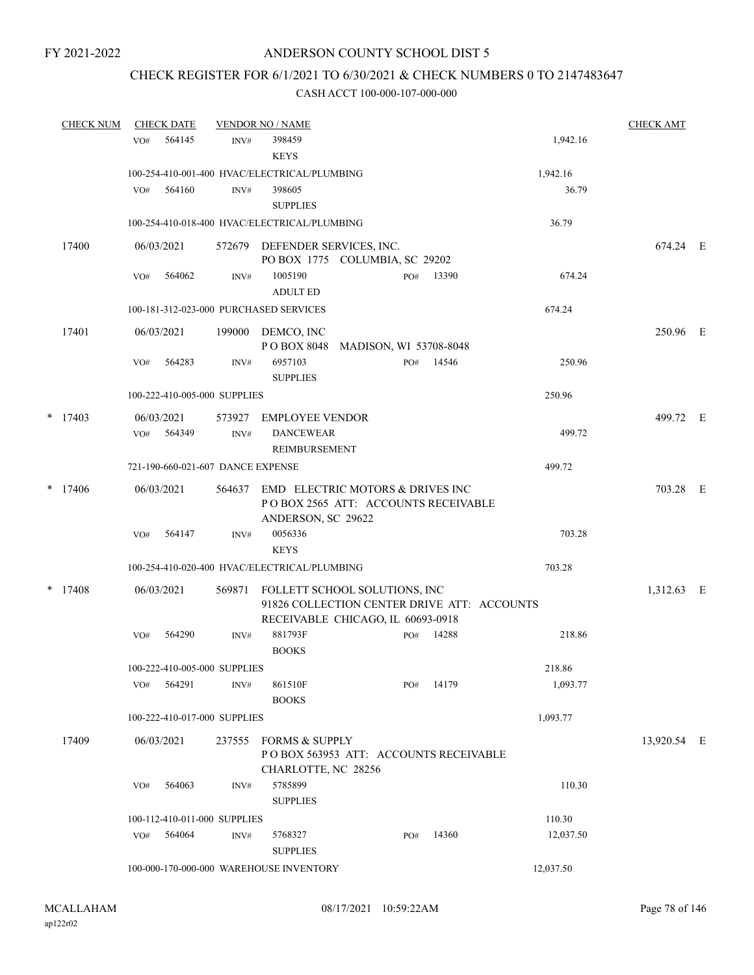# CHECK REGISTER FOR 6/1/2021 TO 6/30/2021 & CHECK NUMBERS 0 TO 2147483647

|   | <b>CHECK NUM</b> |     | <b>CHECK DATE</b>    |                                   | <b>VENDOR NO / NAME</b>                                                                                           |                        |     |       |           | <b>CHECK AMT</b> |  |
|---|------------------|-----|----------------------|-----------------------------------|-------------------------------------------------------------------------------------------------------------------|------------------------|-----|-------|-----------|------------------|--|
|   |                  | VO# | 564145               | INV#                              | 398459<br><b>KEYS</b>                                                                                             |                        |     |       | 1,942.16  |                  |  |
|   |                  |     |                      |                                   | 100-254-410-001-400 HVAC/ELECTRICAL/PLUMBING                                                                      |                        |     |       | 1,942.16  |                  |  |
|   |                  | VO# | 564160               | INV#                              | 398605<br><b>SUPPLIES</b>                                                                                         |                        |     |       | 36.79     |                  |  |
|   |                  |     |                      |                                   | 100-254-410-018-400 HVAC/ELECTRICAL/PLUMBING                                                                      |                        |     |       | 36.79     |                  |  |
|   | 17400            |     | 06/03/2021           |                                   | 572679 DEFENDER SERVICES, INC.<br>PO BOX 1775 COLUMBIA, SC 29202                                                  |                        |     |       |           | 674.24 E         |  |
|   |                  | VO# | 564062               | INV#                              | 1005190<br><b>ADULT ED</b>                                                                                        |                        | PO# | 13390 | 674.24    |                  |  |
|   |                  |     |                      |                                   | 100-181-312-023-000 PURCHASED SERVICES                                                                            |                        |     |       | 674.24    |                  |  |
|   | 17401            |     | 06/03/2021           | 199000                            | DEMCO, INC<br>PO BOX 8048                                                                                         | MADISON, WI 53708-8048 |     |       |           | 250.96 E         |  |
|   |                  | VO# | 564283               | INV#                              | 6957103<br><b>SUPPLIES</b>                                                                                        |                        | PO# | 14546 | 250.96    |                  |  |
|   |                  |     |                      | 100-222-410-005-000 SUPPLIES      |                                                                                                                   |                        |     |       | 250.96    |                  |  |
|   | $*$ 17403        | VO# | 06/03/2021<br>564349 | INV#                              | 573927 EMPLOYEE VENDOR<br><b>DANCEWEAR</b>                                                                        |                        |     |       | 499.72    | 499.72 E         |  |
|   |                  |     |                      |                                   | REIMBURSEMENT                                                                                                     |                        |     |       |           |                  |  |
|   |                  |     |                      | 721-190-660-021-607 DANCE EXPENSE |                                                                                                                   |                        |     |       | 499.72    |                  |  |
|   | $*$ 17406        |     | 06/03/2021           | 564637                            | EMD ELECTRIC MOTORS & DRIVES INC<br>POBOX 2565 ATT: ACCOUNTS RECEIVABLE<br>ANDERSON, SC 29622                     |                        |     |       |           | 703.28 E         |  |
|   |                  | VO# | 564147               | INV#                              | 0056336<br><b>KEYS</b>                                                                                            |                        |     |       | 703.28    |                  |  |
|   |                  |     |                      |                                   | 100-254-410-020-400 HVAC/ELECTRICAL/PLUMBING                                                                      |                        |     |       | 703.28    |                  |  |
| * | 17408            |     | 06/03/2021           | 569871                            | FOLLETT SCHOOL SOLUTIONS, INC<br>91826 COLLECTION CENTER DRIVE ATT: ACCOUNTS<br>RECEIVABLE CHICAGO, IL 60693-0918 |                        |     |       |           | 1,312.63 E       |  |
|   |                  | VO# | 564290               | INV#                              | 881793F<br><b>BOOKS</b>                                                                                           |                        | PO# | 14288 | 218.86    |                  |  |
|   |                  |     |                      | 100-222-410-005-000 SUPPLIES      |                                                                                                                   |                        |     |       | 218.86    |                  |  |
|   |                  |     | VO# 564291           | INV#                              | 861510F<br><b>BOOKS</b>                                                                                           |                        | PO# | 14179 | 1,093.77  |                  |  |
|   |                  |     |                      | 100-222-410-017-000 SUPPLIES      |                                                                                                                   |                        |     |       | 1,093.77  |                  |  |
|   | 17409            |     | 06/03/2021           | 237555                            | <b>FORMS &amp; SUPPLY</b><br>POBOX 563953 ATT: ACCOUNTS RECEIVABLE<br>CHARLOTTE, NC 28256                         |                        |     |       |           | 13,920.54 E      |  |
|   |                  | VO# | 564063               | INV#                              | 5785899<br><b>SUPPLIES</b>                                                                                        |                        |     |       | 110.30    |                  |  |
|   |                  |     |                      | 100-112-410-011-000 SUPPLIES      |                                                                                                                   |                        |     |       | 110.30    |                  |  |
|   |                  |     | VO# 564064           | INV#                              | 5768327<br><b>SUPPLIES</b>                                                                                        |                        | PO# | 14360 | 12,037.50 |                  |  |
|   |                  |     |                      |                                   | 100-000-170-000-000 WAREHOUSE INVENTORY                                                                           |                        |     |       | 12,037.50 |                  |  |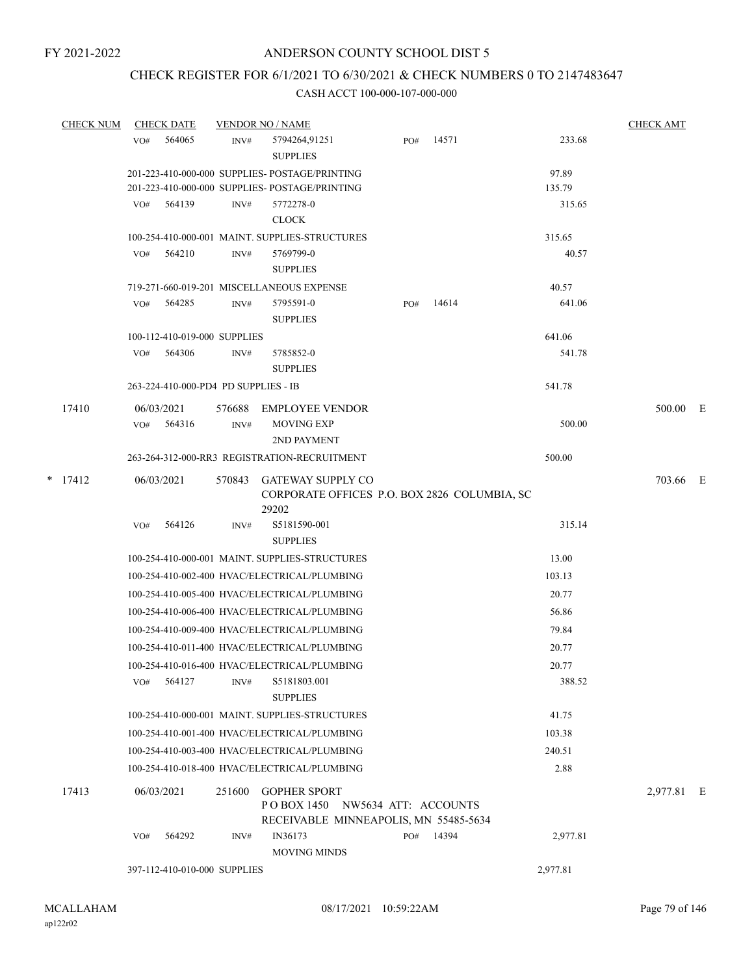# CHECK REGISTER FOR 6/1/2021 TO 6/30/2021 & CHECK NUMBERS 0 TO 2147483647

|  | <b>CHECK NUM</b> |                   | <b>CHECK DATE</b>                    |                | <b>VENDOR NO / NAME</b>                                                                         |     |       |          | <b>CHECK AMT</b> |  |
|--|------------------|-------------------|--------------------------------------|----------------|-------------------------------------------------------------------------------------------------|-----|-------|----------|------------------|--|
|  |                  | VO#               | 564065                               | INV#           | 5794264,91251<br><b>SUPPLIES</b>                                                                | PO# | 14571 | 233.68   |                  |  |
|  |                  |                   |                                      |                | 201-223-410-000-000 SUPPLIES- POSTAGE/PRINTING                                                  |     |       | 97.89    |                  |  |
|  |                  |                   |                                      |                | 201-223-410-000-000 SUPPLIES- POSTAGE/PRINTING                                                  |     |       | 135.79   |                  |  |
|  |                  |                   | $VO#$ 564139                         | INV#           | 5772278-0<br><b>CLOCK</b>                                                                       |     |       | 315.65   |                  |  |
|  |                  |                   |                                      |                | 100-254-410-000-001 MAINT. SUPPLIES-STRUCTURES                                                  |     |       | 315.65   |                  |  |
|  |                  | VO#               | 564210                               | INV#           | 5769799-0<br><b>SUPPLIES</b>                                                                    |     |       | 40.57    |                  |  |
|  |                  |                   |                                      |                | 719-271-660-019-201 MISCELLANEOUS EXPENSE                                                       |     |       | 40.57    |                  |  |
|  |                  | VO#               | 564285                               | INV#           | 5795591-0<br><b>SUPPLIES</b>                                                                    | PO# | 14614 | 641.06   |                  |  |
|  |                  |                   | 100-112-410-019-000 SUPPLIES         |                |                                                                                                 |     |       | 641.06   |                  |  |
|  |                  | VO#               | 564306                               | INV#           | 5785852-0<br><b>SUPPLIES</b>                                                                    |     |       | 541.78   |                  |  |
|  |                  |                   | 263-224-410-000-PD4 PD SUPPLIES - IB |                |                                                                                                 |     |       | 541.78   |                  |  |
|  | 17410            | 06/03/2021<br>VO# | 564316                               | 576688<br>INV# | EMPLOYEE VENDOR<br><b>MOVING EXP</b>                                                            |     |       | 500.00   | 500.00 E         |  |
|  |                  |                   |                                      |                | 2ND PAYMENT                                                                                     |     |       |          |                  |  |
|  |                  |                   |                                      |                | 263-264-312-000-RR3 REGISTRATION-RECRUITMENT                                                    |     |       | 500.00   |                  |  |
|  | $*$ 17412        | 06/03/2021        |                                      | 570843         | <b>GATEWAY SUPPLY CO</b><br>CORPORATE OFFICES P.O. BOX 2826 COLUMBIA, SC<br>29202               |     |       |          | 703.66 E         |  |
|  |                  | VO#               | 564126                               | INV#           | S5181590-001<br><b>SUPPLIES</b>                                                                 |     |       | 315.14   |                  |  |
|  |                  |                   |                                      |                | 100-254-410-000-001 MAINT. SUPPLIES-STRUCTURES                                                  |     |       | 13.00    |                  |  |
|  |                  |                   |                                      |                | 100-254-410-002-400 HVAC/ELECTRICAL/PLUMBING                                                    |     |       | 103.13   |                  |  |
|  |                  |                   |                                      |                | 100-254-410-005-400 HVAC/ELECTRICAL/PLUMBING                                                    |     |       | 20.77    |                  |  |
|  |                  |                   |                                      |                | 100-254-410-006-400 HVAC/ELECTRICAL/PLUMBING                                                    |     |       | 56.86    |                  |  |
|  |                  |                   |                                      |                | 100-254-410-009-400 HVAC/ELECTRICAL/PLUMBING                                                    |     |       | 79.84    |                  |  |
|  |                  |                   |                                      |                | 100-254-410-011-400 HVAC/ELECTRICAL/PLUMBING                                                    |     |       | 20.77    |                  |  |
|  |                  |                   |                                      |                | 100-254-410-016-400 HVAC/ELECTRICAL/PLUMBING                                                    |     |       | 20.77    |                  |  |
|  |                  | VO#               | 564127                               | INV#           | S5181803.001<br><b>SUPPLIES</b>                                                                 |     |       | 388.52   |                  |  |
|  |                  |                   |                                      |                | 100-254-410-000-001 MAINT. SUPPLIES-STRUCTURES                                                  |     |       | 41.75    |                  |  |
|  |                  |                   |                                      |                | 100-254-410-001-400 HVAC/ELECTRICAL/PLUMBING                                                    |     |       | 103.38   |                  |  |
|  |                  |                   |                                      |                | 100-254-410-003-400 HVAC/ELECTRICAL/PLUMBING                                                    |     |       | 240.51   |                  |  |
|  |                  |                   |                                      |                | 100-254-410-018-400 HVAC/ELECTRICAL/PLUMBING                                                    |     |       | 2.88     |                  |  |
|  | 17413            | 06/03/2021        |                                      | 251600         | <b>GOPHER SPORT</b><br>POBOX 1450 NW5634 ATT: ACCOUNTS<br>RECEIVABLE MINNEAPOLIS, MN 55485-5634 |     |       |          | 2,977.81 E       |  |
|  |                  | VO#               | 564292                               | INV#           | IN36173<br><b>MOVING MINDS</b>                                                                  | PO# | 14394 | 2,977.81 |                  |  |
|  |                  |                   | 397-112-410-010-000 SUPPLIES         |                |                                                                                                 |     |       | 2,977.81 |                  |  |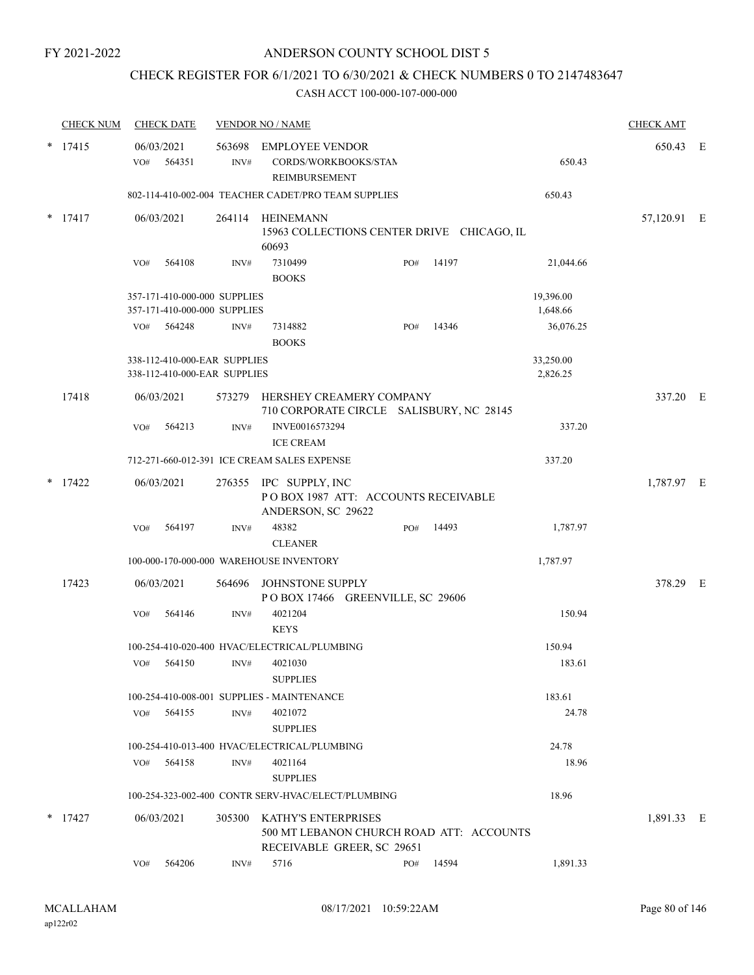# CHECK REGISTER FOR 6/1/2021 TO 6/30/2021 & CHECK NUMBERS 0 TO 2147483647

|           | <b>CHECK NUM</b> |                                                              | <b>CHECK DATE</b>                                            |        | <b>VENDOR NO / NAME</b>                                                                              |     |                       |                       | <b>CHECK AMT</b> |  |
|-----------|------------------|--------------------------------------------------------------|--------------------------------------------------------------|--------|------------------------------------------------------------------------------------------------------|-----|-----------------------|-----------------------|------------------|--|
| *         | 17415            | 06/03/2021<br>VO#                                            | 564351                                                       | INV#   | 563698 EMPLOYEE VENDOR<br>CORDS/WORKBOOKS/STAN<br><b>REIMBURSEMENT</b>                               |     |                       | 650.43                | 650.43 E         |  |
|           |                  |                                                              |                                                              |        | 802-114-410-002-004 TEACHER CADET/PRO TEAM SUPPLIES                                                  |     |                       | 650.43                |                  |  |
| $*$ 17417 |                  | 06/03/2021                                                   |                                                              |        | 264114 HEINEMANN<br>15963 COLLECTIONS CENTER DRIVE CHICAGO, IL<br>60693                              |     |                       |                       | 57,120.91 E      |  |
|           |                  | VO#                                                          | 564108                                                       | INV#   | 7310499<br><b>BOOKS</b>                                                                              | PO# | 14197                 | 21,044.66             |                  |  |
|           |                  | 357-171-410-000-000 SUPPLIES<br>357-171-410-000-000 SUPPLIES |                                                              |        |                                                                                                      |     | 19,396.00<br>1,648.66 |                       |                  |  |
|           |                  | VO#                                                          | 564248                                                       | INV#   | 7314882<br><b>BOOKS</b>                                                                              | PO# | 14346                 | 36,076.25             |                  |  |
|           |                  |                                                              | 338-112-410-000-EAR SUPPLIES<br>338-112-410-000-EAR SUPPLIES |        |                                                                                                      |     |                       | 33,250.00<br>2,826.25 |                  |  |
|           | 17418            | 06/03/2021                                                   |                                                              | 573279 | HERSHEY CREAMERY COMPANY<br>710 CORPORATE CIRCLE SALISBURY, NC 28145                                 |     |                       |                       | 337.20 E         |  |
|           |                  | VO#                                                          | 564213                                                       | INV#   | INVE0016573294<br><b>ICE CREAM</b>                                                                   |     |                       | 337.20                |                  |  |
|           |                  |                                                              |                                                              |        | 712-271-660-012-391 ICE CREAM SALES EXPENSE                                                          |     |                       | 337.20                |                  |  |
| *         | 17422            | 06/03/2021                                                   |                                                              |        | 276355 IPC SUPPLY, INC<br>POBOX 1987 ATT: ACCOUNTS RECEIVABLE<br>ANDERSON, SC 29622                  |     |                       |                       | 1,787.97 E       |  |
|           |                  | VO#                                                          | 564197                                                       | INV#   | 48382<br><b>CLEANER</b>                                                                              | PO# | 14493                 | 1,787.97              |                  |  |
|           |                  |                                                              |                                                              |        | 100-000-170-000-000 WAREHOUSE INVENTORY                                                              |     |                       | 1,787.97              |                  |  |
|           | 17423            | 06/03/2021                                                   |                                                              | 564696 | JOHNSTONE SUPPLY<br>POBOX 17466 GREENVILLE, SC 29606                                                 |     |                       |                       | 378.29 E         |  |
|           |                  | VO#                                                          | 564146                                                       | INV#   | 4021204<br><b>KEYS</b>                                                                               |     |                       | 150.94                |                  |  |
|           |                  |                                                              |                                                              |        | 100-254-410-020-400 HVAC/ELECTRICAL/PLUMBING                                                         |     |                       | 150.94                |                  |  |
|           |                  | VO#                                                          | 564150                                                       | INV#   | 4021030<br><b>SUPPLIES</b>                                                                           |     |                       | 183.61                |                  |  |
|           |                  |                                                              |                                                              |        | 100-254-410-008-001 SUPPLIES - MAINTENANCE                                                           |     |                       | 183.61                |                  |  |
|           |                  | VO#                                                          | 564155                                                       | INV#   | 4021072<br><b>SUPPLIES</b>                                                                           |     |                       | 24.78                 |                  |  |
|           |                  |                                                              |                                                              |        | 100-254-410-013-400 HVAC/ELECTRICAL/PLUMBING                                                         |     |                       | 24.78                 |                  |  |
|           |                  | VO#                                                          | 564158                                                       | INV#   | 4021164<br><b>SUPPLIES</b>                                                                           |     |                       | 18.96                 |                  |  |
|           |                  |                                                              |                                                              |        | 100-254-323-002-400 CONTR SERV-HVAC/ELECT/PLUMBING                                                   |     |                       | 18.96                 |                  |  |
|           | $*$ 17427        | 06/03/2021                                                   |                                                              |        | 305300 KATHY'S ENTERPRISES<br>500 MT LEBANON CHURCH ROAD ATT: ACCOUNTS<br>RECEIVABLE GREER, SC 29651 |     |                       |                       | 1,891.33 E       |  |
|           |                  | VO#                                                          | 564206                                                       | INV#   | 5716                                                                                                 | PO# | 14594                 | 1,891.33              |                  |  |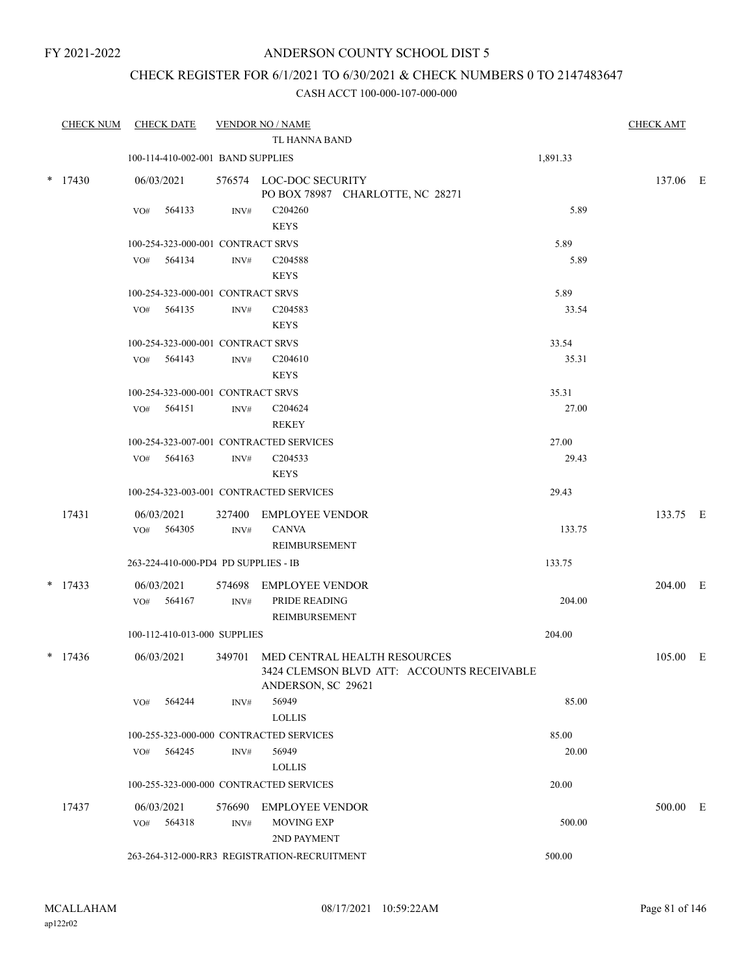## CHECK REGISTER FOR 6/1/2021 TO 6/30/2021 & CHECK NUMBERS 0 TO 2147483647

| <b>CHECK NUM</b> | <b>CHECK DATE</b>                    |        | <b>VENDOR NO / NAME</b>                                                                                 |          | <b>CHECK AMT</b> |  |
|------------------|--------------------------------------|--------|---------------------------------------------------------------------------------------------------------|----------|------------------|--|
|                  |                                      |        | <b>TL HANNA BAND</b>                                                                                    |          |                  |  |
|                  | 100-114-410-002-001 BAND SUPPLIES    |        |                                                                                                         | 1,891.33 |                  |  |
| $*$ 17430        | 06/03/2021                           |        | 576574 LOC-DOC SECURITY<br>PO BOX 78987 CHARLOTTE, NC 28271                                             |          | 137.06 E         |  |
|                  | 564133<br>VO#                        | INV#   | C204260                                                                                                 | 5.89     |                  |  |
|                  |                                      |        | <b>KEYS</b>                                                                                             |          |                  |  |
|                  | 100-254-323-000-001 CONTRACT SRVS    |        |                                                                                                         | 5.89     |                  |  |
|                  | VO# 564134                           | INV#   | C <sub>204588</sub>                                                                                     | 5.89     |                  |  |
|                  |                                      |        | <b>KEYS</b>                                                                                             |          |                  |  |
|                  | 100-254-323-000-001 CONTRACT SRVS    |        |                                                                                                         | 5.89     |                  |  |
|                  | VO# 564135                           | INV#   | C <sub>204583</sub><br><b>KEYS</b>                                                                      | 33.54    |                  |  |
|                  | 100-254-323-000-001 CONTRACT SRVS    |        |                                                                                                         | 33.54    |                  |  |
|                  | VO# 564143                           | INV#   | C <sub>204610</sub>                                                                                     | 35.31    |                  |  |
|                  |                                      |        | <b>KEYS</b>                                                                                             |          |                  |  |
|                  | 100-254-323-000-001 CONTRACT SRVS    |        |                                                                                                         | 35.31    |                  |  |
|                  | VO# 564151                           | INV#   | C204624                                                                                                 | 27.00    |                  |  |
|                  |                                      |        | <b>REKEY</b>                                                                                            |          |                  |  |
|                  |                                      |        | 100-254-323-007-001 CONTRACTED SERVICES                                                                 | 27.00    |                  |  |
|                  | VO# 564163                           | INV#   | C <sub>204533</sub>                                                                                     | 29.43    |                  |  |
|                  |                                      |        | <b>KEYS</b>                                                                                             |          |                  |  |
|                  |                                      |        | 100-254-323-003-001 CONTRACTED SERVICES                                                                 | 29.43    |                  |  |
| 17431            | 06/03/2021                           | 327400 | <b>EMPLOYEE VENDOR</b>                                                                                  |          | 133.75 E         |  |
|                  | VO# 564305                           | INV#   | <b>CANVA</b>                                                                                            | 133.75   |                  |  |
|                  |                                      |        | REIMBURSEMENT                                                                                           |          |                  |  |
|                  | 263-224-410-000-PD4 PD SUPPLIES - IB |        |                                                                                                         | 133.75   |                  |  |
| $*$ 17433        | 06/03/2021                           | 574698 | EMPLOYEE VENDOR                                                                                         |          | 204.00 E         |  |
|                  | VO# 564167                           | INV#   | PRIDE READING                                                                                           | 204.00   |                  |  |
|                  |                                      |        | REIMBURSEMENT                                                                                           |          |                  |  |
|                  | 100-112-410-013-000 SUPPLIES         |        |                                                                                                         | 204.00   |                  |  |
| $*$ 17436        | 06/03/2021                           |        | 349701 MED CENTRAL HEALTH RESOURCES<br>3424 CLEMSON BLVD ATT: ACCOUNTS RECEIVABLE<br>ANDERSON, SC 29621 |          | 105.00 E         |  |
|                  | 564244<br>VO#                        | INV#   | 56949<br><b>LOLLIS</b>                                                                                  | 85.00    |                  |  |
|                  |                                      |        | 100-255-323-000-000 CONTRACTED SERVICES                                                                 | 85.00    |                  |  |
|                  | 564245<br>VO#                        | INV#   | 56949                                                                                                   | 20.00    |                  |  |
|                  |                                      |        | <b>LOLLIS</b>                                                                                           |          |                  |  |
|                  |                                      |        | 100-255-323-000-000 CONTRACTED SERVICES                                                                 | 20.00    |                  |  |
| 17437            | 06/03/2021                           | 576690 | EMPLOYEE VENDOR                                                                                         |          | 500.00 E         |  |
|                  | 564318<br>VO#                        | INV#   | <b>MOVING EXP</b>                                                                                       | 500.00   |                  |  |
|                  |                                      |        | 2ND PAYMENT                                                                                             |          |                  |  |
|                  |                                      |        | 263-264-312-000-RR3 REGISTRATION-RECRUITMENT                                                            | 500.00   |                  |  |
|                  |                                      |        |                                                                                                         |          |                  |  |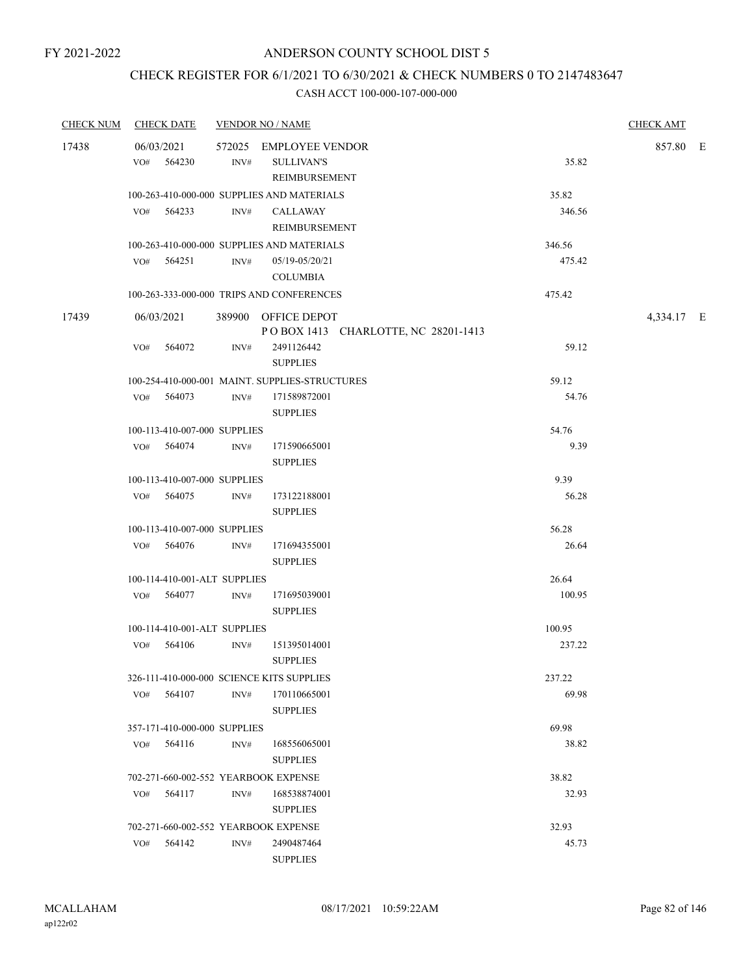## CHECK REGISTER FOR 6/1/2021 TO 6/30/2021 & CHECK NUMBERS 0 TO 2147483647

| <b>CHECK NUM</b> | <b>CHECK DATE</b>            |        |      | <b>VENDOR NO / NAME</b>                                      |        | <b>CHECK AMT</b> |  |
|------------------|------------------------------|--------|------|--------------------------------------------------------------|--------|------------------|--|
| 17438            | 06/03/2021<br>VO#            | 564230 | INV# | 572025 EMPLOYEE VENDOR<br><b>SULLIVAN'S</b><br>REIMBURSEMENT | 35.82  | 857.80 E         |  |
|                  |                              |        |      | 100-263-410-000-000 SUPPLIES AND MATERIALS                   | 35.82  |                  |  |
|                  | $VO#$ 564233                 |        | INV# | CALLAWAY<br>REIMBURSEMENT                                    | 346.56 |                  |  |
|                  |                              |        |      | 100-263-410-000-000 SUPPLIES AND MATERIALS                   | 346.56 |                  |  |
|                  | VO# 564251                   |        | INV# | 05/19-05/20/21<br><b>COLUMBIA</b>                            | 475.42 |                  |  |
|                  |                              |        |      | 100-263-333-000-000 TRIPS AND CONFERENCES                    | 475.42 |                  |  |
| 17439            | 06/03/2021                   |        |      | 389900 OFFICE DEPOT<br>POBOX 1413 CHARLOTTE, NC 28201-1413   |        | 4,334.17 E       |  |
|                  | VO#                          | 564072 | INV# | 2491126442<br><b>SUPPLIES</b>                                | 59.12  |                  |  |
|                  |                              |        |      | 100-254-410-000-001 MAINT. SUPPLIES-STRUCTURES               | 59.12  |                  |  |
|                  | VO# 564073                   |        | INV# | 171589872001<br><b>SUPPLIES</b>                              | 54.76  |                  |  |
|                  | 100-113-410-007-000 SUPPLIES |        |      |                                                              | 54.76  |                  |  |
|                  | VO# 564074                   |        | INV# | 171590665001<br><b>SUPPLIES</b>                              | 9.39   |                  |  |
|                  | 100-113-410-007-000 SUPPLIES |        |      |                                                              | 9.39   |                  |  |
|                  | VO# 564075                   |        | INV# | 173122188001<br><b>SUPPLIES</b>                              | 56.28  |                  |  |
|                  | 100-113-410-007-000 SUPPLIES |        |      |                                                              | 56.28  |                  |  |
|                  | VO# 564076                   |        | INV# | 171694355001<br><b>SUPPLIES</b>                              | 26.64  |                  |  |
|                  | 100-114-410-001-ALT SUPPLIES |        |      |                                                              | 26.64  |                  |  |
|                  | VO# 564077                   |        | INV# | 171695039001<br><b>SUPPLIES</b>                              | 100.95 |                  |  |
|                  | 100-114-410-001-ALT SUPPLIES |        |      |                                                              | 100.95 |                  |  |
|                  | VO#                          | 564106 | INV# | 151395014001<br><b>SUPPLIES</b>                              | 237.22 |                  |  |
|                  |                              |        |      | 326-111-410-000-000 SCIENCE KITS SUPPLIES                    | 237.22 |                  |  |
|                  | VO#                          | 564107 | INV# | 170110665001<br><b>SUPPLIES</b>                              | 69.98  |                  |  |
|                  | 357-171-410-000-000 SUPPLIES |        |      |                                                              | 69.98  |                  |  |
|                  | VO#                          | 564116 | INV# | 168556065001<br><b>SUPPLIES</b>                              | 38.82  |                  |  |
|                  |                              |        |      | 702-271-660-002-552 YEARBOOK EXPENSE                         | 38.82  |                  |  |
|                  | VO#                          | 564117 | INV# | 168538874001<br><b>SUPPLIES</b>                              | 32.93  |                  |  |
|                  |                              |        |      | 702-271-660-002-552 YEARBOOK EXPENSE                         |        |                  |  |
|                  | VO#                          | 564142 | INV# | 2490487464<br><b>SUPPLIES</b>                                | 45.73  |                  |  |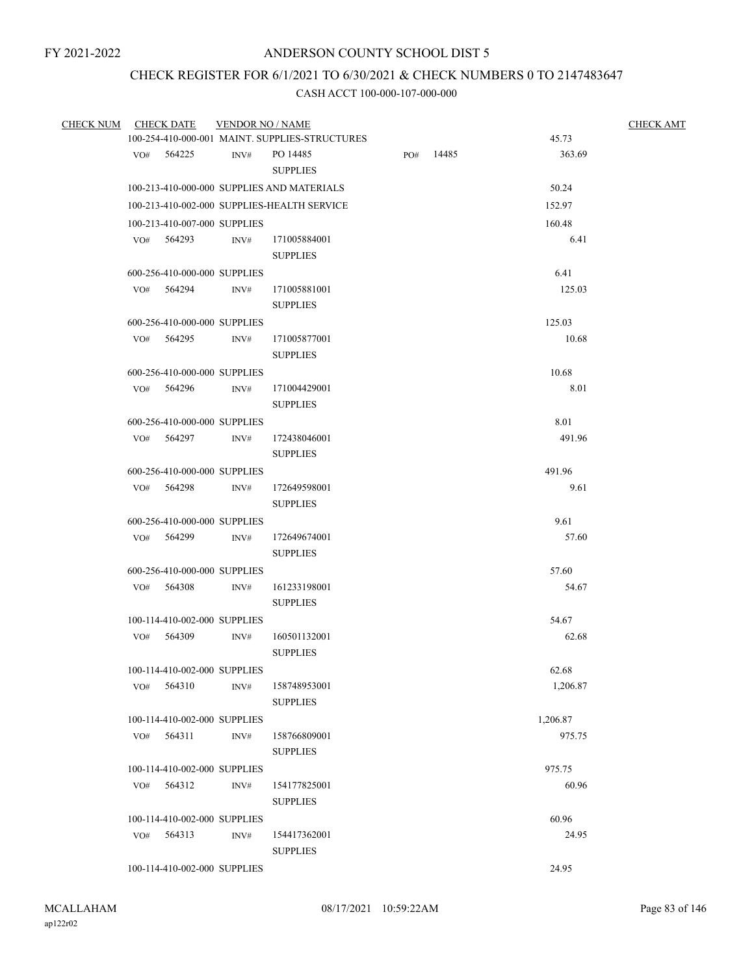## CHECK REGISTER FOR 6/1/2021 TO 6/30/2021 & CHECK NUMBERS 0 TO 2147483647

| <b>CHECK NUM</b> | <b>CHECK DATE</b>            | <b>VENDOR NO / NAME</b> |                                                |     |       |          | <b>CHECK AMT</b> |  |  |
|------------------|------------------------------|-------------------------|------------------------------------------------|-----|-------|----------|------------------|--|--|
|                  |                              |                         | 100-254-410-000-001 MAINT. SUPPLIES-STRUCTURES |     |       | 45.73    |                  |  |  |
|                  | VO# 564225                   | INV#                    | PO 14485<br><b>SUPPLIES</b>                    | PO# | 14485 | 363.69   |                  |  |  |
|                  |                              |                         | 100-213-410-000-000 SUPPLIES AND MATERIALS     |     |       | 50.24    |                  |  |  |
|                  |                              |                         | 100-213-410-002-000 SUPPLIES-HEALTH SERVICE    |     |       | 152.97   |                  |  |  |
|                  | 100-213-410-007-000 SUPPLIES |                         |                                                |     |       | 160.48   |                  |  |  |
|                  | VO# 564293                   | INV#                    | 171005884001                                   |     |       | 6.41     |                  |  |  |
|                  |                              |                         | <b>SUPPLIES</b>                                |     |       |          |                  |  |  |
|                  | 600-256-410-000-000 SUPPLIES |                         |                                                |     |       | 6.41     |                  |  |  |
|                  | VO# 564294                   | INV#                    | 171005881001<br><b>SUPPLIES</b>                |     |       | 125.03   |                  |  |  |
|                  | 600-256-410-000-000 SUPPLIES |                         |                                                |     |       | 125.03   |                  |  |  |
|                  | VO# 564295                   | INV#                    | 171005877001                                   |     |       | 10.68    |                  |  |  |
|                  |                              |                         | <b>SUPPLIES</b>                                |     |       |          |                  |  |  |
|                  | 600-256-410-000-000 SUPPLIES |                         |                                                |     |       | 10.68    |                  |  |  |
|                  | VO# 564296                   | INV#                    | 171004429001                                   |     |       | 8.01     |                  |  |  |
|                  |                              |                         | <b>SUPPLIES</b>                                |     |       |          |                  |  |  |
|                  | 600-256-410-000-000 SUPPLIES |                         |                                                |     |       | 8.01     |                  |  |  |
|                  | VO# 564297                   | INV#                    | 172438046001                                   |     |       | 491.96   |                  |  |  |
|                  |                              |                         | <b>SUPPLIES</b>                                |     |       |          |                  |  |  |
|                  | 600-256-410-000-000 SUPPLIES |                         |                                                |     |       | 491.96   |                  |  |  |
|                  | VO# 564298                   | INV#                    | 172649598001                                   |     |       | 9.61     |                  |  |  |
|                  |                              |                         | <b>SUPPLIES</b>                                |     |       |          |                  |  |  |
|                  | 600-256-410-000-000 SUPPLIES |                         |                                                |     |       | 9.61     |                  |  |  |
|                  | VO# 564299                   | INV#                    | 172649674001<br><b>SUPPLIES</b>                |     |       | 57.60    |                  |  |  |
|                  | 600-256-410-000-000 SUPPLIES |                         |                                                |     |       | 57.60    |                  |  |  |
|                  | VO# 564308                   | INV#                    | 161233198001                                   |     |       | 54.67    |                  |  |  |
|                  |                              |                         | <b>SUPPLIES</b>                                |     |       |          |                  |  |  |
|                  | 100-114-410-002-000 SUPPLIES |                         |                                                |     |       | 54.67    |                  |  |  |
|                  | VO# 564309                   | INV#                    | 160501132001                                   |     |       | 62.68    |                  |  |  |
|                  |                              |                         | <b>SUPPLIES</b>                                |     |       |          |                  |  |  |
|                  | 100-114-410-002-000 SUPPLIES |                         |                                                |     |       | 62.68    |                  |  |  |
|                  | VO# 564310 INV#              |                         | 158748953001                                   |     |       | 1,206.87 |                  |  |  |
|                  |                              |                         | <b>SUPPLIES</b>                                |     |       |          |                  |  |  |
|                  | 100-114-410-002-000 SUPPLIES |                         |                                                |     |       | 1,206.87 |                  |  |  |
|                  | VO# 564311                   | INV#                    | 158766809001                                   |     |       | 975.75   |                  |  |  |
|                  |                              |                         | <b>SUPPLIES</b>                                |     |       |          |                  |  |  |
|                  | 100-114-410-002-000 SUPPLIES |                         |                                                |     |       | 975.75   |                  |  |  |
|                  | VO# 564312                   | INV#                    | 154177825001                                   |     |       | 60.96    |                  |  |  |
|                  |                              |                         | <b>SUPPLIES</b>                                |     |       |          |                  |  |  |
|                  | 100-114-410-002-000 SUPPLIES |                         |                                                |     |       | 60.96    |                  |  |  |
|                  | VO# 564313                   | INV#                    | 154417362001<br><b>SUPPLIES</b>                |     |       | 24.95    |                  |  |  |
|                  |                              |                         |                                                |     |       |          |                  |  |  |
|                  | 100-114-410-002-000 SUPPLIES |                         |                                                |     |       | 24.95    |                  |  |  |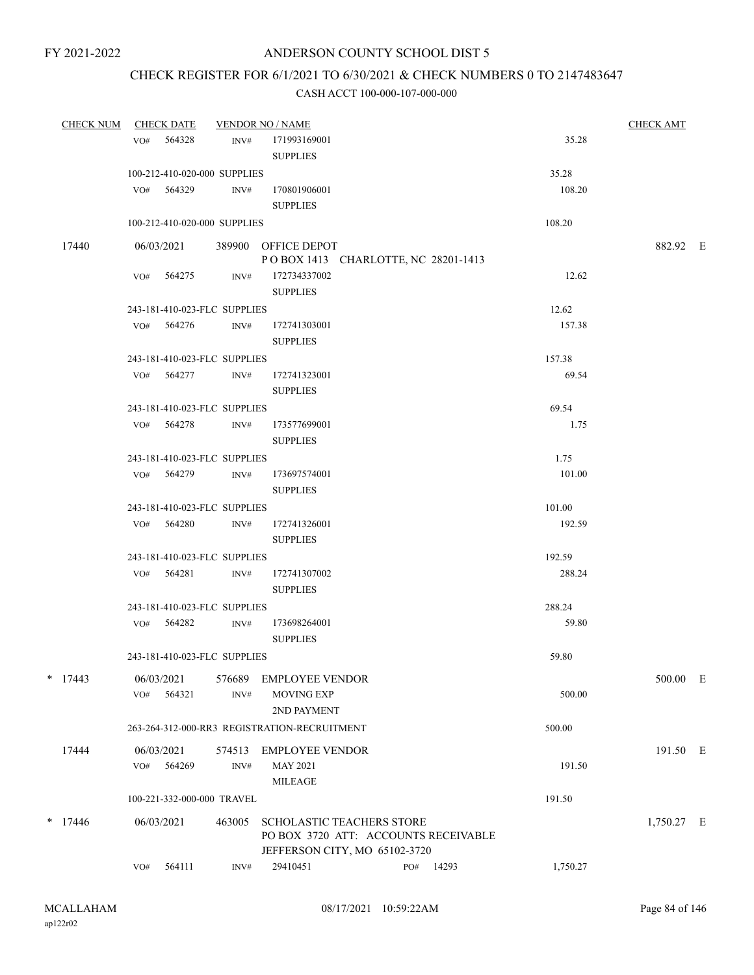# CHECK REGISTER FOR 6/1/2021 TO 6/30/2021 & CHECK NUMBERS 0 TO 2147483647

| <b>CHECK NUM</b> | <b>CHECK DATE</b> |            |                              | <b>VENDOR NO / NAME</b>                                    |     |       |          | <b>CHECK AMT</b> |  |
|------------------|-------------------|------------|------------------------------|------------------------------------------------------------|-----|-------|----------|------------------|--|
|                  | VO# 564328        |            |                              | INV# 171993169001                                          |     |       | 35.28    |                  |  |
|                  |                   |            |                              | <b>SUPPLIES</b>                                            |     |       |          |                  |  |
|                  |                   |            | 100-212-410-020-000 SUPPLIES |                                                            |     |       | 35.28    |                  |  |
|                  | VO# 564329        |            | INV#                         | 170801906001                                               |     |       | 108.20   |                  |  |
|                  |                   |            |                              | <b>SUPPLIES</b>                                            |     |       |          |                  |  |
|                  |                   |            | 100-212-410-020-000 SUPPLIES |                                                            |     |       | 108.20   |                  |  |
|                  |                   |            |                              |                                                            |     |       |          | 882.92 E         |  |
| 17440            |                   | 06/03/2021 |                              | 389900 OFFICE DEPOT<br>POBOX 1413 CHARLOTTE, NC 28201-1413 |     |       |          |                  |  |
|                  | VO# 564275        |            | INV#                         | 172734337002                                               |     |       | 12.62    |                  |  |
|                  |                   |            |                              | <b>SUPPLIES</b>                                            |     |       |          |                  |  |
|                  |                   |            | 243-181-410-023-FLC SUPPLIES |                                                            |     |       | 12.62    |                  |  |
|                  | VO# 564276        |            | INV#                         | 172741303001                                               |     |       | 157.38   |                  |  |
|                  |                   |            |                              | <b>SUPPLIES</b>                                            |     |       |          |                  |  |
|                  |                   |            | 243-181-410-023-FLC SUPPLIES |                                                            |     |       | 157.38   |                  |  |
|                  |                   | VO# 564277 | INV#                         | 172741323001                                               |     |       | 69.54    |                  |  |
|                  |                   |            |                              | <b>SUPPLIES</b>                                            |     |       |          |                  |  |
|                  |                   |            | 243-181-410-023-FLC SUPPLIES |                                                            |     |       | 69.54    |                  |  |
|                  | VO# 564278        |            | INV#                         | 173577699001                                               |     |       | 1.75     |                  |  |
|                  |                   |            |                              | <b>SUPPLIES</b>                                            |     |       |          |                  |  |
|                  |                   |            | 243-181-410-023-FLC SUPPLIES |                                                            |     |       | 1.75     |                  |  |
|                  | VO# 564279        |            | INV#                         | 173697574001                                               |     |       | 101.00   |                  |  |
|                  |                   |            |                              | <b>SUPPLIES</b>                                            |     |       |          |                  |  |
|                  |                   |            | 243-181-410-023-FLC SUPPLIES |                                                            |     |       | 101.00   |                  |  |
|                  | VO# 564280        |            | INV#                         | 172741326001                                               |     |       | 192.59   |                  |  |
|                  |                   |            |                              | <b>SUPPLIES</b>                                            |     |       |          |                  |  |
|                  |                   |            | 243-181-410-023-FLC SUPPLIES |                                                            |     |       | 192.59   |                  |  |
|                  | VO# 564281        |            | INV#                         | 172741307002                                               |     |       | 288.24   |                  |  |
|                  |                   |            |                              | <b>SUPPLIES</b>                                            |     |       |          |                  |  |
|                  |                   |            | 243-181-410-023-FLC SUPPLIES |                                                            |     |       | 288.24   |                  |  |
|                  | VO# 564282        |            | INV#                         | 173698264001                                               |     |       | 59.80    |                  |  |
|                  |                   |            |                              | <b>SUPPLIES</b>                                            |     |       |          |                  |  |
|                  |                   |            | 243-181-410-023-FLC SUPPLIES |                                                            |     |       | 59.80    |                  |  |
| $*$ 17443        | 06/03/2021        |            | 576689                       | <b>EMPLOYEE VENDOR</b>                                     |     |       |          | 500.00 E         |  |
|                  | VO#               | 564321     | INV#                         | <b>MOVING EXP</b>                                          |     |       | 500.00   |                  |  |
|                  |                   |            |                              | 2ND PAYMENT                                                |     |       |          |                  |  |
|                  |                   |            |                              | 263-264-312-000-RR3 REGISTRATION-RECRUITMENT               |     |       | 500.00   |                  |  |
| 17444            | 06/03/2021        |            | 574513                       | <b>EMPLOYEE VENDOR</b>                                     |     |       |          | 191.50 E         |  |
|                  | VO#               | 564269     | INV#                         | <b>MAY 2021</b>                                            |     |       | 191.50   |                  |  |
|                  |                   |            |                              | <b>MILEAGE</b>                                             |     |       |          |                  |  |
|                  |                   |            | 100-221-332-000-000 TRAVEL   |                                                            |     |       | 191.50   |                  |  |
| $*$ 17446        | 06/03/2021        |            | 463005                       | <b>SCHOLASTIC TEACHERS STORE</b>                           |     |       |          | 1,750.27 E       |  |
|                  |                   |            |                              | PO BOX 3720 ATT: ACCOUNTS RECEIVABLE                       |     |       |          |                  |  |
|                  |                   |            |                              | JEFFERSON CITY, MO 65102-3720                              |     |       |          |                  |  |
|                  | VO#               | 564111     | INV#                         | 29410451                                                   | PO# | 14293 | 1,750.27 |                  |  |
|                  |                   |            |                              |                                                            |     |       |          |                  |  |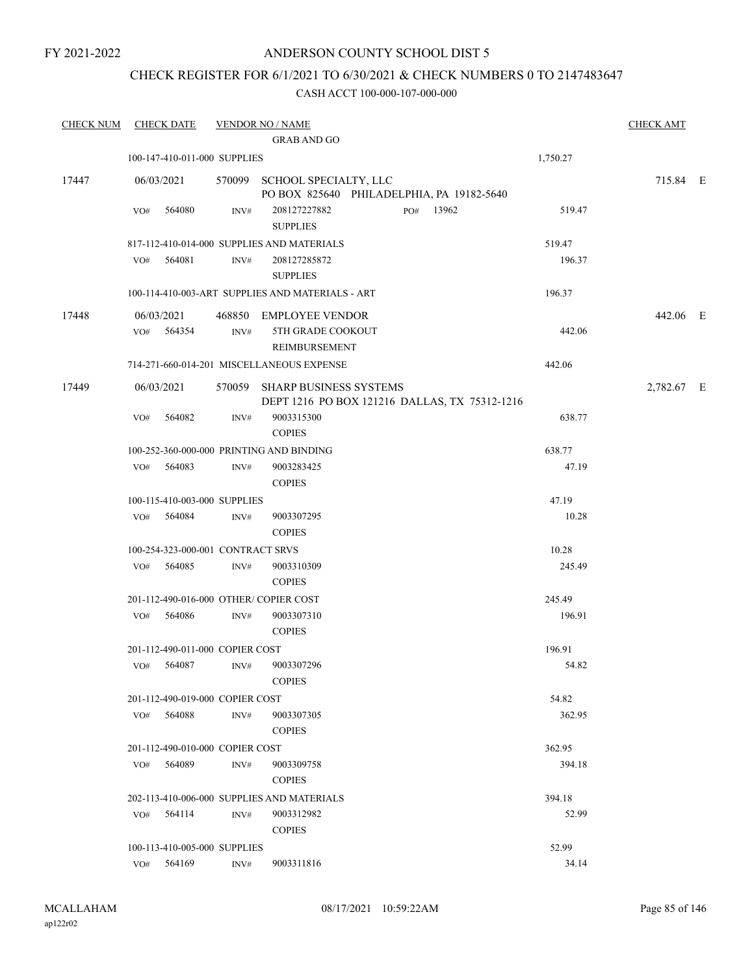## ANDERSON COUNTY SCHOOL DIST 5

## CHECK REGISTER FOR 6/1/2021 TO 6/30/2021 & CHECK NUMBERS 0 TO 2147483647

| <b>CHECK NUM</b> | <b>CHECK DATE</b>                        |                  | <b>VENDOR NO / NAME</b>                                                        |          |            |  |  |  |  |
|------------------|------------------------------------------|------------------|--------------------------------------------------------------------------------|----------|------------|--|--|--|--|
|                  |                                          |                  | <b>GRAB AND GO</b>                                                             |          |            |  |  |  |  |
|                  | 100-147-410-011-000 SUPPLIES             |                  |                                                                                | 1,750.27 |            |  |  |  |  |
| 17447            | 06/03/2021                               |                  | 570099 SCHOOL SPECIALTY, LLC<br>PO BOX 825640 PHILADELPHIA, PA 19182-5640      |          | 715.84 E   |  |  |  |  |
|                  | 564080<br>VO#                            | INV#             | 208127227882<br>PO#<br>13962<br><b>SUPPLIES</b>                                | 519.47   |            |  |  |  |  |
|                  |                                          |                  | 817-112-410-014-000 SUPPLIES AND MATERIALS                                     | 519.47   |            |  |  |  |  |
|                  | 564081<br>VO#                            | INV#             | 208127285872                                                                   | 196.37   |            |  |  |  |  |
|                  |                                          |                  | <b>SUPPLIES</b>                                                                |          |            |  |  |  |  |
|                  |                                          |                  | 100-114-410-003-ART SUPPLIES AND MATERIALS - ART                               | 196.37   |            |  |  |  |  |
| 17448            | 06/03/2021                               |                  | 468850 EMPLOYEE VENDOR                                                         |          | 442.06 E   |  |  |  |  |
|                  | 564354<br>VO#                            | INV#             | 5TH GRADE COOKOUT<br>REIMBURSEMENT                                             | 442.06   |            |  |  |  |  |
|                  |                                          |                  | 714-271-660-014-201 MISCELLANEOUS EXPENSE                                      | 442.06   |            |  |  |  |  |
| 17449            | 06/03/2021                               |                  | 570059 SHARP BUSINESS SYSTEMS<br>DEPT 1216 PO BOX 121216 DALLAS, TX 75312-1216 |          | 2,782.67 E |  |  |  |  |
|                  | 564082<br>VO#                            | $\mathrm{INV}\#$ | 9003315300                                                                     | 638.77   |            |  |  |  |  |
|                  |                                          |                  | <b>COPIES</b>                                                                  |          |            |  |  |  |  |
|                  | 100-252-360-000-000 PRINTING AND BINDING |                  |                                                                                | 638.77   |            |  |  |  |  |
|                  | 564083<br>VO#                            | INV#             | 9003283425<br><b>COPIES</b>                                                    | 47.19    |            |  |  |  |  |
|                  | 100-115-410-003-000 SUPPLIES             |                  |                                                                                | 47.19    |            |  |  |  |  |
|                  | 564084<br>VO#                            | INV#             | 9003307295<br><b>COPIES</b>                                                    | 10.28    |            |  |  |  |  |
|                  | 100-254-323-000-001 CONTRACT SRVS        |                  |                                                                                | 10.28    |            |  |  |  |  |
|                  | VO# 564085                               | INV#             | 9003310309<br><b>COPIES</b>                                                    | 245.49   |            |  |  |  |  |
|                  | 201-112-490-016-000 OTHER/COPIER COST    |                  |                                                                                | 245.49   |            |  |  |  |  |
|                  | VO#<br>564086                            | INV#             | 9003307310<br><b>COPIES</b>                                                    | 196.91   |            |  |  |  |  |
|                  | 201-112-490-011-000 COPIER COST          |                  |                                                                                | 196.91   |            |  |  |  |  |
|                  | 564087<br>VO#                            | INV#             | 9003307296<br><b>COPIES</b>                                                    | 54.82    |            |  |  |  |  |
|                  | 201-112-490-019-000 COPIER COST          |                  |                                                                                | 54.82    |            |  |  |  |  |
|                  | VO#<br>564088                            | INV#             | 9003307305<br><b>COPIES</b>                                                    | 362.95   |            |  |  |  |  |
|                  | 201-112-490-010-000 COPIER COST          |                  |                                                                                | 362.95   |            |  |  |  |  |
|                  | 564089<br>VO#                            | INV#             | 9003309758<br><b>COPIES</b>                                                    | 394.18   |            |  |  |  |  |
|                  |                                          |                  | 202-113-410-006-000 SUPPLIES AND MATERIALS                                     | 394.18   |            |  |  |  |  |
|                  | 564114<br>VO#                            | INV#             | 9003312982<br><b>COPIES</b>                                                    | 52.99    |            |  |  |  |  |
|                  | 100-113-410-005-000 SUPPLIES             |                  |                                                                                | 52.99    |            |  |  |  |  |
|                  | VO# 564169                               | INV#             | 9003311816                                                                     | 34.14    |            |  |  |  |  |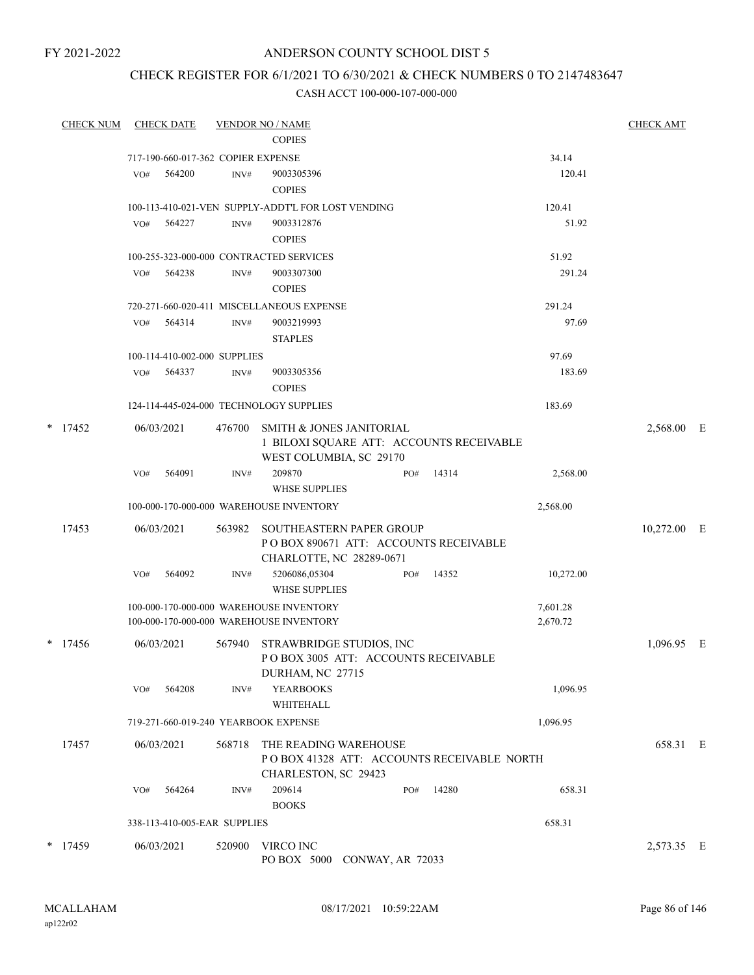## ANDERSON COUNTY SCHOOL DIST 5

# CHECK REGISTER FOR 6/1/2021 TO 6/30/2021 & CHECK NUMBERS 0 TO 2147483647

| <b>CHECK NUM</b> |     | <b>CHECK DATE</b> |                                    | <b>VENDOR NO / NAME</b>                                                                                    |     |       |                      | <b>CHECK AMT</b> |   |
|------------------|-----|-------------------|------------------------------------|------------------------------------------------------------------------------------------------------------|-----|-------|----------------------|------------------|---|
|                  |     |                   |                                    | <b>COPIES</b>                                                                                              |     |       |                      |                  |   |
|                  |     |                   | 717-190-660-017-362 COPIER EXPENSE |                                                                                                            |     |       | 34.14                |                  |   |
|                  | VO# | 564200            | INV#                               | 9003305396<br><b>COPIES</b>                                                                                |     |       | 120.41               |                  |   |
|                  |     |                   |                                    | 100-113-410-021-VEN SUPPLY-ADDT'L FOR LOST VENDING                                                         |     |       | 120.41               |                  |   |
|                  | VO# | 564227            | INV#                               | 9003312876<br><b>COPIES</b>                                                                                |     |       | 51.92                |                  |   |
|                  |     |                   |                                    | 100-255-323-000-000 CONTRACTED SERVICES                                                                    |     |       | 51.92                |                  |   |
|                  | VO# | 564238            | INV#                               | 9003307300<br><b>COPIES</b>                                                                                |     |       | 291.24               |                  |   |
|                  |     |                   |                                    | 720-271-660-020-411 MISCELLANEOUS EXPENSE                                                                  |     |       | 291.24               |                  |   |
|                  | VO# | 564314            | INV#                               | 9003219993<br><b>STAPLES</b>                                                                               |     |       | 97.69                |                  |   |
|                  |     |                   | 100-114-410-002-000 SUPPLIES       |                                                                                                            |     |       | 97.69                |                  |   |
|                  | VO# | 564337            | INV#                               | 9003305356<br><b>COPIES</b>                                                                                |     |       | 183.69               |                  |   |
|                  |     |                   |                                    | 124-114-445-024-000 TECHNOLOGY SUPPLIES                                                                    |     |       | 183.69               |                  |   |
| $*$ 17452        |     | 06/03/2021        | 476700                             | <b>SMITH &amp; JONES JANITORIAL</b><br>1 BILOXI SQUARE ATT: ACCOUNTS RECEIVABLE<br>WEST COLUMBIA, SC 29170 |     |       |                      | 2,568.00 E       |   |
|                  | VO# | 564091            | INV#                               | 209870<br><b>WHSE SUPPLIES</b>                                                                             | PO# | 14314 | 2,568.00             |                  |   |
|                  |     |                   |                                    | 100-000-170-000-000 WAREHOUSE INVENTORY                                                                    |     |       | 2,568.00             |                  |   |
| 17453            |     | 06/03/2021        | 563982                             | <b>SOUTHEASTERN PAPER GROUP</b><br>POBOX 890671 ATT: ACCOUNTS RECEIVABLE<br>CHARLOTTE, NC 28289-0671       |     |       |                      | 10,272.00 E      |   |
|                  | VO# | 564092            | INV#                               | 5206086,05304<br>WHSE SUPPLIES                                                                             | PO# | 14352 | 10,272.00            |                  |   |
|                  |     |                   |                                    | 100-000-170-000-000 WAREHOUSE INVENTORY<br>100-000-170-000-000 WAREHOUSE INVENTORY                         |     |       | 7,601.28<br>2,670.72 |                  |   |
| $*$ 17456        |     | 06/03/2021        | 567940                             | STRAWBRIDGE STUDIOS, INC<br>POBOX 3005 ATT: ACCOUNTS RECEIVABLE<br>DURHAM, NC 27715                        |     |       |                      | 1.096.95         | E |
|                  | VO# | 564208            | INV#                               | <b>YEARBOOKS</b><br><b>WHITEHALL</b>                                                                       |     |       | 1,096.95             |                  |   |
|                  |     |                   |                                    | 719-271-660-019-240 YEARBOOK EXPENSE                                                                       |     |       | 1,096.95             |                  |   |
| 17457            |     | 06/03/2021        | 568718                             | THE READING WAREHOUSE<br>POBOX 41328 ATT: ACCOUNTS RECEIVABLE NORTH<br>CHARLESTON, SC 29423                |     |       |                      | 658.31 E         |   |
|                  | VO# | 564264            | INV#                               | 209614<br><b>BOOKS</b>                                                                                     | PO# | 14280 | 658.31               |                  |   |
|                  |     |                   | 338-113-410-005-EAR SUPPLIES       |                                                                                                            |     |       | 658.31               |                  |   |
| $*$ 17459        |     | 06/03/2021        | 520900                             | VIRCO INC<br>PO BOX 5000 CONWAY, AR 72033                                                                  |     |       |                      | 2,573.35 E       |   |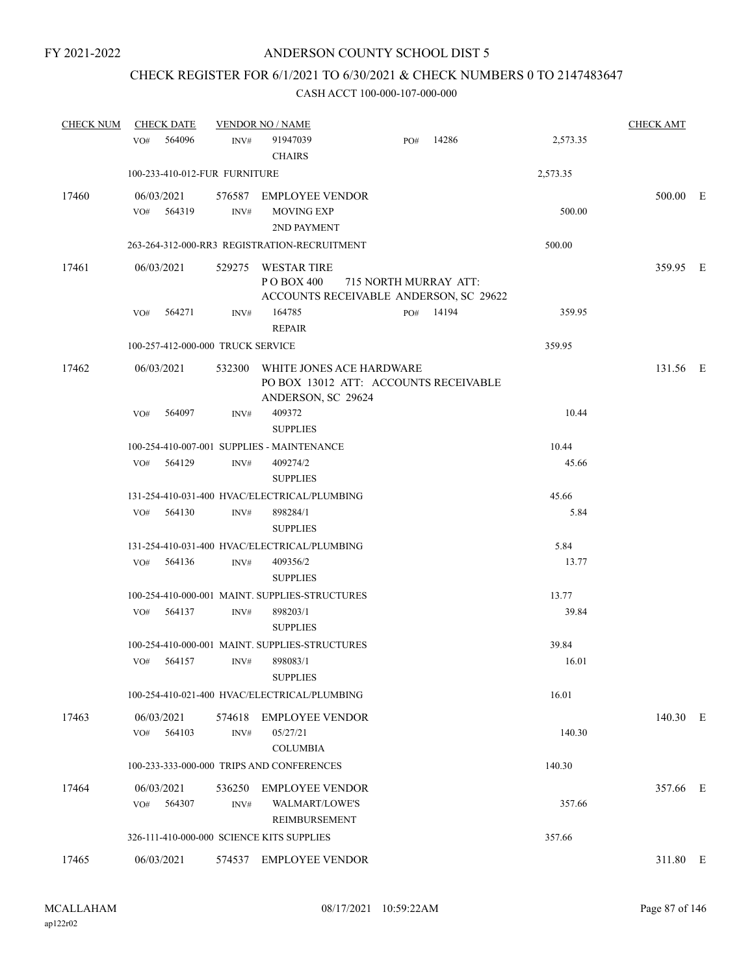# CHECK REGISTER FOR 6/1/2021 TO 6/30/2021 & CHECK NUMBERS 0 TO 2147483647

| <b>CHECK NUM</b> | <b>CHECK DATE</b>                         |                | <b>VENDOR NO / NAME</b>                                    |                                                                 |       |          | <b>CHECK AMT</b> |  |
|------------------|-------------------------------------------|----------------|------------------------------------------------------------|-----------------------------------------------------------------|-------|----------|------------------|--|
|                  | 564096<br>VO#                             | INV#           | 91947039<br><b>CHAIRS</b>                                  | PO#                                                             | 14286 | 2,573.35 |                  |  |
|                  | 100-233-410-012-FUR FURNITURE             |                |                                                            |                                                                 |       | 2,573.35 |                  |  |
| 17460            | 06/03/2021<br>564319<br>VO#               | INV#           | 576587 EMPLOYEE VENDOR<br><b>MOVING EXP</b><br>2ND PAYMENT |                                                                 |       | 500.00   | 500.00 E         |  |
|                  |                                           |                | 263-264-312-000-RR3 REGISTRATION-RECRUITMENT               |                                                                 |       | 500.00   |                  |  |
| 17461            | 06/03/2021                                |                | 529275 WESTAR TIRE<br>P O BOX 400                          | 715 NORTH MURRAY ATT:<br>ACCOUNTS RECEIVABLE ANDERSON, SC 29622 |       |          | 359.95 E         |  |
|                  | 564271<br>VO#                             | INV#           | 164785<br><b>REPAIR</b>                                    | PO#                                                             | 14194 | 359.95   |                  |  |
|                  | 100-257-412-000-000 TRUCK SERVICE         |                |                                                            |                                                                 |       | 359.95   |                  |  |
| 17462            | 06/03/2021                                |                | 532300 WHITE JONES ACE HARDWARE<br>ANDERSON, SC 29624      | PO BOX 13012 ATT: ACCOUNTS RECEIVABLE                           |       |          | 131.56 E         |  |
|                  | 564097<br>VO#                             | INV#           | 409372<br><b>SUPPLIES</b>                                  |                                                                 |       | 10.44    |                  |  |
|                  |                                           |                | 100-254-410-007-001 SUPPLIES - MAINTENANCE                 |                                                                 |       | 10.44    |                  |  |
|                  | VO# 564129                                | INV#           | 409274/2<br><b>SUPPLIES</b>                                |                                                                 |       | 45.66    |                  |  |
|                  |                                           |                | 131-254-410-031-400 HVAC/ELECTRICAL/PLUMBING               |                                                                 |       | 45.66    |                  |  |
|                  | 564130<br>VO#                             | INV#           | 898284/1<br><b>SUPPLIES</b>                                |                                                                 |       | 5.84     |                  |  |
|                  |                                           |                | 131-254-410-031-400 HVAC/ELECTRICAL/PLUMBING               |                                                                 |       | 5.84     |                  |  |
|                  | 564136<br>VO#                             | INV#           | 409356/2<br><b>SUPPLIES</b>                                |                                                                 |       | 13.77    |                  |  |
|                  |                                           |                | 100-254-410-000-001 MAINT. SUPPLIES-STRUCTURES             |                                                                 |       | 13.77    |                  |  |
|                  | 564137<br>VO#                             | INV#           | 898203/1<br><b>SUPPLIES</b>                                |                                                                 |       | 39.84    |                  |  |
|                  |                                           |                | 100-254-410-000-001 MAINT. SUPPLIES-STRUCTURES             |                                                                 |       | 39.84    |                  |  |
|                  | VO#<br>564157                             | INV#           | 898083/1<br><b>SUPPLIES</b>                                |                                                                 |       | 16.01    |                  |  |
|                  |                                           |                | 100-254-410-021-400 HVAC/ELECTRICAL/PLUMBING               |                                                                 |       | 16.01    |                  |  |
| 17463            | 06/03/2021<br>564103<br>VO#               | 574618<br>INV# | <b>EMPLOYEE VENDOR</b><br>05/27/21<br><b>COLUMBIA</b>      |                                                                 |       | 140.30   | 140.30 E         |  |
|                  |                                           |                | 100-233-333-000-000 TRIPS AND CONFERENCES                  |                                                                 |       | 140.30   |                  |  |
| 17464            | 06/03/2021<br>564307<br>VO#               | 536250<br>INV# | <b>EMPLOYEE VENDOR</b><br>WALMART/LOWE'S<br>REIMBURSEMENT  |                                                                 |       | 357.66   | 357.66 E         |  |
|                  | 326-111-410-000-000 SCIENCE KITS SUPPLIES |                |                                                            |                                                                 |       | 357.66   |                  |  |
| 17465            | 06/03/2021                                |                | 574537 EMPLOYEE VENDOR                                     |                                                                 |       |          | 311.80 E         |  |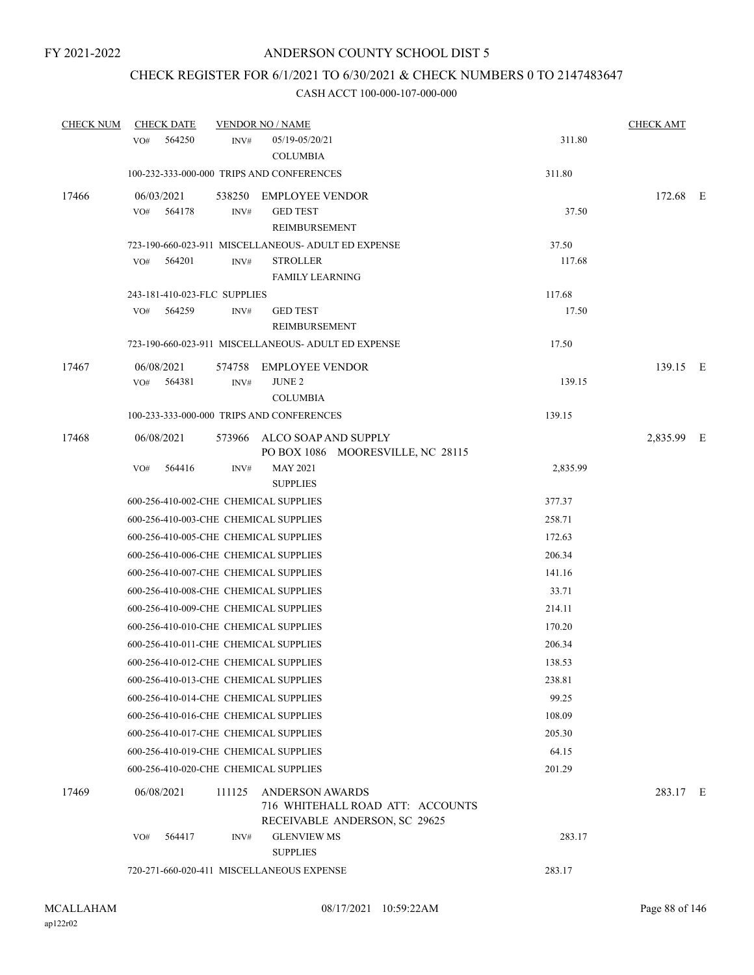## CHECK REGISTER FOR 6/1/2021 TO 6/30/2021 & CHECK NUMBERS 0 TO 2147483647

| <b>CHECK NUM</b> | <b>CHECK DATE</b>                     |        | <b>VENDOR NO / NAME</b>                                                                     |          | <b>CHECK AMT</b> |  |
|------------------|---------------------------------------|--------|---------------------------------------------------------------------------------------------|----------|------------------|--|
|                  | 564250<br>VO#                         | INV#   | 05/19-05/20/21                                                                              | 311.80   |                  |  |
|                  |                                       |        | <b>COLUMBIA</b>                                                                             |          |                  |  |
|                  |                                       |        | 100-232-333-000-000 TRIPS AND CONFERENCES                                                   | 311.80   |                  |  |
| 17466            | 06/03/2021                            | 538250 | <b>EMPLOYEE VENDOR</b>                                                                      |          | 172.68 E         |  |
|                  | 564178<br>VO#                         | INV#   | <b>GED TEST</b>                                                                             | 37.50    |                  |  |
|                  |                                       |        | REIMBURSEMENT                                                                               |          |                  |  |
|                  |                                       |        | 723-190-660-023-911 MISCELLANEOUS- ADULT ED EXPENSE                                         | 37.50    |                  |  |
|                  | VO#<br>564201                         | INV#   | <b>STROLLER</b>                                                                             | 117.68   |                  |  |
|                  |                                       |        | <b>FAMILY LEARNING</b>                                                                      |          |                  |  |
|                  | 243-181-410-023-FLC SUPPLIES          |        |                                                                                             | 117.68   |                  |  |
|                  | 564259<br>VO#                         | INV#   | <b>GED TEST</b>                                                                             | 17.50    |                  |  |
|                  |                                       |        | REIMBURSEMENT                                                                               |          |                  |  |
|                  |                                       |        | 723-190-660-023-911 MISCELLANEOUS- ADULT ED EXPENSE                                         | 17.50    |                  |  |
| 17467            | 06/08/2021                            | 574758 | <b>EMPLOYEE VENDOR</b>                                                                      |          | 139.15 E         |  |
|                  | VO#<br>564381                         | INV#   | <b>JUNE 2</b>                                                                               | 139.15   |                  |  |
|                  |                                       |        | <b>COLUMBIA</b>                                                                             |          |                  |  |
|                  |                                       |        | 100-233-333-000-000 TRIPS AND CONFERENCES                                                   | 139.15   |                  |  |
| 17468            | 06/08/2021                            | 573966 | ALCO SOAP AND SUPPLY                                                                        |          | 2,835.99 E       |  |
|                  |                                       |        | PO BOX 1086 MOORESVILLE, NC 28115                                                           |          |                  |  |
|                  | VO#<br>564416                         | INV#   | <b>MAY 2021</b>                                                                             | 2,835.99 |                  |  |
|                  |                                       |        | <b>SUPPLIES</b>                                                                             |          |                  |  |
|                  | 600-256-410-002-CHE CHEMICAL SUPPLIES |        |                                                                                             | 377.37   |                  |  |
|                  | 600-256-410-003-CHE CHEMICAL SUPPLIES |        |                                                                                             | 258.71   |                  |  |
|                  | 600-256-410-005-CHE CHEMICAL SUPPLIES |        |                                                                                             | 172.63   |                  |  |
|                  | 600-256-410-006-CHE CHEMICAL SUPPLIES |        |                                                                                             | 206.34   |                  |  |
|                  | 600-256-410-007-CHE CHEMICAL SUPPLIES |        |                                                                                             | 141.16   |                  |  |
|                  | 600-256-410-008-CHE CHEMICAL SUPPLIES |        |                                                                                             | 33.71    |                  |  |
|                  | 600-256-410-009-CHE CHEMICAL SUPPLIES |        |                                                                                             | 214.11   |                  |  |
|                  | 600-256-410-010-CHE CHEMICAL SUPPLIES |        |                                                                                             | 170.20   |                  |  |
|                  | 600-256-410-011-CHE CHEMICAL SUPPLIES |        |                                                                                             | 206.34   |                  |  |
|                  | 600-256-410-012-CHE CHEMICAL SUPPLIES |        |                                                                                             | 138.53   |                  |  |
|                  | 600-256-410-013-CHE CHEMICAL SUPPLIES |        |                                                                                             | 238.81   |                  |  |
|                  | 600-256-410-014-CHE CHEMICAL SUPPLIES |        |                                                                                             | 99.25    |                  |  |
|                  | 600-256-410-016-CHE CHEMICAL SUPPLIES |        |                                                                                             | 108.09   |                  |  |
|                  | 600-256-410-017-CHE CHEMICAL SUPPLIES |        |                                                                                             | 205.30   |                  |  |
|                  | 600-256-410-019-CHE CHEMICAL SUPPLIES |        |                                                                                             | 64.15    |                  |  |
|                  | 600-256-410-020-CHE CHEMICAL SUPPLIES |        |                                                                                             | 201.29   |                  |  |
| 17469            | 06/08/2021                            | 111125 | <b>ANDERSON AWARDS</b><br>716 WHITEHALL ROAD ATT: ACCOUNTS<br>RECEIVABLE ANDERSON, SC 29625 |          | 283.17 E         |  |
|                  | 564417<br>VO#                         | INV#   | <b>GLENVIEW MS</b><br><b>SUPPLIES</b>                                                       | 283.17   |                  |  |
|                  |                                       |        | 720-271-660-020-411 MISCELLANEOUS EXPENSE                                                   | 283.17   |                  |  |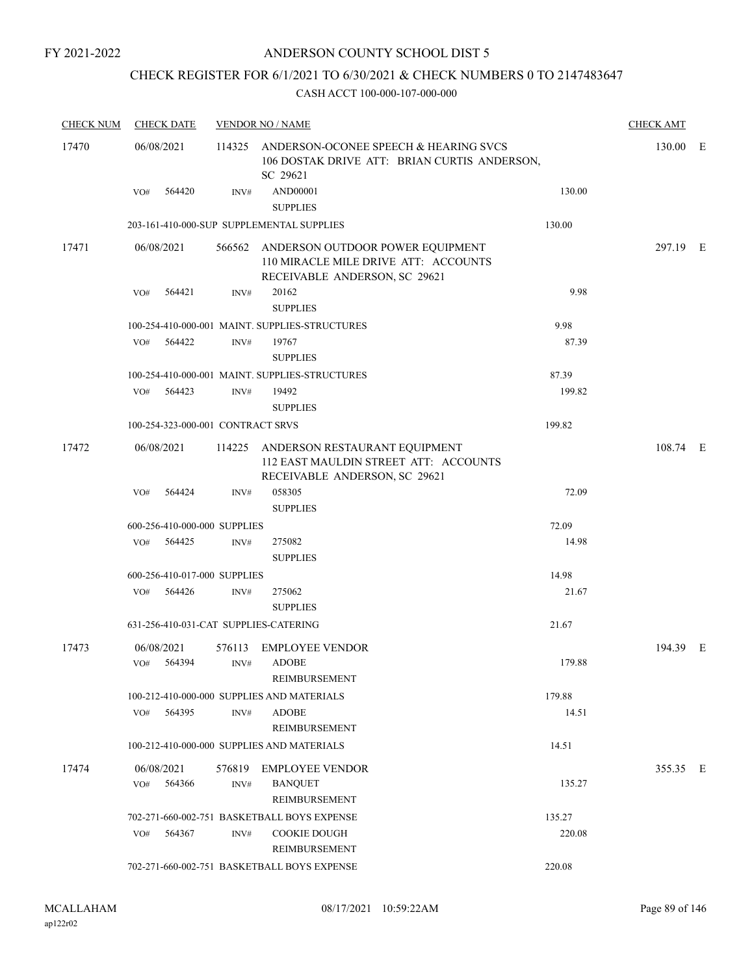# CHECK REGISTER FOR 6/1/2021 TO 6/30/2021 & CHECK NUMBERS 0 TO 2147483647

| <b>CHECK NUM</b> | <b>CHECK DATE</b>                     |                | <b>VENDOR NO / NAME</b>                                                                                          |        | <b>CHECK AMT</b> |  |
|------------------|---------------------------------------|----------------|------------------------------------------------------------------------------------------------------------------|--------|------------------|--|
| 17470            | 06/08/2021                            |                | 114325 ANDERSON-OCONEE SPEECH & HEARING SVCS<br>106 DOSTAK DRIVE ATT: BRIAN CURTIS ANDERSON,<br>SC 29621         |        | 130.00 E         |  |
|                  | VO# 564420                            | INV#           | AND00001<br><b>SUPPLIES</b>                                                                                      | 130.00 |                  |  |
|                  |                                       |                | 203-161-410-000-SUP SUPPLEMENTAL SUPPLIES                                                                        | 130.00 |                  |  |
| 17471            | 06/08/2021                            |                | 566562 ANDERSON OUTDOOR POWER EQUIPMENT<br>110 MIRACLE MILE DRIVE ATT: ACCOUNTS<br>RECEIVABLE ANDERSON, SC 29621 |        | 297.19 E         |  |
|                  | 564421<br>VO#                         | INV#           | 20162<br><b>SUPPLIES</b>                                                                                         | 9.98   |                  |  |
|                  |                                       |                | 100-254-410-000-001 MAINT. SUPPLIES-STRUCTURES                                                                   | 9.98   |                  |  |
|                  | VO# 564422                            | INV#           | 19767<br><b>SUPPLIES</b>                                                                                         | 87.39  |                  |  |
|                  |                                       |                | 100-254-410-000-001 MAINT. SUPPLIES-STRUCTURES                                                                   | 87.39  |                  |  |
|                  | VO# 564423                            | INV#           | 19492<br><b>SUPPLIES</b>                                                                                         | 199.82 |                  |  |
|                  | 100-254-323-000-001 CONTRACT SRVS     |                |                                                                                                                  | 199.82 |                  |  |
| 17472            | 06/08/2021                            |                | 114225 ANDERSON RESTAURANT EQUIPMENT<br>112 EAST MAULDIN STREET ATT: ACCOUNTS<br>RECEIVABLE ANDERSON, SC 29621   |        | 108.74 E         |  |
|                  | 564424<br>VO#                         | INV#           | 058305<br><b>SUPPLIES</b>                                                                                        | 72.09  |                  |  |
|                  | 600-256-410-000-000 SUPPLIES          |                |                                                                                                                  | 72.09  |                  |  |
|                  | VO# 564425                            | INV#           | 275082<br><b>SUPPLIES</b>                                                                                        | 14.98  |                  |  |
|                  | 600-256-410-017-000 SUPPLIES          |                |                                                                                                                  | 14.98  |                  |  |
|                  | 564426<br>VO#                         | INV#           | 275062<br><b>SUPPLIES</b>                                                                                        | 21.67  |                  |  |
|                  | 631-256-410-031-CAT SUPPLIES-CATERING |                |                                                                                                                  | 21.67  |                  |  |
| 17473            | 06/08/2021<br>564394<br>VO#           | 576113<br>INV# | <b>EMPLOYEE VENDOR</b><br><b>ADOBE</b><br>REIMBURSEMENT                                                          | 179.88 | 194.39 E         |  |
|                  |                                       |                | 100-212-410-000-000 SUPPLIES AND MATERIALS                                                                       | 179.88 |                  |  |
|                  | VO#<br>564395                         | INV#           | <b>ADOBE</b><br>REIMBURSEMENT                                                                                    | 14.51  |                  |  |
|                  |                                       |                | 100-212-410-000-000 SUPPLIES AND MATERIALS                                                                       | 14.51  |                  |  |
| 17474            | 06/08/2021                            | 576819         | <b>EMPLOYEE VENDOR</b>                                                                                           |        | 355.35 E         |  |
|                  | 564366<br>VO#                         | INV#           | <b>BANOUET</b><br>REIMBURSEMENT                                                                                  | 135.27 |                  |  |
|                  |                                       |                | 702-271-660-002-751 BASKETBALL BOYS EXPENSE                                                                      | 135.27 |                  |  |
|                  | 564367<br>VO#                         | INV#           | <b>COOKIE DOUGH</b><br>REIMBURSEMENT                                                                             | 220.08 |                  |  |
|                  |                                       |                | 702-271-660-002-751 BASKETBALL BOYS EXPENSE                                                                      | 220.08 |                  |  |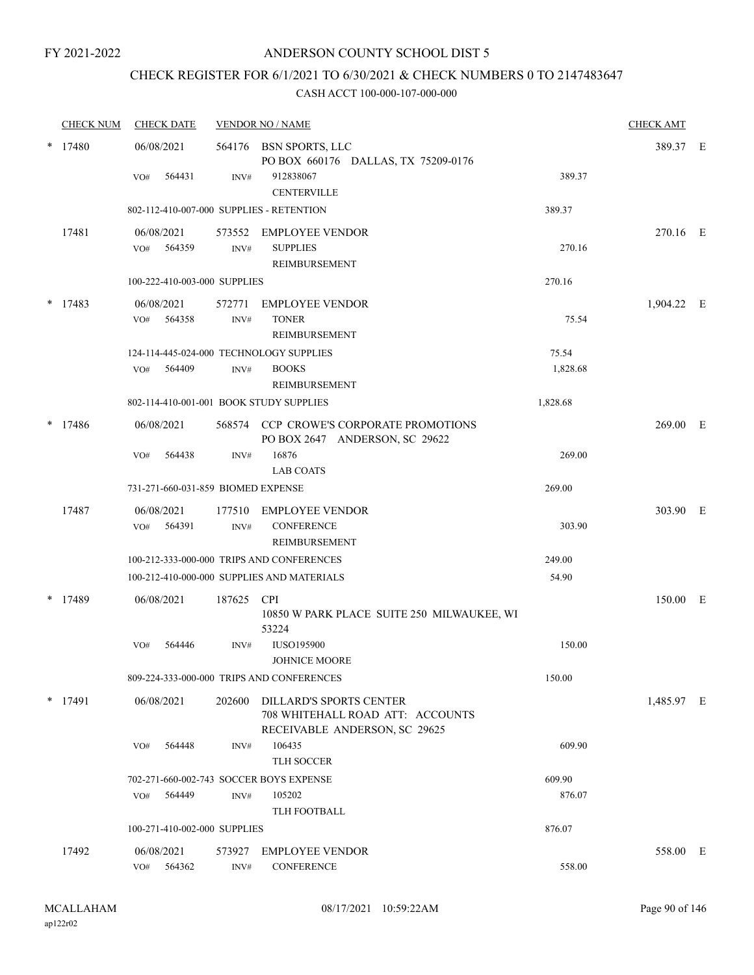# CHECK REGISTER FOR 6/1/2021 TO 6/30/2021 & CHECK NUMBERS 0 TO 2147483647

|   | <b>CHECK NUM</b> | <b>CHECK DATE</b>                                        |                | <b>VENDOR NO / NAME</b>                                                                             |                   | <b>CHECK AMT</b> |  |
|---|------------------|----------------------------------------------------------|----------------|-----------------------------------------------------------------------------------------------------|-------------------|------------------|--|
| * | 17480            | 06/08/2021                                               |                | 564176 BSN SPORTS, LLC<br>PO BOX 660176 DALLAS, TX 75209-0176                                       |                   | 389.37 E         |  |
|   |                  | 564431<br>VO#                                            | INV#           | 912838067<br><b>CENTERVILLE</b>                                                                     | 389.37            |                  |  |
|   |                  | 802-112-410-007-000 SUPPLIES - RETENTION                 |                |                                                                                                     | 389.37            |                  |  |
|   | 17481            | 06/08/2021<br>564359<br>VO#                              | INV#           | 573552 EMPLOYEE VENDOR<br><b>SUPPLIES</b><br><b>REIMBURSEMENT</b>                                   | 270.16            | 270.16 E         |  |
|   |                  | 100-222-410-003-000 SUPPLIES                             |                |                                                                                                     | 270.16            |                  |  |
| * | 17483            | 06/08/2021<br>564358<br>VO#                              | 572771<br>INV# | <b>EMPLOYEE VENDOR</b><br><b>TONER</b><br>REIMBURSEMENT                                             | 75.54             | 1,904.22 E       |  |
|   |                  | 124-114-445-024-000 TECHNOLOGY SUPPLIES<br>564409<br>VO# | INV#           | <b>BOOKS</b><br><b>REIMBURSEMENT</b>                                                                | 75.54<br>1,828.68 |                  |  |
|   |                  | 802-114-410-001-001 BOOK STUDY SUPPLIES                  |                |                                                                                                     | 1,828.68          |                  |  |
|   | $*$ 17486        | 06/08/2021                                               |                | 568574 CCP CROWE'S CORPORATE PROMOTIONS<br>PO BOX 2647 ANDERSON, SC 29622                           |                   | 269.00 E         |  |
|   |                  | VO#<br>564438                                            | INV#           | 16876<br><b>LAB COATS</b>                                                                           | 269.00            |                  |  |
|   |                  | 731-271-660-031-859 BIOMED EXPENSE                       |                |                                                                                                     | 269.00            |                  |  |
|   | 17487            | 06/08/2021<br>564391<br>VO#                              | 177510<br>INV# | EMPLOYEE VENDOR<br><b>CONFERENCE</b><br><b>REIMBURSEMENT</b>                                        | 303.90            | 303.90 E         |  |
|   |                  |                                                          |                | 100-212-333-000-000 TRIPS AND CONFERENCES                                                           | 249.00            |                  |  |
|   |                  |                                                          |                | 100-212-410-000-000 SUPPLIES AND MATERIALS                                                          | 54.90             |                  |  |
| * | 17489            | 06/08/2021                                               | 187625 CPI     | 10850 W PARK PLACE SUITE 250 MILWAUKEE, WI<br>53224                                                 |                   | 150.00 E         |  |
|   |                  | 564446<br>VO#                                            | INV#           | <b>IUSO195900</b><br>JOHNICE MOORE                                                                  | 150.00            |                  |  |
|   |                  |                                                          |                | 809-224-333-000-000 TRIPS AND CONFERENCES                                                           | 150.00            |                  |  |
|   | $*$ 17491        | 06/08/2021                                               | 202600         | <b>DILLARD'S SPORTS CENTER</b><br>708 WHITEHALL ROAD ATT: ACCOUNTS<br>RECEIVABLE ANDERSON, SC 29625 |                   | 1,485.97 E       |  |
|   |                  | VO#<br>564448                                            | INV#           | 106435<br>TLH SOCCER                                                                                | 609.90            |                  |  |
|   |                  | 702-271-660-002-743 SOCCER BOYS EXPENSE                  |                |                                                                                                     | 609.90            |                  |  |
|   |                  | 564449<br>VO#                                            | INV#           | 105202<br><b>TLH FOOTBALL</b>                                                                       | 876.07            |                  |  |
|   |                  | 100-271-410-002-000 SUPPLIES                             |                |                                                                                                     | 876.07            |                  |  |
|   | 17492            | 06/08/2021                                               | 573927         | <b>EMPLOYEE VENDOR</b>                                                                              |                   | 558.00 E         |  |
|   |                  | 564362<br>VO#                                            | INV#           | <b>CONFERENCE</b>                                                                                   | 558.00            |                  |  |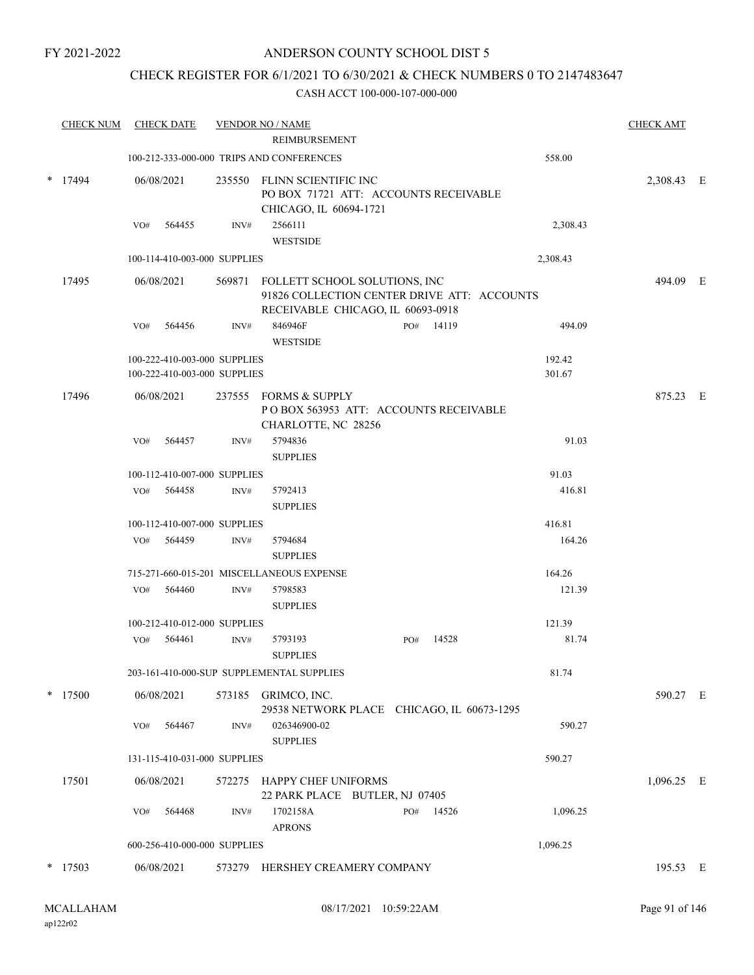## ANDERSON COUNTY SCHOOL DIST 5

## CHECK REGISTER FOR 6/1/2021 TO 6/30/2021 & CHECK NUMBERS 0 TO 2147483647

| <b>CHECK NUM</b> |     | <b>CHECK DATE</b>                                            |      | <b>VENDOR NO / NAME</b><br>REIMBURSEMENT                                                                                 |     |           |                  | <b>CHECK AMT</b> |  |
|------------------|-----|--------------------------------------------------------------|------|--------------------------------------------------------------------------------------------------------------------------|-----|-----------|------------------|------------------|--|
|                  |     |                                                              |      | 100-212-333-000-000 TRIPS AND CONFERENCES                                                                                |     |           | 558.00           |                  |  |
|                  |     |                                                              |      |                                                                                                                          |     |           |                  |                  |  |
| $*$ 17494        |     | 06/08/2021                                                   |      | 235550 FLINN SCIENTIFIC INC<br>PO BOX 71721 ATT: ACCOUNTS RECEIVABLE<br>CHICAGO, IL 60694-1721                           |     |           |                  | 2,308.43 E       |  |
|                  | VO# | 564455                                                       | INV# | 2566111<br><b>WESTSIDE</b>                                                                                               |     |           | 2,308.43         |                  |  |
|                  |     | 100-114-410-003-000 SUPPLIES                                 |      |                                                                                                                          |     |           | 2,308.43         |                  |  |
| 17495            |     | 06/08/2021                                                   |      | 569871 FOLLETT SCHOOL SOLUTIONS, INC<br>91826 COLLECTION CENTER DRIVE ATT: ACCOUNTS<br>RECEIVABLE CHICAGO, IL 60693-0918 |     |           |                  | 494.09 E         |  |
|                  | VO# | 564456                                                       | INV# | 846946F<br><b>WESTSIDE</b>                                                                                               |     | PO# 14119 | 494.09           |                  |  |
|                  |     | 100-222-410-003-000 SUPPLIES<br>100-222-410-003-000 SUPPLIES |      |                                                                                                                          |     |           | 192.42<br>301.67 |                  |  |
| 17496            |     | 06/08/2021                                                   |      | 237555 FORMS & SUPPLY<br>POBOX 563953 ATT: ACCOUNTS RECEIVABLE<br>CHARLOTTE, NC 28256                                    |     |           |                  | 875.23 E         |  |
|                  | VO# | 564457                                                       | INV# | 5794836<br><b>SUPPLIES</b>                                                                                               |     |           | 91.03            |                  |  |
|                  |     | 100-112-410-007-000 SUPPLIES                                 |      |                                                                                                                          |     |           | 91.03            |                  |  |
|                  | VO# | 564458                                                       | INV# | 5792413<br><b>SUPPLIES</b>                                                                                               |     |           | 416.81           |                  |  |
|                  |     | 100-112-410-007-000 SUPPLIES                                 |      |                                                                                                                          |     |           | 416.81           |                  |  |
|                  | VO# | 564459                                                       | INV# | 5794684<br><b>SUPPLIES</b>                                                                                               |     |           | 164.26           |                  |  |
|                  |     |                                                              |      | 715-271-660-015-201 MISCELLANEOUS EXPENSE                                                                                |     |           | 164.26           |                  |  |
|                  | VO# | 564460                                                       | INV# | 5798583<br><b>SUPPLIES</b>                                                                                               |     |           | 121.39           |                  |  |
|                  |     | 100-212-410-012-000 SUPPLIES                                 |      |                                                                                                                          |     |           | 121.39           |                  |  |
|                  | VO# | 564461                                                       | INV# | 5793193<br><b>SUPPLIES</b>                                                                                               | PO# | 14528     | 81.74            |                  |  |
|                  |     |                                                              |      | 203-161-410-000-SUP SUPPLEMENTAL SUPPLIES                                                                                |     |           | 81.74            |                  |  |
| $*$ 17500        |     | 06/08/2021                                                   |      | 573185 GRIMCO, INC.<br>29538 NETWORK PLACE CHICAGO, IL 60673-1295                                                        |     |           |                  | 590.27 E         |  |
|                  | VO# | 564467                                                       | INV# | 026346900-02<br><b>SUPPLIES</b>                                                                                          |     |           | 590.27           |                  |  |
|                  |     | 131-115-410-031-000 SUPPLIES                                 |      |                                                                                                                          |     |           | 590.27           |                  |  |
| 17501            |     | 06/08/2021                                                   |      | 572275 HAPPY CHEF UNIFORMS<br>22 PARK PLACE BUTLER, NJ 07405                                                             |     |           |                  | 1,096.25 E       |  |
|                  | VO# | 564468                                                       | INV# | 1702158A<br><b>APRONS</b>                                                                                                |     | PO# 14526 | 1,096.25         |                  |  |
|                  |     | 600-256-410-000-000 SUPPLIES                                 |      |                                                                                                                          |     |           | 1,096.25         |                  |  |
| 17503            |     | 06/08/2021                                                   |      | 573279 HERSHEY CREAMERY COMPANY                                                                                          |     |           |                  | 195.53 E         |  |
|                  |     |                                                              |      |                                                                                                                          |     |           |                  |                  |  |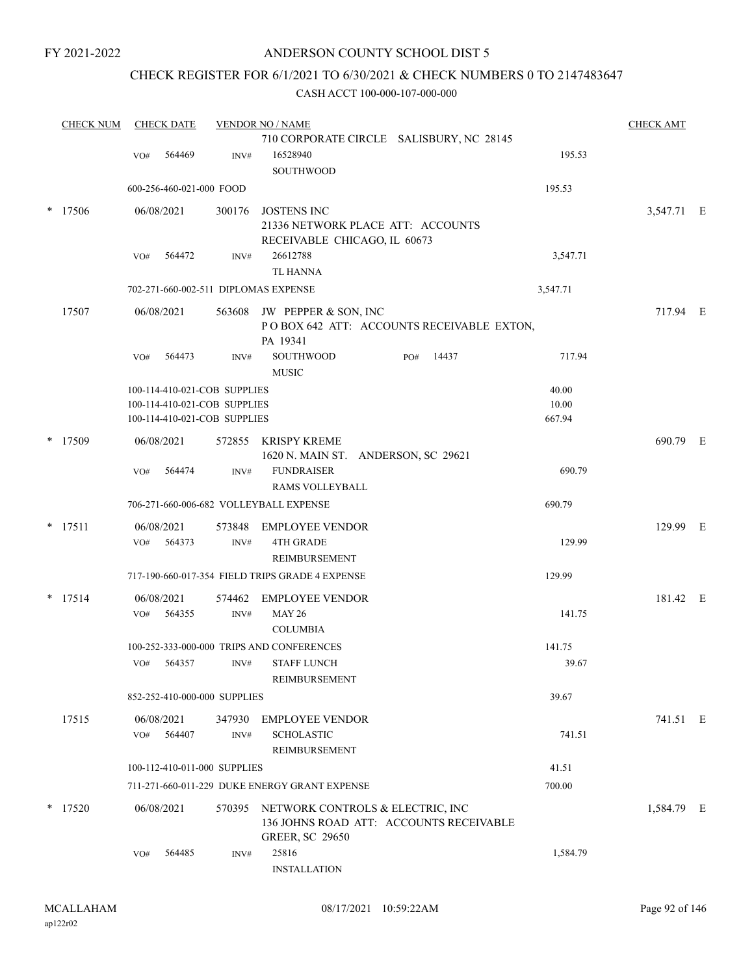## ANDERSON COUNTY SCHOOL DIST 5

# CHECK REGISTER FOR 6/1/2021 TO 6/30/2021 & CHECK NUMBERS 0 TO 2147483647

|   | <b>CHECK NUM</b> |     | <b>CHECK DATE</b>        |                              | <b>VENDOR NO / NAME</b>                                           |          | <b>CHECK AMT</b> |  |
|---|------------------|-----|--------------------------|------------------------------|-------------------------------------------------------------------|----------|------------------|--|
|   |                  |     |                          |                              | 710 CORPORATE CIRCLE SALISBURY, NC 28145                          |          |                  |  |
|   |                  | VO# | 564469                   | INV#                         | 16528940                                                          | 195.53   |                  |  |
|   |                  |     |                          |                              | <b>SOUTHWOOD</b>                                                  |          |                  |  |
|   |                  |     | 600-256-460-021-000 FOOD |                              |                                                                   | 195.53   |                  |  |
| * | 17506            |     | 06/08/2021               | 300176                       | <b>JOSTENS INC</b>                                                |          | 3,547.71 E       |  |
|   |                  |     |                          |                              | 21336 NETWORK PLACE ATT: ACCOUNTS<br>RECEIVABLE CHICAGO, IL 60673 |          |                  |  |
|   |                  | VO# | 564472                   | INV#                         | 26612788                                                          | 3,547.71 |                  |  |
|   |                  |     |                          |                              | <b>TL HANNA</b>                                                   |          |                  |  |
|   |                  |     |                          |                              | 702-271-660-002-511 DIPLOMAS EXPENSE                              | 3,547.71 |                  |  |
|   | 17507            |     | 06/08/2021               |                              | 563608 JW PEPPER & SON, INC                                       |          | 717.94 E         |  |
|   |                  |     |                          |                              | POBOX 642 ATT: ACCOUNTS RECEIVABLE EXTON,                         |          |                  |  |
|   |                  |     |                          |                              | PA 19341                                                          |          |                  |  |
|   |                  | VO# | 564473                   | INV#                         | <b>SOUTHWOOD</b><br>14437<br>PO#<br><b>MUSIC</b>                  | 717.94   |                  |  |
|   |                  |     |                          | 100-114-410-021-COB SUPPLIES |                                                                   | 40.00    |                  |  |
|   |                  |     |                          | 100-114-410-021-COB SUPPLIES |                                                                   | 10.00    |                  |  |
|   |                  |     |                          | 100-114-410-021-COB SUPPLIES |                                                                   | 667.94   |                  |  |
| * | 17509            |     | 06/08/2021               | 572855                       | <b>KRISPY KREME</b>                                               |          | 690.79 E         |  |
|   |                  |     |                          |                              | 1620 N. MAIN ST. ANDERSON, SC 29621                               |          |                  |  |
|   |                  | VO# | 564474                   | INV#                         | <b>FUNDRAISER</b>                                                 | 690.79   |                  |  |
|   |                  |     |                          |                              | RAMS VOLLEYBALL                                                   |          |                  |  |
|   |                  |     |                          |                              | 706-271-660-006-682 VOLLEYBALL EXPENSE                            | 690.79   |                  |  |
|   | $*$ 17511        |     | 06/08/2021               | 573848                       | <b>EMPLOYEE VENDOR</b>                                            |          | 129.99 E         |  |
|   |                  | VO# | 564373                   | INV#                         | <b>4TH GRADE</b>                                                  | 129.99   |                  |  |
|   |                  |     |                          |                              | REIMBURSEMENT<br>717-190-660-017-354 FIELD TRIPS GRADE 4 EXPENSE  |          |                  |  |
|   |                  |     |                          |                              |                                                                   | 129.99   |                  |  |
| * | 17514            |     | 06/08/2021               | 574462                       | <b>EMPLOYEE VENDOR</b>                                            |          | 181.42 E         |  |
|   |                  | VO# | 564355                   | INV#                         | <b>MAY 26</b><br><b>COLUMBIA</b>                                  | 141.75   |                  |  |
|   |                  |     |                          |                              | 100-252-333-000-000 TRIPS AND CONFERENCES                         | 141.75   |                  |  |
|   |                  | VO# | 564357                   | INV#                         | <b>STAFF LUNCH</b>                                                | 39.67    |                  |  |
|   |                  |     |                          |                              | <b>REIMBURSEMENT</b>                                              |          |                  |  |
|   |                  |     |                          | 852-252-410-000-000 SUPPLIES |                                                                   | 39.67    |                  |  |
|   | 17515            |     | 06/08/2021               | 347930                       | <b>EMPLOYEE VENDOR</b>                                            |          | 741.51 E         |  |
|   |                  | VO# | 564407                   | INV#                         | <b>SCHOLASTIC</b>                                                 | 741.51   |                  |  |
|   |                  |     |                          |                              | REIMBURSEMENT                                                     |          |                  |  |
|   |                  |     |                          | 100-112-410-011-000 SUPPLIES |                                                                   | 41.51    |                  |  |
|   |                  |     |                          |                              | 711-271-660-011-229 DUKE ENERGY GRANT EXPENSE                     | 700.00   |                  |  |
|   | * 17520          |     | 06/08/2021               | 570395                       | NETWORK CONTROLS & ELECTRIC, INC                                  |          | 1,584.79 E       |  |
|   |                  |     |                          |                              | 136 JOHNS ROAD ATT: ACCOUNTS RECEIVABLE                           |          |                  |  |
|   |                  |     |                          |                              | <b>GREER, SC 29650</b><br>25816                                   |          |                  |  |
|   |                  | VO# | 564485                   | INV#                         | <b>INSTALLATION</b>                                               | 1,584.79 |                  |  |
|   |                  |     |                          |                              |                                                                   |          |                  |  |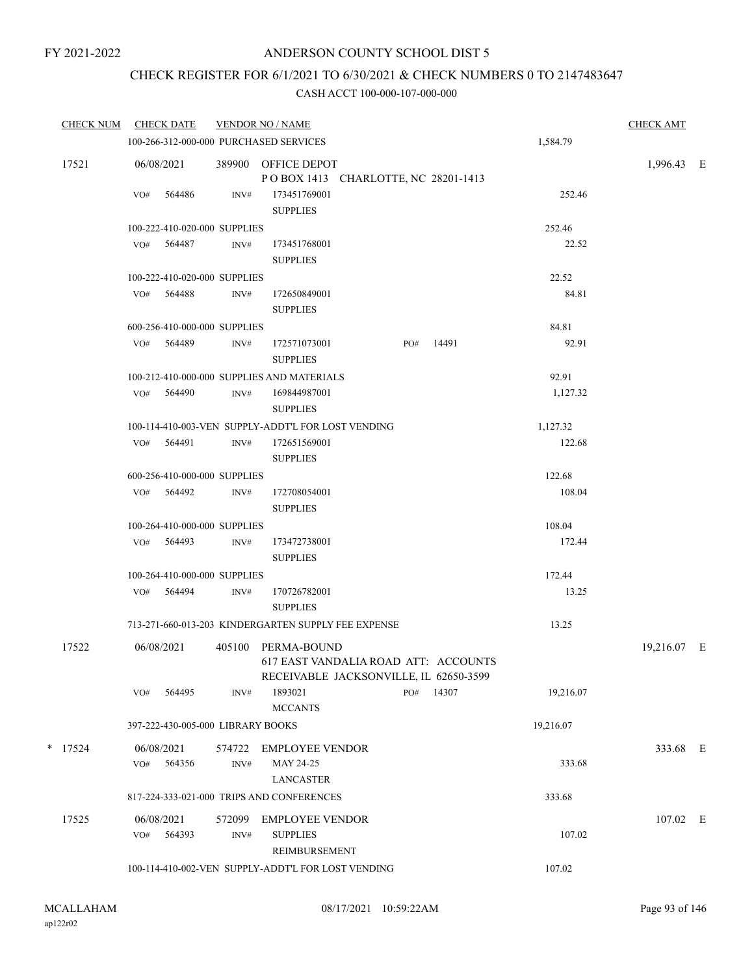# CHECK REGISTER FOR 6/1/2021 TO 6/30/2021 & CHECK NUMBERS 0 TO 2147483647

| CHECK NUM CHECK DATE |                   |                                   |                | <b>VENDOR NO / NAME</b>                                                                              |     |       |           | <b>CHECK AMT</b> |  |
|----------------------|-------------------|-----------------------------------|----------------|------------------------------------------------------------------------------------------------------|-----|-------|-----------|------------------|--|
|                      |                   |                                   |                | 100-266-312-000-000 PURCHASED SERVICES                                                               |     |       | 1,584.79  |                  |  |
| 17521                |                   | 06/08/2021                        |                | 389900 OFFICE DEPOT<br>POBOX 1413 CHARLOTTE, NC 28201-1413                                           |     |       |           | 1,996.43 E       |  |
|                      | VO#               | 564486                            | INV#           | 173451769001<br><b>SUPPLIES</b>                                                                      |     |       | 252.46    |                  |  |
|                      |                   | 100-222-410-020-000 SUPPLIES      |                |                                                                                                      |     |       | 252.46    |                  |  |
|                      |                   | VO# 564487                        | INV#           | 173451768001<br><b>SUPPLIES</b>                                                                      |     |       | 22.52     |                  |  |
|                      |                   | 100-222-410-020-000 SUPPLIES      |                |                                                                                                      |     |       | 22.52     |                  |  |
|                      |                   | VO# 564488                        | INV#           | 172650849001<br><b>SUPPLIES</b>                                                                      |     |       | 84.81     |                  |  |
|                      |                   | 600-256-410-000-000 SUPPLIES      |                |                                                                                                      |     |       | 84.81     |                  |  |
|                      |                   | VO# 564489                        | INV#           | 172571073001<br><b>SUPPLIES</b>                                                                      | PO# | 14491 | 92.91     |                  |  |
|                      |                   |                                   |                | 100-212-410-000-000 SUPPLIES AND MATERIALS                                                           |     |       | 92.91     |                  |  |
|                      |                   | VO# 564490                        | INV#           | 169844987001<br><b>SUPPLIES</b>                                                                      |     |       | 1,127.32  |                  |  |
|                      |                   |                                   |                | 100-114-410-003-VEN SUPPLY-ADDT'L FOR LOST VENDING                                                   |     |       | 1,127.32  |                  |  |
|                      |                   | VO# 564491                        | INV#           | 172651569001<br><b>SUPPLIES</b>                                                                      |     |       | 122.68    |                  |  |
|                      |                   | 600-256-410-000-000 SUPPLIES      |                |                                                                                                      |     |       | 122.68    |                  |  |
|                      |                   | VO# 564492                        | INV#           | 172708054001<br><b>SUPPLIES</b>                                                                      |     |       | 108.04    |                  |  |
|                      |                   | 100-264-410-000-000 SUPPLIES      |                |                                                                                                      |     |       | 108.04    |                  |  |
|                      |                   | VO# 564493                        | INV#           | 173472738001<br><b>SUPPLIES</b>                                                                      |     |       | 172.44    |                  |  |
|                      |                   | 100-264-410-000-000 SUPPLIES      |                |                                                                                                      |     |       | 172.44    |                  |  |
|                      |                   | VO# 564494                        | INV#           | 170726782001<br><b>SUPPLIES</b>                                                                      |     |       | 13.25     |                  |  |
|                      |                   |                                   |                | 713-271-660-013-203 KINDERGARTEN SUPPLY FEE EXPENSE                                                  |     |       | 13.25     |                  |  |
| 17522                | 06/08/2021        |                                   |                | 405100 PERMA-BOUND<br>617 EAST VANDALIA ROAD ATT: ACCOUNTS<br>RECEIVABLE JACKSONVILLE, IL 62650-3599 |     |       |           | 19,216.07 E      |  |
|                      | VO#               | 564495                            | INV#           | 1893021<br><b>MCCANTS</b>                                                                            | PO# | 14307 | 19,216.07 |                  |  |
|                      |                   | 397-222-430-005-000 LIBRARY BOOKS |                |                                                                                                      |     |       | 19,216.07 |                  |  |
| $*$ 17524            | VO#               | 06/08/2021<br>564356              | 574722<br>INV# | EMPLOYEE VENDOR<br>MAY 24-25                                                                         |     |       | 333.68    | 333.68 E         |  |
|                      |                   |                                   |                | LANCASTER                                                                                            |     |       |           |                  |  |
|                      |                   |                                   |                | 817-224-333-021-000 TRIPS AND CONFERENCES                                                            |     |       | 333.68    |                  |  |
| 17525                | 06/08/2021<br>VO# | 564393                            | 572099<br>INV# | <b>EMPLOYEE VENDOR</b><br><b>SUPPLIES</b><br>REIMBURSEMENT                                           |     |       | 107.02    | 107.02 E         |  |
|                      |                   |                                   |                | 100-114-410-002-VEN SUPPLY-ADDT'L FOR LOST VENDING                                                   |     |       | 107.02    |                  |  |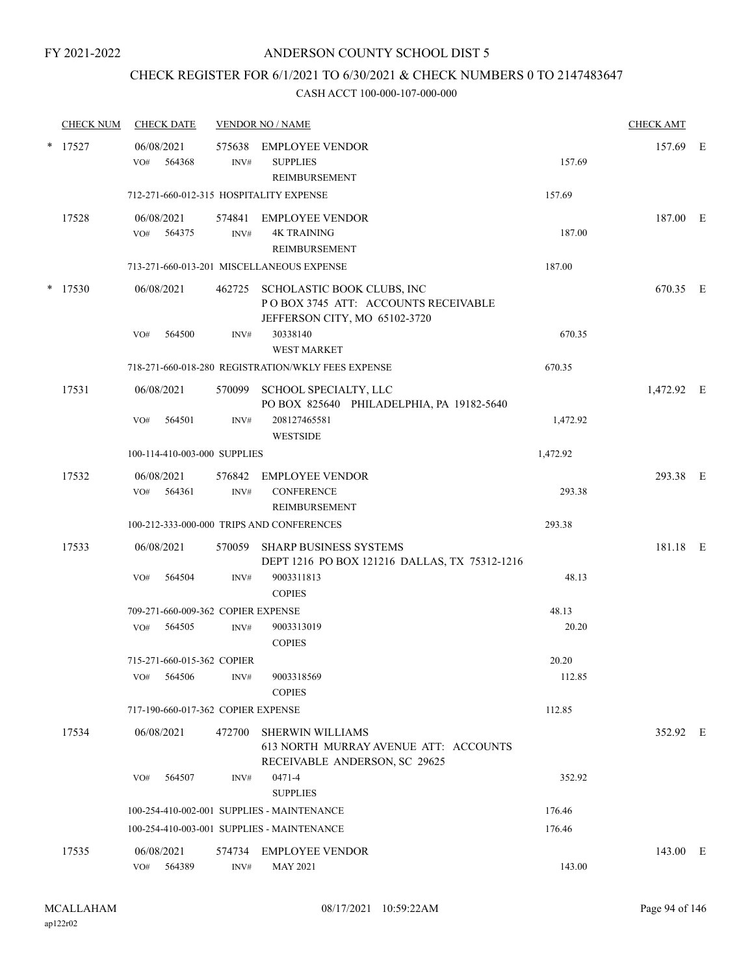## CHECK REGISTER FOR 6/1/2021 TO 6/30/2021 & CHECK NUMBERS 0 TO 2147483647

|        | <b>CHECK NUM</b> |     | <b>CHECK DATE</b>                  |                | <b>VENDOR NO / NAME</b>                                                                                   |          | <b>CHECK AMT</b> |  |
|--------|------------------|-----|------------------------------------|----------------|-----------------------------------------------------------------------------------------------------------|----------|------------------|--|
| $\ast$ | 17527            | VO# | 06/08/2021<br>564368               | INV#           | 575638 EMPLOYEE VENDOR<br><b>SUPPLIES</b><br>REIMBURSEMENT                                                | 157.69   | 157.69 E         |  |
|        |                  |     |                                    |                | 712-271-660-012-315 HOSPITALITY EXPENSE                                                                   | 157.69   |                  |  |
|        | 17528            | VO# | 06/08/2021<br>564375               | INV#           | 574841 EMPLOYEE VENDOR<br><b>4K TRAINING</b><br>REIMBURSEMENT                                             | 187.00   | 187.00 E         |  |
|        |                  |     |                                    |                | 713-271-660-013-201 MISCELLANEOUS EXPENSE                                                                 | 187.00   |                  |  |
| *      | 17530            |     | 06/08/2021                         |                | 462725 SCHOLASTIC BOOK CLUBS, INC<br>POBOX 3745 ATT: ACCOUNTS RECEIVABLE<br>JEFFERSON CITY, MO 65102-3720 |          | 670.35 E         |  |
|        |                  | VO# | 564500                             | INV#           | 30338140<br><b>WEST MARKET</b>                                                                            | 670.35   |                  |  |
|        |                  |     |                                    |                | 718-271-660-018-280 REGISTRATION/WKLY FEES EXPENSE                                                        | 670.35   |                  |  |
|        | 17531            |     | 06/08/2021                         |                | 570099 SCHOOL SPECIALTY, LLC<br>PO BOX 825640 PHILADELPHIA, PA 19182-5640                                 |          | 1,472.92 E       |  |
|        |                  | VO# | 564501                             | INV#           | 208127465581<br><b>WESTSIDE</b>                                                                           | 1,472.92 |                  |  |
|        |                  |     | 100-114-410-003-000 SUPPLIES       |                |                                                                                                           | 1,472.92 |                  |  |
|        | 17532            |     | 06/08/2021<br>VO# 564361           | INV#           | 576842 EMPLOYEE VENDOR<br><b>CONFERENCE</b><br>REIMBURSEMENT                                              | 293.38   | 293.38 E         |  |
|        |                  |     |                                    |                | 100-212-333-000-000 TRIPS AND CONFERENCES                                                                 | 293.38   |                  |  |
|        | 17533            |     | 06/08/2021                         |                | 570059 SHARP BUSINESS SYSTEMS<br>DEPT 1216 PO BOX 121216 DALLAS, TX 75312-1216                            |          | 181.18 E         |  |
|        |                  | VO# | 564504                             | INV#           | 9003311813<br><b>COPIES</b>                                                                               | 48.13    |                  |  |
|        |                  |     | 709-271-660-009-362 COPIER EXPENSE |                |                                                                                                           | 48.13    |                  |  |
|        |                  | VO# | 564505                             | INV#           | 9003313019<br><b>COPIES</b>                                                                               | 20.20    |                  |  |
|        |                  |     | 715-271-660-015-362 COPIER         |                |                                                                                                           | 20.20    |                  |  |
|        |                  | VO# | 564506                             | INV#           | 9003318569<br><b>COPIES</b>                                                                               | 112.85   |                  |  |
|        |                  |     | 717-190-660-017-362 COPIER EXPENSE |                |                                                                                                           | 112.85   |                  |  |
|        | 17534            |     | 06/08/2021                         | 472700         | <b>SHERWIN WILLIAMS</b><br>613 NORTH MURRAY AVENUE ATT: ACCOUNTS<br>RECEIVABLE ANDERSON, SC 29625         |          | 352.92 E         |  |
|        |                  | VO# | 564507                             | INV#           | 0471-4<br><b>SUPPLIES</b>                                                                                 | 352.92   |                  |  |
|        |                  |     |                                    |                | 100-254-410-002-001 SUPPLIES - MAINTENANCE                                                                | 176.46   |                  |  |
|        |                  |     |                                    |                | 100-254-410-003-001 SUPPLIES - MAINTENANCE                                                                | 176.46   |                  |  |
|        | 17535            | VO# | 06/08/2021<br>564389               | 574734<br>INV# | <b>EMPLOYEE VENDOR</b><br><b>MAY 2021</b>                                                                 | 143.00   | 143.00 E         |  |
|        |                  |     |                                    |                |                                                                                                           |          |                  |  |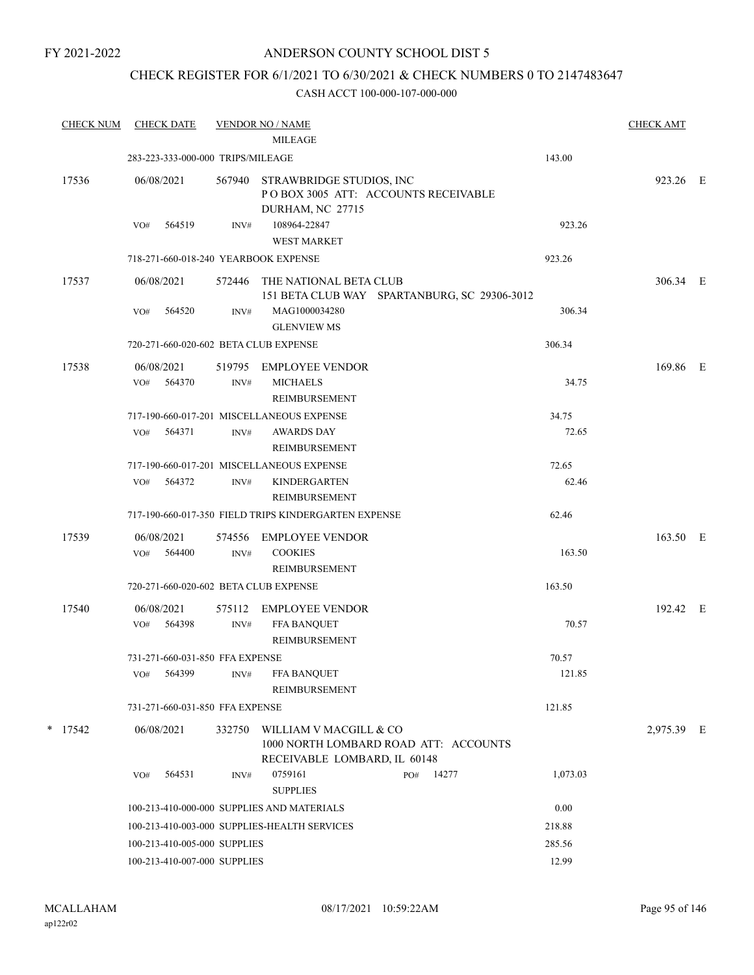## ANDERSON COUNTY SCHOOL DIST 5

# CHECK REGISTER FOR 6/1/2021 TO 6/30/2021 & CHECK NUMBERS 0 TO 2147483647

| <b>CHECK NUM</b> |     | <b>CHECK DATE</b>                 |                | <b>VENDOR NO / NAME</b><br><b>MILEAGE</b>                 |                                              |          | <b>CHECK AMT</b> |  |
|------------------|-----|-----------------------------------|----------------|-----------------------------------------------------------|----------------------------------------------|----------|------------------|--|
|                  |     | 283-223-333-000-000 TRIPS/MILEAGE |                |                                                           |                                              | 143.00   |                  |  |
| 17536            |     | 06/08/2021                        | 567940         | STRAWBRIDGE STUDIOS, INC<br>DURHAM, NC 27715              | POBOX 3005 ATT: ACCOUNTS RECEIVABLE          |          | 923.26 E         |  |
|                  | VO# | 564519                            | INV#           | 108964-22847<br><b>WEST MARKET</b>                        |                                              | 923.26   |                  |  |
|                  |     |                                   |                | 718-271-660-018-240 YEARBOOK EXPENSE                      |                                              | 923.26   |                  |  |
| 17537            |     | 06/08/2021                        | 572446         | THE NATIONAL BETA CLUB                                    | 151 BETA CLUB WAY SPARTANBURG, SC 29306-3012 |          | 306.34 E         |  |
|                  | VO# | 564520                            | INV#           | MAG1000034280<br><b>GLENVIEW MS</b>                       |                                              | 306.34   |                  |  |
|                  |     |                                   |                | 720-271-660-020-602 BETA CLUB EXPENSE                     |                                              | 306.34   |                  |  |
| 17538            | VO# | 06/08/2021<br>564370              | 519795<br>INV# | EMPLOYEE VENDOR<br><b>MICHAELS</b><br>REIMBURSEMENT       |                                              | 34.75    | 169.86 E         |  |
|                  |     |                                   |                | 717-190-660-017-201 MISCELLANEOUS EXPENSE                 |                                              | 34.75    |                  |  |
|                  | VO# | 564371                            | INV#           | <b>AWARDS DAY</b><br>REIMBURSEMENT                        |                                              | 72.65    |                  |  |
|                  |     |                                   |                | 717-190-660-017-201 MISCELLANEOUS EXPENSE                 |                                              | 72.65    |                  |  |
|                  | VO# | 564372                            | INV#           | <b>KINDERGARTEN</b><br>REIMBURSEMENT                      |                                              | 62.46    |                  |  |
|                  |     |                                   |                | 717-190-660-017-350 FIELD TRIPS KINDERGARTEN EXPENSE      |                                              | 62.46    |                  |  |
| 17539            | VO# | 06/08/2021<br>564400              | 574556<br>INV# | <b>EMPLOYEE VENDOR</b><br><b>COOKIES</b><br>REIMBURSEMENT |                                              | 163.50   | 163.50 E         |  |
|                  |     |                                   |                | 720-271-660-020-602 BETA CLUB EXPENSE                     |                                              | 163.50   |                  |  |
| 17540            |     | 06/08/2021                        | 575112         | <b>EMPLOYEE VENDOR</b>                                    |                                              |          | 192.42 E         |  |
|                  | VO# | 564398                            | $\text{INV}\#$ | FFA BANQUET<br>REIMBURSEMENT                              |                                              | 70.57    |                  |  |
|                  |     | 731-271-660-031-850 FFA EXPENSE   |                |                                                           |                                              | 70.57    |                  |  |
|                  | VO# | 564399                            | INV#           | <b>FFA BANQUET</b><br>REIMBURSEMENT                       |                                              | 121.85   |                  |  |
|                  |     | 731-271-660-031-850 FFA EXPENSE   |                |                                                           |                                              | 121.85   |                  |  |
| $*$ 17542        |     | 06/08/2021                        | 332750         | WILLIAM V MACGILL & CO<br>RECEIVABLE LOMBARD, IL 60148    | 1000 NORTH LOMBARD ROAD ATT: ACCOUNTS        |          | 2,975.39 E       |  |
|                  | VO# | 564531                            | INV#           | 0759161<br><b>SUPPLIES</b>                                | 14277<br>PO#                                 | 1,073.03 |                  |  |
|                  |     |                                   |                | 100-213-410-000-000 SUPPLIES AND MATERIALS                |                                              | 0.00     |                  |  |
|                  |     |                                   |                | 100-213-410-003-000 SUPPLIES-HEALTH SERVICES              |                                              | 218.88   |                  |  |
|                  |     | 100-213-410-005-000 SUPPLIES      |                |                                                           |                                              | 285.56   |                  |  |
|                  |     | 100-213-410-007-000 SUPPLIES      |                |                                                           |                                              | 12.99    |                  |  |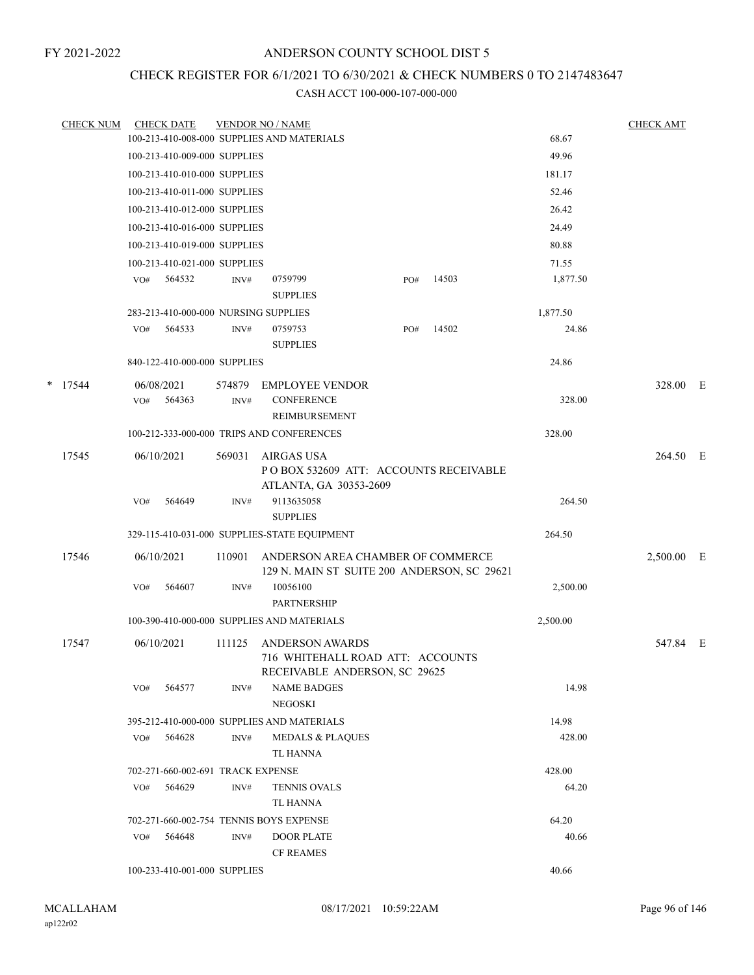# CHECK REGISTER FOR 6/1/2021 TO 6/30/2021 & CHECK NUMBERS 0 TO 2147483647

|   | <b>CHECK NUM</b> |     | <b>CHECK DATE</b>                    |                | <b>VENDOR NO / NAME</b>                                                          |     |       |          | <b>CHECK AMT</b> |  |
|---|------------------|-----|--------------------------------------|----------------|----------------------------------------------------------------------------------|-----|-------|----------|------------------|--|
|   |                  |     |                                      |                | 100-213-410-008-000 SUPPLIES AND MATERIALS                                       |     |       | 68.67    |                  |  |
|   |                  |     | 100-213-410-009-000 SUPPLIES         |                |                                                                                  |     |       | 49.96    |                  |  |
|   |                  |     | 100-213-410-010-000 SUPPLIES         |                |                                                                                  |     |       | 181.17   |                  |  |
|   |                  |     | 100-213-410-011-000 SUPPLIES         |                |                                                                                  |     |       | 52.46    |                  |  |
|   |                  |     | 100-213-410-012-000 SUPPLIES         |                |                                                                                  |     |       | 26.42    |                  |  |
|   |                  |     | 100-213-410-016-000 SUPPLIES         |                |                                                                                  |     |       | 24.49    |                  |  |
|   |                  |     | 100-213-410-019-000 SUPPLIES         |                |                                                                                  |     |       | 80.88    |                  |  |
|   |                  |     | 100-213-410-021-000 SUPPLIES         |                |                                                                                  |     |       | 71.55    |                  |  |
|   |                  | VO# | 564532                               | INV#           | 0759799<br><b>SUPPLIES</b>                                                       | PO# | 14503 | 1,877.50 |                  |  |
|   |                  |     | 283-213-410-000-000 NURSING SUPPLIES |                |                                                                                  |     |       | 1,877.50 |                  |  |
|   |                  |     | VO# 564533                           | INV#           | 0759753<br><b>SUPPLIES</b>                                                       | PO# | 14502 | 24.86    |                  |  |
|   |                  |     | 840-122-410-000-000 SUPPLIES         |                |                                                                                  |     |       | 24.86    |                  |  |
| * | 17544            | VO# | 06/08/2021<br>564363                 | 574879<br>INV# | <b>EMPLOYEE VENDOR</b><br><b>CONFERENCE</b>                                      |     |       | 328.00   | 328.00 E         |  |
|   |                  |     |                                      |                | REIMBURSEMENT<br>100-212-333-000-000 TRIPS AND CONFERENCES                       |     |       | 328.00   |                  |  |
|   | 17545            |     | 06/10/2021                           | 569031         | AIRGAS USA<br>POBOX 532609 ATT: ACCOUNTS RECEIVABLE<br>ATLANTA, GA 30353-2609    |     |       |          | 264.50 E         |  |
|   |                  | VO# | 564649                               | INV#           | 9113635058<br><b>SUPPLIES</b>                                                    |     |       | 264.50   |                  |  |
|   |                  |     |                                      |                | 329-115-410-031-000 SUPPLIES-STATE EQUIPMENT                                     |     |       | 264.50   |                  |  |
|   | 17546            |     | 06/10/2021                           | 110901         | ANDERSON AREA CHAMBER OF COMMERCE<br>129 N. MAIN ST SUITE 200 ANDERSON, SC 29621 |     |       |          | 2,500.00 E       |  |
|   |                  | VO# | 564607                               | INV#           | 10056100<br><b>PARTNERSHIP</b>                                                   |     |       | 2,500.00 |                  |  |
|   |                  |     |                                      |                | 100-390-410-000-000 SUPPLIES AND MATERIALS                                       |     |       | 2,500.00 |                  |  |
|   | 17547            |     | 06/10/2021                           | 111125         | <b>ANDERSON AWARDS</b><br>716 WHITEHALL ROAD ATT: ACCOUNTS                       |     |       |          | 547.84 E         |  |
|   |                  | VO# | 564577                               | INV#           | RECEIVABLE ANDERSON, SC 29625<br><b>NAME BADGES</b><br>NEGOSKI                   |     |       | 14.98    |                  |  |
|   |                  |     |                                      |                | 395-212-410-000-000 SUPPLIES AND MATERIALS                                       |     |       | 14.98    |                  |  |
|   |                  | VO# | 564628                               | INV#           | <b>MEDALS &amp; PLAQUES</b><br>TL HANNA                                          |     |       | 428.00   |                  |  |
|   |                  |     | 702-271-660-002-691 TRACK EXPENSE    |                |                                                                                  |     |       | 428.00   |                  |  |
|   |                  | VO# | 564629                               | INV#           | <b>TENNIS OVALS</b><br>TL HANNA                                                  |     |       | 64.20    |                  |  |
|   |                  |     |                                      |                | 702-271-660-002-754 TENNIS BOYS EXPENSE                                          |     |       | 64.20    |                  |  |
|   |                  | VO# | 564648                               | INV#           | <b>DOOR PLATE</b><br><b>CF REAMES</b>                                            |     |       | 40.66    |                  |  |
|   |                  |     | 100-233-410-001-000 SUPPLIES         |                |                                                                                  |     |       | 40.66    |                  |  |
|   |                  |     |                                      |                |                                                                                  |     |       |          |                  |  |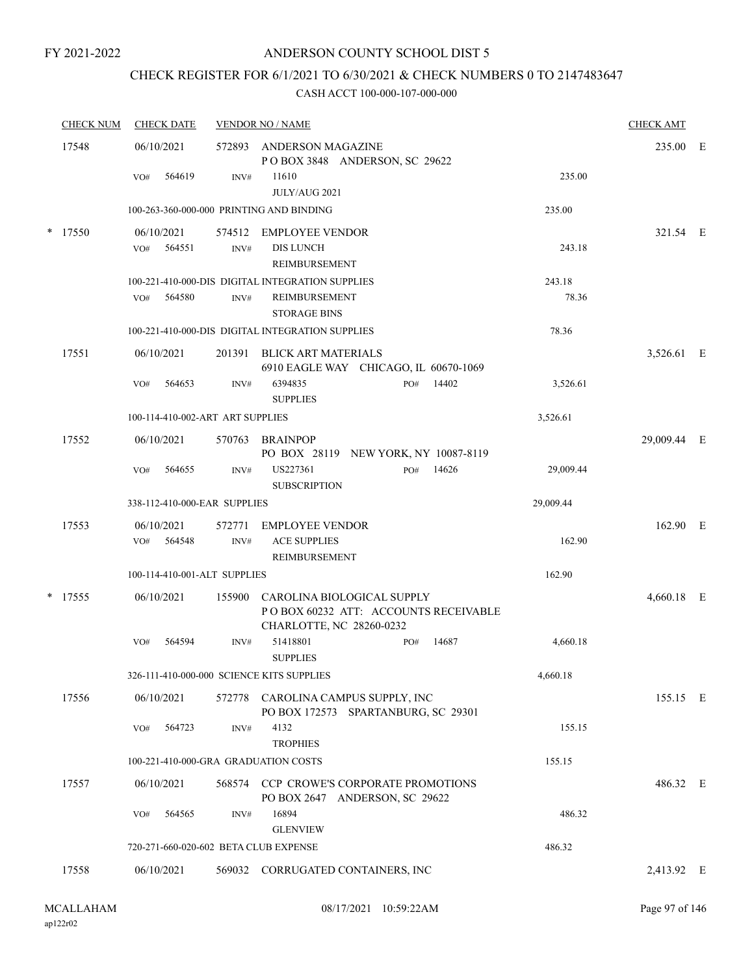## ANDERSON COUNTY SCHOOL DIST 5

# CHECK REGISTER FOR 6/1/2021 TO 6/30/2021 & CHECK NUMBERS 0 TO 2147483647

| <b>CHECK NUM</b> | <b>CHECK DATE</b>                         |                | <b>VENDOR NO / NAME</b>                                                                               |           | <b>CHECK AMT</b> |  |
|------------------|-------------------------------------------|----------------|-------------------------------------------------------------------------------------------------------|-----------|------------------|--|
| 17548            | 06/10/2021                                |                | 572893 ANDERSON MAGAZINE<br>POBOX 3848 ANDERSON, SC 29622                                             |           | 235.00 E         |  |
|                  | 564619<br>VO#                             | INV#           | 11610<br>JULY/AUG 2021                                                                                | 235.00    |                  |  |
|                  | 100-263-360-000-000 PRINTING AND BINDING  |                |                                                                                                       | 235.00    |                  |  |
| $*$ 17550        | 06/10/2021<br>564551<br>VO#               | $\text{INV}\#$ | 574512 EMPLOYEE VENDOR<br><b>DIS LUNCH</b><br>REIMBURSEMENT                                           | 243.18    | 321.54 E         |  |
|                  |                                           |                | 100-221-410-000-DIS DIGITAL INTEGRATION SUPPLIES                                                      | 243.18    |                  |  |
|                  | 564580<br>VO#                             | INV#           | <b>REIMBURSEMENT</b><br><b>STORAGE BINS</b>                                                           | 78.36     |                  |  |
|                  |                                           |                | 100-221-410-000-DIS DIGITAL INTEGRATION SUPPLIES                                                      | 78.36     |                  |  |
| 17551            | 06/10/2021                                |                | 201391 BLICK ART MATERIALS<br>6910 EAGLE WAY CHICAGO, IL 60670-1069                                   |           | 3,526.61 E       |  |
|                  | 564653<br>VO#                             | INV#           | 14402<br>6394835<br>PO#<br><b>SUPPLIES</b>                                                            | 3,526.61  |                  |  |
|                  | 100-114-410-002-ART ART SUPPLIES          |                |                                                                                                       | 3,526.61  |                  |  |
| 17552            | 06/10/2021                                |                | 570763 BRAINPOP<br>PO BOX 28119 NEW YORK, NY 10087-8119                                               |           | 29,009.44 E      |  |
|                  | 564655<br>VO#                             | INV#           | US227361<br>PO#<br>14626<br><b>SUBSCRIPTION</b>                                                       | 29,009.44 |                  |  |
|                  | 338-112-410-000-EAR SUPPLIES              |                |                                                                                                       | 29,009.44 |                  |  |
| 17553            | 06/10/2021<br>564548<br>VO#               | 572771<br>INV# | <b>EMPLOYEE VENDOR</b><br><b>ACE SUPPLIES</b><br>REIMBURSEMENT                                        | 162.90    | 162.90 E         |  |
|                  | 100-114-410-001-ALT SUPPLIES              |                |                                                                                                       | 162.90    |                  |  |
| $*$ 17555        | 06/10/2021                                |                | 155900 CAROLINA BIOLOGICAL SUPPLY<br>POBOX 60232 ATT: ACCOUNTS RECEIVABLE<br>CHARLOTTE, NC 28260-0232 |           | 4,660.18 E       |  |
|                  | 564594<br>VO#                             | INV#           | 51418801<br>14687<br>PO#<br><b>SUPPLIES</b>                                                           | 4,660.18  |                  |  |
|                  | 326-111-410-000-000 SCIENCE KITS SUPPLIES |                |                                                                                                       | 4,660.18  |                  |  |
| 17556            | 06/10/2021                                | 572778         | CAROLINA CAMPUS SUPPLY, INC<br>PO BOX 172573 SPARTANBURG, SC 29301                                    |           | 155.15 E         |  |
|                  | 564723<br>VO#                             | INV#           | 4132<br><b>TROPHIES</b>                                                                               | 155.15    |                  |  |
|                  | 100-221-410-000-GRA GRADUATION COSTS      |                |                                                                                                       | 155.15    |                  |  |
| 17557            | 06/10/2021                                | 568574         | <b>CCP CROWE'S CORPORATE PROMOTIONS</b><br>PO BOX 2647 ANDERSON, SC 29622                             |           | 486.32 E         |  |
|                  | 564565<br>VO#                             | INV#           | 16894<br><b>GLENVIEW</b>                                                                              | 486.32    |                  |  |
|                  | 720-271-660-020-602 BETA CLUB EXPENSE     |                |                                                                                                       | 486.32    |                  |  |
| 17558            | 06/10/2021                                |                | 569032 CORRUGATED CONTAINERS, INC                                                                     |           | 2,413.92 E       |  |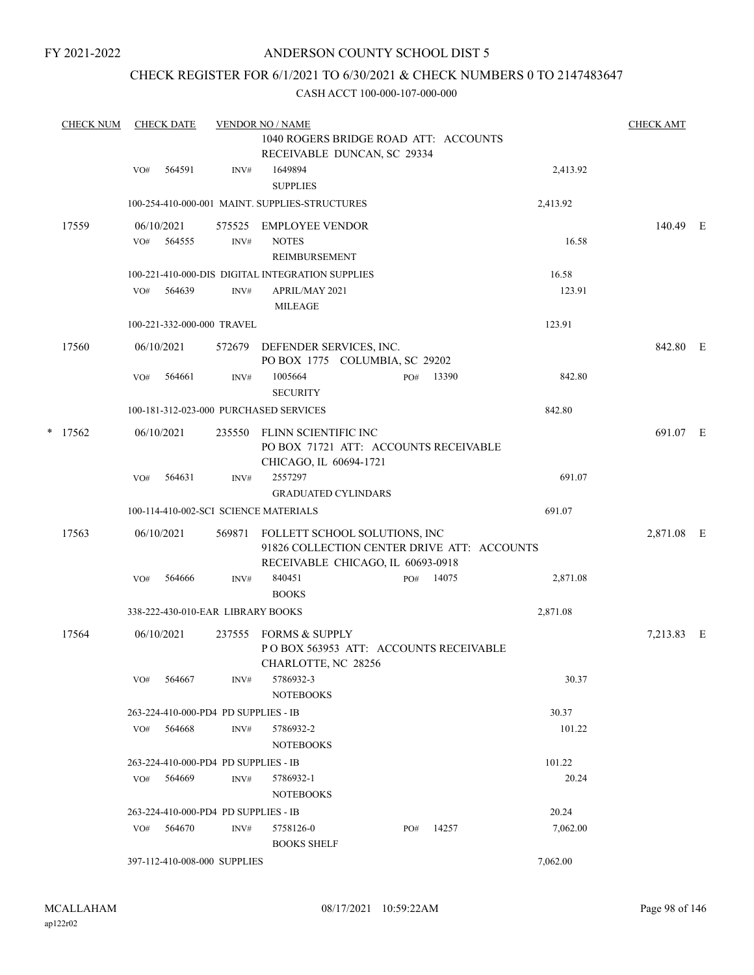## ANDERSON COUNTY SCHOOL DIST 5

## CHECK REGISTER FOR 6/1/2021 TO 6/30/2021 & CHECK NUMBERS 0 TO 2147483647

|   | <b>CHECK NUM</b> |     | <b>CHECK DATE</b> |                                      | <b>VENDOR NO / NAME</b>                                                                                           |     |       |          | <b>CHECK AMT</b> |  |
|---|------------------|-----|-------------------|--------------------------------------|-------------------------------------------------------------------------------------------------------------------|-----|-------|----------|------------------|--|
|   |                  |     |                   |                                      | 1040 ROGERS BRIDGE ROAD ATT: ACCOUNTS                                                                             |     |       |          |                  |  |
|   |                  |     |                   |                                      | RECEIVABLE DUNCAN, SC 29334                                                                                       |     |       |          |                  |  |
|   |                  | VO# | 564591            | INV#                                 | 1649894<br><b>SUPPLIES</b>                                                                                        |     |       | 2,413.92 |                  |  |
|   |                  |     |                   |                                      | 100-254-410-000-001 MAINT. SUPPLIES-STRUCTURES                                                                    |     |       | 2,413.92 |                  |  |
|   | 17559            |     | 06/10/2021        | 575525                               | <b>EMPLOYEE VENDOR</b>                                                                                            |     |       |          | 140.49 E         |  |
|   |                  | VO# | 564555            | INV#                                 | <b>NOTES</b>                                                                                                      |     |       | 16.58    |                  |  |
|   |                  |     |                   |                                      | <b>REIMBURSEMENT</b>                                                                                              |     |       |          |                  |  |
|   |                  |     |                   |                                      | 100-221-410-000-DIS DIGITAL INTEGRATION SUPPLIES                                                                  |     |       | 16.58    |                  |  |
|   |                  | VO# | 564639            | INV#                                 | APRIL/MAY 2021<br><b>MILEAGE</b>                                                                                  |     |       | 123.91   |                  |  |
|   |                  |     |                   | 100-221-332-000-000 TRAVEL           |                                                                                                                   |     |       | 123.91   |                  |  |
|   | 17560            |     | 06/10/2021        |                                      | 572679 DEFENDER SERVICES, INC.<br>PO BOX 1775 COLUMBIA, SC 29202                                                  |     |       |          | 842.80 E         |  |
|   |                  | VO# | 564661            | INV#                                 | 1005664<br><b>SECURITY</b>                                                                                        | PO# | 13390 | 842.80   |                  |  |
|   |                  |     |                   |                                      | 100-181-312-023-000 PURCHASED SERVICES                                                                            |     |       | 842.80   |                  |  |
| * | 17562            |     | 06/10/2021        | 235550                               | FLINN SCIENTIFIC INC<br>PO BOX 71721 ATT: ACCOUNTS RECEIVABLE<br>CHICAGO, IL 60694-1721                           |     |       |          | 691.07 E         |  |
|   |                  | VO# | 564631            | INV#                                 | 2557297                                                                                                           |     |       | 691.07   |                  |  |
|   |                  |     |                   |                                      | <b>GRADUATED CYLINDARS</b>                                                                                        |     |       |          |                  |  |
|   |                  |     |                   |                                      | 100-114-410-002-SCI SCIENCE MATERIALS                                                                             |     |       | 691.07   |                  |  |
|   | 17563            |     | 06/10/2021        | 569871                               | FOLLETT SCHOOL SOLUTIONS, INC<br>91826 COLLECTION CENTER DRIVE ATT: ACCOUNTS<br>RECEIVABLE CHICAGO, IL 60693-0918 |     |       |          | 2,871.08 E       |  |
|   |                  | VO# | 564666            | INV#                                 | 840451<br><b>BOOKS</b>                                                                                            | PO# | 14075 | 2,871.08 |                  |  |
|   |                  |     |                   | 338-222-430-010-EAR LIBRARY BOOKS    |                                                                                                                   |     |       | 2,871.08 |                  |  |
|   | 17564            |     | 06/10/2021        | 237555                               | FORMS & SUPPLY                                                                                                    |     |       |          | 7,213.83 E       |  |
|   |                  |     |                   |                                      | POBOX 563953 ATT: ACCOUNTS RECEIVABLE<br>CHARLOTTE, NC 28256                                                      |     |       |          |                  |  |
|   |                  | VO# | 564667            | INV#                                 | 5786932-3<br><b>NOTEBOOKS</b>                                                                                     |     |       | 30.37    |                  |  |
|   |                  |     |                   | 263-224-410-000-PD4 PD SUPPLIES - IB |                                                                                                                   |     |       | 30.37    |                  |  |
|   |                  | VO# | 564668            | INV#                                 | 5786932-2<br><b>NOTEBOOKS</b>                                                                                     |     |       | 101.22   |                  |  |
|   |                  |     |                   | 263-224-410-000-PD4 PD SUPPLIES - IB |                                                                                                                   |     |       | 101.22   |                  |  |
|   |                  | VO# | 564669            | INV#                                 | 5786932-1<br><b>NOTEBOOKS</b>                                                                                     |     |       | 20.24    |                  |  |
|   |                  |     |                   | 263-224-410-000-PD4 PD SUPPLIES - IB |                                                                                                                   |     |       | 20.24    |                  |  |
|   |                  | VO# | 564670            | INV#                                 | 5758126-0<br><b>BOOKS SHELF</b>                                                                                   | PO# | 14257 | 7,062.00 |                  |  |
|   |                  |     |                   | 397-112-410-008-000 SUPPLIES         |                                                                                                                   |     |       | 7,062.00 |                  |  |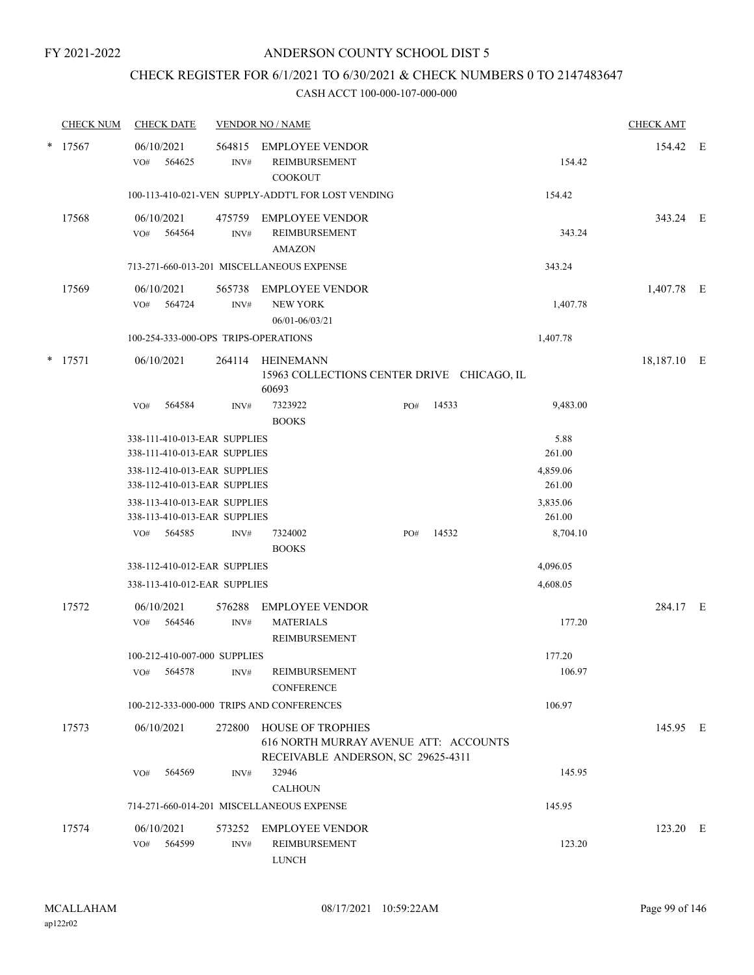# CHECK REGISTER FOR 6/1/2021 TO 6/30/2021 & CHECK NUMBERS 0 TO 2147483647

|        | <b>CHECK NUM</b> |     | <b>CHECK DATE</b>    |                                                              | <b>VENDOR NO / NAME</b>                                                                                 |     |       |                    | <b>CHECK AMT</b> |  |
|--------|------------------|-----|----------------------|--------------------------------------------------------------|---------------------------------------------------------------------------------------------------------|-----|-------|--------------------|------------------|--|
| $\ast$ | 17567            | VO# | 06/10/2021<br>564625 | 564815<br>INV#                                               | <b>EMPLOYEE VENDOR</b><br><b>REIMBURSEMENT</b><br><b>COOKOUT</b>                                        |     |       | 154.42             | 154.42 E         |  |
|        |                  |     |                      |                                                              | 100-113-410-021-VEN SUPPLY-ADDT'L FOR LOST VENDING                                                      |     |       | 154.42             |                  |  |
|        | 17568            | VO# | 06/10/2021<br>564564 | 475759<br>INV#                                               | <b>EMPLOYEE VENDOR</b><br>REIMBURSEMENT<br><b>AMAZON</b>                                                |     |       | 343.24             | 343.24 E         |  |
|        |                  |     |                      |                                                              | 713-271-660-013-201 MISCELLANEOUS EXPENSE                                                               |     |       | 343.24             |                  |  |
|        | 17569            | VO# | 06/10/2021<br>564724 | 565738<br>INV#                                               | <b>EMPLOYEE VENDOR</b><br><b>NEW YORK</b><br>06/01-06/03/21                                             |     |       | 1,407.78           | 1,407.78 E       |  |
|        |                  |     |                      |                                                              | 100-254-333-000-OPS TRIPS-OPERATIONS                                                                    |     |       | 1,407.78           |                  |  |
| *      | 17571            |     | 06/10/2021           |                                                              | 264114 HEINEMANN<br>15963 COLLECTIONS CENTER DRIVE CHICAGO, IL<br>60693                                 |     |       |                    | 18,187.10 E      |  |
|        |                  | VO# | 564584               | INV#                                                         | 7323922<br><b>BOOKS</b>                                                                                 | PO# | 14533 | 9,483.00           |                  |  |
|        |                  |     |                      | 338-111-410-013-EAR SUPPLIES<br>338-111-410-013-EAR SUPPLIES |                                                                                                         |     |       | 5.88<br>261.00     |                  |  |
|        |                  |     |                      | 338-112-410-013-EAR SUPPLIES<br>338-112-410-013-EAR SUPPLIES |                                                                                                         |     |       | 4,859.06<br>261.00 |                  |  |
|        |                  |     |                      | 338-113-410-013-EAR SUPPLIES<br>338-113-410-013-EAR SUPPLIES |                                                                                                         |     |       | 3,835.06<br>261.00 |                  |  |
|        |                  | VO# | 564585               | INV#                                                         | 7324002<br><b>BOOKS</b>                                                                                 | PO# | 14532 | 8,704.10           |                  |  |
|        |                  |     |                      | 338-112-410-012-EAR SUPPLIES                                 |                                                                                                         |     |       | 4,096.05           |                  |  |
|        |                  |     |                      | 338-113-410-012-EAR SUPPLIES                                 |                                                                                                         |     |       | 4,608.05           |                  |  |
|        | 17572            | VO# | 06/10/2021<br>564546 | 576288<br>INV#                                               | <b>EMPLOYEE VENDOR</b><br><b>MATERIALS</b><br>REIMBURSEMENT                                             |     |       | 177.20             | 284.17 E         |  |
|        |                  |     |                      | 100-212-410-007-000 SUPPLIES                                 |                                                                                                         |     |       | 177.20             |                  |  |
|        |                  | VO# | 564578               | INV#                                                         | REIMBURSEMENT<br><b>CONFERENCE</b>                                                                      |     |       | 106.97             |                  |  |
|        |                  |     |                      |                                                              | 100-212-333-000-000 TRIPS AND CONFERENCES                                                               |     |       | 106.97             |                  |  |
|        | 17573            |     | 06/10/2021           | 272800                                                       | <b>HOUSE OF TROPHIES</b><br>616 NORTH MURRAY AVENUE ATT: ACCOUNTS<br>RECEIVABLE ANDERSON, SC 29625-4311 |     |       |                    | 145.95 E         |  |
|        |                  | VO# | 564569               | INV#                                                         | 32946                                                                                                   |     |       | 145.95             |                  |  |
|        |                  |     |                      |                                                              | <b>CALHOUN</b>                                                                                          |     |       |                    |                  |  |
|        |                  |     |                      |                                                              | 714-271-660-014-201 MISCELLANEOUS EXPENSE                                                               |     |       | 145.95             |                  |  |
|        | 17574            | VO# | 06/10/2021<br>564599 | INV#                                                         | 573252 EMPLOYEE VENDOR<br>REIMBURSEMENT<br><b>LUNCH</b>                                                 |     |       | 123.20             | 123.20 E         |  |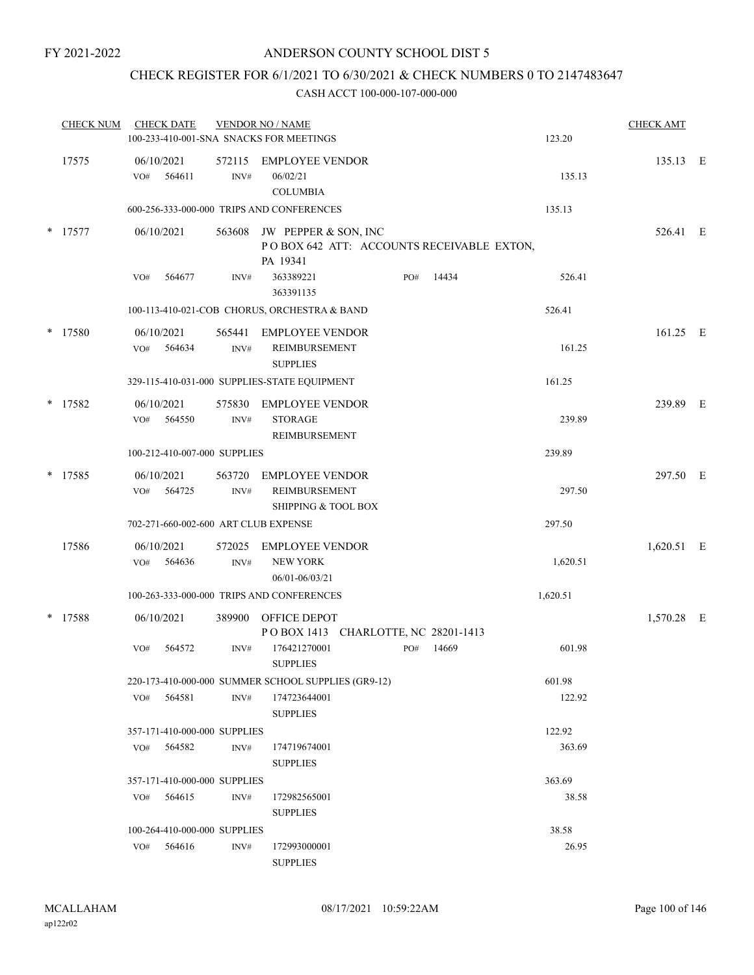# CHECK REGISTER FOR 6/1/2021 TO 6/30/2021 & CHECK NUMBERS 0 TO 2147483647

| <b>CHECK NUM</b> |     | <b>CHECK DATE</b>            |                | <b>VENDOR NO / NAME</b><br>100-233-410-001-SNA SNACKS FOR MEETINGS            |     |       | 123.20   | <b>CHECK AMT</b> |  |
|------------------|-----|------------------------------|----------------|-------------------------------------------------------------------------------|-----|-------|----------|------------------|--|
| 17575            | VO# | 06/10/2021<br>564611         | 572115<br>INV# | <b>EMPLOYEE VENDOR</b><br>06/02/21<br><b>COLUMBIA</b>                         |     |       | 135.13   | 135.13 E         |  |
|                  |     |                              |                | 600-256-333-000-000 TRIPS AND CONFERENCES                                     |     |       | 135.13   |                  |  |
| * 17577          |     | 06/10/2021                   | 563608         | JW PEPPER & SON, INC<br>POBOX 642 ATT: ACCOUNTS RECEIVABLE EXTON,<br>PA 19341 |     |       |          | 526.41 E         |  |
|                  | VO# | 564677                       | INV#           | 363389221<br>363391135                                                        | PO# | 14434 | 526.41   |                  |  |
|                  |     |                              |                | 100-113-410-021-COB CHORUS, ORCHESTRA & BAND                                  |     |       | 526.41   |                  |  |
| * 17580          | VO# | 06/10/2021<br>564634         | 565441<br>INV# | <b>EMPLOYEE VENDOR</b><br>REIMBURSEMENT<br><b>SUPPLIES</b>                    |     |       | 161.25   | 161.25 E         |  |
|                  |     |                              |                | 329-115-410-031-000 SUPPLIES-STATE EQUIPMENT                                  |     |       | 161.25   |                  |  |
| * 17582          | VO# | 06/10/2021<br>564550         | 575830<br>INV# | <b>EMPLOYEE VENDOR</b><br><b>STORAGE</b><br>REIMBURSEMENT                     |     |       | 239.89   | 239.89 E         |  |
|                  |     | 100-212-410-007-000 SUPPLIES |                |                                                                               |     |       | 239.89   |                  |  |
| $*$ 17585        | VO# | 06/10/2021<br>564725         | 563720<br>INV# | <b>EMPLOYEE VENDOR</b><br>REIMBURSEMENT<br><b>SHIPPING &amp; TOOL BOX</b>     |     |       | 297.50   | 297.50 E         |  |
|                  |     |                              |                | 702-271-660-002-600 ART CLUB EXPENSE                                          |     |       | 297.50   |                  |  |
| 17586            | VO# | 06/10/2021<br>564636         | 572025<br>INV# | <b>EMPLOYEE VENDOR</b><br>NEW YORK<br>06/01-06/03/21                          |     |       | 1,620.51 | 1,620.51 E       |  |
|                  |     |                              |                | 100-263-333-000-000 TRIPS AND CONFERENCES                                     |     |       | 1,620.51 |                  |  |
| * 17588          |     | 06/10/2021                   | 389900         | OFFICE DEPOT<br>POBOX 1413 CHARLOTTE, NC 28201-1413                           |     |       |          | 1,570.28 E       |  |
|                  | VO# | 564572                       | INV#           | 176421270001<br><b>SUPPLIES</b>                                               | PO# | 14669 | 601.98   |                  |  |
|                  |     |                              |                | 220-173-410-000-000 SUMMER SCHOOL SUPPLIES (GR9-12)                           |     |       | 601.98   |                  |  |
|                  | VO# | 564581                       | INV#           | 174723644001<br><b>SUPPLIES</b>                                               |     |       | 122.92   |                  |  |
|                  |     | 357-171-410-000-000 SUPPLIES |                |                                                                               |     |       | 122.92   |                  |  |
|                  | VO# | 564582                       | INV#           | 174719674001<br><b>SUPPLIES</b>                                               |     |       | 363.69   |                  |  |
|                  |     | 357-171-410-000-000 SUPPLIES |                |                                                                               |     |       | 363.69   |                  |  |
|                  | VO# | 564615                       | INV#           | 172982565001<br><b>SUPPLIES</b>                                               |     |       | 38.58    |                  |  |
|                  |     | 100-264-410-000-000 SUPPLIES |                |                                                                               |     |       | 38.58    |                  |  |
|                  | VO# | 564616                       | INV#           | 172993000001<br><b>SUPPLIES</b>                                               |     |       | 26.95    |                  |  |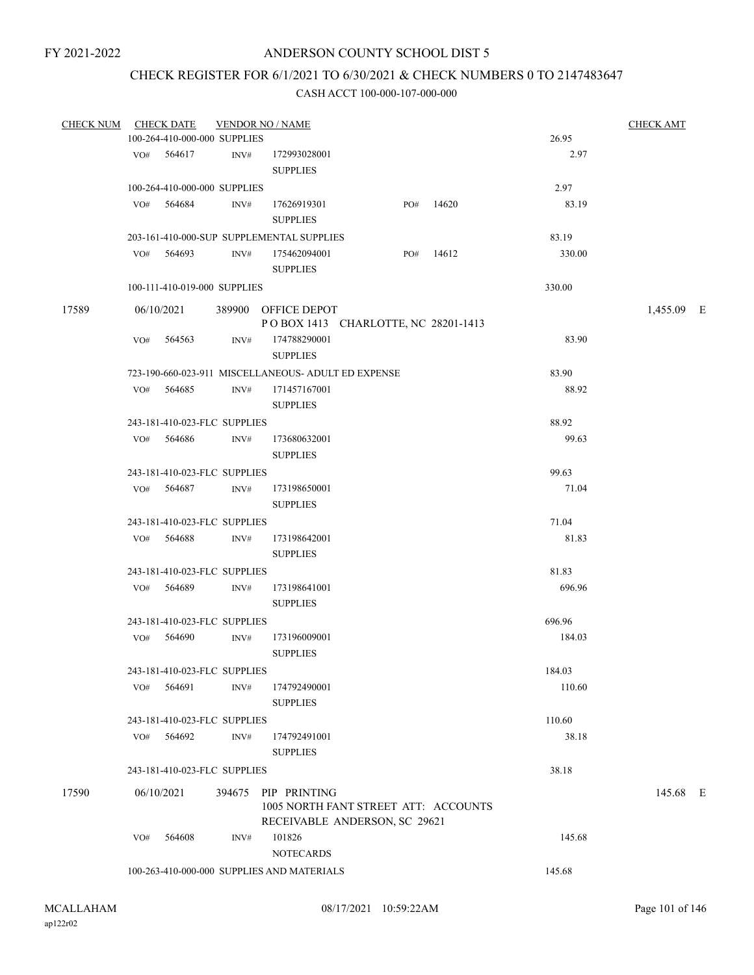# CHECK REGISTER FOR 6/1/2021 TO 6/30/2021 & CHECK NUMBERS 0 TO 2147483647

| CHECK NUM |     | <b>CHECK DATE</b>            |      | <b>VENDOR NO / NAME</b>                             |                                                                       |       |        | <b>CHECK AMT</b> |
|-----------|-----|------------------------------|------|-----------------------------------------------------|-----------------------------------------------------------------------|-------|--------|------------------|
|           |     | 100-264-410-000-000 SUPPLIES |      |                                                     |                                                                       |       | 26.95  |                  |
|           |     | VO# 564617                   | INV# | 172993028001                                        |                                                                       |       | 2.97   |                  |
|           |     |                              |      | <b>SUPPLIES</b>                                     |                                                                       |       |        |                  |
|           |     | 100-264-410-000-000 SUPPLIES |      |                                                     |                                                                       |       | 2.97   |                  |
|           |     | VO# 564684                   | INV# | 17626919301<br><b>SUPPLIES</b>                      | PO#                                                                   | 14620 | 83.19  |                  |
|           |     |                              |      |                                                     |                                                                       |       |        |                  |
|           |     |                              |      | 203-161-410-000-SUP SUPPLEMENTAL SUPPLIES           |                                                                       |       | 83.19  |                  |
|           |     | VO# 564693                   | INV# | 175462094001<br><b>SUPPLIES</b>                     | PO#                                                                   | 14612 | 330.00 |                  |
|           |     | 100-111-410-019-000 SUPPLIES |      |                                                     |                                                                       |       | 330.00 |                  |
| 17589     |     | 06/10/2021                   |      | 389900 OFFICE DEPOT                                 |                                                                       |       |        | 1,455.09 E       |
|           |     |                              |      |                                                     | POBOX 1413 CHARLOTTE, NC 28201-1413                                   |       |        |                  |
|           |     | VO# 564563                   | INV# | 174788290001<br><b>SUPPLIES</b>                     |                                                                       |       | 83.90  |                  |
|           |     |                              |      | 723-190-660-023-911 MISCELLANEOUS- ADULT ED EXPENSE |                                                                       |       | 83.90  |                  |
|           |     | VO# 564685                   | INV# | 171457167001                                        |                                                                       |       | 88.92  |                  |
|           |     |                              |      | <b>SUPPLIES</b>                                     |                                                                       |       |        |                  |
|           |     | 243-181-410-023-FLC SUPPLIES |      |                                                     |                                                                       |       | 88.92  |                  |
|           |     | VO# 564686                   | INV# | 173680632001                                        |                                                                       |       | 99.63  |                  |
|           |     |                              |      | <b>SUPPLIES</b>                                     |                                                                       |       |        |                  |
|           |     | 243-181-410-023-FLC SUPPLIES |      |                                                     |                                                                       |       | 99.63  |                  |
|           |     | VO# 564687                   | INV# | 173198650001                                        |                                                                       |       | 71.04  |                  |
|           |     |                              |      | <b>SUPPLIES</b>                                     |                                                                       |       |        |                  |
|           |     | 243-181-410-023-FLC SUPPLIES |      |                                                     |                                                                       |       | 71.04  |                  |
|           |     | VO# 564688                   | INV# | 173198642001<br><b>SUPPLIES</b>                     |                                                                       |       | 81.83  |                  |
|           |     | 243-181-410-023-FLC SUPPLIES |      |                                                     |                                                                       |       | 81.83  |                  |
|           |     | VO# 564689                   | INV# | 173198641001                                        |                                                                       |       | 696.96 |                  |
|           |     |                              |      | <b>SUPPLIES</b>                                     |                                                                       |       |        |                  |
|           |     | 243-181-410-023-FLC SUPPLIES |      |                                                     |                                                                       |       | 696.96 |                  |
|           |     | VO# 564690                   | INV# | 173196009001                                        |                                                                       |       | 184.03 |                  |
|           |     |                              |      | <b>SUPPLIES</b>                                     |                                                                       |       |        |                  |
|           |     | 243-181-410-023-FLC SUPPLIES |      |                                                     |                                                                       |       | 184.03 |                  |
|           | VO# | 564691                       | INV# | 174792490001                                        |                                                                       |       | 110.60 |                  |
|           |     |                              |      | <b>SUPPLIES</b>                                     |                                                                       |       |        |                  |
|           |     | 243-181-410-023-FLC SUPPLIES |      |                                                     |                                                                       |       | 110.60 |                  |
|           |     | VO# 564692                   | INV# | 174792491001                                        |                                                                       |       | 38.18  |                  |
|           |     |                              |      | <b>SUPPLIES</b>                                     |                                                                       |       |        |                  |
|           |     | 243-181-410-023-FLC SUPPLIES |      |                                                     |                                                                       |       | 38.18  |                  |
| 17590     |     | 06/10/2021                   |      | 394675 PIP PRINTING                                 | 1005 NORTH FANT STREET ATT: ACCOUNTS<br>RECEIVABLE ANDERSON, SC 29621 |       |        | 145.68 E         |
|           | VO# | 564608                       | INV# | 101826                                              |                                                                       |       | 145.68 |                  |
|           |     |                              |      | <b>NOTECARDS</b>                                    |                                                                       |       |        |                  |
|           |     |                              |      | 100-263-410-000-000 SUPPLIES AND MATERIALS          |                                                                       |       | 145.68 |                  |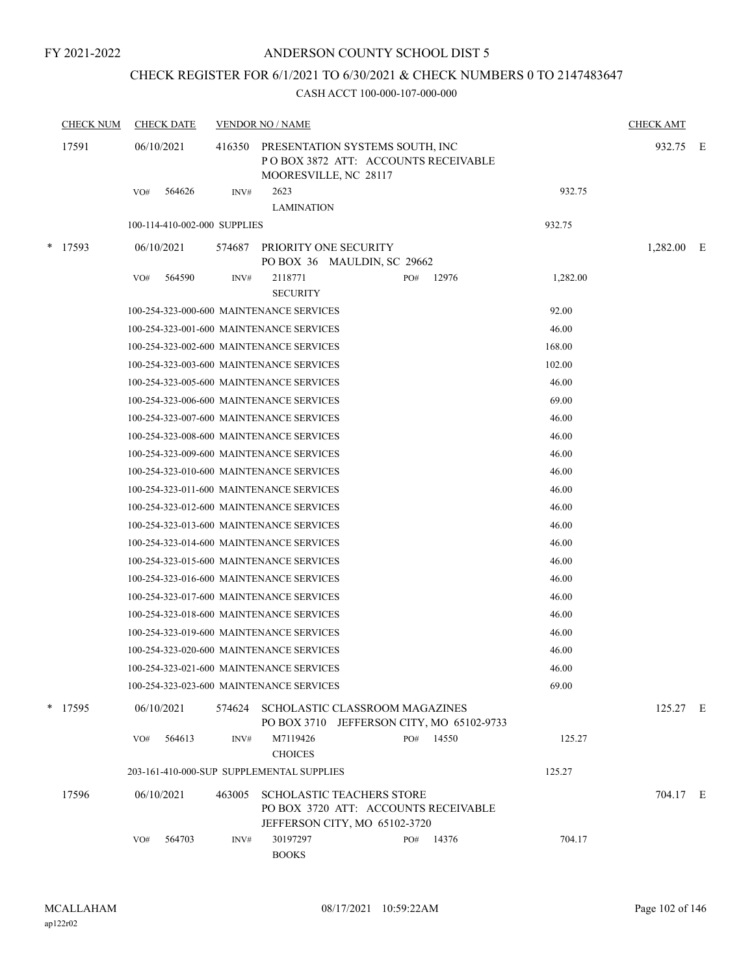# CHECK REGISTER FOR 6/1/2021 TO 6/30/2021 & CHECK NUMBERS 0 TO 2147483647

| <b>CHECK NUM</b> |           | <b>CHECK DATE</b>            |                                          | <b>VENDOR NO / NAME</b>                                                                                   |     |       |          | <b>CHECK AMT</b> |  |
|------------------|-----------|------------------------------|------------------------------------------|-----------------------------------------------------------------------------------------------------------|-----|-------|----------|------------------|--|
|                  | 17591     | 06/10/2021                   | 416350                                   | PRESENTATION SYSTEMS SOUTH, INC<br>POBOX 3872 ATT: ACCOUNTS RECEIVABLE<br>MOORESVILLE, NC 28117           |     |       |          | 932.75 E         |  |
|                  |           | 564626<br>VO#                | INV#                                     | 2623<br><b>LAMINATION</b>                                                                                 |     |       | 932.75   |                  |  |
|                  |           | 100-114-410-002-000 SUPPLIES |                                          |                                                                                                           |     |       | 932.75   |                  |  |
|                  | $*$ 17593 | 06/10/2021                   | 574687                                   | PRIORITY ONE SECURITY                                                                                     |     |       |          | $1,282.00$ E     |  |
|                  |           |                              |                                          | PO BOX 36 MAULDIN, SC 29662                                                                               |     |       |          |                  |  |
|                  |           | 564590<br>VO#                | INV#                                     | 2118771<br><b>SECURITY</b>                                                                                | PO# | 12976 | 1,282.00 |                  |  |
|                  |           |                              |                                          | 100-254-323-000-600 MAINTENANCE SERVICES                                                                  |     |       | 92.00    |                  |  |
|                  |           |                              |                                          | 100-254-323-001-600 MAINTENANCE SERVICES                                                                  |     |       | 46.00    |                  |  |
|                  |           |                              |                                          | 100-254-323-002-600 MAINTENANCE SERVICES                                                                  |     |       | 168.00   |                  |  |
|                  |           |                              |                                          | 100-254-323-003-600 MAINTENANCE SERVICES                                                                  |     |       | 102.00   |                  |  |
|                  |           |                              | 100-254-323-005-600 MAINTENANCE SERVICES |                                                                                                           |     | 46.00 |          |                  |  |
|                  |           |                              |                                          | 100-254-323-006-600 MAINTENANCE SERVICES                                                                  |     |       | 69.00    |                  |  |
|                  |           |                              |                                          | 100-254-323-007-600 MAINTENANCE SERVICES                                                                  |     |       | 46.00    |                  |  |
|                  |           |                              |                                          | 100-254-323-008-600 MAINTENANCE SERVICES                                                                  |     |       | 46.00    |                  |  |
|                  |           |                              |                                          | 100-254-323-009-600 MAINTENANCE SERVICES                                                                  |     |       | 46.00    |                  |  |
|                  |           |                              |                                          | 100-254-323-010-600 MAINTENANCE SERVICES                                                                  |     |       | 46.00    |                  |  |
|                  |           |                              |                                          | 100-254-323-011-600 MAINTENANCE SERVICES                                                                  |     |       | 46.00    |                  |  |
|                  |           |                              |                                          | 100-254-323-012-600 MAINTENANCE SERVICES                                                                  |     |       | 46.00    |                  |  |
|                  |           |                              |                                          | 100-254-323-013-600 MAINTENANCE SERVICES                                                                  |     |       | 46.00    |                  |  |
|                  |           |                              |                                          | 100-254-323-014-600 MAINTENANCE SERVICES                                                                  |     |       | 46.00    |                  |  |
|                  |           |                              |                                          | 100-254-323-015-600 MAINTENANCE SERVICES                                                                  |     |       | 46.00    |                  |  |
|                  |           |                              |                                          | 100-254-323-016-600 MAINTENANCE SERVICES                                                                  |     |       | 46.00    |                  |  |
|                  |           |                              |                                          | 100-254-323-017-600 MAINTENANCE SERVICES                                                                  |     |       | 46.00    |                  |  |
|                  |           |                              |                                          | 100-254-323-018-600 MAINTENANCE SERVICES                                                                  |     |       | 46.00    |                  |  |
|                  |           |                              |                                          | 100-254-323-019-600 MAINTENANCE SERVICES                                                                  |     |       | 46.00    |                  |  |
|                  |           |                              |                                          | 100-254-323-020-600 MAINTENANCE SERVICES                                                                  |     |       | 46.00    |                  |  |
|                  |           |                              |                                          | 100-254-323-021-600 MAINTENANCE SERVICES                                                                  |     |       | 46.00    |                  |  |
|                  |           |                              |                                          | 100-254-323-023-600 MAINTENANCE SERVICES                                                                  |     |       | 69.00    |                  |  |
|                  | * 17595   | 06/10/2021                   | 574624                                   | SCHOLASTIC CLASSROOM MAGAZINES<br>PO BOX 3710 JEFFERSON CITY, MO 65102-9733                               |     |       |          | 125.27 E         |  |
|                  |           | 564613<br>VO#                | INV#                                     | M7119426<br><b>CHOICES</b>                                                                                | PO# | 14550 | 125.27   |                  |  |
|                  |           |                              |                                          | 203-161-410-000-SUP SUPPLEMENTAL SUPPLIES                                                                 |     |       | 125.27   |                  |  |
|                  | 17596     | 06/10/2021                   | 463005                                   | <b>SCHOLASTIC TEACHERS STORE</b><br>PO BOX 3720 ATT: ACCOUNTS RECEIVABLE<br>JEFFERSON CITY, MO 65102-3720 |     |       |          | 704.17 E         |  |
|                  |           | 564703<br>VO#                | INV#                                     | 30197297<br><b>BOOKS</b>                                                                                  | PO# | 14376 | 704.17   |                  |  |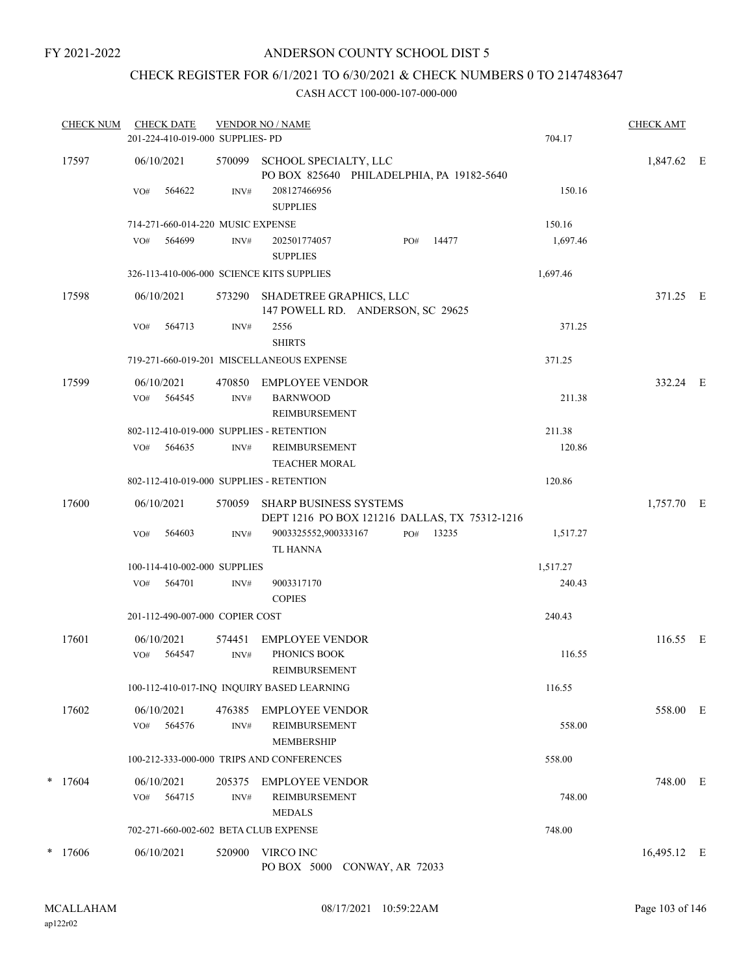# CHECK REGISTER FOR 6/1/2021 TO 6/30/2021 & CHECK NUMBERS 0 TO 2147483647

| <b>CHECK NUM</b> | <b>CHECK DATE</b><br>201-224-410-019-000 SUPPLIES- PD |                | <b>VENDOR NO / NAME</b>                                                        |     |       | 704.17   | <b>CHECK AMT</b> |  |
|------------------|-------------------------------------------------------|----------------|--------------------------------------------------------------------------------|-----|-------|----------|------------------|--|
| 17597            | 06/10/2021                                            | 570099         | SCHOOL SPECIALTY, LLC<br>PO BOX 825640 PHILADELPHIA, PA 19182-5640             |     |       |          | 1,847.62 E       |  |
|                  | VO#<br>564622                                         | INV#           | 208127466956<br><b>SUPPLIES</b>                                                |     |       | 150.16   |                  |  |
|                  | 714-271-660-014-220 MUSIC EXPENSE                     |                |                                                                                |     |       | 150.16   |                  |  |
|                  | 564699<br>VO#                                         | INV#           | 202501774057<br><b>SUPPLIES</b>                                                | PO# | 14477 | 1,697.46 |                  |  |
|                  | 326-113-410-006-000 SCIENCE KITS SUPPLIES             |                |                                                                                |     |       | 1,697.46 |                  |  |
| 17598            | 06/10/2021                                            | 573290         | SHADETREE GRAPHICS, LLC<br>147 POWELL RD. ANDERSON, SC 29625                   |     |       |          | 371.25 E         |  |
|                  | 564713<br>VO#                                         | INV#           | 2556<br><b>SHIRTS</b>                                                          |     |       | 371.25   |                  |  |
|                  |                                                       |                | 719-271-660-019-201 MISCELLANEOUS EXPENSE                                      |     |       | 371.25   |                  |  |
| 17599            | 06/10/2021                                            | 470850         | EMPLOYEE VENDOR                                                                |     |       |          | 332.24 E         |  |
|                  | 564545<br>VO#                                         | INV#           | <b>BARNWOOD</b><br><b>REIMBURSEMENT</b>                                        |     |       | 211.38   |                  |  |
|                  | 802-112-410-019-000 SUPPLIES - RETENTION              |                |                                                                                |     |       | 211.38   |                  |  |
|                  | 564635<br>VO#                                         | INV#           | <b>REIMBURSEMENT</b><br><b>TEACHER MORAL</b>                                   |     |       | 120.86   |                  |  |
|                  | 802-112-410-019-000 SUPPLIES - RETENTION              |                |                                                                                |     |       | 120.86   |                  |  |
| 17600            | 06/10/2021                                            | 570059         | <b>SHARP BUSINESS SYSTEMS</b><br>DEPT 1216 PO BOX 121216 DALLAS, TX 75312-1216 |     |       |          | 1,757.70 E       |  |
|                  | 564603<br>VO#                                         | $\text{INV}\#$ | 9003325552,900333167<br><b>TL HANNA</b>                                        | PO# | 13235 | 1,517.27 |                  |  |
|                  | 100-114-410-002-000 SUPPLIES                          |                |                                                                                |     |       | 1,517.27 |                  |  |
|                  | 564701<br>VO#                                         | INV#           | 9003317170<br><b>COPIES</b>                                                    |     |       | 240.43   |                  |  |
|                  | 201-112-490-007-000 COPIER COST                       |                |                                                                                |     |       | 240.43   |                  |  |
| 17601            | 06/10/2021<br>564547<br>VO#                           | 574451<br>INV# | <b>EMPLOYEE VENDOR</b><br>PHONICS BOOK<br>REIMBURSEMENT                        |     |       | 116.55   | 116.55 E         |  |
|                  |                                                       |                | 100-112-410-017-INQ INQUIRY BASED LEARNING                                     |     |       | 116.55   |                  |  |
|                  |                                                       |                |                                                                                |     |       |          |                  |  |
| 17602            | 06/10/2021<br>564576<br>VO#                           | 476385<br>INV# | EMPLOYEE VENDOR<br>REIMBURSEMENT<br>MEMBERSHIP                                 |     |       | 558.00   | 558.00 E         |  |
|                  |                                                       |                | 100-212-333-000-000 TRIPS AND CONFERENCES                                      |     |       | 558.00   |                  |  |
| $*$ 17604        | 06/10/2021<br>564715<br>VO#                           | 205375<br>INV# | <b>EMPLOYEE VENDOR</b><br>REIMBURSEMENT                                        |     |       | 748.00   | 748.00 E         |  |
|                  |                                                       |                | <b>MEDALS</b>                                                                  |     |       |          |                  |  |
|                  | 702-271-660-002-602 BETA CLUB EXPENSE                 |                |                                                                                |     |       | 748.00   |                  |  |
| $*$ 17606        | 06/10/2021                                            | 520900         | VIRCO INC<br>PO BOX 5000 CONWAY, AR 72033                                      |     |       |          | 16,495.12 E      |  |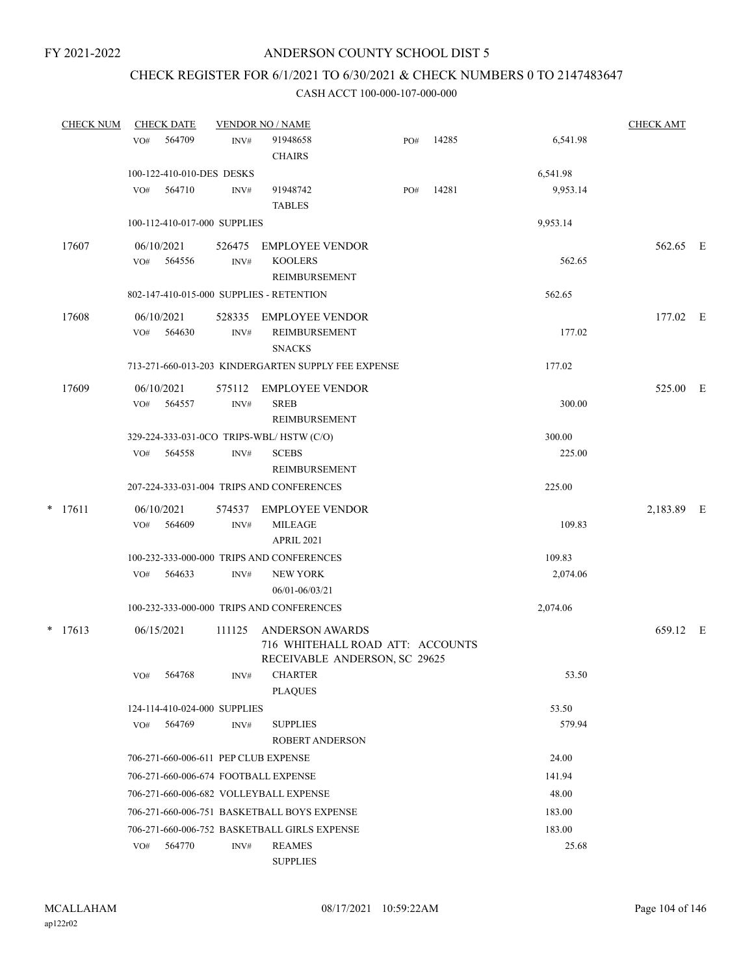# CHECK REGISTER FOR 6/1/2021 TO 6/30/2021 & CHECK NUMBERS 0 TO 2147483647

| <b>CHECK NUM</b> | <b>CHECK DATE</b>                        | <b>CHECK AMT</b> |                                                                                             |     |       |                  |            |  |
|------------------|------------------------------------------|------------------|---------------------------------------------------------------------------------------------|-----|-------|------------------|------------|--|
|                  | 564709<br>VO#                            | INV#             | 91948658<br><b>CHAIRS</b>                                                                   | PO# | 14285 | 6,541.98         |            |  |
|                  | 100-122-410-010-DES DESKS                |                  |                                                                                             |     |       | 6,541.98         |            |  |
|                  | 564710<br>VO#                            | INV#             | 91948742<br><b>TABLES</b>                                                                   | PO# | 14281 | 9,953.14         |            |  |
|                  | 100-112-410-017-000 SUPPLIES             |                  |                                                                                             |     |       | 9,953.14         |            |  |
| 17607            | 06/10/2021<br>VO# 564556                 | 526475<br>INV#   | EMPLOYEE VENDOR<br><b>KOOLERS</b><br>REIMBURSEMENT                                          |     |       | 562.65           | 562.65 E   |  |
|                  | 802-147-410-015-000 SUPPLIES - RETENTION |                  |                                                                                             |     |       | 562.65           |            |  |
| 17608            | 06/10/2021<br>564630<br>VO#              | INV#             | 528335 EMPLOYEE VENDOR<br>REIMBURSEMENT<br><b>SNACKS</b>                                    |     |       | 177.02           | 177.02 E   |  |
|                  |                                          |                  | 713-271-660-013-203 KINDERGARTEN SUPPLY FEE EXPENSE                                         |     |       | 177.02           |            |  |
| 17609            | 06/10/2021<br>VO#<br>564557              | 575112<br>INV#   | EMPLOYEE VENDOR<br><b>SREB</b><br><b>REIMBURSEMENT</b>                                      |     |       | 300.00           | 525.00 E   |  |
|                  | 564558<br>VO#                            | INV#             | 329-224-333-031-0CO TRIPS-WBL/HSTW (C/O)<br><b>SCEBS</b><br>REIMBURSEMENT                   |     |       | 300.00<br>225.00 |            |  |
|                  |                                          |                  | 207-224-333-031-004 TRIPS AND CONFERENCES                                                   |     |       | 225.00           |            |  |
| $*$ 17611        | 06/10/2021<br>VO#<br>564609              | INV#             | 574537 EMPLOYEE VENDOR<br><b>MILEAGE</b><br><b>APRIL 2021</b>                               |     |       | 109.83           | 2,183.89 E |  |
|                  |                                          |                  | 100-232-333-000-000 TRIPS AND CONFERENCES                                                   |     |       | 109.83           |            |  |
|                  | 564633<br>VO#                            | INV#             | <b>NEW YORK</b><br>06/01-06/03/21                                                           |     |       | 2,074.06         |            |  |
|                  |                                          |                  | 100-232-333-000-000 TRIPS AND CONFERENCES                                                   |     |       | 2,074.06         |            |  |
| $*$ 17613        | 06/15/2021                               | 111125           | <b>ANDERSON AWARDS</b><br>716 WHITEHALL ROAD ATT: ACCOUNTS<br>RECEIVABLE ANDERSON, SC 29625 |     |       |                  | 659.12 E   |  |
|                  | 564768<br>VO#                            | INV#             | <b>CHARTER</b><br><b>PLAQUES</b>                                                            |     |       | 53.50            |            |  |
|                  | 124-114-410-024-000 SUPPLIES             |                  |                                                                                             |     |       | 53.50            |            |  |
|                  | 564769<br>VO#                            | INV#             | <b>SUPPLIES</b><br><b>ROBERT ANDERSON</b>                                                   |     |       | 579.94           |            |  |
|                  | 706-271-660-006-611 PEP CLUB EXPENSE     |                  |                                                                                             |     |       | 24.00            |            |  |
|                  | 706-271-660-006-674 FOOTBALL EXPENSE     |                  |                                                                                             |     |       | 141.94           |            |  |
|                  | 706-271-660-006-682 VOLLEYBALL EXPENSE   |                  |                                                                                             |     |       | 48.00            |            |  |
|                  |                                          |                  | 706-271-660-006-751 BASKETBALL BOYS EXPENSE                                                 |     |       | 183.00           |            |  |
|                  |                                          |                  | 706-271-660-006-752 BASKETBALL GIRLS EXPENSE                                                |     |       | 183.00           |            |  |
|                  | 564770<br>VO#                            | INV#             | <b>REAMES</b><br><b>SUPPLIES</b>                                                            |     |       | 25.68            |            |  |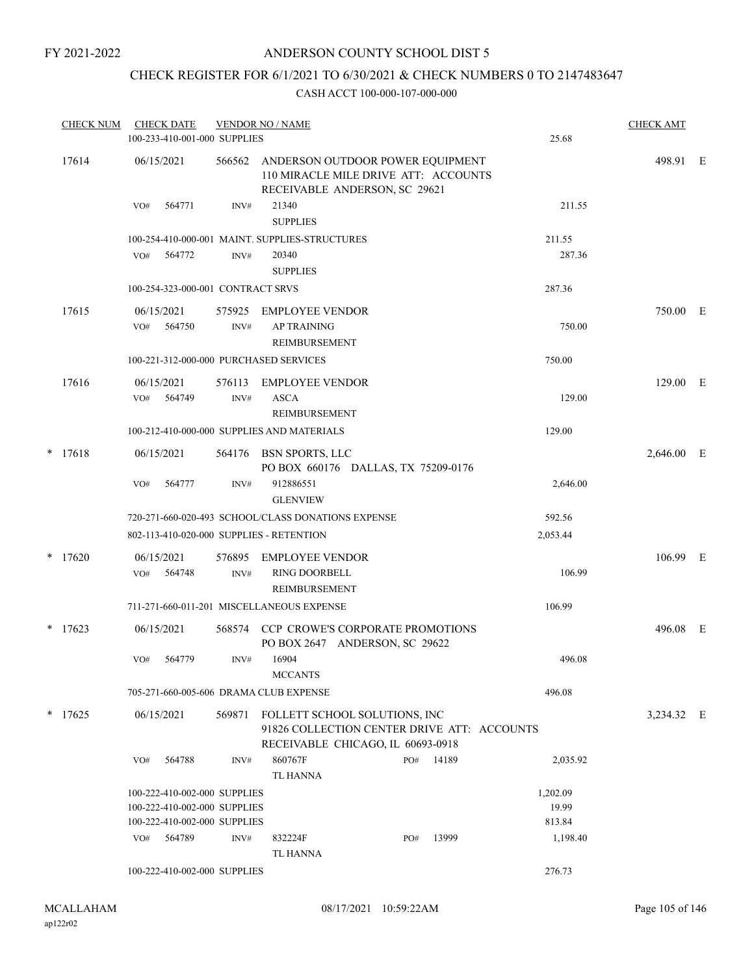## ANDERSON COUNTY SCHOOL DIST 5

# CHECK REGISTER FOR 6/1/2021 TO 6/30/2021 & CHECK NUMBERS 0 TO 2147483647

| <b>CHECK NUM</b> |                   | <b>CHECK DATE</b><br>100-233-410-001-000 SUPPLIES |                | <b>VENDOR NO / NAME</b>                                                                                           |     |       | 25.68    | <b>CHECK AMT</b> |  |
|------------------|-------------------|---------------------------------------------------|----------------|-------------------------------------------------------------------------------------------------------------------|-----|-------|----------|------------------|--|
| 17614            | 06/15/2021        |                                                   | 566562         | ANDERSON OUTDOOR POWER EQUIPMENT<br>110 MIRACLE MILE DRIVE ATT: ACCOUNTS<br>RECEIVABLE ANDERSON, SC 29621         |     |       |          | 498.91 E         |  |
|                  | VO#               | 564771                                            | INV#           | 21340<br><b>SUPPLIES</b>                                                                                          |     |       | 211.55   |                  |  |
|                  |                   |                                                   |                | 100-254-410-000-001 MAINT. SUPPLIES-STRUCTURES                                                                    |     |       | 211.55   |                  |  |
|                  | VO#               | 564772                                            | INV#           | 20340<br><b>SUPPLIES</b>                                                                                          |     |       | 287.36   |                  |  |
|                  |                   | 100-254-323-000-001 CONTRACT SRVS                 |                |                                                                                                                   |     |       | 287.36   |                  |  |
| 17615            | VO#               | 06/15/2021<br>564750                              | 575925<br>INV# | EMPLOYEE VENDOR<br><b>AP TRAINING</b>                                                                             |     |       | 750.00   | 750.00 E         |  |
|                  |                   |                                                   |                | REIMBURSEMENT<br>100-221-312-000-000 PURCHASED SERVICES                                                           |     |       | 750.00   |                  |  |
| 17616            | 06/15/2021<br>VO# | 564749                                            | 576113<br>INV# | <b>EMPLOYEE VENDOR</b><br><b>ASCA</b>                                                                             |     |       | 129.00   | 129.00 E         |  |
|                  |                   |                                                   |                | <b>REIMBURSEMENT</b><br>100-212-410-000-000 SUPPLIES AND MATERIALS                                                |     |       | 129.00   |                  |  |
| $*$ 17618        | 06/15/2021        |                                                   |                | 564176 BSN SPORTS, LLC<br>PO BOX 660176 DALLAS, TX 75209-0176                                                     |     |       |          | 2,646.00 E       |  |
|                  | VO#               | 564777                                            | INV#           | 912886551<br><b>GLENVIEW</b>                                                                                      |     |       | 2,646.00 |                  |  |
|                  |                   |                                                   |                | 720-271-660-020-493 SCHOOL/CLASS DONATIONS EXPENSE                                                                |     |       | 592.56   |                  |  |
|                  |                   |                                                   |                | 802-113-410-020-000 SUPPLIES - RETENTION                                                                          |     |       | 2,053.44 |                  |  |
| $*$ 17620        | VO#               | 06/15/2021<br>564748                              | 576895<br>INV# | EMPLOYEE VENDOR<br>RING DOORBELL<br>REIMBURSEMENT                                                                 |     |       | 106.99   | 106.99 E         |  |
|                  |                   |                                                   |                | 711-271-660-011-201 MISCELLANEOUS EXPENSE                                                                         |     |       | 106.99   |                  |  |
| $*$ 17623        |                   | 06/15/2021                                        |                | 568574 CCP CROWE'S CORPORATE PROMOTIONS<br>PO BOX 2647 ANDERSON, SC 29622                                         |     |       |          | 496.08 E         |  |
|                  | VO#               | 564779                                            | INV#           | 16904<br><b>MCCANTS</b>                                                                                           |     |       | 496.08   |                  |  |
|                  |                   |                                                   |                | 705-271-660-005-606 DRAMA CLUB EXPENSE                                                                            |     |       | 496.08   |                  |  |
| $*$ 17625        | 06/15/2021        |                                                   | 569871         | FOLLETT SCHOOL SOLUTIONS, INC<br>91826 COLLECTION CENTER DRIVE ATT: ACCOUNTS<br>RECEIVABLE CHICAGO, IL 60693-0918 |     |       |          | 3,234.32 E       |  |
|                  | VO#               | 564788                                            | INV#           | 860767F<br>TL HANNA                                                                                               | PO# | 14189 | 2,035.92 |                  |  |
|                  |                   | 100-222-410-002-000 SUPPLIES                      |                |                                                                                                                   |     |       | 1,202.09 |                  |  |
|                  |                   | 100-222-410-002-000 SUPPLIES                      |                |                                                                                                                   |     |       | 19.99    |                  |  |
|                  |                   | 100-222-410-002-000 SUPPLIES                      |                |                                                                                                                   |     |       | 813.84   |                  |  |
|                  | VO#               | 564789                                            | INV#           | 832224F<br><b>TL HANNA</b>                                                                                        | PO# | 13999 | 1,198.40 |                  |  |
|                  |                   | 100-222-410-002-000 SUPPLIES                      |                |                                                                                                                   |     |       | 276.73   |                  |  |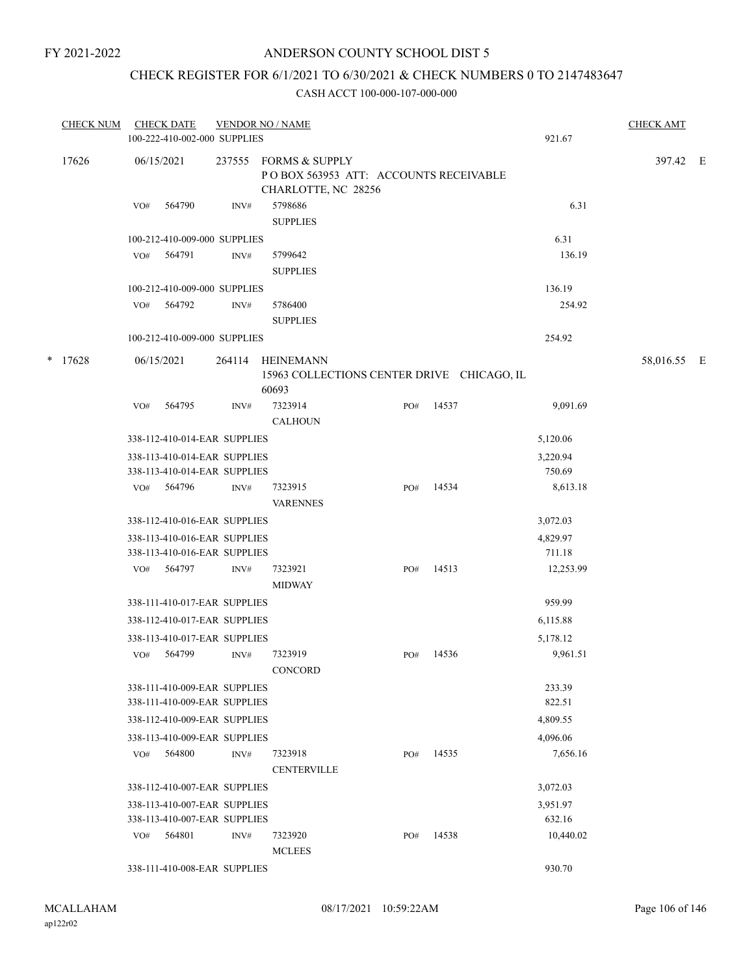## CHECK REGISTER FOR 6/1/2021 TO 6/30/2021 & CHECK NUMBERS 0 TO 2147483647

|   | <b>CHECK NUM</b> |     | <b>CHECK DATE</b><br>100-222-410-002-000 SUPPLIES | <b>VENDOR NO / NAME</b> |                                                                                |     |       |           | <b>CHECK AMT</b> |  |
|---|------------------|-----|---------------------------------------------------|-------------------------|--------------------------------------------------------------------------------|-----|-------|-----------|------------------|--|
|   |                  |     |                                                   |                         |                                                                                |     |       | 921.67    |                  |  |
|   | 17626            |     | 06/15/2021                                        | 237555                  | FORMS & SUPPLY<br>POBOX 563953 ATT: ACCOUNTS RECEIVABLE<br>CHARLOTTE, NC 28256 |     |       |           | 397.42 E         |  |
|   |                  | VO# | 564790                                            | INV#                    | 5798686<br><b>SUPPLIES</b>                                                     |     |       | 6.31      |                  |  |
|   |                  |     | 100-212-410-009-000 SUPPLIES                      |                         |                                                                                |     |       | 6.31      |                  |  |
|   |                  | VO# | 564791                                            | INV#                    | 5799642                                                                        |     |       | 136.19    |                  |  |
|   |                  |     |                                                   |                         | <b>SUPPLIES</b>                                                                |     |       |           |                  |  |
|   |                  |     | 100-212-410-009-000 SUPPLIES                      |                         |                                                                                |     |       | 136.19    |                  |  |
|   |                  | VO# | 564792                                            | INV#                    | 5786400<br><b>SUPPLIES</b>                                                     |     |       | 254.92    |                  |  |
|   |                  |     | 100-212-410-009-000 SUPPLIES                      |                         |                                                                                |     |       | 254.92    |                  |  |
|   |                  |     |                                                   |                         |                                                                                |     |       |           |                  |  |
| * | 17628            |     | 06/15/2021                                        | 264114                  | <b>HEINEMANN</b><br>15963 COLLECTIONS CENTER DRIVE CHICAGO, IL<br>60693        |     |       |           | 58,016.55 E      |  |
|   |                  | VO# | 564795                                            | INV#                    | 7323914                                                                        | PO# | 14537 | 9,091.69  |                  |  |
|   |                  |     |                                                   |                         | <b>CALHOUN</b>                                                                 |     |       |           |                  |  |
|   |                  |     | 338-112-410-014-EAR SUPPLIES                      |                         |                                                                                |     |       | 5,120.06  |                  |  |
|   |                  |     | 338-113-410-014-EAR SUPPLIES                      |                         |                                                                                |     |       | 3,220.94  |                  |  |
|   |                  |     | 338-113-410-014-EAR SUPPLIES                      |                         |                                                                                |     |       | 750.69    |                  |  |
|   |                  | VO# | 564796                                            | INV#                    | 7323915                                                                        | PO# | 14534 | 8,613.18  |                  |  |
|   |                  |     |                                                   |                         | <b>VARENNES</b>                                                                |     |       |           |                  |  |
|   |                  |     | 338-112-410-016-EAR SUPPLIES                      |                         |                                                                                |     |       | 3,072.03  |                  |  |
|   |                  |     | 338-113-410-016-EAR SUPPLIES                      |                         |                                                                                |     |       | 4,829.97  |                  |  |
|   |                  |     | 338-113-410-016-EAR SUPPLIES                      |                         |                                                                                |     |       | 711.18    |                  |  |
|   |                  |     | VO# 564797                                        | INV#                    | 7323921                                                                        | PO# | 14513 | 12,253.99 |                  |  |
|   |                  |     |                                                   |                         | <b>MIDWAY</b>                                                                  |     |       |           |                  |  |
|   |                  |     | 338-111-410-017-EAR SUPPLIES                      |                         |                                                                                |     |       | 959.99    |                  |  |
|   |                  |     | 338-112-410-017-EAR SUPPLIES                      |                         |                                                                                |     |       | 6,115.88  |                  |  |
|   |                  |     | 338-113-410-017-EAR SUPPLIES                      |                         |                                                                                |     |       | 5,178.12  |                  |  |
|   |                  | VO# | 564799                                            | INV#                    | 7323919                                                                        | PO# | 14536 | 9,961.51  |                  |  |
|   |                  |     |                                                   |                         | CONCORD                                                                        |     |       |           |                  |  |
|   |                  |     | 338-111-410-009-EAR SUPPLIES                      |                         |                                                                                |     |       | 233.39    |                  |  |
|   |                  |     | 338-111-410-009-EAR SUPPLIES                      |                         |                                                                                |     |       | 822.51    |                  |  |
|   |                  |     | 338-112-410-009-EAR SUPPLIES                      |                         |                                                                                |     |       | 4,809.55  |                  |  |
|   |                  |     | 338-113-410-009-EAR SUPPLIES                      |                         |                                                                                |     |       | 4,096.06  |                  |  |
|   |                  |     | VO# 564800                                        | INV#                    | 7323918                                                                        | PO# | 14535 | 7,656.16  |                  |  |
|   |                  |     |                                                   |                         | <b>CENTERVILLE</b>                                                             |     |       |           |                  |  |
|   |                  |     | 338-112-410-007-EAR SUPPLIES                      |                         |                                                                                |     |       | 3,072.03  |                  |  |
|   |                  |     | 338-113-410-007-EAR SUPPLIES                      |                         |                                                                                |     |       | 3,951.97  |                  |  |
|   |                  |     | 338-113-410-007-EAR SUPPLIES                      |                         |                                                                                |     |       | 632.16    |                  |  |
|   |                  | VO# | 564801                                            | INV#                    | 7323920                                                                        | PO# | 14538 | 10,440.02 |                  |  |
|   |                  |     |                                                   |                         | <b>MCLEES</b>                                                                  |     |       |           |                  |  |
|   |                  |     | 338-111-410-008-EAR SUPPLIES                      |                         |                                                                                |     |       | 930.70    |                  |  |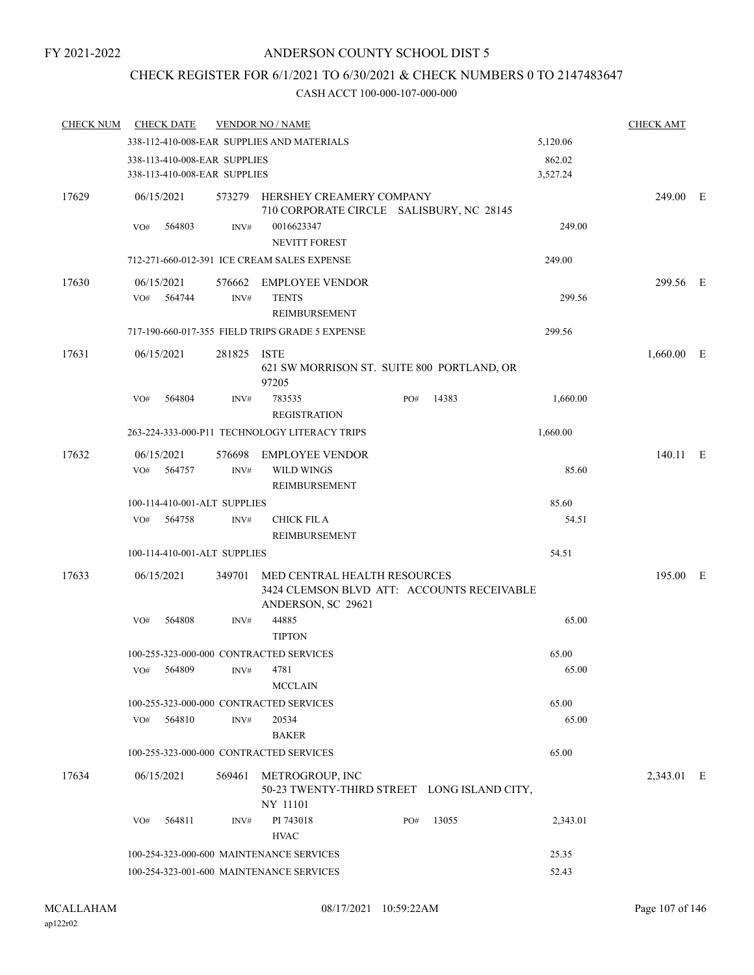# CHECK REGISTER FOR 6/1/2021 TO 6/30/2021 & CHECK NUMBERS 0 TO 2147483647

| <b>CHECK NUM</b> | <b>CHECK DATE</b>                                            |             | <b>VENDOR NO / NAME</b>                                                                          |     |       |                    | <b>CHECK AMT</b> |  |
|------------------|--------------------------------------------------------------|-------------|--------------------------------------------------------------------------------------------------|-----|-------|--------------------|------------------|--|
|                  |                                                              |             | 338-112-410-008-EAR SUPPLIES AND MATERIALS                                                       |     |       | 5,120.06           |                  |  |
|                  | 338-113-410-008-EAR SUPPLIES<br>338-113-410-008-EAR SUPPLIES |             |                                                                                                  |     |       | 862.02<br>3,527.24 |                  |  |
| 17629            | 06/15/2021                                                   |             | 573279 HERSHEY CREAMERY COMPANY<br>710 CORPORATE CIRCLE SALISBURY, NC 28145                      |     |       |                    | 249.00 E         |  |
|                  | 564803<br>VO#                                                | INV#        | 0016623347<br>NEVITT FOREST                                                                      |     |       | 249.00             |                  |  |
|                  |                                                              |             | 712-271-660-012-391 ICE CREAM SALES EXPENSE                                                      |     |       | 249.00             |                  |  |
| 17630            | 06/15/2021<br>564744<br>VO#                                  | INV#        | 576662 EMPLOYEE VENDOR<br><b>TENTS</b><br>REIMBURSEMENT                                          |     |       | 299.56             | 299.56 E         |  |
|                  |                                                              |             | 717-190-660-017-355 FIELD TRIPS GRADE 5 EXPENSE                                                  |     |       | 299.56             |                  |  |
| 17631            | 06/15/2021                                                   | 281825 ISTE | 621 SW MORRISON ST. SUITE 800 PORTLAND, OR<br>97205                                              |     |       |                    | $1,660.00$ E     |  |
|                  | VO#<br>564804                                                | INV#        | 783535<br><b>REGISTRATION</b>                                                                    | PO# | 14383 | 1,660.00           |                  |  |
|                  |                                                              |             | 263-224-333-000-P11 TECHNOLOGY LITERACY TRIPS                                                    |     |       | 1,660.00           |                  |  |
| 17632            | 06/15/2021                                                   | 576698      | <b>EMPLOYEE VENDOR</b>                                                                           |     |       |                    | 140.11 E         |  |
|                  | VO#<br>564757                                                | INV#        | WILD WINGS<br>REIMBURSEMENT                                                                      |     |       | 85.60              |                  |  |
|                  | 100-114-410-001-ALT SUPPLIES                                 |             |                                                                                                  |     |       | 85.60              |                  |  |
|                  | VO# 564758                                                   | INV#        | <b>CHICK FIL A</b><br>REIMBURSEMENT                                                              |     |       | 54.51              |                  |  |
|                  | 100-114-410-001-ALT SUPPLIES                                 |             |                                                                                                  |     |       | 54.51              |                  |  |
| 17633            | 06/15/2021                                                   | 349701      | MED CENTRAL HEALTH RESOURCES<br>3424 CLEMSON BLVD ATT: ACCOUNTS RECEIVABLE<br>ANDERSON, SC 29621 |     |       |                    | 195.00 E         |  |
|                  | 564808<br>VO#                                                | INV#        | 44885<br><b>TIPTON</b>                                                                           |     |       | 65.00              |                  |  |
|                  |                                                              |             | 100-255-323-000-000 CONTRACTED SERVICES                                                          |     |       | 65.00              |                  |  |
|                  | VO#<br>564809                                                | INV#        | 4781<br><b>MCCLAIN</b>                                                                           |     |       | 65.00              |                  |  |
|                  |                                                              |             | 100-255-323-000-000 CONTRACTED SERVICES                                                          |     |       | 65.00              |                  |  |
|                  | 564810<br>VO#                                                | INV#        | 20534<br><b>BAKER</b>                                                                            |     |       | 65.00              |                  |  |
|                  |                                                              |             | 100-255-323-000-000 CONTRACTED SERVICES                                                          |     |       | 65.00              |                  |  |
| 17634            | 06/15/2021                                                   | 569461      | METROGROUP, INC<br>50-23 TWENTY-THIRD STREET LONG ISLAND CITY,<br>NY 11101                       |     |       |                    | 2,343.01 E       |  |
|                  | 564811<br>VO#                                                | INV#        | PI 743018<br><b>HVAC</b>                                                                         | PO# | 13055 | 2,343.01           |                  |  |
|                  |                                                              |             | 100-254-323-000-600 MAINTENANCE SERVICES                                                         |     |       | 25.35              |                  |  |
|                  |                                                              |             | 100-254-323-001-600 MAINTENANCE SERVICES                                                         |     |       | 52.43              |                  |  |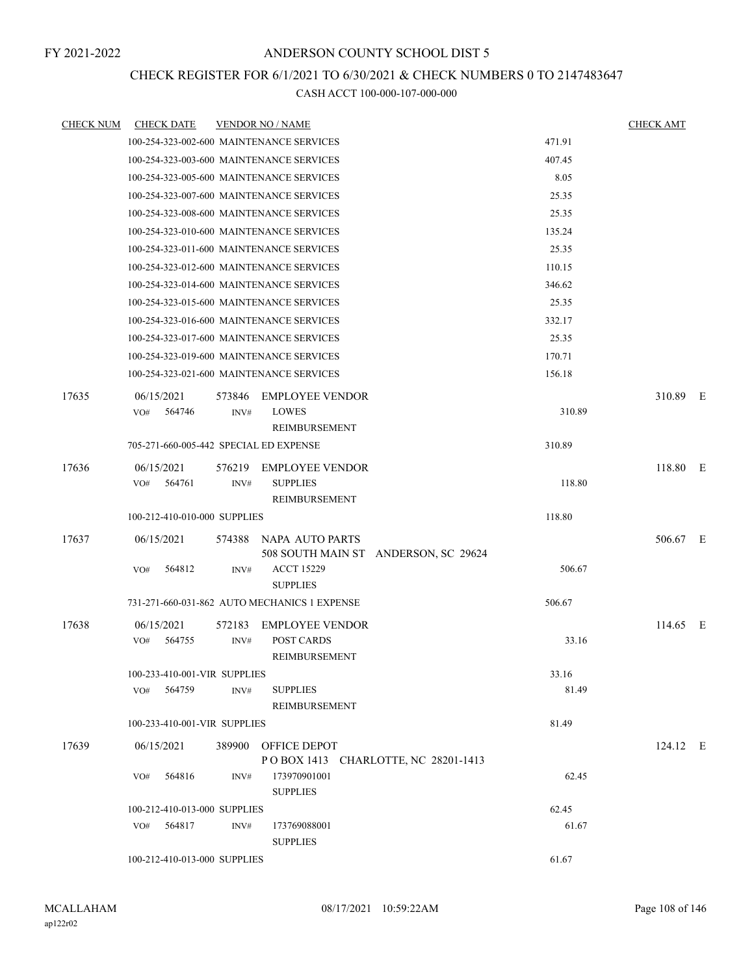# CHECK REGISTER FOR 6/1/2021 TO 6/30/2021 & CHECK NUMBERS 0 TO 2147483647

| <b>CHECK NUM</b> | <b>CHECK DATE</b>                             |        | <b>VENDOR NO / NAME</b>                                    |                | <b>CHECK AMT</b> |  |
|------------------|-----------------------------------------------|--------|------------------------------------------------------------|----------------|------------------|--|
|                  | 100-254-323-002-600 MAINTENANCE SERVICES      |        |                                                            | 471.91         |                  |  |
|                  | 100-254-323-003-600 MAINTENANCE SERVICES      |        |                                                            | 407.45         |                  |  |
|                  | 100-254-323-005-600 MAINTENANCE SERVICES      |        |                                                            | 8.05           |                  |  |
|                  | 100-254-323-007-600 MAINTENANCE SERVICES      |        |                                                            | 25.35          |                  |  |
|                  | 100-254-323-008-600 MAINTENANCE SERVICES      |        |                                                            | 25.35          |                  |  |
|                  | 100-254-323-010-600 MAINTENANCE SERVICES      |        |                                                            | 135.24         |                  |  |
|                  | 100-254-323-011-600 MAINTENANCE SERVICES      |        |                                                            | 25.35          |                  |  |
|                  | 100-254-323-012-600 MAINTENANCE SERVICES      |        |                                                            | 110.15         |                  |  |
|                  | 100-254-323-014-600 MAINTENANCE SERVICES      |        |                                                            | 346.62         |                  |  |
|                  | 100-254-323-015-600 MAINTENANCE SERVICES      |        |                                                            | 25.35          |                  |  |
|                  | 100-254-323-016-600 MAINTENANCE SERVICES      |        |                                                            | 332.17         |                  |  |
|                  | 100-254-323-017-600 MAINTENANCE SERVICES      |        |                                                            | 25.35          |                  |  |
|                  | 100-254-323-019-600 MAINTENANCE SERVICES      |        |                                                            | 170.71         |                  |  |
|                  | 100-254-323-021-600 MAINTENANCE SERVICES      |        |                                                            | 156.18         |                  |  |
| 17635            | 06/15/2021                                    | 573846 | <b>EMPLOYEE VENDOR</b>                                     |                | 310.89 E         |  |
|                  | 564746<br>VO#                                 | INV#   | <b>LOWES</b>                                               | 310.89         |                  |  |
|                  |                                               |        | <b>REIMBURSEMENT</b>                                       |                |                  |  |
|                  | 705-271-660-005-442 SPECIAL ED EXPENSE        |        |                                                            | 310.89         |                  |  |
| 17636            | 06/15/2021                                    | 576219 | <b>EMPLOYEE VENDOR</b>                                     |                | 118.80 E         |  |
|                  | VO#<br>564761                                 | INV#   | <b>SUPPLIES</b>                                            | 118.80         |                  |  |
|                  |                                               |        | REIMBURSEMENT                                              |                |                  |  |
|                  | 100-212-410-010-000 SUPPLIES                  |        |                                                            | 118.80         |                  |  |
| 17637            | 06/15/2021                                    | 574388 | NAPA AUTO PARTS                                            |                | 506.67 E         |  |
|                  |                                               |        | 508 SOUTH MAIN ST ANDERSON, SC 29624                       |                |                  |  |
|                  | 564812<br>VO#                                 | INV#   | <b>ACCT 15229</b>                                          | 506.67         |                  |  |
|                  |                                               |        | <b>SUPPLIES</b>                                            |                |                  |  |
|                  |                                               |        | 731-271-660-031-862 AUTO MECHANICS 1 EXPENSE               | 506.67         |                  |  |
| 17638            | 06/15/2021                                    | 572183 | <b>EMPLOYEE VENDOR</b>                                     |                | 114.65 E         |  |
|                  | VO#<br>564755                                 | INV#   | <b>POST CARDS</b>                                          | 33.16          |                  |  |
|                  |                                               |        | REIMBURSEMENT                                              |                |                  |  |
|                  | 100-233-410-001-VIR SUPPLIES<br>564759<br>VO# | INV#   | <b>SUPPLIES</b>                                            | 33.16<br>81.49 |                  |  |
|                  |                                               |        | REIMBURSEMENT                                              |                |                  |  |
|                  | 100-233-410-001-VIR SUPPLIES                  |        |                                                            | 81.49          |                  |  |
|                  |                                               |        |                                                            |                |                  |  |
| 17639            | 06/15/2021                                    |        | 389900 OFFICE DEPOT<br>POBOX 1413 CHARLOTTE, NC 28201-1413 |                | $124.12$ E       |  |
|                  | 564816<br>VO#                                 | INV#   | 173970901001                                               | 62.45          |                  |  |
|                  |                                               |        | <b>SUPPLIES</b>                                            |                |                  |  |
|                  | 100-212-410-013-000 SUPPLIES                  |        |                                                            | 62.45          |                  |  |
|                  | 564817<br>VO#                                 | INV#   | 173769088001                                               | 61.67          |                  |  |
|                  |                                               |        | <b>SUPPLIES</b>                                            |                |                  |  |
|                  | 100-212-410-013-000 SUPPLIES                  |        |                                                            | 61.67          |                  |  |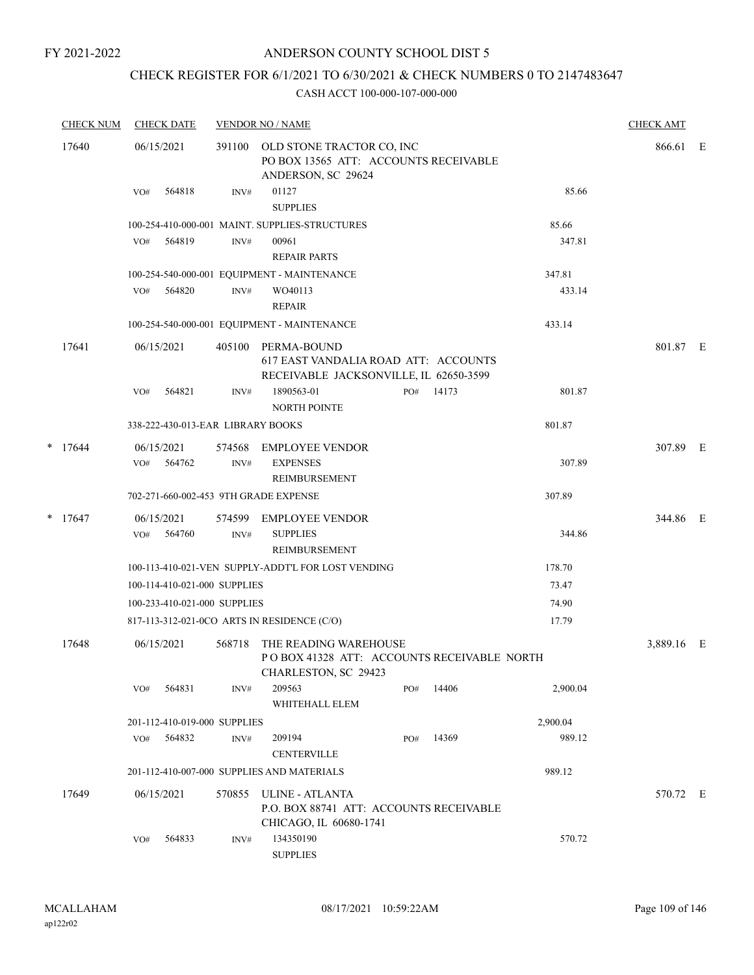# ANDERSON COUNTY SCHOOL DIST 5

# CHECK REGISTER FOR 6/1/2021 TO 6/30/2021 & CHECK NUMBERS 0 TO 2147483647

|       | <b>CHECK NUM</b> | <b>CHECK DATE</b>                     |                | <b>VENDOR NO / NAME</b>                                                                       |                                                                    |       |          | <b>CHECK AMT</b> |  |  |
|-------|------------------|---------------------------------------|----------------|-----------------------------------------------------------------------------------------------|--------------------------------------------------------------------|-------|----------|------------------|--|--|
| 17640 |                  | 06/15/2021                            | 391100         | ANDERSON, SC 29624                                                                            | OLD STONE TRACTOR CO, INC<br>PO BOX 13565 ATT: ACCOUNTS RECEIVABLE |       |          |                  |  |  |
|       |                  | 564818<br>VO#                         | INV#           | 01127<br><b>SUPPLIES</b>                                                                      |                                                                    |       | 85.66    |                  |  |  |
|       |                  |                                       |                | 100-254-410-000-001 MAINT. SUPPLIES-STRUCTURES                                                |                                                                    |       | 85.66    |                  |  |  |
|       |                  | 564819<br>VO#                         | $\text{INV}\#$ | 00961<br><b>REPAIR PARTS</b>                                                                  |                                                                    |       | 347.81   |                  |  |  |
|       |                  |                                       |                | 100-254-540-000-001 EQUIPMENT - MAINTENANCE                                                   |                                                                    |       | 347.81   |                  |  |  |
|       |                  | VO# 564820                            | INV#           | WO40113<br><b>REPAIR</b>                                                                      |                                                                    |       | 433.14   |                  |  |  |
|       |                  |                                       |                | 100-254-540-000-001 EQUIPMENT - MAINTENANCE                                                   |                                                                    |       | 433.14   |                  |  |  |
|       | 17641            | 06/15/2021                            | 405100         | PERMA-BOUND<br>617 EAST VANDALIA ROAD ATT: ACCOUNTS<br>RECEIVABLE JACKSONVILLE, IL 62650-3599 |                                                                    |       |          | 801.87 E         |  |  |
|       |                  | 564821<br>VO#                         | INV#           | 1890563-01<br><b>NORTH POINTE</b>                                                             | PO#                                                                | 14173 | 801.87   |                  |  |  |
|       |                  | 338-222-430-013-EAR LIBRARY BOOKS     |                |                                                                                               |                                                                    |       | 801.87   |                  |  |  |
|       | $*$ 17644        | 06/15/2021<br>VO# 564762              | 574568<br>INV# | <b>EMPLOYEE VENDOR</b><br><b>EXPENSES</b><br>REIMBURSEMENT                                    |                                                                    |       | 307.89   | 307.89 E         |  |  |
|       |                  | 702-271-660-002-453 9TH GRADE EXPENSE |                |                                                                                               |                                                                    |       | 307.89   |                  |  |  |
|       | $*$ 17647        | 06/15/2021<br>564760<br>VO#           | 574599<br>INV# | EMPLOYEE VENDOR<br><b>SUPPLIES</b><br>REIMBURSEMENT                                           |                                                                    |       | 344.86   | 344.86 E         |  |  |
|       |                  |                                       |                | 100-113-410-021-VEN SUPPLY-ADDT'L FOR LOST VENDING                                            |                                                                    |       | 178.70   |                  |  |  |
|       |                  | 100-114-410-021-000 SUPPLIES          |                |                                                                                               |                                                                    |       | 73.47    |                  |  |  |
|       |                  | 100-233-410-021-000 SUPPLIES          |                |                                                                                               |                                                                    |       | 74.90    |                  |  |  |
|       |                  |                                       |                | 817-113-312-021-0CO ARTS IN RESIDENCE (C/O)                                                   |                                                                    |       | 17.79    |                  |  |  |
|       | 17648            | 06/15/2021                            | 568718         | THE READING WAREHOUSE<br>POBOX 41328 ATT: ACCOUNTS RECEIVABLE NORTH<br>CHARLESTON, SC 29423   |                                                                    |       |          | 3,889.16 E       |  |  |
|       |                  | 564831<br>VO#                         | INV#           | 209563<br>WHITEHALL ELEM                                                                      | PO#                                                                | 14406 | 2,900.04 |                  |  |  |
|       |                  | 201-112-410-019-000 SUPPLIES          |                |                                                                                               |                                                                    |       | 2,900.04 |                  |  |  |
|       |                  | 564832<br>VO#                         | INV#           | 209194<br><b>CENTERVILLE</b>                                                                  | PO#                                                                | 14369 | 989.12   |                  |  |  |
|       |                  |                                       |                | 201-112-410-007-000 SUPPLIES AND MATERIALS                                                    |                                                                    |       | 989.12   |                  |  |  |
|       | 17649            | 06/15/2021                            | 570855         | ULINE - ATLANTA<br>P.O. BOX 88741 ATT: ACCOUNTS RECEIVABLE<br>CHICAGO, IL 60680-1741          |                                                                    |       |          | 570.72 E         |  |  |
|       |                  | 564833<br>VO#                         | INV#           | 134350190<br><b>SUPPLIES</b>                                                                  |                                                                    |       | 570.72   |                  |  |  |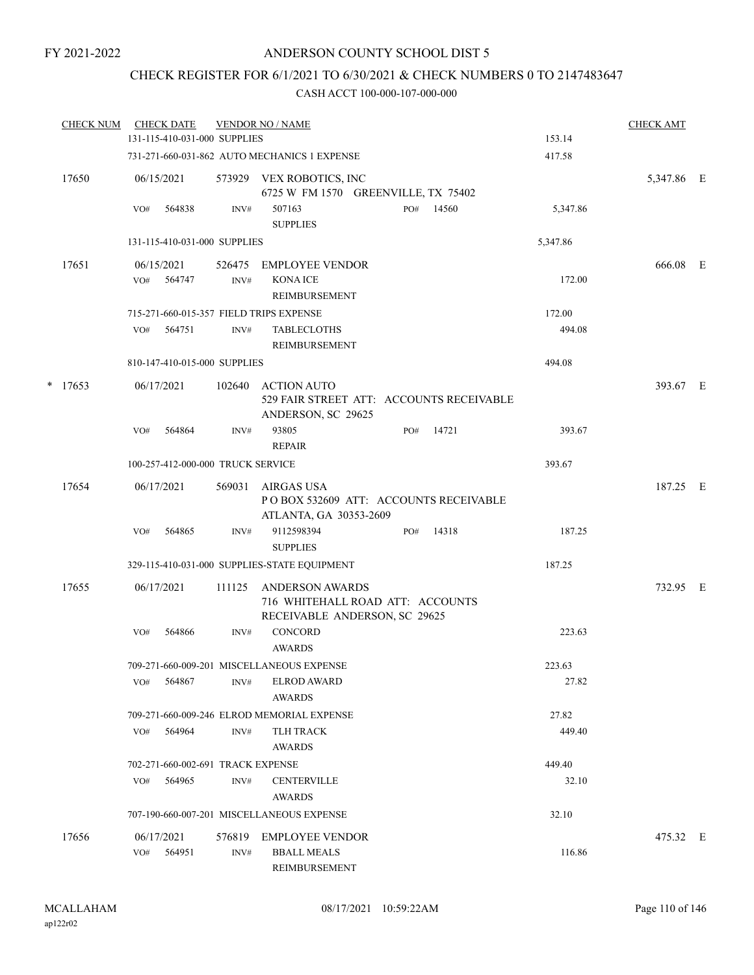# CHECK REGISTER FOR 6/1/2021 TO 6/30/2021 & CHECK NUMBERS 0 TO 2147483647

| <b>CHECK NUM</b> |     | <b>CHECK DATE</b>                 |        | <b>VENDOR NO / NAME</b>                                                                     |     |       |          | <b>CHECK AMT</b> |  |
|------------------|-----|-----------------------------------|--------|---------------------------------------------------------------------------------------------|-----|-------|----------|------------------|--|
|                  |     | 131-115-410-031-000 SUPPLIES      |        |                                                                                             |     |       | 153.14   |                  |  |
|                  |     |                                   |        | 731-271-660-031-862 AUTO MECHANICS 1 EXPENSE                                                |     |       | 417.58   |                  |  |
| 17650            |     | 06/15/2021                        |        | 573929 VEX ROBOTICS, INC<br>6725 W FM 1570 GREENVILLE, TX 75402                             |     |       |          | 5,347.86 E       |  |
|                  | VO# | 564838                            | INV#   | 507163<br><b>SUPPLIES</b>                                                                   | PO# | 14560 | 5,347.86 |                  |  |
|                  |     | 131-115-410-031-000 SUPPLIES      |        |                                                                                             |     |       | 5,347.86 |                  |  |
| 17651            |     | 06/15/2021                        | 526475 | EMPLOYEE VENDOR                                                                             |     |       |          | 666.08 E         |  |
|                  | VO# | 564747                            | INV#   | <b>KONA ICE</b><br>REIMBURSEMENT                                                            |     |       | 172.00   |                  |  |
|                  |     |                                   |        | 715-271-660-015-357 FIELD TRIPS EXPENSE                                                     |     |       | 172.00   |                  |  |
|                  | VO# | 564751                            | INV#   | <b>TABLECLOTHS</b><br>REIMBURSEMENT                                                         |     |       | 494.08   |                  |  |
|                  |     | 810-147-410-015-000 SUPPLIES      |        |                                                                                             |     |       | 494.08   |                  |  |
| $*$ 17653        |     | 06/17/2021                        | 102640 | <b>ACTION AUTO</b><br>529 FAIR STREET ATT: ACCOUNTS RECEIVABLE<br>ANDERSON, SC 29625        |     |       |          | 393.67 E         |  |
|                  | VO# | 564864                            | INV#   | 93805<br><b>REPAIR</b>                                                                      | PO# | 14721 | 393.67   |                  |  |
|                  |     | 100-257-412-000-000 TRUCK SERVICE |        |                                                                                             |     |       | 393.67   |                  |  |
| 17654            |     | 06/17/2021                        | 569031 | AIRGAS USA<br>POBOX 532609 ATT: ACCOUNTS RECEIVABLE<br>ATLANTA, GA 30353-2609               |     |       |          | 187.25 E         |  |
|                  | VO# | 564865                            | INV#   | 9112598394<br><b>SUPPLIES</b>                                                               | PO# | 14318 | 187.25   |                  |  |
|                  |     |                                   |        | 329-115-410-031-000 SUPPLIES-STATE EQUIPMENT                                                |     |       | 187.25   |                  |  |
| 17655            |     | 06/17/2021                        | 111125 | <b>ANDERSON AWARDS</b><br>716 WHITEHALL ROAD ATT: ACCOUNTS<br>RECEIVABLE ANDERSON, SC 29625 |     |       |          | 732.95 E         |  |
|                  | VO# | 564866                            | INV#   | CONCORD<br><b>AWARDS</b>                                                                    |     |       | 223.63   |                  |  |
|                  |     |                                   |        | 709-271-660-009-201 MISCELLANEOUS EXPENSE                                                   |     |       | 223.63   |                  |  |
|                  |     | VO# 564867                        | INV#   | ELROD AWARD<br>AWARDS                                                                       |     |       | 27.82    |                  |  |
|                  |     |                                   |        | 709-271-660-009-246 ELROD MEMORIAL EXPENSE                                                  |     |       | 27.82    |                  |  |
|                  | VO# | 564964                            | INV#   | TLH TRACK<br>AWARDS                                                                         |     |       | 449.40   |                  |  |
|                  |     | 702-271-660-002-691 TRACK EXPENSE |        |                                                                                             |     |       | 449.40   |                  |  |
|                  |     | VO# 564965                        | INV#   | <b>CENTERVILLE</b><br>AWARDS                                                                |     |       | 32.10    |                  |  |
|                  |     |                                   |        | 707-190-660-007-201 MISCELLANEOUS EXPENSE                                                   |     |       | 32.10    |                  |  |
| 17656            |     | 06/17/2021<br>VO# 564951          | INV#   | 576819 EMPLOYEE VENDOR<br><b>BBALL MEALS</b><br>REIMBURSEMENT                               |     |       | 116.86   | 475.32 E         |  |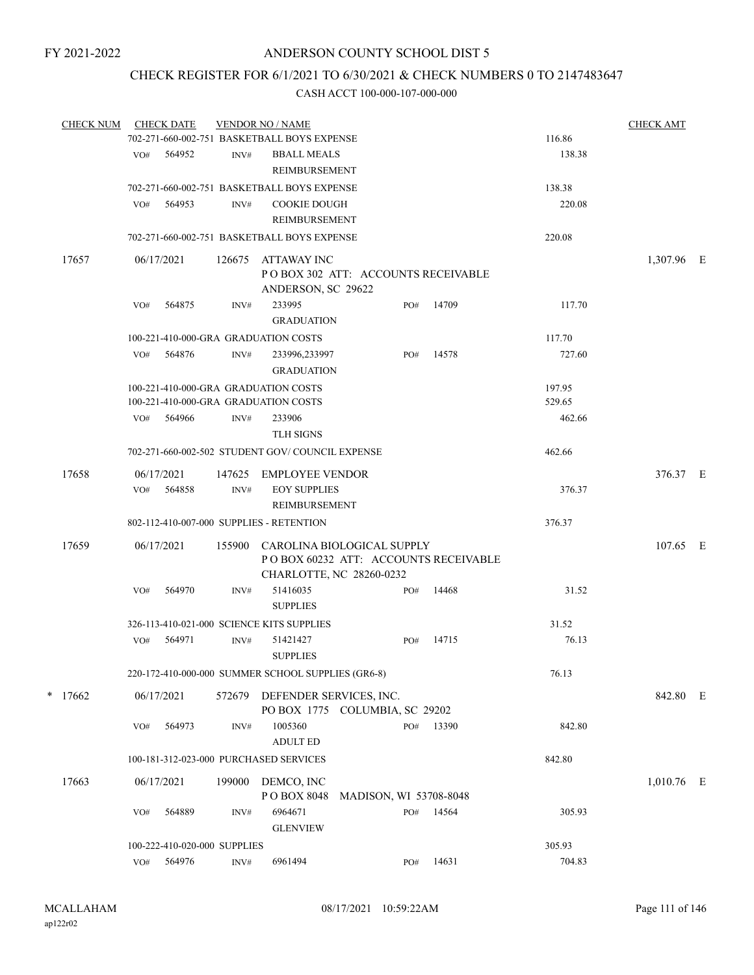# CHECK REGISTER FOR 6/1/2021 TO 6/30/2021 & CHECK NUMBERS 0 TO 2147483647

| <b>CHECK NUM</b> |     | <b>CHECK DATE</b>            |                | <b>VENDOR NO / NAME</b>                                                 |                        |     |                                      |        | <b>CHECK AMT</b> |  |
|------------------|-----|------------------------------|----------------|-------------------------------------------------------------------------|------------------------|-----|--------------------------------------|--------|------------------|--|
|                  |     |                              |                | 702-271-660-002-751 BASKETBALL BOYS EXPENSE                             |                        |     |                                      | 116.86 |                  |  |
|                  | VO# | 564952                       | INV#           | <b>BBALL MEALS</b><br>REIMBURSEMENT                                     |                        |     |                                      | 138.38 |                  |  |
|                  |     |                              |                | 702-271-660-002-751 BASKETBALL BOYS EXPENSE                             |                        |     |                                      | 138.38 |                  |  |
|                  | VO# | 564953                       | INV#           | <b>COOKIE DOUGH</b><br>REIMBURSEMENT                                    |                        |     |                                      | 220.08 |                  |  |
|                  |     |                              |                | 702-271-660-002-751 BASKETBALL BOYS EXPENSE                             |                        |     |                                      | 220.08 |                  |  |
| 17657            |     | 06/17/2021                   | 126675         | ATTAWAY INC<br>POBOX 302 ATT: ACCOUNTS RECEIVABLE<br>ANDERSON, SC 29622 |                        |     |                                      |        | 1,307.96 E       |  |
|                  | VO# | 564875                       | INV#           | 233995<br><b>GRADUATION</b>                                             |                        | PO# | 14709                                | 117.70 |                  |  |
|                  |     |                              |                | 100-221-410-000-GRA GRADUATION COSTS                                    |                        |     |                                      | 117.70 |                  |  |
|                  | VO# | 564876                       | INV#           | 233996,233997<br><b>GRADUATION</b>                                      |                        | PO# | 14578                                | 727.60 |                  |  |
|                  |     |                              |                | 100-221-410-000-GRA GRADUATION COSTS                                    |                        |     |                                      | 197.95 |                  |  |
|                  |     |                              |                | 100-221-410-000-GRA GRADUATION COSTS                                    |                        |     |                                      | 529.65 |                  |  |
|                  | VO# | 564966                       | INV#           | 233906<br><b>TLH SIGNS</b>                                              |                        |     |                                      | 462.66 |                  |  |
|                  |     |                              |                | 702-271-660-002-502 STUDENT GOV/COUNCIL EXPENSE                         |                        |     |                                      | 462.66 |                  |  |
| 17658            | VO# | 06/17/2021<br>564858         | 147625<br>INV# | EMPLOYEE VENDOR<br><b>EOY SUPPLIES</b>                                  |                        |     |                                      | 376.37 | 376.37 E         |  |
|                  |     |                              |                | REIMBURSEMENT                                                           |                        |     |                                      |        |                  |  |
|                  |     |                              |                | 802-112-410-007-000 SUPPLIES - RETENTION                                |                        |     |                                      | 376.37 |                  |  |
| 17659            |     | 06/17/2021                   | 155900         | CAROLINA BIOLOGICAL SUPPLY<br>CHARLOTTE, NC 28260-0232                  |                        |     | POBOX 60232 ATT: ACCOUNTS RECEIVABLE |        | 107.65 E         |  |
|                  | VO# | 564970                       | INV#           | 51416035<br><b>SUPPLIES</b>                                             |                        | PO# | 14468                                | 31.52  |                  |  |
|                  |     |                              |                | 326-113-410-021-000 SCIENCE KITS SUPPLIES                               |                        |     |                                      | 31.52  |                  |  |
|                  | VO# | 564971                       | INV#           | 51421427<br><b>SUPPLIES</b>                                             |                        | PO# | 14715                                | 76.13  |                  |  |
|                  |     |                              |                | 220-172-410-000-000 SUMMER SCHOOL SUPPLIES (GR6-8)                      |                        |     |                                      | 76.13  |                  |  |
| $*$ 17662        |     | 06/17/2021                   | 572679         | DEFENDER SERVICES, INC.<br>PO BOX 1775 COLUMBIA, SC 29202               |                        |     |                                      |        | 842.80 E         |  |
|                  | VO# | 564973                       | INV#           | 1005360<br><b>ADULT ED</b>                                              |                        | PO# | 13390                                | 842.80 |                  |  |
|                  |     |                              |                | 100-181-312-023-000 PURCHASED SERVICES                                  |                        |     |                                      | 842.80 |                  |  |
| 17663            |     | 06/17/2021                   | 199000         | DEMCO, INC                                                              |                        |     |                                      |        | 1,010.76 E       |  |
|                  | VO# | 564889                       | INV#           | PO BOX 8048<br>6964671                                                  | MADISON, WI 53708-8048 | PO# | 14564                                | 305.93 |                  |  |
|                  |     |                              |                | <b>GLENVIEW</b>                                                         |                        |     |                                      |        |                  |  |
|                  |     | 100-222-410-020-000 SUPPLIES |                |                                                                         |                        |     |                                      | 305.93 |                  |  |
|                  | VO# | 564976                       | INV#           | 6961494                                                                 |                        | PO# | 14631                                | 704.83 |                  |  |
|                  |     |                              |                |                                                                         |                        |     |                                      |        |                  |  |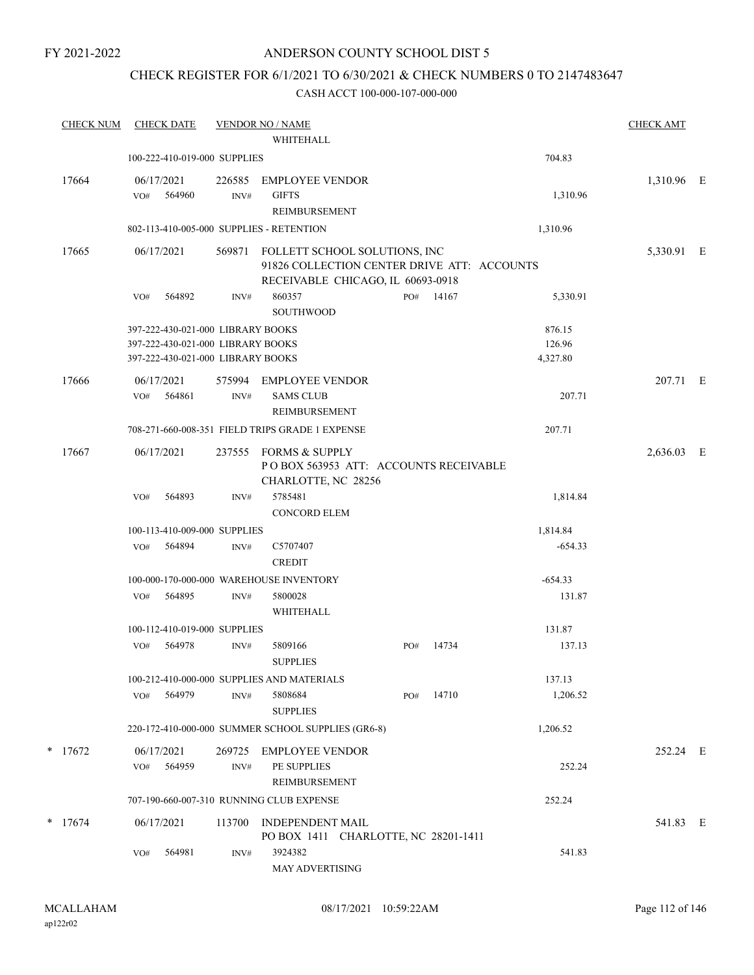# ANDERSON COUNTY SCHOOL DIST 5

# CHECK REGISTER FOR 6/1/2021 TO 6/30/2021 & CHECK NUMBERS 0 TO 2147483647

| <b>CHECK NUM</b> | <b>CHECK DATE</b>                        |                | <b>VENDOR NO / NAME</b>                                                                                           |     |       |           | <b>CHECK AMT</b> |  |
|------------------|------------------------------------------|----------------|-------------------------------------------------------------------------------------------------------------------|-----|-------|-----------|------------------|--|
|                  |                                          |                | WHITEHALL                                                                                                         |     |       |           |                  |  |
|                  | 100-222-410-019-000 SUPPLIES             |                |                                                                                                                   |     |       | 704.83    |                  |  |
| 17664            | 06/17/2021                               | 226585         | <b>EMPLOYEE VENDOR</b>                                                                                            |     |       |           | 1,310.96 E       |  |
|                  | 564960<br>VO#                            | INV#           | <b>GIFTS</b>                                                                                                      |     |       | 1,310.96  |                  |  |
|                  |                                          |                | REIMBURSEMENT                                                                                                     |     |       |           |                  |  |
|                  | 802-113-410-005-000 SUPPLIES - RETENTION |                |                                                                                                                   |     |       | 1,310.96  |                  |  |
| 17665            | 06/17/2021                               | 569871         | FOLLETT SCHOOL SOLUTIONS, INC<br>91826 COLLECTION CENTER DRIVE ATT: ACCOUNTS<br>RECEIVABLE CHICAGO, IL 60693-0918 |     |       |           | 5,330.91 E       |  |
|                  | 564892<br>VO#                            | INV#           | 860357<br><b>SOUTHWOOD</b>                                                                                        | PO# | 14167 | 5,330.91  |                  |  |
|                  | 397-222-430-021-000 LIBRARY BOOKS        |                |                                                                                                                   |     |       | 876.15    |                  |  |
|                  | 397-222-430-021-000 LIBRARY BOOKS        |                |                                                                                                                   |     |       | 126.96    |                  |  |
|                  | 397-222-430-021-000 LIBRARY BOOKS        |                |                                                                                                                   |     |       | 4,327.80  |                  |  |
| 17666            | 06/17/2021<br>564861<br>VO#              | 575994<br>INV# | <b>EMPLOYEE VENDOR</b><br><b>SAMS CLUB</b>                                                                        |     |       | 207.71    | 207.71 E         |  |
|                  |                                          |                | REIMBURSEMENT                                                                                                     |     |       |           |                  |  |
|                  |                                          |                | 708-271-660-008-351 FIELD TRIPS GRADE 1 EXPENSE                                                                   |     |       | 207.71    |                  |  |
| 17667            | 06/17/2021                               | 237555         | FORMS & SUPPLY<br>PO BOX 563953 ATT: ACCOUNTS RECEIVABLE<br>CHARLOTTE, NC 28256                                   |     |       |           | 2,636.03 E       |  |
|                  | 564893<br>VO#                            | INV#           | 5785481                                                                                                           |     |       | 1,814.84  |                  |  |
|                  |                                          |                | <b>CONCORD ELEM</b>                                                                                               |     |       |           |                  |  |
|                  | 100-113-410-009-000 SUPPLIES             |                |                                                                                                                   |     |       | 1,814.84  |                  |  |
|                  | VO#<br>564894                            | INV#           | C5707407<br><b>CREDIT</b>                                                                                         |     |       | $-654.33$ |                  |  |
|                  |                                          |                | 100-000-170-000-000 WAREHOUSE INVENTORY                                                                           |     |       | $-654.33$ |                  |  |
|                  | 564895<br>VO#                            | INV#           | 5800028<br>WHITEHALL                                                                                              |     |       | 131.87    |                  |  |
|                  | 100-112-410-019-000 SUPPLIES             |                |                                                                                                                   |     |       | 131.87    |                  |  |
|                  | VO#<br>564978                            | INV#           | 5809166<br><b>SUPPLIES</b>                                                                                        | PO# | 14734 | 137.13    |                  |  |
|                  |                                          |                | 100-212-410-000-000 SUPPLIES AND MATERIALS                                                                        |     |       | 137.13    |                  |  |
|                  | 564979<br>VO#                            | INV#           | 5808684<br><b>SUPPLIES</b>                                                                                        | PO# | 14710 | 1,206.52  |                  |  |
|                  |                                          |                | 220-172-410-000-000 SUMMER SCHOOL SUPPLIES (GR6-8)                                                                |     |       | 1,206.52  |                  |  |
| $*$ 17672        | 06/17/2021                               | 269725         | <b>EMPLOYEE VENDOR</b>                                                                                            |     |       |           | 252.24 E         |  |
|                  | 564959<br>VO#                            | INV#           | PE SUPPLIES<br>REIMBURSEMENT                                                                                      |     |       | 252.24    |                  |  |
|                  |                                          |                | 707-190-660-007-310 RUNNING CLUB EXPENSE                                                                          |     |       | 252.24    |                  |  |
| $*$ 17674        | 06/17/2021                               | 113700         | INDEPENDENT MAIL                                                                                                  |     |       |           | 541.83 E         |  |
|                  | 564981<br>VO#                            | INV#           | PO BOX 1411 CHARLOTTE, NC 28201-1411<br>3924382<br>MAY ADVERTISING                                                |     |       | 541.83    |                  |  |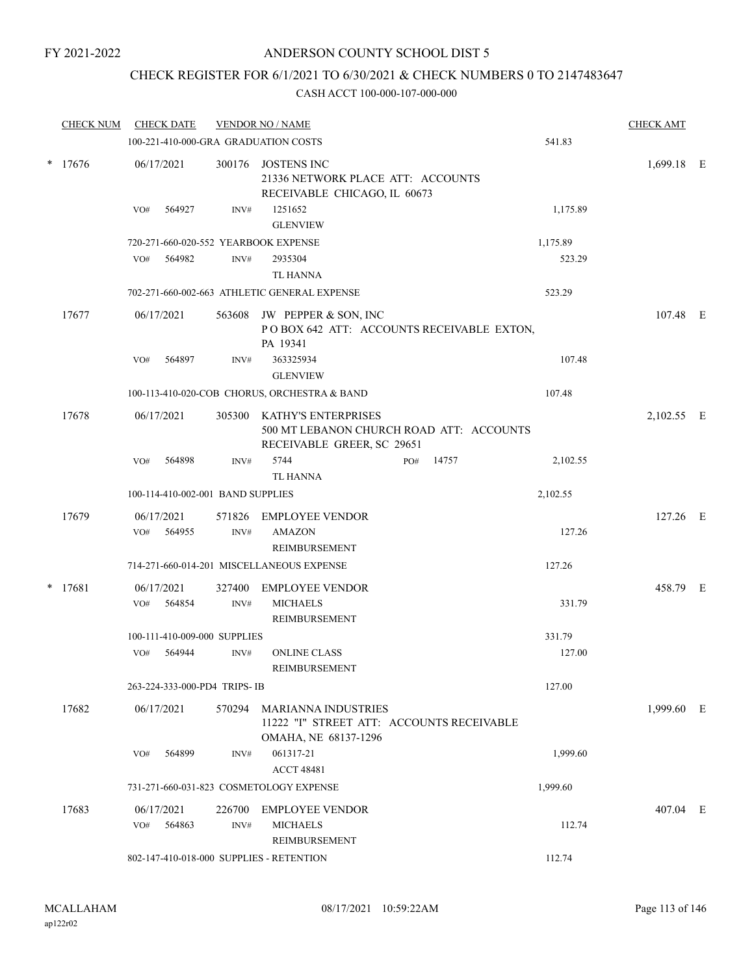# ANDERSON COUNTY SCHOOL DIST 5

# CHECK REGISTER FOR 6/1/2021 TO 6/30/2021 & CHECK NUMBERS 0 TO 2147483647

|        | <b>CHECK NUM</b> |            | <b>CHECK DATE</b>    |                                                                                                      | <b>VENDOR NO / NAME</b>                                                                         |     |       |            | <b>CHECK AMT</b> |  |
|--------|------------------|------------|----------------------|------------------------------------------------------------------------------------------------------|-------------------------------------------------------------------------------------------------|-----|-------|------------|------------------|--|
|        |                  |            |                      |                                                                                                      | 100-221-410-000-GRA GRADUATION COSTS                                                            |     |       | 541.83     |                  |  |
|        | * 17676          |            | 06/17/2021           |                                                                                                      | 300176 JOSTENS INC<br>21336 NETWORK PLACE ATT: ACCOUNTS<br>RECEIVABLE CHICAGO, IL 60673         |     |       |            | 1,699.18 E       |  |
|        |                  | VO#        | 564927               | INV#                                                                                                 | 1251652<br><b>GLENVIEW</b>                                                                      |     |       | 1,175.89   |                  |  |
|        |                  |            |                      |                                                                                                      | 720-271-660-020-552 YEARBOOK EXPENSE                                                            |     |       | 1,175.89   |                  |  |
|        |                  | VO#        | 564982               | INV#                                                                                                 | 2935304<br><b>TL HANNA</b>                                                                      |     |       | 523.29     |                  |  |
|        |                  |            |                      |                                                                                                      | 702-271-660-002-663 ATHLETIC GENERAL EXPENSE                                                    |     |       | 523.29     |                  |  |
|        | 17677            |            | 06/17/2021           |                                                                                                      | 563608 JW PEPPER & SON, INC<br>POBOX 642 ATT: ACCOUNTS RECEIVABLE EXTON,<br>PA 19341            |     |       |            | 107.48 E         |  |
|        |                  | VO#        | 564897               | INV#                                                                                                 | 363325934<br><b>GLENVIEW</b>                                                                    |     |       | 107.48     |                  |  |
|        |                  |            |                      |                                                                                                      | 100-113-410-020-COB CHORUS, ORCHESTRA & BAND                                                    |     |       | 107.48     |                  |  |
| 17678  |                  | 06/17/2021 |                      | 305300 KATHY'S ENTERPRISES<br>500 MT LEBANON CHURCH ROAD ATT: ACCOUNTS<br>RECEIVABLE GREER, SC 29651 |                                                                                                 |     |       | 2,102.55 E |                  |  |
|        |                  | VO#        | 564898               | INV#                                                                                                 | 5744<br><b>TL HANNA</b>                                                                         | PO# | 14757 | 2,102.55   |                  |  |
|        |                  |            |                      | 100-114-410-002-001 BAND SUPPLIES                                                                    |                                                                                                 |     |       | 2,102.55   |                  |  |
|        | 17679            | VO#        | 06/17/2021<br>564955 | 571826<br>INV#                                                                                       | <b>EMPLOYEE VENDOR</b><br><b>AMAZON</b><br>REIMBURSEMENT                                        |     |       | 127.26     | 127.26 E         |  |
|        |                  |            |                      |                                                                                                      | 714-271-660-014-201 MISCELLANEOUS EXPENSE                                                       |     |       | 127.26     |                  |  |
| $\ast$ | 17681            |            | 06/17/2021           | 327400                                                                                               | <b>EMPLOYEE VENDOR</b>                                                                          |     |       |            | 458.79 E         |  |
|        |                  | VO#        | 564854               | INV#                                                                                                 | <b>MICHAELS</b><br>REIMBURSEMENT                                                                |     |       | 331.79     |                  |  |
|        |                  |            |                      | 100-111-410-009-000 SUPPLIES                                                                         |                                                                                                 |     |       | 331.79     |                  |  |
|        |                  | VO#        | 564944               | INV#                                                                                                 | <b>ONLINE CLASS</b><br>REIMBURSEMENT                                                            |     |       | 127.00     |                  |  |
|        |                  |            |                      | 263-224-333-000-PD4 TRIPS-IB                                                                         |                                                                                                 |     |       | 127.00     |                  |  |
|        | 17682            |            | 06/17/2021           |                                                                                                      | 570294 MARIANNA INDUSTRIES<br>11222 "I" STREET ATT: ACCOUNTS RECEIVABLE<br>OMAHA, NE 68137-1296 |     |       |            | 1,999.60 E       |  |
|        |                  | VO#        | 564899               | INV#                                                                                                 | 061317-21<br><b>ACCT 48481</b>                                                                  |     |       | 1,999.60   |                  |  |
|        |                  |            |                      |                                                                                                      | 731-271-660-031-823 COSMETOLOGY EXPENSE                                                         |     |       | 1,999.60   |                  |  |
|        | 17683            |            | 06/17/2021           |                                                                                                      | 226700 EMPLOYEE VENDOR                                                                          |     |       |            | 407.04 E         |  |
|        |                  | VO#        | 564863               | INV#                                                                                                 | <b>MICHAELS</b><br>REIMBURSEMENT                                                                |     |       | 112.74     |                  |  |
|        |                  |            |                      |                                                                                                      | 802-147-410-018-000 SUPPLIES - RETENTION                                                        |     |       | 112.74     |                  |  |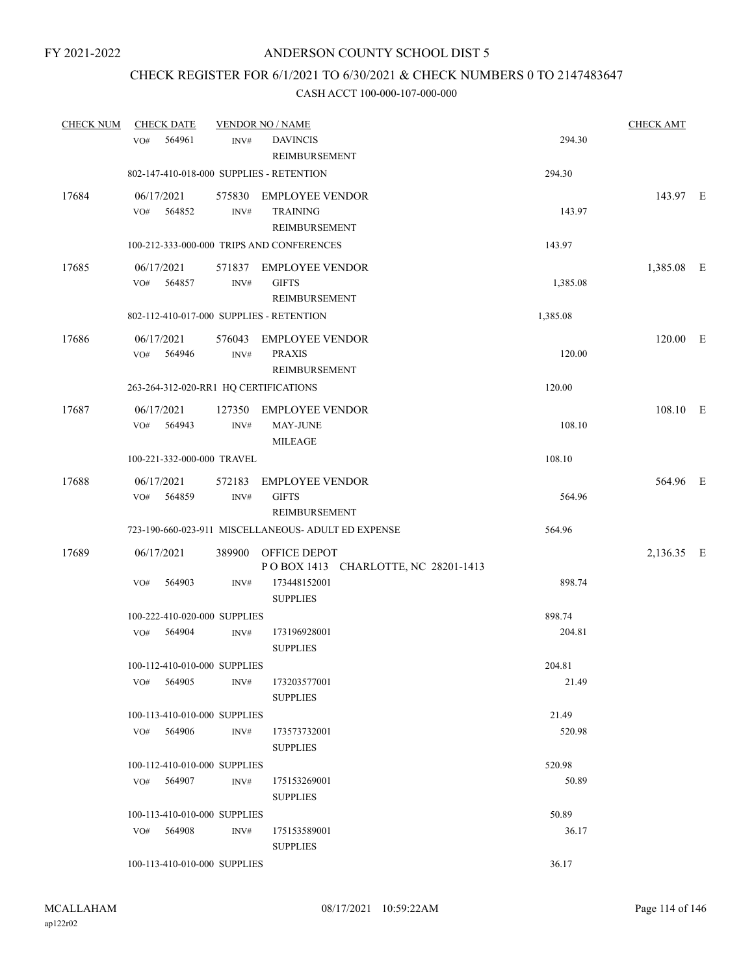# CHECK REGISTER FOR 6/1/2021 TO 6/30/2021 & CHECK NUMBERS 0 TO 2147483647

| <b>CHECK NUM</b> | <b>CHECK DATE</b>                        |                | <b>VENDOR NO / NAME</b>                                           |          | <b>CHECK AMT</b> |  |
|------------------|------------------------------------------|----------------|-------------------------------------------------------------------|----------|------------------|--|
|                  | 564961<br>VO#                            | INV#           | <b>DAVINCIS</b><br>REIMBURSEMENT                                  | 294.30   |                  |  |
|                  | 802-147-410-018-000 SUPPLIES - RETENTION |                |                                                                   | 294.30   |                  |  |
| 17684            | 06/17/2021<br>564852<br>VO#              | INV#           | 575830 EMPLOYEE VENDOR<br><b>TRAINING</b><br><b>REIMBURSEMENT</b> | 143.97   | 143.97 E         |  |
|                  |                                          |                | 100-212-333-000-000 TRIPS AND CONFERENCES                         | 143.97   |                  |  |
| 17685            | 06/17/2021<br>564857<br>VO#              | INV#           | 571837 EMPLOYEE VENDOR<br><b>GIFTS</b><br>REIMBURSEMENT           | 1,385.08 | 1,385.08 E       |  |
|                  | 802-112-410-017-000 SUPPLIES - RETENTION |                |                                                                   | 1,385.08 |                  |  |
| 17686            | 06/17/2021<br>564946<br>VO#              | INV#           | 576043 EMPLOYEE VENDOR<br><b>PRAXIS</b><br><b>REIMBURSEMENT</b>   | 120.00   | 120.00 E         |  |
|                  | 263-264-312-020-RR1 HQ CERTIFICATIONS    |                |                                                                   | 120.00   |                  |  |
| 17687            | 06/17/2021<br>VO# 564943                 | 127350<br>INV# | <b>EMPLOYEE VENDOR</b><br><b>MAY-JUNE</b><br><b>MILEAGE</b>       | 108.10   | 108.10 E         |  |
|                  | 100-221-332-000-000 TRAVEL               |                |                                                                   | 108.10   |                  |  |
| 17688            | 06/17/2021<br>VO#<br>564859              | 572183<br>INV# | <b>EMPLOYEE VENDOR</b><br><b>GIFTS</b><br>REIMBURSEMENT           | 564.96   | 564.96 E         |  |
|                  |                                          |                | 723-190-660-023-911 MISCELLANEOUS- ADULT ED EXPENSE               | 564.96   |                  |  |
| 17689            | 06/17/2021                               | 389900         | OFFICE DEPOT<br>POBOX 1413 CHARLOTTE, NC 28201-1413               |          | 2,136.35 E       |  |
|                  | VO#<br>564903                            | INV#           | 173448152001<br><b>SUPPLIES</b>                                   | 898.74   |                  |  |
|                  | 100-222-410-020-000 SUPPLIES             |                |                                                                   | 898.74   |                  |  |
|                  | VO# 564904                               | INV#           | 173196928001<br><b>SUPPLIES</b>                                   | 204.81   |                  |  |
|                  | 100-112-410-010-000 SUPPLIES             |                |                                                                   | 204.81   |                  |  |
|                  | VO# 564905                               | INV#           | 173203577001<br><b>SUPPLIES</b>                                   | 21.49    |                  |  |
|                  | 100-113-410-010-000 SUPPLIES             |                |                                                                   | 21.49    |                  |  |
|                  | VO# 564906                               | INV#           | 173573732001<br><b>SUPPLIES</b>                                   | 520.98   |                  |  |
|                  | 100-112-410-010-000 SUPPLIES             |                |                                                                   | 520.98   |                  |  |
|                  | VO# 564907                               | INV#           | 175153269001<br><b>SUPPLIES</b>                                   | 50.89    |                  |  |
|                  | 100-113-410-010-000 SUPPLIES             |                |                                                                   | 50.89    |                  |  |
|                  | VO# 564908                               | INV#           | 175153589001<br><b>SUPPLIES</b>                                   | 36.17    |                  |  |
|                  | 100-113-410-010-000 SUPPLIES             |                |                                                                   | 36.17    |                  |  |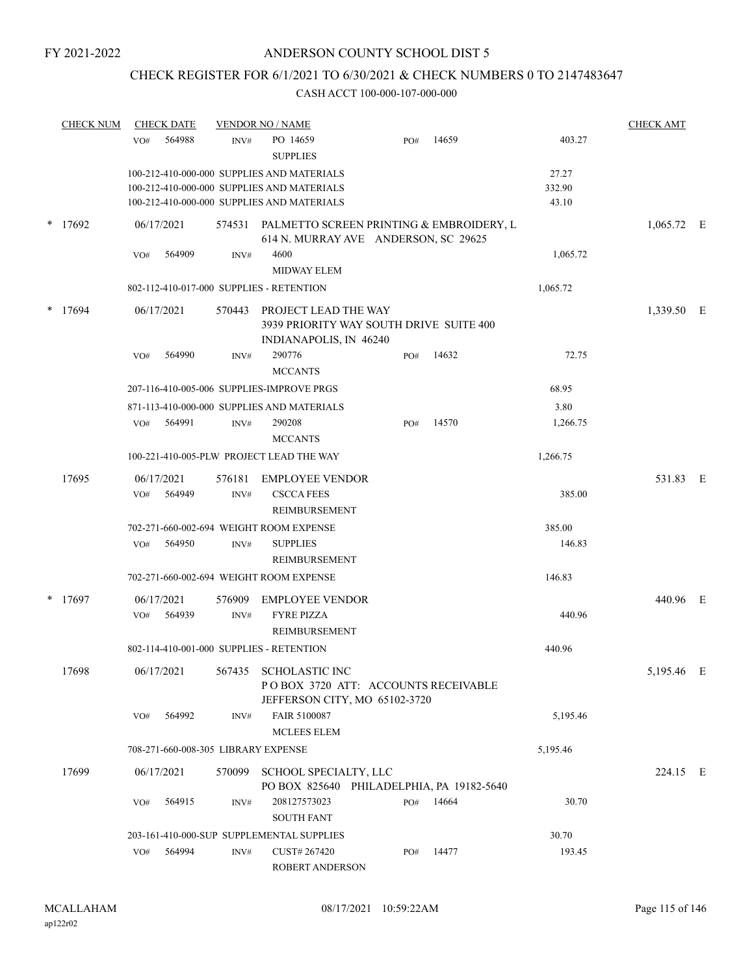# CHECK REGISTER FOR 6/1/2021 TO 6/30/2021 & CHECK NUMBERS 0 TO 2147483647

|        | <b>CHECK NUM</b> | <b>CHECK DATE</b> |                  | <b>VENDOR NO / NAME</b>                                                                                                                |                                                                      |           |                          | <b>CHECK AMT</b> |  |
|--------|------------------|-------------------|------------------|----------------------------------------------------------------------------------------------------------------------------------------|----------------------------------------------------------------------|-----------|--------------------------|------------------|--|
|        |                  | VO#               | 564988           | PO 14659<br>INV#<br><b>SUPPLIES</b>                                                                                                    | PO#                                                                  | 14659     | 403.27                   |                  |  |
|        |                  |                   |                  | 100-212-410-000-000 SUPPLIES AND MATERIALS<br>100-212-410-000-000 SUPPLIES AND MATERIALS<br>100-212-410-000-000 SUPPLIES AND MATERIALS |                                                                      |           | 27.27<br>332.90<br>43.10 |                  |  |
|        | $*$ 17692        | 06/17/2021        |                  | 574531 PALMETTO SCREEN PRINTING & EMBROIDERY, L                                                                                        | 614 N. MURRAY AVE ANDERSON, SC 29625                                 |           |                          | $1,065.72$ E     |  |
|        |                  | VO#               | 564909           | 4600<br>INV#<br>MIDWAY ELEM                                                                                                            |                                                                      |           | 1,065.72                 |                  |  |
|        |                  |                   |                  | 802-112-410-017-000 SUPPLIES - RETENTION                                                                                               |                                                                      |           | 1,065.72                 |                  |  |
| $\ast$ | 17694            | 06/17/2021        | 570443           | PROJECT LEAD THE WAY<br>INDIANAPOLIS, IN 46240                                                                                         | 3939 PRIORITY WAY SOUTH DRIVE SUITE 400                              |           |                          | 1,339.50 E       |  |
|        |                  | VO#               | 564990           | 290776<br>INV#<br><b>MCCANTS</b>                                                                                                       | PO#                                                                  | 14632     | 72.75                    |                  |  |
|        |                  |                   |                  | 207-116-410-005-006 SUPPLIES-IMPROVE PRGS                                                                                              |                                                                      |           | 68.95                    |                  |  |
|        |                  |                   |                  | 871-113-410-000-000 SUPPLIES AND MATERIALS                                                                                             |                                                                      |           | 3.80                     |                  |  |
|        |                  | VO#               | 564991           | 290208<br>INV#<br><b>MCCANTS</b>                                                                                                       | PO#                                                                  | 14570     | 1,266.75                 |                  |  |
|        |                  |                   |                  | 100-221-410-005-PLW PROJECT LEAD THE WAY                                                                                               |                                                                      |           | 1,266.75                 |                  |  |
|        | 17695            | 06/17/2021<br>VO# | 576181<br>564949 | <b>EMPLOYEE VENDOR</b><br><b>CSCCA FEES</b><br>INV#<br>REIMBURSEMENT                                                                   |                                                                      |           | 385.00                   | 531.83 E         |  |
|        |                  |                   |                  | 702-271-660-002-694 WEIGHT ROOM EXPENSE                                                                                                |                                                                      |           | 385.00                   |                  |  |
|        |                  | VO#               | 564950           | <b>SUPPLIES</b><br>INV#<br>REIMBURSEMENT                                                                                               |                                                                      |           | 146.83                   |                  |  |
|        |                  |                   |                  | 702-271-660-002-694 WEIGHT ROOM EXPENSE                                                                                                |                                                                      |           | 146.83                   |                  |  |
| *      | 17697            | 06/17/2021<br>VO# | 576909<br>564939 | <b>EMPLOYEE VENDOR</b><br><b>FYRE PIZZA</b><br>INV#<br>REIMBURSEMENT                                                                   |                                                                      |           | 440.96                   | 440.96 E         |  |
|        |                  |                   |                  | 802-114-410-001-000 SUPPLIES - RETENTION                                                                                               |                                                                      |           | 440.96                   |                  |  |
|        | 17698            | 06/17/2021        |                  | 567435 SCHOLASTIC INC                                                                                                                  | POBOX 3720 ATT: ACCOUNTS RECEIVABLE<br>JEFFERSON CITY, MO 65102-3720 |           |                          | 5,195.46 E       |  |
|        |                  | VO#               | 564992           | FAIR 5100087<br>INV#<br><b>MCLEES ELEM</b>                                                                                             |                                                                      |           | 5,195.46                 |                  |  |
|        |                  |                   |                  | 708-271-660-008-305 LIBRARY EXPENSE                                                                                                    |                                                                      |           | 5,195.46                 |                  |  |
|        | 17699            | 06/17/2021        | 570099           | SCHOOL SPECIALTY, LLC                                                                                                                  | PO BOX 825640 PHILADELPHIA, PA 19182-5640                            |           |                          | 224.15 E         |  |
|        |                  | VO#               | 564915           | 208127573023<br>INV#<br><b>SOUTH FANT</b>                                                                                              |                                                                      | PO# 14664 | 30.70                    |                  |  |
|        |                  |                   |                  | 203-161-410-000-SUP SUPPLEMENTAL SUPPLIES                                                                                              |                                                                      |           | 30.70                    |                  |  |
|        |                  | VO#               | 564994           | CUST# 267420<br>INV#<br>ROBERT ANDERSON                                                                                                | PO#                                                                  | 14477     | 193.45                   |                  |  |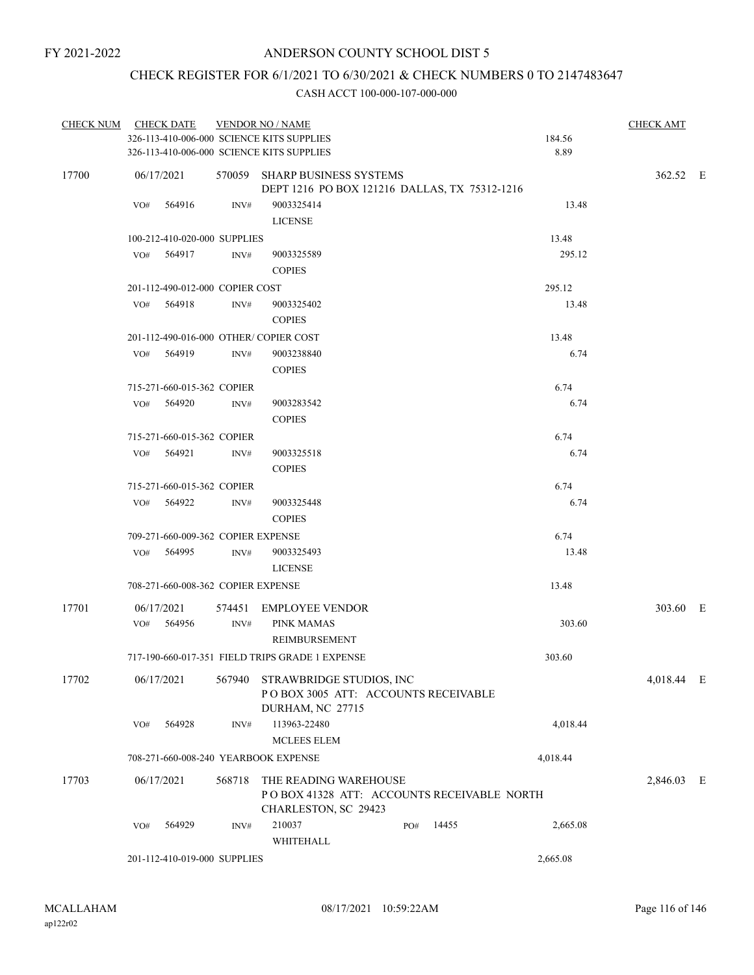# CHECK REGISTER FOR 6/1/2021 TO 6/30/2021 & CHECK NUMBERS 0 TO 2147483647

|       | CHECK NUM CHECK DATE                      |        | <b>VENDOR NO / NAME</b>                                                                     |     |       |          | <b>CHECK AMT</b> |  |
|-------|-------------------------------------------|--------|---------------------------------------------------------------------------------------------|-----|-------|----------|------------------|--|
|       | 326-113-410-006-000 SCIENCE KITS SUPPLIES |        |                                                                                             |     |       | 184.56   |                  |  |
|       | 326-113-410-006-000 SCIENCE KITS SUPPLIES |        |                                                                                             |     |       | 8.89     |                  |  |
| 17700 | 06/17/2021                                |        | 570059 SHARP BUSINESS SYSTEMS<br>DEPT 1216 PO BOX 121216 DALLAS, TX 75312-1216              |     |       |          | 362.52 E         |  |
|       | 564916<br>VO#                             | INV#   | 9003325414<br><b>LICENSE</b>                                                                |     |       | 13.48    |                  |  |
|       | 100-212-410-020-000 SUPPLIES              |        |                                                                                             |     |       | 13.48    |                  |  |
|       | VO# 564917                                | INV#   | 9003325589<br><b>COPIES</b>                                                                 |     |       | 295.12   |                  |  |
|       | 201-112-490-012-000 COPIER COST           |        |                                                                                             |     |       | 295.12   |                  |  |
|       | VO# 564918                                | INV#   | 9003325402<br><b>COPIES</b>                                                                 |     |       | 13.48    |                  |  |
|       | 201-112-490-016-000 OTHER/COPIER COST     |        |                                                                                             |     |       | 13.48    |                  |  |
|       | VO# 564919                                | INV#   | 9003238840<br><b>COPIES</b>                                                                 |     |       | 6.74     |                  |  |
|       | 715-271-660-015-362 COPIER                |        |                                                                                             |     |       | 6.74     |                  |  |
|       | VO# 564920                                | INV#   | 9003283542<br><b>COPIES</b>                                                                 |     |       | 6.74     |                  |  |
|       | 715-271-660-015-362 COPIER                |        |                                                                                             |     |       | 6.74     |                  |  |
|       | VO#<br>564921                             | INV#   | 9003325518<br><b>COPIES</b>                                                                 |     |       | 6.74     |                  |  |
|       | 715-271-660-015-362 COPIER                |        |                                                                                             |     |       | 6.74     |                  |  |
|       | $VO#$ 564922                              | INV#   | 9003325448<br><b>COPIES</b>                                                                 |     |       | 6.74     |                  |  |
|       | 709-271-660-009-362 COPIER EXPENSE        |        |                                                                                             |     |       | 6.74     |                  |  |
|       | VO# 564995                                | INV#   | 9003325493<br><b>LICENSE</b>                                                                |     |       | 13.48    |                  |  |
|       | 708-271-660-008-362 COPIER EXPENSE        |        |                                                                                             |     |       | 13.48    |                  |  |
| 17701 | 06/17/2021                                |        | 574451 EMPLOYEE VENDOR                                                                      |     |       |          | 303.60 E         |  |
|       | VO# 564956                                | INV#   | PINK MAMAS<br>REIMBURSEMENT                                                                 |     |       | 303.60   |                  |  |
|       |                                           |        | 717-190-660-017-351 FIELD TRIPS GRADE 1 EXPENSE                                             |     |       | 303.60   |                  |  |
| 17702 | 06/17/2021                                |        | 567940 STRAWBRIDGE STUDIOS, INC<br>POBOX 3005 ATT: ACCOUNTS RECEIVABLE<br>DURHAM, NC 27715  |     |       |          | 4,018.44 E       |  |
|       | 564928<br>VO#                             | INV#   | 113963-22480<br><b>MCLEES ELEM</b>                                                          |     |       | 4,018.44 |                  |  |
|       | 708-271-660-008-240 YEARBOOK EXPENSE      |        |                                                                                             |     |       | 4,018.44 |                  |  |
|       |                                           |        |                                                                                             |     |       |          |                  |  |
| 17703 | 06/17/2021                                | 568718 | THE READING WAREHOUSE<br>POBOX 41328 ATT: ACCOUNTS RECEIVABLE NORTH<br>CHARLESTON, SC 29423 |     |       |          | 2,846.03 E       |  |
|       | 564929<br>VO#                             | INV#   | 210037<br>WHITEHALL                                                                         | PO# | 14455 | 2,665.08 |                  |  |
|       | 201-112-410-019-000 SUPPLIES              |        |                                                                                             |     |       | 2,665.08 |                  |  |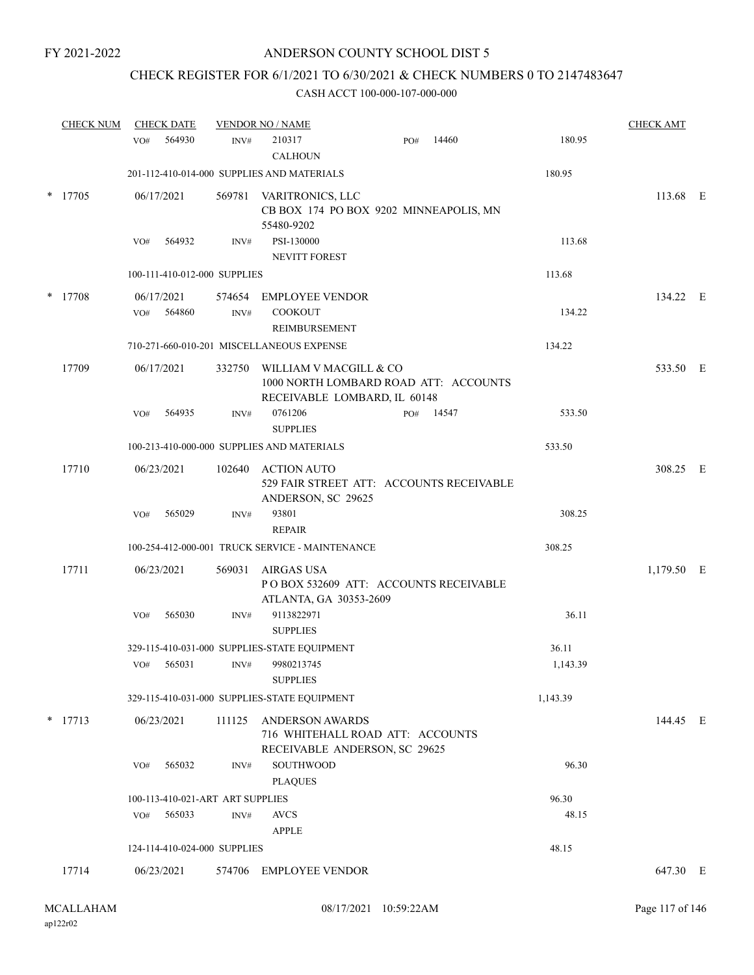# CHECK REGISTER FOR 6/1/2021 TO 6/30/2021 & CHECK NUMBERS 0 TO 2147483647

|   | <b>CHECK NUM</b> | <b>CHECK DATE</b> |                                  |                | <b>VENDOR NO / NAME</b>                                                                         |     |       |          | <b>CHECK AMT</b> |  |
|---|------------------|-------------------|----------------------------------|----------------|-------------------------------------------------------------------------------------------------|-----|-------|----------|------------------|--|
|   |                  | VO#               | 564930                           | INV#           | 210317<br><b>CALHOUN</b>                                                                        | PO# | 14460 | 180.95   |                  |  |
|   |                  |                   |                                  |                | 201-112-410-014-000 SUPPLIES AND MATERIALS                                                      |     |       | 180.95   |                  |  |
| * | 17705            | 06/17/2021        |                                  |                | 569781 VARITRONICS, LLC<br>CB BOX 174 PO BOX 9202 MINNEAPOLIS, MN<br>55480-9202                 |     |       |          | 113.68 E         |  |
|   |                  | VO#               | 564932                           | INV#           | PSI-130000<br><b>NEVITT FOREST</b>                                                              |     |       | 113.68   |                  |  |
|   |                  |                   | 100-111-410-012-000 SUPPLIES     |                |                                                                                                 |     |       | 113.68   |                  |  |
|   | $*$ 17708        | 06/17/2021<br>VO# | 564860                           | 574654<br>INV# | <b>EMPLOYEE VENDOR</b><br><b>COOKOUT</b><br>REIMBURSEMENT                                       |     |       | 134.22   | 134.22 E         |  |
|   |                  |                   |                                  |                | 710-271-660-010-201 MISCELLANEOUS EXPENSE                                                       |     |       | 134.22   |                  |  |
|   | 17709            | 06/17/2021        |                                  | 332750         | WILLIAM V MACGILL & CO<br>1000 NORTH LOMBARD ROAD ATT: ACCOUNTS<br>RECEIVABLE LOMBARD, IL 60148 |     |       |          | 533.50 E         |  |
|   |                  | VO#               | 564935                           | INV#           | 0761206<br><b>SUPPLIES</b>                                                                      | PO# | 14547 | 533.50   |                  |  |
|   |                  |                   |                                  |                | 100-213-410-000-000 SUPPLIES AND MATERIALS                                                      |     |       | 533.50   |                  |  |
|   | 17710            | 06/23/2021        |                                  | 102640         | <b>ACTION AUTO</b><br>529 FAIR STREET ATT: ACCOUNTS RECEIVABLE<br>ANDERSON, SC 29625            |     |       |          | 308.25 E         |  |
|   |                  | VO#               | 565029                           | INV#           | 93801<br><b>REPAIR</b>                                                                          |     |       | 308.25   |                  |  |
|   |                  |                   |                                  |                | 100-254-412-000-001 TRUCK SERVICE - MAINTENANCE                                                 |     |       | 308.25   |                  |  |
|   | 17711            | 06/23/2021        |                                  | 569031         | <b>AIRGAS USA</b><br>POBOX 532609 ATT: ACCOUNTS RECEIVABLE<br>ATLANTA, GA 30353-2609            |     |       |          | 1,179.50 E       |  |
|   |                  | VO#               | 565030                           | INV#           | 9113822971<br><b>SUPPLIES</b>                                                                   |     |       | 36.11    |                  |  |
|   |                  |                   |                                  |                | 329-115-410-031-000 SUPPLIES-STATE EQUIPMENT                                                    |     |       | 36.11    |                  |  |
|   |                  | VO#               | 565031                           | INV#           | 9980213745<br><b>SUPPLIES</b>                                                                   |     |       | 1,143.39 |                  |  |
|   |                  |                   |                                  |                | 329-115-410-031-000 SUPPLIES-STATE EQUIPMENT                                                    |     |       | 1,143.39 |                  |  |
|   | $*$ 17713        | 06/23/2021        |                                  | 111125         | <b>ANDERSON AWARDS</b><br>716 WHITEHALL ROAD ATT: ACCOUNTS<br>RECEIVABLE ANDERSON, SC 29625     |     |       |          | 144.45 E         |  |
|   |                  | VO#               | 565032                           | INV#           | SOUTHWOOD<br><b>PLAQUES</b>                                                                     |     |       | 96.30    |                  |  |
|   |                  |                   | 100-113-410-021-ART ART SUPPLIES |                |                                                                                                 |     |       | 96.30    |                  |  |
|   |                  | VO#               | 565033                           | INV#           | <b>AVCS</b><br><b>APPLE</b>                                                                     |     |       | 48.15    |                  |  |
|   |                  |                   | 124-114-410-024-000 SUPPLIES     |                |                                                                                                 |     |       | 48.15    |                  |  |
|   | 17714            | 06/23/2021        |                                  | 574706         | EMPLOYEE VENDOR                                                                                 |     |       |          | 647.30 E         |  |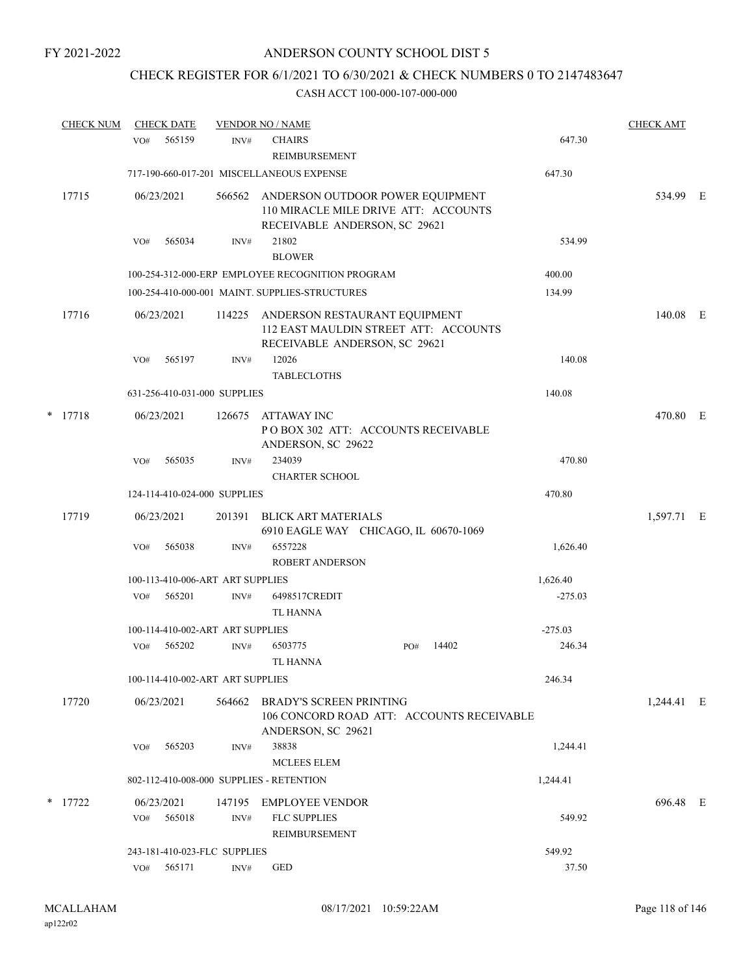# CHECK REGISTER FOR 6/1/2021 TO 6/30/2021 & CHECK NUMBERS 0 TO 2147483647

|   | <b>CHECK NUM</b> | <b>CHECK DATE</b>                        |        | <b>VENDOR NO / NAME</b>                                                                                   |              |           | <b>CHECK AMT</b> |  |
|---|------------------|------------------------------------------|--------|-----------------------------------------------------------------------------------------------------------|--------------|-----------|------------------|--|
|   |                  | 565159<br>VO#                            | INV#   | <b>CHAIRS</b><br><b>REIMBURSEMENT</b>                                                                     |              | 647.30    |                  |  |
|   |                  |                                          |        | 717-190-660-017-201 MISCELLANEOUS EXPENSE                                                                 |              | 647.30    |                  |  |
|   | 17715            | 06/23/2021                               | 566562 | ANDERSON OUTDOOR POWER EQUIPMENT<br>110 MIRACLE MILE DRIVE ATT: ACCOUNTS<br>RECEIVABLE ANDERSON, SC 29621 |              |           | 534.99 E         |  |
|   |                  | 565034<br>VO#                            | INV#   | 21802<br><b>BLOWER</b>                                                                                    |              | 534.99    |                  |  |
|   |                  |                                          |        | 100-254-312-000-ERP EMPLOYEE RECOGNITION PROGRAM                                                          |              | 400.00    |                  |  |
|   |                  |                                          |        | 100-254-410-000-001 MAINT. SUPPLIES-STRUCTURES                                                            |              | 134.99    |                  |  |
|   | 17716            | 06/23/2021                               | 114225 | ANDERSON RESTAURANT EQUIPMENT<br>112 EAST MAULDIN STREET ATT: ACCOUNTS<br>RECEIVABLE ANDERSON, SC 29621   |              |           | 140.08 E         |  |
|   |                  | VO#<br>565197                            | INV#   | 12026<br><b>TABLECLOTHS</b>                                                                               |              | 140.08    |                  |  |
|   |                  | 631-256-410-031-000 SUPPLIES             |        |                                                                                                           |              | 140.08    |                  |  |
| * | 17718            | 06/23/2021                               | 126675 | ATTAWAY INC<br>POBOX 302 ATT: ACCOUNTS RECEIVABLE<br>ANDERSON, SC 29622                                   |              |           | 470.80 E         |  |
|   |                  | 565035<br>VO#                            | INV#   | 234039<br><b>CHARTER SCHOOL</b>                                                                           |              | 470.80    |                  |  |
|   |                  | 124-114-410-024-000 SUPPLIES             |        |                                                                                                           |              | 470.80    |                  |  |
|   | 17719            | 06/23/2021                               | 201391 | BLICK ART MATERIALS<br>6910 EAGLE WAY CHICAGO, IL 60670-1069                                              |              |           | 1,597.71 E       |  |
|   |                  | 565038<br>VO#                            | INV#   | 6557228<br>ROBERT ANDERSON                                                                                |              | 1,626.40  |                  |  |
|   |                  | 100-113-410-006-ART ART SUPPLIES         |        |                                                                                                           |              | 1,626.40  |                  |  |
|   |                  | VO#<br>565201                            | INV#   | 6498517CREDIT<br><b>TL HANNA</b>                                                                          |              | $-275.03$ |                  |  |
|   |                  | 100-114-410-002-ART ART SUPPLIES         |        |                                                                                                           |              | $-275.03$ |                  |  |
|   |                  | 565202<br>VO#                            | INV#   | 6503775<br>TL HANNA                                                                                       | 14402<br>PO# | 246.34    |                  |  |
|   |                  | 100-114-410-002-ART ART SUPPLIES         |        |                                                                                                           |              | 246.34    |                  |  |
|   | 17720            | 06/23/2021                               | 564662 | <b>BRADY'S SCREEN PRINTING</b><br>106 CONCORD ROAD ATT: ACCOUNTS RECEIVABLE<br>ANDERSON, SC 29621         |              |           | 1,244.41 E       |  |
|   |                  | 565203<br>VO#                            | INV#   | 38838<br><b>MCLEES ELEM</b>                                                                               |              | 1,244.41  |                  |  |
|   |                  | 802-112-410-008-000 SUPPLIES - RETENTION |        |                                                                                                           |              | 1,244.41  |                  |  |
|   | $*$ 17722        | 06/23/2021                               | 147195 | <b>EMPLOYEE VENDOR</b>                                                                                    |              |           | 696.48 E         |  |
|   |                  | 565018<br>VO#                            | INV#   | <b>FLC SUPPLIES</b><br>REIMBURSEMENT                                                                      |              | 549.92    |                  |  |
|   |                  | 243-181-410-023-FLC SUPPLIES             |        |                                                                                                           |              | 549.92    |                  |  |
|   |                  | VO#<br>565171                            | INV#   | <b>GED</b>                                                                                                |              | 37.50     |                  |  |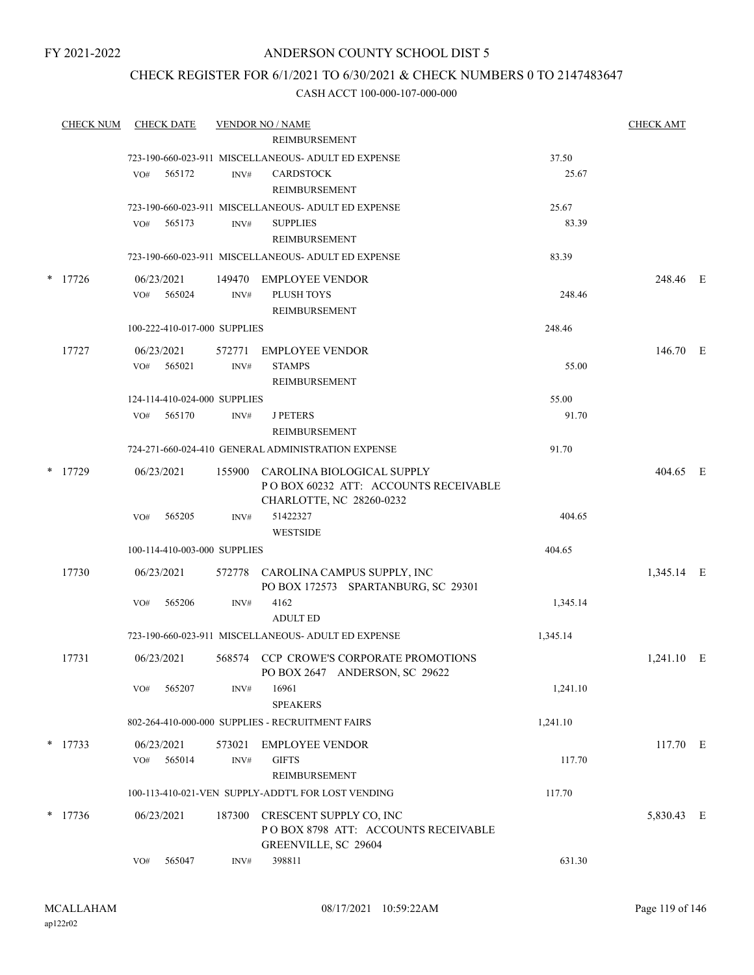# ANDERSON COUNTY SCHOOL DIST 5

# CHECK REGISTER FOR 6/1/2021 TO 6/30/2021 & CHECK NUMBERS 0 TO 2147483647

|        | <b>CHECK NUM</b> |     | <b>CHECK DATE</b>            |        | <b>VENDOR NO / NAME</b>                                                                |          | <b>CHECK AMT</b> |  |
|--------|------------------|-----|------------------------------|--------|----------------------------------------------------------------------------------------|----------|------------------|--|
|        |                  |     |                              |        | REIMBURSEMENT                                                                          |          |                  |  |
|        |                  |     |                              |        | 723-190-660-023-911 MISCELLANEOUS- ADULT ED EXPENSE                                    | 37.50    |                  |  |
|        |                  | VO# | 565172                       | INV#   | <b>CARDSTOCK</b>                                                                       | 25.67    |                  |  |
|        |                  |     |                              |        | REIMBURSEMENT                                                                          |          |                  |  |
|        |                  |     |                              |        | 723-190-660-023-911 MISCELLANEOUS- ADULT ED EXPENSE                                    | 25.67    |                  |  |
|        |                  | VO# | 565173                       | INV#   | <b>SUPPLIES</b>                                                                        | 83.39    |                  |  |
|        |                  |     |                              |        | REIMBURSEMENT                                                                          |          |                  |  |
|        |                  |     |                              |        | 723-190-660-023-911 MISCELLANEOUS- ADULT ED EXPENSE                                    | 83.39    |                  |  |
| $\ast$ | 17726            |     | 06/23/2021                   | 149470 | <b>EMPLOYEE VENDOR</b>                                                                 |          | 248.46 E         |  |
|        |                  | VO# | 565024                       | INV#   | PLUSH TOYS                                                                             | 248.46   |                  |  |
|        |                  |     |                              |        | REIMBURSEMENT                                                                          |          |                  |  |
|        |                  |     | 100-222-410-017-000 SUPPLIES |        |                                                                                        | 248.46   |                  |  |
|        | 17727            |     | 06/23/2021                   | 572771 | <b>EMPLOYEE VENDOR</b>                                                                 |          | 146.70 E         |  |
|        |                  | VO# | 565021                       | INV#   | <b>STAMPS</b>                                                                          | 55.00    |                  |  |
|        |                  |     |                              |        | REIMBURSEMENT                                                                          |          |                  |  |
|        |                  |     | 124-114-410-024-000 SUPPLIES |        |                                                                                        | 55.00    |                  |  |
|        |                  | VO# | 565170                       | INV#   | <b>J PETERS</b>                                                                        | 91.70    |                  |  |
|        |                  |     |                              |        | REIMBURSEMENT                                                                          |          |                  |  |
|        |                  |     |                              |        | 724-271-660-024-410 GENERAL ADMINISTRATION EXPENSE                                     | 91.70    |                  |  |
| $\ast$ | 17729            |     | 06/23/2021                   |        | 155900 CAROLINA BIOLOGICAL SUPPLY<br>POBOX 60232 ATT: ACCOUNTS RECEIVABLE              |          | 404.65 E         |  |
|        |                  | VO# | 565205                       | INV#   | CHARLOTTE, NC 28260-0232<br>51422327                                                   | 404.65   |                  |  |
|        |                  |     |                              |        | <b>WESTSIDE</b>                                                                        |          |                  |  |
|        |                  |     | 100-114-410-003-000 SUPPLIES |        |                                                                                        | 404.65   |                  |  |
|        | 17730            |     | 06/23/2021                   |        | 572778 CAROLINA CAMPUS SUPPLY, INC<br>PO BOX 172573 SPARTANBURG, SC 29301              |          | 1,345.14 E       |  |
|        |                  | VO# | 565206                       | INV#   | 4162                                                                                   | 1,345.14 |                  |  |
|        |                  |     |                              |        | <b>ADULT ED</b>                                                                        |          |                  |  |
|        |                  |     |                              |        | 723-190-660-023-911 MISCELLANEOUS- ADULT ED EXPENSE                                    | 1,345.14 |                  |  |
|        | 17731            |     | 06/23/2021                   |        | 568574 CCP CROWE'S CORPORATE PROMOTIONS<br>PO BOX 2647 ANDERSON, SC 29622              |          | $1,241.10$ E     |  |
|        |                  | VO# | 565207                       | INV#   | 16961<br><b>SPEAKERS</b>                                                               | 1,241.10 |                  |  |
|        |                  |     |                              |        | 802-264-410-000-000 SUPPLIES - RECRUITMENT FAIRS                                       | 1,241.10 |                  |  |
|        | $*$ 17733        |     | 06/23/2021                   | 573021 | <b>EMPLOYEE VENDOR</b>                                                                 |          | 117.70 E         |  |
|        |                  | VO# | 565014                       | INV#   | <b>GIFTS</b>                                                                           | 117.70   |                  |  |
|        |                  |     |                              |        | <b>REIMBURSEMENT</b>                                                                   |          |                  |  |
|        |                  |     |                              |        | 100-113-410-021-VEN SUPPLY-ADDT'L FOR LOST VENDING                                     | 117.70   |                  |  |
|        |                  |     |                              |        |                                                                                        |          |                  |  |
|        | $*$ 17736        |     | 06/23/2021                   | 187300 | CRESCENT SUPPLY CO, INC<br>POBOX 8798 ATT: ACCOUNTS RECEIVABLE<br>GREENVILLE, SC 29604 |          | 5,830.43 E       |  |
|        |                  | VO# | 565047                       | INV#   | 398811                                                                                 | 631.30   |                  |  |
|        |                  |     |                              |        |                                                                                        |          |                  |  |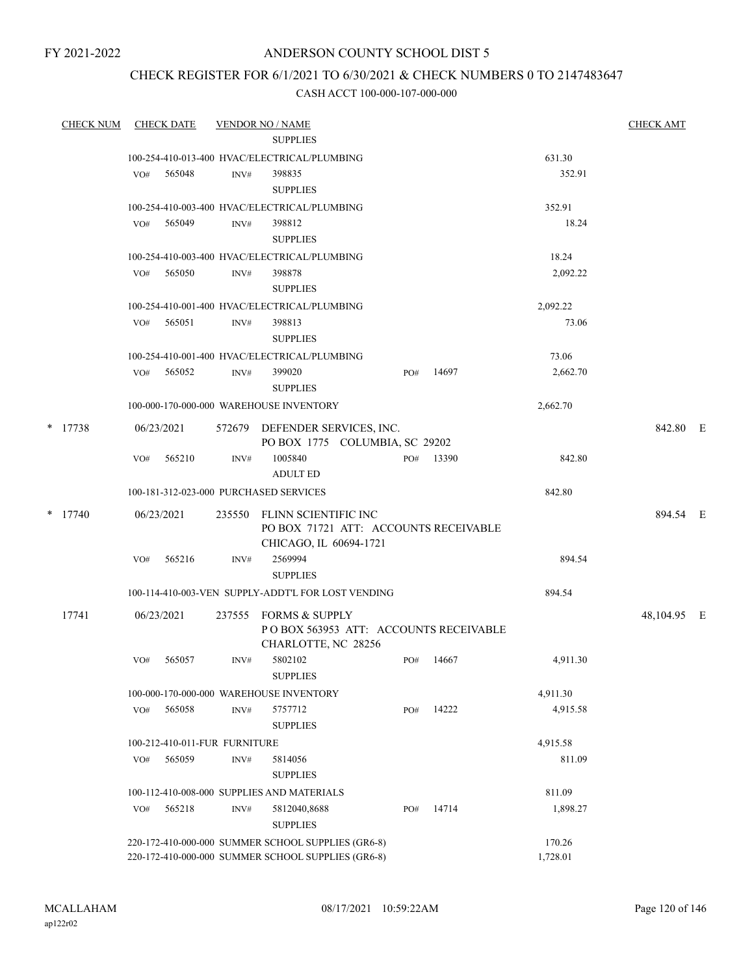# ANDERSON COUNTY SCHOOL DIST 5

# CHECK REGISTER FOR 6/1/2021 TO 6/30/2021 & CHECK NUMBERS 0 TO 2147483647

| <b>CHECK NUM</b> |     | <b>CHECK DATE</b> |                               | <b>VENDOR NO / NAME</b>                                                                                  |     |       |                    | <b>CHECK AMT</b> |  |
|------------------|-----|-------------------|-------------------------------|----------------------------------------------------------------------------------------------------------|-----|-------|--------------------|------------------|--|
|                  |     |                   |                               | <b>SUPPLIES</b>                                                                                          |     |       |                    |                  |  |
|                  |     |                   |                               | 100-254-410-013-400 HVAC/ELECTRICAL/PLUMBING                                                             |     |       | 631.30             |                  |  |
|                  | VO# | 565048            | INV#                          | 398835<br><b>SUPPLIES</b>                                                                                |     |       | 352.91             |                  |  |
|                  |     |                   |                               | 100-254-410-003-400 HVAC/ELECTRICAL/PLUMBING                                                             |     |       | 352.91             |                  |  |
|                  | VO# | 565049            | INV#                          | 398812<br><b>SUPPLIES</b>                                                                                |     |       | 18.24              |                  |  |
|                  |     |                   |                               | 100-254-410-003-400 HVAC/ELECTRICAL/PLUMBING                                                             |     |       | 18.24              |                  |  |
|                  | VO# | 565050            | INV#                          | 398878<br><b>SUPPLIES</b>                                                                                |     |       | 2,092.22           |                  |  |
|                  |     |                   |                               | 100-254-410-001-400 HVAC/ELECTRICAL/PLUMBING                                                             |     |       | 2,092.22           |                  |  |
|                  | VO# | 565051            | INV#                          | 398813<br><b>SUPPLIES</b>                                                                                |     |       | 73.06              |                  |  |
|                  |     |                   |                               | 100-254-410-001-400 HVAC/ELECTRICAL/PLUMBING                                                             |     |       | 73.06              |                  |  |
|                  | VO# | 565052            | INV#                          | 399020<br><b>SUPPLIES</b>                                                                                | PO# | 14697 | 2,662.70           |                  |  |
|                  |     |                   |                               | 100-000-170-000-000 WAREHOUSE INVENTORY                                                                  |     |       | 2,662.70           |                  |  |
| $*$ 17738        |     | 06/23/2021        |                               | 572679 DEFENDER SERVICES, INC.<br>PO BOX 1775 COLUMBIA, SC 29202                                         |     |       |                    | 842.80 E         |  |
|                  | VO# | 565210            | INV#                          | 1005840<br><b>ADULT ED</b>                                                                               | PO# | 13390 | 842.80             |                  |  |
|                  |     |                   |                               | 100-181-312-023-000 PURCHASED SERVICES                                                                   |     |       | 842.80             |                  |  |
| $*$ 17740        |     | 06/23/2021        | 235550                        | FLINN SCIENTIFIC INC<br>PO BOX 71721 ATT: ACCOUNTS RECEIVABLE<br>CHICAGO, IL 60694-1721                  |     |       |                    | 894.54 E         |  |
|                  | VO# | 565216            | INV#                          | 2569994<br><b>SUPPLIES</b>                                                                               |     |       | 894.54             |                  |  |
|                  |     |                   |                               | 100-114-410-003-VEN SUPPLY-ADDT'L FOR LOST VENDING                                                       |     |       | 894.54             |                  |  |
| 17741            |     | 06/23/2021        | 237555                        | <b>FORMS &amp; SUPPLY</b><br>POBOX 563953 ATT: ACCOUNTS RECEIVABLE<br>CHARLOTTE, NC 28256                |     |       |                    | 48,104.95 E      |  |
|                  | VO# | 565057            | INV#                          | 5802102<br><b>SUPPLIES</b>                                                                               | PO# | 14667 | 4,911.30           |                  |  |
|                  |     |                   |                               | 100-000-170-000-000 WAREHOUSE INVENTORY                                                                  |     |       | 4,911.30           |                  |  |
|                  | VO# | 565058            | INV#                          | 5757712<br><b>SUPPLIES</b>                                                                               | PO# | 14222 | 4,915.58           |                  |  |
|                  |     |                   | 100-212-410-011-FUR FURNITURE |                                                                                                          |     |       | 4,915.58           |                  |  |
|                  | VO# | 565059            | INV#                          | 5814056<br><b>SUPPLIES</b>                                                                               |     |       | 811.09             |                  |  |
|                  |     |                   |                               | 100-112-410-008-000 SUPPLIES AND MATERIALS                                                               |     |       | 811.09             |                  |  |
|                  | VO# | 565218            | INV#                          | 5812040,8688<br><b>SUPPLIES</b>                                                                          | PO# | 14714 | 1,898.27           |                  |  |
|                  |     |                   |                               | 220-172-410-000-000 SUMMER SCHOOL SUPPLIES (GR6-8)<br>220-172-410-000-000 SUMMER SCHOOL SUPPLIES (GR6-8) |     |       | 170.26<br>1,728.01 |                  |  |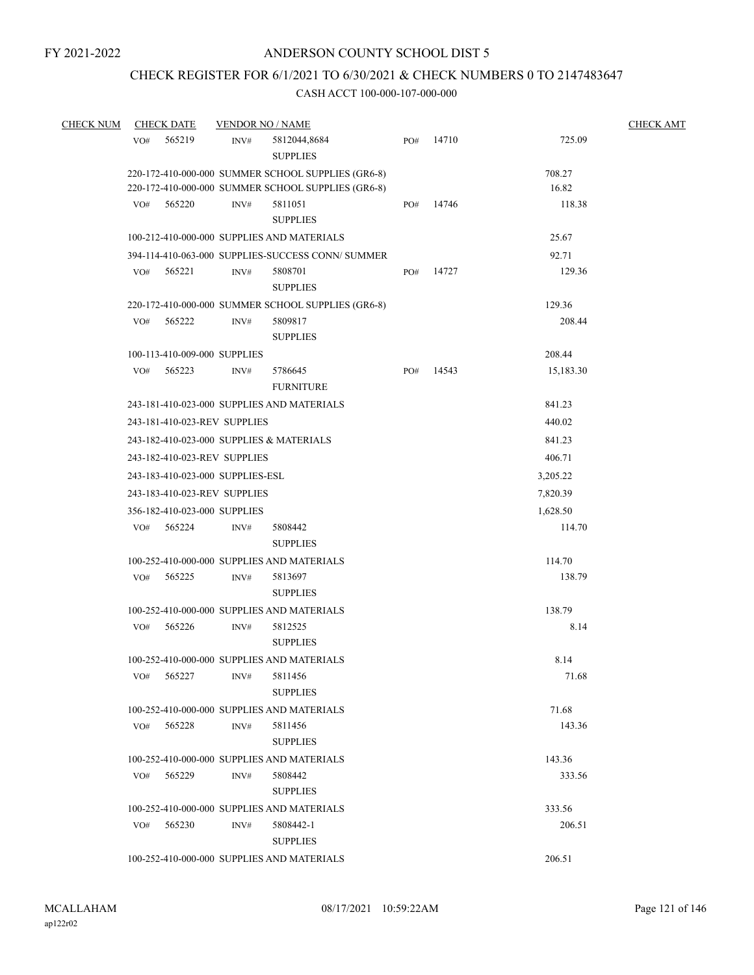# CHECK REGISTER FOR 6/1/2021 TO 6/30/2021 & CHECK NUMBERS 0 TO 2147483647

| <b>CHECK NUM</b> |     | <b>CHECK DATE</b>                | <b>VENDOR NO / NAME</b> |                                                    |     |       |           | <b>CHECK AMT</b> |  |
|------------------|-----|----------------------------------|-------------------------|----------------------------------------------------|-----|-------|-----------|------------------|--|
|                  | VO# | 565219                           | INV#                    | 5812044,8684<br><b>SUPPLIES</b>                    | PO# | 14710 | 725.09    |                  |  |
|                  |     |                                  |                         | 220-172-410-000-000 SUMMER SCHOOL SUPPLIES (GR6-8) |     |       | 708.27    |                  |  |
|                  |     |                                  |                         | 220-172-410-000-000 SUMMER SCHOOL SUPPLIES (GR6-8) |     |       | 16.82     |                  |  |
|                  | VO# | 565220                           | INV#                    | 5811051<br><b>SUPPLIES</b>                         | PO# | 14746 | 118.38    |                  |  |
|                  |     |                                  |                         | 100-212-410-000-000 SUPPLIES AND MATERIALS         |     |       | 25.67     |                  |  |
|                  |     |                                  |                         | 394-114-410-063-000 SUPPLIES-SUCCESS CONN/ SUMMER  |     |       | 92.71     |                  |  |
|                  | VO# | 565221                           | INV#                    | 5808701<br><b>SUPPLIES</b>                         | PO# | 14727 | 129.36    |                  |  |
|                  |     |                                  |                         | 220-172-410-000-000 SUMMER SCHOOL SUPPLIES (GR6-8) |     |       | 129.36    |                  |  |
|                  | VO# | 565222                           | INV#                    | 5809817<br><b>SUPPLIES</b>                         |     |       | 208.44    |                  |  |
|                  |     | 100-113-410-009-000 SUPPLIES     |                         |                                                    |     |       | 208.44    |                  |  |
|                  | VO# | 565223                           | INV#                    | 5786645<br><b>FURNITURE</b>                        | PO# | 14543 | 15,183.30 |                  |  |
|                  |     |                                  |                         | 243-181-410-023-000 SUPPLIES AND MATERIALS         |     |       | 841.23    |                  |  |
|                  |     | 243-181-410-023-REV SUPPLIES     |                         |                                                    |     |       | 440.02    |                  |  |
|                  |     |                                  |                         | 243-182-410-023-000 SUPPLIES & MATERIALS           |     |       | 841.23    |                  |  |
|                  |     | 243-182-410-023-REV SUPPLIES     |                         |                                                    |     |       | 406.71    |                  |  |
|                  |     | 243-183-410-023-000 SUPPLIES-ESL |                         |                                                    |     |       | 3,205.22  |                  |  |
|                  |     | 243-183-410-023-REV SUPPLIES     |                         |                                                    |     |       | 7,820.39  |                  |  |
|                  |     | 356-182-410-023-000 SUPPLIES     |                         |                                                    |     |       | 1,628.50  |                  |  |
|                  | VO# | 565224                           | INV#                    | 5808442<br><b>SUPPLIES</b>                         |     |       | 114.70    |                  |  |
|                  |     |                                  |                         | 100-252-410-000-000 SUPPLIES AND MATERIALS         |     |       | 114.70    |                  |  |
|                  | VO# | 565225                           | INV#                    | 5813697<br><b>SUPPLIES</b>                         |     |       | 138.79    |                  |  |
|                  |     |                                  |                         | 100-252-410-000-000 SUPPLIES AND MATERIALS         |     |       | 138.79    |                  |  |
|                  | VO# | 565226                           | INV#                    | 5812525<br><b>SUPPLIES</b>                         |     |       | 8.14      |                  |  |
|                  |     |                                  |                         | 100-252-410-000-000 SUPPLIES AND MATERIALS         |     |       | 8.14      |                  |  |
|                  | VO# | 565227                           | INV#                    | 5811456<br><b>SUPPLIES</b>                         |     |       | 71.68     |                  |  |
|                  |     |                                  |                         | 100-252-410-000-000 SUPPLIES AND MATERIALS         |     |       | 71.68     |                  |  |
|                  | VO# | 565228                           | INV#                    | 5811456<br><b>SUPPLIES</b>                         |     |       | 143.36    |                  |  |
|                  |     |                                  |                         | 100-252-410-000-000 SUPPLIES AND MATERIALS         |     |       | 143.36    |                  |  |
|                  | VO# | 565229                           | INV#                    | 5808442<br><b>SUPPLIES</b>                         |     |       | 333.56    |                  |  |
|                  |     |                                  |                         | 100-252-410-000-000 SUPPLIES AND MATERIALS         |     |       | 333.56    |                  |  |
|                  | VO# | 565230                           | INV#                    | 5808442-1<br><b>SUPPLIES</b>                       |     |       | 206.51    |                  |  |
|                  |     |                                  |                         | 100-252-410-000-000 SUPPLIES AND MATERIALS         |     |       | 206.51    |                  |  |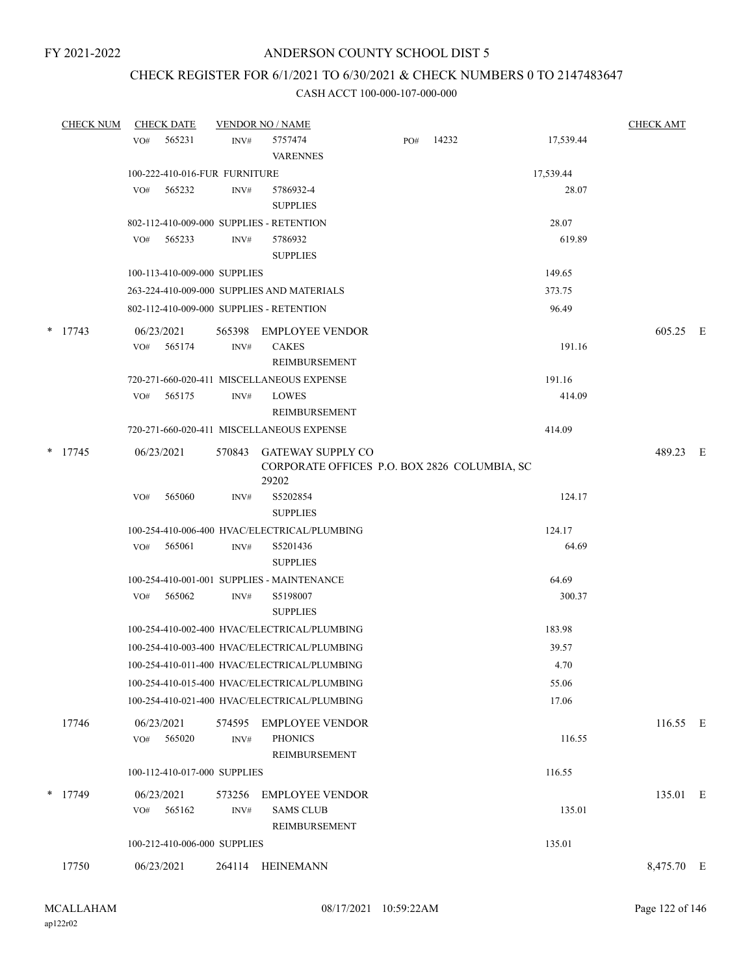# CHECK REGISTER FOR 6/1/2021 TO 6/30/2021 & CHECK NUMBERS 0 TO 2147483647

| <b>CHECK NUM</b> |     | <b>CHECK DATE</b>             |        | <b>VENDOR NO / NAME</b>                                                  |     |       |           | <b>CHECK AMT</b> |  |
|------------------|-----|-------------------------------|--------|--------------------------------------------------------------------------|-----|-------|-----------|------------------|--|
|                  | VO# | 565231                        | INV#   | 5757474                                                                  | PO# | 14232 | 17,539.44 |                  |  |
|                  |     |                               |        | <b>VARENNES</b>                                                          |     |       |           |                  |  |
|                  |     | 100-222-410-016-FUR FURNITURE |        |                                                                          |     |       | 17,539.44 |                  |  |
|                  | VO# | 565232                        | INV#   | 5786932-4                                                                |     |       | 28.07     |                  |  |
|                  |     |                               |        | <b>SUPPLIES</b>                                                          |     |       |           |                  |  |
|                  |     |                               |        | 802-112-410-009-000 SUPPLIES - RETENTION                                 |     |       | 28.07     |                  |  |
|                  | VO# | 565233                        | INV#   | 5786932                                                                  |     |       | 619.89    |                  |  |
|                  |     |                               |        | <b>SUPPLIES</b>                                                          |     |       |           |                  |  |
|                  |     | 100-113-410-009-000 SUPPLIES  |        |                                                                          |     |       | 149.65    |                  |  |
|                  |     |                               |        | 263-224-410-009-000 SUPPLIES AND MATERIALS                               |     |       | 373.75    |                  |  |
|                  |     |                               |        | 802-112-410-009-000 SUPPLIES - RETENTION                                 |     |       | 96.49     |                  |  |
| $*$ 17743        |     | 06/23/2021                    | 565398 | <b>EMPLOYEE VENDOR</b>                                                   |     |       |           | 605.25 E         |  |
|                  | VO# | 565174                        | INV#   | <b>CAKES</b>                                                             |     |       | 191.16    |                  |  |
|                  |     |                               |        | REIMBURSEMENT                                                            |     |       |           |                  |  |
|                  |     |                               |        | 720-271-660-020-411 MISCELLANEOUS EXPENSE                                |     |       | 191.16    |                  |  |
|                  | VO# | 565175                        | INV#   | <b>LOWES</b>                                                             |     |       | 414.09    |                  |  |
|                  |     |                               |        | REIMBURSEMENT                                                            |     |       |           |                  |  |
|                  |     |                               |        | 720-271-660-020-411 MISCELLANEOUS EXPENSE                                |     |       | 414.09    |                  |  |
| $*$ 17745        |     | 06/23/2021                    | 570843 | <b>GATEWAY SUPPLY CO</b><br>CORPORATE OFFICES P.O. BOX 2826 COLUMBIA, SC |     |       |           | 489.23 E         |  |
|                  |     |                               |        | 29202                                                                    |     |       |           |                  |  |
|                  | VO# | 565060                        | INV#   | S5202854                                                                 |     |       | 124.17    |                  |  |
|                  |     |                               |        | <b>SUPPLIES</b>                                                          |     |       |           |                  |  |
|                  |     |                               |        | 100-254-410-006-400 HVAC/ELECTRICAL/PLUMBING                             |     |       | 124.17    |                  |  |
|                  | VO# | 565061                        | INV#   | S5201436                                                                 |     |       | 64.69     |                  |  |
|                  |     |                               |        | <b>SUPPLIES</b>                                                          |     |       |           |                  |  |
|                  |     |                               |        | 100-254-410-001-001 SUPPLIES - MAINTENANCE                               |     |       | 64.69     |                  |  |
|                  |     | VO# 565062                    | INV#   | S5198007                                                                 |     |       | 300.37    |                  |  |
|                  |     |                               |        | <b>SUPPLIES</b>                                                          |     |       |           |                  |  |
|                  |     |                               |        | 100-254-410-002-400 HVAC/ELECTRICAL/PLUMBING                             |     |       | 183.98    |                  |  |
|                  |     |                               |        | 100-254-410-003-400 HVAC/ELECTRICAL/PLUMBING                             |     |       | 39.57     |                  |  |
|                  |     |                               |        | 100-254-410-011-400 HVAC/ELECTRICAL/PLUMBING                             |     |       | 4.70      |                  |  |
|                  |     |                               |        | 100-254-410-015-400 HVAC/ELECTRICAL/PLUMBING                             |     |       | 55.06     |                  |  |
|                  |     |                               |        | 100-254-410-021-400 HVAC/ELECTRICAL/PLUMBING                             |     |       | 17.06     |                  |  |
| 17746            |     | 06/23/2021                    |        | 574595 EMPLOYEE VENDOR                                                   |     |       |           | 116.55 E         |  |
|                  | VO# | 565020                        | INV#   | <b>PHONICS</b>                                                           |     |       | 116.55    |                  |  |
|                  |     |                               |        | REIMBURSEMENT                                                            |     |       |           |                  |  |
|                  |     | 100-112-410-017-000 SUPPLIES  |        |                                                                          |     |       | 116.55    |                  |  |
| $*$ 17749        |     | 06/23/2021                    | 573256 | <b>EMPLOYEE VENDOR</b>                                                   |     |       |           | 135.01 E         |  |
|                  | VO# | 565162                        | INV#   | <b>SAMS CLUB</b>                                                         |     |       | 135.01    |                  |  |
|                  |     |                               |        | REIMBURSEMENT                                                            |     |       |           |                  |  |
|                  |     | 100-212-410-006-000 SUPPLIES  |        |                                                                          |     |       | 135.01    |                  |  |
| 17750            |     | 06/23/2021                    | 264114 | <b>HEINEMANN</b>                                                         |     |       |           | 8,475.70 E       |  |
|                  |     |                               |        |                                                                          |     |       |           |                  |  |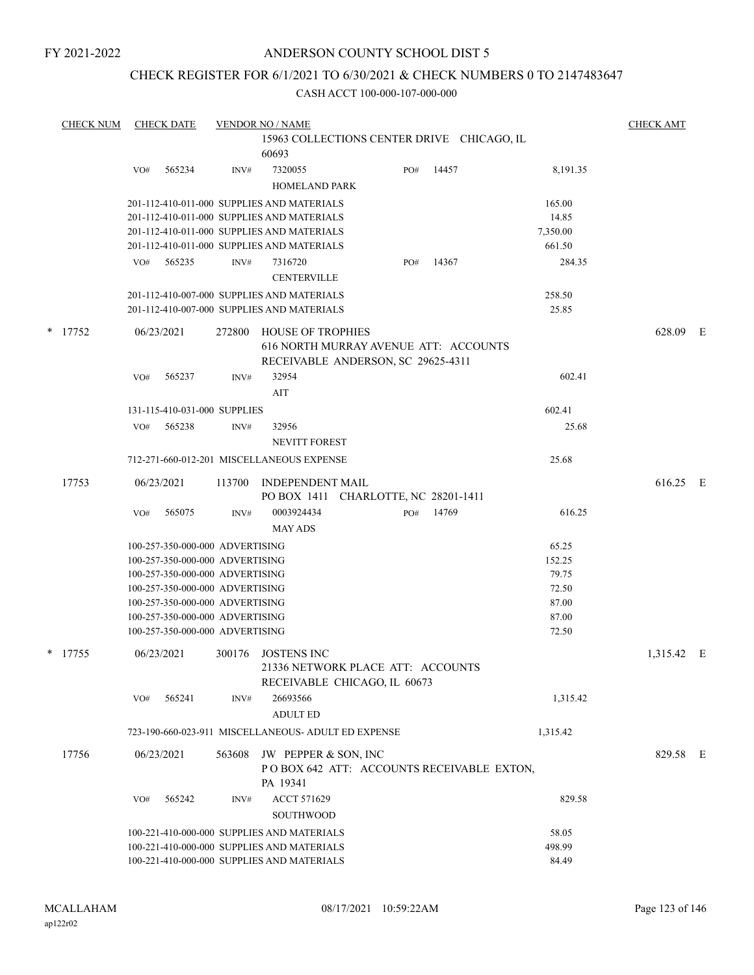# CHECK REGISTER FOR 6/1/2021 TO 6/30/2021 & CHECK NUMBERS 0 TO 2147483647

|   | <b>CHECK NUM</b> | <b>CHECK DATE</b> |                                                                    | <b>VENDOR NO / NAME</b>                             |     |       |                | <b>CHECK AMT</b> |   |
|---|------------------|-------------------|--------------------------------------------------------------------|-----------------------------------------------------|-----|-------|----------------|------------------|---|
|   |                  |                   |                                                                    | 15963 COLLECTIONS CENTER DRIVE CHICAGO, IL          |     |       |                |                  |   |
|   |                  |                   |                                                                    | 60693                                               |     |       |                |                  |   |
|   |                  | 565234<br>VO#     | INV#                                                               | 7320055                                             | PO# | 14457 | 8,191.35       |                  |   |
|   |                  |                   |                                                                    | <b>HOMELAND PARK</b>                                |     |       |                |                  |   |
|   |                  |                   |                                                                    | 201-112-410-011-000 SUPPLIES AND MATERIALS          |     |       | 165.00         |                  |   |
|   |                  |                   |                                                                    | 201-112-410-011-000 SUPPLIES AND MATERIALS          |     |       | 14.85          |                  |   |
|   |                  |                   |                                                                    | 201-112-410-011-000 SUPPLIES AND MATERIALS          |     |       | 7,350.00       |                  |   |
|   |                  |                   |                                                                    | 201-112-410-011-000 SUPPLIES AND MATERIALS          |     |       | 661.50         |                  |   |
|   |                  | 565235<br>VO#     | INV#                                                               | 7316720                                             | PO# | 14367 | 284.35         |                  |   |
|   |                  |                   |                                                                    | <b>CENTERVILLE</b>                                  |     |       |                |                  |   |
|   |                  |                   |                                                                    | 201-112-410-007-000 SUPPLIES AND MATERIALS          |     |       | 258.50         |                  |   |
|   |                  |                   |                                                                    | 201-112-410-007-000 SUPPLIES AND MATERIALS          |     |       | 25.85          |                  |   |
| * | 17752            | 06/23/2021        | 272800                                                             | <b>HOUSE OF TROPHIES</b>                            |     |       |                | 628.09           | E |
|   |                  |                   |                                                                    | 616 NORTH MURRAY AVENUE ATT: ACCOUNTS               |     |       |                |                  |   |
|   |                  |                   |                                                                    | RECEIVABLE ANDERSON, SC 29625-4311                  |     |       |                |                  |   |
|   |                  | 565237<br>VO#     | INV#                                                               | 32954                                               |     |       | 602.41         |                  |   |
|   |                  |                   |                                                                    | AIT                                                 |     |       |                |                  |   |
|   |                  |                   | 131-115-410-031-000 SUPPLIES                                       |                                                     |     |       | 602.41         |                  |   |
|   |                  | 565238<br>VO#     | INV#                                                               | 32956                                               |     |       | 25.68          |                  |   |
|   |                  |                   |                                                                    | <b>NEVITT FOREST</b>                                |     |       |                |                  |   |
|   |                  |                   |                                                                    |                                                     |     |       |                |                  |   |
|   |                  |                   |                                                                    | 712-271-660-012-201 MISCELLANEOUS EXPENSE           |     |       | 25.68          |                  |   |
|   | 17753            | 06/23/2021        | 113700                                                             | INDEPENDENT MAIL                                    |     |       |                | 616.25 E         |   |
|   |                  |                   |                                                                    | PO BOX 1411 CHARLOTTE, NC 28201-1411                |     |       |                |                  |   |
|   |                  | 565075<br>VO#     | INV#                                                               | 0003924434                                          | PO# | 14769 | 616.25         |                  |   |
|   |                  |                   |                                                                    | <b>MAY ADS</b>                                      |     |       |                |                  |   |
|   |                  |                   | 100-257-350-000-000 ADVERTISING                                    |                                                     |     |       | 65.25          |                  |   |
|   |                  |                   | 100-257-350-000-000 ADVERTISING                                    |                                                     |     |       | 152.25         |                  |   |
|   |                  |                   | 100-257-350-000-000 ADVERTISING                                    |                                                     |     |       | 79.75          |                  |   |
|   |                  |                   | 100-257-350-000-000 ADVERTISING                                    |                                                     |     |       | 72.50          |                  |   |
|   |                  |                   | 100-257-350-000-000 ADVERTISING                                    |                                                     |     |       | 87.00          |                  |   |
|   |                  |                   | 100-257-350-000-000 ADVERTISING<br>100-257-350-000-000 ADVERTISING |                                                     |     |       | 87.00<br>72.50 |                  |   |
|   |                  |                   |                                                                    |                                                     |     |       |                |                  |   |
|   | $*$ 17755        | 06/23/2021        | 300176                                                             | <b>JOSTENS INC</b>                                  |     |       |                | 1,315.42 E       |   |
|   |                  |                   |                                                                    | 21336 NETWORK PLACE ATT: ACCOUNTS                   |     |       |                |                  |   |
|   |                  |                   |                                                                    | RECEIVABLE CHICAGO, IL 60673                        |     |       |                |                  |   |
|   |                  | 565241<br>VO#     | INV#                                                               | 26693566                                            |     |       | 1,315.42       |                  |   |
|   |                  |                   |                                                                    | <b>ADULT ED</b>                                     |     |       |                |                  |   |
|   |                  |                   |                                                                    | 723-190-660-023-911 MISCELLANEOUS- ADULT ED EXPENSE |     |       | 1,315.42       |                  |   |
|   | 17756            | 06/23/2021        | 563608                                                             | JW PEPPER & SON, INC                                |     |       |                | 829.58 E         |   |
|   |                  |                   |                                                                    | POBOX 642 ATT: ACCOUNTS RECEIVABLE EXTON,           |     |       |                |                  |   |
|   |                  |                   |                                                                    | PA 19341                                            |     |       |                |                  |   |
|   |                  | 565242<br>VO#     | INV#                                                               | ACCT 571629                                         |     |       | 829.58         |                  |   |
|   |                  |                   |                                                                    | SOUTHWOOD                                           |     |       |                |                  |   |
|   |                  |                   |                                                                    | 100-221-410-000-000 SUPPLIES AND MATERIALS          |     |       | 58.05          |                  |   |
|   |                  |                   |                                                                    | 100-221-410-000-000 SUPPLIES AND MATERIALS          |     |       | 498.99         |                  |   |
|   |                  |                   |                                                                    | 100-221-410-000-000 SUPPLIES AND MATERIALS          |     |       | 84.49          |                  |   |
|   |                  |                   |                                                                    |                                                     |     |       |                |                  |   |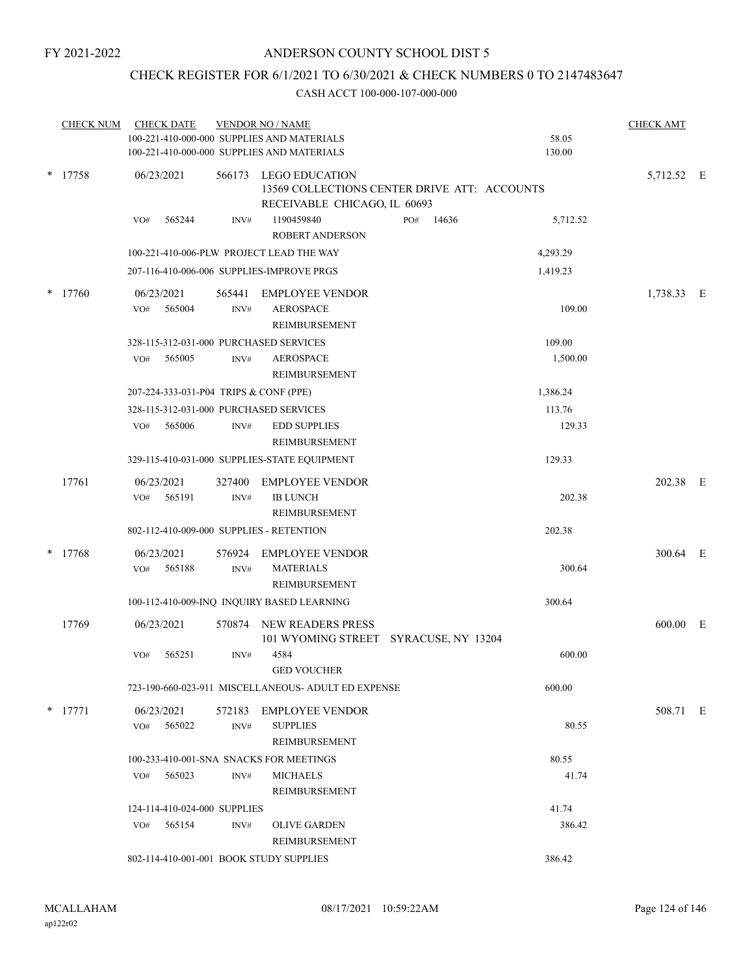# CHECK REGISTER FOR 6/1/2021 TO 6/30/2021 & CHECK NUMBERS 0 TO 2147483647

| <b>CHECK NUM</b> | <b>CHECK DATE</b>            |        |                | <b>VENDOR NO / NAME</b><br>100-221-410-000-000 SUPPLIES AND MATERIALS<br>100-221-410-000-000 SUPPLIES AND MATERIALS |     |       | 58.05<br>130.00 | <b>CHECK AMT</b> |  |
|------------------|------------------------------|--------|----------------|---------------------------------------------------------------------------------------------------------------------|-----|-------|-----------------|------------------|--|
| $*$ 17758        | 06/23/2021                   |        |                | 566173 LEGO EDUCATION<br>13569 COLLECTIONS CENTER DRIVE ATT: ACCOUNTS<br>RECEIVABLE CHICAGO, IL 60693               |     |       |                 | 5,712.52 E       |  |
|                  | VO#                          | 565244 | INV#           | 1190459840<br><b>ROBERT ANDERSON</b>                                                                                | PO# | 14636 | 5,712.52        |                  |  |
|                  |                              |        |                | 100-221-410-006-PLW PROJECT LEAD THE WAY                                                                            |     |       | 4,293.29        |                  |  |
|                  |                              |        |                | 207-116-410-006-006 SUPPLIES-IMPROVE PRGS                                                                           |     |       | 1,419.23        |                  |  |
| $*$ 17760        | 06/23/2021<br>VO#            | 565004 | 565441<br>INV# | <b>EMPLOYEE VENDOR</b><br><b>AEROSPACE</b><br>REIMBURSEMENT                                                         |     |       | 109.00          | 1,738.33 E       |  |
|                  |                              |        |                | 328-115-312-031-000 PURCHASED SERVICES                                                                              |     |       | 109.00          |                  |  |
|                  | VO#                          | 565005 | INV#           | <b>AEROSPACE</b><br><b>REIMBURSEMENT</b>                                                                            |     |       | 1,500.00        |                  |  |
|                  |                              |        |                | 207-224-333-031-P04 TRIPS & CONF (PPE)                                                                              |     |       | 1,386.24        |                  |  |
|                  |                              |        |                | 328-115-312-031-000 PURCHASED SERVICES                                                                              |     |       | 113.76          |                  |  |
|                  | VO#                          | 565006 | INV#           | <b>EDD SUPPLIES</b><br>REIMBURSEMENT                                                                                |     |       | 129.33          |                  |  |
|                  |                              |        |                | 329-115-410-031-000 SUPPLIES-STATE EQUIPMENT                                                                        |     |       | 129.33          |                  |  |
| 17761            | 06/23/2021                   |        | 327400         | <b>EMPLOYEE VENDOR</b>                                                                                              |     |       |                 | 202.38 E         |  |
|                  | VO#                          | 565191 | INV#           | <b>IB LUNCH</b><br>REIMBURSEMENT                                                                                    |     |       | 202.38          |                  |  |
|                  |                              |        |                | 802-112-410-009-000 SUPPLIES - RETENTION                                                                            |     |       | 202.38          |                  |  |
| $*$ 17768        | 06/23/2021<br>VO#            | 565188 | 576924<br>INV# | EMPLOYEE VENDOR<br><b>MATERIALS</b><br>REIMBURSEMENT                                                                |     |       | 300.64          | 300.64 E         |  |
|                  |                              |        |                | 100-112-410-009-INQ INQUIRY BASED LEARNING                                                                          |     |       | 300.64          |                  |  |
| 17769            | 06/23/2021                   |        |                | 570874 NEW READERS PRESS                                                                                            |     |       |                 | 600.00 E         |  |
|                  | VO#                          | 565251 | INV#           | 101 WYOMING STREET SYRACUSE, NY 13204<br>4584<br><b>GED VOUCHER</b>                                                 |     |       | 600.00          |                  |  |
|                  |                              |        |                | 723-190-660-023-911 MISCELLANEOUS- ADULT ED EXPENSE                                                                 |     |       | 600.00          |                  |  |
| $*$ 17771        | 06/23/2021                   |        |                | 572183 EMPLOYEE VENDOR                                                                                              |     |       |                 | 508.71 E         |  |
|                  | VO#                          | 565022 | INV#           | <b>SUPPLIES</b><br>REIMBURSEMENT                                                                                    |     |       | 80.55           |                  |  |
|                  |                              |        |                | 100-233-410-001-SNA SNACKS FOR MEETINGS                                                                             |     |       | 80.55           |                  |  |
|                  | VO#                          | 565023 | INV#           | <b>MICHAELS</b><br><b>REIMBURSEMENT</b>                                                                             |     |       | 41.74           |                  |  |
|                  | 124-114-410-024-000 SUPPLIES |        |                |                                                                                                                     |     |       | 41.74           |                  |  |
|                  | VO# 565154                   |        | INV#           | <b>OLIVE GARDEN</b><br>REIMBURSEMENT                                                                                |     |       | 386.42          |                  |  |
|                  |                              |        |                | 802-114-410-001-001 BOOK STUDY SUPPLIES                                                                             |     |       | 386.42          |                  |  |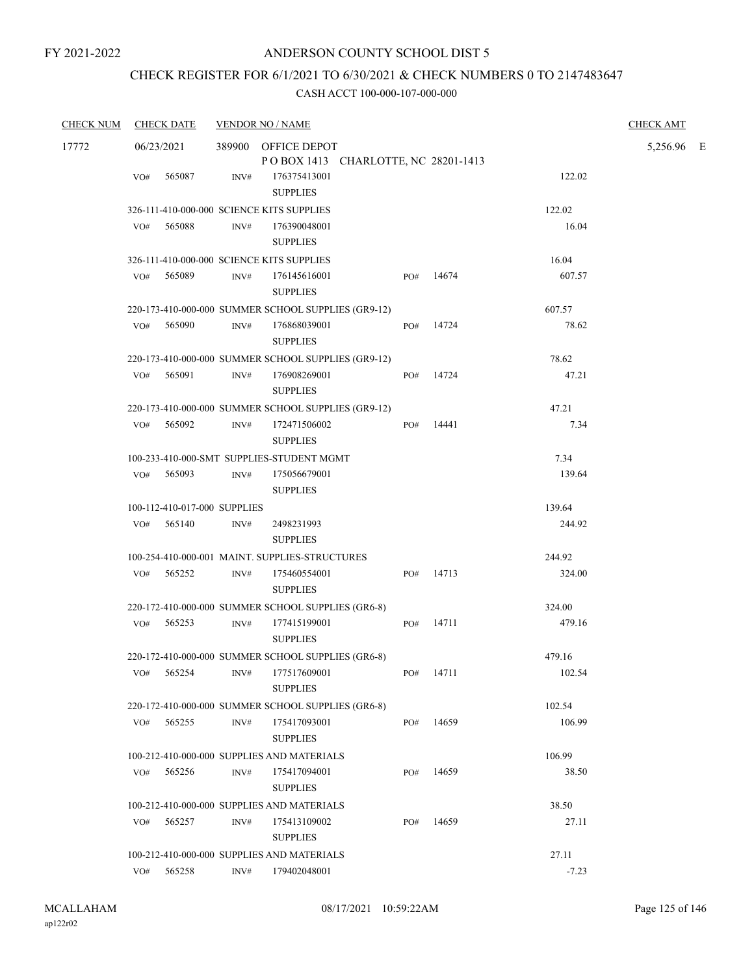# CHECK REGISTER FOR 6/1/2021 TO 6/30/2021 & CHECK NUMBERS 0 TO 2147483647

| <b>CHECK NUM</b> | <b>CHECK DATE</b>                         |      | <b>VENDOR NO / NAME</b>                                    |           |           |         | <b>CHECK AMT</b> |  |
|------------------|-------------------------------------------|------|------------------------------------------------------------|-----------|-----------|---------|------------------|--|
| 17772            | 06/23/2021                                |      | 389900 OFFICE DEPOT<br>POBOX 1413 CHARLOTTE, NC 28201-1413 |           |           |         | 5,256.96 E       |  |
|                  | 565087<br>VO#                             | INV# | 176375413001<br><b>SUPPLIES</b>                            |           |           | 122.02  |                  |  |
|                  | 326-111-410-000-000 SCIENCE KITS SUPPLIES |      |                                                            |           |           | 122.02  |                  |  |
|                  | 565088<br>VO#                             | INV# | 176390048001<br><b>SUPPLIES</b>                            |           |           | 16.04   |                  |  |
|                  | 326-111-410-000-000 SCIENCE KITS SUPPLIES |      |                                                            |           |           | 16.04   |                  |  |
|                  | 565089<br>VO#                             | INV# | 176145616001<br><b>SUPPLIES</b>                            | PO#       | 14674     | 607.57  |                  |  |
|                  |                                           |      | 220-173-410-000-000 SUMMER SCHOOL SUPPLIES (GR9-12)        |           |           | 607.57  |                  |  |
|                  | 565090<br>VO#                             | INV# | 176868039001<br><b>SUPPLIES</b>                            |           | PO# 14724 | 78.62   |                  |  |
|                  |                                           |      | 220-173-410-000-000 SUMMER SCHOOL SUPPLIES (GR9-12)        |           |           | 78.62   |                  |  |
|                  | 565091<br>VO#                             | INV# | 176908269001<br><b>SUPPLIES</b>                            | PO#       | 14724     | 47.21   |                  |  |
|                  |                                           |      | 220-173-410-000-000 SUMMER SCHOOL SUPPLIES (GR9-12)        |           |           | 47.21   |                  |  |
|                  | 565092<br>VO#                             | INV# | 172471506002<br><b>SUPPLIES</b>                            | PO#       | 14441     | 7.34    |                  |  |
|                  |                                           |      | 100-233-410-000-SMT SUPPLIES-STUDENT MGMT                  |           |           | 7.34    |                  |  |
|                  | VO# 565093                                | INV# | 175056679001<br><b>SUPPLIES</b>                            |           |           | 139.64  |                  |  |
|                  | 100-112-410-017-000 SUPPLIES              |      |                                                            |           |           | 139.64  |                  |  |
|                  | VO# 565140                                | INV# | 2498231993<br><b>SUPPLIES</b>                              |           |           | 244.92  |                  |  |
|                  |                                           |      | 100-254-410-000-001 MAINT. SUPPLIES-STRUCTURES             |           |           | 244.92  |                  |  |
|                  | VO# 565252                                | INV# | 175460554001<br><b>SUPPLIES</b>                            | PO#       | 14713     | 324.00  |                  |  |
|                  |                                           |      | 220-172-410-000-000 SUMMER SCHOOL SUPPLIES (GR6-8)         |           |           | 324.00  |                  |  |
|                  | 565253<br>VO#                             | INV# | 177415199001<br><b>SUPPLIES</b>                            | PO#       | 14711     | 479.16  |                  |  |
|                  |                                           |      | 220-172-410-000-000 SUMMER SCHOOL SUPPLIES (GR6-8)         |           |           | 479.16  |                  |  |
|                  |                                           |      | VO# 565254 INV# 177517609001<br><b>SUPPLIES</b>            | PO# 14711 |           | 102.54  |                  |  |
|                  |                                           |      | 220-172-410-000-000 SUMMER SCHOOL SUPPLIES (GR6-8)         |           |           | 102.54  |                  |  |
|                  | 565255<br>VO#                             | INV# | 175417093001<br><b>SUPPLIES</b>                            | PO#       | 14659     | 106.99  |                  |  |
|                  |                                           |      | 100-212-410-000-000 SUPPLIES AND MATERIALS                 |           |           | 106.99  |                  |  |
|                  | VO#<br>565256                             | INV# | 175417094001<br><b>SUPPLIES</b>                            | PO#       | 14659     | 38.50   |                  |  |
|                  |                                           |      | 100-212-410-000-000 SUPPLIES AND MATERIALS                 |           |           | 38.50   |                  |  |
|                  | 565257<br>VO#                             | INV# | 175413109002<br><b>SUPPLIES</b>                            | PO#       | 14659     | 27.11   |                  |  |
|                  |                                           |      | 100-212-410-000-000 SUPPLIES AND MATERIALS                 |           |           | 27.11   |                  |  |
|                  | 565258<br>VO#                             | INV# | 179402048001                                               |           |           | $-7.23$ |                  |  |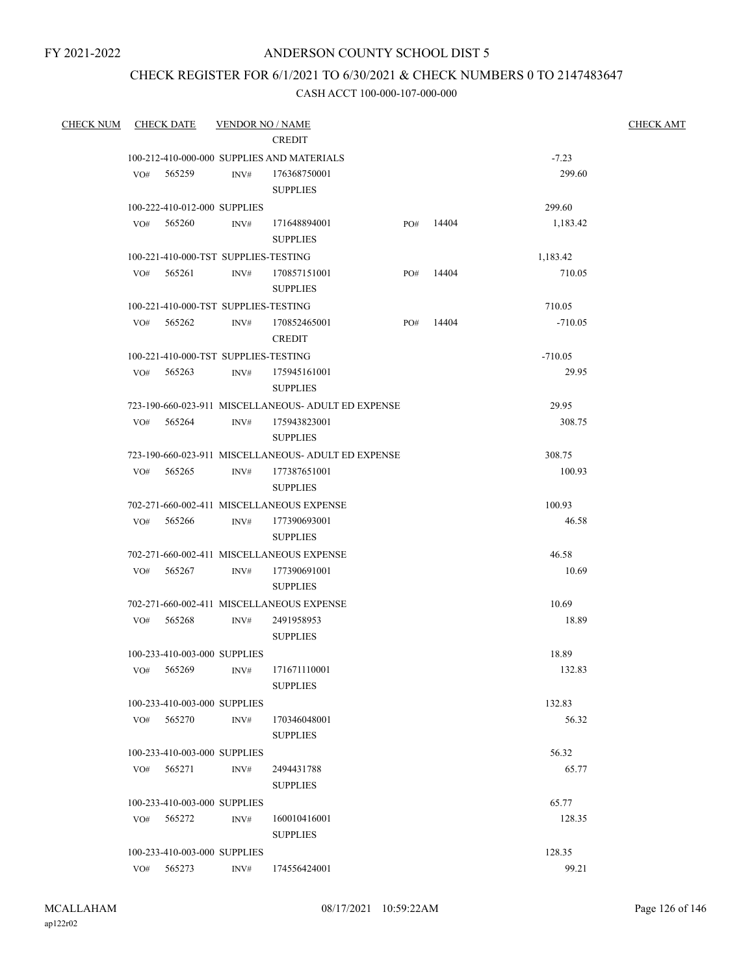# ANDERSON COUNTY SCHOOL DIST 5

# CHECK REGISTER FOR 6/1/2021 TO 6/30/2021 & CHECK NUMBERS 0 TO 2147483647

| <b>CHECK NUM</b> | <b>CHECK DATE</b>                    | <b>VENDOR NO / NAME</b> |                                                     |     |       |                 | <b>CHECK AMT</b> |
|------------------|--------------------------------------|-------------------------|-----------------------------------------------------|-----|-------|-----------------|------------------|
|                  |                                      |                         | <b>CREDIT</b>                                       |     |       |                 |                  |
|                  |                                      |                         | 100-212-410-000-000 SUPPLIES AND MATERIALS          |     |       | $-7.23$         |                  |
|                  | VO# 565259                           | INV#                    | 176368750001                                        |     |       | 299.60          |                  |
|                  |                                      |                         | <b>SUPPLIES</b>                                     |     |       |                 |                  |
|                  | 100-222-410-012-000 SUPPLIES         |                         |                                                     |     |       | 299.60          |                  |
|                  | $VO#$ 565260                         | INV#                    | 171648894001                                        | PO# | 14404 | 1,183.42        |                  |
|                  |                                      |                         | <b>SUPPLIES</b>                                     |     |       |                 |                  |
|                  | 100-221-410-000-TST SUPPLIES-TESTING |                         |                                                     |     |       | 1,183.42        |                  |
|                  | $VO#$ 565261                         | INV#                    | 170857151001                                        | PO# | 14404 | 710.05          |                  |
|                  |                                      |                         | <b>SUPPLIES</b>                                     |     |       |                 |                  |
|                  | 100-221-410-000-TST SUPPLIES-TESTING |                         |                                                     |     |       | 710.05          |                  |
|                  | VO# 565262                           | INV#                    | 170852465001                                        | PO# | 14404 | $-710.05$       |                  |
|                  |                                      |                         | <b>CREDIT</b>                                       |     |       |                 |                  |
|                  | 100-221-410-000-TST SUPPLIES-TESTING |                         |                                                     |     |       | $-710.05$       |                  |
|                  |                                      |                         | VO# 565263 INV# 175945161001                        |     |       | 29.95           |                  |
|                  |                                      |                         | <b>SUPPLIES</b>                                     |     |       |                 |                  |
|                  |                                      |                         | 723-190-660-023-911 MISCELLANEOUS- ADULT ED EXPENSE |     |       | 29.95           |                  |
|                  | VO# 565264                           | INV#                    | 175943823001                                        |     |       | 308.75          |                  |
|                  |                                      |                         | <b>SUPPLIES</b>                                     |     |       |                 |                  |
|                  |                                      |                         | 723-190-660-023-911 MISCELLANEOUS- ADULT ED EXPENSE |     |       | 308.75          |                  |
|                  | VO# 565265                           | INV#                    | 177387651001                                        |     |       | 100.93          |                  |
|                  |                                      |                         | <b>SUPPLIES</b>                                     |     |       |                 |                  |
|                  |                                      |                         | 702-271-660-002-411 MISCELLANEOUS EXPENSE           |     |       | 100.93          |                  |
|                  | VO# 565266                           |                         | INV# 177390693001                                   |     |       | 46.58           |                  |
|                  |                                      |                         | <b>SUPPLIES</b>                                     |     |       |                 |                  |
|                  |                                      |                         | 702-271-660-002-411 MISCELLANEOUS EXPENSE           |     |       | 46.58           |                  |
|                  | VO# 565267                           | INV#                    | 177390691001                                        |     |       | 10.69           |                  |
|                  |                                      |                         | <b>SUPPLIES</b>                                     |     |       |                 |                  |
|                  |                                      |                         | 702-271-660-002-411 MISCELLANEOUS EXPENSE           |     |       | 10.69           |                  |
|                  | $VO#$ 565268                         | INV#                    | 2491958953                                          |     |       | 18.89           |                  |
|                  |                                      |                         | <b>SUPPLIES</b>                                     |     |       |                 |                  |
|                  | 100-233-410-003-000 SUPPLIES         |                         |                                                     |     |       | 18.89           |                  |
|                  |                                      |                         | VO# 565269 INV# 171671110001                        |     |       | 132.83          |                  |
|                  |                                      |                         | <b>SUPPLIES</b>                                     |     |       |                 |                  |
|                  | 100-233-410-003-000 SUPPLIES         |                         |                                                     |     |       | 132.83          |                  |
|                  | VO# 565270                           | INV#                    | 170346048001                                        |     |       | 56.32           |                  |
|                  |                                      |                         | <b>SUPPLIES</b>                                     |     |       |                 |                  |
|                  | 100-233-410-003-000 SUPPLIES         |                         |                                                     |     |       | 56.32           |                  |
|                  | VO# 565271                           | INV#                    | 2494431788                                          |     |       | 65.77           |                  |
|                  |                                      |                         | <b>SUPPLIES</b>                                     |     |       |                 |                  |
|                  | 100-233-410-003-000 SUPPLIES         |                         |                                                     |     |       | 65.77           |                  |
|                  | VO# 565272                           | INV#                    | 160010416001                                        |     |       | 128.35          |                  |
|                  |                                      |                         | <b>SUPPLIES</b>                                     |     |       |                 |                  |
|                  | 100-233-410-003-000 SUPPLIES         |                         | 174556424001                                        |     |       | 128.35<br>99.21 |                  |
|                  | VO# 565273                           | INV#                    |                                                     |     |       |                 |                  |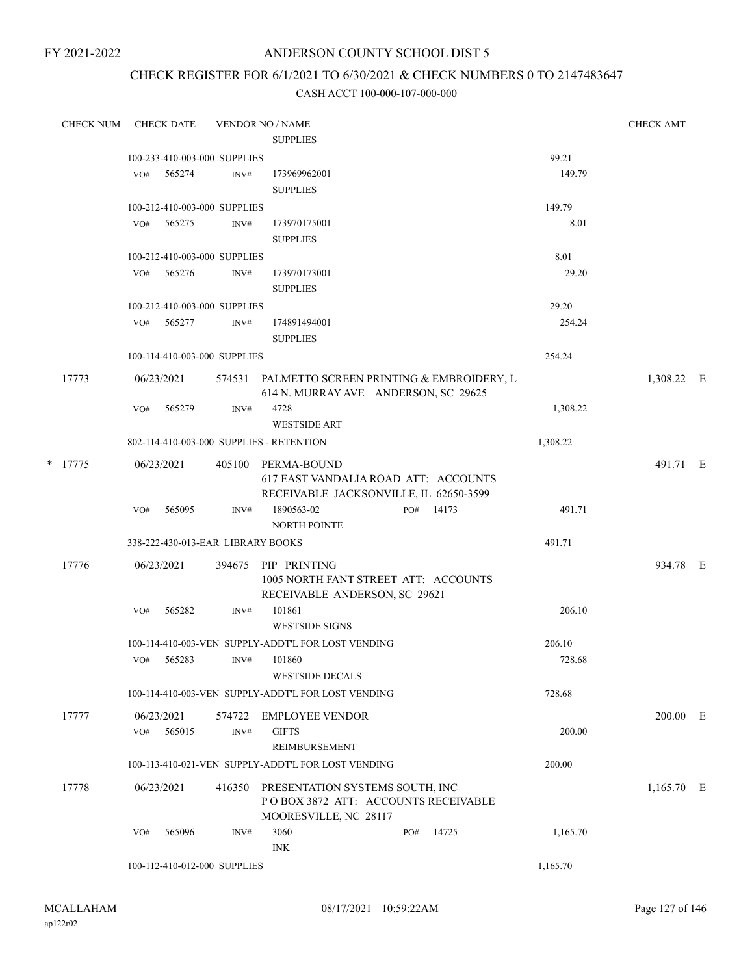# ANDERSON COUNTY SCHOOL DIST 5

# CHECK REGISTER FOR 6/1/2021 TO 6/30/2021 & CHECK NUMBERS 0 TO 2147483647

|       | <b>CHECK NUM</b> |                                   | <b>CHECK DATE</b> |                                                                                         | <b>VENDOR NO / NAME</b>                                                                              |     |       |            | <b>CHECK AMT</b> |  |
|-------|------------------|-----------------------------------|-------------------|-----------------------------------------------------------------------------------------|------------------------------------------------------------------------------------------------------|-----|-------|------------|------------------|--|
|       |                  |                                   |                   |                                                                                         | <b>SUPPLIES</b>                                                                                      |     |       |            |                  |  |
|       |                  |                                   |                   | 100-233-410-003-000 SUPPLIES                                                            |                                                                                                      |     |       | 99.21      |                  |  |
|       |                  | VO#                               | 565274            | INV#                                                                                    | 173969962001<br><b>SUPPLIES</b>                                                                      |     |       | 149.79     |                  |  |
|       |                  |                                   |                   | 100-212-410-003-000 SUPPLIES                                                            |                                                                                                      |     |       | 149.79     |                  |  |
|       |                  |                                   | VO# 565275        | INV#                                                                                    | 173970175001<br><b>SUPPLIES</b>                                                                      |     |       | 8.01       |                  |  |
|       |                  |                                   |                   | 100-212-410-003-000 SUPPLIES                                                            |                                                                                                      |     |       | 8.01       |                  |  |
|       |                  | VO#                               | 565276            | INV#                                                                                    | 173970173001<br><b>SUPPLIES</b>                                                                      |     |       | 29.20      |                  |  |
|       |                  |                                   |                   | 100-212-410-003-000 SUPPLIES                                                            |                                                                                                      |     |       | 29.20      |                  |  |
|       |                  | VO#                               | 565277            | INV#                                                                                    | 174891494001<br><b>SUPPLIES</b>                                                                      |     |       | 254.24     |                  |  |
|       |                  |                                   |                   | 100-114-410-003-000 SUPPLIES                                                            |                                                                                                      |     |       | 254.24     |                  |  |
| 17773 |                  | 06/23/2021                        |                   | 574531 PALMETTO SCREEN PRINTING & EMBROIDERY, L<br>614 N. MURRAY AVE ANDERSON, SC 29625 |                                                                                                      |     |       | 1,308.22 E |                  |  |
|       |                  | VO#                               | 565279            | INV#                                                                                    | 4728<br><b>WESTSIDE ART</b>                                                                          |     |       | 1,308.22   |                  |  |
|       |                  |                                   |                   |                                                                                         | 802-114-410-003-000 SUPPLIES - RETENTION                                                             |     |       | 1,308.22   |                  |  |
|       | $*$ 17775        |                                   | 06/23/2021        |                                                                                         | 405100 PERMA-BOUND<br>617 EAST VANDALIA ROAD ATT: ACCOUNTS<br>RECEIVABLE JACKSONVILLE, IL 62650-3599 |     |       |            | 491.71 E         |  |
|       |                  | VO#                               | 565095            | INV#                                                                                    | 1890563-02<br><b>NORTH POINTE</b>                                                                    | PO# | 14173 | 491.71     |                  |  |
|       |                  |                                   |                   |                                                                                         |                                                                                                      |     |       | 491.71     |                  |  |
|       |                  | 338-222-430-013-EAR LIBRARY BOOKS |                   |                                                                                         |                                                                                                      |     |       |            |                  |  |
|       | 17776            |                                   | 06/23/2021        | 394675                                                                                  | PIP PRINTING<br>1005 NORTH FANT STREET ATT: ACCOUNTS<br>RECEIVABLE ANDERSON, SC 29621                |     |       |            | 934.78 E         |  |
|       |                  | VO#                               | 565282            | INV#                                                                                    | 101861<br><b>WESTSIDE SIGNS</b>                                                                      |     |       | 206.10     |                  |  |
|       |                  |                                   |                   |                                                                                         | 100-114-410-003-VEN SUPPLY-ADDT'L FOR LOST VENDING                                                   |     |       | 206.10     |                  |  |
|       |                  | VO#                               | 565283            | INV#                                                                                    | 101860<br><b>WESTSIDE DECALS</b>                                                                     |     |       | 728.68     |                  |  |
|       |                  |                                   |                   |                                                                                         | 100-114-410-003-VEN SUPPLY-ADDT'L FOR LOST VENDING                                                   |     |       | 728.68     |                  |  |
|       | 17777            |                                   | 06/23/2021        | 574722                                                                                  | <b>EMPLOYEE VENDOR</b>                                                                               |     |       |            | $200.00$ E       |  |
|       |                  | VO#                               | 565015            | INV#                                                                                    | <b>GIFTS</b><br><b>REIMBURSEMENT</b>                                                                 |     |       | 200.00     |                  |  |
|       |                  |                                   |                   |                                                                                         | 100-113-410-021-VEN SUPPLY-ADDT'L FOR LOST VENDING                                                   |     |       | 200.00     |                  |  |
|       | 17778            |                                   | 06/23/2021        | 416350                                                                                  | PRESENTATION SYSTEMS SOUTH, INC<br>POBOX 3872 ATT: ACCOUNTS RECEIVABLE                               |     |       |            | $1,165.70$ E     |  |
|       |                  | VO#                               | 565096            | INV#                                                                                    | MOORESVILLE, NC 28117<br>3060<br><b>INK</b>                                                          | PO# | 14725 | 1,165.70   |                  |  |
|       |                  |                                   |                   | 100-112-410-012-000 SUPPLIES                                                            |                                                                                                      |     |       | 1,165.70   |                  |  |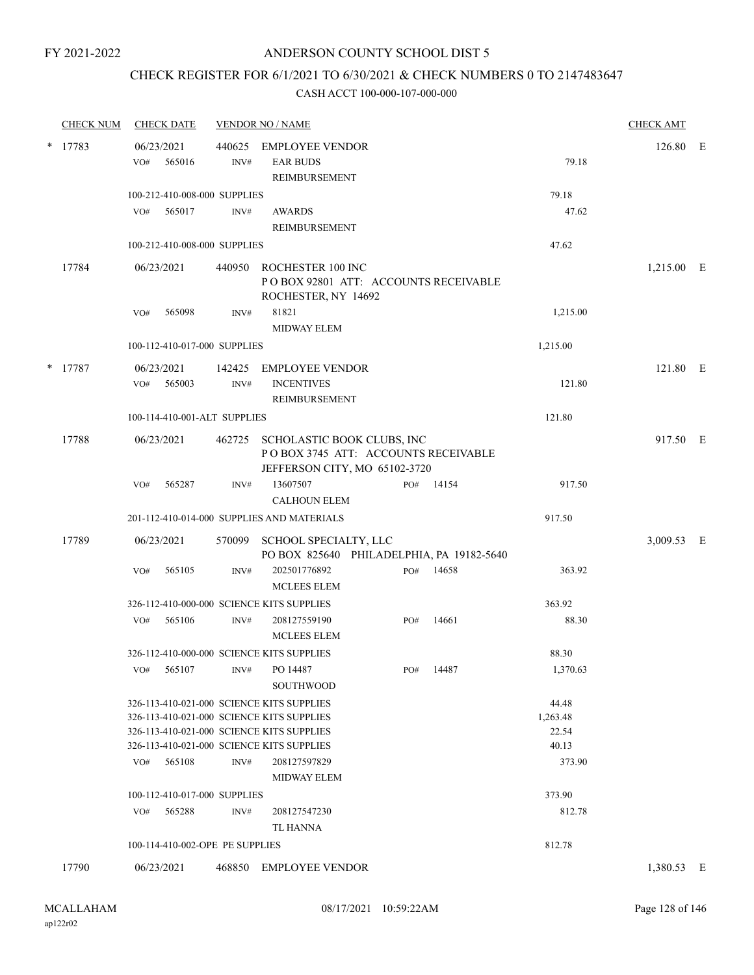# CHECK REGISTER FOR 6/1/2021 TO 6/30/2021 & CHECK NUMBERS 0 TO 2147483647

| <b>CHECK NUM</b> | <b>CHECK DATE</b>                                                                                                                                                                                 |                | <b>VENDOR NO / NAME</b>                                                                                   |     |          |                                               | <b>CHECK AMT</b> |  |
|------------------|---------------------------------------------------------------------------------------------------------------------------------------------------------------------------------------------------|----------------|-----------------------------------------------------------------------------------------------------------|-----|----------|-----------------------------------------------|------------------|--|
| $*$ 17783        | 06/23/2021<br>565016<br>VO#                                                                                                                                                                       | 440625<br>INV# | <b>EMPLOYEE VENDOR</b><br><b>EAR BUDS</b><br>REIMBURSEMENT                                                |     |          | 79.18                                         | 126.80 E         |  |
|                  | 100-212-410-008-000 SUPPLIES<br>VO# 565017                                                                                                                                                        | INV#           | <b>AWARDS</b><br>REIMBURSEMENT                                                                            |     |          | 79.18<br>47.62                                |                  |  |
|                  | 100-212-410-008-000 SUPPLIES                                                                                                                                                                      |                |                                                                                                           |     |          | 47.62                                         |                  |  |
| 17784            | 06/23/2021                                                                                                                                                                                        |                | 440950 ROCHESTER 100 INC<br>POBOX 92801 ATT: ACCOUNTS RECEIVABLE<br>ROCHESTER, NY 14692                   |     |          |                                               | 1,215.00 E       |  |
|                  | 565098<br>VO#                                                                                                                                                                                     | INV#           | 81821<br><b>MIDWAY ELEM</b>                                                                               |     |          | 1,215.00                                      |                  |  |
|                  | 100-112-410-017-000 SUPPLIES                                                                                                                                                                      |                |                                                                                                           |     | 1,215.00 |                                               |                  |  |
| * 17787          | 06/23/2021<br>565003<br>VO#                                                                                                                                                                       | 142425<br>INV# | <b>EMPLOYEE VENDOR</b><br><b>INCENTIVES</b><br>REIMBURSEMENT                                              |     |          | 121.80                                        | 121.80 E         |  |
|                  | 100-114-410-001-ALT SUPPLIES                                                                                                                                                                      |                |                                                                                                           |     |          | 121.80                                        |                  |  |
| 17788            | 06/23/2021                                                                                                                                                                                        |                | 462725 SCHOLASTIC BOOK CLUBS, INC<br>POBOX 3745 ATT: ACCOUNTS RECEIVABLE<br>JEFFERSON CITY, MO 65102-3720 |     |          |                                               | 917.50 E         |  |
|                  | 565287<br>VO#                                                                                                                                                                                     | INV#           | 13607507<br><b>CALHOUN ELEM</b>                                                                           | PO# | 14154    | 917.50                                        |                  |  |
|                  |                                                                                                                                                                                                   |                | 201-112-410-014-000 SUPPLIES AND MATERIALS                                                                |     |          | 917.50                                        |                  |  |
| 17789            | 06/23/2021                                                                                                                                                                                        | 570099         | SCHOOL SPECIALTY, LLC<br>PO BOX 825640 PHILADELPHIA, PA 19182-5640                                        |     |          |                                               | 3,009.53 E       |  |
|                  | 565105<br>VO#                                                                                                                                                                                     | INV#           | 202501776892<br><b>MCLEES ELEM</b>                                                                        | PO# | 14658    | 363.92                                        |                  |  |
|                  | 326-112-410-000-000 SCIENCE KITS SUPPLIES                                                                                                                                                         |                |                                                                                                           |     |          | 363.92                                        |                  |  |
|                  | 565106<br>VO#                                                                                                                                                                                     | INV#           | 208127559190<br><b>MCLEES ELEM</b>                                                                        | PO# | 14661    | 88.30                                         |                  |  |
|                  | 326-112-410-000-000 SCIENCE KITS SUPPLIES                                                                                                                                                         |                |                                                                                                           |     |          | 88.30                                         |                  |  |
|                  | 565107<br>VO#                                                                                                                                                                                     |                | INV# PO 14487<br><b>SOUTHWOOD</b>                                                                         | PO# | 14487    | 1,370.63                                      |                  |  |
|                  | 326-113-410-021-000 SCIENCE KITS SUPPLIES<br>326-113-410-021-000 SCIENCE KITS SUPPLIES<br>326-113-410-021-000 SCIENCE KITS SUPPLIES<br>326-113-410-021-000 SCIENCE KITS SUPPLIES<br>565108<br>VO# | INV#           | 208127597829                                                                                              |     |          | 44.48<br>1,263.48<br>22.54<br>40.13<br>373.90 |                  |  |
|                  |                                                                                                                                                                                                   |                | <b>MIDWAY ELEM</b>                                                                                        |     |          |                                               |                  |  |
|                  | 100-112-410-017-000 SUPPLIES<br>565288<br>VO#                                                                                                                                                     | INV#           | 208127547230<br>TL HANNA                                                                                  |     |          | 373.90<br>812.78                              |                  |  |
|                  | 100-114-410-002-OPE PE SUPPLIES                                                                                                                                                                   |                |                                                                                                           |     |          | 812.78                                        |                  |  |
| 17790            | 06/23/2021                                                                                                                                                                                        | 468850         | <b>EMPLOYEE VENDOR</b>                                                                                    |     |          |                                               | 1,380.53 E       |  |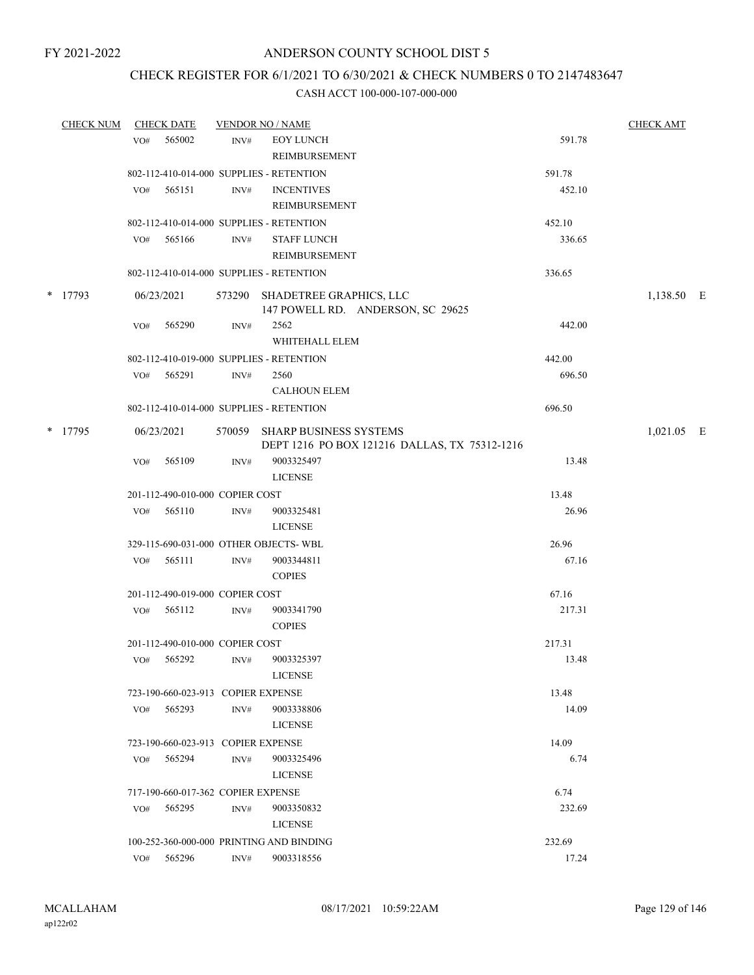# CHECK REGISTER FOR 6/1/2021 TO 6/30/2021 & CHECK NUMBERS 0 TO 2147483647

|           | <b>CHECK NUM</b> |            | <b>CHECK DATE</b>                  | <b>VENDOR NO / NAME</b>                                                        | <b>CHECK AMT</b>                                             |            |            |  |
|-----------|------------------|------------|------------------------------------|--------------------------------------------------------------------------------|--------------------------------------------------------------|------------|------------|--|
|           |                  | VO#        | 565002                             | INV#                                                                           | <b>EOY LUNCH</b>                                             | 591.78     |            |  |
|           |                  |            |                                    |                                                                                | <b>REIMBURSEMENT</b>                                         |            |            |  |
|           |                  |            |                                    |                                                                                | 802-112-410-014-000 SUPPLIES - RETENTION                     | 591.78     |            |  |
|           |                  | VO#        | 565151                             | INV#                                                                           | <b>INCENTIVES</b>                                            | 452.10     |            |  |
|           |                  |            |                                    |                                                                                | REIMBURSEMENT                                                |            |            |  |
|           |                  |            |                                    |                                                                                | 802-112-410-014-000 SUPPLIES - RETENTION                     | 452.10     |            |  |
|           |                  | VO#        | 565166                             | INV#                                                                           | <b>STAFF LUNCH</b>                                           | 336.65     |            |  |
|           |                  |            |                                    |                                                                                | REIMBURSEMENT                                                |            |            |  |
|           |                  |            |                                    |                                                                                | 802-112-410-014-000 SUPPLIES - RETENTION                     | 336.65     |            |  |
|           | * 17793          |            | 06/23/2021                         | 573290                                                                         | SHADETREE GRAPHICS, LLC<br>147 POWELL RD. ANDERSON, SC 29625 |            | 1,138.50 E |  |
|           |                  | VO#        | 565290                             | INV#                                                                           | 2562                                                         | 442.00     |            |  |
|           |                  |            |                                    |                                                                                | WHITEHALL ELEM                                               |            |            |  |
|           |                  |            |                                    |                                                                                | 802-112-410-019-000 SUPPLIES - RETENTION                     | 442.00     |            |  |
|           |                  |            | VO# 565291                         | INV#                                                                           | 2560                                                         | 696.50     |            |  |
|           |                  |            |                                    |                                                                                | <b>CALHOUN ELEM</b>                                          |            |            |  |
|           |                  |            |                                    |                                                                                | 802-112-410-014-000 SUPPLIES - RETENTION                     | 696.50     |            |  |
| $*$ 17795 |                  | 06/23/2021 |                                    | 570059 SHARP BUSINESS SYSTEMS<br>DEPT 1216 PO BOX 121216 DALLAS, TX 75312-1216 |                                                              | 1,021.05 E |            |  |
|           |                  | VO#        | 565109                             | INV#                                                                           | 9003325497                                                   | 13.48      |            |  |
|           |                  |            |                                    |                                                                                | <b>LICENSE</b>                                               |            |            |  |
|           |                  |            | 201-112-490-010-000 COPIER COST    |                                                                                |                                                              | 13.48      |            |  |
|           |                  | VO#        | 565110                             | INV#                                                                           | 9003325481                                                   | 26.96      |            |  |
|           |                  |            |                                    |                                                                                | <b>LICENSE</b>                                               |            |            |  |
|           |                  |            |                                    |                                                                                | 329-115-690-031-000 OTHER OBJECTS-WBL                        | 26.96      |            |  |
|           |                  | VO#        | 565111                             | INV#                                                                           | 9003344811                                                   | 67.16      |            |  |
|           |                  |            |                                    |                                                                                | <b>COPIES</b>                                                |            |            |  |
|           |                  |            | 201-112-490-019-000 COPIER COST    |                                                                                |                                                              | 67.16      |            |  |
|           |                  |            | VO# 565112                         | INV#                                                                           | 9003341790<br><b>COPIES</b>                                  | 217.31     |            |  |
|           |                  |            | 201-112-490-010-000 COPIER COST    |                                                                                |                                                              | 217.31     |            |  |
|           |                  |            | VO# 565292                         | INV#                                                                           | 9003325397                                                   | 13.48      |            |  |
|           |                  |            |                                    |                                                                                | <b>LICENSE</b>                                               |            |            |  |
|           |                  |            | 723-190-660-023-913 COPIER EXPENSE |                                                                                |                                                              | 13.48      |            |  |
|           |                  | VO#        | 565293                             | INV#                                                                           | 9003338806                                                   | 14.09      |            |  |
|           |                  |            |                                    |                                                                                | <b>LICENSE</b>                                               |            |            |  |
|           |                  |            | 723-190-660-023-913 COPIER EXPENSE |                                                                                |                                                              | 14.09      |            |  |
|           |                  | VO#        | 565294                             | INV#                                                                           | 9003325496                                                   | 6.74       |            |  |
|           |                  |            |                                    |                                                                                | <b>LICENSE</b>                                               |            |            |  |
|           |                  |            | 717-190-660-017-362 COPIER EXPENSE |                                                                                |                                                              | 6.74       |            |  |
|           |                  | VO#        | 565295                             | INV#                                                                           | 9003350832                                                   | 232.69     |            |  |
|           |                  |            |                                    |                                                                                | <b>LICENSE</b>                                               |            |            |  |
|           |                  |            |                                    |                                                                                | 100-252-360-000-000 PRINTING AND BINDING                     | 232.69     |            |  |
|           |                  | VO#        | 565296                             | INV#                                                                           | 9003318556                                                   | 17.24      |            |  |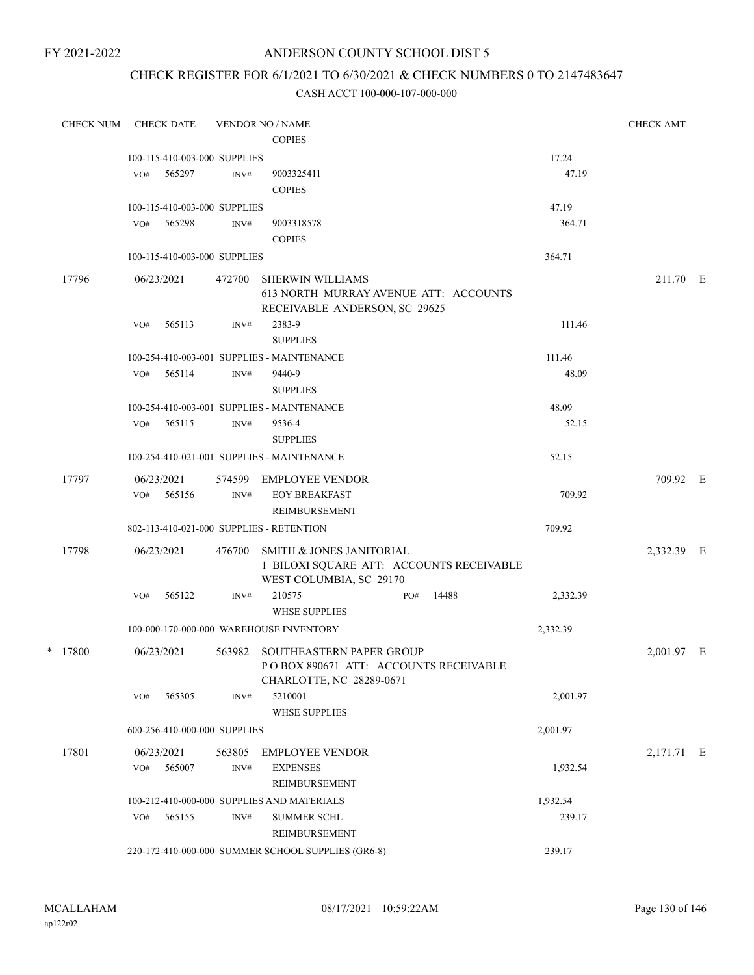# ANDERSON COUNTY SCHOOL DIST 5

# CHECK REGISTER FOR 6/1/2021 TO 6/30/2021 & CHECK NUMBERS 0 TO 2147483647

|  | <b>CHECK NUM</b> |     | <b>CHECK DATE</b>            |                 | <b>VENDOR NO / NAME</b>                                                                                    |     |       |          | <b>CHECK AMT</b> |  |
|--|------------------|-----|------------------------------|-----------------|------------------------------------------------------------------------------------------------------------|-----|-------|----------|------------------|--|
|  |                  |     |                              |                 | <b>COPIES</b>                                                                                              |     |       |          |                  |  |
|  |                  |     | 100-115-410-003-000 SUPPLIES |                 |                                                                                                            |     |       | 17.24    |                  |  |
|  |                  | VO# | 565297                       | INV#            | 9003325411                                                                                                 |     |       | 47.19    |                  |  |
|  |                  |     |                              |                 | <b>COPIES</b>                                                                                              |     |       |          |                  |  |
|  |                  |     | 100-115-410-003-000 SUPPLIES |                 |                                                                                                            |     |       | 47.19    |                  |  |
|  |                  | VO# | 565298                       | INV#            | 9003318578                                                                                                 |     |       | 364.71   |                  |  |
|  |                  |     |                              |                 | <b>COPIES</b>                                                                                              |     |       |          |                  |  |
|  |                  |     | 100-115-410-003-000 SUPPLIES |                 |                                                                                                            |     |       | 364.71   |                  |  |
|  | 17796            |     | 06/23/2021                   | 472700          | <b>SHERWIN WILLIAMS</b><br>613 NORTH MURRAY AVENUE ATT: ACCOUNTS<br>RECEIVABLE ANDERSON, SC 29625          |     |       |          | 211.70 E         |  |
|  |                  | VO# | 565113                       | INV#            | 2383-9                                                                                                     |     |       | 111.46   |                  |  |
|  |                  |     |                              |                 | <b>SUPPLIES</b>                                                                                            |     |       |          |                  |  |
|  |                  |     |                              |                 | 100-254-410-003-001 SUPPLIES - MAINTENANCE                                                                 |     |       | 111.46   |                  |  |
|  |                  | VO# | 565114                       | INV#            | 9440-9                                                                                                     |     |       | 48.09    |                  |  |
|  |                  |     |                              | <b>SUPPLIES</b> |                                                                                                            |     |       |          |                  |  |
|  |                  |     |                              |                 | 100-254-410-003-001 SUPPLIES - MAINTENANCE                                                                 |     |       | 48.09    |                  |  |
|  |                  | VO# | 565115                       | INV#            | 9536-4<br><b>SUPPLIES</b>                                                                                  |     |       | 52.15    |                  |  |
|  |                  |     |                              |                 | 100-254-410-021-001 SUPPLIES - MAINTENANCE                                                                 |     |       | 52.15    |                  |  |
|  | 17797            |     | 06/23/2021                   |                 | 574599 EMPLOYEE VENDOR                                                                                     |     |       |          | 709.92 E         |  |
|  |                  | VO# | 565156                       | INV#            | <b>EOY BREAKFAST</b><br>REIMBURSEMENT                                                                      |     |       | 709.92   |                  |  |
|  |                  |     |                              |                 | 802-113-410-021-000 SUPPLIES - RETENTION                                                                   |     |       | 709.92   |                  |  |
|  | 17798            |     | 06/23/2021                   | 476700          | <b>SMITH &amp; JONES JANITORIAL</b><br>1 BILOXI SQUARE ATT: ACCOUNTS RECEIVABLE<br>WEST COLUMBIA, SC 29170 |     |       |          | 2,332.39 E       |  |
|  |                  | VO# | 565122                       | INV#            | 210575<br><b>WHSE SUPPLIES</b>                                                                             | PO# | 14488 | 2,332.39 |                  |  |
|  |                  |     |                              |                 | 100-000-170-000-000 WAREHOUSE INVENTORY                                                                    |     |       | 2,332.39 |                  |  |
|  | * 17800          |     | 06/23/2021                   |                 | 563982 SOUTHEASTERN PAPER GROUP                                                                            |     |       |          |                  |  |
|  |                  |     |                              |                 | POBOX 890671 ATT: ACCOUNTS RECEIVABLE<br>CHARLOTTE, NC 28289-0671                                          |     |       |          | 2,001.97 E       |  |
|  |                  | VO# | 565305                       | INV#            | 5210001<br><b>WHSE SUPPLIES</b>                                                                            |     |       | 2,001.97 |                  |  |
|  |                  |     | 600-256-410-000-000 SUPPLIES |                 |                                                                                                            |     |       | 2,001.97 |                  |  |
|  | 17801            |     | 06/23/2021                   | 563805          | <b>EMPLOYEE VENDOR</b>                                                                                     |     |       |          | 2,171.71 E       |  |
|  |                  | VO# | 565007                       | INV#            | <b>EXPENSES</b><br>REIMBURSEMENT                                                                           |     |       | 1,932.54 |                  |  |
|  |                  |     |                              |                 | 100-212-410-000-000 SUPPLIES AND MATERIALS                                                                 |     |       | 1,932.54 |                  |  |
|  |                  | VO# | 565155                       | INV#            | <b>SUMMER SCHL</b><br>REIMBURSEMENT                                                                        |     |       | 239.17   |                  |  |
|  |                  |     |                              |                 | 220-172-410-000-000 SUMMER SCHOOL SUPPLIES (GR6-8)                                                         |     |       | 239.17   |                  |  |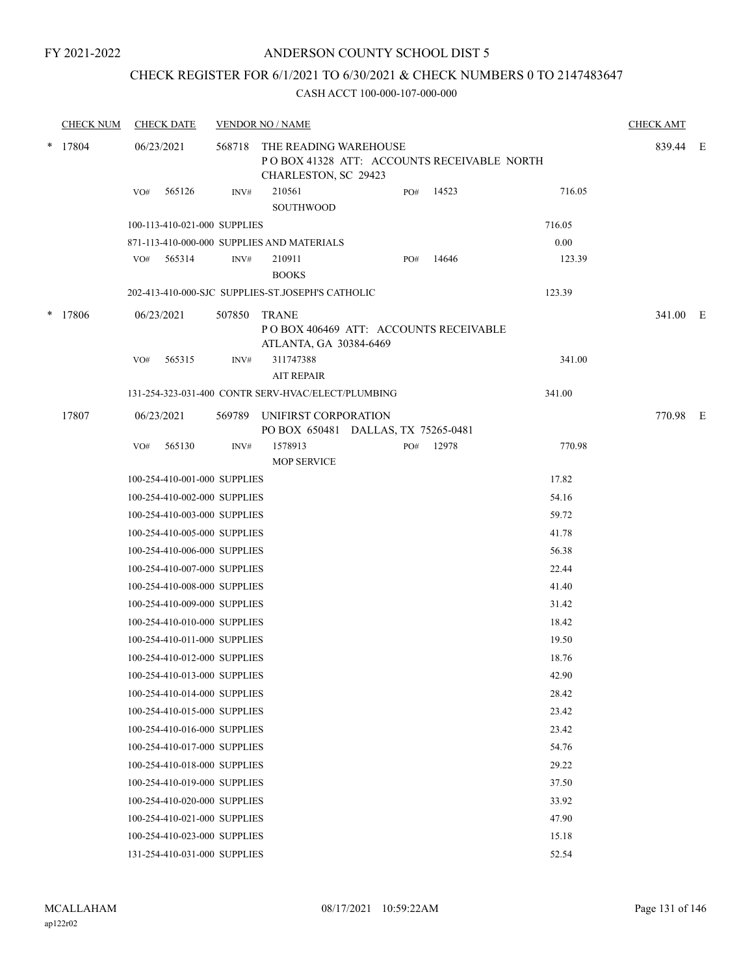# ANDERSON COUNTY SCHOOL DIST 5

# CHECK REGISTER FOR 6/1/2021 TO 6/30/2021 & CHECK NUMBERS 0 TO 2147483647

|        | <b>CHECK NUM</b> |                             | <b>CHECK DATE</b>            |        | <b>VENDOR NO / NAME</b>                                                                     |     |       |        | <b>CHECK AMT</b> |  |
|--------|------------------|-----------------------------|------------------------------|--------|---------------------------------------------------------------------------------------------|-----|-------|--------|------------------|--|
| $\ast$ | 17804            | 06/23/2021<br>565126<br>VO# |                              | 568718 | THE READING WAREHOUSE<br>POBOX 41328 ATT: ACCOUNTS RECEIVABLE NORTH<br>CHARLESTON, SC 29423 |     |       |        | 839.44 E         |  |
|        |                  |                             |                              | INV#   | 210561<br>SOUTHWOOD                                                                         | PO# | 14523 | 716.05 |                  |  |
|        |                  |                             | 100-113-410-021-000 SUPPLIES |        |                                                                                             |     |       | 716.05 |                  |  |
|        |                  |                             |                              |        | 871-113-410-000-000 SUPPLIES AND MATERIALS                                                  |     |       | 0.00   |                  |  |
|        |                  |                             | VO# 565314                   | INV#   | 210911<br><b>BOOKS</b>                                                                      | PO# | 14646 | 123.39 |                  |  |
|        |                  |                             |                              |        | 202-413-410-000-SJC SUPPLIES-ST.JOSEPH'S CATHOLIC                                           |     |       | 123.39 |                  |  |
| ∗      | 17806            |                             | 06/23/2021                   | 507850 | <b>TRANE</b><br>POBOX 406469 ATT: ACCOUNTS RECEIVABLE<br>ATLANTA, GA 30384-6469             |     |       |        | 341.00 E         |  |
|        |                  | VO#                         | 565315                       | INV#   | 311747388<br><b>AIT REPAIR</b>                                                              |     |       | 341.00 |                  |  |
|        |                  |                             |                              |        | 131-254-323-031-400 CONTR SERV-HVAC/ELECT/PLUMBING                                          |     |       | 341.00 |                  |  |
|        | 17807            |                             | 06/23/2021                   |        | 569789 UNIFIRST CORPORATION<br>PO BOX 650481 DALLAS, TX 75265-0481                          |     |       |        | 770.98 E         |  |
|        |                  | VO#                         | 565130                       | INV#   | 1578913<br><b>MOP SERVICE</b>                                                               | PO# | 12978 | 770.98 |                  |  |
|        |                  |                             | 100-254-410-001-000 SUPPLIES |        |                                                                                             |     |       | 17.82  |                  |  |
|        |                  |                             | 100-254-410-002-000 SUPPLIES |        |                                                                                             |     |       | 54.16  |                  |  |
|        |                  |                             | 100-254-410-003-000 SUPPLIES |        |                                                                                             |     |       | 59.72  |                  |  |
|        |                  |                             | 100-254-410-005-000 SUPPLIES |        |                                                                                             |     |       | 41.78  |                  |  |
|        |                  |                             | 100-254-410-006-000 SUPPLIES |        |                                                                                             |     |       | 56.38  |                  |  |
|        |                  |                             | 100-254-410-007-000 SUPPLIES |        |                                                                                             |     |       | 22.44  |                  |  |
|        |                  |                             | 100-254-410-008-000 SUPPLIES |        |                                                                                             |     |       | 41.40  |                  |  |
|        |                  |                             | 100-254-410-009-000 SUPPLIES |        |                                                                                             |     |       | 31.42  |                  |  |
|        |                  |                             | 100-254-410-010-000 SUPPLIES |        |                                                                                             |     |       | 18.42  |                  |  |
|        |                  |                             | 100-254-410-011-000 SUPPLIES |        |                                                                                             |     |       | 19.50  |                  |  |
|        |                  |                             | 100-254-410-012-000 SUPPLIES |        |                                                                                             |     |       | 18.76  |                  |  |
|        |                  |                             | 100-254-410-013-000 SUPPLIES |        |                                                                                             |     |       | 42.90  |                  |  |
|        |                  |                             | 100-254-410-014-000 SUPPLIES |        |                                                                                             |     |       | 28.42  |                  |  |
|        |                  |                             | 100-254-410-015-000 SUPPLIES |        |                                                                                             |     |       | 23.42  |                  |  |
|        |                  |                             | 100-254-410-016-000 SUPPLIES |        |                                                                                             |     |       | 23.42  |                  |  |
|        |                  |                             | 100-254-410-017-000 SUPPLIES |        |                                                                                             |     |       | 54.76  |                  |  |
|        |                  |                             | 100-254-410-018-000 SUPPLIES |        |                                                                                             |     |       | 29.22  |                  |  |
|        |                  |                             | 100-254-410-019-000 SUPPLIES |        |                                                                                             |     |       | 37.50  |                  |  |
|        |                  |                             | 100-254-410-020-000 SUPPLIES |        |                                                                                             |     |       | 33.92  |                  |  |
|        |                  |                             | 100-254-410-021-000 SUPPLIES |        |                                                                                             |     |       | 47.90  |                  |  |
|        |                  |                             | 100-254-410-023-000 SUPPLIES |        |                                                                                             |     |       | 15.18  |                  |  |
|        |                  |                             | 131-254-410-031-000 SUPPLIES |        |                                                                                             |     |       | 52.54  |                  |  |
|        |                  |                             |                              |        |                                                                                             |     |       |        |                  |  |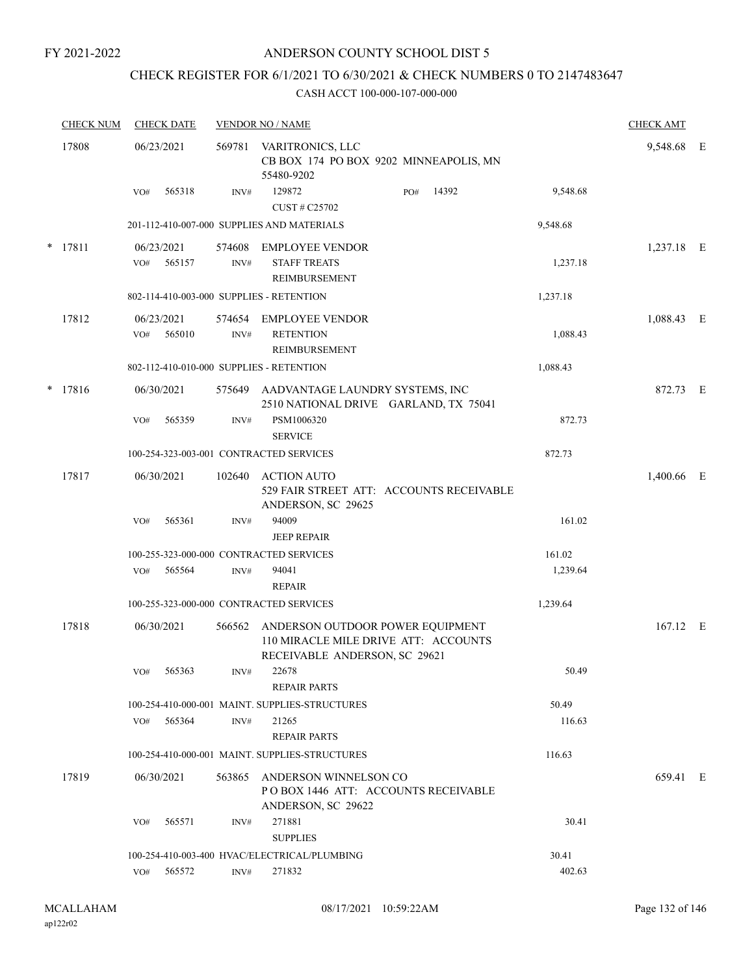# ANDERSON COUNTY SCHOOL DIST 5

# CHECK REGISTER FOR 6/1/2021 TO 6/30/2021 & CHECK NUMBERS 0 TO 2147483647

|       | <b>CHECK NUM</b> | <b>CHECK DATE</b>                        |                          | <b>VENDOR NO / NAME</b>                                                                                   |       |          | <b>CHECK AMT</b> |  |
|-------|------------------|------------------------------------------|--------------------------|-----------------------------------------------------------------------------------------------------------|-------|----------|------------------|--|
| 17808 |                  | 06/23/2021                               | 569781                   | VARITRONICS, LLC<br>CB BOX 174 PO BOX 9202 MINNEAPOLIS, MN<br>55480-9202                                  |       |          | 9,548.68 E       |  |
|       |                  | 565318<br>VO#                            | INV#                     | 129872<br>PO#<br>CUST # C25702                                                                            | 14392 | 9,548.68 |                  |  |
|       |                  |                                          |                          | 201-112-410-007-000 SUPPLIES AND MATERIALS                                                                |       | 9,548.68 |                  |  |
|       | * 17811          | 06/23/2021<br>565157<br>VO#              | 574608<br>$\text{INV}\#$ | <b>EMPLOYEE VENDOR</b><br><b>STAFF TREATS</b><br><b>REIMBURSEMENT</b>                                     |       | 1,237.18 | 1,237.18 E       |  |
|       |                  | 802-114-410-003-000 SUPPLIES - RETENTION |                          |                                                                                                           |       | 1,237.18 |                  |  |
|       | 17812            | 06/23/2021<br>565010<br>VO#              | 574654<br>INV#           | <b>EMPLOYEE VENDOR</b><br><b>RETENTION</b><br>REIMBURSEMENT                                               |       | 1,088.43 | 1,088.43 E       |  |
|       |                  | 802-112-410-010-000 SUPPLIES - RETENTION |                          |                                                                                                           |       | 1,088.43 |                  |  |
|       | * 17816          | 06/30/2021                               | 575649                   | AADVANTAGE LAUNDRY SYSTEMS, INC<br>2510 NATIONAL DRIVE GARLAND, TX 75041                                  |       |          | 872.73 E         |  |
|       |                  | 565359<br>VO#                            | INV#                     | PSM1006320<br><b>SERVICE</b>                                                                              |       | 872.73   |                  |  |
|       |                  | 100-254-323-003-001 CONTRACTED SERVICES  |                          |                                                                                                           |       | 872.73   |                  |  |
|       | 17817            | 06/30/2021                               | 102640                   | <b>ACTION AUTO</b><br>529 FAIR STREET ATT: ACCOUNTS RECEIVABLE<br>ANDERSON, SC 29625                      |       |          | 1,400.66 E       |  |
|       |                  | 565361<br>VO#                            | INV#                     | 94009<br><b>JEEP REPAIR</b>                                                                               |       | 161.02   |                  |  |
|       |                  | 100-255-323-000-000 CONTRACTED SERVICES  |                          |                                                                                                           |       | 161.02   |                  |  |
|       |                  | 565564<br>VO#                            | INV#                     | 94041<br><b>REPAIR</b>                                                                                    |       | 1,239.64 |                  |  |
|       |                  | 100-255-323-000-000 CONTRACTED SERVICES  |                          |                                                                                                           |       | 1,239.64 |                  |  |
|       | 17818            | 06/30/2021                               | 566562                   | ANDERSON OUTDOOR POWER EQUIPMENT<br>110 MIRACLE MILE DRIVE ATT: ACCOUNTS<br>RECEIVABLE ANDERSON, SC 29621 |       |          | 167.12 E         |  |
|       |                  | VO# 565363                               | INV#                     | 22678<br>REPAIR PARTS                                                                                     |       | 50.49    |                  |  |
|       |                  |                                          |                          | 100-254-410-000-001 MAINT. SUPPLIES-STRUCTURES                                                            |       | 50.49    |                  |  |
|       |                  | VO# 565364                               | INV#                     | 21265<br><b>REPAIR PARTS</b>                                                                              |       | 116.63   |                  |  |
|       |                  |                                          |                          | 100-254-410-000-001 MAINT. SUPPLIES-STRUCTURES                                                            |       | 116.63   |                  |  |
|       | 17819            | 06/30/2021                               | 563865                   | ANDERSON WINNELSON CO<br>POBOX 1446 ATT: ACCOUNTS RECEIVABLE<br>ANDERSON, SC 29622                        |       |          | 659.41 E         |  |
|       |                  | 565571<br>VO#                            | INV#                     | 271881<br><b>SUPPLIES</b>                                                                                 |       | 30.41    |                  |  |
|       |                  |                                          |                          | 100-254-410-003-400 HVAC/ELECTRICAL/PLUMBING                                                              |       | 30.41    |                  |  |
|       |                  | 565572<br>VO#                            | INV#                     | 271832                                                                                                    |       | 402.63   |                  |  |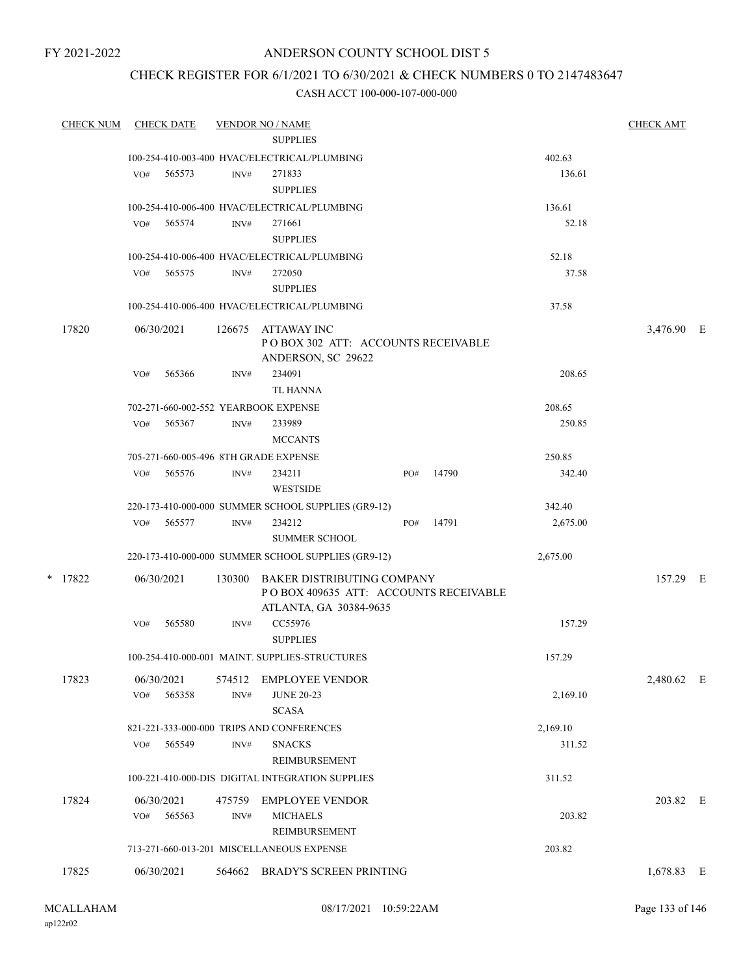# ANDERSON COUNTY SCHOOL DIST 5

# CHECK REGISTER FOR 6/1/2021 TO 6/30/2021 & CHECK NUMBERS 0 TO 2147483647

| <b>CHECK NUM</b> | <b>CHECK DATE</b> |        |        | <b>VENDOR NO / NAME</b>                                                                       |     |       |          | <b>CHECK AMT</b> |  |
|------------------|-------------------|--------|--------|-----------------------------------------------------------------------------------------------|-----|-------|----------|------------------|--|
|                  |                   |        |        | <b>SUPPLIES</b>                                                                               |     |       |          |                  |  |
|                  |                   |        |        | 100-254-410-003-400 HVAC/ELECTRICAL/PLUMBING                                                  |     |       | 402.63   |                  |  |
|                  | VO#               | 565573 | INV#   | 271833<br><b>SUPPLIES</b>                                                                     |     |       | 136.61   |                  |  |
|                  |                   |        |        | 100-254-410-006-400 HVAC/ELECTRICAL/PLUMBING                                                  |     |       | 136.61   |                  |  |
|                  | VO#               | 565574 | INV#   | 271661<br><b>SUPPLIES</b>                                                                     |     |       | 52.18    |                  |  |
|                  |                   |        |        | 100-254-410-006-400 HVAC/ELECTRICAL/PLUMBING                                                  |     |       | 52.18    |                  |  |
|                  | VO#               | 565575 | INV#   | 272050<br><b>SUPPLIES</b>                                                                     |     |       | 37.58    |                  |  |
|                  |                   |        |        | 100-254-410-006-400 HVAC/ELECTRICAL/PLUMBING                                                  |     |       | 37.58    |                  |  |
| 17820            | 06/30/2021        |        | 126675 | ATTAWAY INC<br>POBOX 302 ATT: ACCOUNTS RECEIVABLE<br>ANDERSON, SC 29622                       |     |       |          | 3,476.90 E       |  |
|                  | VO#               | 565366 | INV#   | 234091<br><b>TL HANNA</b>                                                                     |     |       | 208.65   |                  |  |
|                  |                   |        |        | 702-271-660-002-552 YEARBOOK EXPENSE                                                          |     |       | 208.65   |                  |  |
|                  | VO#               | 565367 | INV#   | 233989<br><b>MCCANTS</b>                                                                      |     |       | 250.85   |                  |  |
|                  |                   |        |        | 705-271-660-005-496 8TH GRADE EXPENSE                                                         |     |       | 250.85   |                  |  |
|                  | VO#               | 565576 | INV#   | 234211<br><b>WESTSIDE</b>                                                                     | PO# | 14790 | 342.40   |                  |  |
|                  |                   |        |        | 220-173-410-000-000 SUMMER SCHOOL SUPPLIES (GR9-12)                                           |     |       | 342.40   |                  |  |
|                  | VO#               | 565577 | INV#   | 234212<br><b>SUMMER SCHOOL</b>                                                                | PO# | 14791 | 2,675.00 |                  |  |
|                  |                   |        |        | 220-173-410-000-000 SUMMER SCHOOL SUPPLIES (GR9-12)                                           |     |       | 2,675.00 |                  |  |
| $*$ 17822        | 06/30/2021        |        | 130300 | BAKER DISTRIBUTING COMPANY<br>POBOX 409635 ATT: ACCOUNTS RECEIVABLE<br>ATLANTA, GA 30384-9635 |     |       |          | 157.29 E         |  |
|                  | VO#               | 565580 | INV#   | CC55976<br><b>SUPPLIES</b>                                                                    |     |       | 157.29   |                  |  |
|                  |                   |        |        | 100-254-410-000-001 MAINT. SUPPLIES-STRUCTURES                                                |     |       | 157.29   |                  |  |
| 17823            | 06/30/2021        |        | 574512 | <b>EMPLOYEE VENDOR</b>                                                                        |     |       |          | 2,480.62 E       |  |
|                  | VO#               | 565358 | INV#   | <b>JUNE 20-23</b><br><b>SCASA</b>                                                             |     |       | 2,169.10 |                  |  |
|                  |                   |        |        | 821-221-333-000-000 TRIPS AND CONFERENCES                                                     |     |       | 2,169.10 |                  |  |
|                  | VO#               | 565549 | INV#   | <b>SNACKS</b><br>REIMBURSEMENT                                                                |     |       | 311.52   |                  |  |
|                  |                   |        |        | 100-221-410-000-DIS DIGITAL INTEGRATION SUPPLIES                                              |     |       | 311.52   |                  |  |
| 17824            | 06/30/2021<br>VO# | 565563 | INV#   | 475759 EMPLOYEE VENDOR<br><b>MICHAELS</b>                                                     |     |       | 203.82   | 203.82 E         |  |
|                  |                   |        |        | REIMBURSEMENT<br>713-271-660-013-201 MISCELLANEOUS EXPENSE                                    |     |       | 203.82   |                  |  |
|                  |                   |        |        |                                                                                               |     |       |          |                  |  |
| 17825            | 06/30/2021        |        |        | 564662 BRADY'S SCREEN PRINTING                                                                |     |       |          | 1,678.83 E       |  |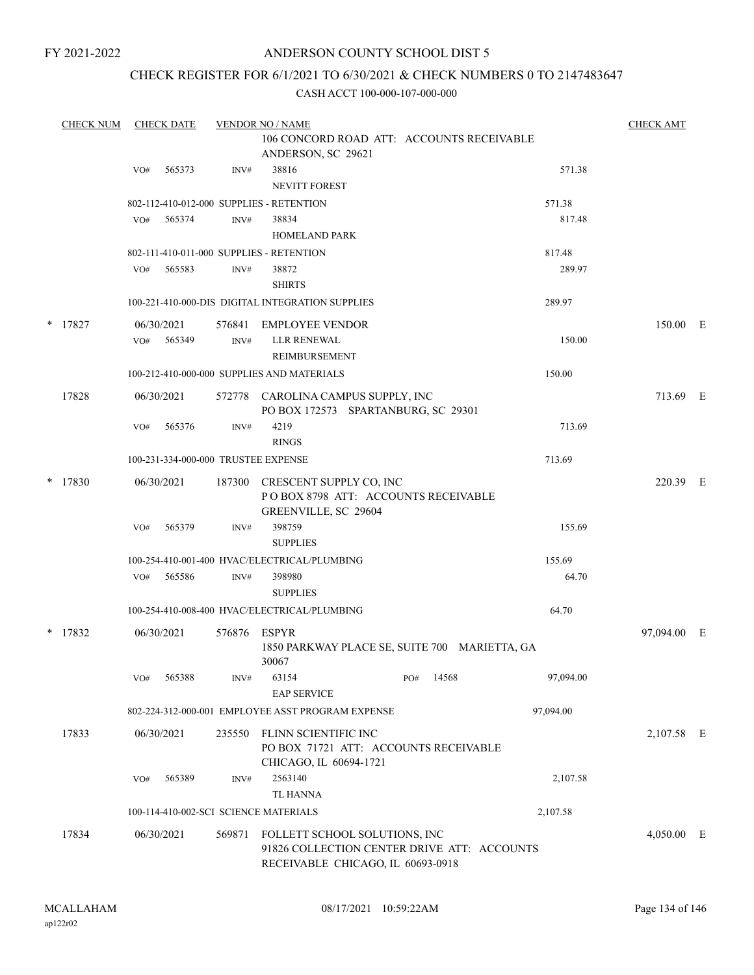# ANDERSON COUNTY SCHOOL DIST 5

# CHECK REGISTER FOR 6/1/2021 TO 6/30/2021 & CHECK NUMBERS 0 TO 2147483647

| <b>CHECK NUM</b> | <b>CHECK DATE</b>                        |                          | <b>VENDOR NO / NAME</b>                                                                                           |              |           | <b>CHECK AMT</b> |     |
|------------------|------------------------------------------|--------------------------|-------------------------------------------------------------------------------------------------------------------|--------------|-----------|------------------|-----|
|                  |                                          |                          | 106 CONCORD ROAD ATT: ACCOUNTS RECEIVABLE<br>ANDERSON, SC 29621                                                   |              |           |                  |     |
|                  | 565373<br>VO#                            | INV#                     | 38816<br><b>NEVITT FOREST</b>                                                                                     |              | 571.38    |                  |     |
|                  | 802-112-410-012-000 SUPPLIES - RETENTION |                          |                                                                                                                   |              | 571.38    |                  |     |
|                  | VO#<br>565374                            | INV#                     | 38834<br><b>HOMELAND PARK</b>                                                                                     |              | 817.48    |                  |     |
|                  | 802-111-410-011-000 SUPPLIES - RETENTION |                          |                                                                                                                   |              | 817.48    |                  |     |
|                  | 565583<br>VO#                            | INV#                     | 38872<br><b>SHIRTS</b>                                                                                            |              | 289.97    |                  |     |
|                  |                                          |                          | 100-221-410-000-DIS DIGITAL INTEGRATION SUPPLIES                                                                  |              | 289.97    |                  |     |
| $*$ 17827        | 06/30/2021<br>565349<br>VO#              | 576841<br>$\text{INV}\#$ | EMPLOYEE VENDOR<br><b>LLR RENEWAL</b>                                                                             |              | 150.00    | 150.00 E         |     |
|                  |                                          |                          | REIMBURSEMENT                                                                                                     |              |           |                  |     |
|                  |                                          |                          | 100-212-410-000-000 SUPPLIES AND MATERIALS                                                                        |              | 150.00    |                  |     |
| 17828            | 06/30/2021                               | 572778                   | CAROLINA CAMPUS SUPPLY, INC<br>PO BOX 172573 SPARTANBURG, SC 29301                                                |              |           | 713.69 E         |     |
|                  | VO#<br>565376                            | INV#                     | 4219<br><b>RINGS</b>                                                                                              |              | 713.69    |                  |     |
|                  | 100-231-334-000-000 TRUSTEE EXPENSE      |                          |                                                                                                                   |              | 713.69    |                  |     |
| $*$ 17830        | 06/30/2021                               | 187300                   | CRESCENT SUPPLY CO, INC<br>POBOX 8798 ATT: ACCOUNTS RECEIVABLE<br>GREENVILLE, SC 29604                            |              |           | 220.39 E         |     |
|                  | 565379<br>VO#                            | INV#                     | 398759<br><b>SUPPLIES</b>                                                                                         |              | 155.69    |                  |     |
|                  |                                          |                          | 100-254-410-001-400 HVAC/ELECTRICAL/PLUMBING                                                                      |              | 155.69    |                  |     |
|                  | 565586<br>VO#                            | INV#                     | 398980<br><b>SUPPLIES</b>                                                                                         |              | 64.70     |                  |     |
|                  |                                          |                          | 100-254-410-008-400 HVAC/ELECTRICAL/PLUMBING                                                                      |              | 64.70     |                  |     |
| * 17832          | 06/30/2021                               | 576876                   | ESPYR<br>1850 PARKWAY PLACE SE, SUITE 700 MARIETTA, GA                                                            |              |           | 97,094.00        | – E |
|                  | 565388<br>VO#                            | INV#                     | 30067<br>63154                                                                                                    | 14568<br>PO# | 97,094.00 |                  |     |
|                  |                                          |                          | <b>EAP SERVICE</b>                                                                                                |              |           |                  |     |
|                  |                                          |                          | 802-224-312-000-001 EMPLOYEE ASST PROGRAM EXPENSE                                                                 |              | 97,094.00 |                  |     |
| 17833            | 06/30/2021                               | 235550                   | FLINN SCIENTIFIC INC<br>PO BOX 71721 ATT: ACCOUNTS RECEIVABLE<br>CHICAGO, IL 60694-1721                           |              |           | 2,107.58 E       |     |
|                  | 565389<br>VO#                            | INV#                     | 2563140<br><b>TL HANNA</b>                                                                                        |              | 2,107.58  |                  |     |
|                  | 100-114-410-002-SCI SCIENCE MATERIALS    |                          |                                                                                                                   |              | 2,107.58  |                  |     |
| 17834            | 06/30/2021                               | 569871                   | FOLLETT SCHOOL SOLUTIONS, INC<br>91826 COLLECTION CENTER DRIVE ATT: ACCOUNTS<br>RECEIVABLE CHICAGO, IL 60693-0918 |              |           | $4,050.00$ E     |     |
|                  |                                          |                          |                                                                                                                   |              |           |                  |     |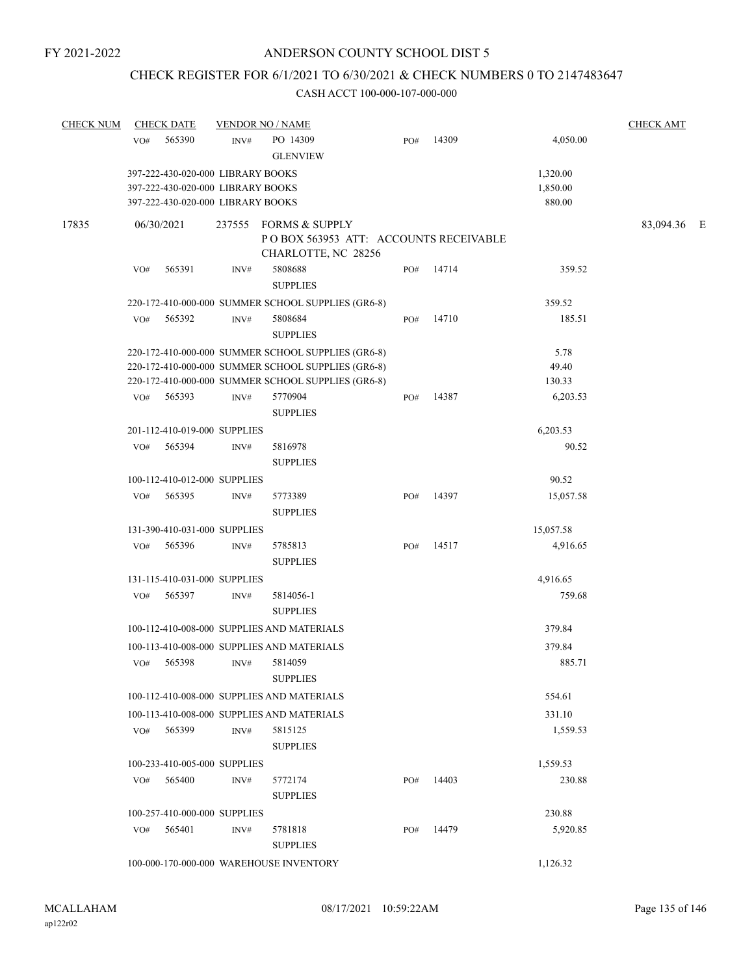# CHECK REGISTER FOR 6/1/2021 TO 6/30/2021 & CHECK NUMBERS 0 TO 2147483647

| <b>CHECK NUM</b> |     | <b>CHECK DATE</b>                                                                                           |      | <b>VENDOR NO / NAME</b>                                                               |     |       |                                | <b>CHECK AMT</b> |  |
|------------------|-----|-------------------------------------------------------------------------------------------------------------|------|---------------------------------------------------------------------------------------|-----|-------|--------------------------------|------------------|--|
|                  | VO# | 565390                                                                                                      | INV# | PO 14309<br><b>GLENVIEW</b>                                                           | PO# | 14309 | 4,050.00                       |                  |  |
|                  |     | 397-222-430-020-000 LIBRARY BOOKS<br>397-222-430-020-000 LIBRARY BOOKS<br>397-222-430-020-000 LIBRARY BOOKS |      |                                                                                       |     |       | 1,320.00<br>1,850.00<br>880.00 |                  |  |
| 17835            |     | 06/30/2021                                                                                                  |      | 237555 FORMS & SUPPLY<br>POBOX 563953 ATT: ACCOUNTS RECEIVABLE<br>CHARLOTTE, NC 28256 |     |       |                                | 83,094.36 E      |  |
|                  | VO# | 565391                                                                                                      | INV# | 5808688<br><b>SUPPLIES</b>                                                            | PO# | 14714 | 359.52                         |                  |  |
|                  |     |                                                                                                             |      | 220-172-410-000-000 SUMMER SCHOOL SUPPLIES (GR6-8)                                    |     |       | 359.52                         |                  |  |
|                  | VO# | 565392                                                                                                      | INV# | 5808684<br><b>SUPPLIES</b>                                                            | PO# | 14710 | 185.51                         |                  |  |
|                  |     |                                                                                                             |      | 220-172-410-000-000 SUMMER SCHOOL SUPPLIES (GR6-8)                                    |     |       | 5.78                           |                  |  |
|                  |     |                                                                                                             |      | 220-172-410-000-000 SUMMER SCHOOL SUPPLIES (GR6-8)                                    |     |       | 49.40                          |                  |  |
|                  |     |                                                                                                             |      | 220-172-410-000-000 SUMMER SCHOOL SUPPLIES (GR6-8)                                    |     |       | 130.33                         |                  |  |
|                  | VO# | 565393                                                                                                      | INV# | 5770904<br><b>SUPPLIES</b>                                                            | PO# | 14387 | 6,203.53                       |                  |  |
|                  |     | 201-112-410-019-000 SUPPLIES                                                                                |      |                                                                                       |     |       | 6,203.53                       |                  |  |
|                  | VO# | 565394                                                                                                      | INV# | 5816978<br><b>SUPPLIES</b>                                                            |     |       | 90.52                          |                  |  |
|                  |     | 100-112-410-012-000 SUPPLIES                                                                                |      |                                                                                       |     |       | 90.52                          |                  |  |
|                  | VO# | 565395                                                                                                      | INV# | 5773389<br><b>SUPPLIES</b>                                                            | PO# | 14397 | 15,057.58                      |                  |  |
|                  |     | 131-390-410-031-000 SUPPLIES                                                                                |      |                                                                                       |     |       | 15,057.58                      |                  |  |
|                  | VO# | 565396                                                                                                      | INV# | 5785813<br><b>SUPPLIES</b>                                                            | PO# | 14517 | 4,916.65                       |                  |  |
|                  |     | 131-115-410-031-000 SUPPLIES                                                                                |      |                                                                                       |     |       | 4,916.65                       |                  |  |
|                  | VO# | 565397                                                                                                      | INV# | 5814056-1<br><b>SUPPLIES</b>                                                          |     |       | 759.68                         |                  |  |
|                  |     |                                                                                                             |      | 100-112-410-008-000 SUPPLIES AND MATERIALS                                            |     |       | 379.84                         |                  |  |
|                  |     |                                                                                                             |      | 100-113-410-008-000 SUPPLIES AND MATERIALS                                            |     |       | 379.84                         |                  |  |
|                  | VO# | 565398                                                                                                      | INV# | 5814059<br><b>SUPPLIES</b>                                                            |     |       | 885.71                         |                  |  |
|                  |     |                                                                                                             |      | 100-112-410-008-000 SUPPLIES AND MATERIALS                                            |     |       | 554.61                         |                  |  |
|                  |     |                                                                                                             |      | 100-113-410-008-000 SUPPLIES AND MATERIALS                                            |     |       | 331.10                         |                  |  |
|                  | VO# | 565399                                                                                                      | INV# | 5815125<br><b>SUPPLIES</b>                                                            |     |       | 1,559.53                       |                  |  |
|                  |     | 100-233-410-005-000 SUPPLIES                                                                                |      |                                                                                       |     |       | 1,559.53                       |                  |  |
|                  | VO# | 565400                                                                                                      | INV# | 5772174<br><b>SUPPLIES</b>                                                            | PO# | 14403 | 230.88                         |                  |  |
|                  |     | 100-257-410-000-000 SUPPLIES                                                                                |      |                                                                                       |     |       | 230.88                         |                  |  |
|                  | VO# | 565401                                                                                                      | INV# | 5781818<br><b>SUPPLIES</b>                                                            | PO# | 14479 | 5,920.85                       |                  |  |
|                  |     |                                                                                                             |      | 100-000-170-000-000 WAREHOUSE INVENTORY                                               |     |       | 1,126.32                       |                  |  |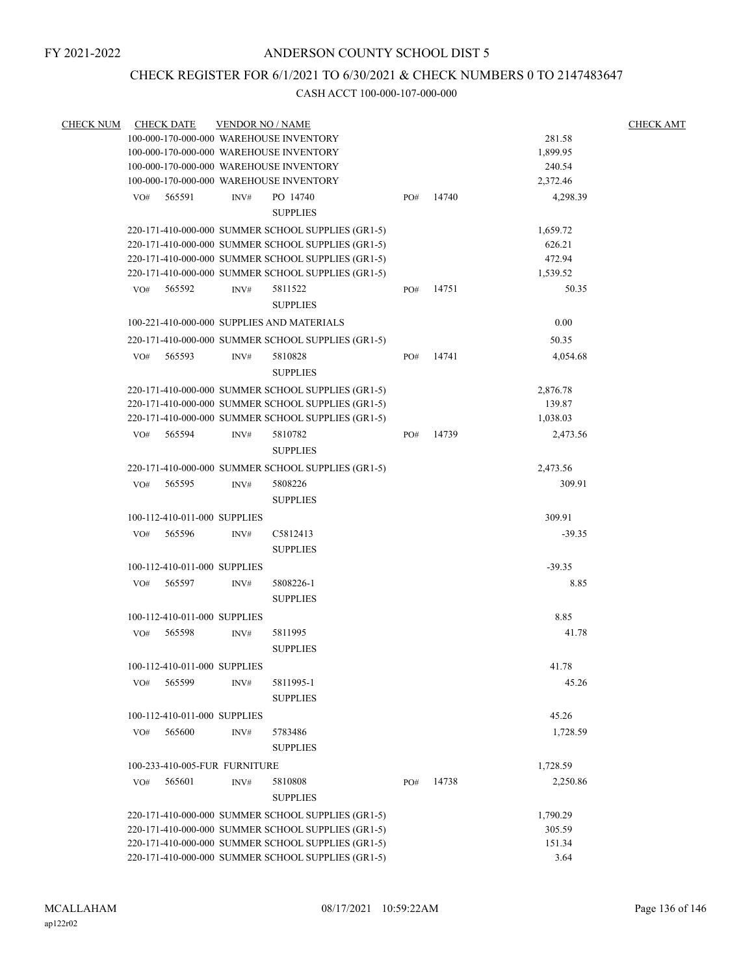# CHECK REGISTER FOR 6/1/2021 TO 6/30/2021 & CHECK NUMBERS 0 TO 2147483647

| <b>CHECK NUM</b> |     | <b>CHECK DATE</b>             | <b>VENDOR NO / NAME</b> |                                                    |     |       |          | <b>CHECK AMT</b> |
|------------------|-----|-------------------------------|-------------------------|----------------------------------------------------|-----|-------|----------|------------------|
|                  |     |                               |                         | 100-000-170-000-000 WAREHOUSE INVENTORY            |     |       | 281.58   |                  |
|                  |     |                               |                         | 100-000-170-000-000 WAREHOUSE INVENTORY            |     |       | 1,899.95 |                  |
|                  |     |                               |                         | 100-000-170-000-000 WAREHOUSE INVENTORY            |     |       | 240.54   |                  |
|                  |     |                               |                         | 100-000-170-000-000 WAREHOUSE INVENTORY            |     |       | 2,372.46 |                  |
|                  | VO# | 565591                        | INV#                    | PO 14740                                           | PO# | 14740 | 4,298.39 |                  |
|                  |     |                               |                         | <b>SUPPLIES</b>                                    |     |       |          |                  |
|                  |     |                               |                         | 220-171-410-000-000 SUMMER SCHOOL SUPPLIES (GR1-5) |     |       | 1,659.72 |                  |
|                  |     |                               |                         | 220-171-410-000-000 SUMMER SCHOOL SUPPLIES (GR1-5) |     |       | 626.21   |                  |
|                  |     |                               |                         | 220-171-410-000-000 SUMMER SCHOOL SUPPLIES (GR1-5) |     |       | 472.94   |                  |
|                  |     |                               |                         | 220-171-410-000-000 SUMMER SCHOOL SUPPLIES (GR1-5) |     |       | 1,539.52 |                  |
|                  | VO# | 565592                        | INV#                    | 5811522                                            | PO# | 14751 | 50.35    |                  |
|                  |     |                               |                         | <b>SUPPLIES</b>                                    |     |       |          |                  |
|                  |     |                               |                         | 100-221-410-000-000 SUPPLIES AND MATERIALS         |     |       | 0.00     |                  |
|                  |     |                               |                         | 220-171-410-000-000 SUMMER SCHOOL SUPPLIES (GR1-5) |     |       | 50.35    |                  |
|                  |     |                               |                         |                                                    |     |       |          |                  |
|                  | VO# | 565593                        | INV#                    | 5810828                                            | PO# | 14741 | 4,054.68 |                  |
|                  |     |                               |                         | <b>SUPPLIES</b>                                    |     |       |          |                  |
|                  |     |                               |                         | 220-171-410-000-000 SUMMER SCHOOL SUPPLIES (GR1-5) |     |       | 2,876.78 |                  |
|                  |     |                               |                         | 220-171-410-000-000 SUMMER SCHOOL SUPPLIES (GR1-5) |     |       | 139.87   |                  |
|                  |     |                               |                         | 220-171-410-000-000 SUMMER SCHOOL SUPPLIES (GR1-5) |     |       | 1,038.03 |                  |
|                  | VO# | 565594                        | INV#                    | 5810782                                            | PO# | 14739 | 2,473.56 |                  |
|                  |     |                               |                         | <b>SUPPLIES</b>                                    |     |       |          |                  |
|                  |     |                               |                         | 220-171-410-000-000 SUMMER SCHOOL SUPPLIES (GR1-5) |     |       | 2,473.56 |                  |
|                  | VO# | 565595                        | INV#                    | 5808226                                            |     |       | 309.91   |                  |
|                  |     |                               |                         | <b>SUPPLIES</b>                                    |     |       |          |                  |
|                  |     | 100-112-410-011-000 SUPPLIES  |                         |                                                    |     |       | 309.91   |                  |
|                  | VO# | 565596                        | INV#                    | C5812413                                           |     |       | $-39.35$ |                  |
|                  |     |                               |                         | <b>SUPPLIES</b>                                    |     |       |          |                  |
|                  |     |                               |                         |                                                    |     |       | $-39.35$ |                  |
|                  |     | 100-112-410-011-000 SUPPLIES  |                         |                                                    |     |       |          |                  |
|                  | VO# | 565597                        | INV#                    | 5808226-1                                          |     |       | 8.85     |                  |
|                  |     |                               |                         | <b>SUPPLIES</b>                                    |     |       |          |                  |
|                  |     | 100-112-410-011-000 SUPPLIES  |                         |                                                    |     |       | 8.85     |                  |
|                  | VO# | 565598                        | INV#                    | 5811995                                            |     |       | 41.78    |                  |
|                  |     |                               |                         | <b>SUPPLIES</b>                                    |     |       |          |                  |
|                  |     | 100-112-410-011-000 SUPPLIES  |                         |                                                    |     |       | 41.78    |                  |
|                  | VO# | 565599                        | INV#                    | 5811995-1                                          |     |       | 45.26    |                  |
|                  |     |                               |                         | <b>SUPPLIES</b>                                    |     |       |          |                  |
|                  |     | 100-112-410-011-000 SUPPLIES  |                         |                                                    |     |       | 45.26    |                  |
|                  | VO# | 565600                        | INV#                    | 5783486                                            |     |       | 1,728.59 |                  |
|                  |     |                               |                         |                                                    |     |       |          |                  |
|                  |     |                               |                         | <b>SUPPLIES</b>                                    |     |       |          |                  |
|                  |     | 100-233-410-005-FUR FURNITURE |                         |                                                    |     |       | 1,728.59 |                  |
|                  | VO# | 565601                        | INV#                    | 5810808                                            | PO# | 14738 | 2,250.86 |                  |
|                  |     |                               |                         | <b>SUPPLIES</b>                                    |     |       |          |                  |
|                  |     |                               |                         | 220-171-410-000-000 SUMMER SCHOOL SUPPLIES (GR1-5) |     |       | 1,790.29 |                  |
|                  |     |                               |                         | 220-171-410-000-000 SUMMER SCHOOL SUPPLIES (GR1-5) |     |       | 305.59   |                  |
|                  |     |                               |                         | 220-171-410-000-000 SUMMER SCHOOL SUPPLIES (GR1-5) |     |       | 151.34   |                  |
|                  |     |                               |                         | 220-171-410-000-000 SUMMER SCHOOL SUPPLIES (GR1-5) |     |       | 3.64     |                  |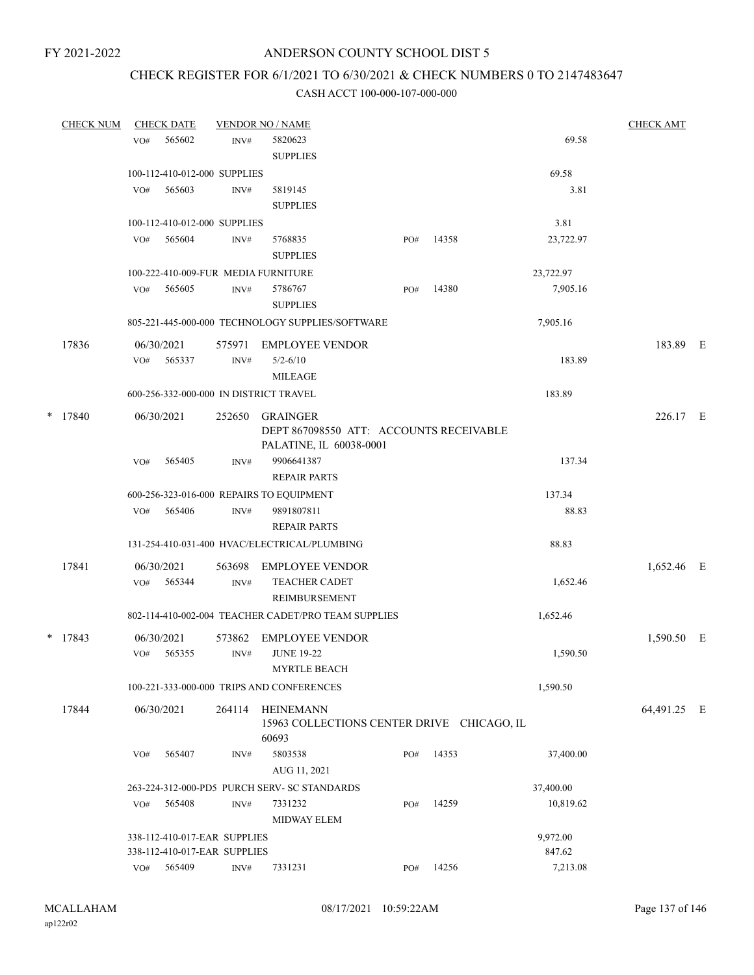# CHECK REGISTER FOR 6/1/2021 TO 6/30/2021 & CHECK NUMBERS 0 TO 2147483647

|   | <b>CHECK NUM</b> |            | <b>CHECK DATE</b> |                              | <b>VENDOR NO / NAME</b>                             |     |       |           | <b>CHECK AMT</b> |  |
|---|------------------|------------|-------------------|------------------------------|-----------------------------------------------------|-----|-------|-----------|------------------|--|
|   |                  | VO#        | 565602            | INV#                         | 5820623                                             |     |       | 69.58     |                  |  |
|   |                  |            |                   |                              | <b>SUPPLIES</b>                                     |     |       |           |                  |  |
|   |                  |            |                   | 100-112-410-012-000 SUPPLIES |                                                     |     |       | 69.58     |                  |  |
|   |                  | VO#        | 565603            | INV#                         | 5819145                                             |     |       | 3.81      |                  |  |
|   |                  |            |                   |                              | <b>SUPPLIES</b>                                     |     |       |           |                  |  |
|   |                  |            |                   | 100-112-410-012-000 SUPPLIES |                                                     |     |       | 3.81      |                  |  |
|   |                  | VO#        | 565604            | INV#                         | 5768835                                             | PO# | 14358 | 23,722.97 |                  |  |
|   |                  |            |                   |                              | <b>SUPPLIES</b>                                     |     |       |           |                  |  |
|   |                  |            |                   |                              | 100-222-410-009-FUR MEDIA FURNITURE                 |     |       | 23,722.97 |                  |  |
|   |                  | VO#        | 565605            | INV#                         | 5786767                                             | PO# | 14380 | 7,905.16  |                  |  |
|   |                  |            |                   |                              | <b>SUPPLIES</b>                                     |     |       |           |                  |  |
|   |                  |            |                   |                              | 805-221-445-000-000 TECHNOLOGY SUPPLIES/SOFTWARE    |     |       | 7,905.16  |                  |  |
|   | 17836            | 06/30/2021 |                   | 575971                       | <b>EMPLOYEE VENDOR</b>                              |     |       |           | 183.89 E         |  |
|   |                  | VO#        | 565337            | INV#                         | $5/2 - 6/10$                                        |     |       | 183.89    |                  |  |
|   |                  |            |                   |                              | <b>MILEAGE</b>                                      |     |       |           |                  |  |
|   |                  |            |                   |                              | 600-256-332-000-000 IN DISTRICT TRAVEL              |     |       | 183.89    |                  |  |
| * | 17840            | 06/30/2021 |                   | 252650                       | <b>GRAINGER</b>                                     |     |       |           | 226.17 E         |  |
|   |                  |            |                   |                              | DEPT 867098550 ATT: ACCOUNTS RECEIVABLE             |     |       |           |                  |  |
|   |                  |            |                   |                              | PALATINE, IL 60038-0001                             |     |       |           |                  |  |
|   |                  | VO#        | 565405            | INV#                         | 9906641387                                          |     |       | 137.34    |                  |  |
|   |                  |            |                   |                              | <b>REPAIR PARTS</b>                                 |     |       |           |                  |  |
|   |                  |            |                   |                              | 600-256-323-016-000 REPAIRS TO EQUIPMENT            |     |       | 137.34    |                  |  |
|   |                  | VO#        | 565406            | INV#                         | 9891807811                                          |     |       | 88.83     |                  |  |
|   |                  |            |                   |                              | <b>REPAIR PARTS</b>                                 |     |       |           |                  |  |
|   |                  |            |                   |                              | 131-254-410-031-400 HVAC/ELECTRICAL/PLUMBING        |     |       | 88.83     |                  |  |
|   | 17841            | 06/30/2021 |                   | 563698                       | <b>EMPLOYEE VENDOR</b>                              |     |       |           | 1,652.46 E       |  |
|   |                  | VO#        | 565344            | INV#                         | <b>TEACHER CADET</b>                                |     |       | 1,652.46  |                  |  |
|   |                  |            |                   |                              | <b>REIMBURSEMENT</b>                                |     |       |           |                  |  |
|   |                  |            |                   |                              | 802-114-410-002-004 TEACHER CADET/PRO TEAM SUPPLIES |     |       | 1,652.46  |                  |  |
|   | $*$ 17843        | 06/30/2021 |                   | 573862                       | <b>EMPLOYEE VENDOR</b>                              |     |       |           | 1,590.50 E       |  |
|   |                  | VO#        | 565355            | INV#                         | <b>JUNE 19-22</b>                                   |     |       | 1,590.50  |                  |  |
|   |                  |            |                   |                              | MYRTLE BEACH                                        |     |       |           |                  |  |
|   |                  |            |                   |                              | 100-221-333-000-000 TRIPS AND CONFERENCES           |     |       | 1,590.50  |                  |  |
|   | 17844            |            | 06/30/2021        | 264114                       | HEINEMANN                                           |     |       |           | 64,491.25 E      |  |
|   |                  |            |                   |                              | 15963 COLLECTIONS CENTER DRIVE CHICAGO, IL<br>60693 |     |       |           |                  |  |
|   |                  | VO#        | 565407            | INV#                         | 5803538                                             | PO# | 14353 | 37,400.00 |                  |  |
|   |                  |            |                   |                              | AUG 11, 2021                                        |     |       |           |                  |  |
|   |                  |            |                   |                              | 263-224-312-000-PD5 PURCH SERV- SC STANDARDS        |     |       | 37,400.00 |                  |  |
|   |                  | VO#        | 565408            | INV#                         | 7331232                                             | PO# | 14259 | 10,819.62 |                  |  |
|   |                  |            |                   |                              | MIDWAY ELEM                                         |     |       |           |                  |  |
|   |                  |            |                   | 338-112-410-017-EAR SUPPLIES |                                                     |     |       | 9,972.00  |                  |  |
|   |                  |            |                   | 338-112-410-017-EAR SUPPLIES |                                                     |     |       | 847.62    |                  |  |
|   |                  |            | VO# 565409        | INV#                         | 7331231                                             | PO# | 14256 | 7,213.08  |                  |  |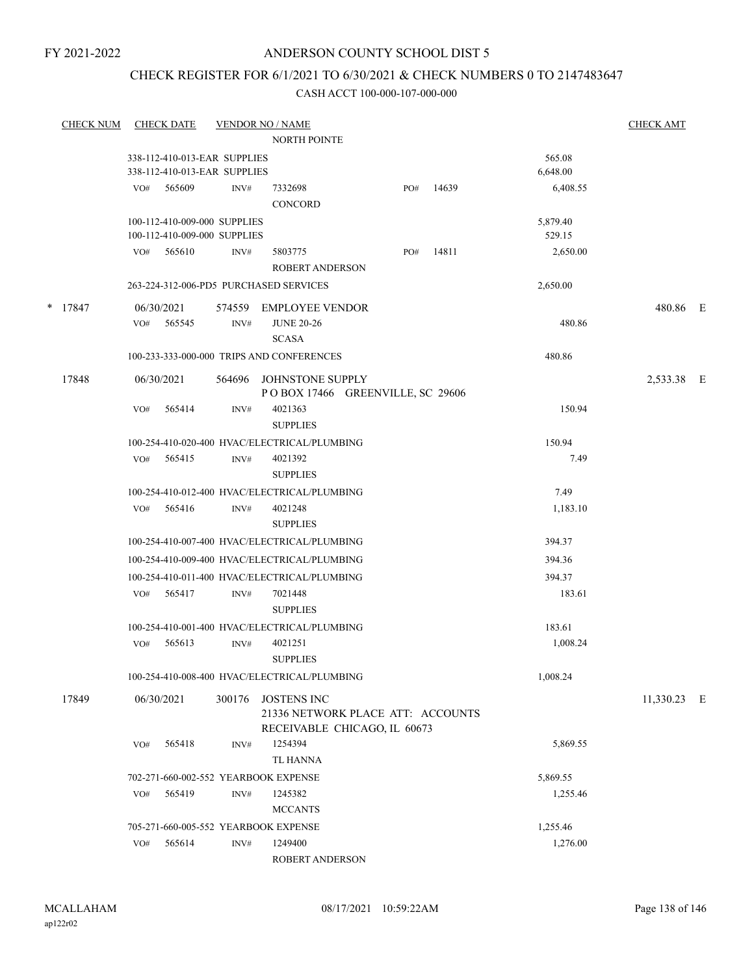# ANDERSON COUNTY SCHOOL DIST 5

# CHECK REGISTER FOR 6/1/2021 TO 6/30/2021 & CHECK NUMBERS 0 TO 2147483647

| <b>CHECK NUM</b> |     | <b>CHECK DATE</b>            |                | <b>VENDOR NO / NAME</b>                                                                 |     |       |          | CHECK AMT   |  |
|------------------|-----|------------------------------|----------------|-----------------------------------------------------------------------------------------|-----|-------|----------|-------------|--|
|                  |     |                              |                | <b>NORTH POINTE</b>                                                                     |     |       |          |             |  |
|                  |     | 338-112-410-013-EAR SUPPLIES |                |                                                                                         |     |       | 565.08   |             |  |
|                  |     | 338-112-410-013-EAR SUPPLIES |                |                                                                                         |     |       | 6,648.00 |             |  |
|                  | VO# | 565609                       | INV#           | 7332698<br><b>CONCORD</b>                                                               | PO# | 14639 | 6,408.55 |             |  |
|                  |     | 100-112-410-009-000 SUPPLIES |                |                                                                                         |     |       | 5,879.40 |             |  |
|                  |     | 100-112-410-009-000 SUPPLIES |                |                                                                                         |     |       | 529.15   |             |  |
|                  |     | VO# 565610                   | INV#           | 5803775<br><b>ROBERT ANDERSON</b>                                                       | PO# | 14811 | 2,650.00 |             |  |
|                  |     |                              |                | 263-224-312-006-PD5 PURCHASED SERVICES                                                  |     |       | 2,650.00 |             |  |
| * 17847          | VO# | 06/30/2021<br>565545         | 574559<br>INV# | EMPLOYEE VENDOR<br><b>JUNE 20-26</b>                                                    |     |       | 480.86   | 480.86 E    |  |
|                  |     |                              |                | <b>SCASA</b>                                                                            |     |       |          |             |  |
|                  |     |                              |                | 100-233-333-000-000 TRIPS AND CONFERENCES                                               |     |       | 480.86   |             |  |
| 17848            |     | 06/30/2021                   |                | 564696 JOHNSTONE SUPPLY<br>POBOX 17466 GREENVILLE, SC 29606                             |     |       |          | 2,533.38 E  |  |
|                  | VO# | 565414                       | INV#           | 4021363<br><b>SUPPLIES</b>                                                              |     |       | 150.94   |             |  |
|                  |     |                              |                | 100-254-410-020-400 HVAC/ELECTRICAL/PLUMBING                                            |     |       | 150.94   |             |  |
|                  |     | VO# 565415                   | INV#           | 4021392<br><b>SUPPLIES</b>                                                              |     |       | 7.49     |             |  |
|                  |     |                              |                | 100-254-410-012-400 HVAC/ELECTRICAL/PLUMBING                                            |     |       | 7.49     |             |  |
|                  |     | VO# 565416                   | INV#           | 4021248<br><b>SUPPLIES</b>                                                              |     |       | 1,183.10 |             |  |
|                  |     |                              |                | 100-254-410-007-400 HVAC/ELECTRICAL/PLUMBING                                            |     |       | 394.37   |             |  |
|                  |     |                              |                | 100-254-410-009-400 HVAC/ELECTRICAL/PLUMBING                                            |     |       | 394.36   |             |  |
|                  |     |                              |                | 100-254-410-011-400 HVAC/ELECTRICAL/PLUMBING                                            |     |       | 394.37   |             |  |
|                  |     | $VO#$ 565417                 | INV#           | 7021448<br><b>SUPPLIES</b>                                                              |     |       | 183.61   |             |  |
|                  |     |                              |                | 100-254-410-001-400 HVAC/ELECTRICAL/PLUMBING                                            |     |       | 183.61   |             |  |
|                  | VO# | 565613                       | INV#           | 4021251<br><b>SUPPLIES</b>                                                              |     |       | 1,008.24 |             |  |
|                  |     |                              |                | 100-254-410-008-400 HVAC/ELECTRICAL/PLUMBING                                            |     |       | 1,008.24 |             |  |
| 17849            |     | 06/30/2021                   | 300176         | <b>JOSTENS INC</b><br>21336 NETWORK PLACE ATT: ACCOUNTS<br>RECEIVABLE CHICAGO, IL 60673 |     |       |          | 11,330.23 E |  |
|                  | VO# | 565418                       | INV#           | 1254394                                                                                 |     |       | 5,869.55 |             |  |
|                  |     |                              |                | <b>TL HANNA</b>                                                                         |     |       |          |             |  |
|                  |     |                              |                | 702-271-660-002-552 YEARBOOK EXPENSE                                                    |     |       | 5,869.55 |             |  |
|                  | VO# | 565419                       | INV#           | 1245382<br><b>MCCANTS</b>                                                               |     |       | 1,255.46 |             |  |
|                  |     |                              |                | 705-271-660-005-552 YEARBOOK EXPENSE                                                    |     |       | 1,255.46 |             |  |
|                  | VO# | 565614                       | $\text{INV}\#$ | 1249400                                                                                 |     |       | 1,276.00 |             |  |
|                  |     |                              |                | ROBERT ANDERSON                                                                         |     |       |          |             |  |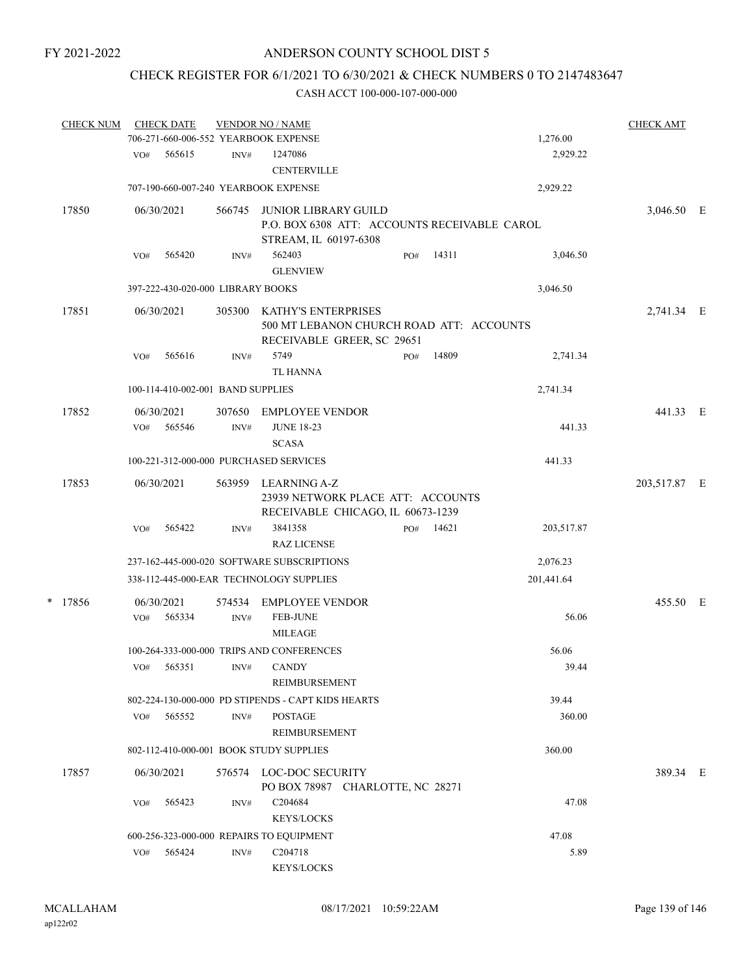# CHECK REGISTER FOR 6/1/2021 TO 6/30/2021 & CHECK NUMBERS 0 TO 2147483647

|   | <b>CHECK NUM</b> | <b>CHECK DATE</b><br>706-271-660-006-552 YEARBOOK EXPENSE |                | <b>VENDOR NO / NAME</b>                                                                              |     |       | 1,276.00   | <b>CHECK AMT</b> |  |
|---|------------------|-----------------------------------------------------------|----------------|------------------------------------------------------------------------------------------------------|-----|-------|------------|------------------|--|
|   |                  | 565615<br>VO#                                             | INV#           | 1247086<br><b>CENTERVILLE</b>                                                                        |     |       | 2,929.22   |                  |  |
|   |                  | 707-190-660-007-240 YEARBOOK EXPENSE                      |                |                                                                                                      |     |       | 2,929.22   |                  |  |
|   | 17850            | 06/30/2021                                                | 566745         | <b>JUNIOR LIBRARY GUILD</b><br>P.O. BOX 6308 ATT: ACCOUNTS RECEIVABLE CAROL<br>STREAM, IL 60197-6308 |     |       |            | 3,046.50 E       |  |
|   |                  | 565420<br>VO#                                             | INV#           | 562403<br><b>GLENVIEW</b>                                                                            | PO# | 14311 | 3,046.50   |                  |  |
|   |                  | 397-222-430-020-000 LIBRARY BOOKS                         |                |                                                                                                      |     |       | 3,046.50   |                  |  |
|   | 17851            | 06/30/2021                                                | 305300         | KATHY'S ENTERPRISES<br>500 MT LEBANON CHURCH ROAD ATT: ACCOUNTS<br>RECEIVABLE GREER, SC 29651        |     |       |            | 2,741.34 E       |  |
|   |                  | 565616<br>VO#                                             | INV#           | 5749<br><b>TL HANNA</b>                                                                              | PO# | 14809 | 2,741.34   |                  |  |
|   |                  | 100-114-410-002-001 BAND SUPPLIES                         |                |                                                                                                      |     |       | 2,741.34   |                  |  |
|   | 17852            | 06/30/2021<br>565546<br>VO#                               | 307650<br>INV# | <b>EMPLOYEE VENDOR</b><br><b>JUNE 18-23</b><br><b>SCASA</b>                                          |     |       | 441.33     | 441.33 E         |  |
|   |                  | 100-221-312-000-000 PURCHASED SERVICES                    |                |                                                                                                      |     |       | 441.33     |                  |  |
|   | 17853            | 06/30/2021                                                | 563959         | LEARNING A-Z<br>23939 NETWORK PLACE ATT: ACCOUNTS<br>RECEIVABLE CHICAGO, IL 60673-1239               |     |       |            | 203,517.87 E     |  |
|   |                  | 565422<br>VO#                                             | INV#           | 3841358<br><b>RAZ LICENSE</b>                                                                        | PO# | 14621 | 203,517.87 |                  |  |
|   |                  |                                                           |                | 237-162-445-000-020 SOFTWARE SUBSCRIPTIONS                                                           |     |       | 2,076.23   |                  |  |
|   |                  |                                                           |                | 338-112-445-000-EAR TECHNOLOGY SUPPLIES                                                              |     |       | 201,441.64 |                  |  |
| * | 17856            | 06/30/2021<br>565334<br>VO#                               | 574534<br>INV# | <b>EMPLOYEE VENDOR</b><br><b>FEB-JUNE</b><br><b>MILEAGE</b>                                          |     |       | 56.06      | 455.50 E         |  |
|   |                  |                                                           |                | 100-264-333-000-000 TRIPS AND CONFERENCES                                                            |     |       | 56.06      |                  |  |
|   |                  | VO# 565351 INV# CANDY                                     |                | REIMBURSEMENT                                                                                        |     |       | 39.44      |                  |  |
|   |                  |                                                           |                | 802-224-130-000-000 PD STIPENDS - CAPT KIDS HEARTS                                                   |     |       | 39.44      |                  |  |
|   |                  | 565552<br>VO#                                             | INV#           | <b>POSTAGE</b><br>REIMBURSEMENT                                                                      |     |       | 360.00     |                  |  |
|   |                  | 802-112-410-000-001 BOOK STUDY SUPPLIES                   |                |                                                                                                      |     |       | 360.00     |                  |  |
|   | 17857            | 06/30/2021                                                |                | 576574 LOC-DOC SECURITY<br>PO BOX 78987 CHARLOTTE, NC 28271                                          |     |       |            | 389.34 E         |  |
|   |                  | 565423<br>VO#                                             | INV#           | C <sub>204684</sub><br><b>KEYS/LOCKS</b>                                                             |     |       | 47.08      |                  |  |
|   |                  |                                                           |                | 600-256-323-000-000 REPAIRS TO EQUIPMENT                                                             |     |       | 47.08      |                  |  |
|   |                  | VO# 565424                                                | $\text{INV}\#$ | C204718<br>KEYS/LOCKS                                                                                |     |       | 5.89       |                  |  |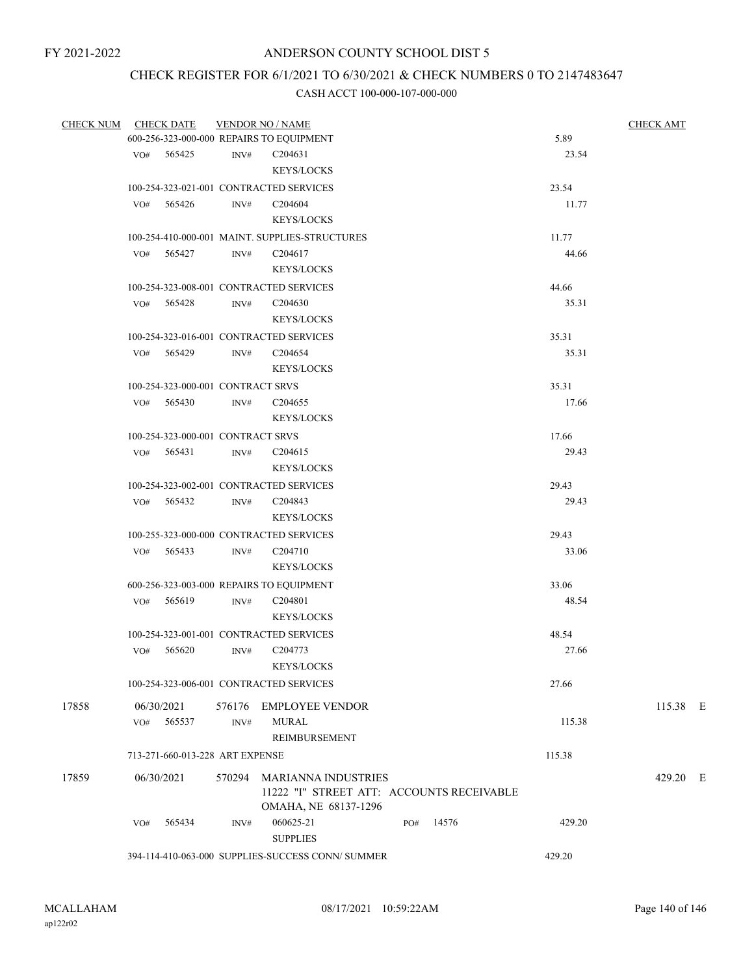# CHECK REGISTER FOR 6/1/2021 TO 6/30/2021 & CHECK NUMBERS 0 TO 2147483647

| <b>CHECK NUM</b> |     | <b>CHECK DATE</b>                 |      | <b>VENDOR NO / NAME</b>                           |     |       |        | <b>CHECK AMT</b> |
|------------------|-----|-----------------------------------|------|---------------------------------------------------|-----|-------|--------|------------------|
|                  |     |                                   |      | 600-256-323-000-000 REPAIRS TO EQUIPMENT          |     |       | 5.89   |                  |
|                  |     | VO# 565425                        | INV# | C <sub>204631</sub>                               |     |       | 23.54  |                  |
|                  |     |                                   |      | <b>KEYS/LOCKS</b>                                 |     |       |        |                  |
|                  |     |                                   |      | 100-254-323-021-001 CONTRACTED SERVICES           |     |       | 23.54  |                  |
|                  | VO# | 565426                            | INV# | C204604                                           |     |       | 11.77  |                  |
|                  |     |                                   |      | <b>KEYS/LOCKS</b>                                 |     |       |        |                  |
|                  |     |                                   |      | 100-254-410-000-001 MAINT. SUPPLIES-STRUCTURES    |     |       | 11.77  |                  |
|                  |     | VO# 565427                        | INV# | C <sub>204617</sub>                               |     |       | 44.66  |                  |
|                  |     |                                   |      | <b>KEYS/LOCKS</b>                                 |     |       |        |                  |
|                  |     |                                   |      | 100-254-323-008-001 CONTRACTED SERVICES           |     |       | 44.66  |                  |
|                  | VO# | 565428                            | INV# | C <sub>204630</sub>                               |     |       | 35.31  |                  |
|                  |     |                                   |      | <b>KEYS/LOCKS</b>                                 |     |       |        |                  |
|                  |     |                                   |      | 100-254-323-016-001 CONTRACTED SERVICES           |     |       | 35.31  |                  |
|                  |     | VO# 565429                        | INV# | C204654                                           |     |       | 35.31  |                  |
|                  |     |                                   |      | <b>KEYS/LOCKS</b>                                 |     |       |        |                  |
|                  |     | 100-254-323-000-001 CONTRACT SRVS |      |                                                   |     |       | 35.31  |                  |
|                  |     | $VO#$ 565430                      | INV# | C <sub>204655</sub>                               |     |       | 17.66  |                  |
|                  |     |                                   |      | <b>KEYS/LOCKS</b>                                 |     |       |        |                  |
|                  |     | 100-254-323-000-001 CONTRACT SRVS |      |                                                   |     |       | 17.66  |                  |
|                  |     | VO# 565431                        | INV# | C <sub>204615</sub>                               |     |       | 29.43  |                  |
|                  |     |                                   |      | <b>KEYS/LOCKS</b>                                 |     |       |        |                  |
|                  |     |                                   |      | 100-254-323-002-001 CONTRACTED SERVICES           |     |       | 29.43  |                  |
|                  |     | VO# 565432                        | INV# | C <sub>204843</sub>                               |     |       | 29.43  |                  |
|                  |     |                                   |      | <b>KEYS/LOCKS</b>                                 |     |       |        |                  |
|                  |     |                                   |      | 100-255-323-000-000 CONTRACTED SERVICES           |     |       | 29.43  |                  |
|                  |     | VO# 565433                        | INV# | C204710                                           |     |       | 33.06  |                  |
|                  |     |                                   |      | <b>KEYS/LOCKS</b>                                 |     |       |        |                  |
|                  |     |                                   |      | 600-256-323-003-000 REPAIRS TO EQUIPMENT          |     |       | 33.06  |                  |
|                  |     | VO# 565619                        | INV# | C204801                                           |     |       | 48.54  |                  |
|                  |     |                                   |      | <b>KEYS/LOCKS</b>                                 |     |       |        |                  |
|                  |     |                                   |      | 100-254-323-001-001 CONTRACTED SERVICES           |     |       | 48.54  |                  |
|                  | VO# | 565620                            | INV# | C <sub>204773</sub>                               |     |       | 27.66  |                  |
|                  |     |                                   |      | <b>KEYS/LOCKS</b>                                 |     |       |        |                  |
|                  |     |                                   |      | 100-254-323-006-001 CONTRACTED SERVICES           |     |       | 27.66  |                  |
| 17858            |     | 06/30/2021                        |      | 576176 EMPLOYEE VENDOR                            |     |       |        | 115.38 E         |
|                  | VO# | 565537                            | INV# | <b>MURAL</b>                                      |     |       | 115.38 |                  |
|                  |     |                                   |      | REIMBURSEMENT                                     |     |       |        |                  |
|                  |     | 713-271-660-013-228 ART EXPENSE   |      |                                                   |     |       | 115.38 |                  |
| 17859            |     | 06/30/2021                        |      | 570294 MARIANNA INDUSTRIES                        |     |       |        | 429.20 E         |
|                  |     |                                   |      | 11222 "I" STREET ATT: ACCOUNTS RECEIVABLE         |     |       |        |                  |
|                  |     |                                   |      | OMAHA, NE 68137-1296                              |     |       |        |                  |
|                  | VO# | 565434                            | INV# | 060625-21                                         | PO# | 14576 | 429.20 |                  |
|                  |     |                                   |      | <b>SUPPLIES</b>                                   |     |       |        |                  |
|                  |     |                                   |      | 394-114-410-063-000 SUPPLIES-SUCCESS CONN/ SUMMER |     |       | 429.20 |                  |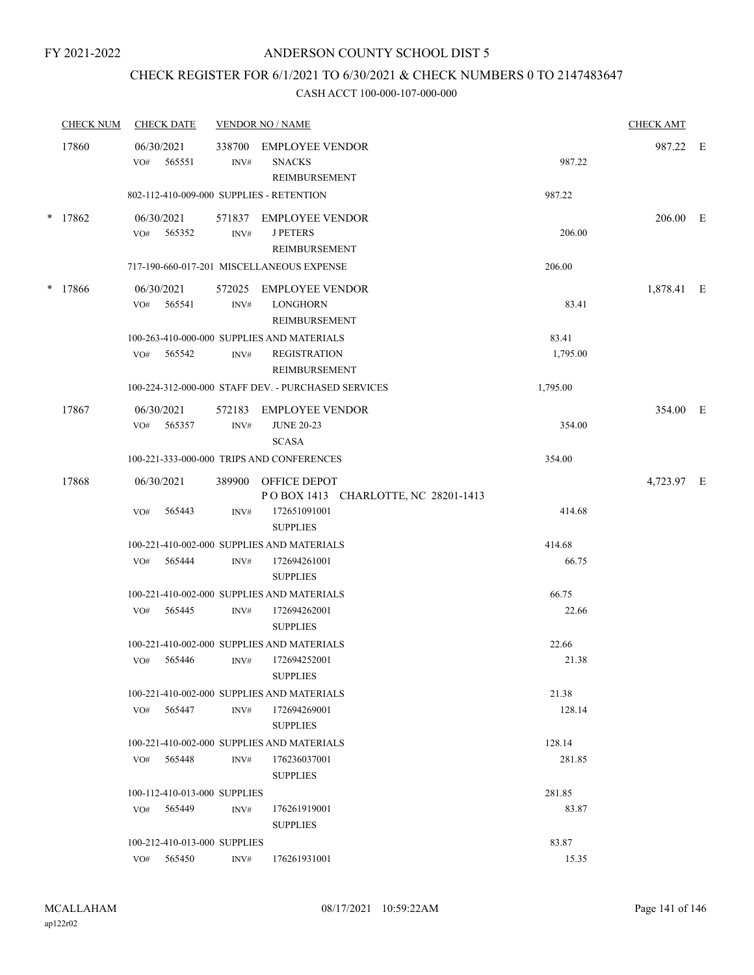# CHECK REGISTER FOR 6/1/2021 TO 6/30/2021 & CHECK NUMBERS 0 TO 2147483647

|        | <b>CHECK NUM</b> | <b>CHECK DATE</b>                        |                | <b>VENDOR NO / NAME</b>                                           |          | <b>CHECK AMT</b> |  |
|--------|------------------|------------------------------------------|----------------|-------------------------------------------------------------------|----------|------------------|--|
|        | 17860            | 06/30/2021<br>565551<br>VO#              | INV#           | 338700 EMPLOYEE VENDOR<br><b>SNACKS</b><br>REIMBURSEMENT          | 987.22   | 987.22 E         |  |
|        |                  | 802-112-410-009-000 SUPPLIES - RETENTION |                |                                                                   | 987.22   |                  |  |
|        | $*$ 17862        | 06/30/2021<br>565352<br>VO#              | INV#           | 571837 EMPLOYEE VENDOR<br><b>J PETERS</b><br><b>REIMBURSEMENT</b> | 206.00   | 206.00 E         |  |
|        |                  |                                          |                | 717-190-660-017-201 MISCELLANEOUS EXPENSE                         | 206.00   |                  |  |
| $\ast$ | 17866            | 06/30/2021<br>VO#<br>565541              | $\text{INV}\#$ | 572025 EMPLOYEE VENDOR<br><b>LONGHORN</b><br>REIMBURSEMENT        | 83.41    | 1,878.41 E       |  |
|        |                  |                                          |                | 100-263-410-000-000 SUPPLIES AND MATERIALS                        | 83.41    |                  |  |
|        |                  | 565542<br>VO#                            | INV#           | <b>REGISTRATION</b><br>REIMBURSEMENT                              | 1,795.00 |                  |  |
|        |                  |                                          |                | 100-224-312-000-000 STAFF DEV. - PURCHASED SERVICES               | 1,795.00 |                  |  |
|        | 17867            | 06/30/2021<br>565357<br>VO#              | 572183<br>INV# | <b>EMPLOYEE VENDOR</b><br><b>JUNE 20-23</b><br><b>SCASA</b>       | 354.00   | 354.00 E         |  |
|        |                  |                                          |                | 100-221-333-000-000 TRIPS AND CONFERENCES                         | 354.00   |                  |  |
|        | 17868            | 06/30/2021                               |                | 389900 OFFICE DEPOT<br>POBOX 1413 CHARLOTTE, NC 28201-1413        |          | 4,723.97 E       |  |
|        |                  | 565443<br>VO#                            | INV#           | 172651091001<br><b>SUPPLIES</b>                                   | 414.68   |                  |  |
|        |                  |                                          |                | 100-221-410-002-000 SUPPLIES AND MATERIALS                        | 414.68   |                  |  |
|        |                  | 565444<br>VO#                            | INV#           | 172694261001<br><b>SUPPLIES</b>                                   | 66.75    |                  |  |
|        |                  |                                          |                | 100-221-410-002-000 SUPPLIES AND MATERIALS                        | 66.75    |                  |  |
|        |                  | 565445<br>VO#                            | INV#           | 172694262001<br><b>SUPPLIES</b>                                   | 22.66    |                  |  |
|        |                  |                                          |                | 100-221-410-002-000 SUPPLIES AND MATERIALS                        | 22.66    |                  |  |
|        |                  | 565446<br>VO#                            | INV#           | 172694252001<br><b>SUPPLIES</b>                                   | 21.38    |                  |  |
|        |                  |                                          |                | 100-221-410-002-000 SUPPLIES AND MATERIALS                        | 21.38    |                  |  |
|        |                  | VO#<br>565447                            | INV#           | 172694269001<br><b>SUPPLIES</b>                                   | 128.14   |                  |  |
|        |                  |                                          |                | 100-221-410-002-000 SUPPLIES AND MATERIALS                        | 128.14   |                  |  |
|        |                  | 565448<br>VO#                            | INV#           | 176236037001<br><b>SUPPLIES</b>                                   | 281.85   |                  |  |
|        |                  | 100-112-410-013-000 SUPPLIES             |                |                                                                   | 281.85   |                  |  |
|        |                  | 565449<br>VO#                            | INV#           | 176261919001<br><b>SUPPLIES</b>                                   | 83.87    |                  |  |
|        |                  | 100-212-410-013-000 SUPPLIES             |                |                                                                   | 83.87    |                  |  |
|        |                  | 565450<br>VO#                            | INV#           | 176261931001                                                      | 15.35    |                  |  |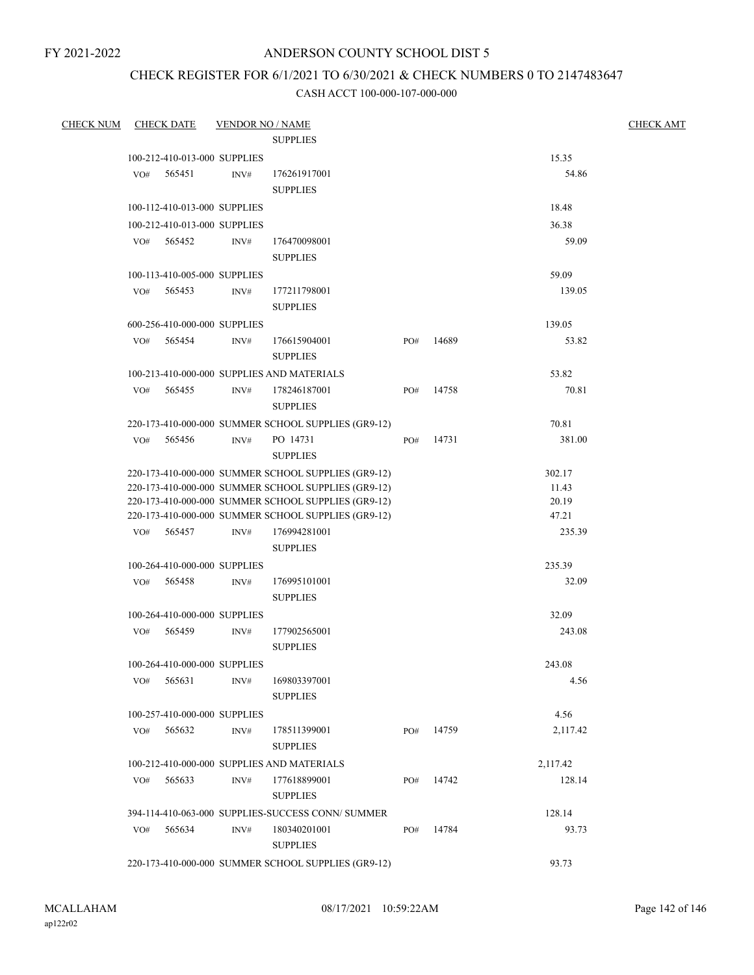# ANDERSON COUNTY SCHOOL DIST 5

# CHECK REGISTER FOR 6/1/2021 TO 6/30/2021 & CHECK NUMBERS 0 TO 2147483647

| <b>CHECK NUM</b> |     | <b>CHECK DATE</b>            | <b>VENDOR NO / NAME</b> | <b>SUPPLIES</b>                                                                                            |     |       |                 | <b>CHECK AMT</b> |
|------------------|-----|------------------------------|-------------------------|------------------------------------------------------------------------------------------------------------|-----|-------|-----------------|------------------|
|                  |     | 100-212-410-013-000 SUPPLIES |                         |                                                                                                            |     |       | 15.35           |                  |
|                  | VO# | 565451                       | INV#                    | 176261917001                                                                                               |     |       | 54.86           |                  |
|                  |     |                              |                         | <b>SUPPLIES</b>                                                                                            |     |       |                 |                  |
|                  |     | 100-112-410-013-000 SUPPLIES |                         |                                                                                                            |     |       | 18.48           |                  |
|                  |     | 100-212-410-013-000 SUPPLIES |                         |                                                                                                            |     |       | 36.38           |                  |
|                  |     | VO# 565452                   | INV#                    | 176470098001                                                                                               |     |       | 59.09           |                  |
|                  |     |                              |                         | <b>SUPPLIES</b>                                                                                            |     |       |                 |                  |
|                  |     | 100-113-410-005-000 SUPPLIES |                         |                                                                                                            |     |       | 59.09           |                  |
|                  | VO# | 565453                       | INV#                    | 177211798001                                                                                               |     |       | 139.05          |                  |
|                  |     |                              |                         | <b>SUPPLIES</b>                                                                                            |     |       |                 |                  |
|                  |     | 600-256-410-000-000 SUPPLIES |                         |                                                                                                            |     |       | 139.05          |                  |
|                  | VO# | 565454                       | INV#                    | 176615904001                                                                                               | PO# | 14689 | 53.82           |                  |
|                  |     |                              |                         | <b>SUPPLIES</b>                                                                                            |     |       |                 |                  |
|                  |     |                              |                         |                                                                                                            |     |       |                 |                  |
|                  |     | 565455                       |                         | 100-213-410-000-000 SUPPLIES AND MATERIALS<br>178246187001                                                 |     | 14758 | 53.82<br>70.81  |                  |
|                  | VO# |                              | INV#                    | <b>SUPPLIES</b>                                                                                            | PO# |       |                 |                  |
|                  |     |                              |                         |                                                                                                            |     |       | 70.81           |                  |
|                  | VO# | 565456                       |                         | 220-173-410-000-000 SUMMER SCHOOL SUPPLIES (GR9-12)                                                        |     | 14731 | 381.00          |                  |
|                  |     |                              | INV#                    | PO 14731<br><b>SUPPLIES</b>                                                                                | PO# |       |                 |                  |
|                  |     |                              |                         |                                                                                                            |     |       |                 |                  |
|                  |     |                              |                         | 220-173-410-000-000 SUMMER SCHOOL SUPPLIES (GR9-12)<br>220-173-410-000-000 SUMMER SCHOOL SUPPLIES (GR9-12) |     |       | 302.17<br>11.43 |                  |
|                  |     |                              |                         | 220-173-410-000-000 SUMMER SCHOOL SUPPLIES (GR9-12)                                                        |     |       | 20.19           |                  |
|                  |     |                              |                         | 220-173-410-000-000 SUMMER SCHOOL SUPPLIES (GR9-12)                                                        |     |       | 47.21           |                  |
|                  | VO# | 565457                       | INV#                    | 176994281001                                                                                               |     |       | 235.39          |                  |
|                  |     |                              |                         | <b>SUPPLIES</b>                                                                                            |     |       |                 |                  |
|                  |     | 100-264-410-000-000 SUPPLIES |                         |                                                                                                            |     |       | 235.39          |                  |
|                  | VO# | 565458                       | INV#                    | 176995101001                                                                                               |     |       | 32.09           |                  |
|                  |     |                              |                         | <b>SUPPLIES</b>                                                                                            |     |       |                 |                  |
|                  |     | 100-264-410-000-000 SUPPLIES |                         |                                                                                                            |     |       | 32.09           |                  |
|                  | VO# | 565459                       | INV#                    | 177902565001                                                                                               |     |       | 243.08          |                  |
|                  |     |                              |                         | <b>SUPPLIES</b>                                                                                            |     |       |                 |                  |
|                  |     | 100-264-410-000-000 SUPPLIES |                         |                                                                                                            |     |       | 243.08          |                  |
|                  | VO# | 565631                       | INV#                    | 169803397001                                                                                               |     |       | 4.56            |                  |
|                  |     |                              |                         | <b>SUPPLIES</b>                                                                                            |     |       |                 |                  |
|                  |     | 100-257-410-000-000 SUPPLIES |                         |                                                                                                            |     |       | 4.56            |                  |
|                  | VO# | 565632                       | INV#                    | 178511399001                                                                                               | PO# | 14759 | 2,117.42        |                  |
|                  |     |                              |                         | <b>SUPPLIES</b>                                                                                            |     |       |                 |                  |
|                  |     |                              |                         | 100-212-410-000-000 SUPPLIES AND MATERIALS                                                                 |     |       | 2,117.42        |                  |
|                  | VO# | 565633                       | INV#                    | 177618899001                                                                                               | PO# | 14742 | 128.14          |                  |
|                  |     |                              |                         | <b>SUPPLIES</b>                                                                                            |     |       |                 |                  |
|                  |     |                              |                         | 394-114-410-063-000 SUPPLIES-SUCCESS CONN/ SUMMER                                                          |     |       | 128.14          |                  |
|                  | VO# | 565634                       | INV#                    | 180340201001                                                                                               | PO# | 14784 | 93.73           |                  |
|                  |     |                              |                         | <b>SUPPLIES</b>                                                                                            |     |       |                 |                  |
|                  |     |                              |                         | 220-173-410-000-000 SUMMER SCHOOL SUPPLIES (GR9-12)                                                        |     |       | 93.73           |                  |
|                  |     |                              |                         |                                                                                                            |     |       |                 |                  |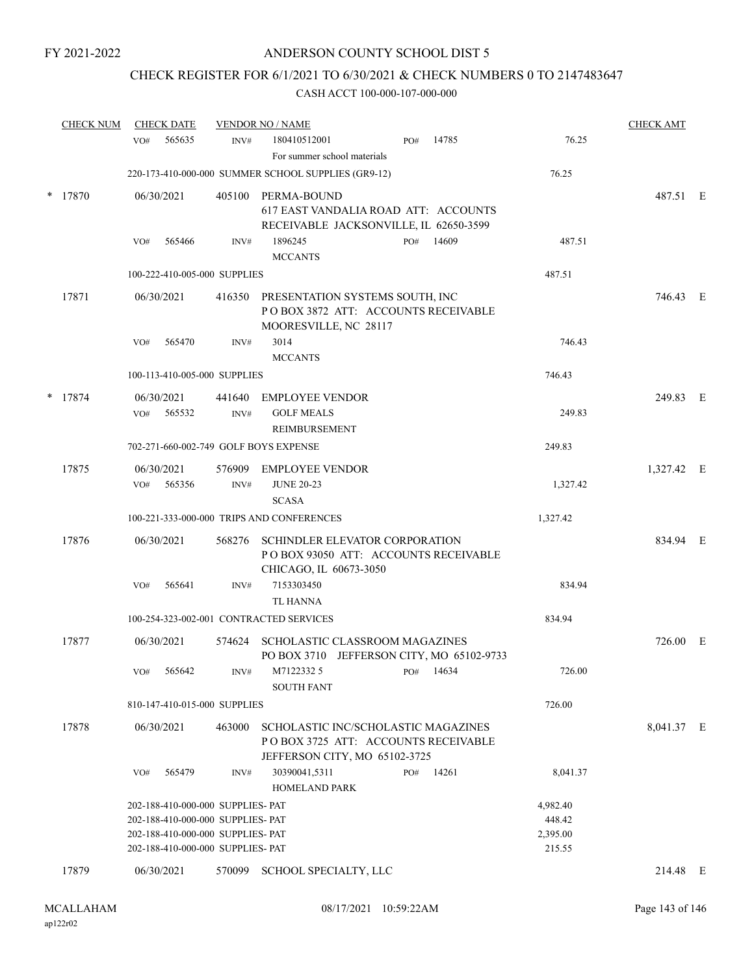# CHECK REGISTER FOR 6/1/2021 TO 6/30/2021 & CHECK NUMBERS 0 TO 2147483647

| <b>CHECK NUM</b> | <b>CHECK DATE</b>        |                                                                        | <b>VENDOR NO / NAME</b>                                         |                                                                                                             |           |       |                    | <b>CHECK AMT</b> |  |
|------------------|--------------------------|------------------------------------------------------------------------|-----------------------------------------------------------------|-------------------------------------------------------------------------------------------------------------|-----------|-------|--------------------|------------------|--|
|                  | VO#                      | 565635<br>INV#                                                         | 180410512001<br>For summer school materials                     | PO#                                                                                                         |           | 14785 | 76.25              |                  |  |
|                  |                          |                                                                        | 220-173-410-000-000 SUMMER SCHOOL SUPPLIES (GR9-12)             |                                                                                                             |           |       | 76.25              |                  |  |
| $*$ 17870        | 06/30/2021               |                                                                        | 405100 PERMA-BOUND                                              | 617 EAST VANDALIA ROAD ATT: ACCOUNTS<br>RECEIVABLE JACKSONVILLE, IL 62650-3599                              |           |       |                    | 487.51 E         |  |
|                  | VO#                      | 565466<br>INV#                                                         | 1896245<br><b>MCCANTS</b>                                       | PO#                                                                                                         |           | 14609 | 487.51             |                  |  |
|                  |                          | 100-222-410-005-000 SUPPLIES                                           |                                                                 |                                                                                                             |           |       | 487.51             |                  |  |
| 17871            | 06/30/2021               |                                                                        | 416350 PRESENTATION SYSTEMS SOUTH, INC<br>MOORESVILLE, NC 28117 | POBOX 3872 ATT: ACCOUNTS RECEIVABLE                                                                         |           |       |                    | 746.43 E         |  |
|                  | VO#                      | 565470<br>INV#                                                         | 3014<br><b>MCCANTS</b>                                          |                                                                                                             |           |       | 746.43             |                  |  |
|                  |                          | 100-113-410-005-000 SUPPLIES                                           |                                                                 |                                                                                                             |           |       | 746.43             |                  |  |
| $*$ 17874        | 06/30/2021<br>VO#        | 441640<br>565532<br>INV#                                               | <b>EMPLOYEE VENDOR</b><br><b>GOLF MEALS</b><br>REIMBURSEMENT    |                                                                                                             |           |       | 249.83             | 249.83 E         |  |
|                  |                          |                                                                        | 702-271-660-002-749 GOLF BOYS EXPENSE                           |                                                                                                             |           |       | 249.83             |                  |  |
| 17875            | 06/30/2021<br>VO# 565356 | INV#                                                                   | 576909 EMPLOYEE VENDOR<br><b>JUNE 20-23</b><br><b>SCASA</b>     |                                                                                                             |           |       | 1,327.42           | 1,327.42 E       |  |
|                  |                          |                                                                        | 100-221-333-000-000 TRIPS AND CONFERENCES                       |                                                                                                             |           |       | 1,327.42           |                  |  |
| 17876            | 06/30/2021               |                                                                        | 568276 SCHINDLER ELEVATOR CORPORATION<br>CHICAGO, IL 60673-3050 | POBOX 93050 ATT: ACCOUNTS RECEIVABLE                                                                        |           |       |                    | 834.94 E         |  |
|                  | VO#                      | 565641<br>INV#                                                         | 7153303450<br><b>TL HANNA</b>                                   |                                                                                                             |           |       | 834.94             |                  |  |
|                  |                          |                                                                        | 100-254-323-002-001 CONTRACTED SERVICES                         |                                                                                                             |           |       | 834.94             |                  |  |
| 17877            | 06/30/2021               |                                                                        | 574624 SCHOLASTIC CLASSROOM MAGAZINES                           | PO BOX 3710 JEFFERSON CITY, MO 65102-9733                                                                   |           |       |                    | 726.00 E         |  |
|                  | VO#                      | 565642<br>INV#                                                         | M7122332 5<br><b>SOUTH FANT</b>                                 |                                                                                                             | PO# 14634 |       | 726.00             |                  |  |
|                  |                          | 810-147-410-015-000 SUPPLIES                                           |                                                                 |                                                                                                             |           |       | 726.00             |                  |  |
| 17878            | 06/30/2021               | 463000                                                                 |                                                                 | SCHOLASTIC INC/SCHOLASTIC MAGAZINES<br>POBOX 3725 ATT: ACCOUNTS RECEIVABLE<br>JEFFERSON CITY, MO 65102-3725 |           |       |                    | 8,041.37 E       |  |
|                  | VO#                      | 565479<br>INV#                                                         | 30390041,5311<br><b>HOMELAND PARK</b>                           | PO#                                                                                                         | 14261     |       | 8,041.37           |                  |  |
|                  |                          | 202-188-410-000-000 SUPPLIES- PAT                                      |                                                                 |                                                                                                             |           |       | 4,982.40           |                  |  |
|                  |                          | 202-188-410-000-000 SUPPLIES- PAT<br>202-188-410-000-000 SUPPLIES- PAT |                                                                 |                                                                                                             |           |       | 448.42<br>2,395.00 |                  |  |
|                  |                          | 202-188-410-000-000 SUPPLIES- PAT                                      |                                                                 |                                                                                                             |           |       | 215.55             |                  |  |
| 17879            | 06/30/2021               | 570099                                                                 | SCHOOL SPECIALTY, LLC                                           |                                                                                                             |           |       |                    | 214.48 E         |  |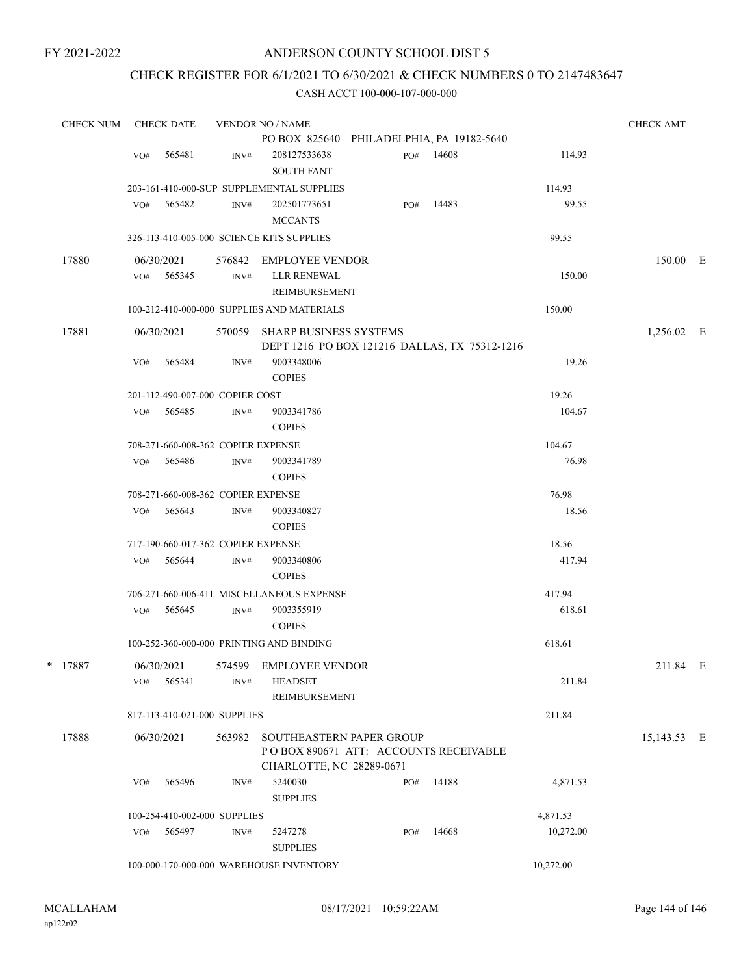#### ANDERSON COUNTY SCHOOL DIST 5

# CHECK REGISTER FOR 6/1/2021 TO 6/30/2021 & CHECK NUMBERS 0 TO 2147483647

| <b>CHECK NUM</b> |     | <b>CHECK DATE</b>                  |                  | <b>VENDOR NO / NAME</b>                       |     |           |           | <b>CHECK AMT</b> |  |
|------------------|-----|------------------------------------|------------------|-----------------------------------------------|-----|-----------|-----------|------------------|--|
|                  |     |                                    |                  | PO BOX 825640 PHILADELPHIA, PA 19182-5640     |     |           |           |                  |  |
|                  | VO# | 565481                             | INV#             | 208127533638                                  |     | PO# 14608 | 114.93    |                  |  |
|                  |     |                                    |                  | <b>SOUTH FANT</b>                             |     |           |           |                  |  |
|                  |     |                                    |                  | 203-161-410-000-SUP SUPPLEMENTAL SUPPLIES     |     |           | 114.93    |                  |  |
|                  | VO# | 565482                             | INV#             | 202501773651                                  | PO# | 14483     | 99.55     |                  |  |
|                  |     |                                    |                  | <b>MCCANTS</b>                                |     |           |           |                  |  |
|                  |     |                                    |                  | 326-113-410-005-000 SCIENCE KITS SUPPLIES     |     |           | 99.55     |                  |  |
| 17880            |     | 06/30/2021                         |                  | 576842 EMPLOYEE VENDOR                        |     |           |           | 150.00 E         |  |
|                  | VO# | 565345                             | INV#             | LLR RENEWAL                                   |     |           | 150.00    |                  |  |
|                  |     |                                    |                  | REIMBURSEMENT                                 |     |           |           |                  |  |
|                  |     |                                    |                  | 100-212-410-000-000 SUPPLIES AND MATERIALS    |     |           | 150.00    |                  |  |
| 17881            |     | 06/30/2021                         |                  | 570059 SHARP BUSINESS SYSTEMS                 |     |           |           | 1,256.02 E       |  |
|                  |     |                                    |                  | DEPT 1216 PO BOX 121216 DALLAS, TX 75312-1216 |     |           |           |                  |  |
|                  | VO# | 565484                             | INV#             | 9003348006                                    |     |           | 19.26     |                  |  |
|                  |     |                                    |                  | <b>COPIES</b>                                 |     |           |           |                  |  |
|                  |     | 201-112-490-007-000 COPIER COST    |                  |                                               |     |           | 19.26     |                  |  |
|                  | VO# | 565485                             | INV#             | 9003341786                                    |     |           | 104.67    |                  |  |
|                  |     |                                    |                  | <b>COPIES</b>                                 |     |           |           |                  |  |
|                  |     | 708-271-660-008-362 COPIER EXPENSE |                  |                                               |     |           | 104.67    |                  |  |
|                  | VO# | 565486                             | INV#             | 9003341789                                    |     |           | 76.98     |                  |  |
|                  |     |                                    |                  | <b>COPIES</b>                                 |     |           |           |                  |  |
|                  |     | 708-271-660-008-362 COPIER EXPENSE |                  |                                               |     |           | 76.98     |                  |  |
|                  | VO# | 565643                             | INV#             | 9003340827                                    |     |           | 18.56     |                  |  |
|                  |     |                                    |                  | <b>COPIES</b>                                 |     |           |           |                  |  |
|                  |     | 717-190-660-017-362 COPIER EXPENSE |                  |                                               |     |           | 18.56     |                  |  |
|                  | VO# | 565644                             | INV#             | 9003340806                                    |     |           | 417.94    |                  |  |
|                  |     |                                    |                  | <b>COPIES</b>                                 |     |           |           |                  |  |
|                  |     |                                    |                  | 706-271-660-006-411 MISCELLANEOUS EXPENSE     |     |           | 417.94    |                  |  |
|                  | VO# | 565645                             | INV#             | 9003355919                                    |     |           | 618.61    |                  |  |
|                  |     |                                    |                  | <b>COPIES</b>                                 |     |           |           |                  |  |
|                  |     |                                    |                  | 100-252-360-000-000 PRINTING AND BINDING      |     |           | 618.61    |                  |  |
| * 17887          |     | 06/30/2021                         |                  | 574599 EMPLOYEE VENDOR                        |     |           |           | 211.84 E         |  |
|                  | VO# | 565341                             | INV#             | <b>HEADSET</b>                                |     |           | 211.84    |                  |  |
|                  |     |                                    |                  | <b>REIMBURSEMENT</b>                          |     |           |           |                  |  |
|                  |     | 817-113-410-021-000 SUPPLIES       |                  |                                               |     |           | 211.84    |                  |  |
| 17888            |     | 06/30/2021                         | 563982           | SOUTHEASTERN PAPER GROUP                      |     |           |           | 15,143.53 E      |  |
|                  |     |                                    |                  | PO BOX 890671 ATT: ACCOUNTS RECEIVABLE        |     |           |           |                  |  |
|                  |     |                                    |                  | CHARLOTTE, NC 28289-0671                      |     |           |           |                  |  |
|                  | VO# | 565496                             | INV#             | 5240030                                       | PO# | 14188     | 4,871.53  |                  |  |
|                  |     |                                    |                  | <b>SUPPLIES</b>                               |     |           |           |                  |  |
|                  |     | 100-254-410-002-000 SUPPLIES       |                  |                                               |     |           | 4,871.53  |                  |  |
|                  | VO# | 565497                             | $\mathrm{INV}\#$ | 5247278                                       | PO# | 14668     | 10,272.00 |                  |  |
|                  |     |                                    |                  | <b>SUPPLIES</b>                               |     |           |           |                  |  |
|                  |     |                                    |                  | 100-000-170-000-000 WAREHOUSE INVENTORY       |     |           | 10,272.00 |                  |  |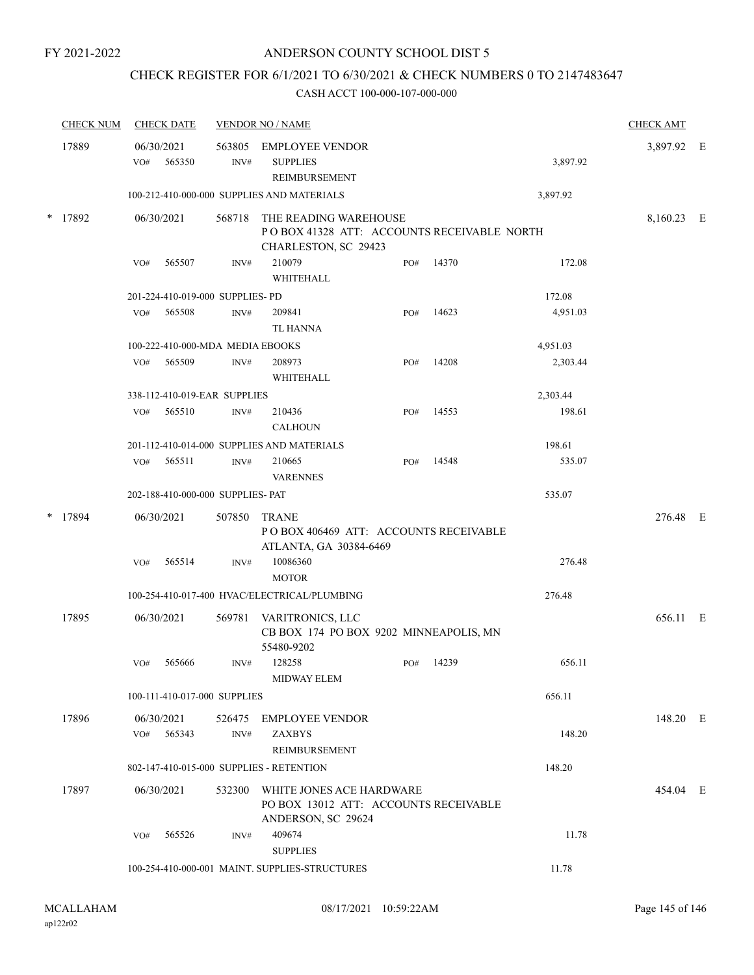### ANDERSON COUNTY SCHOOL DIST 5

# CHECK REGISTER FOR 6/1/2021 TO 6/30/2021 & CHECK NUMBERS 0 TO 2147483647

CASH ACCT 100-000-107-000-000

|        | <b>CHECK NUM</b> | <b>CHECK DATE</b>                            |                                                                                                         | <b>VENDOR NO / NAME</b>                        |                                                                                             |     |       | <b>CHECK AMT</b> |            |  |
|--------|------------------|----------------------------------------------|---------------------------------------------------------------------------------------------------------|------------------------------------------------|---------------------------------------------------------------------------------------------|-----|-------|------------------|------------|--|
|        | 17889            | VO#                                          | 06/30/2021<br>565350                                                                                    | INV#                                           | 563805 EMPLOYEE VENDOR<br><b>SUPPLIES</b><br>REIMBURSEMENT                                  |     |       | 3,897.92         | 3,897.92 E |  |
|        |                  | 100-212-410-000-000 SUPPLIES AND MATERIALS   | 3,897.92                                                                                                |                                                |                                                                                             |     |       |                  |            |  |
| $\ast$ | 17892            | 06/30/2021                                   |                                                                                                         | 568718                                         | THE READING WAREHOUSE<br>POBOX 41328 ATT: ACCOUNTS RECEIVABLE NORTH<br>CHARLESTON, SC 29423 |     |       |                  | 8,160.23 E |  |
|        |                  | VO#                                          | 565507                                                                                                  | INV#                                           | 210079<br>WHITEHALL                                                                         | PO# | 14370 | 172.08           |            |  |
|        |                  |                                              | 201-224-410-019-000 SUPPLIES- PD                                                                        |                                                |                                                                                             |     |       | 172.08           |            |  |
|        |                  | VO#                                          | 565508                                                                                                  | INV#                                           | 209841<br>TL HANNA                                                                          | PO# | 14623 | 4,951.03         |            |  |
|        |                  | 100-222-410-000-MDA MEDIA EBOOKS<br>4,951.03 |                                                                                                         |                                                |                                                                                             |     |       |                  |            |  |
|        |                  | VO#                                          | 565509                                                                                                  | INV#                                           | 208973<br><b>WHITEHALL</b>                                                                  | PO# | 14208 | 2,303.44         |            |  |
|        |                  |                                              | 338-112-410-019-EAR SUPPLIES                                                                            |                                                |                                                                                             |     |       | 2,303.44         |            |  |
|        |                  | VO#                                          | 565510                                                                                                  | INV#                                           | 210436<br><b>CALHOUN</b>                                                                    | PO# | 14553 | 198.61           |            |  |
|        |                  | 201-112-410-014-000 SUPPLIES AND MATERIALS   | 198.61                                                                                                  |                                                |                                                                                             |     |       |                  |            |  |
|        |                  | VO#                                          | 565511                                                                                                  | INV#                                           | 210665<br><b>VARENNES</b>                                                                   | PO# | 14548 | 535.07           |            |  |
|        |                  | 202-188-410-000-000 SUPPLIES- PAT<br>535.07  |                                                                                                         |                                                |                                                                                             |     |       |                  |            |  |
|        | * 17894          |                                              | 06/30/2021<br>507850<br><b>TRANE</b><br>POBOX 406469 ATT: ACCOUNTS RECEIVABLE<br>ATLANTA, GA 30384-6469 |                                                |                                                                                             |     |       |                  | 276.48 E   |  |
|        |                  | VO#                                          | 565514                                                                                                  | INV#                                           | 10086360<br><b>MOTOR</b>                                                                    |     |       | 276.48           |            |  |
|        |                  |                                              |                                                                                                         |                                                | 100-254-410-017-400 HVAC/ELECTRICAL/PLUMBING                                                |     |       | 276.48           |            |  |
|        | 17895            |                                              | 06/30/2021                                                                                              | 569781                                         | VARITRONICS, LLC<br>CB BOX 174 PO BOX 9202 MINNEAPOLIS, MN<br>55480-9202                    |     |       |                  | 656.11 E   |  |
|        |                  | VO#                                          | 565666                                                                                                  | INV#                                           | 128258<br><b>MIDWAY ELEM</b>                                                                | PO# | 14239 | 656.11           |            |  |
|        |                  |                                              | 100-111-410-017-000 SUPPLIES                                                                            |                                                |                                                                                             |     |       | 656.11           |            |  |
|        | 17896            | VO#                                          | 06/30/2021<br>565343                                                                                    | 526475<br>INV#                                 | <b>EMPLOYEE VENDOR</b><br><b>ZAXBYS</b>                                                     |     |       | 148.20           | 148.20 E   |  |
|        |                  | REIMBURSEMENT                                |                                                                                                         |                                                |                                                                                             |     |       |                  |            |  |
|        |                  | 802-147-410-015-000 SUPPLIES - RETENTION     |                                                                                                         |                                                |                                                                                             |     |       | 148.20           |            |  |
|        | 17897            | 06/30/2021<br>532300                         |                                                                                                         |                                                | WHITE JONES ACE HARDWARE<br>PO BOX 13012 ATT: ACCOUNTS RECEIVABLE<br>ANDERSON, SC 29624     |     |       |                  | 454.04 E   |  |
|        |                  | VO#                                          | 565526                                                                                                  | INV#                                           | 409674<br><b>SUPPLIES</b>                                                                   |     |       | 11.78            |            |  |
|        |                  |                                              |                                                                                                         | 100-254-410-000-001 MAINT. SUPPLIES-STRUCTURES |                                                                                             |     |       | 11.78            |            |  |